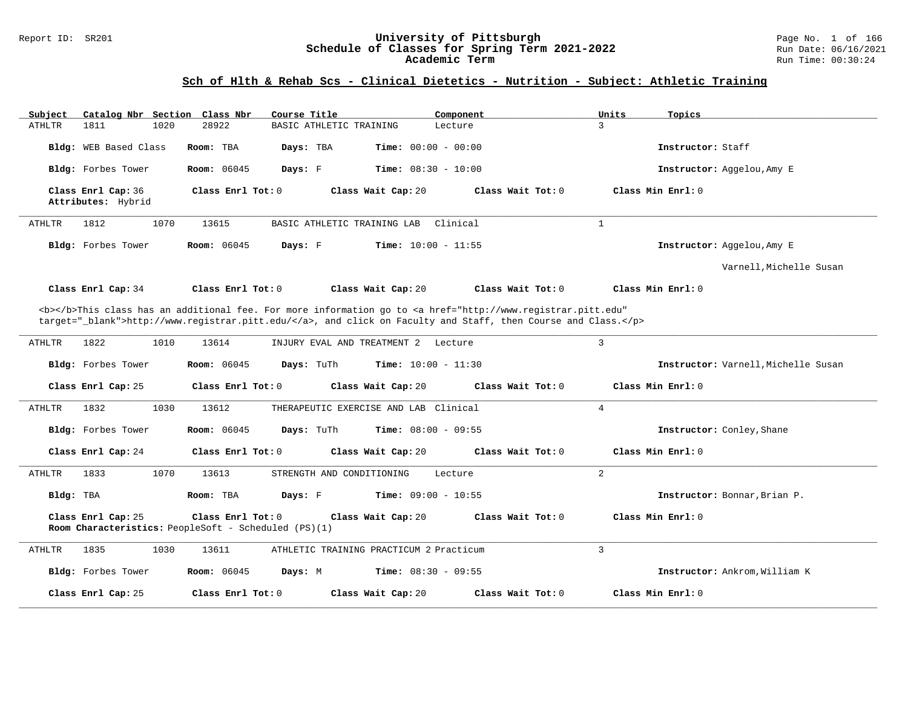#### Report ID: SR201 **University of Pittsburgh** Page No. 1 of 166 **Schedule of Classes for Spring Term 2021-2022** Run Date: 06/16/2021 **Academic Term** Run Time: 00:30:24

# **Sch of Hlth & Rehab Scs - Clinical Dietetics - Nutrition - Subject: Athletic Training**

| Catalog Nbr Section Class Nbr<br>Subject                                                                                                                                                                                           | Course Title                                                                                    | Component                    | Units<br>Topics                     |  |  |  |  |  |
|------------------------------------------------------------------------------------------------------------------------------------------------------------------------------------------------------------------------------------|-------------------------------------------------------------------------------------------------|------------------------------|-------------------------------------|--|--|--|--|--|
| 1811<br>1020<br>ATHLTR                                                                                                                                                                                                             | 28922<br>BASIC ATHLETIC TRAINING                                                                | Lecture                      | 3                                   |  |  |  |  |  |
| Bldg: WEB Based Class                                                                                                                                                                                                              | Room: TBA<br>Days: TBA                                                                          | <b>Time:</b> $00:00 - 00:00$ | Instructor: Staff                   |  |  |  |  |  |
| Bldg: Forbes Tower                                                                                                                                                                                                                 | <b>Room:</b> 06045<br>Days: F                                                                   | <b>Time:</b> $08:30 - 10:00$ | Instructor: Aggelou, Amy E          |  |  |  |  |  |
| Class Enrl Cap: 36<br>Attributes: Hybrid                                                                                                                                                                                           | Class Enrl Tot: 0<br>Class Wait Cap: 20                                                         | Class Wait Tot: 0            | Class Min Enrl: 0                   |  |  |  |  |  |
| 1070<br><b>ATHLTR</b><br>1812                                                                                                                                                                                                      | 13615<br>BASIC ATHLETIC TRAINING LAB                                                            | Clinical                     | $\mathbf{1}$                        |  |  |  |  |  |
| Bldg: Forbes Tower                                                                                                                                                                                                                 | <b>Room:</b> 06045<br>Days: F                                                                   | <b>Time:</b> $10:00 - 11:55$ | Instructor: Aggelou, Amy E          |  |  |  |  |  |
|                                                                                                                                                                                                                                    |                                                                                                 |                              | Varnell, Michelle Susan             |  |  |  |  |  |
| Class Enrl Cap: 34                                                                                                                                                                                                                 | Class Enrl Tot: 0<br>Class Wait Cap: 20                                                         | Class Wait Tot: 0            | Class Min $Err1:0$                  |  |  |  |  |  |
| <b></b> This class has an additional fee. For more information go to <a <br="" href="http://www.registrar.pitt.edu">target="_blank"&gt;http://www.registrar.pitt.edu/</a> , and click on Faculty and Staff, then Course and Class. |                                                                                                 |                              |                                     |  |  |  |  |  |
| <b>ATHLTR</b><br>1822<br>1010                                                                                                                                                                                                      | 13614<br>INJURY EVAL AND TREATMENT 2 Lecture                                                    |                              | 3                                   |  |  |  |  |  |
| Bldg: Forbes Tower                                                                                                                                                                                                                 | Room: 06045<br>Days: TuTh                                                                       | Time: $10:00 - 11:30$        | Instructor: Varnell, Michelle Susan |  |  |  |  |  |
| Class Enrl Cap: 25                                                                                                                                                                                                                 | Class Enrl Tot: 0<br>Class Wait Cap: 20                                                         | Class Wait Tot: 0            | Class Min Enrl: 0                   |  |  |  |  |  |
| 1832<br>1030<br>ATHLTR                                                                                                                                                                                                             | 13612<br>THERAPEUTIC EXERCISE AND LAB Clinical                                                  |                              | $\overline{4}$                      |  |  |  |  |  |
| Bldg: Forbes Tower                                                                                                                                                                                                                 | Room: 06045<br>Days: TuTh                                                                       | Time: $08:00 - 09:55$        | Instructor: Conley, Shane           |  |  |  |  |  |
| Class Enrl Cap: 24                                                                                                                                                                                                                 | Class Enrl Tot: 0<br>Class Wait Cap: 20                                                         | Class Wait Tot: 0            | Class Min Enrl: 0                   |  |  |  |  |  |
| 1833<br>1070<br>ATHLTR                                                                                                                                                                                                             | 13613<br>STRENGTH AND CONDITIONING                                                              | Lecture                      | 2                                   |  |  |  |  |  |
| Bldg: TBA                                                                                                                                                                                                                          | Room: TBA<br>Days: F                                                                            | <b>Time:</b> $09:00 - 10:55$ | Instructor: Bonnar, Brian P.        |  |  |  |  |  |
| Class Enrl Cap: 25                                                                                                                                                                                                                 | Class Enrl Tot: 0<br>Class Wait Cap: 20<br>Room Characteristics: PeopleSoft - Scheduled (PS)(1) | Class Wait Tot: 0            | Class Min $Enr1: 0$                 |  |  |  |  |  |
| 1835<br><b>ATHLTR</b><br>1030                                                                                                                                                                                                      | 13611<br>ATHLETIC TRAINING PRACTICUM 2 Practicum                                                |                              | $\overline{3}$                      |  |  |  |  |  |
| Bldg: Forbes Tower                                                                                                                                                                                                                 | Room: 06045<br>Days: M                                                                          | <b>Time:</b> $08:30 - 09:55$ | Instructor: Ankrom, William K       |  |  |  |  |  |
| Class Enrl Cap: 25                                                                                                                                                                                                                 | Class Enrl Tot: 0<br>Class Wait Cap: 20                                                         | Class Wait Tot: 0            | Class Min Enrl: 0                   |  |  |  |  |  |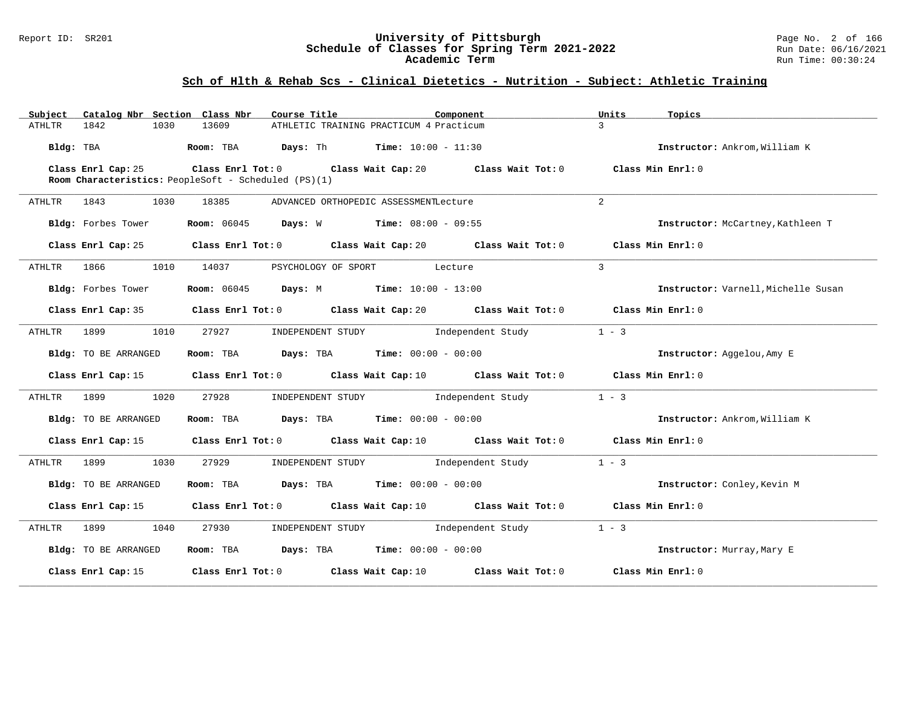### Report ID: SR201 **University of Pittsburgh** Page No. 2 of 166 **Schedule of Classes for Spring Term 2021-2022** Run Date: 06/16/2021 **Academic Term** Run Time: 00:30:24

# **Sch of Hlth & Rehab Scs - Clinical Dietetics - Nutrition - Subject: Athletic Training**

| Catalog Nbr Section Class Nbr<br>Subject | Course Title                                                                                | Component                           | Units<br>Topics                     |
|------------------------------------------|---------------------------------------------------------------------------------------------|-------------------------------------|-------------------------------------|
| 1842<br>1030<br>ATHLTR                   | 13609<br>ATHLETIC TRAINING PRACTICUM 4 Practicum                                            | $\mathcal{L}$                       |                                     |
| Bldg: TBA                                | <b>Room:</b> TBA $Days: Th$ Time: $10:00 - 11:30$                                           |                                     | Instructor: Ankrom, William K       |
| Class Enrl Cap: 25                       | Class Enrl Tot: $0$ Class Wait Cap: $20$ Class Wait Tot: $0$                                |                                     | Class Min Enrl: 0                   |
|                                          | Room Characteristics: PeopleSoft - Scheduled (PS)(1)                                        |                                     |                                     |
| ATHLTR 1843<br>1030                      | 18385<br>ADVANCED ORTHOPEDIC ASSESSMENTLecture                                              | $\overline{2}$                      |                                     |
| Bldg: Forbes Tower                       | <b>Room:</b> $06045$ <b>Days:</b> W <b>Time:</b> $08:00 - 09:55$                            |                                     | Instructor: McCartney, Kathleen T   |
| Class Enrl Cap: 25                       | Class Enrl Tot: $0$ Class Wait Cap: $20$ Class Wait Tot: $0$                                |                                     | Class Min Enrl: 0                   |
| 1866<br>1010<br>ATHLTR                   | 14037<br>PSYCHOLOGY OF SPORT Lecture                                                        | $\mathbf{3}$                        |                                     |
| Bldg: Forbes Tower                       | <b>Room:</b> 06045 <b>Days:</b> M <b>Time:</b> 10:00 - 13:00                                |                                     | Instructor: Varnell, Michelle Susan |
|                                          | Class Enrl Cap: 35 Class Enrl Tot: 0 Class Wait Cap: 20 Class Wait Tot: 0 Class Min Enrl: 0 |                                     |                                     |
| ATHLTR 1899<br>1010                      | 27927                                                                                       | INDEPENDENT STUDY 1ndependent Study | $1 - 3$                             |
| Bldg: TO BE ARRANGED                     | Room: TBA $Days:$ TBA $Time: 00:00 - 00:00$                                                 |                                     | Instructor: Aggelou, Amy E          |
|                                          | Class Enrl Cap: 15 Class Enrl Tot: 0 Class Wait Cap: 10 Class Wait Tot: 0 Class Min Enrl: 0 |                                     |                                     |
| ATHLTR 1899 1020                         | 27928                                                                                       | INDEPENDENT STUDY 1ndependent Study | $1 - 3$                             |
| Bldg: TO BE ARRANGED                     | Room: TBA $Days:$ TBA $Time: 00:00 - 00:00$                                                 |                                     | Instructor: Ankrom, William K       |
|                                          | Class Enrl Cap: 15 Class Enrl Tot: 0 Class Wait Cap: 10 Class Wait Tot: 0 Class Min Enrl: 0 |                                     |                                     |
| ATHLTR 1899<br>1030                      | 27929<br>INDEPENDENT STUDY 1ndependent Study                                                |                                     | $1 - 3$                             |
| Bldg: TO BE ARRANGED                     | Room: TBA $Days:$ TBA $Time: 00:00 - 00:00$                                                 |                                     | Instructor: Conley, Kevin M         |
|                                          | Class Enrl Cap: 15 Class Enrl Tot: 0 Class Wait Cap: 10 Class Wait Tot: 0 Class Min Enrl: 0 |                                     |                                     |
| ATHLTR 1899<br>1040                      | 27930<br>INDEPENDENT STUDY 1ndependent Study                                                |                                     | $1 - 3$                             |
| Bldg: TO BE ARRANGED                     | Room: TBA $Days:$ TBA Time: $00:00 - 00:00$                                                 |                                     | Instructor: Murray, Mary E          |
| Class Enrl Cap: 15                       | Class Enrl Tot: $0$ Class Wait Cap: $10$ Class Wait Tot: $0$                                |                                     | Class Min Enrl: 0                   |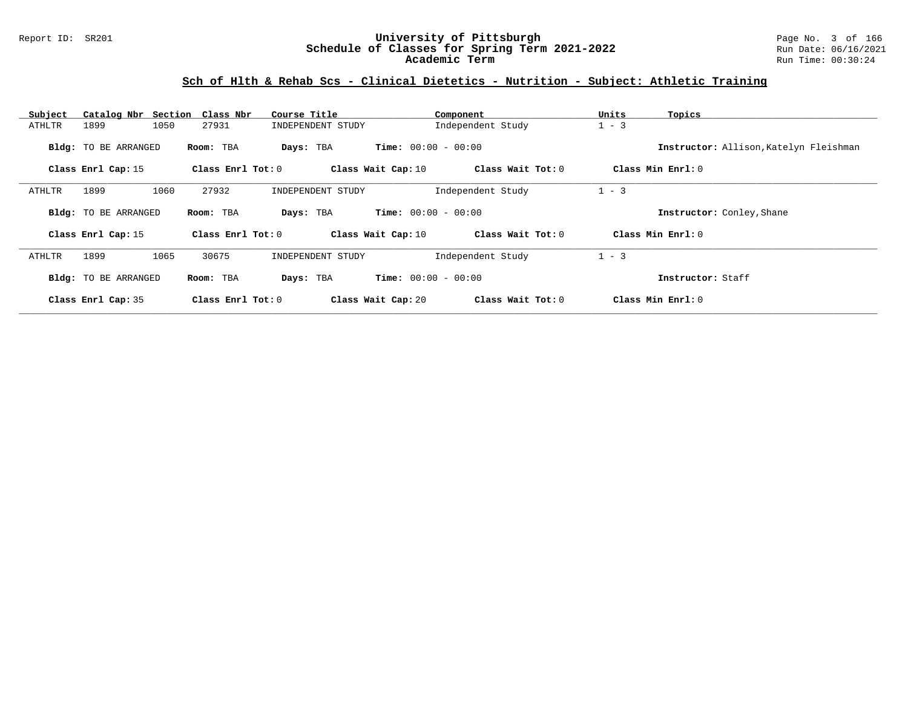### Report ID: SR201 **University of Pittsburgh** Page No. 3 of 166 **Schedule of Classes for Spring Term 2021-2022** Run Date: 06/16/2021 **Academic Term** Run Time: 00:30:24

# **Sch of Hlth & Rehab Scs - Clinical Dietetics - Nutrition - Subject: Athletic Training**

| Subject |                             | Catalog Nbr Section Class Nbr | Course Title       | Component                    | Units<br>Topics                        |  |
|---------|-----------------------------|-------------------------------|--------------------|------------------------------|----------------------------------------|--|
| ATHLTR  | 1899                        | 1050<br>27931                 | INDEPENDENT STUDY  | Independent Study            | $1 - 3$                                |  |
|         | <b>Bldg:</b> TO BE ARRANGED | Room: TBA                     | Days: TBA          | <b>Time:</b> $00:00 - 00:00$ | Instructor: Allison, Katelyn Fleishman |  |
|         | Class Enrl Cap: 15          | Class Enrl Tot: 0             | Class Wait Cap: 10 | Class Wait Tot: 0            | Class Min $Enrl: 0$                    |  |
| ATHLTR  | 1899                        | 1060<br>27932                 | INDEPENDENT STUDY  | Independent Study            | $1 - 3$                                |  |
|         | <b>Bldg:</b> TO BE ARRANGED | Room: TBA                     | Days: TBA          | <b>Time:</b> $00:00 - 00:00$ | Instructor: Conley, Shane              |  |
|         | Class Enrl Cap: 15          | Class Enrl Tot: 0             | Class Wait Cap: 10 | Class Wait Tot: 0            | Class Min Enrl: 0                      |  |
| ATHLTR  | 1899                        | 1065<br>30675                 | INDEPENDENT STUDY  | Independent Study            | $1 - 3$                                |  |
|         | <b>Bldg:</b> TO BE ARRANGED | Room: TBA                     | Days: TBA          | <b>Time:</b> $00:00 - 00:00$ | Instructor: Staff                      |  |
|         | Class Enrl Cap: 35          | Class Enrl Tot: 0             | Class Wait Cap: 20 | Class Wait Tot: 0            | Class Min Enrl: 0                      |  |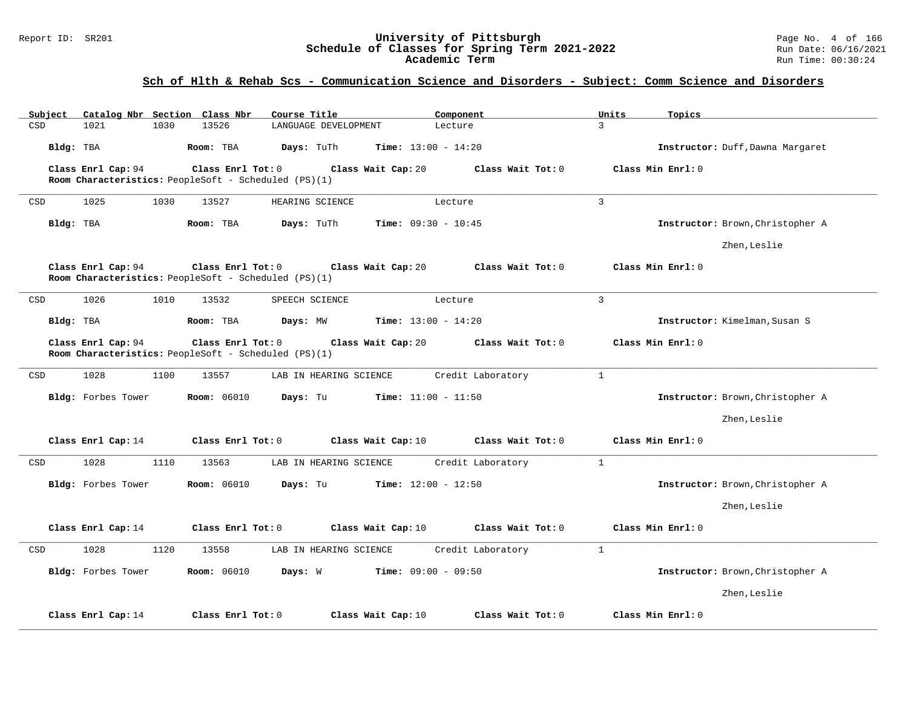#### Report ID: SR201 **University of Pittsburgh** Page No. 4 of 166 **Schedule of Classes for Spring Term 2021-2022** Run Date: 06/16/2021 **Academic Term** Run Time: 00:30:24

| Subject   | Catalog Nbr Section Class Nbr |      |                                                                           | Course Title    |                        |                              | Component |                   | Units          | Topics                           |
|-----------|-------------------------------|------|---------------------------------------------------------------------------|-----------------|------------------------|------------------------------|-----------|-------------------|----------------|----------------------------------|
| CSD       | 1021                          | 1030 | 13526                                                                     |                 | LANGUAGE DEVELOPMENT   |                              | Lecture   |                   | 3              |                                  |
| Bldg: TBA |                               |      | Room: TBA                                                                 | Days: TuTh      |                        | <b>Time:</b> $13:00 - 14:20$ |           |                   |                | Instructor: Duff, Dawna Margaret |
|           | Class Enrl Cap: 94            |      | Class Enrl Tot: 0                                                         |                 |                        | Class Wait Cap: 20           |           | Class Wait Tot: 0 |                | Class Min Enrl: 0                |
|           |                               |      | Room Characteristics: PeopleSoft - Scheduled (PS)(1)                      |                 |                        |                              |           |                   |                |                                  |
| CSD       | 1025                          | 1030 | 13527                                                                     | HEARING SCIENCE |                        |                              | Lecture   |                   | $\overline{3}$ |                                  |
| Bldg: TBA |                               |      | Room: TBA                                                                 | Days: TuTh      |                        | <b>Time:</b> $09:30 - 10:45$ |           |                   |                | Instructor: Brown, Christopher A |
|           |                               |      |                                                                           |                 |                        |                              |           |                   |                | Zhen, Leslie                     |
|           | Class Enrl Cap: 94            |      | Class Enrl Tot: 0<br>Room Characteristics: PeopleSoft - Scheduled (PS)(1) |                 |                        | Class Wait Cap: 20           |           | Class Wait Tot: 0 |                | Class Min Enrl: 0                |
| CSD       | 1026                          | 1010 | 13532                                                                     | SPEECH SCIENCE  |                        |                              | Lecture   |                   | $\overline{3}$ |                                  |
| Bldg: TBA |                               |      | Room: TBA                                                                 | Days: MW        |                        | <b>Time:</b> $13:00 - 14:20$ |           |                   |                | Instructor: Kimelman, Susan S    |
|           | Class Enrl Cap: 94            |      | Class Enrl Tot: 0                                                         |                 |                        | Class Wait Cap: 20           |           | Class Wait Tot: 0 |                | Class Min Enrl: 0                |
|           |                               |      | Room Characteristics: PeopleSoft - Scheduled (PS)(1)                      |                 |                        |                              |           |                   |                |                                  |
| CSD       | 1028                          | 1100 | 13557                                                                     |                 | LAB IN HEARING SCIENCE |                              |           | Credit Laboratory | $\mathbf{1}$   |                                  |
|           | Bldg: Forbes Tower            |      | <b>Room: 06010</b>                                                        | Days: Tu        |                        | <b>Time:</b> $11:00 - 11:50$ |           |                   |                | Instructor: Brown, Christopher A |
|           |                               |      |                                                                           |                 |                        |                              |           |                   |                | Zhen, Leslie                     |
|           | Class Enrl Cap: 14            |      | Class Enrl Tot: 0                                                         |                 |                        | Class Wait Cap: 10           |           | Class Wait Tot: 0 |                | Class Min Enrl: 0                |
| CSD       | 1028                          | 1110 | 13563                                                                     |                 | LAB IN HEARING SCIENCE |                              |           | Credit Laboratory | $\mathbf{1}$   |                                  |
|           | Bldg: Forbes Tower            |      | <b>Room: 06010</b>                                                        | Days: Tu        |                        | <b>Time:</b> $12:00 - 12:50$ |           |                   |                | Instructor: Brown, Christopher A |
|           |                               |      |                                                                           |                 |                        |                              |           |                   |                | Zhen, Leslie                     |
|           | Class Enrl Cap: 14            |      | Class Enrl Tot: 0                                                         |                 |                        | Class Wait Cap: 10           |           | Class Wait Tot: 0 |                | Class Min Enrl: 0                |
| CSD       | 1028                          | 1120 | 13558                                                                     |                 | LAB IN HEARING SCIENCE |                              |           | Credit Laboratory | $\mathbf{1}$   |                                  |
|           | Bldg: Forbes Tower            |      | <b>Room: 06010</b>                                                        | Days: W         |                        | <b>Time:</b> $09:00 - 09:50$ |           |                   |                | Instructor: Brown, Christopher A |
|           |                               |      |                                                                           |                 |                        |                              |           |                   |                | Zhen, Leslie                     |
|           | Class Enrl Cap: 14            |      | Class Enrl Tot: 0                                                         |                 |                        | Class Wait Cap: 10           |           | Class Wait Tot: 0 |                | Class Min Enrl: 0                |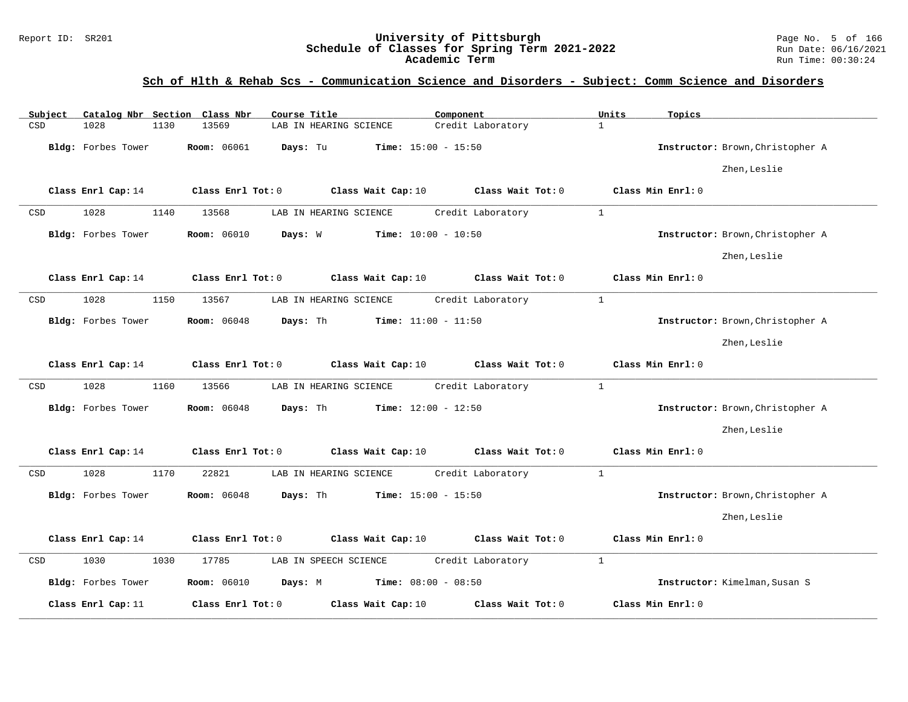### Report ID: SR201 **University of Pittsburgh** Page No. 5 of 166 **Schedule of Classes for Spring Term 2021-2022** Run Date: 06/16/2021 **Academic Term** Run Time: 00:30:24

| Subject |                    |      | Catalog Nbr Section Class Nbr | Course Title           |                    | Component                    |                   | Units        | Topics                           |  |
|---------|--------------------|------|-------------------------------|------------------------|--------------------|------------------------------|-------------------|--------------|----------------------------------|--|
| CSD     | 1028               | 1130 | 13569                         | LAB IN HEARING SCIENCE |                    |                              | Credit Laboratory | $\mathbf{1}$ |                                  |  |
|         | Bldg: Forbes Tower |      | Room: 06061                   | Days: Tu               |                    | <b>Time:</b> $15:00 - 15:50$ |                   |              | Instructor: Brown, Christopher A |  |
|         |                    |      |                               |                        |                    |                              |                   |              | Zhen, Leslie                     |  |
|         | Class Enrl Cap: 14 |      | Class Enrl Tot: 0             |                        | Class Wait Cap: 10 |                              | Class Wait Tot: 0 |              | Class Min Enrl: 0                |  |
| CSD     | 1028               | 1140 | 13568                         | LAB IN HEARING SCIENCE |                    |                              | Credit Laboratory | $\mathbf{1}$ |                                  |  |
|         | Bldg: Forbes Tower |      | <b>Room: 06010</b>            | Days: W                |                    | Time: $10:00 - 10:50$        |                   |              | Instructor: Brown, Christopher A |  |
|         |                    |      |                               |                        |                    |                              |                   |              | Zhen, Leslie                     |  |
|         | Class Enrl Cap: 14 |      | Class Enrl Tot: 0             |                        | Class Wait Cap: 10 |                              | Class Wait Tot: 0 |              | Class Min Enrl: 0                |  |
| CSD     | 1028               | 1150 | 13567                         | LAB IN HEARING SCIENCE |                    |                              | Credit Laboratory | $\mathbf{1}$ |                                  |  |
|         | Bldg: Forbes Tower |      | <b>Room: 06048</b>            | Days: Th               |                    | Time: $11:00 - 11:50$        |                   |              | Instructor: Brown, Christopher A |  |
|         |                    |      |                               |                        |                    |                              |                   |              | Zhen, Leslie                     |  |
|         | Class Enrl Cap: 14 |      | Class Enrl Tot: 0             |                        | Class Wait Cap: 10 |                              | Class Wait Tot: 0 |              | Class Min Enrl: 0                |  |
| CSD     | 1028               | 1160 | 13566                         | LAB IN HEARING SCIENCE |                    |                              | Credit Laboratory | $\mathbf{1}$ |                                  |  |
|         | Bldg: Forbes Tower |      | <b>Room: 06048</b>            | Days: Th               |                    | <b>Time:</b> $12:00 - 12:50$ |                   |              | Instructor: Brown, Christopher A |  |
|         |                    |      |                               |                        |                    |                              |                   |              | Zhen, Leslie                     |  |
|         | Class Enrl Cap: 14 |      | Class Enrl Tot: 0             |                        | Class Wait Cap: 10 |                              | Class Wait Tot: 0 |              | Class Min Enrl: 0                |  |
| CSD     | 1028               | 1170 | 22821                         | LAB IN HEARING SCIENCE |                    |                              | Credit Laboratory | $\mathbf{1}$ |                                  |  |
|         | Bldg: Forbes Tower |      | Room: 06048                   | Days: Th               |                    | <b>Time:</b> $15:00 - 15:50$ |                   |              | Instructor: Brown, Christopher A |  |
|         |                    |      |                               |                        |                    |                              |                   |              | Zhen, Leslie                     |  |
|         | Class Enrl Cap: 14 |      | Class Enrl Tot: 0             |                        | Class Wait Cap: 10 |                              | Class Wait Tot: 0 |              | Class Min Enrl: 0                |  |
| CSD     | 1030               | 1030 | 17785                         | LAB IN SPEECH SCIENCE  |                    |                              | Credit Laboratory | $\mathbf{1}$ |                                  |  |
|         | Bldg: Forbes Tower |      | <b>Room: 06010</b>            | Days: M                |                    | <b>Time:</b> $08:00 - 08:50$ |                   |              | Instructor: Kimelman, Susan S    |  |
|         | Class Enrl Cap: 11 |      | Class Enrl Tot: 0             |                        | Class Wait Cap: 10 |                              | Class Wait Tot: 0 |              | Class Min Enrl: 0                |  |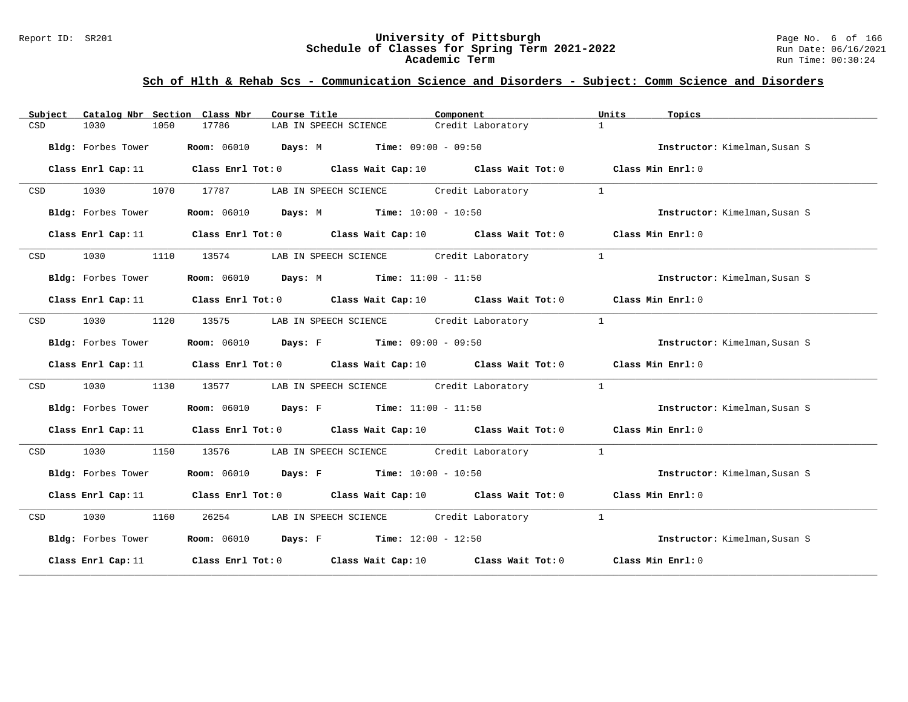#### Report ID: SR201 **University of Pittsburgh** Page No. 6 of 166 **Schedule of Classes for Spring Term 2021-2022** Run Date: 06/16/2021 **Academic Term** Run Time: 00:30:24

| Subject | Catalog Nbr Section Class Nbr | Course Title                                                                                                                    |                                         | Component         | Units          | Topics                        |
|---------|-------------------------------|---------------------------------------------------------------------------------------------------------------------------------|-----------------------------------------|-------------------|----------------|-------------------------------|
| CSD     | 1030<br>1050                  | 17786                                                                                                                           | LAB IN SPEECH SCIENCE                   | Credit Laboratory | $\mathbf{1}$   |                               |
|         | Bldg: Forbes Tower            | <b>Room:</b> 06010 <b>Days:</b> M <b>Time:</b> 09:00 - 09:50                                                                    |                                         |                   |                | Instructor: Kimelman, Susan S |
|         |                               | Class Enrl Cap: 11 Class Enrl Tot: 0 Class Wait Cap: 10 Class Wait Tot: 0 Class Min Enrl: 0                                     |                                         |                   |                |                               |
| CSD     | 1030 1070 17787               |                                                                                                                                 | LAB IN SPEECH SCIENCE Credit Laboratory |                   |                |                               |
|         | Bldg: Forbes Tower            | Room: 06010 Days: M Time: 10:00 - 10:50                                                                                         |                                         |                   |                | Instructor: Kimelman, Susan S |
|         |                               | Class Enrl Cap: 11 Class Enrl Tot: 0 Class Wait Cap: 10 Class Wait Tot: 0 Class Min Enrl: 0                                     |                                         |                   |                |                               |
| CSD     |                               | 1030 1110 13574 LAB IN SPEECH SCIENCE Credit Laboratory                                                                         |                                         |                   | $\overline{1}$ |                               |
|         | Bldg: Forbes Tower            | <b>Room:</b> $06010$ <b>Days:</b> M <b>Time:</b> $11:00 - 11:50$                                                                |                                         |                   |                | Instructor: Kimelman, Susan S |
|         |                               | Class Enrl Cap: 11 Class Enrl Tot: 0 Class Wait Cap: 10 Class Wait Tot: 0 Class Min Enrl: 0                                     |                                         |                   |                |                               |
| CSD     | 1030<br>1120                  | 13575 LAB IN SPEECH SCIENCE Credit Laboratory                                                                                   |                                         |                   | $\mathbf{1}$   |                               |
|         | Bldg: Forbes Tower            | <b>Room:</b> $06010$ <b>Days:</b> F <b>Time:</b> $09:00 - 09:50$                                                                |                                         |                   |                | Instructor: Kimelman, Susan S |
|         |                               | Class Enrl Cap: 11 $\qquad$ Class Enrl Tot: 0 $\qquad$ Class Wait Cap: 10 $\qquad$ Class Wait Tot: 0 $\qquad$ Class Min Enrl: 0 |                                         |                   |                |                               |
| CSD     | 1030<br>1130                  | 13577                                                                                                                           |                                         |                   | $\mathbf{1}$   |                               |
|         |                               | Bldg: Forbes Tower Room: 06010 Days: F Time: 11:00 - 11:50                                                                      |                                         |                   |                | Instructor: Kimelman, Susan S |
|         |                               | Class Enrl Cap: 11 Class Enrl Tot: 0 Class Wait Cap: 10 Class Wait Tot: 0 Class Min Enrl: 0                                     |                                         |                   |                |                               |
| CSD     | 1030<br>1150                  | 13576                                                                                                                           | LAB IN SPEECH SCIENCE Credit Laboratory |                   | $\overline{1}$ |                               |
|         |                               | <b>Bldg:</b> Forbes Tower <b>Room:</b> 06010 <b>Days:</b> F <b>Time:</b> $10:00 - 10:50$                                        |                                         |                   |                | Instructor: Kimelman, Susan S |
|         |                               | Class Enrl Cap: 11 Class Enrl Tot: 0 Class Wait Cap: 10 Class Wait Tot: 0 Class Min Enrl: 0                                     |                                         |                   |                |                               |
|         | CSD 1030 1160                 | 26254 LAB IN SPEECH SCIENCE Credit Laboratory 1                                                                                 |                                         |                   |                |                               |
|         |                               | Bldg: Forbes Tower Room: $06010$ Days: F Time: $12:00 - 12:50$                                                                  |                                         |                   |                | Instructor: Kimelman, Susan S |
|         |                               | Class Enrl Cap: 11 Class Enrl Tot: 0 Class Wait Cap: 10 Class Wait Tot: 0 Class Min Enrl: 0                                     |                                         |                   |                |                               |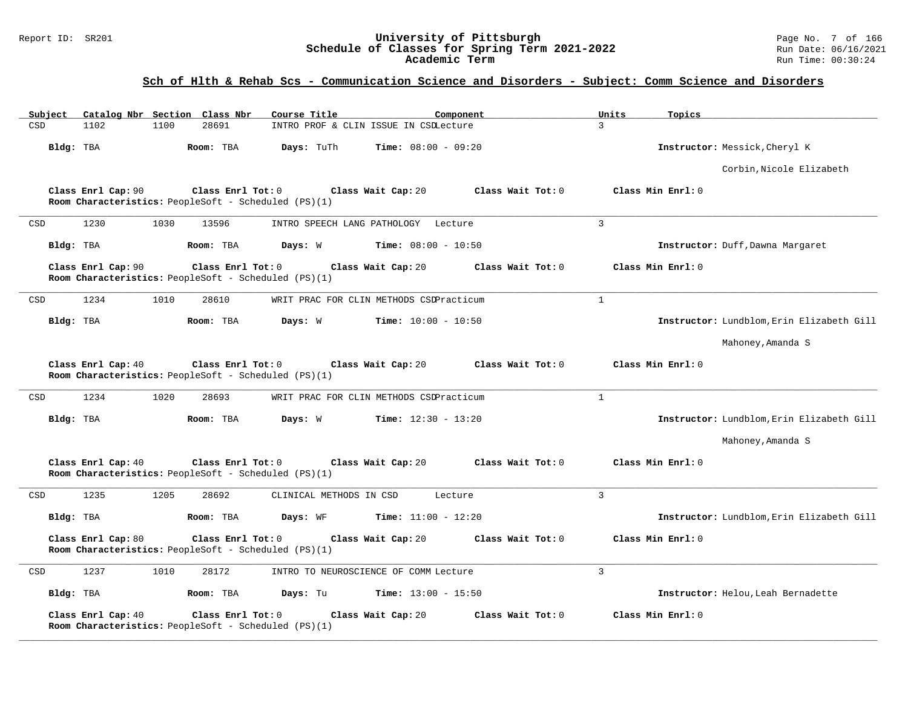### Report ID: SR201 **University of Pittsburgh** Page No. 7 of 166 **Schedule of Classes for Spring Term 2021-2022** Run Date: 06/16/2021 **Academic Term** Run Time: 00:30:24

| Subject |                    |      | Catalog Nbr Section Class Nbr                                             | Course Title            |                                         | Component         | Units          | Topics            |                                           |
|---------|--------------------|------|---------------------------------------------------------------------------|-------------------------|-----------------------------------------|-------------------|----------------|-------------------|-------------------------------------------|
| CSD     | 1102               | 1100 | 28691                                                                     |                         | INTRO PROF & CLIN ISSUE IN CSDLecture   |                   | $\mathcal{L}$  |                   |                                           |
|         | Bldg: TBA          |      | Room: TBA                                                                 | Days: TuTh              | Time: $08:00 - 09:20$                   |                   |                |                   | Instructor: Messick, Cheryl K             |
|         |                    |      |                                                                           |                         |                                         |                   |                |                   | Corbin, Nicole Elizabeth                  |
|         | Class Enrl Cap: 90 |      | Class Enrl Tot: 0<br>Room Characteristics: PeopleSoft - Scheduled (PS)(1) |                         | Class Wait Cap: 20                      | Class Wait Tot: 0 |                | Class Min Enrl: 0 |                                           |
| CSD     | 1230               | 1030 | 13596                                                                     |                         | INTRO SPEECH LANG PATHOLOGY Lecture     |                   | 3              |                   |                                           |
|         | Bldg: TBA          |      | Room: TBA                                                                 | Days: W                 | <b>Time:</b> $08:00 - 10:50$            |                   |                |                   | Instructor: Duff, Dawna Margaret          |
|         | Class Enrl Cap: 90 |      | Class Enrl Tot: 0<br>Room Characteristics: PeopleSoft - Scheduled (PS)(1) |                         | Class Wait Cap: 20                      | Class Wait Tot: 0 |                | Class Min Enrl: 0 |                                           |
| CSD     | 1234               | 1010 | 28610                                                                     |                         | WRIT PRAC FOR CLIN METHODS CSDPracticum |                   | $\mathbf{1}$   |                   |                                           |
|         | Bldg: TBA          |      | Room: TBA                                                                 | Days: W                 | <b>Time:</b> $10:00 - 10:50$            |                   |                |                   | Instructor: Lundblom, Erin Elizabeth Gill |
|         |                    |      |                                                                           |                         |                                         |                   |                |                   | Mahoney, Amanda S                         |
|         | Class Enrl Cap: 40 |      | Class Enrl Tot: 0<br>Room Characteristics: PeopleSoft - Scheduled (PS)(1) |                         | Class Wait Cap: 20                      | Class Wait Tot: 0 |                | Class Min Enrl: 0 |                                           |
| CSD     | 1234               | 1020 | 28693                                                                     |                         | WRIT PRAC FOR CLIN METHODS CSDPracticum |                   | $\mathbf{1}$   |                   |                                           |
|         | Bldg: TBA          |      | Room: TBA                                                                 | Days: W                 | $Time: 12:30 - 13:20$                   |                   |                |                   | Instructor: Lundblom, Erin Elizabeth Gill |
|         |                    |      |                                                                           |                         |                                         |                   |                |                   | Mahoney, Amanda S                         |
|         | Class Enrl Cap: 40 |      | Class Enrl Tot: 0<br>Room Characteristics: PeopleSoft - Scheduled (PS)(1) |                         | Class Wait Cap: 20                      | Class Wait Tot: 0 |                | Class Min Enrl: 0 |                                           |
| CSD     | 1235               | 1205 | 28692                                                                     | CLINICAL METHODS IN CSD |                                         | Lecture           | $\overline{3}$ |                   |                                           |
|         | Bldg: TBA          |      | Room: TBA                                                                 | Days: WF                | <b>Time:</b> $11:00 - 12:20$            |                   |                |                   | Instructor: Lundblom, Erin Elizabeth Gill |
|         | Class Enrl Cap: 80 |      | Class Enrl Tot: 0<br>Room Characteristics: PeopleSoft - Scheduled (PS)(1) |                         | Class Wait Cap: 20                      | Class Wait Tot: 0 |                | Class Min Enrl: 0 |                                           |
| CSD     | 1237               | 1010 | 28172                                                                     |                         | INTRO TO NEUROSCIENCE OF COMM Lecture   |                   | 3              |                   |                                           |
|         | Bldg: TBA          |      | Room: TBA                                                                 | Days: Tu                | <b>Time:</b> $13:00 - 15:50$            |                   |                |                   | Instructor: Helou, Leah Bernadette        |
|         | Class Enrl Cap: 40 |      | Class Enrl Tot: 0<br>Room Characteristics: PeopleSoft - Scheduled (PS)(1) |                         | Class Wait Cap: 20                      | Class Wait Tot: 0 |                | Class Min Enrl: 0 |                                           |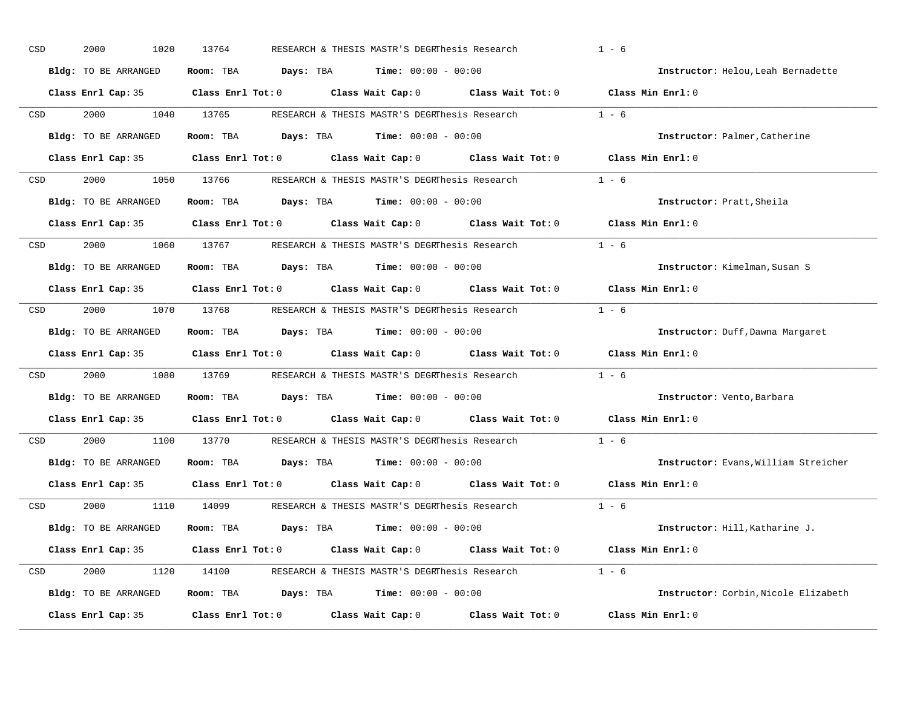| CSD |                                                                                                                 | 2000<br>1020         | 13764                                                                                        | RESEARCH & THESIS MASTR'S DEGRThesis Research |         | $1 - 6$                              |
|-----|-----------------------------------------------------------------------------------------------------------------|----------------------|----------------------------------------------------------------------------------------------|-----------------------------------------------|---------|--------------------------------------|
|     |                                                                                                                 | Bldg: TO BE ARRANGED | Room: TBA $Days:$ TBA $Time: 00:00 - 00:00$                                                  |                                               |         | Instructor: Helou, Leah Bernadette   |
|     |                                                                                                                 |                      | Class Enrl Cap: 35 Class Enrl Tot: 0 Class Wait Cap: 0 Class Wait Tot: 0 Class Min Enrl: 0   |                                               |         |                                      |
| CSD |                                                                                                                 | 2000                 | 1040 13765                                                                                   | RESEARCH & THESIS MASTR'S DEGRThesis Research |         | $1 - 6$                              |
|     |                                                                                                                 | Bldg: TO BE ARRANGED | Room: TBA $Days:$ TBA $Time: 00:00 - 00:00$                                                  |                                               |         | Instructor: Palmer, Catherine        |
|     |                                                                                                                 |                      | Class Enrl Cap: 35 Class Enrl Tot: 0 Class Wait Cap: 0 Class Wait Tot: 0 Class Min Enrl: 0   |                                               |         |                                      |
| CSD |                                                                                                                 |                      | 2000 1050 13766 RESEARCH & THESIS MASTR'S DEGRThesis Research 1 - 6                          |                                               |         |                                      |
|     |                                                                                                                 | Bldg: TO BE ARRANGED | Room: TBA $Days:$ TBA $Time: 00:00 - 00:00$                                                  |                                               |         | Instructor: Pratt, Sheila            |
|     |                                                                                                                 |                      | Class Enrl Cap: 35 $\,$ Class Enrl Tot: 0 $\,$ Class Wait Cap: 0 $\,$ Class Wait Tot: 0 $\,$ |                                               |         | Class Min Enrl: 0                    |
| CSD |                                                                                                                 |                      | 2000 1060 13767 RESEARCH & THESIS MASTR'S DEGRINES SR Research                               |                                               | $1 - 6$ |                                      |
|     |                                                                                                                 | Bldg: TO BE ARRANGED | Room: TBA $Days:$ TBA $Time: 00:00 - 00:00$                                                  |                                               |         | Instructor: Kimelman, Susan S        |
|     |                                                                                                                 |                      | Class Enrl Cap: 35 Class Enrl Tot: 0 Class Wait Cap: 0 Class Wait Tot: 0                     |                                               |         | Class Min Enrl: 0                    |
| CSD |                                                                                                                 |                      | 2000 1070 13768 RESEARCH & THESIS MASTR'S DEGRINesis Research                                |                                               |         | $1 - 6$                              |
|     |                                                                                                                 | Bldg: TO BE ARRANGED | Room: TBA $Days:$ TBA $Time: 00:00 - 00:00$                                                  |                                               |         | Instructor: Duff, Dawna Margaret     |
|     |                                                                                                                 |                      | Class Enrl Cap: 35 Class Enrl Tot: 0 Class Wait Cap: 0 Class Wait Tot: 0                     |                                               |         | Class Min Enrl: 0                    |
| CSD |                                                                                                                 | 2000                 | 1080 13769 RESEARCH & THESIS MASTR'S DEGRThesis Research                                     |                                               |         | $1 - 6$                              |
|     |                                                                                                                 | Bldg: TO BE ARRANGED | Room: TBA $Days:$ TBA $Time: 00:00 - 00:00$                                                  |                                               |         | Instructor: Vento, Barbara           |
|     |                                                                                                                 |                      | Class Enrl Cap: 35 Class Enrl Tot: 0 Class Wait Cap: 0 Class Wait Tot: 0                     |                                               |         | Class Min Enrl: 0                    |
|     | CSD <sub>c</sub>                                                                                                | 2000<br>1100         | 13770                                                                                        | RESEARCH & THESIS MASTR'S DEGRThesis Research |         | $1 - 6$                              |
|     |                                                                                                                 | Bldg: TO BE ARRANGED | Room: TBA $Days:$ TBA $Time: 00:00 - 00:00$                                                  |                                               |         | Instructor: Evans, William Streicher |
|     |                                                                                                                 |                      | Class Enrl Cap: 35 Class Enrl Tot: 0 Class Wait Cap: 0 Class Wait Tot: 0                     |                                               |         | Class Min Enrl: 0                    |
|     | CSD and the control of the control of the control of the control of the control of the control of the control o | 2000                 | 1110 14099 RESEARCH & THESIS MASTR'S DEGRThesis Research 1 - 6                               |                                               |         |                                      |
|     |                                                                                                                 | Bldg: TO BE ARRANGED | Room: TBA $Days:$ TBA $Time: 00:00 - 00:00$                                                  |                                               |         | Instructor: Hill, Katharine J.       |
|     |                                                                                                                 |                      | Class Enrl Cap: 35 Class Enrl Tot: 0 Class Wait Cap: 0 Class Wait Tot: 0 Class Min Enrl: 0   |                                               |         |                                      |
| CSD |                                                                                                                 |                      | 2000 1120 14100 RESEARCH & THESIS MASTR'S DEGRINES S Research 1 - 6                          |                                               |         |                                      |
|     |                                                                                                                 | Bldg: TO BE ARRANGED | Room: TBA $Days: TBA$ Time: $00:00 - 00:00$                                                  |                                               |         | Instructor: Corbin, Nicole Elizabeth |
|     |                                                                                                                 | Class Enrl Cap: 35   | Class Enrl Tot: 0 Class Wait Cap: 0 Class Wait Tot: 0                                        |                                               |         | Class Min Enrl: 0                    |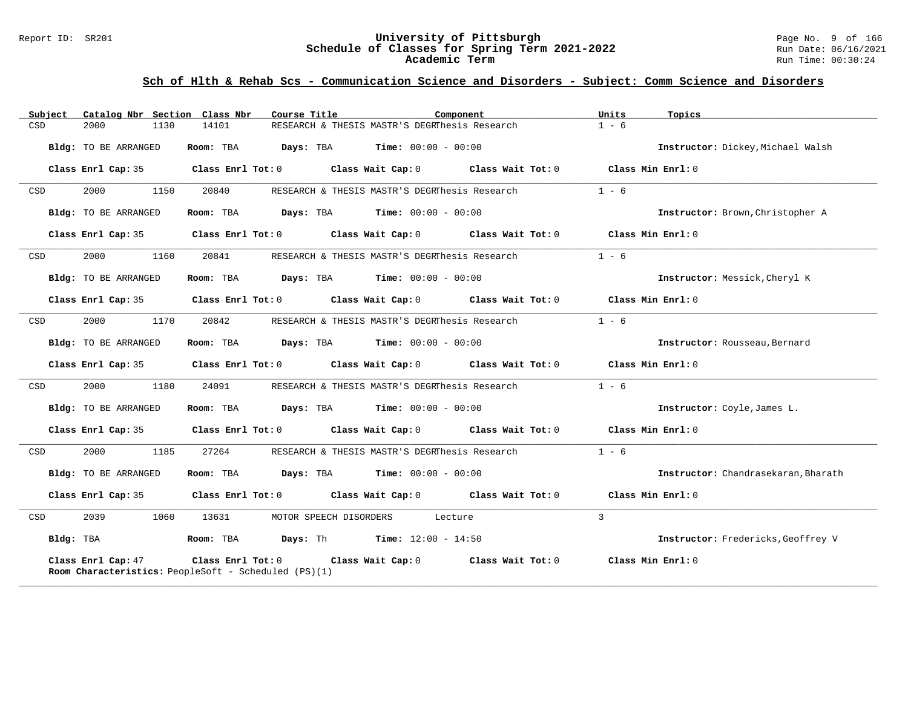#### Report ID: SR201 **University of Pittsburgh** Page No. 9 of 166 **Schedule of Classes for Spring Term 2021-2022** Run Date: 06/16/2021 **Academic Term** Run Time: 00:30:24

| Catalog Nbr Section Class Nbr<br>Subject | Course Title                                                                                                  | Component | Units<br>Topics                     |
|------------------------------------------|---------------------------------------------------------------------------------------------------------------|-----------|-------------------------------------|
| CSD<br>2000<br>1130                      | RESEARCH & THESIS MASTR'S DEGRThesis Research<br>14101                                                        |           | $1 - 6$                             |
| Bldg: TO BE ARRANGED                     | Room: TBA $Days: TBA$ Time: $00:00 - 00:00$                                                                   |           | Instructor: Dickey, Michael Walsh   |
| Class Enrl Cap: 35                       | Class Enrl Tot: 0 $\qquad$ Class Wait Cap: 0 $\qquad$ Class Wait Tot: 0 $\qquad$ Class Min Enrl: 0            |           |                                     |
| 2000<br>1150<br>CSD                      | 20840<br>RESEARCH & THESIS MASTR'S DEGRThesis Research                                                        |           | $1 - 6$                             |
| Bldg: TO BE ARRANGED                     | Room: TBA<br><b>Days:</b> TBA <b>Time:</b> $00:00 - 00:00$                                                    |           | Instructor: Brown, Christopher A    |
| Class Enrl Cap: 35                       | Class Enrl Tot: 0 Class Wait Cap: 0 Class Wait Tot: 0 Class Min Enrl: 0                                       |           |                                     |
| 2000<br>1160<br>CSD                      | 20841<br>RESEARCH & THESIS MASTR'S DEGRThesis Research                                                        |           | $1 - 6$                             |
| <b>Bldg:</b> TO BE ARRANGED              | <b>Room:</b> TBA <b>Days:</b> TBA <b>Time:</b> 00:00 - 00:00                                                  |           | Instructor: Messick, Cheryl K       |
| Class Enrl Cap: 35                       | Class Enrl Tot: 0 Class Wait Cap: 0 Class Wait Tot: 0 Class Min Enrl: 0                                       |           |                                     |
| 1170<br>CSD<br>2000                      | 20842<br>RESEARCH & THESIS MASTR'S DEGRThesis Research                                                        |           | $1 - 6$                             |
| Bldg: TO BE ARRANGED                     | Room: TBA $Days:$ TBA $Time: 00:00 - 00:00$                                                                   |           | Instructor: Rousseau, Bernard       |
|                                          | Class Enrl Cap: 35 Class Enrl Tot: 0 Class Wait Cap: 0 Class Wait Tot: 0 Class Min Enrl: 0                    |           |                                     |
| 2000<br>1180<br>CSD                      | 24091<br>RESEARCH & THESIS MASTR'S DEGRThesis Research                                                        |           | $1 - 6$                             |
| Bldg: TO BE ARRANGED                     | Room: TBA $Days:$ TBA $Time: 00:00 - 00:00$                                                                   |           | Instructor: Coyle, James L.         |
| Class Enrl Cap: 35                       | Class Enrl Tot: 0 $\qquad$ Class Wait Cap: 0 $\qquad$ Class Wait Tot: 0 $\qquad$ Class Min Enrl: 0            |           |                                     |
| 2000<br>1185<br>CSD                      | 27264<br>RESEARCH & THESIS MASTR'S DEGRThesis Research                                                        |           | $1 - 6$                             |
| Bldg: TO BE ARRANGED                     | Room: TBA $Days:$ TBA $Time: 00:00 - 00:00$                                                                   |           | Instructor: Chandrasekaran, Bharath |
| Class Enrl Cap: 35                       | Class Enrl Tot: 0 $\qquad$ Class Wait Cap: 0 $\qquad$ Class Wait Tot: 0 $\qquad$ Class Min Enrl: 0            |           |                                     |
| 2039<br>1060<br>CSD                      | 13631<br>MOTOR SPEECH DISORDERS Lecture                                                                       |           | 3                                   |
| Bldg: TBA                                | Room: TBA  Days: Th  Time: 12:00 - 14:50                                                                      |           | Instructor: Fredericks, Geoffrey V  |
| Class Enrl Cap: 47                       | Class Enrl Tot: 0 Class Wait Cap: 0 Class Wait Tot: 0<br>Room Characteristics: PeopleSoft - Scheduled (PS)(1) |           | Class Min Enrl: 0                   |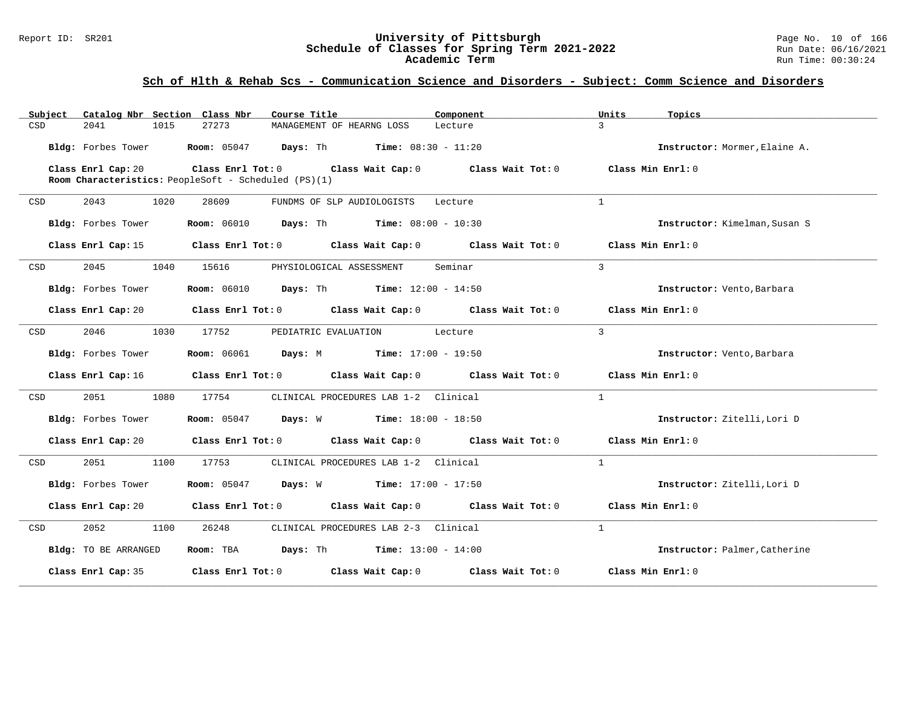#### Report ID: SR201 **University of Pittsburgh** Page No. 10 of 166 **Schedule of Classes for Spring Term 2021-2022** Run Date: 06/16/2021 **Academic Term** Run Time: 00:30:24

| Subject Catalog Nbr Section Class Nbr | Course Title                                                                                                                   | Component | Units<br>Topics               |
|---------------------------------------|--------------------------------------------------------------------------------------------------------------------------------|-----------|-------------------------------|
| 2041<br>CSD<br>1015                   | 27273<br>MANAGEMENT OF HEARNG LOSS                                                                                             | Lecture   | $\mathcal{L}$                 |
|                                       | Bldg: Forbes Tower Room: 05047 Days: Th Time: 08:30 - 11:20                                                                    |           | Instructor: Mormer, Elaine A. |
| Class Enrl Cap: 20                    | Class Enrl Tot: 0 $\qquad$ Class Wait Cap: 0 $\qquad$ Class Wait Tot: 0 $\qquad$ Class Min Enrl: 0                             |           |                               |
|                                       | Room Characteristics: PeopleSoft - Scheduled (PS)(1)                                                                           |           |                               |
| 2043<br>1020<br>CSD                   | 28609<br>FUNDMS OF SLP AUDIOLOGISTS                                                                                            | Lecture   | $\mathbf{1}$                  |
| Bldg: Forbes Tower                    | <b>Room:</b> $06010$ <b>Days:</b> Th <b>Time:</b> $08:00 - 10:30$                                                              |           | Instructor: Kimelman, Susan S |
| Class Enrl Cap: 15                    | Class Enrl Tot: $0$ Class Wait Cap: $0$ Class Wait Tot: $0$ Class Min Enrl: $0$                                                |           |                               |
| 2045<br>1040<br>CSD                   | PHYSIOLOGICAL ASSESSMENT Seminar<br>15616                                                                                      |           | $\overline{3}$                |
| Bldg: Forbes Tower                    | <b>Room:</b> 06010 <b>Days:</b> Th <b>Time:</b> 12:00 - 14:50                                                                  |           | Instructor: Vento, Barbara    |
| Class Enrl Cap: 20                    | Class Enrl Tot: $0$ Class Wait Cap: $0$ Class Wait Tot: $0$ Class Min Enrl: $0$                                                |           |                               |
| 2046<br>CSD                           | 1030 17752<br>PEDIATRIC EVALUATION Lecture                                                                                     |           | $\mathbf{3}$                  |
| Bldg: Forbes Tower                    | <b>Room:</b> 06061 <b>Days:</b> M <b>Time:</b> 17:00 - 19:50                                                                   |           | Instructor: Vento, Barbara    |
|                                       | Class Enrl Cap: 16 $\qquad$ Class Enrl Tot: 0 $\qquad$ Class Wait Cap: 0 $\qquad$ Class Wait Tot: 0 $\qquad$ Class Min Enrl: 0 |           |                               |
| 2051 200<br>CSD                       | 1080 17754<br>CLINICAL PROCEDURES LAB 1-2 Clinical                                                                             |           | $\overline{1}$                |
| Bldg: Forbes Tower                    | Room: 05047 Days: W Time: 18:00 - 18:50                                                                                        |           | Instructor: Zitelli, Lori D   |
|                                       | Class Enrl Cap: 20 Class Enrl Tot: 0 Class Wait Cap: 0 Class Wait Tot: 0 Class Min Enrl: 0                                     |           |                               |
| 2051 700<br>1100<br>CSD               | 17753<br>CLINICAL PROCEDURES LAB 1-2 Clinical                                                                                  |           | $\mathbf{1}$                  |
| Bldg: Forbes Tower                    | <b>Room:</b> 05047 <b>Days:</b> W <b>Time:</b> 17:00 - 17:50                                                                   |           | Instructor: Zitelli, Lori D   |
|                                       | Class Enrl Cap: 20 Class Enrl Tot: 0 Class Wait Cap: 0 Class Wait Tot: 0 Class Min Enrl: 0                                     |           |                               |
| 2052<br>1100<br>CSD                   | 26248<br>CLINICAL PROCEDURES LAB 2-3 Clinical                                                                                  |           | $\mathbf{1}$                  |
| Bldg: TO BE ARRANGED                  | Room: TBA $Days:$ Th Time: $13:00 - 14:00$                                                                                     |           | Instructor: Palmer, Catherine |
| Class Enrl Cap: 35                    | Class Enrl Tot: $0$ Class Wait Cap: $0$ Class Wait Tot: $0$                                                                    |           | Class Min Enrl: 0             |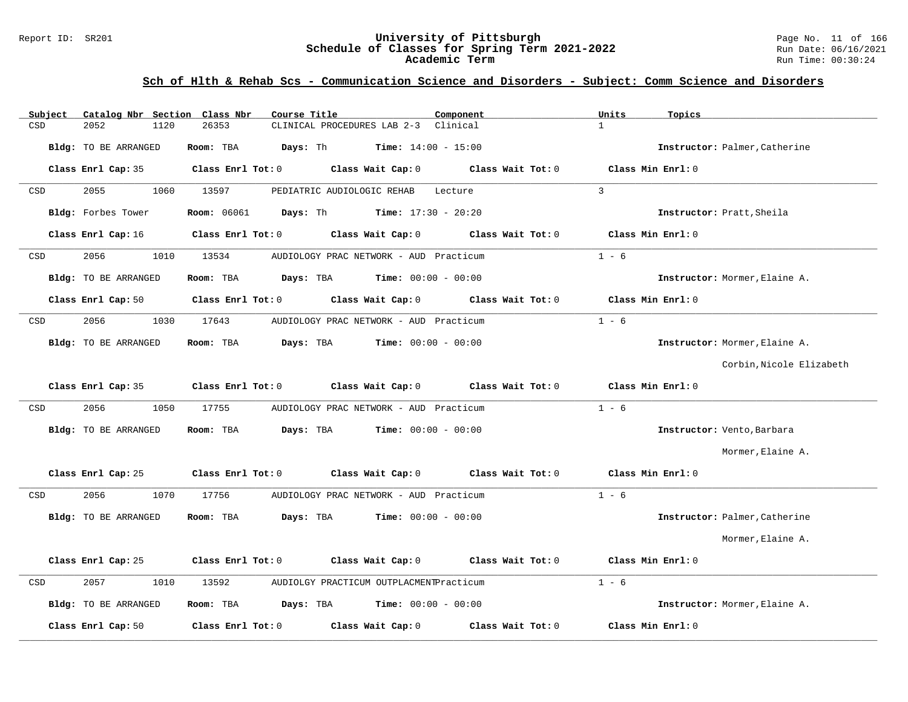#### Report ID: SR201 **University of Pittsburgh** Page No. 11 of 166 **Schedule of Classes for Spring Term 2021-2022** Run Date: 06/16/2021 **Academic Term** Run Time: 00:30:24

| Subject | Catalog Nbr Section Class Nbr | Course Title                                                   | Component               | Units<br>Topics               |
|---------|-------------------------------|----------------------------------------------------------------|-------------------------|-------------------------------|
| CSD     | 2052<br>1120                  | 26353<br>CLINICAL PROCEDURES LAB 2-3 Clinical                  | $\mathbf{1}$            |                               |
|         | Bldg: TO BE ARRANGED          | Room: TBA<br>Days: Th<br><b>Time:</b> $14:00 - 15:00$          |                         | Instructor: Palmer, Catherine |
|         | Class Enrl Cap: 35            | Class Wait Cap: 0<br>Class Enrl Tot: 0                         | Class Wait Tot: 0       | Class Min Enrl: 0             |
| CSD     | 2055<br>1060                  | 13597<br>PEDIATRIC AUDIOLOGIC REHAB                            | $\mathbf{3}$<br>Lecture |                               |
|         | Bldg: Forbes Tower            | <b>Room:</b> 06061<br>Days: Th<br><b>Time:</b> $17:30 - 20:20$ |                         | Instructor: Pratt, Sheila     |
|         | Class Enrl Cap: 16            | Class Enrl Tot: 0<br>Class Wait Cap: 0                         | Class Wait Tot: 0       | Class Min Enrl: 0             |
| CSD     | 2056<br>1010                  | 13534<br>AUDIOLOGY PRAC NETWORK - AUD Practicum                |                         | $1 - 6$                       |
|         | Bldg: TO BE ARRANGED          | <b>Time:</b> $00:00 - 00:00$<br>Room: TBA<br>Days: TBA         |                         | Instructor: Mormer, Elaine A. |
|         | Class Enrl Cap: 50            | Class Enrl Tot: 0<br>Class Wait Cap: 0                         | Class Wait Tot: 0       | Class Min Enrl: 0             |
| CSD     | 2056<br>1030                  | 17643<br>AUDIOLOGY PRAC NETWORK - AUD Practicum                |                         | $1 - 6$                       |
|         | Bldg: TO BE ARRANGED          | Room: TBA<br>Days: TBA<br>$Time: 00:00 - 00:00$                |                         | Instructor: Mormer, Elaine A. |
|         |                               |                                                                |                         | Corbin, Nicole Elizabeth      |
|         | Class Enrl Cap: 35            | Class Wait Cap: 0<br>Class Enrl Tot: 0                         | Class Wait Tot: 0       | Class Min Enrl: 0             |
| CSD     | 2056<br>1050                  | 17755<br>AUDIOLOGY PRAC NETWORK - AUD Practicum                |                         | $1 - 6$                       |
|         | Bldg: TO BE ARRANGED          | Days: TBA<br><b>Time:</b> $00:00 - 00:00$<br>Room: TBA         |                         | Instructor: Vento, Barbara    |
|         |                               |                                                                |                         | Mormer, Elaine A.             |
|         | Class Enrl Cap: 25            | Class Enrl Tot: 0<br>Class Wait Cap: 0                         | Class Wait Tot: 0       | Class Min Enrl: 0             |
| CSD     | 2056<br>1070                  | 17756<br>AUDIOLOGY PRAC NETWORK - AUD Practicum                |                         | $1 - 6$                       |
|         | Bldg: TO BE ARRANGED          | Days: TBA<br>Room: TBA<br><b>Time:</b> $00:00 - 00:00$         |                         | Instructor: Palmer, Catherine |
|         |                               |                                                                |                         | Mormer, Elaine A.             |
|         | Class Enrl Cap: 25            | Class Enrl Tot: 0<br>Class Wait Cap: 0                         | Class Wait Tot: 0       | Class Min Enrl: 0             |
| CSD     | 2057<br>1010                  | 13592<br>AUDIOLGY PRACTICUM OUTPLACMENTPracticum               |                         | $1 - 6$                       |
|         | Bldg: TO BE ARRANGED          | Room: TBA<br>Days: TBA<br><b>Time:</b> $00:00 - 00:00$         |                         | Instructor: Mormer, Elaine A. |
|         | Class Enrl Cap: 50            | Class Enrl Tot: 0<br>Class Wait Cap: 0                         | Class Wait Tot: 0       | Class Min Enrl: 0             |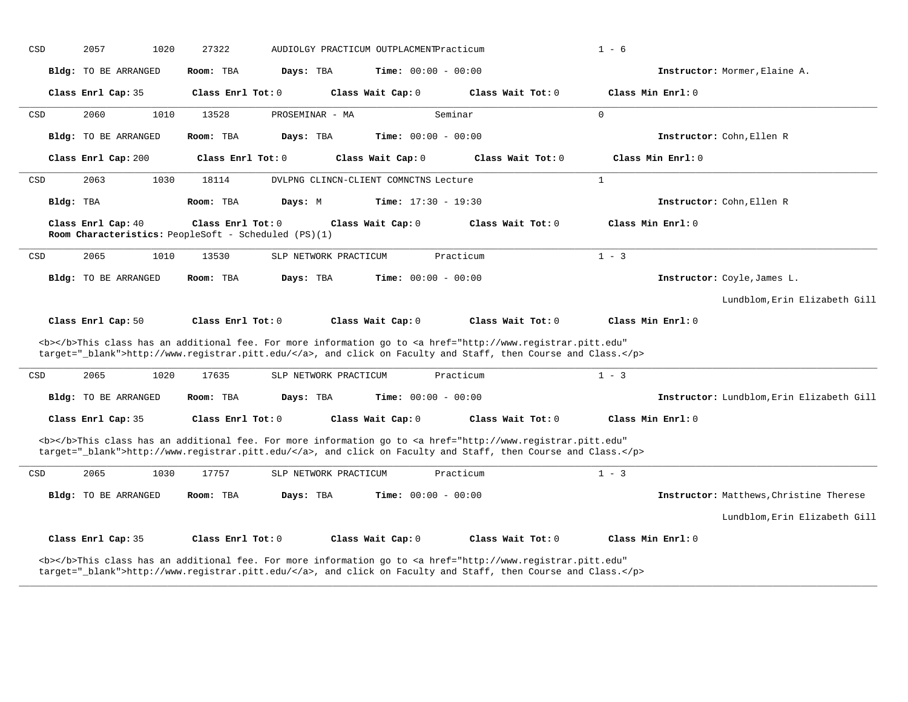| CSD | 2057                                                                       | 1020<br>27322       |                       | AUDIOLGY PRACTICUM OUTPLACMENTPracticum |                                                                                                                                                                                                                                    | $1 - 6$           |                                           |
|-----|----------------------------------------------------------------------------|---------------------|-----------------------|-----------------------------------------|------------------------------------------------------------------------------------------------------------------------------------------------------------------------------------------------------------------------------------|-------------------|-------------------------------------------|
|     | Bldg: TO BE ARRANGED                                                       | Room: TBA           | Days: TBA             | <b>Time:</b> $00:00 - 00:00$            |                                                                                                                                                                                                                                    |                   | Instructor: Mormer, Elaine A.             |
|     | Class Enrl Cap: 35                                                         | Class Enrl Tot: 0   |                       | Class Wait Cap: 0                       | Class Wait Tot: 0                                                                                                                                                                                                                  | Class Min Enrl: 0 |                                           |
| CSD | 2060                                                                       | 1010<br>13528       | PROSEMINAR - MA       |                                         | Seminar                                                                                                                                                                                                                            | $\mathbf 0$       |                                           |
|     | Bldg: TO BE ARRANGED                                                       | Room: TBA           | Days: TBA             | Time: $00:00 - 00:00$                   |                                                                                                                                                                                                                                    |                   | Instructor: Cohn, Ellen R                 |
|     | Class Enrl Cap: 200                                                        | Class Enrl Tot: 0   |                       | Class Wait Cap: 0                       | Class Wait Tot: 0                                                                                                                                                                                                                  | Class Min Enrl: 0 |                                           |
| CSD | 2063                                                                       | 1030<br>18114       |                       | DVLPNG CLINCN-CLIENT COMNCTNS Lecture   |                                                                                                                                                                                                                                    | $\mathbf{1}$      |                                           |
|     | Bldg: TBA                                                                  | Room: TBA           | Days: M               | <b>Time:</b> $17:30 - 19:30$            |                                                                                                                                                                                                                                    |                   | Instructor: Cohn, Ellen R                 |
|     | Class Enrl Cap: 40<br>Room Characteristics: PeopleSoft - Scheduled (PS)(1) | Class Enrl Tot: 0   |                       | Class Wait Cap: 0                       | Class Wait Tot: 0                                                                                                                                                                                                                  | Class Min Enrl: 0 |                                           |
| CSD | 2065                                                                       | 1010<br>13530       | SLP NETWORK PRACTICUM |                                         | Practicum                                                                                                                                                                                                                          | $1 - 3$           |                                           |
|     | Bldg: TO BE ARRANGED                                                       | Room: TBA           | Days: TBA             | <b>Time:</b> $00:00 - 00:00$            |                                                                                                                                                                                                                                    |                   | Instructor: Coyle, James L.               |
|     |                                                                            |                     |                       |                                         |                                                                                                                                                                                                                                    |                   | Lundblom, Erin Elizabeth Gill             |
|     | Class Enrl Cap: 50                                                         | Class Enrl Tot: 0   |                       | Class Wait Cap: 0                       | Class Wait Tot: 0                                                                                                                                                                                                                  | Class Min Enrl: 0 |                                           |
|     |                                                                            |                     |                       |                                         | <b></b> This class has an additional fee. For more information go to <a <br="" href="http://www.registrar.pitt.edu">target="_blank"&gt;http://www.registrar.pitt.edu/</a> , and click on Faculty and Staff, then Course and Class. |                   |                                           |
| CSD | 2065                                                                       | 1020<br>17635       | SLP NETWORK PRACTICUM |                                         | Practicum                                                                                                                                                                                                                          | $1 - 3$           |                                           |
|     | <b>Bldg:</b> TO BE ARRANGED                                                | Room: TBA           | Days: TBA             | <b>Time:</b> $00:00 - 00:00$            |                                                                                                                                                                                                                                    |                   | Instructor: Lundblom, Erin Elizabeth Gill |
|     | Class Enrl Cap: 35                                                         | Class Enrl Tot: 0   |                       | Class Wait Cap: 0                       | Class Wait Tot: 0                                                                                                                                                                                                                  | Class Min Enrl: 0 |                                           |
|     |                                                                            |                     |                       |                                         | <b></b> This class has an additional fee. For more information go to <a <br="" href="http://www.registrar.pitt.edu">target="_blank"&gt;http://www.registrar.pitt.edu/</a> , and click on Faculty and Staff, then Course and Class. |                   |                                           |
| CSD | 2065                                                                       | 17757<br>1030       | SLP NETWORK PRACTICUM |                                         | Practicum                                                                                                                                                                                                                          | $1 - 3$           |                                           |
|     | Bldg: TO BE ARRANGED                                                       | Room: TBA           | Days: TBA             | <b>Time:</b> $00:00 - 00:00$            |                                                                                                                                                                                                                                    |                   | Instructor: Matthews, Christine Therese   |
|     |                                                                            |                     |                       |                                         |                                                                                                                                                                                                                                    |                   | Lundblom, Erin Elizabeth Gill             |
|     | Class Enrl Cap: 35                                                         | Class Enrl Tot: $0$ |                       | Class Wait Cap: 0                       | Class Wait $Tot: 0$                                                                                                                                                                                                                | Class Min Enrl: 0 |                                           |
|     |                                                                            |                     |                       |                                         | <b></b> This class has an additional fee. For more information go to <a <br="" href="http://www.registrar.pitt.edu">target="_blank"&gt;http://www.registrar.pitt.edu/</a> , and click on Faculty and Staff, then Course and Class. |                   |                                           |

**\_\_\_\_\_\_\_\_\_\_\_\_\_\_\_\_\_\_\_\_\_\_\_\_\_\_\_\_\_\_\_\_\_\_\_\_\_\_\_\_\_\_\_\_\_\_\_\_\_\_\_\_\_\_\_\_\_\_\_\_\_\_\_\_\_\_\_\_\_\_\_\_\_\_\_\_\_\_\_\_\_\_\_\_\_\_\_\_\_\_\_\_\_\_\_\_\_\_\_\_\_\_\_\_\_\_\_\_\_\_\_\_\_\_\_\_\_\_\_\_\_\_\_\_\_\_\_\_\_\_\_\_\_\_\_\_\_\_\_\_\_\_\_\_\_\_\_\_\_\_\_\_\_\_\_\_**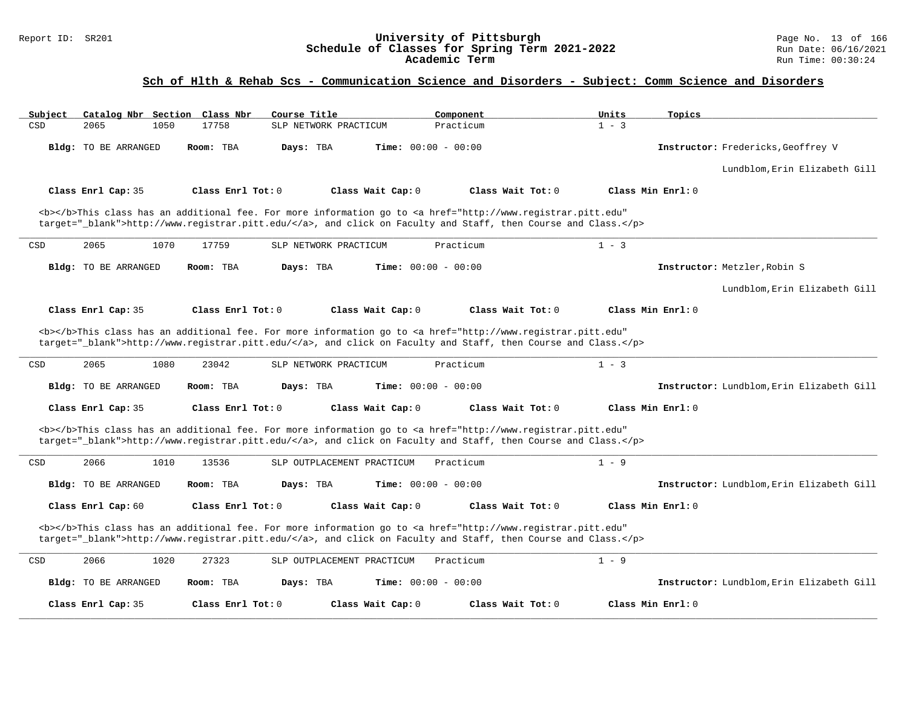### Report ID: SR201 **University of Pittsburgh** Page No. 13 of 166 **Schedule of Classes for Spring Term 2021-2022** Run Date: 06/16/2021 **Academic Term** Run Time: 00:30:24

| Subject<br>Catalog Nbr Section Class Nbr | Course Title                                                                                                                                                                                                                       | Units<br>Component           | Topics                                    |
|------------------------------------------|------------------------------------------------------------------------------------------------------------------------------------------------------------------------------------------------------------------------------------|------------------------------|-------------------------------------------|
| CSD<br>2065<br>1050                      | 17758<br>SLP NETWORK PRACTICUM                                                                                                                                                                                                     | $1 - 3$<br>Practicum         |                                           |
| Bldg: TO BE ARRANGED                     | Room: TBA<br>Days: TBA                                                                                                                                                                                                             | <b>Time:</b> $00:00 - 00:00$ | Instructor: Fredericks, Geoffrey V        |
|                                          |                                                                                                                                                                                                                                    |                              | Lundblom, Erin Elizabeth Gill             |
| Class Enrl Cap: 35                       | Class Enrl Tot: $0$<br>Class Wait Cap: 0                                                                                                                                                                                           | Class Wait Tot: 0            | Class Min Enrl: 0                         |
|                                          | <b></b> This class has an additional fee. For more information go to <a <br="" href="http://www.registrar.pitt.edu">target="_blank"&gt;http://www.registrar.pitt.edu/</a> , and click on Faculty and Staff, then Course and Class. |                              |                                           |
| 2065<br>1070<br>CSD                      | 17759<br>SLP NETWORK PRACTICUM                                                                                                                                                                                                     | $1 - 3$<br>Practicum         |                                           |
| Bldg: TO BE ARRANGED                     | Room: TBA<br>Days: TBA                                                                                                                                                                                                             | <b>Time:</b> $00:00 - 00:00$ | Instructor: Metzler, Robin S              |
|                                          |                                                                                                                                                                                                                                    |                              | Lundblom, Erin Elizabeth Gill             |
| Class Enrl Cap: 35                       | Class Enrl Tot: 0<br>Class Wait Cap: 0                                                                                                                                                                                             | Class Wait Tot: 0            | Class Min Enrl: 0                         |
|                                          | <b></b> This class has an additional fee. For more information go to <a <br="" href="http://www.registrar.pitt.edu">target="_blank"&gt;http://www.registrar.pitt.edu/</a> , and click on Faculty and Staff, then Course and Class. |                              |                                           |
| 2065<br>1080<br>CSD                      | 23042<br>SLP NETWORK PRACTICUM                                                                                                                                                                                                     | $1 - 3$<br>Practicum         |                                           |
| Bldg: TO BE ARRANGED                     | Days: TBA<br>Room: TBA                                                                                                                                                                                                             | <b>Time:</b> $00:00 - 00:00$ | Instructor: Lundblom, Erin Elizabeth Gill |
| Class Enrl Cap: 35                       | Class Enrl Tot: $0$<br>Class Wait Cap: 0                                                                                                                                                                                           | Class Wait Tot: 0            | Class Min Enrl: 0                         |
|                                          | <b></b> This class has an additional fee. For more information go to <a <br="" href="http://www.registrar.pitt.edu">target="_blank"&gt;http://www.registrar.pitt.edu/</a> , and click on Faculty and Staff, then Course and Class. |                              |                                           |
| 2066<br>CSD<br>1010                      | 13536<br>SLP OUTPLACEMENT PRACTICUM                                                                                                                                                                                                | Practicum<br>$1 - 9$         |                                           |
| <b>Bldg:</b> TO BE ARRANGED              | Room: TBA<br>Days: TBA                                                                                                                                                                                                             | <b>Time:</b> $00:00 - 00:00$ | Instructor: Lundblom, Erin Elizabeth Gill |
| Class Enrl Cap: 60                       | Class Enrl Tot: 0<br>Class Wait Cap: 0                                                                                                                                                                                             | Class Wait Tot: 0            | Class Min Enrl: 0                         |
|                                          | <b></b> This class has an additional fee. For more information go to <a <br="" href="http://www.registrar.pitt.edu">target="_blank"&gt;http://www.registrar.pitt.edu/</a> , and click on Faculty and Staff, then Course and Class. |                              |                                           |
| 2066<br>1020<br>CSD                      | 27323<br>SLP OUTPLACEMENT PRACTICUM                                                                                                                                                                                                | $1 - 9$<br>Practicum         |                                           |
| Bldg: TO BE ARRANGED                     | Room: TBA<br>Days: TBA                                                                                                                                                                                                             | <b>Time:</b> $00:00 - 00:00$ | Instructor: Lundblom, Erin Elizabeth Gill |
| Class Enrl Cap: 35                       | Class Enrl Tot: $0$<br>Class Wait Cap: 0                                                                                                                                                                                           | Class Wait Tot: 0            | Class Min Enrl: 0                         |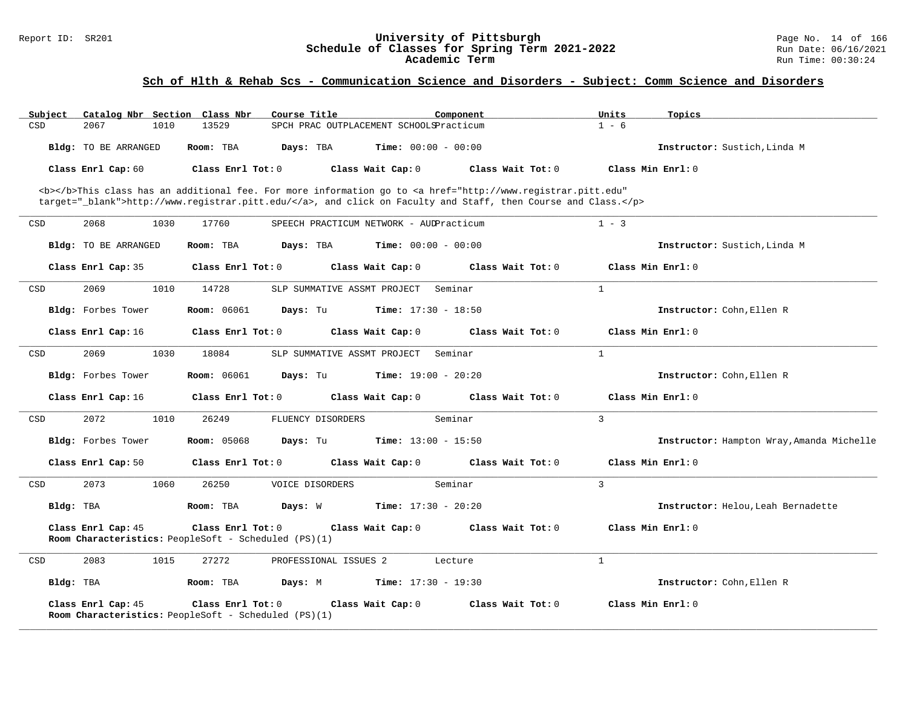### Report ID: SR201 **University of Pittsburgh** Page No. 14 of 166 **Schedule of Classes for Spring Term 2021-2022** Run Date: 06/16/2021 **Academic Term** Run Time: 00:30:24

| Subject   |                      |      | Catalog Nbr Section Class Nbr | Course Title                                         |                              | Component                                                                                                                                                                                                                          | Units          | Topics                                    |
|-----------|----------------------|------|-------------------------------|------------------------------------------------------|------------------------------|------------------------------------------------------------------------------------------------------------------------------------------------------------------------------------------------------------------------------------|----------------|-------------------------------------------|
| CSD       | 2067                 | 1010 | 13529                         | SPCH PRAC OUTPLACEMENT SCHOOLSPracticum              |                              |                                                                                                                                                                                                                                    | $1 - 6$        |                                           |
|           | Bldg: TO BE ARRANGED |      | Room: TBA                     | Days: TBA                                            | <b>Time:</b> $00:00 - 00:00$ |                                                                                                                                                                                                                                    |                | Instructor: Sustich, Linda M              |
|           | Class Enrl Cap: 60   |      | Class Enrl Tot: 0             |                                                      | Class Wait Cap: 0            | Class Wait Tot: 0                                                                                                                                                                                                                  |                | Class Min Enrl: 0                         |
|           |                      |      |                               |                                                      |                              | <b></b> This class has an additional fee. For more information go to <a <br="" href="http://www.registrar.pitt.edu">target="_blank"&gt;http://www.registrar.pitt.edu/</a> , and click on Faculty and Staff, then Course and Class. |                |                                           |
| CSD       | 2068                 | 1030 | 17760                         | SPEECH PRACTICUM NETWORK - AUDPracticum              |                              |                                                                                                                                                                                                                                    | $1 - 3$        |                                           |
|           | Bldg: TO BE ARRANGED |      | Room: TBA                     | Days: TBA                                            | <b>Time:</b> $00:00 - 00:00$ |                                                                                                                                                                                                                                    |                | Instructor: Sustich, Linda M              |
|           | Class Enrl Cap: 35   |      | Class Enrl Tot: 0             |                                                      | Class Wait Cap: 0            | Class Wait Tot: 0                                                                                                                                                                                                                  |                | Class Min Enrl: 0                         |
| CSD       | 2069                 | 1010 | 14728                         | SLP SUMMATIVE ASSMT PROJECT                          |                              | Seminar                                                                                                                                                                                                                            | $\mathbf{1}$   |                                           |
|           | Bldg: Forbes Tower   |      | <b>Room:</b> 06061            | Days: Tu                                             | <b>Time:</b> $17:30 - 18:50$ |                                                                                                                                                                                                                                    |                | Instructor: Cohn, Ellen R                 |
|           | Class Enrl Cap: 16   |      | Class Enrl Tot: 0             |                                                      | Class Wait Cap: 0            | Class Wait Tot: 0                                                                                                                                                                                                                  |                | Class Min Enrl: 0                         |
| CSD       | 2069                 | 1030 | 18084                         | SLP SUMMATIVE ASSMT PROJECT                          |                              | Seminar                                                                                                                                                                                                                            | $\mathbf{1}$   |                                           |
|           | Bldg: Forbes Tower   |      | <b>Room:</b> 06061            | Days: Tu                                             | <b>Time:</b> $19:00 - 20:20$ |                                                                                                                                                                                                                                    |                | Instructor: Cohn, Ellen R                 |
|           | Class Enrl Cap: 16   |      | Class Enrl Tot: 0             |                                                      | Class Wait Cap: 0            | Class Wait Tot: 0                                                                                                                                                                                                                  |                | Class Min Enrl: 0                         |
| CSD       | 2072                 | 1010 | 26249                         | FLUENCY DISORDERS                                    |                              | Seminar                                                                                                                                                                                                                            | 3              |                                           |
|           | Bldg: Forbes Tower   |      | <b>Room:</b> 05068            | Days: Tu                                             | <b>Time:</b> $13:00 - 15:50$ |                                                                                                                                                                                                                                    |                | Instructor: Hampton Wray, Amanda Michelle |
|           | Class Enrl Cap: 50   |      | Class Enrl Tot: 0             |                                                      | Class Wait Cap: 0            | Class Wait Tot: 0                                                                                                                                                                                                                  |                | Class Min Enrl: 0                         |
| CSD       | 2073                 | 1060 | 26250                         | VOICE DISORDERS                                      |                              | Seminar                                                                                                                                                                                                                            | $\overline{3}$ |                                           |
| Bldg: TBA |                      |      | Room: TBA                     | Days: W                                              | <b>Time:</b> $17:30 - 20:20$ |                                                                                                                                                                                                                                    |                | Instructor: Helou, Leah Bernadette        |
|           | Class Enrl Cap: 45   |      | Class Enrl Tot: 0             | Room Characteristics: PeopleSoft - Scheduled (PS)(1) | Class Wait Cap: 0            | Class Wait Tot: 0                                                                                                                                                                                                                  |                | Class Min Enrl: 0                         |
| CSD       | 2083                 | 1015 | 27272                         | PROFESSIONAL ISSUES 2                                |                              | Lecture                                                                                                                                                                                                                            | $\mathbf{1}$   |                                           |
| Bldg: TBA |                      |      | Room: TBA                     | Days: M                                              | <b>Time:</b> $17:30 - 19:30$ |                                                                                                                                                                                                                                    |                | Instructor: Cohn, Ellen R                 |
|           | Class Enrl Cap: 45   |      | Class Enrl Tot: 0             | Room Characteristics: PeopleSoft - Scheduled (PS)(1) | Class Wait Cap: 0            | Class Wait Tot: 0                                                                                                                                                                                                                  |                | Class Min $Enrl: 0$                       |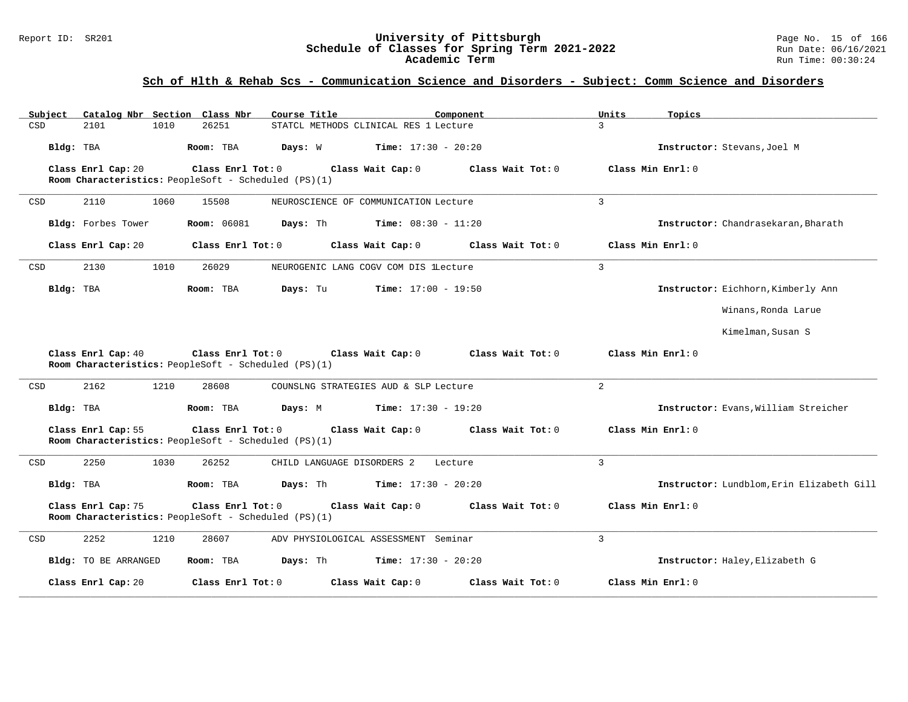### Report ID: SR201 **University of Pittsburgh** Page No. 15 of 166 **Schedule of Classes for Spring Term 2021-2022** Run Date: 06/16/2021 **Academic Term** Run Time: 00:30:24

| Catalog Nbr Section Class Nbr<br>Subject | Course Title                                                                                                        | Component                    | Units<br>Topics                           |
|------------------------------------------|---------------------------------------------------------------------------------------------------------------------|------------------------------|-------------------------------------------|
| CSD<br>2101<br>1010                      | 26251<br>STATCL METHODS CLINICAL RES 1 Lecture                                                                      | $\mathcal{L}$                |                                           |
| Bldg: TBA                                | Room: TBA<br>Days: W                                                                                                | <b>Time:</b> $17:30 - 20:20$ | Instructor: Stevans, Joel M               |
| Class Enrl Cap: 20                       | $Class$ $Enr1$ $Tot: 0$<br>Class Wait Cap: 0<br>Room Characteristics: PeopleSoft - Scheduled (PS)(1)                | Class Wait Tot: 0            | Class Min Enrl: 0                         |
| 2110<br>1060<br>CSD                      | 15508<br>NEUROSCIENCE OF COMMUNICATION Lecture                                                                      | 3                            |                                           |
| Bldg: Forbes Tower                       | <b>Room:</b> 06081<br>Days: Th                                                                                      | <b>Time:</b> $08:30 - 11:20$ | Instructor: Chandrasekaran, Bharath       |
| Class Enrl Cap: 20                       | Class Enrl Tot: 0<br>Class Wait Cap: 0                                                                              | Class Wait Tot: 0            | Class Min Enrl: 0                         |
| 2130<br>1010<br>CSD                      | 26029<br>NEUROGENIC LANG COGV COM DIS lLecture                                                                      | $\overline{3}$               |                                           |
| Bldg: TBA                                | Days: Tu<br>Room: TBA                                                                                               | <b>Time:</b> $17:00 - 19:50$ | Instructor: Eichhorn, Kimberly Ann        |
|                                          |                                                                                                                     |                              | Winans, Ronda Larue                       |
|                                          |                                                                                                                     |                              | Kimelman, Susan S                         |
| Class Enrl Cap: 40                       | Class Enrl Tot: $0$ Class Wait Cap: $0$ Class Wait Tot: $0$<br>Room Characteristics: PeopleSoft - Scheduled (PS)(1) |                              | Class Min Enrl: 0                         |
| 2162<br>1210<br>CSD                      | 28608<br>COUNSLNG STRATEGIES AUD & SLP Lecture                                                                      | 2                            |                                           |
| Bldg: TBA                                | Room: TBA<br>Days: M                                                                                                | <b>Time:</b> $17:30 - 19:20$ | Instructor: Evans, William Streicher      |
| Class Enrl Cap: 55                       | Class Enrl Tot: 0<br>Class Wait Cap: 0<br>Room Characteristics: PeopleSoft - Scheduled (PS)(1)                      | Class Wait Tot: 0            | Class Min Enrl: 0                         |
| 2250<br>1030<br>CSD                      | 26252<br>CHILD LANGUAGE DISORDERS 2                                                                                 | $\overline{3}$<br>Lecture    |                                           |
| Bldg: TBA                                | Room: TBA<br>Days: Th                                                                                               | <b>Time:</b> $17:30 - 20:20$ | Instructor: Lundblom, Erin Elizabeth Gill |
| Class Enrl Cap: 75                       | Class Enrl Tot: 0<br>Class Wait Cap: 0<br>Room Characteristics: PeopleSoft - Scheduled (PS)(1)                      | Class Wait Tot: 0            | Class Min Enrl: 0                         |
| 2252<br>1210<br>CSD                      | 28607<br>ADV PHYSIOLOGICAL ASSESSMENT Seminar                                                                       | 3                            |                                           |
| Bldg: TO BE ARRANGED                     | Room: TBA<br>Days: Th                                                                                               | <b>Time:</b> $17:30 - 20:20$ | Instructor: Haley, Elizabeth G            |
| Class Enrl Cap: 20                       | Class Enrl Tot: 0<br>Class Wait Cap: 0                                                                              | Class Wait Tot: 0            | Class Min Enrl: 0                         |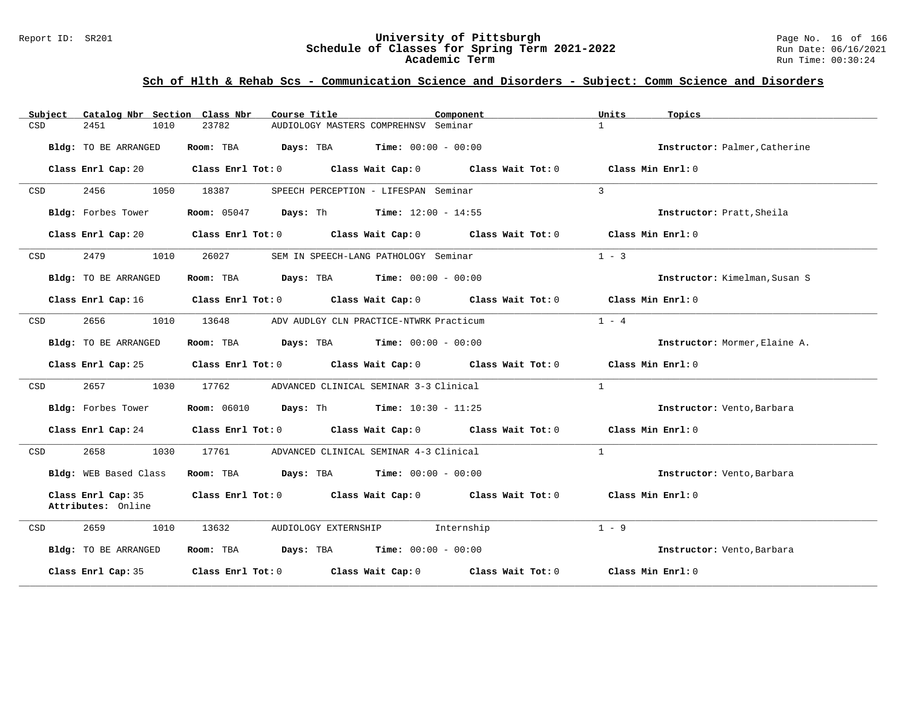### Report ID: SR201 **University of Pittsburgh** Page No. 16 of 166 **Schedule of Classes for Spring Term 2021-2022** Run Date: 06/16/2021 **Academic Term** Run Time: 00:30:24

| Catalog Nbr Section Class Nbr<br>Subject | Course Title<br>Component                                                                       | Units<br>Topics               |
|------------------------------------------|-------------------------------------------------------------------------------------------------|-------------------------------|
| 1010<br>CSD<br>2451                      | 23782<br>AUDIOLOGY MASTERS COMPREHNSV Seminar                                                   | $\mathbf{1}$                  |
| Bldg: TO BE ARRANGED                     | Room: TBA $Days:$ TBA $Time: 00:00 - 00:00$                                                     | Instructor: Palmer, Catherine |
| Class Enrl Cap: 20                       | Class Enrl Tot: $0$ Class Wait Cap: $0$ Class Wait Tot: $0$ Class Min Enrl: $0$                 |                               |
| 2456 7<br>CSD                            | 1050 18387<br>SPEECH PERCEPTION - LIFESPAN Seminar                                              | $\overline{3}$                |
| Bldg: Forbes Tower                       | <b>Room:</b> 05047 <b>Days:</b> Th <b>Time:</b> $12:00 - 14:55$                                 | Instructor: Pratt, Sheila     |
|                                          | Class Enrl Cap: 20 Class Enrl Tot: 0 Class Wait Cap: 0 Class Wait Tot: 0 Class Min Enrl: 0      |                               |
| 2479<br>1010<br>CSD                      | 26027<br>SEM IN SPEECH-LANG PATHOLOGY Seminar                                                   | $1 - 3$                       |
| <b>Bldg:</b> TO BE ARRANGED              | Room: TBA $Days:$ TBA $Time: 00:00 - 00:00$                                                     | Instructor: Kimelman, Susan S |
|                                          | Class Enrl Cap: 16 (Class Enrl Tot: 0 (Class Wait Cap: 0 (Class Wait Tot: 0 (Class Min Enrl: 0) |                               |
| 2656<br>1010<br>CSD                      | 13648<br>ADV AUDLGY CLN PRACTICE-NTWRK Practicum                                                | $1 - 4$                       |
| Bldg: TO BE ARRANGED                     | Room: TBA $Days:$ TBA $Time: 00:00 - 00:00$                                                     | Instructor: Mormer, Elaine A. |
|                                          | Class Enrl Cap: 25 Class Enrl Tot: 0 Class Wait Cap: 0 Class Wait Tot: 0 Class Min Enrl: 0      |                               |
| 2657<br>CSD                              | 1030 17762 ADVANCED CLINICAL SEMINAR 3-3 Clinical                                               | $\mathbf{1}$                  |
| Bldg: Forbes Tower                       | <b>Room:</b> 06010 <b>Days:</b> Th <b>Time:</b> 10:30 - 11:25                                   | Instructor: Vento, Barbara    |
|                                          | Class Enrl Cap: 24 Class Enrl Tot: 0 Class Wait Cap: 0 Class Wait Tot: 0 Class Min Enrl: 0      |                               |
| 2658<br>1030<br>CSD                      | 17761 ADVANCED CLINICAL SEMINAR 4-3 Clinical                                                    | $\overline{1}$                |
| Bldg: WEB Based Class                    | Room: TBA $Days:$ TBA $Time: 00:00 - 00:00$                                                     | Instructor: Vento, Barbara    |
| Class Enrl Cap: 35<br>Attributes: Online | Class Enrl Tot: 0 Class Wait Cap: 0 Class Wait Tot: 0                                           | Class Min Enrl: 0             |
| 2659<br>1010<br>CSD                      | 13632<br>AUDIOLOGY EXTERNSHIP 1nternship                                                        | $1 - 9$                       |
| Bldg: TO BE ARRANGED                     | Room: TBA $Days:$ TBA $Time: 00:00 - 00:00$                                                     | Instructor: Vento, Barbara    |
| Class Enrl Cap: 35                       | Class Enrl Tot: $0$ Class Wait Cap: $0$ Class Wait Tot: $0$                                     | Class Min Enrl: 0             |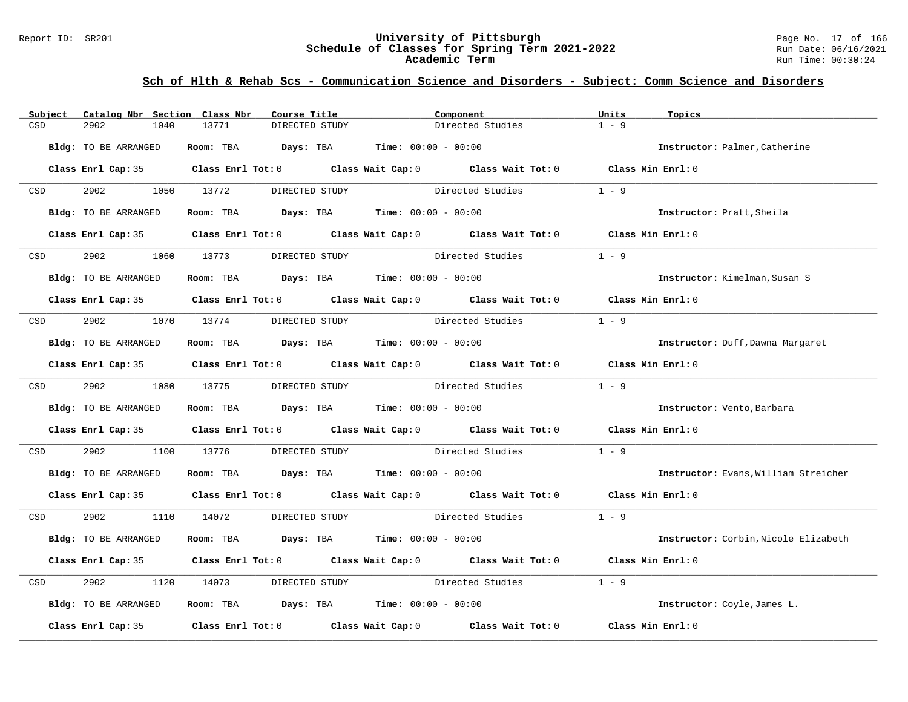#### Report ID: SR201 **University of Pittsburgh** Page No. 17 of 166 **Schedule of Classes for Spring Term 2021-2022** Run Date: 06/16/2021 **Academic Term** Run Time: 00:30:24

| Subject                                                                                                         | Catalog Nbr Section Class Nbr | Course Title                                | Component                                                                                           | Units<br>Topics                      |
|-----------------------------------------------------------------------------------------------------------------|-------------------------------|---------------------------------------------|-----------------------------------------------------------------------------------------------------|--------------------------------------|
| CSD                                                                                                             | 2902<br>1040                  | 13771<br>DIRECTED STUDY                     | Directed Studies                                                                                    | $1 - 9$                              |
|                                                                                                                 | Bldg: TO BE ARRANGED          | Room: TBA $Days:$ TBA $Time: 00:00 - 00:00$ |                                                                                                     | Instructor: Palmer, Catherine        |
|                                                                                                                 |                               |                                             | Class Enrl Cap: 35 Class Enrl Tot: 0 Class Wait Cap: 0 Class Wait Tot: 0 Class Min Enrl: 0          |                                      |
| CSD and the control of the control of the control of the control of the control of the control of the control o | 2902 1050 13772               | DIRECTED STUDY                              | Directed Studies                                                                                    | $1 - 9$                              |
|                                                                                                                 | Bldg: TO BE ARRANGED          | Room: TBA $Days:$ TBA $Time: 00:00 - 00:00$ |                                                                                                     | Instructor: Pratt, Sheila            |
|                                                                                                                 |                               |                                             | Class Enrl Cap: 35 Class Enrl Tot: 0 Class Wait Cap: 0 Class Wait Tot: 0 Class Min Enrl: 0          |                                      |
| <b>CSD</b>                                                                                                      | 2902                          | 1060 13773<br>DIRECTED STUDY                | Directed Studies                                                                                    | $1 - 9$                              |
|                                                                                                                 | Bldg: TO BE ARRANGED          | Room: TBA $Days:$ TBA $Time: 00:00 - 00:00$ |                                                                                                     | Instructor: Kimelman, Susan S        |
|                                                                                                                 |                               |                                             | Class Enrl Cap: 35 $\qquad$ Class Enrl Tot: 0 $\qquad$ Class Wait Cap: 0 $\qquad$ Class Wait Tot: 0 | Class Min Enrl: 0                    |
|                                                                                                                 | CSD 2902 1070 13774           |                                             | DIRECTED STUDY Directed Studies                                                                     | $1 - 9$                              |
|                                                                                                                 | Bldg: TO BE ARRANGED          | Room: TBA $Days:$ TBA $Time: 00:00 - 00:00$ |                                                                                                     | Instructor: Duff, Dawna Margaret     |
|                                                                                                                 |                               |                                             | Class Enrl Cap: 35 Class Enrl Tot: 0 Class Wait Cap: 0 Class Wait Tot: 0 Class Min Enrl: 0          |                                      |
|                                                                                                                 | CSD 2902 1080 13775           | DIRECTED STUDY                              | Directed Studies                                                                                    | $1 - 9$                              |
|                                                                                                                 | Bldg: TO BE ARRANGED          | Room: TBA $Days: TBA$ Time: $00:00 - 00:00$ |                                                                                                     | Instructor: Vento, Barbara           |
|                                                                                                                 |                               |                                             | Class Enrl Cap: 35 Class Enrl Tot: 0 Class Wait Cap: 0 Class Wait Tot: 0 Class Min Enrl: 0          |                                      |
| CSD                                                                                                             | 2902<br>1100                  | 13776                                       | DIRECTED STUDY Directed Studies                                                                     | $1 - 9$                              |
|                                                                                                                 | Bldg: TO BE ARRANGED          | Room: TBA $Days:$ TBA $Time: 00:00 - 00:00$ |                                                                                                     | Instructor: Evans, William Streicher |
|                                                                                                                 |                               |                                             | Class Enrl Cap: 35 Class Enrl Tot: 0 Class Wait Cap: 0 Class Wait Tot: 0 Class Min Enrl: 0          |                                      |
| CSD <sub>c</sub>                                                                                                | 2902 1110 14072               |                                             | DIRECTED STUDY Directed Studies                                                                     | $1 - 9$                              |
|                                                                                                                 | Bldg: TO BE ARRANGED          | Room: TBA $Days:$ TBA $Time: 00:00 - 00:00$ |                                                                                                     | Instructor: Corbin, Nicole Elizabeth |
|                                                                                                                 |                               |                                             | Class Enrl Cap: 35 Class Enrl Tot: 0 Class Wait Cap: 0 Class Wait Tot: 0 Class Min Enrl: 0          |                                      |
| CSD                                                                                                             | 2902<br>1120                  | 14073                                       | DIRECTED STUDY Directed Studies                                                                     | $1 - 9$                              |
|                                                                                                                 | Bldg: TO BE ARRANGED          | Room: TBA $Days:$ TBA $Time: 00:00 - 00:00$ |                                                                                                     | Instructor: Coyle, James L.          |
|                                                                                                                 |                               |                                             | Class Enrl Cap: 35 $\,$ Class Enrl Tot: 0 $\,$ Class Wait Cap: 0 $\,$ Class Wait Tot: 0 $\,$        | Class Min Enrl: 0                    |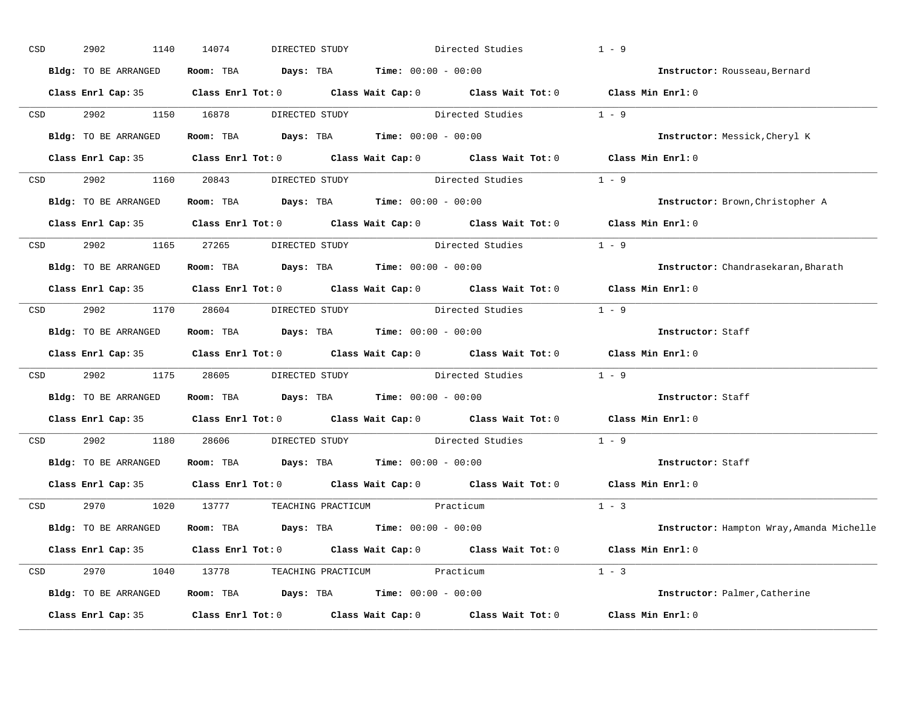| CSD |                  | 2902<br>1140         | 14074<br>DIRECTED STUDY                                                                    | Directed Studies | $1 - 9$ |                                           |
|-----|------------------|----------------------|--------------------------------------------------------------------------------------------|------------------|---------|-------------------------------------------|
|     |                  | Bldg: TO BE ARRANGED | Room: TBA $Days:$ TBA $Time: 00:00 - 00:00$                                                |                  |         | Instructor: Rousseau, Bernard             |
|     |                  |                      | Class Enrl Cap: 35 Class Enrl Tot: 0 Class Wait Cap: 0 Class Wait Tot: 0 Class Min Enrl: 0 |                  |         |                                           |
|     |                  |                      | CSD 2902 1150 16878 DIRECTED STUDY Directed Studies 1 - 9                                  |                  |         |                                           |
|     |                  | Bldg: TO BE ARRANGED | Room: TBA $Days:$ TBA Time: $00:00 - 00:00$                                                |                  |         | Instructor: Messick, Cheryl K             |
|     |                  |                      | Class Enrl Cap: 35 Class Enrl Tot: 0 Class Wait Cap: 0 Class Wait Tot: 0 Class Min Enrl: 0 |                  |         |                                           |
|     |                  |                      | CSD 2902 1160 20843 DIRECTED STUDY Directed Studies 1 - 9                                  |                  |         |                                           |
|     |                  |                      | <b>Bldg:</b> TO BE ARRANGED <b>Room:</b> TBA <b>Days:</b> TBA <b>Time:</b> $00:00 - 00:00$ |                  |         | Instructor: Brown, Christopher A          |
|     |                  |                      | Class Enrl Cap: 35 Class Enrl Tot: 0 Class Wait Cap: 0 Class Wait Tot: 0 Class Min Enrl: 0 |                  |         |                                           |
|     |                  |                      | CSD 2902 1165 27265 DIRECTED STUDY                                                         | Directed Studies | $1 - 9$ |                                           |
|     |                  | Bldg: TO BE ARRANGED | Room: TBA $\rule{1em}{0.15mm}$ Days: TBA $\rule{1.5mm}{0.15mm}$ Time: $00:00 - 00:00$      |                  |         | Instructor: Chandrasekaran, Bharath       |
|     |                  |                      | Class Enrl Cap: 35 Class Enrl Tot: 0 Class Wait Cap: 0 Class Wait Tot: 0 Class Min Enrl: 0 |                  |         |                                           |
|     |                  |                      | CSD 2902 1170 28604 DIRECTED STUDY Directed Studies 1 - 9                                  |                  |         |                                           |
|     |                  | Bldg: TO BE ARRANGED | Room: TBA $\rule{1em}{0.15mm}$ Days: TBA Time: $00:00 - 00:00$                             |                  |         | Instructor: Staff                         |
|     |                  |                      | Class Enrl Cap: 35 Class Enrl Tot: 0 Class Wait Cap: 0 Class Wait Tot: 0 Class Min Enrl: 0 |                  |         |                                           |
|     | CSD <sub>c</sub> |                      | 2902 1175 28605 DIRECTED STUDY Directed Studies $1 - 9$                                    |                  |         |                                           |
|     |                  |                      | Bldg: TO BE ARRANGED Room: TBA Days: TBA Time: 00:00 - 00:00                               |                  |         | Instructor: Staff                         |
|     |                  |                      | Class Enrl Cap: 35 Class Enrl Tot: 0 Class Wait Cap: 0 Class Wait Tot: 0 Class Min Enrl: 0 |                  |         |                                           |
|     | CSD              |                      | 2902 1180 28606 DIRECTED STUDY Directed Studies                                            |                  | $1 - 9$ |                                           |
|     |                  |                      | Bldg: TO BE ARRANGED Room: TBA Days: TBA Time: 00:00 - 00:00                               |                  |         | Instructor: Staff                         |
|     |                  |                      | Class Enrl Cap: 35 Class Enrl Tot: 0 Class Wait Cap: 0 Class Wait Tot: 0 Class Min Enrl: 0 |                  |         |                                           |
|     |                  |                      | CSD 2970 1020 13777 TEACHING PRACTICUM Practicum                                           |                  | $1 - 3$ |                                           |
|     |                  | Bldg: TO BE ARRANGED | Room: TBA $Days:$ TBA $Time: 00:00 - 00:00$                                                |                  |         | Instructor: Hampton Wray, Amanda Michelle |
|     |                  |                      | Class Enrl Cap: 35 Class Enrl Tot: 0 Class Wait Cap: 0 Class Wait Tot: 0 Class Min Enrl: 0 |                  |         |                                           |
|     |                  |                      | CSD 2970 1040 13778 TEACHING PRACTICUM Practicum                                           |                  | $1 - 3$ |                                           |
|     |                  |                      | Bldg: TO BE ARRANGED Room: TBA Days: TBA Time: 00:00 - 00:00                               |                  |         | Instructor: Palmer, Catherine             |
|     |                  |                      | Class Enrl Cap: 35 Class Enrl Tot: 0 Class Wait Cap: 0 Class Wait Tot: 0 Class Min Enrl: 0 |                  |         |                                           |
|     |                  |                      |                                                                                            |                  |         |                                           |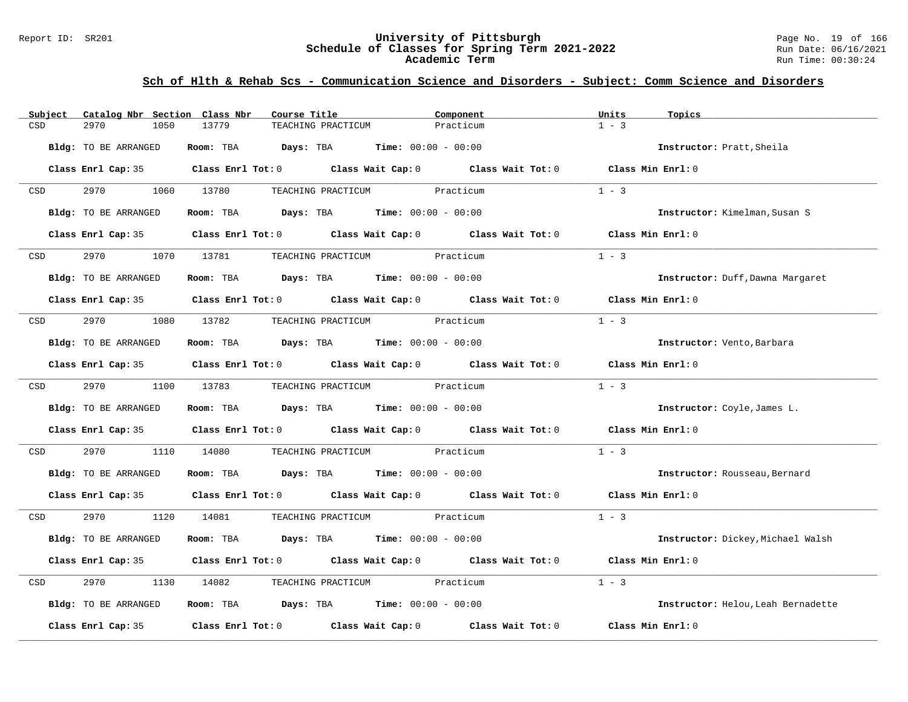#### Report ID: SR201 **University of Pittsburgh** Page No. 19 of 166 **Schedule of Classes for Spring Term 2021-2022** Run Date: 06/16/2021 **Academic Term** Run Time: 00:30:24

| Subject          | Catalog Nbr Section Class Nbr | Course Title                                                                                        |                                             | Component | Units<br>Topics                    |  |
|------------------|-------------------------------|-----------------------------------------------------------------------------------------------------|---------------------------------------------|-----------|------------------------------------|--|
| CSD              | 2970<br>1050                  | 13779                                                                                               | TEACHING PRACTICUM                          | Practicum | $1 - 3$                            |  |
|                  |                               |                                                                                                     |                                             |           |                                    |  |
|                  | Bldg: TO BE ARRANGED          | Room: TBA $Days:$ TBA $Time: 00:00 - 00:00$                                                         |                                             |           | Instructor: Pratt, Sheila          |  |
|                  |                               |                                                                                                     |                                             |           |                                    |  |
|                  |                               | Class Enrl Cap: 35 Class Enrl Tot: 0 Class Wait Cap: 0 Class Wait Tot: 0 Class Min Enrl: 0          |                                             |           |                                    |  |
| CSD              | 2970                          | 1060 13780                                                                                          | TEACHING PRACTICUM Practicum                |           | $1 - 3$                            |  |
|                  |                               |                                                                                                     |                                             |           |                                    |  |
|                  | Bldg: TO BE ARRANGED          |                                                                                                     | Room: TBA $Days:$ TBA $Time: 00:00 - 00:00$ |           | Instructor: Kimelman, Susan S      |  |
|                  |                               |                                                                                                     |                                             |           |                                    |  |
|                  |                               | Class Enrl Cap: 35 Class Enrl Tot: 0 Class Wait Cap: 0 Class Wait Tot: 0 Class Min Enrl: 0          |                                             |           |                                    |  |
|                  |                               |                                                                                                     |                                             |           |                                    |  |
| CSD              | 2970                          | 1070 13781                                                                                          | TEACHING PRACTICUM                          | Practicum | $1 - 3$                            |  |
|                  | Bldg: TO BE ARRANGED          | Room: TBA $Days:$ TBA $Time: 00:00 - 00:00$                                                         |                                             |           | Instructor: Duff, Dawna Margaret   |  |
|                  |                               |                                                                                                     |                                             |           |                                    |  |
|                  |                               | Class Enrl Cap: 35 Class Enrl Tot: 0 Class Wait Cap: 0 Class Wait Tot: 0 Class Min Enrl: 0          |                                             |           |                                    |  |
|                  |                               |                                                                                                     |                                             |           |                                    |  |
| CSD              | 2970 70                       | 1080 13782                                                                                          | TEACHING PRACTICUM Practicum                |           | $1 - 3$                            |  |
|                  |                               |                                                                                                     |                                             |           |                                    |  |
|                  | Bldg: TO BE ARRANGED          | Room: TBA $Days:$ TBA $Time: 00:00 - 00:00$                                                         |                                             |           | Instructor: Vento, Barbara         |  |
|                  |                               |                                                                                                     |                                             |           |                                    |  |
|                  |                               | Class Enrl Cap: 35 Class Enrl Tot: 0 Class Wait Cap: 0 Class Wait Tot: 0 Class Min Enrl: 0          |                                             |           |                                    |  |
| CSD <sub>c</sub> | 2970 70                       | 1100 13783                                                                                          | TEACHING PRACTICUM Practicum                |           | $1 - 3$                            |  |
|                  |                               |                                                                                                     |                                             |           |                                    |  |
|                  | Bldg: TO BE ARRANGED          | Room: TBA $Days:$ TBA $Time: 00:00 - 00:00$                                                         |                                             |           | Instructor: Coyle, James L.        |  |
|                  |                               |                                                                                                     |                                             |           |                                    |  |
|                  |                               | Class Enrl Cap: 35 Class Enrl Tot: 0 Class Wait Cap: 0 Class Wait Tot: 0                            |                                             |           | Class Min Enrl: 0                  |  |
|                  |                               |                                                                                                     |                                             |           |                                    |  |
| CSD              | 2970<br>1110                  | 14080                                                                                               | TEACHING PRACTICUM Practicum                |           | $1 - 3$                            |  |
|                  | Bldg: TO BE ARRANGED          | Room: TBA $Days:$ TBA $Time: 00:00 - 00:00$                                                         |                                             |           | Instructor: Rousseau, Bernard      |  |
|                  |                               |                                                                                                     |                                             |           |                                    |  |
|                  |                               | Class Enrl Cap: 35 Class Enrl Tot: 0 Class Wait Cap: 0 Class Wait Tot: 0 Class Min Enrl: 0          |                                             |           |                                    |  |
|                  |                               |                                                                                                     |                                             |           |                                    |  |
| <b>CSD</b>       | 2970                          | 1120 14081                                                                                          | TEACHING PRACTICUM Practicum                |           | $1 - 3$                            |  |
|                  |                               |                                                                                                     |                                             |           |                                    |  |
|                  | Bldg: TO BE ARRANGED          | Room: TBA $Days:$ TBA $Time: 00:00 - 00:00$                                                         |                                             |           | Instructor: Dickey, Michael Walsh  |  |
|                  |                               |                                                                                                     |                                             |           |                                    |  |
|                  |                               | Class Enrl Cap: 35 Class Enrl Tot: 0 Class Wait Cap: 0 Class Wait Tot: 0                            |                                             |           | Class Min Enrl: 0                  |  |
| CSD              | 2970<br>1130                  | 14082                                                                                               | TEACHING PRACTICUM Practicum                |           | $1 - 3$                            |  |
|                  |                               |                                                                                                     |                                             |           |                                    |  |
|                  | Bldg: TO BE ARRANGED          | Room: TBA $Days:$ TBA $Time: 00:00 - 00:00$                                                         |                                             |           | Instructor: Helou, Leah Bernadette |  |
|                  |                               |                                                                                                     |                                             |           |                                    |  |
|                  |                               | Class Enrl Cap: 35 $\qquad$ Class Enrl Tot: 0 $\qquad$ Class Wait Cap: 0 $\qquad$ Class Wait Tot: 0 |                                             |           | Class Min Enrl: 0                  |  |
|                  |                               |                                                                                                     |                                             |           |                                    |  |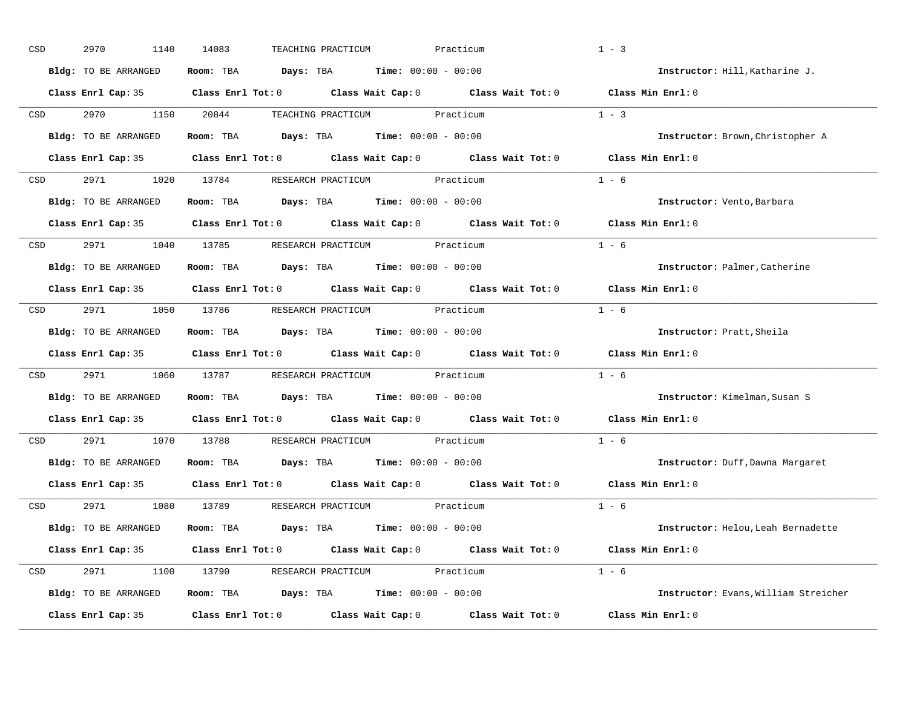| CSD |                  | 2970<br>1140         | 14083<br>TEACHING PRACTICUM                                                                         | Practicum | $1 - 3$                              |
|-----|------------------|----------------------|-----------------------------------------------------------------------------------------------------|-----------|--------------------------------------|
|     |                  | Bldg: TO BE ARRANGED | Room: TBA $Days:$ TBA $Time: 00:00 - 00:00$                                                         |           | Instructor: Hill, Katharine J.       |
|     |                  |                      | Class Enrl Cap: 35 Class Enrl Tot: 0 Class Wait Cap: 0 Class Wait Tot: 0 Class Min Enrl: 0          |           |                                      |
|     | CSD              | 2970 1150 20844      | TEACHING PRACTICUM Practicum                                                                        |           | $1 - 3$                              |
|     |                  | Bldg: TO BE ARRANGED | Room: TBA $Days:$ TBA $Time: 00:00 - 00:00$                                                         |           | Instructor: Brown, Christopher A     |
|     |                  |                      | Class Enrl Cap: 35 Class Enrl Tot: 0 Class Wait Cap: 0 Class Wait Tot: 0 Class Min Enrl: 0          |           |                                      |
|     |                  |                      | CSD 2971 1020 13784 RESEARCH PRACTICUM Practicum                                                    |           | $1 - 6$                              |
|     |                  | Bldg: TO BE ARRANGED | Room: TBA $Days:$ TBA $Time: 00:00 - 00:00$                                                         |           | Instructor: Vento, Barbara           |
|     |                  |                      | Class Enrl Cap: 35 $\qquad$ Class Enrl Tot: 0 $\qquad$ Class Wait Cap: 0 $\qquad$ Class Wait Tot: 0 |           | Class Min Enrl: 0                    |
|     | <b>CSD</b>       |                      | 2971 1040 13785 RESEARCH PRACTICUM Practicum                                                        |           | $1 - 6$                              |
|     |                  | Bldg: TO BE ARRANGED | Room: TBA $Days: TBA$ Time: $00:00 - 00:00$                                                         |           | Instructor: Palmer, Catherine        |
|     |                  |                      | Class Enrl Cap: 35 Class Enrl Tot: 0 Class Wait Cap: 0 Class Wait Tot: 0                            |           | Class Min Enrl: 0                    |
|     | CSD <sub>c</sub> |                      | 2971 1050 13786 RESEARCH PRACTICUM Practicum                                                        |           | $1 - 6$                              |
|     |                  | Bldg: TO BE ARRANGED | Room: TBA $Days:$ TBA $Time: 00:00 - 00:00$                                                         |           | Instructor: Pratt, Sheila            |
|     |                  |                      | Class Enrl Cap: 35 Class Enrl Tot: 0 Class Wait Cap: 0 Class Wait Tot: 0                            |           | Class Min Enrl: 0                    |
|     | CSD <sub>c</sub> |                      | 2971 1060 13787 RESEARCH PRACTICUM Practicum                                                        |           | $1 - 6$                              |
|     |                  | Bldg: TO BE ARRANGED | Room: TBA $Days:$ TBA $Time: 00:00 - 00:00$                                                         |           | Instructor: Kimelman, Susan S        |
|     |                  |                      | Class Enrl Cap: 35 Class Enrl Tot: 0 Class Wait Cap: 0 Class Wait Tot: 0                            |           | Class Min Enrl: 0                    |
|     | CSD              |                      | 2971 1070 13788 RESEARCH PRACTICUM Practicum                                                        |           | $1 - 6$                              |
|     |                  | Bldg: TO BE ARRANGED | Room: TBA $Days:$ TBA Time: $00:00 - 00:00$                                                         |           | Instructor: Duff, Dawna Margaret     |
|     |                  |                      | Class Enrl Cap: 35 Class Enrl Tot: 0 Class Wait Cap: 0 Class Wait Tot: 0                            |           | Class Min Enrl: 0                    |
|     |                  |                      | CSD 2971 1080 13789 RESEARCH PRACTICUM Practicum                                                    |           | $1 - 6$                              |
|     |                  | Bldg: TO BE ARRANGED | Room: TBA $Days:$ TBA $Time: 00:00 - 00:00$                                                         |           | Instructor: Helou, Leah Bernadette   |
|     |                  |                      | Class Enrl Cap: 35 Class Enrl Tot: 0 Class Wait Cap: 0 Class Wait Tot: 0 Class Min Enrl: 0          |           |                                      |
|     |                  |                      | CSD 2971 1100 13790 RESEARCH PRACTICUM Practicum                                                    |           | $1 - 6$                              |
|     |                  | Bldg: TO BE ARRANGED | Room: TBA $Days:$ TBA $Time: 00:00 - 00:00$                                                         |           | Instructor: Evans, William Streicher |
|     |                  | Class Enrl Cap: 35   | Class Enrl Tot: $0$ Class Wait Cap: $0$ Class Wait Tot: $0$                                         |           | Class Min Enrl: 0                    |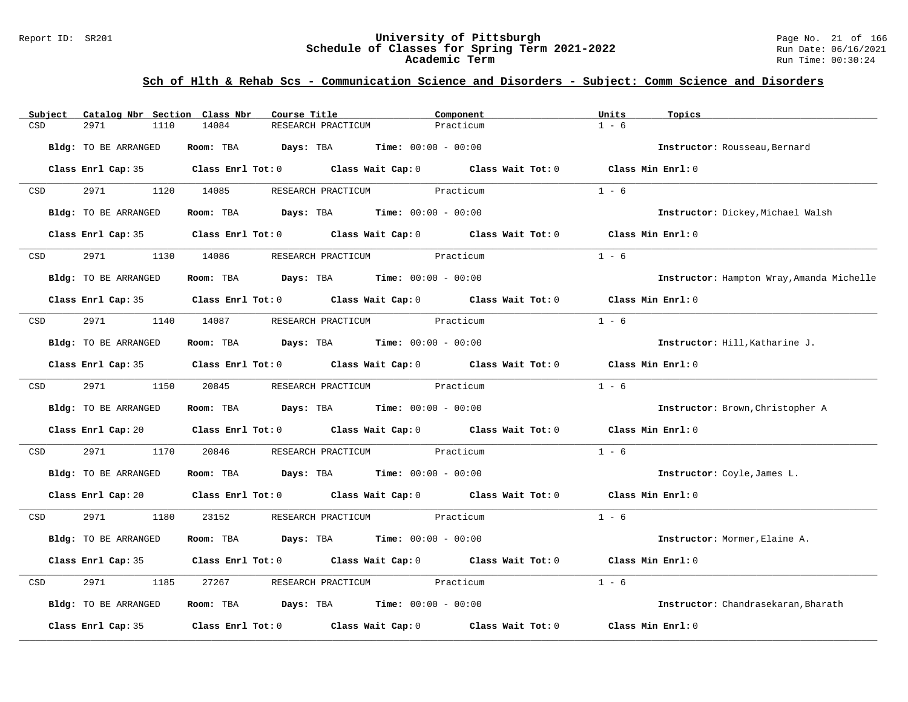#### Report ID: SR201 **University of Pittsburgh** Page No. 21 of 166 **Schedule of Classes for Spring Term 2021-2022** Run Date: 06/16/2021 **Academic Term** Run Time: 00:30:24

| Subject    | Catalog Nbr Section Class Nbr | Course Title                                                   | Component                                                                                                                                                                                                                     | Units<br>Topics                           |
|------------|-------------------------------|----------------------------------------------------------------|-------------------------------------------------------------------------------------------------------------------------------------------------------------------------------------------------------------------------------|-------------------------------------------|
| CSD        | 2971<br>1110                  | 14084<br>RESEARCH PRACTICUM                                    | Practicum                                                                                                                                                                                                                     | $1 - 6$                                   |
|            | <b>Bldg:</b> TO BE ARRANGED   | Room: TBA $Days:$ TBA $Time: 00:00 - 00:00$                    |                                                                                                                                                                                                                               | Instructor: Rousseau, Bernard             |
|            |                               |                                                                | Class Enrl Cap: 35 Class Enrl Tot: 0 Class Wait Cap: 0 Class Wait Tot: 0 Class Min Enrl: 0                                                                                                                                    |                                           |
| <b>CSD</b> | 2971 1120 14085               |                                                                | RESEARCH PRACTICUM Practicum                                                                                                                                                                                                  | $1 - 6$                                   |
|            | Bldg: TO BE ARRANGED          | Room: TBA $Days:$ TBA $Time: 00:00 - 00:00$                    |                                                                                                                                                                                                                               | Instructor: Dickey, Michael Walsh         |
|            |                               |                                                                | Class Enrl Cap: 35 Class Enrl Tot: 0 Class Wait Cap: 0 Class Wait Tot: 0 Class Min Enrl: 0                                                                                                                                    |                                           |
| CSD        | 2971<br>1130                  |                                                                |                                                                                                                                                                                                                               | $1 - 6$                                   |
|            | Bldg: TO BE ARRANGED          | Room: TBA $Days:$ TBA $Time: 00:00 - 00:00$                    |                                                                                                                                                                                                                               | Instructor: Hampton Wray, Amanda Michelle |
|            |                               |                                                                | Class Enrl Cap: 35 Class Enrl Tot: 0 Class Wait Cap: 0 Class Wait Tot: 0 Class Min Enrl: 0                                                                                                                                    |                                           |
| CSD        | 2971                          | 1140 14087                                                     | RESEARCH PRACTICUM Practicum                                                                                                                                                                                                  | $1 - 6$                                   |
|            | Bldg: TO BE ARRANGED          | Room: TBA $Days:$ TBA Time: $00:00 - 00:00$                    |                                                                                                                                                                                                                               | Instructor: Hill, Katharine J.            |
|            |                               |                                                                | Class Enrl Cap: 35 Class Enrl Tot: 0 Class Wait Cap: 0 Class Wait Tot: 0 Class Min Enrl: 0                                                                                                                                    |                                           |
| CSD        | 2971 2002                     | 1150 20845                                                     | RESEARCH PRACTICUM Practicum                                                                                                                                                                                                  | $1 - 6$                                   |
|            | Bldg: TO BE ARRANGED          | Room: TBA $\rule{1em}{0.15mm}$ Days: TBA Time: $00:00 - 00:00$ |                                                                                                                                                                                                                               | Instructor: Brown, Christopher A          |
|            |                               |                                                                | Class Enrl Cap: 20 Class Enrl Tot: 0 Class Wait Cap: 0 Class Wait Tot: 0 Class Min Enrl: 0                                                                                                                                    |                                           |
| CSD        | 2971<br>1170                  | 20846                                                          | RESEARCH PRACTICUM Practicum                                                                                                                                                                                                  | $1 - 6$                                   |
|            | Bldg: TO BE ARRANGED          | Room: TBA $Days:$ TBA $Time: 00:00 - 00:00$                    |                                                                                                                                                                                                                               | Instructor: Coyle, James L.               |
|            |                               |                                                                | Class Enrl Cap: 20 $\qquad$ Class Enrl Tot: 0 $\qquad$ Class Wait Cap: 0 $\qquad$ Class Wait Tot: 0 $\qquad$ Class Min Enrl: 0                                                                                                |                                           |
| CSD        | 2971<br>1180                  | 23152                                                          | RESEARCH PRACTICUM Practicum                                                                                                                                                                                                  | $1 - 6$                                   |
|            | Bldg: TO BE ARRANGED          | Room: TBA $Days:$ TBA $Time: 00:00 - 00:00$                    |                                                                                                                                                                                                                               | Instructor: Mormer, Elaine A.             |
|            |                               |                                                                | Class Enrl Cap: 35 Class Enrl Tot: 0 Class Wait Cap: 0 Class Wait Tot: 0 Class Min Enrl: 0                                                                                                                                    |                                           |
| CSD        | 2971<br>1185                  | 27267                                                          | RESEARCH PRACTICUM Practicum                                                                                                                                                                                                  | $1 - 6$                                   |
|            | Bldg: TO BE ARRANGED          | Room: TBA $Days:$ TBA $Time: 00:00 - 00:00$                    |                                                                                                                                                                                                                               | Instructor: Chandrasekaran, Bharath       |
|            |                               |                                                                | Class Enrl Cap: 35 $\,$ Class Enrl Tot: 0 $\,$ Class Wait Cap: 0 $\,$ Class Wait Tot: 0 $\,$ Class Enrl Tot: 0 $\,$ Class Enrl Tot: 0 $\,$ Class Enrl Tot: 0 $\,$ Class Enrl Tot: 0 $\,$ Class Enrl Tot: 0 $\,$ Class Enrl To | Class Min Enrl: 0                         |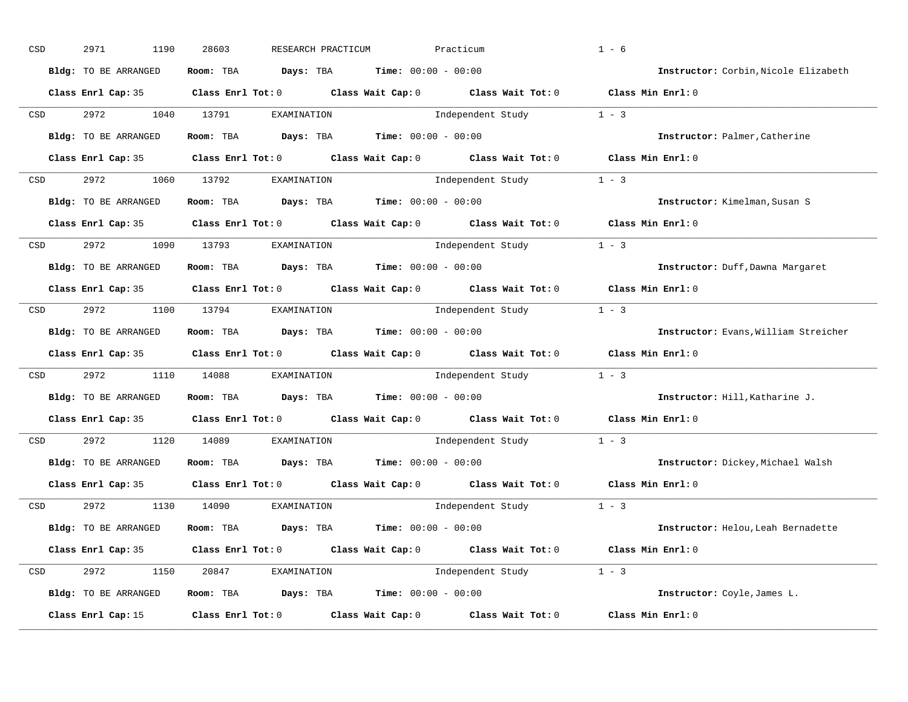| CSD |                                                                                                                 | 2971<br>1190         | 28603<br>RESEARCH PRACTICUM                                                                         | Practicum               |                         | $1 - 6$                              |
|-----|-----------------------------------------------------------------------------------------------------------------|----------------------|-----------------------------------------------------------------------------------------------------|-------------------------|-------------------------|--------------------------------------|
|     |                                                                                                                 | Bldg: TO BE ARRANGED | Room: TBA $Days:$ TBA $Time: 00:00 - 00:00$                                                         |                         |                         | Instructor: Corbin, Nicole Elizabeth |
|     |                                                                                                                 |                      | Class Enrl Cap: 35 Class Enrl Tot: 0 Class Wait Cap: 0 Class Wait Tot: 0 Class Min Enrl: 0          |                         |                         |                                      |
|     | CSD                                                                                                             | 2972                 | 1040 13791<br>EXAMINATION                                                                           |                         | Independent Study 1 - 3 |                                      |
|     |                                                                                                                 | Bldg: TO BE ARRANGED | Room: TBA $Days:$ TBA $Time: 00:00 - 00:00$                                                         |                         |                         | Instructor: Palmer, Catherine        |
|     |                                                                                                                 |                      | Class Enrl Cap: 35 Class Enrl Tot: 0 Class Wait Cap: 0 Class Wait Tot: 0 Class Min Enrl: 0          |                         |                         |                                      |
|     |                                                                                                                 |                      | CSD 2972 1060 13792 EXAMINATION                                                                     | Independent Study 1 - 3 |                         |                                      |
|     |                                                                                                                 | Bldg: TO BE ARRANGED | Room: TBA $Days:$ TBA $Time: 00:00 - 00:00$                                                         |                         |                         | Instructor: Kimelman, Susan S        |
|     |                                                                                                                 |                      | Class Enrl Cap: 35 Class Enrl Tot: 0 Class Wait Cap: 0 Class Wait Tot: 0 Class Min Enrl: 0          |                         |                         |                                      |
|     | CSD <sub>c</sub>                                                                                                |                      | 2972 1090 13793 EXAMINATION                                                                         |                         | Independent Study 1 - 3 |                                      |
|     |                                                                                                                 | Bldg: TO BE ARRANGED | Room: TBA $Days:$ TBA $Time: 00:00 - 00:00$                                                         |                         |                         | Instructor: Duff, Dawna Margaret     |
|     |                                                                                                                 |                      | Class Enrl Cap: 35 Class Enrl Tot: 0 Class Wait Cap: 0 Class Wait Tot: 0 Class Min Enrl: 0          |                         |                         |                                      |
|     | CSD                                                                                                             |                      | 2972 1100 13794 EXAMINATION                                                                         | Independent Study 1 - 3 |                         |                                      |
|     |                                                                                                                 | Bldg: TO BE ARRANGED | Room: TBA $Days:$ TBA $Time: 00:00 - 00:00$                                                         |                         |                         | Instructor: Evans, William Streicher |
|     |                                                                                                                 |                      | Class Enrl Cap: 35 Class Enrl Tot: 0 Class Wait Cap: 0 Class Wait Tot: 0 Class Min Enrl: 0          |                         |                         |                                      |
| CSD |                                                                                                                 |                      | 2972 1110 14088 EXAMINATION                                                                         | Independent Study 1 - 3 |                         |                                      |
|     |                                                                                                                 | Bldg: TO BE ARRANGED | Room: TBA $Days:$ TBA $Time: 00:00 - 00:00$                                                         |                         |                         | Instructor: Hill, Katharine J.       |
|     |                                                                                                                 |                      | Class Enrl Cap: 35 $\qquad$ Class Enrl Tot: 0 $\qquad$ Class Wait Cap: 0 $\qquad$ Class Wait Tot: 0 |                         |                         | Class Min Enrl: 0                    |
|     | CSD                                                                                                             | 2972 200             | 1120 14089<br>EXAMINATION                                                                           |                         | Independent Study       | $1 - 3$                              |
|     |                                                                                                                 | Bldg: TO BE ARRANGED | Room: TBA $Days:$ TBA $Time: 00:00 - 00:00$                                                         |                         |                         | Instructor: Dickey, Michael Walsh    |
|     |                                                                                                                 | Class Enrl Cap: 35   | Class Enrl Tot: $0$ Class Wait Cap: $0$ Class Wait Tot: $0$                                         |                         |                         | Class Min Enrl: 0                    |
|     |                                                                                                                 |                      | CSD 2972 1130 14090 EXAMINATION                                                                     |                         | Independent Study 1 - 3 |                                      |
|     |                                                                                                                 | Bldg: TO BE ARRANGED | Room: TBA $Days:$ TBA $Time: 00:00 - 00:00$                                                         |                         |                         | Instructor: Helou, Leah Bernadette   |
|     |                                                                                                                 |                      | Class Enrl Cap: 35 Class Enrl Tot: 0 Class Wait Cap: 0 Class Wait Tot: 0 Class Min Enrl: 0          |                         |                         |                                      |
|     | CSD and the control of the control of the control of the control of the control of the control of the control o |                      | 2972 1150 20847 EXAMINATION                                                                         | Independent Study 1 - 3 |                         |                                      |
|     |                                                                                                                 | Bldg: TO BE ARRANGED | Room: TBA $Days: TBA$ Time: $00:00 - 00:00$                                                         |                         |                         | Instructor: Coyle, James L.          |
|     |                                                                                                                 | Class Enrl Cap: 15   | $Class$ $Enrl$ $Tot: 0$ $Class$ $Wait$ $Cap: 0$ $Class$ $Wait$ $Tot: 0$                             |                         |                         | Class Min Enrl: 0                    |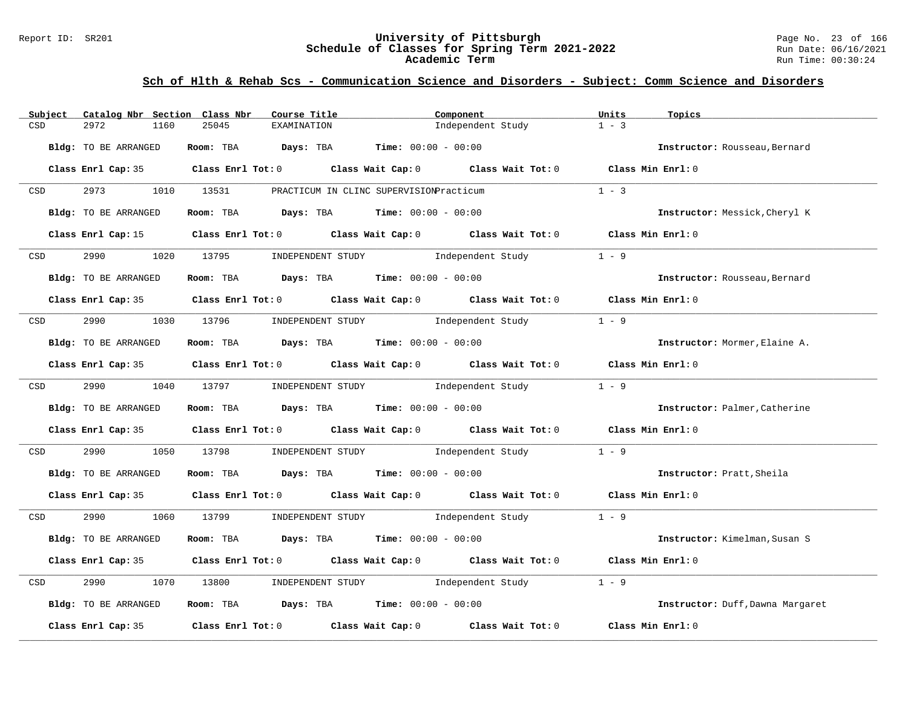#### Report ID: SR201 **University of Pittsburgh** Page No. 23 of 166 **Schedule of Classes for Spring Term 2021-2022** Run Date: 06/16/2021 **Academic Term** Run Time: 00:30:24

| Subject<br>Catalog Nbr Section Class Nbr | Course Title                                | Component                                                                                  | Units<br>Topics                  |
|------------------------------------------|---------------------------------------------|--------------------------------------------------------------------------------------------|----------------------------------|
| CSD<br>2972<br>1160                      | 25045<br><b>EXAMINATION</b>                 | Independent Study                                                                          | $1 - 3$                          |
| Bldg: TO BE ARRANGED                     | Room: TBA $Days:$ TBA $Time: 00:00 - 00:00$ |                                                                                            | Instructor: Rousseau, Bernard    |
|                                          |                                             | Class Enrl Cap: 35 Class Enrl Tot: 0 Class Wait Cap: 0 Class Wait Tot: 0 Class Min Enrl: 0 |                                  |
| 2973 1010 13531<br>CSD                   |                                             | PRACTICUM IN CLINC SUPERVISIONPracticum                                                    | $1 - 3$                          |
| Bldg: TO BE ARRANGED                     | Room: TBA $Days:$ TBA $Time: 00:00 - 00:00$ |                                                                                            | Instructor: Messick, Cheryl K    |
|                                          |                                             | Class Enrl Cap: 15 Class Enrl Tot: 0 Class Wait Cap: 0 Class Wait Tot: 0 Class Min Enrl: 0 |                                  |
| 2990<br>CSD                              |                                             | 1020 13795 INDEPENDENT STUDY Independent Study                                             | $1 - 9$                          |
| Bldg: TO BE ARRANGED                     | Room: TBA $Days:$ TBA $Time: 00:00 - 00:00$ |                                                                                            | Instructor: Rousseau, Bernard    |
|                                          |                                             | Class Enrl Cap: 35 Class Enrl Tot: 0 Class Wait Cap: 0 Class Wait Tot: 0 Class Min Enrl: 0 |                                  |
| CSD                                      |                                             | 2990 1030 13796 INDEPENDENT STUDY Independent Study                                        | $1 - 9$                          |
| Bldg: TO BE ARRANGED                     | Room: TBA $Days:$ TBA $Time: 00:00 - 00:00$ |                                                                                            | Instructor: Mormer, Elaine A.    |
|                                          |                                             | Class Enrl Cap: 35 Class Enrl Tot: 0 Class Wait Cap: 0 Class Wait Tot: 0 Class Min Enrl: 0 |                                  |
| 2990 1040 13797<br>CSD <sub>c</sub>      |                                             | INDEPENDENT STUDY 1 - 9                                                                    |                                  |
| Bldg: TO BE ARRANGED                     | Room: TBA $Days:$ TBA Time: $00:00 - 00:00$ |                                                                                            | Instructor: Palmer, Catherine    |
|                                          |                                             | Class Enrl Cap: 35 Class Enrl Tot: 0 Class Wait Cap: 0 Class Wait Tot: 0 Class Min Enrl: 0 |                                  |
| 2990<br>1050<br>CSD                      | 13798                                       | INDEPENDENT STUDY 1ndependent Study                                                        | $1 - 9$                          |
| Bldg: TO BE ARRANGED                     | Room: TBA $Days:$ TBA $Time: 00:00 - 00:00$ |                                                                                            | Instructor: Pratt, Sheila        |
|                                          |                                             | Class Enrl Cap: 35 Class Enrl Tot: 0 Class Wait Cap: 0 Class Wait Tot: 0 Class Min Enrl: 0 |                                  |
| CSD <sub>c</sub>                         |                                             | 2990 1060 13799 INDEPENDENT STUDY Independent Study 1 - 9                                  |                                  |
| Bldg: TO BE ARRANGED                     | Room: TBA $Days:$ TBA $Time: 00:00 - 00:00$ |                                                                                            | Instructor: Kimelman, Susan S    |
|                                          |                                             | Class Enrl Cap: 35 Class Enrl Tot: 0 Class Wait Cap: 0 Class Wait Tot: 0 Class Min Enrl: 0 |                                  |
| 2990<br>1070<br>CSD                      | 13800                                       | INDEPENDENT STUDY 1ndependent Study                                                        | $1 - 9$                          |
| Bldg: TO BE ARRANGED                     | Room: TBA $Days:$ TBA $Time: 00:00 - 00:00$ |                                                                                            | Instructor: Duff, Dawna Margaret |
| Class Enrl Cap: 35                       |                                             | Class Enrl Tot: $0$ Class Wait Cap: $0$ Class Wait Tot: $0$                                | Class Min Enrl: 0                |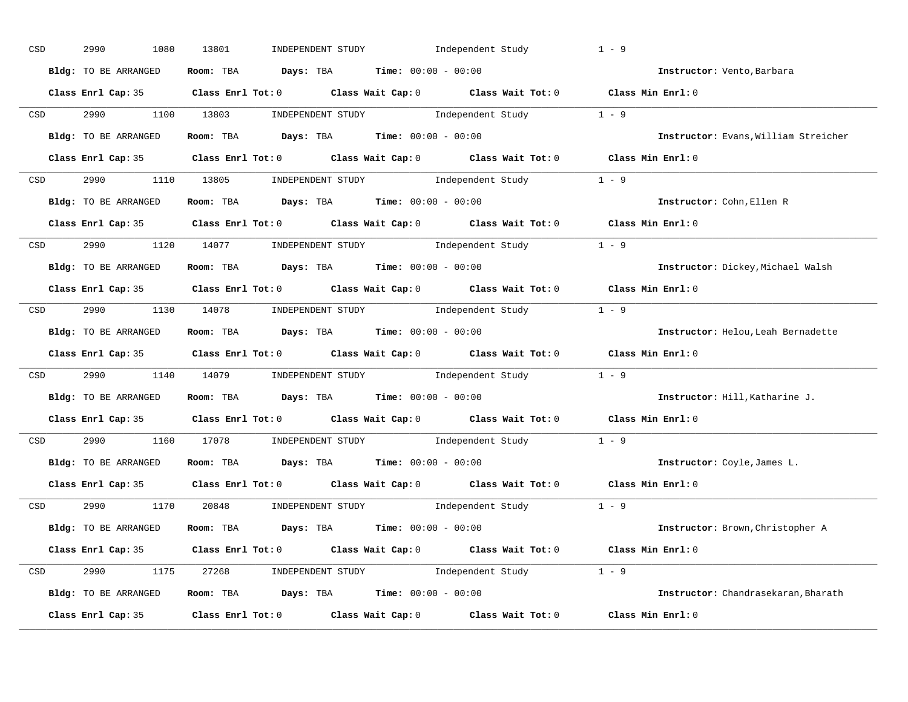| CSD              | 2990<br>1080         | 13801<br>INDEPENDENT STUDY Independent Study                                               | $1 - 9$                              |
|------------------|----------------------|--------------------------------------------------------------------------------------------|--------------------------------------|
|                  | Bldg: TO BE ARRANGED | Room: TBA $Days:$ TBA $Time: 00:00 - 00:00$                                                | Instructor: Vento, Barbara           |
|                  |                      | Class Enrl Cap: 35 Class Enrl Tot: 0 Class Wait Cap: 0 Class Wait Tot: 0 Class Min Enrl: 0 |                                      |
| CSD <sub>c</sub> |                      | 2990 1100 13803 INDEPENDENT STUDY Independent Study 1 - 9                                  |                                      |
|                  | Bldg: TO BE ARRANGED | Room: TBA $\rule{1em}{0.15mm}$ Days: TBA Time: $00:00 - 00:00$                             | Instructor: Evans, William Streicher |
|                  |                      | Class Enrl Cap: 35 Class Enrl Tot: 0 Class Wait Cap: 0 Class Wait Tot: 0 Class Min Enrl: 0 |                                      |
|                  |                      | CSD 2990 1110 13805 INDEPENDENT STUDY Independent Study 1 - 9                              |                                      |
|                  | Bldg: TO BE ARRANGED | Room: TBA $Days:$ TBA $Time: 00:00 - 00:00$                                                | Instructor: Cohn, Ellen R            |
|                  |                      | Class Enrl Cap: 35 Class Enrl Tot: 0 Class Wait Cap: 0 Class Wait Tot: 0 Class Min Enrl: 0 |                                      |
| <b>CSD</b>       |                      | 2990 1120 14077 INDEPENDENT STUDY Independent Study 1 - 9                                  |                                      |
|                  | Bldg: TO BE ARRANGED | Room: TBA $Days: TBA$ Time: $00:00 - 00:00$                                                | Instructor: Dickey, Michael Walsh    |
|                  |                      | Class Enrl Cap: 35 Class Enrl Tot: 0 Class Wait Cap: 0 Class Wait Tot: 0 Class Min Enrl: 0 |                                      |
|                  |                      | CSD 2990 1130 14078 INDEPENDENT STUDY Independent Study 1 - 9                              |                                      |
|                  | Bldg: TO BE ARRANGED | Room: TBA $\rule{1em}{0.15mm}$ Days: TBA $\rule{1.15mm}{0.15mm}$ Time: $00:00 - 00:00$     | Instructor: Helou, Leah Bernadette   |
|                  |                      | Class Enrl Cap: 35 Class Enrl Tot: 0 Class Wait Cap: 0 Class Wait Tot: 0 Class Min Enrl: 0 |                                      |
| CSD              |                      | 2990 1140 14079 INDEPENDENT STUDY Independent Study 1 - 9                                  |                                      |
|                  | Bldg: TO BE ARRANGED | Room: TBA $\rule{1em}{0.15mm}$ Days: TBA $\rule{1.5mm}{0.15mm}$ Time: $00:00 - 00:00$      | Instructor: Hill, Katharine J.       |
|                  |                      | Class Enrl Cap: 35 Class Enrl Tot: 0 Class Wait Cap: 0 Class Wait Tot: 0 Class Min Enrl: 0 |                                      |
| CSD              |                      |                                                                                            |                                      |
|                  |                      | 2990 1160 17078 INDEPENDENT STUDY Independent Study 1 - 9                                  |                                      |
|                  | Bldg: TO BE ARRANGED | Room: TBA $Days:$ TBA $Time: 00:00 - 00:00$                                                | Instructor: Coyle, James L.          |
|                  | Class Enrl Cap: 35   | Class Enrl Tot: $0$ Class Wait Cap: $0$ Class Wait Tot: $0$                                | Class Min Enrl: 0                    |
|                  |                      | CSD 2990 1170 20848 INDEPENDENT STUDY Independent Study 1 - 9                              |                                      |
|                  | Bldg: TO BE ARRANGED | Room: TBA $Days:$ TBA $Time: 00:00 - 00:00$                                                | Instructor: Brown, Christopher A     |
|                  |                      | Class Enrl Cap: 35 Class Enrl Tot: 0 Class Wait Cap: 0 Class Wait Tot: 0 Class Min Enrl: 0 |                                      |
|                  |                      | CSD 2990 1175 27268 INDEPENDENT STUDY Independent Study 1 - 9                              |                                      |
|                  | Bldg: TO BE ARRANGED | Room: TBA $Days$ : TBA $Time: 00:00 - 00:00$                                               | Instructor: Chandrasekaran, Bharath  |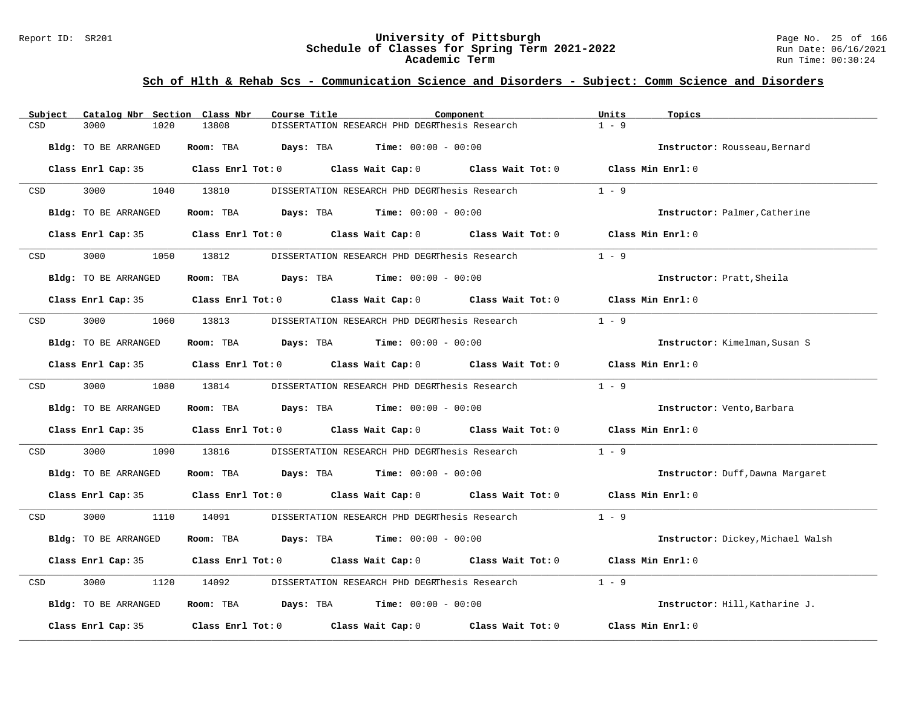#### Report ID: SR201 **University of Pittsburgh** Page No. 25 of 166 **Schedule of Classes for Spring Term 2021-2022** Run Date: 06/16/2021 **Academic Term** Run Time: 00:30:24

| Catalog Nbr Section Class Nbr<br>Subject | Course Title                                                                               | Component | Units<br>Topics                   |
|------------------------------------------|--------------------------------------------------------------------------------------------|-----------|-----------------------------------|
| 3000<br>1020<br>CSD                      | 13808<br>DISSERTATION RESEARCH PHD DEGRThesis Research                                     |           | $1 - 9$                           |
| Bldg: TO BE ARRANGED                     | Room: TBA<br><b>Days:</b> TBA <b>Time:</b> $00:00 - 00:00$                                 |           | Instructor: Rousseau, Bernard     |
|                                          | Class Enrl Cap: 35 Class Enrl Tot: 0 Class Wait Cap: 0 Class Wait Tot: 0                   |           | Class Min Enrl: 0                 |
| 3000<br>CSD                              | 1040 13810<br>DISSERTATION RESEARCH PHD DEGRThesis Research                                |           | $1 - 9$                           |
| Bldg: TO BE ARRANGED                     | Room: TBA $Days:$ TBA $Time: 00:00 - 00:00$                                                |           | Instructor: Palmer, Catherine     |
| Class Enrl Cap: 35                       | Class Enrl Tot: $0$ Class Wait Cap: $0$ Class Wait Tot: $0$                                |           | Class Min Enrl: 0                 |
| 3000<br>CSD                              | 1050 13812<br>DISSERTATION RESEARCH PHD DEGRThesis Research                                |           | $1 - 9$                           |
| Bldg: TO BE ARRANGED                     | Room: TBA $Days:$ TBA $Time: 00:00 - 00:00$                                                |           | Instructor: Pratt, Sheila         |
|                                          | Class Enrl Cap: 35 Class Enrl Tot: 0 Class Wait Cap: 0 Class Wait Tot: 0 Class Min Enrl: 0 |           |                                   |
| 3000<br>1060<br>CSD                      | 13813<br>DISSERTATION RESEARCH PHD DEGRThesis Research                                     |           | $1 - 9$                           |
| Bldg: TO BE ARRANGED                     | Room: TBA $Days:$ TBA $Time: 00:00 - 00:00$                                                |           | Instructor: Kimelman, Susan S     |
|                                          | Class Enrl Cap: 35 Class Enrl Tot: 0 Class Wait Cap: 0 Class Wait Tot: 0 Class Min Enrl: 0 |           |                                   |
| 3000 000<br>CSD                          | DISSERTATION RESEARCH PHD DEGRThesis Research 1 - 9<br>1080 13814                          |           |                                   |
| Bldg: TO BE ARRANGED                     | Room: TBA $Days:$ TBA $Time: 00:00 - 00:00$                                                |           | Instructor: Vento, Barbara        |
|                                          | Class Enrl Cap: 35 Class Enrl Tot: 0 Class Wait Cap: 0 Class Wait Tot: 0 Class Min Enrl: 0 |           |                                   |
| 3000<br>1090<br>CSD                      | 13816<br>DISSERTATION RESEARCH PHD DEGRThesis Research                                     |           | $1 - 9$                           |
| Bldg: TO BE ARRANGED                     | Room: TBA $Days:$ TBA $Time: 00:00 - 00:00$                                                |           | Instructor: Duff, Dawna Margaret  |
|                                          | Class Enrl Cap: 35 Class Enrl Tot: 0 Class Wait Cap: 0 Class Wait Tot: 0 Class Min Enrl: 0 |           |                                   |
| 3000 000<br>CSD                          | 1110 14091<br>DISSERTATION RESEARCH PHD DEGRThesis Research                                |           | $1 - 9$                           |
| Bldg: TO BE ARRANGED                     | Room: TBA $Days:$ TBA $Time: 00:00 - 00:00$                                                |           | Instructor: Dickey, Michael Walsh |
|                                          | Class Enrl Cap: 35 Class Enrl Tot: 0 Class Wait Cap: 0 Class Wait Tot: 0 Class Min Enrl: 0 |           |                                   |
| 3000<br>CSD<br>1120                      | 14092<br>DISSERTATION RESEARCH PHD DEGRThesis Research                                     |           | $1 - 9$                           |
| Bldg: TO BE ARRANGED                     | Room: TBA $Days:$ TBA $Time: 00:00 - 00:00$                                                |           | Instructor: Hill, Katharine J.    |
| Class Enrl Cap: 35                       | Class Enrl Tot: $0$ Class Wait Cap: $0$ Class Wait Tot: $0$                                |           | Class Min Enrl: 0                 |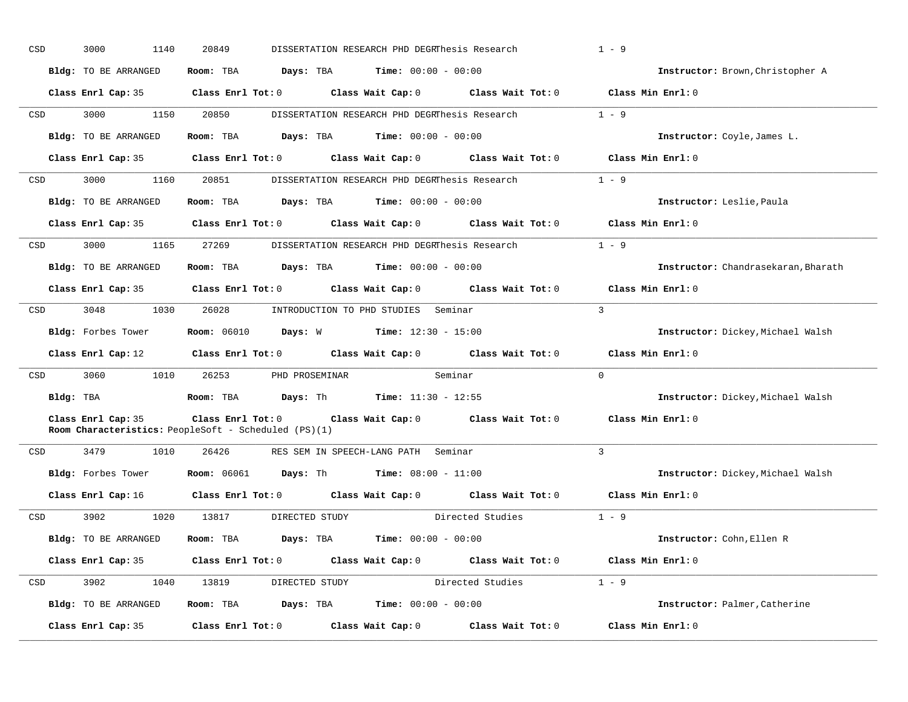| CSD | 3000<br>1140                                                                                | 20849      |  | DISSERTATION RESEARCH PHD DEGRThesis Research                  |                                                                                            | $1 - 9$                             |
|-----|---------------------------------------------------------------------------------------------|------------|--|----------------------------------------------------------------|--------------------------------------------------------------------------------------------|-------------------------------------|
|     | Bldg: TO BE ARRANGED                                                                        |            |  | Room: TBA $Days:$ TBA $Time: 00:00 - 00:00$                    |                                                                                            | Instructor: Brown, Christopher A    |
|     |                                                                                             |            |  |                                                                | Class Enrl Cap: 35 Class Enrl Tot: 0 Class Wait Cap: 0 Class Wait Tot: 0                   | Class Min Enrl: 0                   |
| CSD | 3000                                                                                        | 1150 20850 |  | DISSERTATION RESEARCH PHD DEGRThesis Research                  |                                                                                            | $1 - 9$                             |
|     | Bldg: TO BE ARRANGED                                                                        |            |  | Room: TBA $Days:$ TBA $Time: 00:00 - 00:00$                    |                                                                                            | Instructor: Coyle, James L.         |
|     |                                                                                             |            |  |                                                                | Class Enrl Cap: 35 Class Enrl Tot: 0 Class Wait Cap: 0 Class Wait Tot: 0 Class Min Enrl: 0 |                                     |
| CSD | 3000                                                                                        | 1160 20851 |  | DISSERTATION RESEARCH PHD DEGRThesis Research                  |                                                                                            | $1 - 9$                             |
|     | Bldg: TO BE ARRANGED                                                                        |            |  | Room: TBA $Days:$ TBA $Time: 00:00 - 00:00$                    |                                                                                            | Instructor: Leslie, Paula           |
|     |                                                                                             |            |  |                                                                | Class Enrl Cap: 35 Class Enrl Tot: 0 Class Wait Cap: 0 Class Wait Tot: 0 Class Min Enrl: 0 |                                     |
| CSD | 3000 1165 27269                                                                             |            |  |                                                                | DISSERTATION RESEARCH PHD DEGRThesis Research 1 - 9                                        |                                     |
|     | Bldg: TO BE ARRANGED                                                                        |            |  | Room: TBA $Days:$ TBA $Time: 00:00 - 00:00$                    |                                                                                            | Instructor: Chandrasekaran, Bharath |
|     |                                                                                             |            |  |                                                                | Class Enrl Cap: 35 Class Enrl Tot: 0 Class Wait Cap: 0 Class Wait Tot: 0 Class Min Enrl: 0 |                                     |
| CSD | 3048 1030 26028 INTRODUCTION TO PHD STUDIES Seminar                                         |            |  |                                                                |                                                                                            | $\mathcal{L}$                       |
|     | <b>Bldg:</b> Forbes Tower <b>Room:</b> 06010 <b>Days:</b> W <b>Time:</b> $12:30 - 15:00$    |            |  |                                                                |                                                                                            | Instructor: Dickey, Michael Walsh   |
|     |                                                                                             |            |  |                                                                |                                                                                            |                                     |
|     |                                                                                             |            |  |                                                                | Class Enrl Cap: 12 (Class Enrl Tot: 0 (Class Wait Cap: 0 (Class Wait Tot: 0                | $Class$ Min Enrl: $0$               |
| CSD | 3060 1010 26253 PHD PROSEMINAR                                                              |            |  | Seminar                                                        |                                                                                            | $\Omega$                            |
|     | Bldg: TBA                   Room: TBA         Days: Th         Time: 11:30 - 12:55          |            |  |                                                                |                                                                                            | Instructor: Dickey, Michael Walsh   |
|     | Class Enrl Cap: 35<br>Room Characteristics: PeopleSoft - Scheduled (PS)(1)                  |            |  |                                                                | Class Enrl Tot: 0 Class Wait Cap: 0 Class Wait Tot: 0                                      | Class Min Enrl: 0                   |
| CSD | 3479<br>1010                                                                                | 26426      |  | RES SEM IN SPEECH-LANG PATH Seminar                            |                                                                                            | $\mathcal{L}$                       |
|     | <b>Bldg:</b> Forbes Tower <b>Room:</b> $06061$ <b>Days:</b> Th <b>Time:</b> $08:00 - 11:00$ |            |  |                                                                |                                                                                            | Instructor: Dickey, Michael Walsh   |
|     |                                                                                             |            |  |                                                                | Class Enrl Cap: 16 Class Enrl Tot: 0 Class Wait Cap: 0 Class Wait Tot: 0 Class Min Enrl: 0 |                                     |
| CSD | 3902 200                                                                                    |            |  |                                                                | 1020 13817 DIRECTED STUDY Directed Studies 1 - 9                                           |                                     |
|     | Bldg: TO BE ARRANGED                                                                        |            |  | Room: TBA $Days:$ TBA $Time: 00:00 - 00:00$                    |                                                                                            | Instructor: Cohn, Ellen R           |
|     |                                                                                             |            |  |                                                                | Class Enrl Cap: 35 Class Enrl Tot: 0 Class Wait Cap: 0 Class Wait Tot: 0 Class Min Enrl: 0 |                                     |
| CSD |                                                                                             |            |  |                                                                | 3902 1040 13819 DIRECTED STUDY Directed Studies 1 - 9                                      |                                     |
|     | Bldg: TO BE ARRANGED                                                                        |            |  | Room: TBA $\rule{1em}{0.15mm}$ Days: TBA Time: $00:00 - 00:00$ |                                                                                            | Instructor: Palmer, Catherine       |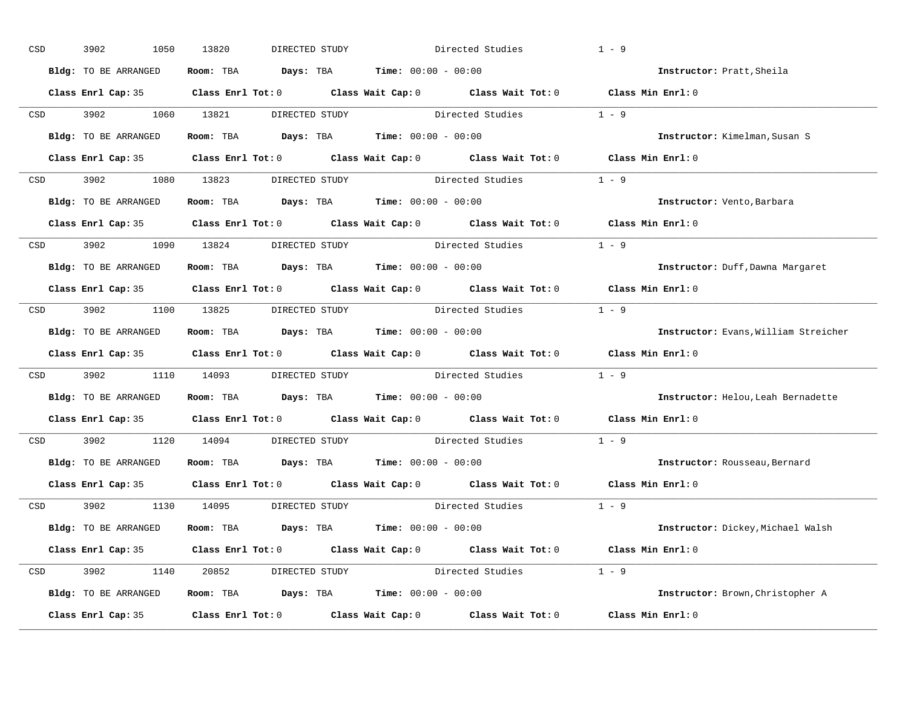| CSD |                  | 3902<br>1050         | 13820<br>DIRECTED STUDY                                      | Directed Studies                                                                           | $1 - 9$                              |
|-----|------------------|----------------------|--------------------------------------------------------------|--------------------------------------------------------------------------------------------|--------------------------------------|
|     |                  | Bldg: TO BE ARRANGED | Room: TBA $Days:$ TBA $Time: 00:00 - 00:00$                  |                                                                                            | Instructor: Pratt, Sheila            |
|     |                  |                      |                                                              | Class Enrl Cap: 35 Class Enrl Tot: 0 Class Wait Cap: 0 Class Wait Tot: 0 Class Min Enrl: 0 |                                      |
|     |                  | CSD 3902 1060 13821  |                                                              | DIRECTED STUDY Directed Studies                                                            | $1 - 9$                              |
|     |                  | Bldg: TO BE ARRANGED | Room: TBA $Days:$ TBA Time: $00:00 - 00:00$                  |                                                                                            | Instructor: Kimelman, Susan S        |
|     |                  |                      |                                                              | Class Enrl Cap: 35 Class Enrl Tot: 0 Class Wait Cap: 0 Class Wait Tot: 0 Class Min Enrl: 0 |                                      |
|     |                  |                      |                                                              | CSD 3902 1080 13823 DIRECTED STUDY Directed Studies 1 - 9                                  |                                      |
|     |                  | Bldg: TO BE ARRANGED | Room: TBA $Days:$ TBA $Time: 00:00 - 00:00$                  |                                                                                            | Instructor: Vento, Barbara           |
|     |                  |                      |                                                              | Class Enrl Cap: 35 Class Enrl Tot: 0 Class Wait Cap: 0 Class Wait Tot: 0 Class Min Enrl: 0 |                                      |
|     |                  |                      | CSD 3902 1090 13824 DIRECTED STUDY                           | Directed Studies                                                                           | $1 - 9$                              |
|     |                  | Bldg: TO BE ARRANGED | Room: TBA $Days:$ TBA $Time: 00:00 - 00:00$                  |                                                                                            | Instructor: Duff, Dawna Margaret     |
|     |                  |                      |                                                              | Class Enrl Cap: 35 Class Enrl Tot: 0 Class Wait Cap: 0 Class Wait Tot: 0 Class Min Enrl: 0 |                                      |
|     |                  |                      |                                                              | CSD 3902 1100 13825 DIRECTED STUDY Directed Studies 1 - 9                                  |                                      |
|     |                  | Bldg: TO BE ARRANGED | Room: TBA $Days:$ TBA $Time: 00:00 - 00:00$                  |                                                                                            | Instructor: Evans, William Streicher |
|     |                  |                      |                                                              | Class Enrl Cap: 35 Class Enrl Tot: 0 Class Wait Cap: 0 Class Wait Tot: 0 Class Min Enrl: 0 |                                      |
|     | CSD <sub>c</sub> |                      |                                                              | 3902 1110 14093 DIRECTED STUDY Directed Studies 1 - 9                                      |                                      |
|     |                  | Bldg: TO BE ARRANGED | Room: TBA $Days:$ TBA $Time: 00:00 - 00:00$                  |                                                                                            | Instructor: Helou, Leah Bernadette   |
|     |                  |                      |                                                              | Class Enrl Cap: 35 Class Enrl Tot: 0 Class Wait Cap: 0 Class Wait Tot: 0                   | Class Min Enrl: 0                    |
|     | CSD              | 3902 1120 14094      |                                                              | DIRECTED STUDY Directed Studies                                                            | $1 - 9$                              |
|     |                  |                      | Bldg: TO BE ARRANGED Room: TBA Days: TBA Time: 00:00 - 00:00 |                                                                                            | Instructor: Rousseau, Bernard        |
|     |                  |                      |                                                              | Class Enrl Cap: 35 Class Enrl Tot: 0 Class Wait Cap: 0 Class Wait Tot: 0                   | Class Min Enrl: 0                    |
|     |                  |                      | CSD 3902 1130 14095 DIRECTED STUDY                           | Directed Studies 1 - 9                                                                     |                                      |
|     |                  | Bldg: TO BE ARRANGED | Room: TBA $Days:$ TBA $Time: 00:00 - 00:00$                  |                                                                                            | Instructor: Dickey, Michael Walsh    |
|     |                  |                      |                                                              | Class Enrl Cap: 35 Class Enrl Tot: 0 Class Wait Cap: 0 Class Wait Tot: 0 Class Min Enrl: 0 |                                      |
|     |                  |                      |                                                              | CSD 3902 1140 20852 DIRECTED STUDY Directed Studies 1 - 9                                  |                                      |
|     |                  | Bldg: TO BE ARRANGED | Room: TBA $Days:$ TBA $Time: 00:00 - 00:00$                  |                                                                                            | Instructor: Brown, Christopher A     |
|     |                  | Class Enrl Cap: 35   |                                                              | Class Enrl Tot: $0$ Class Wait Cap: $0$ Class Wait Tot: $0$                                | Class Min Enrl: 0                    |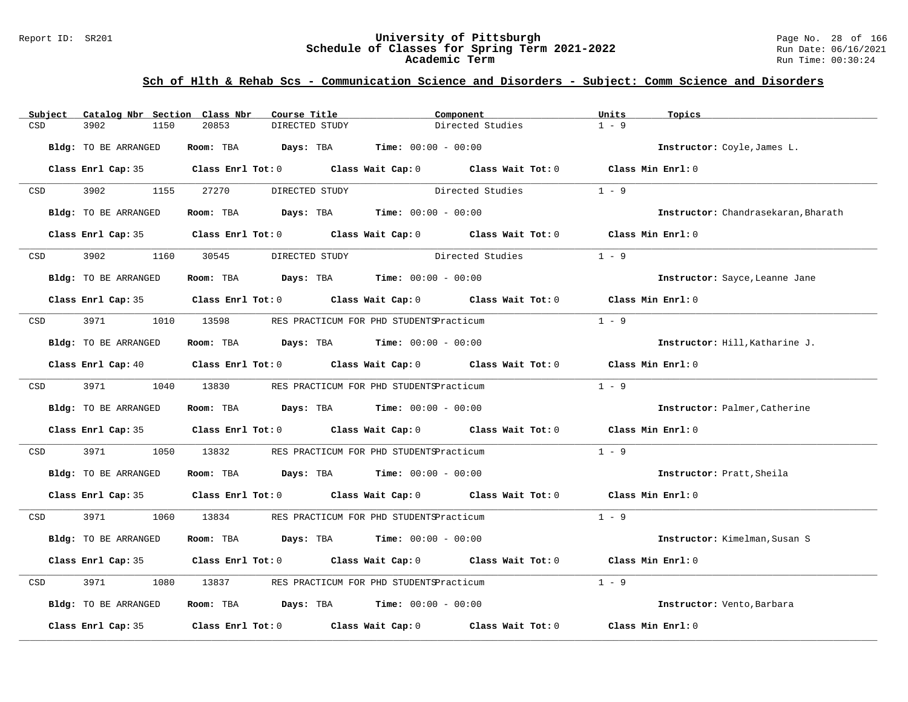#### Report ID: SR201 **University of Pittsburgh** Page No. 28 of 166 **Schedule of Classes for Spring Term 2021-2022** Run Date: 06/16/2021 **Academic Term** Run Time: 00:30:24

| Subject | Catalog Nbr Section Class Nbr | Course Title            |                                                                                                                                | Component         | Units<br>Topics                     |  |
|---------|-------------------------------|-------------------------|--------------------------------------------------------------------------------------------------------------------------------|-------------------|-------------------------------------|--|
| CSD     | 3902<br>1150                  | 20853<br>DIRECTED STUDY |                                                                                                                                | Directed Studies  | $1 - 9$                             |  |
|         | Bldg: TO BE ARRANGED          | Days: TBA<br>Room: TBA  | <b>Time:</b> $00:00 - 00:00$                                                                                                   |                   | Instructor: Coyle, James L.         |  |
|         |                               |                         | Class Enrl Cap: 35 Class Enrl Tot: 0 Class Wait Cap: 0 Class Wait Tot: 0 Class Min Enrl: 0                                     |                   |                                     |  |
| CSD     | 3902<br>1155                  | 27270                   | DIRECTED STUDY                                                                                                                 | Directed Studies  | $1 - 9$                             |  |
|         | Bldg: TO BE ARRANGED          | Room: TBA               | <b>Days:</b> TBA <b>Time:</b> $00:00 - 00:00$                                                                                  |                   | Instructor: Chandrasekaran, Bharath |  |
|         |                               |                         | Class Enrl Cap: 35 Class Enrl Tot: 0 Class Wait Cap: 0 Class Wait Tot: 0 Class Min Enrl: 0                                     |                   |                                     |  |
| CSD     | 3902                          | 1160 30545              | DIRECTED STUDY                                                                                                                 | Directed Studies  | $1 - 9$                             |  |
|         | Bldg: TO BE ARRANGED          |                         | Room: TBA $\rule{1em}{0.15mm}$ Days: TBA $\rule{1.5mm}{0.15mm}$ Time: $00:00 - 00:00$                                          |                   | Instructor: Sayce, Leanne Jane      |  |
|         |                               |                         | Class Enrl Cap: 35 Class Enrl Tot: 0 Class Wait Cap: 0 Class Wait Tot: 0 Class Min Enrl: 0                                     |                   |                                     |  |
| CSD     | 3971                          | 1010 13598              | RES PRACTICUM FOR PHD STUDENTSPracticum                                                                                        |                   | $1 - 9$                             |  |
|         | Bldg: TO BE ARRANGED          |                         | Room: TBA $Days:$ TBA $Time: 00:00 - 00:00$                                                                                    |                   | Instructor: Hill, Katharine J.      |  |
|         |                               |                         | Class Enrl Cap: 40 $\qquad$ Class Enrl Tot: 0 $\qquad$ Class Wait Cap: 0 $\qquad$ Class Wait Tot: 0 $\qquad$ Class Min Enrl: 0 |                   |                                     |  |
|         | CSD 3971                      | 1040 13830              | RES PRACTICUM FOR PHD STUDENTSPracticum                                                                                        |                   | $1 - 9$                             |  |
|         | Bldg: TO BE ARRANGED          |                         | Room: TBA $Days:$ TBA $Time: 00:00 - 00:00$                                                                                    |                   | Instructor: Palmer, Catherine       |  |
|         |                               |                         | Class Enrl Cap: 35 Class Enrl Tot: 0 Class Wait Cap: 0 Class Wait Tot: 0                                                       |                   | Class Min Enrl: 0                   |  |
| CSD     | 3971<br>1050                  | 13832                   | RES PRACTICUM FOR PHD STUDENTSPracticum                                                                                        |                   | $1 - 9$                             |  |
|         | Bldg: TO BE ARRANGED          |                         | Room: TBA $Days:$ TBA $Time: 00:00 - 00:00$                                                                                    |                   | Instructor: Pratt, Sheila           |  |
|         |                               |                         | Class Enrl Cap: 35 Class Enrl Tot: 0 Class Wait Cap: 0 Class Wait Tot: 0 Class Min Enrl: 0                                     |                   |                                     |  |
| CSD     | 3971                          | 1060 13834              | RES PRACTICUM FOR PHD STUDENTSPracticum                                                                                        |                   | $1 - 9$                             |  |
|         | Bldg: TO BE ARRANGED          |                         | Room: TBA $Days:$ TBA $Time: 00:00 - 00:00$                                                                                    |                   | Instructor: Kimelman, Susan S       |  |
|         |                               |                         | Class Enrl Cap: 35 Class Enrl Tot: 0 Class Wait Cap: 0 Class Wait Tot: 0                                                       |                   | Class Min Enrl: 0                   |  |
| CSD     | 3971<br>1080                  | 13837                   | RES PRACTICUM FOR PHD STUDENTSPracticum                                                                                        |                   | $1 - 9$                             |  |
|         | Bldg: TO BE ARRANGED          |                         | Room: TBA $Days: TBA$ Time: $00:00 - 00:00$                                                                                    |                   | Instructor: Vento, Barbara          |  |
|         | Class Enrl Cap: 35            |                         | Class Enrl Tot: $0$ Class Wait Cap: $0$                                                                                        | Class Wait Tot: 0 | Class Min Enrl: 0                   |  |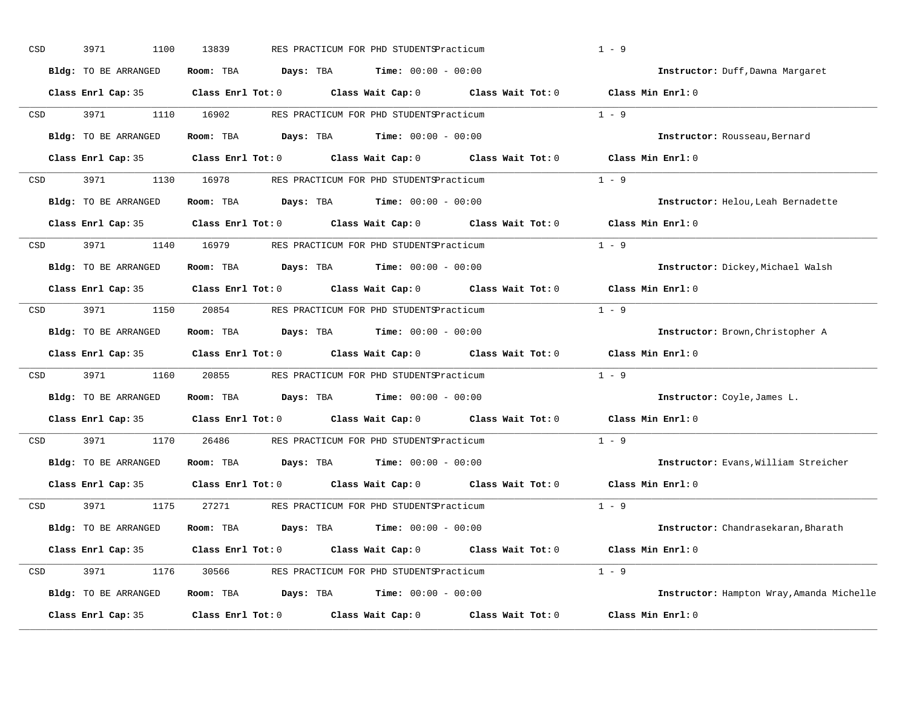| CSD | 3971<br>1100                | 13839                   | RES PRACTICUM FOR PHD STUDENTSPracticum       |                                                       | $1 - 9$                                   |
|-----|-----------------------------|-------------------------|-----------------------------------------------|-------------------------------------------------------|-------------------------------------------|
|     | <b>Bldg:</b> TO BE ARRANGED | Room: TBA<br>Days: TBA  | <b>Time:</b> $00:00 - 00:00$                  |                                                       | Instructor: Duff, Dawna Margaret          |
|     | Class Enrl Cap: 35          | $Class$ $Enrl$ $Tot: 0$ | Class Wait Cap: 0                             | Class Wait Tot: 0                                     | Class Min Enrl: 0                         |
| CSD | 3971<br>1110                | 16902                   | RES PRACTICUM FOR PHD STUDENTSPracticum       |                                                       | $1 - 9$                                   |
|     | <b>Bldg:</b> TO BE ARRANGED | Room: TBA<br>Days: TBA  | <b>Time:</b> $00:00 - 00:00$                  |                                                       | Instructor: Rousseau, Bernard             |
|     | Class Enrl Cap: 35          | $Class$ $Enr1$ $Tot: 0$ |                                               | Class Wait Cap: 0 Class Wait Tot: 0 Class Min Enrl: 0 |                                           |
| CSD | 3971<br>1130                | 16978                   | RES PRACTICUM FOR PHD STUDENTSPracticum       |                                                       | $1 - 9$                                   |
|     | Bldg: TO BE ARRANGED        | Room: TBA               | Days: TBA<br>$Time: 00:00 - 00:00$            |                                                       | Instructor: Helou, Leah Bernadette        |
|     | Class Enrl Cap: 35          | $Class$ $Enrl$ $Tot: 0$ |                                               | Class Wait Cap: 0 Class Wait Tot: 0                   | Class Min $Enr1:0$                        |
| CSD | 3971<br>1140                | 16979                   | RES PRACTICUM FOR PHD STUDENTSPracticum       |                                                       | $1 - 9$                                   |
|     | Bldg: TO BE ARRANGED        | Room: TBA               | Days: TBA<br><b>Time:</b> $00:00 - 00:00$     |                                                       | Instructor: Dickey, Michael Walsh         |
|     | Class Enrl Cap: 35          | Class Enrl Tot: 0       | Class Wait Cap: 0 Class Wait Tot: 0           |                                                       | Class Min Enrl: 0                         |
| CSD | 3971<br>1150                | 20854                   | RES PRACTICUM FOR PHD STUDENTSPracticum       |                                                       | $1 - 9$                                   |
|     | Bldg: TO BE ARRANGED        | Room: TBA               | <b>Days:</b> TBA <b>Time:</b> $00:00 - 00:00$ |                                                       | Instructor: Brown, Christopher A          |
|     | Class Enrl Cap: 35          | Class Enrl Tot: 0       | Class Wait Cap: 0 Class Wait Tot: 0           |                                                       | Class Min Enrl: 0                         |
| CSD | 3971<br>1160                | 20855                   | RES PRACTICUM FOR PHD STUDENTSPracticum       |                                                       | $1 - 9$                                   |
|     | Bldg: TO BE ARRANGED        | Room: TBA               | <b>Days:</b> TBA <b>Time:</b> $00:00 - 00:00$ |                                                       | Instructor: Coyle, James L.               |
|     | Class Enrl Cap: 35          | $Class$ $Enrl$ $Tot: 0$ | Class Wait Cap: 0                             | Class Wait Tot: 0                                     | Class Min Enrl: 0                         |
| CSD | 3971<br>1170                | 26486                   | RES PRACTICUM FOR PHD STUDENTSPracticum       |                                                       | $1 - 9$                                   |
|     | Bldg: TO BE ARRANGED        | Room: TBA               | <b>Days:</b> TBA <b>Time:</b> $00:00 - 00:00$ |                                                       | Instructor: Evans, William Streicher      |
|     | Class Enrl Cap: 35          | $Class$ $Enr1$ $Tot: 0$ | Class Wait Cap: 0 Class Wait Tot: 0           |                                                       | Class Min Enrl: 0                         |
| CSD | 3971<br>1175                | 27271                   | RES PRACTICUM FOR PHD STUDENTSPracticum       |                                                       | $1 - 9$                                   |
|     | <b>Bldg:</b> TO BE ARRANGED | Room: TBA               | <b>Days:</b> TBA <b>Time:</b> $00:00 - 00:00$ |                                                       | Instructor: Chandrasekaran, Bharath       |
|     | Class Enrl Cap: 35          | $Class$ $Enr1$ $Tot: 0$ | Class Wait Cap: 0                             | Class Wait Tot: 0                                     | Class Min Enrl: 0                         |
| CSD | 3971<br>1176                | 30566                   | RES PRACTICUM FOR PHD STUDENTSPracticum       |                                                       | $1 - 9$                                   |
|     | Bldg: TO BE ARRANGED        | Days: TBA<br>Room: TBA  | $Time: 00:00 - 00:00$                         |                                                       | Instructor: Hampton Wray, Amanda Michelle |
|     |                             |                         |                                               |                                                       |                                           |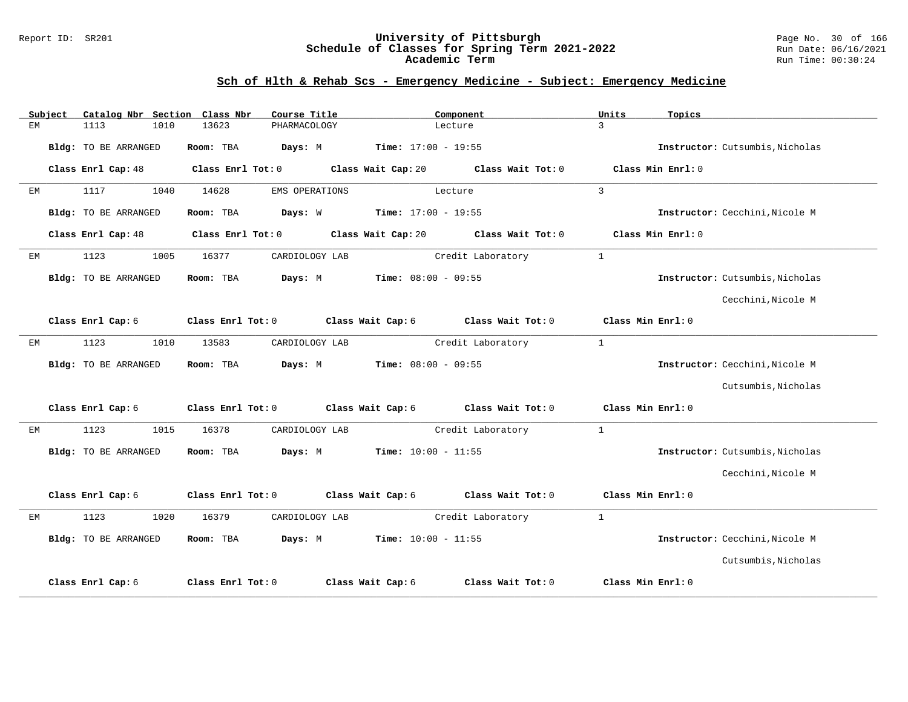#### Report ID: SR201 **University of Pittsburgh** Page No. 30 of 166 **Schedule of Classes for Spring Term 2021-2022** Run Date: 06/16/2021 **Academic Term** Run Time: 00:30:24

|    | Subject |                             |      | Catalog Nbr Section Class Nbr | Course Title   |                              | Component         | Units             | Topics                          |
|----|---------|-----------------------------|------|-------------------------------|----------------|------------------------------|-------------------|-------------------|---------------------------------|
| EM |         | 1113                        | 1010 | 13623                         | PHARMACOLOGY   |                              | Lecture           | $\mathbf{z}$      |                                 |
|    |         | Bldg: TO BE ARRANGED        |      | Room: TBA                     | Days: M        | $Time: 17:00 - 19:55$        |                   |                   | Instructor: Cutsumbis, Nicholas |
|    |         | Class Enrl Cap: 48          |      | Class Enrl Tot: 0             |                | Class Wait Cap: 20           | Class Wait Tot: 0 |                   | Class Min Enrl: 0               |
| ЕM |         | 1117                        | 1040 | 14628                         | EMS OPERATIONS |                              | Lecture           | $\overline{3}$    |                                 |
|    |         | <b>Bldg:</b> TO BE ARRANGED |      | Room: TBA                     | Days: W        | $Time: 17:00 - 19:55$        |                   |                   | Instructor: Cecchini, Nicole M  |
|    |         | Class Enrl Cap: 48          |      | Class Enrl Tot: 0             |                | Class Wait Cap: 20           | Class Wait Tot: 0 |                   | Class Min Enrl: 0               |
| ЕM |         | 1123                        | 1005 | 16377                         | CARDIOLOGY LAB |                              | Credit Laboratory | $\mathbf{1}$      |                                 |
|    |         | Bldg: TO BE ARRANGED        |      | Room: TBA                     | Days: M        | $Time: 08:00 - 09:55$        |                   |                   | Instructor: Cutsumbis, Nicholas |
|    |         |                             |      |                               |                |                              |                   |                   | Cecchini, Nicole M              |
|    |         | Class Enrl Cap: 6           |      | Class Enrl Tot: 0             |                | Class Wait Cap: 6            | Class Wait Tot: 0 | Class Min Enrl: 0 |                                 |
| EМ |         | 1123                        | 1010 | 13583                         | CARDIOLOGY LAB |                              | Credit Laboratory | $\mathbf{1}$      |                                 |
|    |         | Bldg: TO BE ARRANGED        |      | Room: TBA                     | Days: M        | $Time: 08:00 - 09:55$        |                   |                   | Instructor: Cecchini, Nicole M  |
|    |         |                             |      |                               |                |                              |                   |                   | Cutsumbis, Nicholas             |
|    |         | Class Enrl Cap: 6           |      | Class Enrl Tot: 0             |                | Class Wait Cap: 6            | Class Wait Tot: 0 |                   | Class Min Enrl: 0               |
| EM |         | 1123                        | 1015 | 16378                         | CARDIOLOGY LAB |                              | Credit Laboratory | $\mathbf{1}$      |                                 |
|    |         | Bldg: TO BE ARRANGED        |      | Room: TBA                     | Days: M        | <b>Time:</b> $10:00 - 11:55$ |                   |                   | Instructor: Cutsumbis, Nicholas |
|    |         |                             |      |                               |                |                              |                   |                   | Cecchini, Nicole M              |
|    |         | Class Enrl Cap: 6           |      | Class Enrl Tot: 0             |                | Class Wait Cap: 6            | Class Wait Tot: 0 | Class Min Enrl: 0 |                                 |
| ЕM |         | 1123                        | 1020 | 16379                         | CARDIOLOGY LAB |                              | Credit Laboratory | $\mathbf{1}$      |                                 |
|    |         | Bldg: TO BE ARRANGED        |      | Room: TBA                     | Days: M        | $Time: 10:00 - 11:55$        |                   |                   | Instructor: Cecchini, Nicole M  |
|    |         |                             |      |                               |                |                              |                   |                   | Cutsumbis, Nicholas             |
|    |         | Class Enrl Cap: 6           |      | Class Enrl Tot: 0             |                | Class Wait Cap: 6            | Class Wait Tot: 0 |                   | Class Min Enrl: 0               |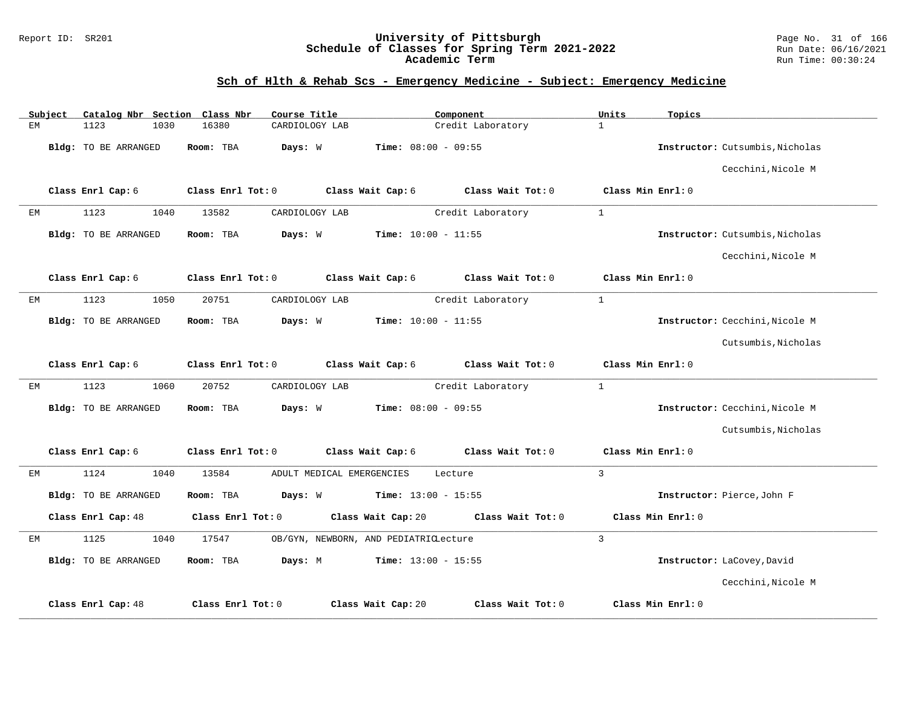### Report ID: SR201 **University of Pittsburgh** Page No. 31 of 166 **Schedule of Classes for Spring Term 2021-2022** Run Date: 06/16/2021 **Academic Term** Run Time: 00:30:24

|    | Subject | Catalog Nbr Section Class Nbr |      |                   | Course Title                          |                              | Component         | Units          | Topics            |                                 |
|----|---------|-------------------------------|------|-------------------|---------------------------------------|------------------------------|-------------------|----------------|-------------------|---------------------------------|
| ЕM |         | 1123                          | 1030 | 16380             | CARDIOLOGY LAB                        |                              | Credit Laboratory | $\mathbf{1}$   |                   |                                 |
|    |         | Bldg: TO BE ARRANGED          |      | Room: TBA         | Days: W                               | <b>Time:</b> $08:00 - 09:55$ |                   |                |                   | Instructor: Cutsumbis, Nicholas |
|    |         |                               |      |                   |                                       |                              |                   |                |                   | Cecchini, Nicole M              |
|    |         | Class Enrl Cap: 6             |      | Class Enrl Tot: 0 |                                       | Class Wait Cap: 6            | Class Wait Tot: 0 |                | Class Min Enrl: 0 |                                 |
| ЕM |         | 1123                          | 1040 | 13582             | CARDIOLOGY LAB                        |                              | Credit Laboratory | $\mathbf{1}$   |                   |                                 |
|    |         | Bldg: TO BE ARRANGED          |      | Room: TBA         | Days: W                               | <b>Time:</b> $10:00 - 11:55$ |                   |                |                   | Instructor: Cutsumbis, Nicholas |
|    |         |                               |      |                   |                                       |                              |                   |                |                   | Cecchini, Nicole M              |
|    |         | Class Enrl Cap: 6             |      | Class Enrl Tot: 0 |                                       | Class Wait Cap: 6            | Class Wait Tot: 0 |                | Class Min Enrl: 0 |                                 |
| ЕM |         | 1123                          | 1050 | 20751             | CARDIOLOGY LAB                        |                              | Credit Laboratory | $\mathbf{1}$   |                   |                                 |
|    |         | Bldg: TO BE ARRANGED          |      | Room: TBA         | Days: W                               | <b>Time:</b> $10:00 - 11:55$ |                   |                |                   | Instructor: Cecchini, Nicole M  |
|    |         |                               |      |                   |                                       |                              |                   |                |                   | Cutsumbis, Nicholas             |
|    |         | Class Enrl Cap: 6             |      | Class Enrl Tot: 0 |                                       | Class Wait Cap: 6            | Class Wait Tot: 0 |                | Class Min Enrl: 0 |                                 |
| EМ |         | 1123                          | 1060 | 20752             | CARDIOLOGY LAB                        |                              | Credit Laboratory | $\mathbf{1}$   |                   |                                 |
|    |         | Bldg: TO BE ARRANGED          |      | Room: TBA         | Days: W                               | $Time: 08:00 - 09:55$        |                   |                |                   | Instructor: Cecchini, Nicole M  |
|    |         |                               |      |                   |                                       |                              |                   |                |                   | Cutsumbis, Nicholas             |
|    |         | Class Enrl Cap: 6             |      | Class Enrl Tot: 0 |                                       | Class Wait Cap: 6            | Class Wait Tot: 0 |                | Class Min Enrl: 0 |                                 |
| ЕM |         | 1124                          | 1040 | 13584             | ADULT MEDICAL EMERGENCIES             |                              | Lecture           | $\overline{3}$ |                   |                                 |
|    |         | Bldg: TO BE ARRANGED          |      | Room: TBA         | Days: W                               | Time: $13:00 - 15:55$        |                   |                |                   | Instructor: Pierce, John F      |
|    |         | Class Enrl Cap: 48            |      | Class Enrl Tot: 0 |                                       | Class Wait Cap: 20           | Class Wait Tot: 0 |                | Class Min Enrl: 0 |                                 |
| ЕM |         | 1125                          | 1040 | 17547             | OB/GYN, NEWBORN, AND PEDIATRICLecture |                              |                   | 3              |                   |                                 |
|    |         | Bldg: TO BE ARRANGED          |      | Room: TBA         | Days: M                               | <b>Time:</b> $13:00 - 15:55$ |                   |                |                   | Instructor: LaCovey, David      |
|    |         |                               |      |                   |                                       |                              |                   |                |                   | Cecchini, Nicole M              |
|    |         | Class Enrl Cap: 48            |      | Class Enrl Tot: 0 |                                       | Class Wait Cap: 20           | Class Wait Tot: 0 |                | Class Min Enrl: 0 |                                 |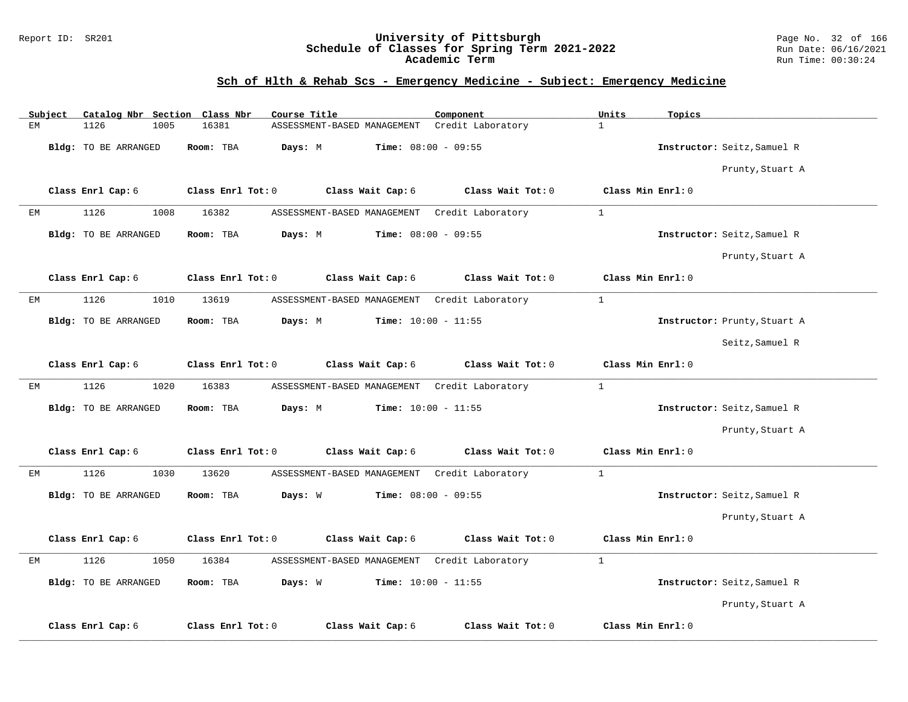#### Report ID: SR201 **University of Pittsburgh** Page No. 32 of 166 **Schedule of Classes for Spring Term 2021-2022** Run Date: 06/16/2021 **Academic Term** Run Time: 00:30:24

| Subject | Catalog Nbr Section Class Nbr | Course Title                                            | Component         | Units<br>Topics              |
|---------|-------------------------------|---------------------------------------------------------|-------------------|------------------------------|
| EM      | 1126<br>1005                  | 16381<br>ASSESSMENT-BASED MANAGEMENT  Credit Laboratory |                   | $\mathbf{1}$                 |
|         | Bldg: TO BE ARRANGED          | Room: TBA<br>Days: M<br><b>Time:</b> $08:00 - 09:55$    |                   | Instructor: Seitz, Samuel R  |
|         |                               |                                                         |                   | Prunty, Stuart A             |
|         | Class Enrl Cap: 6             | Class Enrl Tot: 0<br>Class Wait Cap: 6                  | Class Wait Tot: 0 | Class Min Enrl: 0            |
| ЕM      | 1126<br>1008                  | 16382<br>ASSESSMENT-BASED MANAGEMENT                    | Credit Laboratory | $\mathbf{1}$                 |
|         | Bldg: TO BE ARRANGED          | Room: TBA<br>Days: M<br>Time: $08:00 - 09:55$           |                   | Instructor: Seitz, Samuel R  |
|         |                               |                                                         |                   | Prunty, Stuart A             |
|         | Class Enrl Cap: 6             | Class Enrl Tot: 0<br>Class Wait Cap: 6                  | Class Wait Tot: 0 | Class Min Enrl: 0            |
| ЕM      | 1126<br>1010                  | 13619<br>ASSESSMENT-BASED MANAGEMENT                    | Credit Laboratory | $\mathbf{1}$                 |
|         | <b>Bldg:</b> TO BE ARRANGED   | Room: TBA<br>Days: M<br><b>Time:</b> $10:00 - 11:55$    |                   | Instructor: Prunty, Stuart A |
|         |                               |                                                         |                   | Seitz, Samuel R              |
|         | Class Enrl Cap: 6             | Class Enrl Tot: 0<br>Class Wait Cap: 6                  | Class Wait Tot: 0 | Class Min Enrl: 0            |
| EМ      | 1126<br>1020                  | 16383<br>ASSESSMENT-BASED MANAGEMENT                    | Credit Laboratory | $\mathbf{1}$                 |
|         | Bldg: TO BE ARRANGED          | Room: TBA<br>Days: M<br>$Time: 10:00 - 11:55$           |                   | Instructor: Seitz, Samuel R  |
|         |                               |                                                         |                   | Prunty, Stuart A             |
|         | Class Enrl Cap: 6             | Class Enrl Tot: 0<br>Class Wait Cap: 6                  | Class Wait Tot: 0 | Class Min Enrl: 0            |
| ЕM      | 1126<br>1030                  | 13620<br>ASSESSMENT-BASED MANAGEMENT                    | Credit Laboratory | $\mathbf{1}$                 |
|         | <b>Bldg:</b> TO BE ARRANGED   | Time: $08:00 - 09:55$<br>Room: TBA<br>Days: W           |                   | Instructor: Seitz, Samuel R  |
|         |                               |                                                         |                   | Prunty, Stuart A             |
|         | Class Enrl Cap: 6             | Class Enrl Tot: 0<br>Class Wait Cap: 6                  | Class Wait Tot: 0 | Class Min Enrl: 0            |
| ЕM      | 1126<br>1050                  | 16384<br>ASSESSMENT-BASED MANAGEMENT                    | Credit Laboratory | $\mathbf{1}$                 |
|         | Bldg: TO BE ARRANGED          | Room: TBA<br>Days: W<br><b>Time:</b> $10:00 - 11:55$    |                   | Instructor: Seitz, Samuel R  |
|         |                               |                                                         |                   | Prunty, Stuart A             |
|         | Class Enrl Cap: 6             | Class Enrl Tot: 0<br>Class Wait Cap: 6                  | Class Wait Tot: 0 | Class Min Enrl: 0            |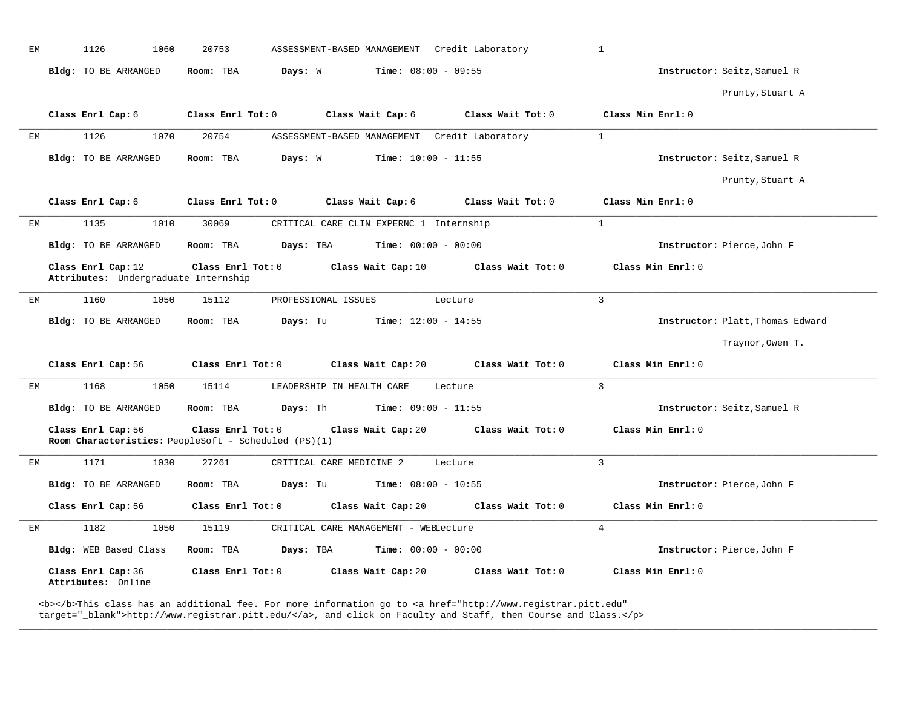| EМ | 1126<br>1060                                               | 20753<br>ASSESSMENT-BASED MANAGEMENT  Credit Laboratory                                                              | $\mathbf{1}$                     |
|----|------------------------------------------------------------|----------------------------------------------------------------------------------------------------------------------|----------------------------------|
|    | Bldg: TO BE ARRANGED                                       | Room: TBA<br>Days: W<br><b>Time:</b> $08:00 - 09:55$                                                                 | Instructor: Seitz, Samuel R      |
|    |                                                            |                                                                                                                      | Prunty, Stuart A                 |
|    | Class Enrl Cap: 6                                          | Class Enrl Tot: 0<br>Class Wait Cap: 6<br>Class Wait Tot: 0                                                          | Class Min Enrl: 0                |
| EМ | 1126<br>1070                                               | 20754<br>Credit Laboratory<br>ASSESSMENT-BASED MANAGEMENT                                                            | $\mathbf{1}$                     |
|    | Bldg: TO BE ARRANGED                                       | Room: TBA<br>Days: W<br><b>Time:</b> $10:00 - 11:55$                                                                 | Instructor: Seitz, Samuel R      |
|    |                                                            |                                                                                                                      | Prunty, Stuart A                 |
|    | Class Enrl Cap: 6                                          | Class Enrl Tot: 0<br>Class Wait Cap: 6<br>Class Wait Tot: 0                                                          | Class Min Enrl: 0                |
| EM | 1135<br>1010                                               | 30069<br>CRITICAL CARE CLIN EXPERNC 1 Internship                                                                     | $\mathbf{1}$                     |
|    | Bldg: TO BE ARRANGED                                       | Room: TBA<br>Days: TBA<br><b>Time:</b> $00:00 - 00:00$                                                               | Instructor: Pierce, John F       |
|    | Class Enrl Cap: 12<br>Attributes: Undergraduate Internship | Class Enrl Tot: 0<br>Class Wait Cap: 10<br>Class Wait Tot: 0                                                         | Class Min Enrl: 0                |
| EM | 1160<br>1050                                               | 15112<br>PROFESSIONAL ISSUES<br>Lecture                                                                              | $\mathcal{E}$                    |
|    | Bldg: TO BE ARRANGED                                       | Room: TBA<br>Days: Tu<br><b>Time:</b> $12:00 - 14:55$                                                                | Instructor: Platt, Thomas Edward |
|    |                                                            |                                                                                                                      | Traynor, Owen T.                 |
|    | Class Enrl Cap: 56                                         | Class Wait Cap: 20<br>Class Wait Tot: 0<br>Class Enrl Tot: 0                                                         | Class Min Enrl: 0                |
| EМ | 1050<br>1168                                               | 15114<br>LEADERSHIP IN HEALTH CARE<br>Lecture                                                                        | $\overline{3}$                   |
|    | Bldg: TO BE ARRANGED                                       | Room: TBA<br>Days: Th<br>$Time: 09:00 - 11:55$                                                                       | Instructor: Seitz, Samuel R      |
|    | Class Enrl Cap: 56                                         | Class Enrl Tot: 0<br>Class Wait Cap: 20<br>Class Wait Tot: 0<br>Room Characteristics: PeopleSoft - Scheduled (PS)(1) | Class Min Enrl: 0                |
| EM | 1171<br>1030                                               | 27261<br>CRITICAL CARE MEDICINE 2<br>Lecture                                                                         | $\overline{3}$                   |
|    | Bldg: TO BE ARRANGED                                       | <b>Time:</b> $08:00 - 10:55$<br>Room: TBA<br>Days: Tu                                                                | Instructor: Pierce, John F       |
|    | Class Enrl Cap: 56                                         | Class Enrl Tot: 0<br>Class Wait Cap: 20<br>Class Wait Tot: 0                                                         | Class Min Enrl: 0                |
| EМ | 1182<br>1050                                               | 15119<br>CRITICAL CARE MANAGEMENT - WEBLecture                                                                       | $\overline{4}$                   |
|    | Bldg: WEB Based Class                                      | <b>Time:</b> $00:00 - 00:00$<br>Room: TBA<br>Days: TBA                                                               | Instructor: Pierce, John F       |
|    | Class Enrl Cap: 36<br>Attributes: Online                   | Class Enrl Tot: 0<br>Class Wait Cap: 20<br>Class Wait Tot: 0                                                         | Class Min Enrl: 0                |

**\_\_\_\_\_\_\_\_\_\_\_\_\_\_\_\_\_\_\_\_\_\_\_\_\_\_\_\_\_\_\_\_\_\_\_\_\_\_\_\_\_\_\_\_\_\_\_\_\_\_\_\_\_\_\_\_\_\_\_\_\_\_\_\_\_\_\_\_\_\_\_\_\_\_\_\_\_\_\_\_\_\_\_\_\_\_\_\_\_\_\_\_\_\_\_\_\_\_\_\_\_\_\_\_\_\_\_\_\_\_\_\_\_\_\_\_\_\_\_\_\_\_\_\_\_\_\_\_\_\_\_\_\_\_\_\_\_\_\_\_\_\_\_\_\_\_\_\_\_\_\_\_\_\_\_\_**

<b></b>This class has an additional fee. For more information go to <a href="http://www.registrar.pitt.edu" target="\_blank">http://www.registrar.pitt.edu/</a>, and click on Faculty and Staff, then Course and Class.</p>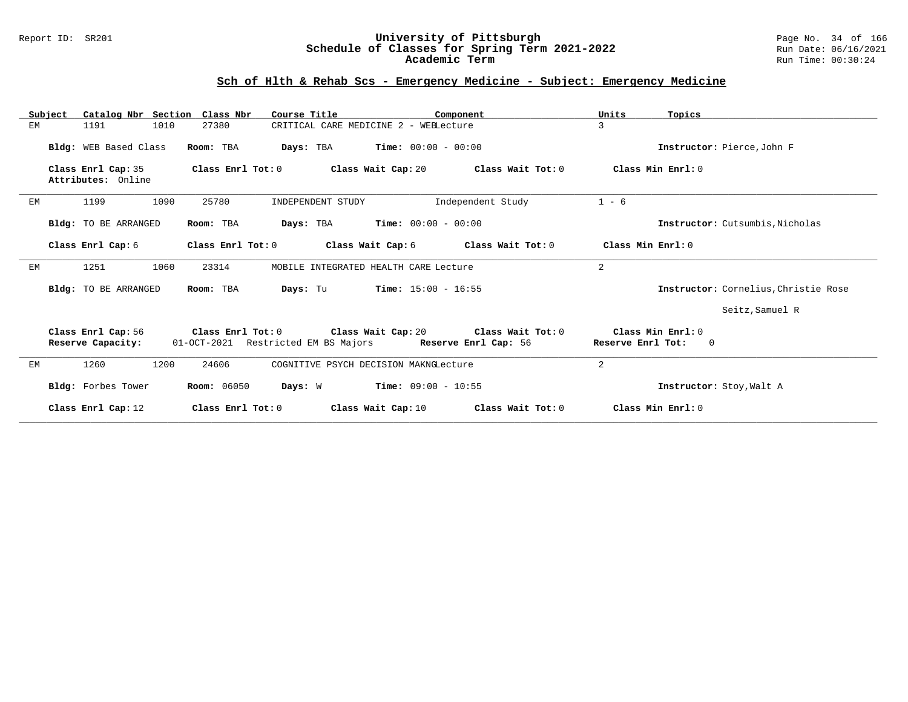### Report ID: SR201 **University of Pittsburgh** Page No. 34 of 166 **Schedule of Classes for Spring Term 2021-2022** Run Date: 06/16/2021 **Academic Term** Run Time: 00:30:24

| Subject | Catalog Nbr Section Class Nbr            |                                                                               | Course Title                          |                       | Component         | Units                                  | Topics                               |
|---------|------------------------------------------|-------------------------------------------------------------------------------|---------------------------------------|-----------------------|-------------------|----------------------------------------|--------------------------------------|
| EM      | 1191<br>1010                             | 27380                                                                         | CRITICAL CARE MEDICINE 2 - WEBLecture |                       |                   | 3                                      |                                      |
|         | Bldg: WEB Based Class                    | Room: TBA                                                                     | Days: TBA                             | $Time: 00:00 - 00:00$ |                   |                                        | Instructor: Pierce, John F           |
|         | Class Enrl Cap: 35<br>Attributes: Online | $\texttt{Class}$ $\texttt{Enrl}$ $\texttt{Tot:}$ $0$                          | Class Wait Cap: 20                    |                       | Class Wait Tot: 0 | Class Min Enrl: 0                      |                                      |
| EM      | 1199<br>1090                             | 25780                                                                         | INDEPENDENT STUDY                     |                       | Independent Study | $1 - 6$                                |                                      |
|         | Bldg: TO BE ARRANGED                     | Room: TBA                                                                     | Days: TBA                             | $Time: 00:00 - 00:00$ |                   |                                        | Instructor: Cutsumbis. Nicholas      |
|         | Class Enrl Cap: 6                        | Class Enrl Tot: 0                                                             | Class Wait Cap: 6                     |                       | Class Wait Tot: 0 | Class Min Enrl: 0                      |                                      |
| EM      | 1251<br>1060                             | 23314                                                                         | MOBILE INTEGRATED HEALTH CARE Lecture |                       |                   | 2                                      |                                      |
|         | Bldg: TO BE ARRANGED                     | Room: TBA                                                                     | Days: Tu                              | $Time: 15:00 - 16:55$ |                   |                                        | Instructor: Cornelius, Christie Rose |
|         |                                          |                                                                               |                                       |                       |                   |                                        | Seitz, Samuel R                      |
|         | Class Enrl Cap: 56<br>Reserve Capacity:  | Class Enrl Tot: 0<br>01-OCT-2021 Restricted EM BS Majors Reserve Enrl Cap: 56 | Class Wait Cap: 20                    |                       | Class Wait Tot: 0 | Class Min Enrl: 0<br>Reserve Enrl Tot: | $\overline{\phantom{0}}$             |
| EМ      | 1260<br>1200                             | 24606                                                                         | COGNITIVE PSYCH DECISION MAKNGLecture |                       |                   | 2                                      |                                      |
|         | Bldg: Forbes Tower                       | <b>Room:</b> 06050                                                            | Days: W                               | $Time: 09:00 - 10:55$ |                   |                                        | Instructor: Stoy, Walt A             |
|         | Class Enrl Cap: 12                       | Class Enrl Tot: 0                                                             |                                       | Class Wait Cap: 10    | Class Wait Tot: 0 | Class Min Enrl: 0                      |                                      |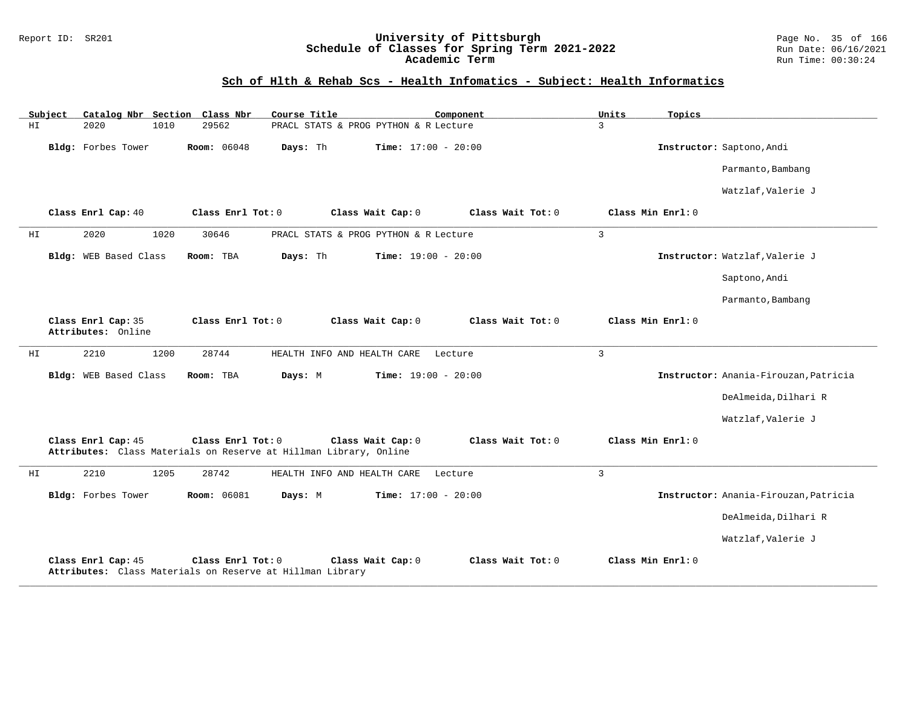### Report ID: SR201 **University of Pittsburgh** Page No. 35 of 166 **Schedule of Classes for Spring Term 2021-2022** Run Date: 06/16/2021 **Academic Term** Run Time: 00:30:24

# **Sch of Hlth & Rehab Scs - Health Infomatics - Subject: Health Informatics**

|     | Subject |                                          |      | Catalog Nbr Section Class Nbr                                                  | Course Title |                                                                                        | Component |                   | Units          | Topics            |                                       |
|-----|---------|------------------------------------------|------|--------------------------------------------------------------------------------|--------------|----------------------------------------------------------------------------------------|-----------|-------------------|----------------|-------------------|---------------------------------------|
| HI  |         | 2020                                     | 1010 | 29562                                                                          |              | PRACL STATS & PROG PYTHON & R Lecture                                                  |           |                   | 3              |                   |                                       |
|     |         | Bldg: Forbes Tower                       |      | <b>Room:</b> 06048                                                             | Days: Th     | <b>Time:</b> $17:00 - 20:00$                                                           |           |                   |                |                   | Instructor: Saptono, Andi             |
|     |         |                                          |      |                                                                                |              |                                                                                        |           |                   |                |                   | Parmanto, Bambang                     |
|     |         |                                          |      |                                                                                |              |                                                                                        |           |                   |                |                   | Watzlaf, Valerie J                    |
|     |         | Class Enrl Cap: 40                       |      | Class Enrl Tot: 0                                                              |              | Class Wait Cap: 0                                                                      |           | Class Wait Tot: 0 |                | Class Min Enrl: 0 |                                       |
| ΗI  |         | 2020                                     | 1020 | 30646                                                                          |              | PRACL STATS & PROG PYTHON & R Lecture                                                  |           |                   | $\mathbf{3}$   |                   |                                       |
|     |         | Bldg: WEB Based Class                    |      | Room: TBA                                                                      | Days: Th     | <b>Time:</b> $19:00 - 20:00$                                                           |           |                   |                |                   | Instructor: Watzlaf, Valerie J        |
|     |         |                                          |      |                                                                                |              |                                                                                        |           |                   |                |                   | Saptono, Andi                         |
|     |         |                                          |      |                                                                                |              |                                                                                        |           |                   |                |                   | Parmanto, Bambang                     |
|     |         | Class Enrl Cap: 35<br>Attributes: Online |      | Class Enrl Tot: 0                                                              |              | Class Wait Cap: 0                                                                      |           | Class Wait Tot: 0 |                | Class Min Enrl: 0 |                                       |
| HI  |         | 2210                                     | 1200 | 28744                                                                          |              | HEALTH INFO AND HEALTH CARE                                                            | Lecture   |                   | $\overline{3}$ |                   |                                       |
|     |         | Bldg: WEB Based Class                    |      | Room: TBA                                                                      | Days: M      | <b>Time:</b> $19:00 - 20:00$                                                           |           |                   |                |                   | Instructor: Anania-Firouzan, Patricia |
|     |         |                                          |      |                                                                                |              |                                                                                        |           |                   |                |                   | DeAlmeida, Dilhari R                  |
|     |         |                                          |      |                                                                                |              |                                                                                        |           |                   |                |                   | Watzlaf, Valerie J                    |
|     |         | Class Enrl Cap: 45                       |      | Class Enrl Tot: 0                                                              |              | Class Wait Cap: 0<br>Attributes: Class Materials on Reserve at Hillman Library, Online |           | Class Wait Tot: 0 |                | Class Min Enrl: 0 |                                       |
| HI. |         | 2210                                     | 1205 | 28742                                                                          |              | HEALTH INFO AND HEALTH CARE                                                            | Lecture   |                   | $\overline{3}$ |                   |                                       |
|     |         | Bldg: Forbes Tower                       |      | Room: 06081                                                                    | Days: M      | Time: $17:00 - 20:00$                                                                  |           |                   |                |                   | Instructor: Anania-Firouzan, Patricia |
|     |         |                                          |      |                                                                                |              |                                                                                        |           |                   |                |                   | DeAlmeida, Dilhari R                  |
|     |         |                                          |      |                                                                                |              |                                                                                        |           |                   |                |                   | Watzlaf, Valerie J                    |
|     |         | Class Enrl Cap: 45                       |      | Class Enrl Tot: 0<br>Attributes: Class Materials on Reserve at Hillman Library |              | Class Wait Cap: 0                                                                      |           | Class Wait Tot: 0 |                | Class Min Enrl: 0 |                                       |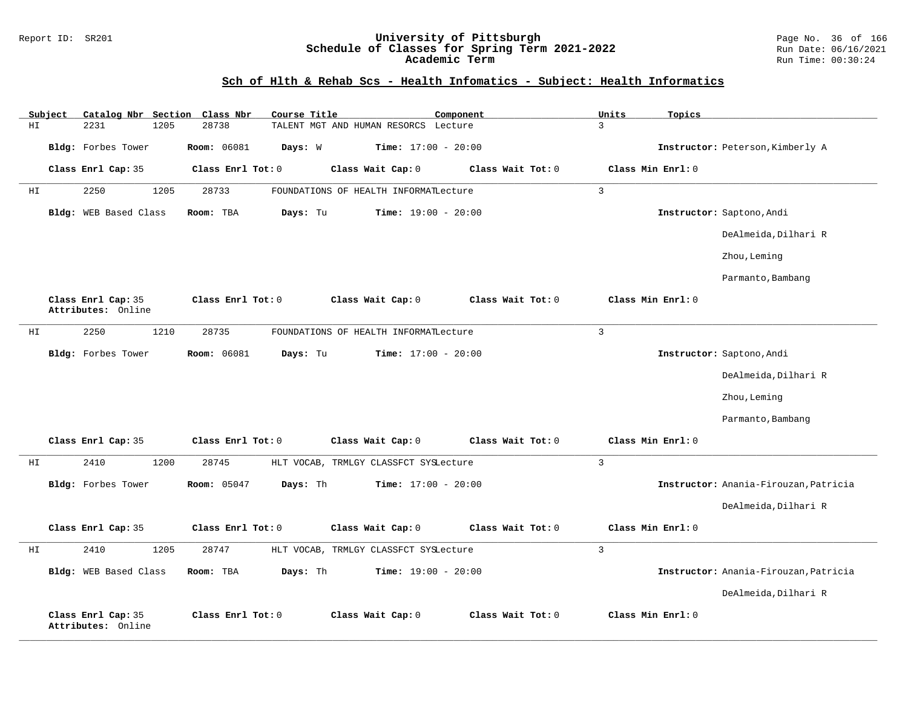#### Report ID: SR201 **University of Pittsburgh** Page No. 36 of 166 **Schedule of Classes for Spring Term 2021-2022** Run Date: 06/16/2021 **Academic Term** Run Time: 00:30:24

# **Sch of Hlth & Rehab Scs - Health Infomatics - Subject: Health Informatics**

|    | Subject | Catalog Nbr Section                      | Class Nbr<br>Course Title      |                                       | Component         | Units<br>Topics   |                                       |
|----|---------|------------------------------------------|--------------------------------|---------------------------------------|-------------------|-------------------|---------------------------------------|
| ΗI |         | 2231<br>1205                             | 28738                          | TALENT MGT AND HUMAN RESORCS Lecture  |                   | $\overline{3}$    |                                       |
|    |         | Bldg: Forbes Tower                       | Room: 06081<br>Days: W         | Time: $17:00 - 20:00$                 |                   |                   | Instructor: Peterson, Kimberly A      |
|    |         | Class Enrl Cap: 35                       | Class Enrl Tot: 0              | Class Wait Cap: 0                     | Class Wait Tot: 0 | Class Min Enrl: 0 |                                       |
| ΗI |         | 1205<br>2250                             | 28733                          | FOUNDATIONS OF HEALTH INFORMATLecture |                   | $\mathbf{3}$      |                                       |
|    |         | Bldg: WEB Based Class                    | Room: TBA<br>Days: Tu          | Time: $19:00 - 20:00$                 |                   |                   | Instructor: Saptono, Andi             |
|    |         |                                          |                                |                                       |                   |                   | DeAlmeida, Dilhari R                  |
|    |         |                                          |                                |                                       |                   |                   | Zhou, Leming                          |
|    |         |                                          |                                |                                       |                   |                   | Parmanto, Bambang                     |
|    |         | Class Enrl Cap: 35<br>Attributes: Online | Class Enrl Tot: 0              | Class Wait Cap: 0                     | Class Wait Tot: 0 | Class Min Enrl: 0 |                                       |
| ΗI |         | 1210<br>2250                             | 28735                          | FOUNDATIONS OF HEALTH INFORMATLecture |                   | $\overline{3}$    |                                       |
|    |         | Bldg: Forbes Tower                       | Room: 06081<br>Days: Tu        | Time: $17:00 - 20:00$                 |                   |                   | Instructor: Saptono, Andi             |
|    |         |                                          |                                |                                       |                   |                   | DeAlmeida, Dilhari R                  |
|    |         |                                          |                                |                                       |                   |                   | Zhou, Leming                          |
|    |         |                                          |                                |                                       |                   |                   | Parmanto, Bambang                     |
|    |         | Class Enrl Cap: 35                       | Class Enrl Tot: 0              | Class Wait Cap: 0                     | Class Wait Tot: 0 | Class Min Enrl: 0 |                                       |
| HI |         | 2410<br>1200                             | 28745                          | HLT VOCAB, TRMLGY CLASSFCT SYSLecture |                   | $\mathbf{3}$      |                                       |
|    |         | Bldg: Forbes Tower                       | Days: Th<br><b>Room:</b> 05047 | Time: $17:00 - 20:00$                 |                   |                   | Instructor: Anania-Firouzan, Patricia |
|    |         |                                          |                                |                                       |                   |                   | DeAlmeida, Dilhari R                  |
|    |         | Class Enrl Cap: 35                       | Class Enrl Tot: 0              | Class Wait Cap: 0                     | Class Wait Tot: 0 | Class Min Enrl: 0 |                                       |
| HI |         | 2410<br>1205                             | 28747                          | HLT VOCAB, TRMLGY CLASSFCT SYSLecture |                   | $\overline{3}$    |                                       |
|    |         | Bldg: WEB Based Class                    | Days: Th<br>Room: TBA          | Time: $19:00 - 20:00$                 |                   |                   | Instructor: Anania-Firouzan, Patricia |
|    |         |                                          |                                |                                       |                   |                   | DeAlmeida, Dilhari R                  |
|    |         | Class Enrl Cap: 35<br>Attributes: Online | Class Enrl Tot: 0              | Class Wait Cap: 0                     | Class Wait Tot: 0 | Class Min Enrl: 0 |                                       |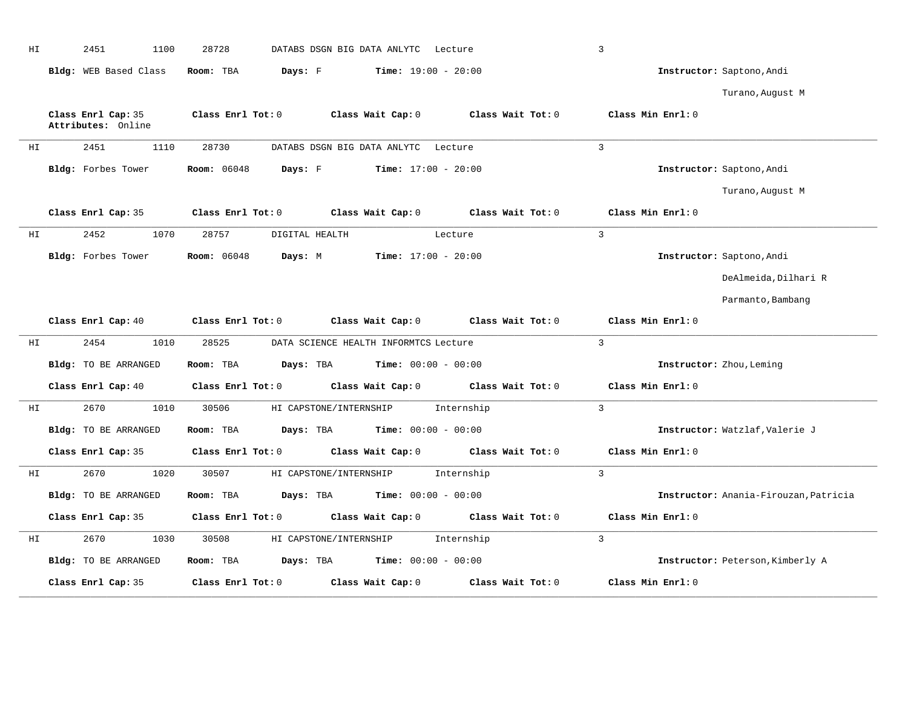| ΗI | 2451<br>1100                             | 28728              |                        | DATABS DSGN BIG DATA ANLYTC Lecture                  |                                                                          | $\overline{3}$    |                                       |
|----|------------------------------------------|--------------------|------------------------|------------------------------------------------------|--------------------------------------------------------------------------|-------------------|---------------------------------------|
|    | Bldg: WEB Based Class                    | Room: TBA          | Days: F                | $Time: 19:00 - 20:00$                                |                                                                          |                   | Instructor: Saptono, Andi             |
|    |                                          |                    |                        |                                                      |                                                                          |                   | Turano, August M                      |
|    | Class Enrl Cap: 35<br>Attributes: Online | Class Enrl Tot: 0  |                        | Class Wait Cap: 0                                    | Class Wait Tot: 0                                                        | Class Min Enrl: 0 |                                       |
| HI | 2451<br>1110                             | 28730              |                        | DATABS DSGN BIG DATA ANLYTC Lecture                  |                                                                          | $\overline{3}$    |                                       |
|    | Bldg: Forbes Tower                       | <b>Room:</b> 06048 | Days: F                | $Time: 17:00 - 20:00$                                |                                                                          |                   | Instructor: Saptono, Andi             |
|    |                                          |                    |                        |                                                      |                                                                          |                   | Turano, August M                      |
|    |                                          |                    |                        |                                                      | Class Enrl Cap: 35 Class Enrl Tot: 0 Class Wait Cap: 0 Class Wait Tot: 0 | Class Min Enrl: 0 |                                       |
| HI | 2452<br>1070                             | 28757              | DIGITAL HEALTH         |                                                      | Lecture                                                                  | $\mathbf{3}$      |                                       |
|    | Bldg: Forbes Tower                       | <b>Room:</b> 06048 |                        | <b>Days:</b> M <b>Time:</b> $17:00 - 20:00$          |                                                                          |                   | Instructor: Saptono, Andi             |
|    |                                          |                    |                        |                                                      |                                                                          |                   | DeAlmeida, Dilhari R                  |
|    |                                          |                    |                        |                                                      |                                                                          |                   | Parmanto, Bambang                     |
|    | Class Enrl Cap: 40                       | Class Enrl Tot: 0  |                        | Class Wait Cap: $0$                                  | Class Wait Tot: 0                                                        | Class Min Enrl: 0 |                                       |
| ΗI | 2454<br>1010                             | 28525              |                        | DATA SCIENCE HEALTH INFORMTCS Lecture                |                                                                          | $\overline{3}$    |                                       |
|    | Bldg: TO BE ARRANGED                     | Room: TBA          |                        | $\texttt{Davis:}$ TBA $\texttt{Time:}$ 00:00 - 00:00 |                                                                          |                   | Instructor: Zhou, Leming              |
|    | Class Enrl Cap: 40                       | Class Enrl Tot: 0  |                        | Class Wait Cap: 0                                    | Class Wait Tot: 0                                                        | Class Min Enrl: 0 |                                       |
| ΗI | 2670<br>1010                             | 30506              | HI CAPSTONE/INTERNSHIP |                                                      | Internship                                                               | $\mathcal{L}$     |                                       |
|    | Bldg: TO BE ARRANGED                     | Room: TBA          |                        | <b>Days:</b> TBA <b>Time:</b> $00:00 - 00:00$        |                                                                          |                   | Instructor: Watzlaf, Valerie J        |
|    | Class Enrl Cap: 35                       | Class Enrl Tot: 0  |                        | Class Wait Cap: 0                                    | Class Wait Tot: 0                                                        | Class Min Enrl: 0 |                                       |
| HI | 2670<br>1020                             | 30507              |                        | HI CAPSTONE/INTERNSHIP                               | Internship                                                               | $\mathbf{3}$      |                                       |
|    | Bldg: TO BE ARRANGED                     | Room: TBA          |                        | $\texttt{Davis:}$ TBA $\texttt{Time:}$ 00:00 - 00:00 |                                                                          |                   | Instructor: Anania-Firouzan, Patricia |
|    | Class Enrl Cap: 35                       | Class Enrl Tot: 0  |                        | Class Wait Cap: 0                                    | Class Wait Tot: 0                                                        | Class Min Enrl: 0 |                                       |
| HI | 2670<br>1030                             | 30508              | HI CAPSTONE/INTERNSHIP |                                                      | Internship                                                               | $\mathcal{L}$     |                                       |
|    | Bldg: TO BE ARRANGED                     | Room: TBA          | Days: TBA              | $Time: 00:00 - 00:00$                                |                                                                          |                   | Instructor: Peterson, Kimberly A      |
|    | Class Enrl Cap: 35                       | Class Enrl Tot: 0  |                        | Class Wait Cap: 0                                    | Class Wait Tot: 0                                                        | Class Min Enrl: 0 |                                       |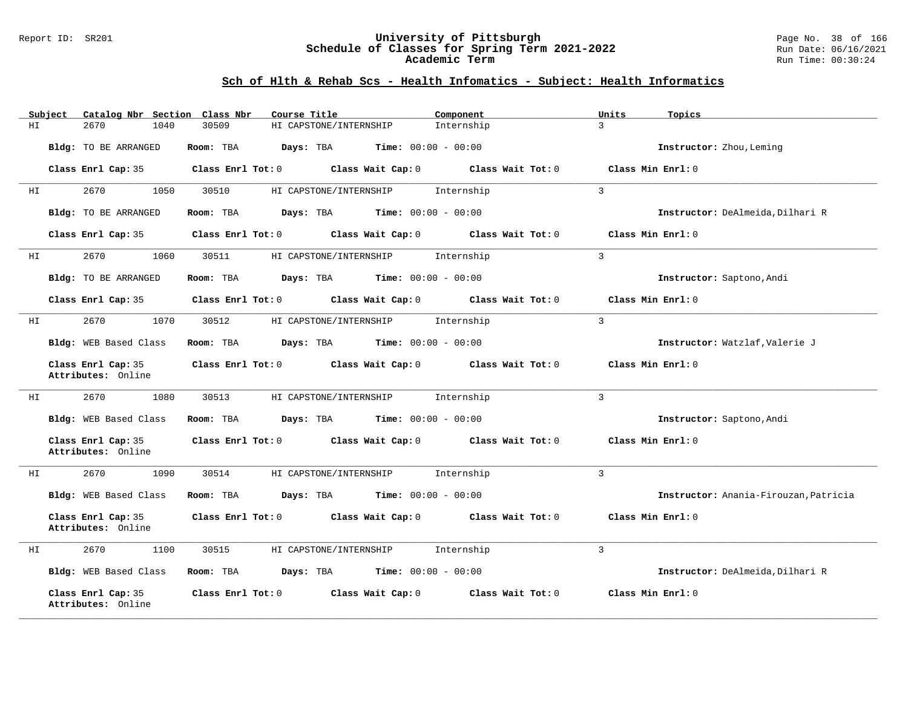#### Report ID: SR201 **University of Pittsburgh** Page No. 38 of 166 **Schedule of Classes for Spring Term 2021-2022** Run Date: 06/16/2021 **Academic Term** Run Time: 00:30:24

# **Sch of Hlth & Rehab Scs - Health Infomatics - Subject: Health Informatics**

| Subject                                  | Catalog Nbr Section Class Nbr | Course Title                                          | Component         | Topics<br>Units                       |
|------------------------------------------|-------------------------------|-------------------------------------------------------|-------------------|---------------------------------------|
| 2670<br>HI                               | 1040<br>30509                 | HI CAPSTONE/INTERNSHIP                                | Internship        | $\mathbf{R}$                          |
| Bldg: TO BE ARRANGED                     | Room: TBA                     | Days: TBA<br>$Time: 00:00 - 00:00$                    |                   | Instructor: Zhou, Leming              |
| Class Enrl Cap: 35                       | Class Enrl Tot: 0             | Class Wait Cap: 0                                     | Class Wait Tot: 0 | Class Min Enrl: 0                     |
| 2670<br>ΗI                               | 1050<br>30510                 | HI CAPSTONE/INTERNSHIP                                | Internship        | $\overline{3}$                        |
| Bldg: TO BE ARRANGED                     | Room: TBA                     | <b>Days:</b> TBA <b>Time:</b> $00:00 - 00:00$         |                   | Instructor: DeAlmeida, Dilhari R      |
| Class Enrl Cap: 35                       | Class Enrl Tot: 0             | Class Wait Cap: 0                                     | Class Wait Tot: 0 | Class Min Enrl: 0                     |
| 2670<br>ΗI                               | 1060<br>30511                 | HI CAPSTONE/INTERNSHIP                                | Internship        | 3                                     |
| Bldg: TO BE ARRANGED                     | Room: TBA                     | $\texttt{Davis:}$ TBA $\texttt{Time:}$ 00:00 - 00:00  |                   | Instructor: Saptono, Andi             |
| Class Enrl Cap: 35                       | Class Enrl Tot: 0             | Class Wait Cap: 0                                     | Class Wait Tot: 0 | Class Min Enrl: 0                     |
| 2670<br>HI                               | 1070<br>30512                 | HI CAPSTONE/INTERNSHIP                                | Internship        | $\overline{3}$                        |
| Bldg: WEB Based Class                    | Room: TBA                     | <b>Days:</b> TBA <b>Time:</b> $00:00 - 00:00$         |                   | Instructor: Watzlaf, Valerie J        |
| Class Enrl Cap: 35<br>Attributes: Online |                               | Class Enrl Tot: 0 Class Wait Cap: 0                   | Class Wait Tot: 0 | Class Min Enrl: 0                     |
| 2670<br>ΗI                               | 1080<br>30513                 | HI CAPSTONE/INTERNSHIP                                | Internship        | $\overline{3}$                        |
| Bldg: WEB Based Class                    | Room: TBA                     | Days: TBA<br>$Time: 00:00 - 00:00$                    |                   | Instructor: Saptono, Andi             |
| Class Enrl Cap: 35<br>Attributes: Online | Class Enrl Tot: 0             | Class Wait Cap: 0                                     | Class Wait Tot: 0 | Class Min Enrl: 0                     |
| 2670<br>HI                               | 1090<br>30514                 | HI CAPSTONE/INTERNSHIP                                | Internship        | $\overline{3}$                        |
| Bldg: WEB Based Class                    | Room: TBA                     | <b>Days:</b> TBA <b>Time:</b> $00:00 - 00:00$         |                   | Instructor: Anania-Firouzan, Patricia |
| Class Enrl Cap: 35<br>Attributes: Online |                               | Class Enrl Tot: 0 Class Wait Cap: 0 Class Wait Tot: 0 |                   | Class Min Enrl: 0                     |
| 2670<br>HI                               | 1100<br>30515                 | HI CAPSTONE/INTERNSHIP                                | Internship        | $\overline{3}$                        |
| Bldg: WEB Based Class                    | Room: TBA                     | $Time: 00:00 - 00:00$<br>Days: TBA                    |                   | Instructor: DeAlmeida, Dilhari R      |
| Class Enrl Cap: 35<br>Attributes: Online | Class Enrl Tot: 0             | Class Wait Cap: 0                                     | Class Wait Tot: 0 | Class Min Enrl: 0                     |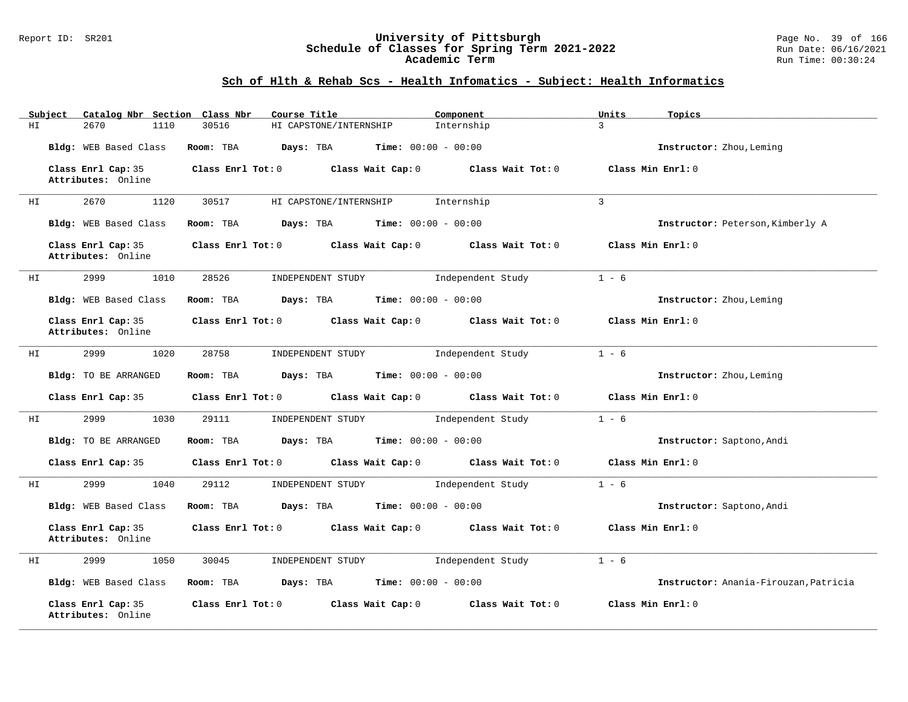#### Report ID: SR201 **University of Pittsburgh** Page No. 39 of 166 **Schedule of Classes for Spring Term 2021-2022** Run Date: 06/16/2021 **Academic Term** Run Time: 00:30:24

# **Sch of Hlth & Rehab Scs - Health Infomatics - Subject: Health Informatics**

| Subject | Catalog Nbr Section Class Nbr            | Course Title                                               | Component                           | Units<br>Topics                       |
|---------|------------------------------------------|------------------------------------------------------------|-------------------------------------|---------------------------------------|
| ΗI      | 2670<br>1110                             | 30516<br>HI CAPSTONE/INTERNSHIP                            | Internship                          | $\overline{3}$                        |
|         | Bldg: WEB Based Class                    | Room: TBA<br>Days: TBA<br>$Time: 00:00 - 00:00$            |                                     | Instructor: Zhou, Leming              |
|         | Class Enrl Cap: 35<br>Attributes: Online | Class Enrl Tot: 0<br>Class Wait Cap: 0                     | Class Wait Tot: 0                   | Class Min Enrl: 0                     |
| HI      | 1120<br>2670                             | 30517<br>HI CAPSTONE/INTERNSHIP                            | Internship                          | 3                                     |
|         | Bldg: WEB Based Class                    | Room: TBA<br><b>Days:</b> TBA <b>Time:</b> $00:00 - 00:00$ |                                     | Instructor: Peterson, Kimberly A      |
|         | Class Enrl Cap: 35<br>Attributes: Online | Class Enrl Tot: 0<br>Class Wait Cap: 0                     | Class Wait Tot: 0                   | Class Min Enrl: 0                     |
| ΗI      | 2999<br>1010                             | 28526<br>INDEPENDENT STUDY                                 | Independent Study                   | $1 - 6$                               |
|         | Bldg: WEB Based Class                    | Room: TBA<br>Days: TBA                                     | <b>Time:</b> $00:00 - 00:00$        | Instructor: Zhou, Leming              |
|         | Class Enrl Cap: 35<br>Attributes: Online | Class Wait Cap: 0<br>Class Enrl Tot: 0                     | Class Wait Tot: 0                   | Class Min Enrl: 0                     |
| HI      | 2999<br>1020                             | 28758<br>INDEPENDENT STUDY                                 | Independent Study                   | $1 - 6$                               |
|         | Bldg: TO BE ARRANGED                     | Room: TBA<br>Days: TBA                                     | <b>Time:</b> $00:00 - 00:00$        | Instructor: Zhou, Leming              |
|         | Class Enrl Cap: 35                       | Class Enrl Tot: 0<br>Class Wait Cap: 0                     | Class Wait Tot: 0                   | Class Min Enrl: 0                     |
| ΗI      | 2999<br>1030                             | 29111<br>INDEPENDENT STUDY                                 | Independent Study                   | $1 - 6$                               |
|         | Bldg: TO BE ARRANGED                     | Room: TBA<br>Days: TBA                                     | <b>Time:</b> $00:00 - 00:00$        | Instructor: Saptono, Andi             |
|         | Class Enrl Cap: 35                       | $Class$ $Enrl$ $Tot: 0$<br>Class Wait Cap: 0               | $Class$ Wait Tot: $0$               | Class Min Enrl: 0                     |
| HI      | 2999<br>1040                             | 29112<br>INDEPENDENT STUDY                                 | Independent Study                   | $1 - 6$                               |
|         | Bldg: WEB Based Class                    | Room: TBA<br><b>Days:</b> TBA <b>Time:</b> $00:00 - 00:00$ |                                     | Instructor: Saptono, Andi             |
|         | Class Enrl Cap: 35<br>Attributes: Online | $Class$ $Enr1$ $Tot: 0$                                    | Class Wait Cap: 0 Class Wait Tot: 0 | Class Min Enrl: 0                     |
| ΗI      | 2999<br>1050                             | 30045<br>INDEPENDENT STUDY                                 | Independent Study                   | $1 - 6$                               |
|         | Bldg: WEB Based Class                    | Room: TBA<br>Days: TBA                                     | <b>Time:</b> $00:00 - 00:00$        | Instructor: Anania-Firouzan, Patricia |
|         | Class Enrl Cap: 35<br>Attributes: Online | Class Enrl Tot: 0<br>Class Wait Cap: 0                     | Class Wait Tot: 0                   | Class Min Enrl: 0                     |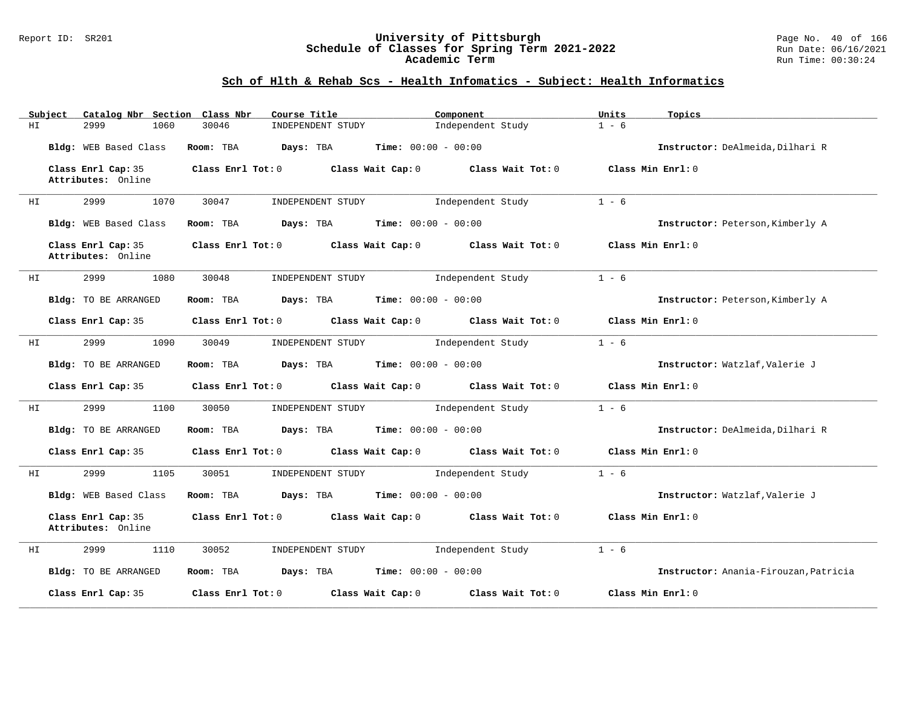### Report ID: SR201 **University of Pittsburgh** Page No. 40 of 166 **Schedule of Classes for Spring Term 2021-2022** Run Date: 06/16/2021 **Academic Term** Run Time: 00:30:24

# **Sch of Hlth & Rehab Scs - Health Infomatics - Subject: Health Informatics**

|    | Subject | Catalog Nbr Section Class Nbr            |                   | Course Title                                                | Component                               | Units             | Topics                                |
|----|---------|------------------------------------------|-------------------|-------------------------------------------------------------|-----------------------------------------|-------------------|---------------------------------------|
| ΗI |         | 2999<br>1060                             | 30046             | INDEPENDENT STUDY                                           | Independent Study                       | $1 - 6$           |                                       |
|    |         | Bldg: WEB Based Class                    | Room: TBA         | Days: TBA                                                   | <b>Time:</b> $00:00 - 00:00$            |                   | Instructor: DeAlmeida, Dilhari R      |
|    |         | Class Enrl Cap: 35<br>Attributes: Online | Class Enrl Tot: 0 |                                                             | Class Wait Cap: $0$ Class Wait Tot: $0$ | Class Min Enrl: 0 |                                       |
| ΗI |         | 2999<br>1070                             | 30047             | INDEPENDENT STUDY                                           | Independent Study                       | $1 - 6$           |                                       |
|    |         | Bldg: WEB Based Class                    | Room: TBA         | <b>Days:</b> TBA <b>Time:</b> $00:00 - 00:00$               |                                         |                   | Instructor: Peterson, Kimberly A      |
|    |         | Class Enrl Cap: 35<br>Attributes: Online |                   | Class Enrl Tot: $0$ Class Wait Cap: $0$ Class Wait Tot: $0$ |                                         | Class Min Enrl: 0 |                                       |
| HI |         | 2999<br>1080                             | 30048             | INDEPENDENT STUDY                                           | Independent Study                       | $1 - 6$           |                                       |
|    |         | Bldg: TO BE ARRANGED                     | Room: TBA         | $Days: TBA$ $Time: 00:00 - 00:00$                           |                                         |                   | Instructor: Peterson, Kimberly A      |
|    |         | Class Enrl Cap: 35                       | Class Enrl Tot: 0 |                                                             | Class Wait Cap: $0$ Class Wait Tot: $0$ | Class Min Enrl: 0 |                                       |
| HI |         | 2999<br>1090                             | 30049             | INDEPENDENT STUDY                                           | Independent Study                       | $1 - 6$           |                                       |
|    |         | Bldg: TO BE ARRANGED                     | Room: TBA         | $Days: TBA$ Time: $00:00 - 00:00$                           |                                         |                   | Instructor: Watzlaf, Valerie J        |
|    |         | Class Enrl Cap: 35                       |                   | Class Enrl Tot: 0 Class Wait Cap: 0 Class Wait Tot: 0       |                                         | Class Min Enrl: 0 |                                       |
| ΗI |         | 2999<br>1100                             | 30050             | INDEPENDENT STUDY                                           | Independent Study                       | $1 - 6$           |                                       |
|    |         | Bldg: TO BE ARRANGED                     | Room: TBA         | <b>Days:</b> TBA <b>Time:</b> $00:00 - 00:00$               |                                         |                   | Instructor: DeAlmeida, Dilhari R      |
|    |         | Class Enrl Cap: 35                       |                   | Class Enrl Tot: $0$ Class Wait Cap: $0$ Class Wait Tot: $0$ |                                         | Class Min Enrl: 0 |                                       |
| ΗI |         | 2999<br>1105                             | 30051             | INDEPENDENT STUDY                                           | Independent Study                       | $1 - 6$           |                                       |
|    |         | Bldg: WEB Based Class                    |                   | Room: TBA $Days:$ TBA $Time: 00:00 - 00:00$                 |                                         |                   | Instructor: Watzlaf, Valerie J        |
|    |         | Class Enrl Cap: 35<br>Attributes: Online |                   | Class Enrl Tot: $0$ Class Wait Cap: $0$ Class Wait Tot: $0$ |                                         | Class Min Enrl: 0 |                                       |
| ΗI |         | 2999<br>1110                             | 30052             | INDEPENDENT STUDY                                           | Independent Study                       | $1 - 6$           |                                       |
|    |         | Bldg: TO BE ARRANGED                     | Room: TBA         | <b>Days:</b> TBA <b>Time:</b> $00:00 - 00:00$               |                                         |                   | Instructor: Anania-Firouzan, Patricia |
|    |         | Class Enrl Cap: 35                       | Class Enrl Tot: 0 | Class Wait Cap: 0                                           | Class Wait Tot: 0                       | Class Min Enrl: 0 |                                       |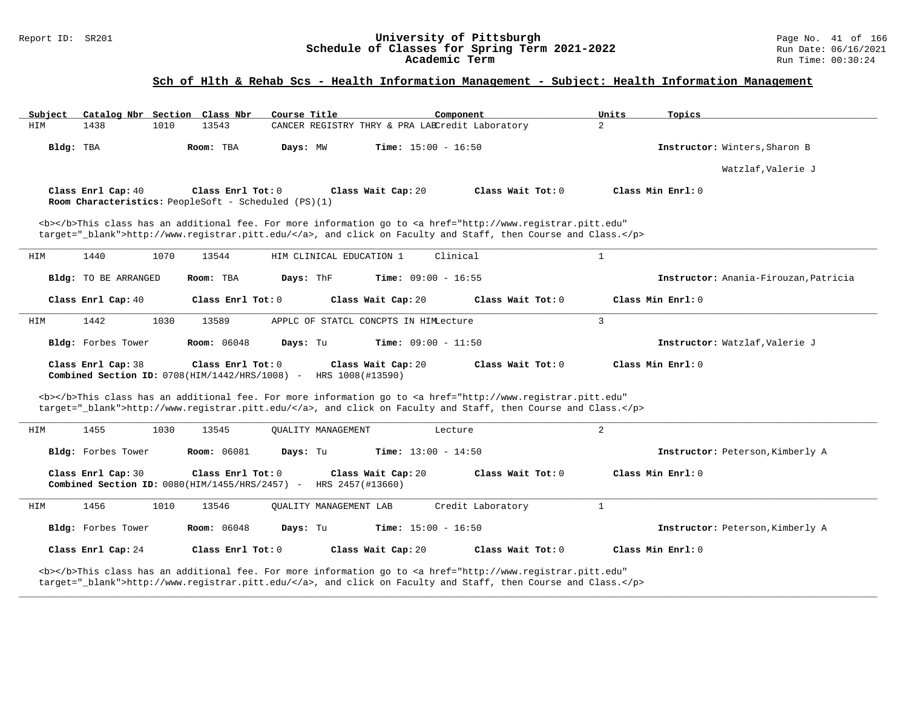#### Report ID: SR201 **University of Pittsburgh** Page No. 41 of 166 **Schedule of Classes for Spring Term 2021-2022** Run Date: 06/16/2021 **Academic Term** Run Time: 00:30:24

### **Sch of Hlth & Rehab Scs - Health Information Management - Subject: Health Information Management**

| Subject |                                                                            |      | Catalog Nbr Section Class Nbr | Course Title |                           |                                       | Component                                                                                                                                                                                                                          | Units          | Topics                                |
|---------|----------------------------------------------------------------------------|------|-------------------------------|--------------|---------------------------|---------------------------------------|------------------------------------------------------------------------------------------------------------------------------------------------------------------------------------------------------------------------------------|----------------|---------------------------------------|
| HIM     | 1438                                                                       | 1010 | 13543                         |              |                           |                                       | CANCER REGISTRY THRY & PRA LABCredit Laboratory                                                                                                                                                                                    | $\overline{2}$ |                                       |
|         | Bldg: TBA                                                                  |      | Room: TBA                     | Days: MW     |                           | <b>Time:</b> $15:00 - 16:50$          |                                                                                                                                                                                                                                    |                | Instructor: Winters, Sharon B         |
|         |                                                                            |      |                               |              |                           |                                       |                                                                                                                                                                                                                                    |                | Watzlaf, Valerie J                    |
|         | Class Enrl Cap: 40<br>Room Characteristics: PeopleSoft - Scheduled (PS)(1) |      | Class Enrl Tot: 0             |              |                           | Class Wait Cap: 20                    | Class Wait Tot: 0                                                                                                                                                                                                                  |                | Class Min Enrl: 0                     |
|         |                                                                            |      |                               |              |                           |                                       | <b></b> This class has an additional fee. For more information go to <a <br="" href="http://www.registrar.pitt.edu">target="_blank"&gt;http://www.registrar.pitt.edu/</a> , and click on Faculty and Staff, then Course and Class. |                |                                       |
| HIM     | 1440                                                                       | 1070 | 13544                         |              | HIM CLINICAL EDUCATION 1  |                                       | Clinical                                                                                                                                                                                                                           | $\mathbf{1}$   |                                       |
|         | Bldg: TO BE ARRANGED                                                       |      | Room: TBA                     | Days: ThF    |                           | <b>Time:</b> $09:00 - 16:55$          |                                                                                                                                                                                                                                    |                | Instructor: Anania-Firouzan, Patricia |
|         | Class Enrl Cap: 40                                                         |      | Class Enrl Tot: 0             |              |                           | Class Wait Cap: 20                    | Class Wait Tot: 0                                                                                                                                                                                                                  |                | Class Min Enrl: 0                     |
| HIM     | 1442                                                                       | 1030 | 13589                         |              |                           | APPLC OF STATCL CONCPTS IN HIMLecture |                                                                                                                                                                                                                                    | $\overline{3}$ |                                       |
|         | Bldg: Forbes Tower                                                         |      | <b>Room:</b> 06048            | Days: Tu     |                           | <b>Time:</b> $09:00 - 11:50$          |                                                                                                                                                                                                                                    |                | Instructor: Watzlaf, Valerie J        |
|         | Class Enrl Cap: 38<br>Combined Section ID: 0708(HIM/1442/HRS/1008) -       |      | Class Enrl Tot: 0             |              | HRS 1008(#13590)          | Class Wait Cap: 20                    | Class Wait Tot: 0                                                                                                                                                                                                                  |                | Class Min Enrl: 0                     |
|         |                                                                            |      |                               |              |                           |                                       | <b></b> This class has an additional fee. For more information go to <a <br="" href="http://www.registrar.pitt.edu">target="_blank"&gt;http://www.registrar.pitt.edu/</a> , and click on Faculty and Staff, then Course and Class. |                |                                       |
| HIM     | 1455                                                                       | 1030 | 13545                         |              | <b>OUALITY MANAGEMENT</b> |                                       | Lecture                                                                                                                                                                                                                            | 2              |                                       |
|         | Bldg: Forbes Tower                                                         |      | <b>Room: 06081</b>            | Days: Tu     |                           | <b>Time:</b> $13:00 - 14:50$          |                                                                                                                                                                                                                                    |                | Instructor: Peterson, Kimberly A      |
|         | Class Enrl Cap: 30<br>Combined Section ID: $0080(HIM/1455/HRS/2457)$ -     |      | Class Enrl Tot: 0             |              | HRS 2457(#13660)          | Class Wait Cap: 20                    | Class Wait Tot: 0                                                                                                                                                                                                                  |                | Class Min Enrl: 0                     |
| HIM     | 1456                                                                       | 1010 | 13546                         |              | OUALITY MANAGEMENT LAB    |                                       | Credit Laboratory                                                                                                                                                                                                                  | $\mathbf{1}$   |                                       |
|         | Bldg: Forbes Tower                                                         |      | <b>Room:</b> 06048            | Days: Tu     |                           | <b>Time:</b> $15:00 - 16:50$          |                                                                                                                                                                                                                                    |                | Instructor: Peterson, Kimberly A      |
|         | Class Enrl Cap: 24                                                         |      | Class Enrl Tot: 0             |              |                           | Class Wait Cap: 20                    | Class Wait Tot: 0                                                                                                                                                                                                                  |                | Class Min Enrl: 0                     |
|         |                                                                            |      |                               |              |                           |                                       | <b></b> This class has an additional fee. For more information go to <a <br="" href="http://www.registrar.pitt.edu">taxoot-" blank"&gt;http://www.rogigtrar.pitt.odu/</a> and gligh on Faculty and Staff, then Course and Glass    |                |                                       |

**\_\_\_\_\_\_\_\_\_\_\_\_\_\_\_\_\_\_\_\_\_\_\_\_\_\_\_\_\_\_\_\_\_\_\_\_\_\_\_\_\_\_\_\_\_\_\_\_\_\_\_\_\_\_\_\_\_\_\_\_\_\_\_\_\_\_\_\_\_\_\_\_\_\_\_\_\_\_\_\_\_\_\_\_\_\_\_\_\_\_\_\_\_\_\_\_\_\_\_\_\_\_\_\_\_\_\_\_\_\_\_\_\_\_\_\_\_\_\_\_\_\_\_\_\_\_\_\_\_\_\_\_\_\_\_\_\_\_\_\_\_\_\_\_\_\_\_\_\_\_\_\_\_\_\_\_**

target="\_blank">http://www.registrar.pitt.edu/</a>, and click on Faculty and Staff, then Course and Class.</p>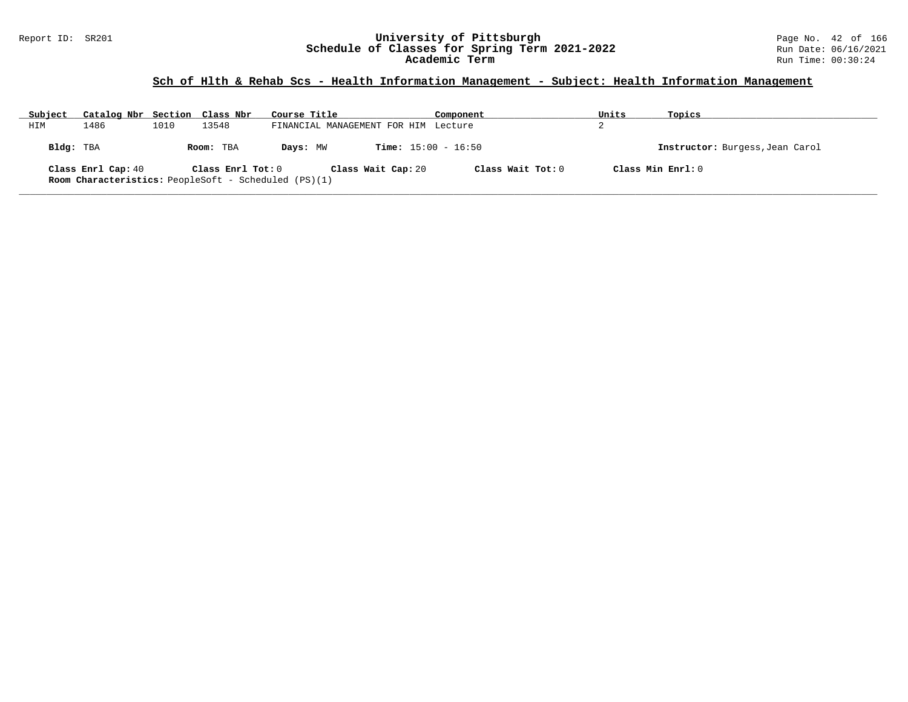### Report ID: SR201 **University of Pittsburgh** Page No. 42 of 166 **Schedule of Classes for Spring Term 2021-2022** Run Date: 06/16/2021 **Academic Term** Run Time: 00:30:24

### **Sch of Hlth & Rehab Scs - Health Information Management - Subject: Health Information Management**

| Subject   | Catalog Nbr Section Class Nbr |      |                   | Course Title                                                                      | Component                    | Units | Topics                          |
|-----------|-------------------------------|------|-------------------|-----------------------------------------------------------------------------------|------------------------------|-------|---------------------------------|
| HIM       | 1486                          | 1010 | 13548             | FINANCIAL MANAGEMENT FOR HIM Lecture                                              |                              |       |                                 |
| Bldg: TBA |                               |      | Room: TBA         | Days: MW                                                                          | <b>Time:</b> $15:00 - 16:50$ |       | Instructor: Burgess, Jean Carol |
|           | Class Enrl Cap: 40            |      | Class Enrl Tot: 0 | Class Wait Cap: 20<br><b>Room Characteristics:</b> PeopleSoft - Scheduled (PS)(1) | Class Wait Tot: $0$          |       | Class Min Ernst: 0              |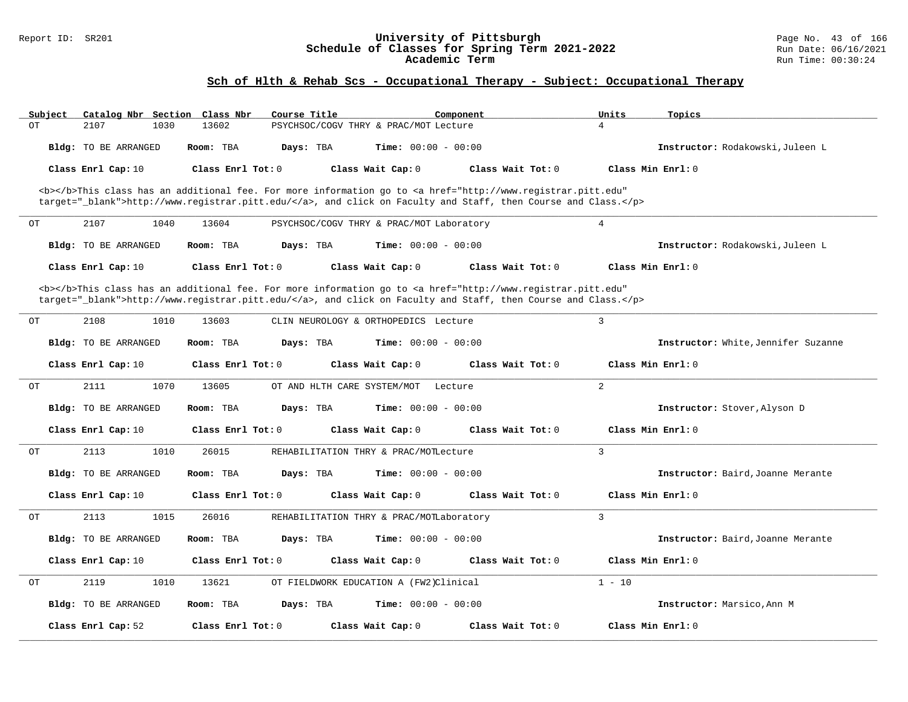#### Report ID: SR201 **University of Pittsburgh** Page No. 43 of 166 **Schedule of Classes for Spring Term 2021-2022** Run Date: 06/16/2021 **Academic Term** Run Time: 00:30:24

| Subject              | Catalog Nbr Section Class Nbr | Course Title                |                                          | Component                                                                                                                                      | Units<br>Topics   |                                     |
|----------------------|-------------------------------|-----------------------------|------------------------------------------|------------------------------------------------------------------------------------------------------------------------------------------------|-------------------|-------------------------------------|
| ОT<br>2107           | 1030<br>13602                 |                             | PSYCHSOC/COGV THRY & PRAC/MOT Lecture    |                                                                                                                                                | $\overline{4}$    |                                     |
| Bldg: TO BE ARRANGED | Room: TBA                     | Days: TBA                   | Time: $00:00 - 00:00$                    |                                                                                                                                                |                   | Instructor: Rodakowski, Juleen L    |
| Class Enrl Cap: 10   |                               | Class Enrl Tot: 0           | Class Wait Cap: 0                        | Class Wait Tot: 0                                                                                                                              | Class Min Enrl: 0 |                                     |
|                      |                               |                             |                                          | <b></b> This class has an additional fee. For more information go to <a <="" href="http://www.registrar.pitt.edu" td=""><td></td><td></td></a> |                   |                                     |
|                      |                               |                             |                                          | target="_blank">http://www.registrar.pitt.edu/, and click on Faculty and Staff, then Course and Class.                                         |                   |                                     |
| ОT<br>2107           | 1040<br>13604                 |                             | PSYCHSOC/COGV THRY & PRAC/MOT Laboratory |                                                                                                                                                | 4                 |                                     |
| Bldg: TO BE ARRANGED | Room: TBA                     | Days: TBA                   | <b>Time:</b> $00:00 - 00:00$             |                                                                                                                                                |                   | Instructor: Rodakowski, Juleen L    |
| Class Enrl Cap: 10   |                               | Class Enrl Tot: 0           | Class Wait Cap: 0                        | Class Wait Tot: 0                                                                                                                              | Class Min Enrl: 0 |                                     |
|                      |                               |                             |                                          | <b></b> This class has an additional fee. For more information go to <a <="" href="http://www.registrar.pitt.edu" td=""><td></td><td></td></a> |                   |                                     |
|                      |                               |                             |                                          | target="_blank">http://www.registrar.pitt.edu/, and click on Faculty and Staff, then Course and Class.                                         |                   |                                     |
| 2108<br>OT           | 1010<br>13603                 |                             | CLIN NEUROLOGY & ORTHOPEDICS Lecture     |                                                                                                                                                | 3                 |                                     |
| Bldg: TO BE ARRANGED | Room: TBA                     | Days: TBA                   | <b>Time:</b> $00:00 - 00:00$             |                                                                                                                                                |                   | Instructor: White, Jennifer Suzanne |
| Class Enrl Cap: 10   |                               | Class Enrl Tot: $0$         | Class Wait Cap: 0                        | Class Wait Tot: $0$                                                                                                                            | Class Min Enrl: 0 |                                     |
| 2111<br>OT           | 1070<br>13605                 | OT AND HLTH CARE SYSTEM/MOT | Lecture                                  |                                                                                                                                                | 2                 |                                     |
| Bldg: TO BE ARRANGED | Room: TBA                     | Days: TBA                   | <b>Time:</b> $00:00 - 00:00$             |                                                                                                                                                |                   | Instructor: Stover, Alyson D        |
| Class Enrl Cap: 10   |                               | Class Enrl Tot: 0           | Class Wait Cap: 0                        | Class Wait Tot: 0                                                                                                                              | Class Min Enrl: 0 |                                     |
| 2113<br>ОT           | 1010<br>26015                 |                             | REHABILITATION THRY & PRAC/MOTLecture    |                                                                                                                                                | 3                 |                                     |
| Bldg: TO BE ARRANGED | Room: TBA                     | Days: TBA                   | Time: $00:00 - 00:00$                    |                                                                                                                                                |                   | Instructor: Baird, Joanne Merante   |
| Class Enrl Cap: 10   |                               | Class Enrl Tot: 0           | Class Wait Cap: 0                        | Class Wait Tot: 0                                                                                                                              | Class Min Enrl: 0 |                                     |
| 2113<br>OТ           | 1015<br>26016                 |                             | REHABILITATION THRY & PRAC/MOTLaboratory |                                                                                                                                                | 3                 |                                     |
| Bldg: TO BE ARRANGED | Room: TBA                     | Days: TBA                   | <b>Time:</b> $00:00 - 00:00$             |                                                                                                                                                |                   | Instructor: Baird, Joanne Merante   |
| Class Enrl Cap: 10   |                               | Class Enrl Tot: 0           | Class Wait Cap: 0                        | Class Wait Tot: 0                                                                                                                              | Class Min Enrl: 0 |                                     |
| 2119<br>ОT           | 1010<br>13621                 |                             | OT FIELDWORK EDUCATION A (FW2)Clinical   |                                                                                                                                                | $1 - 10$          |                                     |
| Bldg: TO BE ARRANGED | Room: TBA                     | Days: TBA                   | <b>Time:</b> $00:00 - 00:00$             |                                                                                                                                                |                   | Instructor: Marsico, Ann M          |
|                      |                               |                             |                                          |                                                                                                                                                |                   |                                     |
| Class Enrl Cap: 52   |                               | Class Enrl Tot: 0           | Class Wait Cap: 0                        | Class Wait Tot: 0                                                                                                                              | Class Min Enrl: 0 |                                     |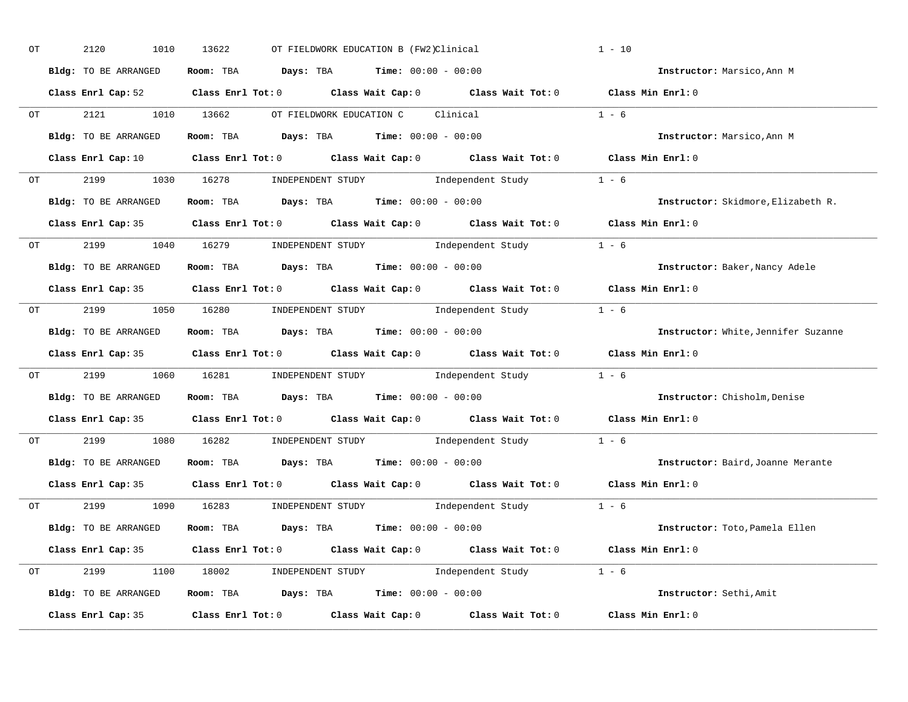| OT | 2120<br>1010         | 13622<br>OT FIELDWORK EDUCATION B (FW2)Clinical                |                                                                                                                                | $1 - 10$                            |
|----|----------------------|----------------------------------------------------------------|--------------------------------------------------------------------------------------------------------------------------------|-------------------------------------|
|    | Bldg: TO BE ARRANGED | Room: TBA Days: TBA Time: $00:00 - 00:00$                      |                                                                                                                                | Instructor: Marsico, Ann M          |
|    |                      |                                                                | Class Enrl Cap: 52 Class Enrl Tot: 0 Class Wait Cap: 0 Class Wait Tot: 0 Class Min Enrl: 0                                     |                                     |
|    |                      | 0T 2121 1010 13662 OT FIELDWORK EDUCATION C Clinical           |                                                                                                                                | $1 - 6$                             |
|    | Bldg: TO BE ARRANGED | Room: TBA $\rule{1em}{0.15mm}$ Days: TBA Time: $00:00 - 00:00$ |                                                                                                                                | Instructor: Marsico, Ann M          |
|    |                      |                                                                | Class Enrl Cap: 10 $\qquad$ Class Enrl Tot: 0 $\qquad$ Class Wait Cap: 0 $\qquad$ Class Wait Tot: 0 $\qquad$ Class Min Enrl: 0 |                                     |
|    |                      |                                                                | OT 2199 1030 16278 INDEPENDENT STUDY Independent Study 1 - 6                                                                   |                                     |
|    |                      | Bldg: TO BE ARRANGED ROOM: TBA Days: TBA Time: 00:00 - 00:00   |                                                                                                                                | Instructor: Skidmore, Elizabeth R.  |
|    |                      |                                                                | Class Enrl Cap: 35 Class Enrl Tot: 0 Class Wait Cap: 0 Class Wait Tot: 0 Class Min Enrl: 0                                     |                                     |
|    |                      |                                                                | OT 2199 1040 16279 INDEPENDENT STUDY Independent Study 1 - 6                                                                   |                                     |
|    | Bldg: TO BE ARRANGED | Room: TBA $Days:$ TBA $Time: 00:00 - 00:00$                    |                                                                                                                                | Instructor: Baker, Nancy Adele      |
|    |                      |                                                                | Class Enrl Cap: 35 Class Enrl Tot: 0 Class Wait Cap: 0 Class Wait Tot: 0 Class Min Enrl: 0                                     |                                     |
|    |                      |                                                                | OT 2199 1050 16280 INDEPENDENT STUDY Independent Study 1 - 6                                                                   |                                     |
|    | Bldg: TO BE ARRANGED | Room: TBA $\rule{1em}{0.15mm}$ Days: TBA Time: $00:00 - 00:00$ |                                                                                                                                | Instructor: White, Jennifer Suzanne |
|    |                      |                                                                | Class Enrl Cap: 35 Class Enrl Tot: 0 Class Wait Cap: 0 Class Wait Tot: 0 Class Min Enrl: 0                                     |                                     |
|    |                      |                                                                | OT 2199 1060 16281 INDEPENDENT STUDY Independent Study 1 - 6                                                                   |                                     |
|    | Bldg: TO BE ARRANGED | Room: TBA $\rule{1em}{0.15mm}$ Days: TBA Time: $00:00 - 00:00$ |                                                                                                                                | Instructor: Chisholm, Denise        |
|    |                      |                                                                | Class Enrl Cap: 35 Class Enrl Tot: 0 Class Wait Cap: 0 Class Wait Tot: 0 Class Min Enrl: 0                                     |                                     |
|    |                      |                                                                | 0T 2199 1080 16282 INDEPENDENT STUDY Independent Study                                                                         | $1 - 6$                             |
|    |                      | Bldg: TO BE ARRANGED Room: TBA Days: TBA Time: 00:00 - 00:00   |                                                                                                                                | Instructor: Baird, Joanne Merante   |
|    | Class Enrl Cap: 35   |                                                                | Class Enrl Tot: $0$ Class Wait Cap: $0$ Class Wait Tot: $0$                                                                    | Class Min Enrl: 0                   |
|    |                      |                                                                | OT 2199 1090 16283 INDEPENDENT STUDY Independent Study 1 - 6                                                                   |                                     |
|    | Bldg: TO BE ARRANGED | Room: TBA $\rule{1em}{0.15mm}$ Days: TBA Time: $00:00 - 00:00$ |                                                                                                                                | Instructor: Toto,Pamela Ellen       |
|    |                      |                                                                | Class Enrl Cap: 35 Class Enrl Tot: 0 Class Wait Cap: 0 Class Wait Tot: 0 Class Min Enrl: 0                                     |                                     |
|    |                      |                                                                | OT 2199 1100 18002 INDEPENDENT STUDY Independent Study 1 - 6                                                                   |                                     |
|    | Bldg: TO BE ARRANGED |                                                                | Room: TBA $Days:$ TBA $Time:$ $00:00 - 00:00$                                                                                  | Instructor: Sethi, Amit             |
|    |                      |                                                                | Class Enrl Cap: 35 Class Enrl Tot: 0 Class Wait Cap: 0 Class Wait Tot: 0 Class Min Enrl: 0                                     |                                     |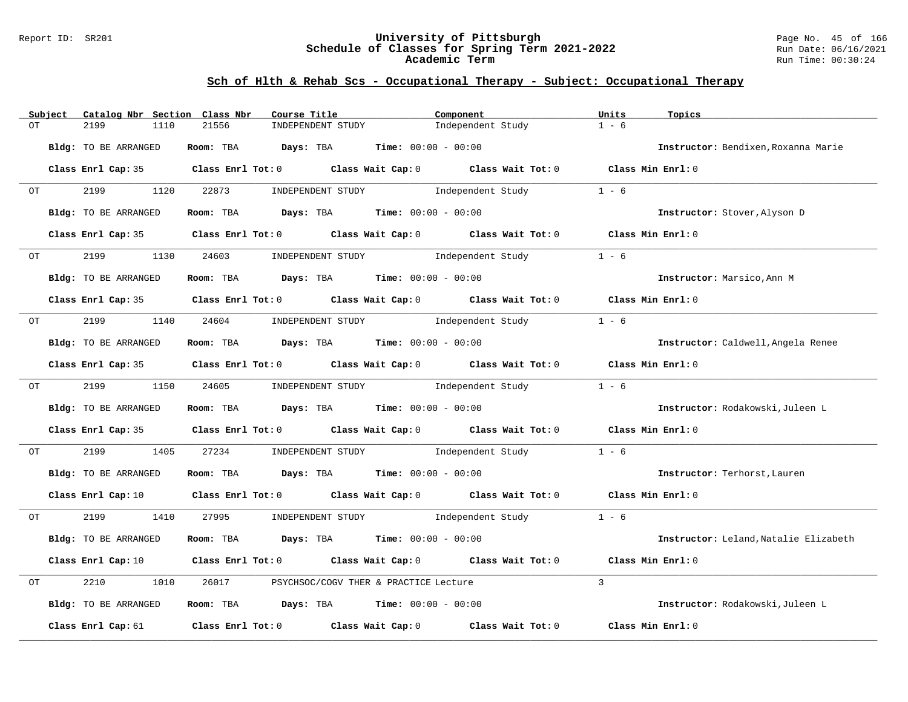#### Report ID: SR201 **University of Pittsburgh** Page No. 45 of 166 **Schedule of Classes for Spring Term 2021-2022** Run Date: 06/16/2021 **Academic Term** Run Time: 00:30:24

|    | Subject                                                                                                                                                                                                                        | Catalog Nbr Section Class Nbr |            | Course Title                                                                                                                   | Component         | Units<br>Topics                       |  |
|----|--------------------------------------------------------------------------------------------------------------------------------------------------------------------------------------------------------------------------------|-------------------------------|------------|--------------------------------------------------------------------------------------------------------------------------------|-------------------|---------------------------------------|--|
| OT |                                                                                                                                                                                                                                | 2199<br>1110                  | 21556      | INDEPENDENT STUDY                                                                                                              | Independent Study | $1 - 6$                               |  |
|    |                                                                                                                                                                                                                                | Bldg: TO BE ARRANGED          |            | Room: TBA $Days:$ TBA $Time: 00:00 - 00:00$                                                                                    |                   | Instructor: Bendixen, Roxanna Marie   |  |
|    |                                                                                                                                                                                                                                |                               |            | Class Enrl Cap: 35 Class Enrl Tot: 0 Class Wait Cap: 0 Class Wait Tot: 0 Class Min Enrl: 0                                     |                   |                                       |  |
|    | $OT$ and $CT$                                                                                                                                                                                                                  | 2199                          | 1120 22873 | INDEPENDENT STUDY 1ndependent Study                                                                                            |                   | $1 - 6$                               |  |
|    |                                                                                                                                                                                                                                | Bldg: TO BE ARRANGED          |            | Room: TBA $Days:$ TBA $Time:$ $00:00 - 00:00$                                                                                  |                   | Instructor: Stover, Alyson D          |  |
|    |                                                                                                                                                                                                                                |                               |            | Class Enrl Cap: 35 Class Enrl Tot: 0 Class Wait Cap: 0 Class Wait Tot: 0 Class Min Enrl: 0                                     |                   |                                       |  |
|    | OT                                                                                                                                                                                                                             | 2199<br>1130                  | 24603      | INDEPENDENT STUDY 1ndependent Study                                                                                            |                   | $1 - 6$                               |  |
|    |                                                                                                                                                                                                                                | Bldg: TO BE ARRANGED          |            | Room: TBA $Days: TBA$ Time: $00:00 - 00:00$                                                                                    |                   | Instructor: Marsico. Ann M            |  |
|    |                                                                                                                                                                                                                                |                               |            | Class Enrl Cap: 35 Class Enrl Tot: 0 Class Wait Cap: 0 Class Wait Tot: 0 Class Min Enrl: 0                                     |                   |                                       |  |
| OT |                                                                                                                                                                                                                                |                               |            | 2199 1140 24604 INDEPENDENT STUDY Independent Study                                                                            |                   | $1 - 6$                               |  |
|    |                                                                                                                                                                                                                                | Bldg: TO BE ARRANGED          |            | Room: TBA $Days:$ TBA Time: $00:00 - 00:00$                                                                                    |                   | Instructor: Caldwell, Angela Renee    |  |
|    |                                                                                                                                                                                                                                |                               |            | Class Enrl Cap: 35 Class Enrl Tot: 0 Class Wait Cap: 0 Class Wait Tot: 0 Class Min Enrl: 0                                     |                   |                                       |  |
|    | OT                                                                                                                                                                                                                             | 2199                          |            | 1150 24605 INDEPENDENT STUDY                                                                                                   | Independent Study | $1 - 6$                               |  |
|    |                                                                                                                                                                                                                                | Bldg: TO BE ARRANGED          |            | Room: TBA Days: TBA Time: $00:00 - 00:00$                                                                                      |                   | Instructor: Rodakowski, Juleen L      |  |
|    |                                                                                                                                                                                                                                |                               |            | Class Enrl Cap: 35 Class Enrl Tot: 0 Class Wait Cap: 0 Class Wait Tot: 0 Class Min Enrl: 0                                     |                   |                                       |  |
|    | OT TO THE CONTROL OF THE CONTROL CONTROL CONTROL CONTROL CONTROL CONTROL CONTROL CONTROL CONTROL CONTROL CONTROL CONTROL CONTROL CONTROL CONTROL CONTROL CONTROL CONTROL CONTROL CONTROL CONTROL CONTROL CONTROL CONTROL CONTR |                               |            | 2199 1405 27234 INDEPENDENT STUDY Independent Study                                                                            |                   | $1 - 6$                               |  |
|    |                                                                                                                                                                                                                                | Bldg: TO BE ARRANGED          |            | Room: TBA $Days: TBA$ Time: $00:00 - 00:00$                                                                                    |                   | Instructor: Terhorst, Lauren          |  |
|    |                                                                                                                                                                                                                                |                               |            | Class Enrl Cap: 10 $\qquad$ Class Enrl Tot: 0 $\qquad$ Class Wait Cap: 0 $\qquad$ Class Wait Tot: 0 $\qquad$ Class Min Enrl: 0 |                   |                                       |  |
| OT |                                                                                                                                                                                                                                |                               |            | 2199 1410 27995 INDEPENDENT STUDY Independent Study                                                                            |                   | $1 - 6$                               |  |
|    |                                                                                                                                                                                                                                | Bldg: TO BE ARRANGED          |            | Room: TBA $Days: TBA$ Time: $00:00 - 00:00$                                                                                    |                   | Instructor: Leland, Natalie Elizabeth |  |
|    |                                                                                                                                                                                                                                |                               |            | Class Enrl Cap: 10 $\qquad$ Class Enrl Tot: 0 $\qquad$ Class Wait Cap: 0 $\qquad$ Class Wait Tot: 0 $\qquad$ Class Min Enrl: 0 |                   |                                       |  |
| OT |                                                                                                                                                                                                                                | 2210<br>1010                  | 26017      | PSYCHSOC/COGV THER & PRACTICE Lecture                                                                                          |                   | $\mathbf{3}$                          |  |
|    |                                                                                                                                                                                                                                | Bldg: TO BE ARRANGED          |            | Room: TBA $Days:$ TBA $Time: 00:00 - 00:00$                                                                                    |                   | Instructor: Rodakowski, Juleen L      |  |
|    |                                                                                                                                                                                                                                |                               |            | Class Enrl Cap: 61 Class Enrl Tot: 0 Class Wait Cap: 0 Class Wait Tot: 0                                                       |                   | Class Min Enrl: 0                     |  |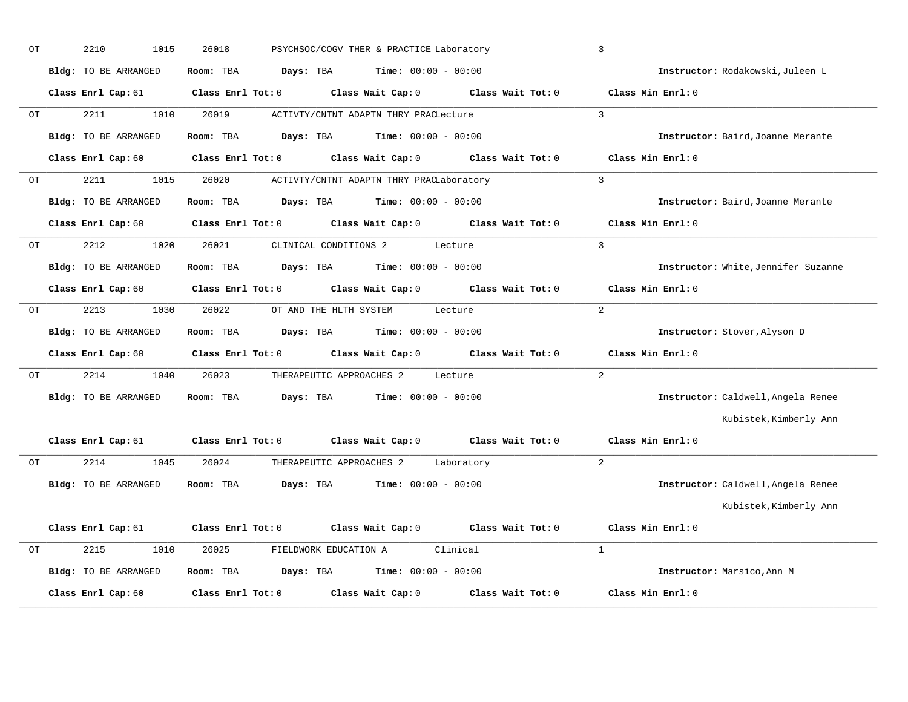| OT | 2210<br>1015         | 26018               | PSYCHSOC/COGV THER & PRACTICE Laboratory                                                   | $\overline{3}$                      |
|----|----------------------|---------------------|--------------------------------------------------------------------------------------------|-------------------------------------|
|    | Bldg: TO BE ARRANGED | Room: TBA Days: TBA | $Time: 00:00 - 00:00$                                                                      | Instructor: Rodakowski, Juleen L    |
|    |                      |                     | Class Enrl Cap: 61 Class Enrl Tot: 0 Class Wait Cap: 0 Class Wait Tot: 0 Class Min Enrl: 0 |                                     |
| OT | 2211                 | 1010 26019          | ACTIVTY/CNTNT ADAPTN THRY PRACLecture                                                      | $\mathcal{R}$                       |
|    | Bldg: TO BE ARRANGED |                     | Room: TBA $\rule{1em}{0.15mm}$ Days: TBA Time: $00:00 - 00:00$                             | Instructor: Baird, Joanne Merante   |
|    |                      |                     | Class Enrl Cap: 60 Class Enrl Tot: 0 Class Wait Cap: 0 Class Wait Tot: 0                   | Class Min Enrl: 0                   |
| OT | 2211                 |                     | 1015 26020 ACTIVTY/CNTNT ADAPTN THRY PRACLaboratory                                        | $\mathbf{3}$                        |
|    | Bldg: TO BE ARRANGED |                     | Room: TBA $Days: TBA$ Time: $00:00 - 00:00$                                                | Instructor: Baird, Joanne Merante   |
|    | Class Enrl Cap: 60   |                     | Class Enrl Tot: 0 Class Wait Cap: 0 Class Wait Tot: 0                                      | Class Min Enrl: 0                   |
| OT | 2212<br>1020         | 26021               | CLINICAL CONDITIONS 2 Lecture                                                              | $\overline{3}$                      |
|    | Bldg: TO BE ARRANGED |                     | Room: TBA $Days:$ TBA $Time: 00:00 - 00:00$                                                | Instructor: White, Jennifer Suzanne |
|    |                      |                     | Class Enrl Cap: 60 Class Enrl Tot: 0 Class Wait Cap: 0 Class Wait Tot: 0 Class Min Enrl: 0 |                                     |
| OT |                      |                     | 2213 1030 26022 OT AND THE HLTH SYSTEM Lecture                                             | 2                                   |
|    | Bldg: TO BE ARRANGED |                     | Room: TBA $Days:$ TBA $Time: 00:00 - 00:00$                                                | Instructor: Stover, Alyson D        |
|    |                      |                     | Class Enrl Cap: 60 Class Enrl Tot: 0 Class Wait Cap: 0 Class Wait Tot: 0                   | Class Min Enrl: 0                   |
| OT |                      |                     | 2214 1040 26023 THERAPEUTIC APPROACHES 2 Lecture                                           | $2^{1}$                             |
|    | Bldg: TO BE ARRANGED |                     | Room: TBA $Days:$ TBA $Time: 00:00 - 00:00$                                                | Instructor: Caldwell, Angela Renee  |
|    |                      |                     |                                                                                            | Kubistek, Kimberly Ann              |
|    |                      |                     | Class Enrl Cap: 61 Class Enrl Tot: 0 Class Wait Cap: 0 Class Wait Tot: 0 Class Min Enrl: 0 |                                     |
| OT |                      |                     | 2214 1045 26024 THERAPEUTIC APPROACHES 2 Laboratory                                        | $\overline{2}$                      |
|    | Bldg: TO BE ARRANGED |                     | Room: TBA $\rule{1em}{0.15mm}$ Days: TBA $\rule{1.15mm}]{0.15mm}$ Time: $0.0100 - 0.0100$  | Instructor: Caldwell, Angela Renee  |
|    |                      |                     |                                                                                            | Kubistek, Kimberly Ann              |
|    |                      |                     | Class Enrl Cap: 61 (class Enrl Tot: 0) (class Wait Cap: 0) (class Wait Tot: 0)             | Class Min $Enr1:0$                  |
| OT | 2215                 |                     | 1010 26025 FIELDWORK EDUCATION A Clinical                                                  | $\overline{1}$                      |
|    |                      |                     |                                                                                            |                                     |
|    | Bldg: TO BE ARRANGED |                     | Room: TBA $Days: TBA$ Time: $00:00 - 00:00$                                                | Instructor: Marsico, Ann M          |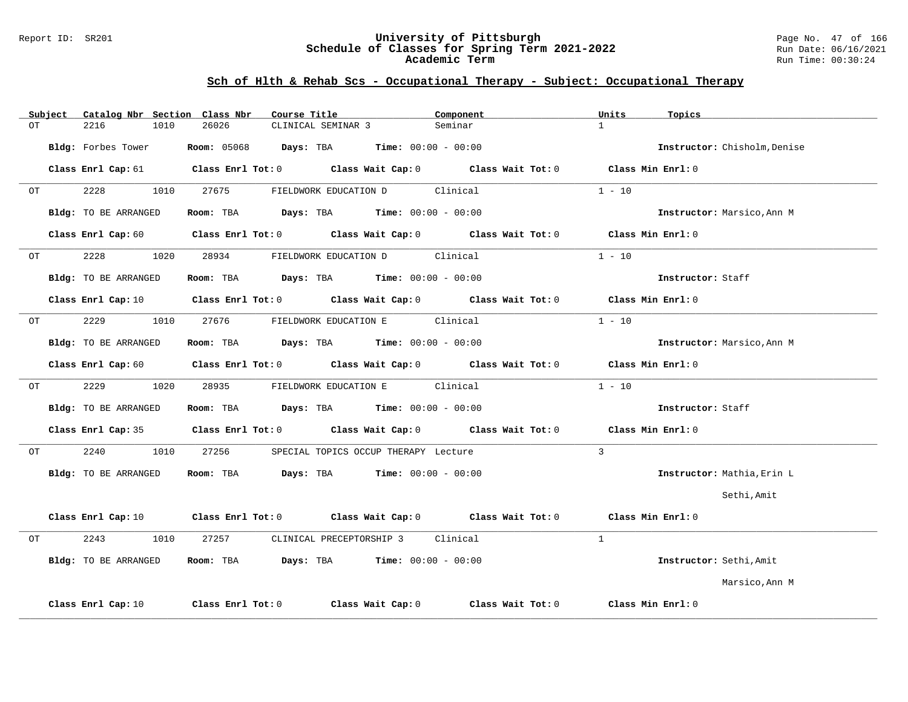#### Report ID: SR201 **University of Pittsburgh** Page No. 47 of 166 **Schedule of Classes for Spring Term 2021-2022** Run Date: 06/16/2021 **Academic Term** Run Time: 00:30:24

|    | Subject | Catalog Nbr Section Class Nbr |      |                   | Course Title |                    |                                                                    | Component |                                                                                                                                | Units             | Topics                       |  |
|----|---------|-------------------------------|------|-------------------|--------------|--------------------|--------------------------------------------------------------------|-----------|--------------------------------------------------------------------------------------------------------------------------------|-------------------|------------------------------|--|
| ОT |         | 2216                          | 1010 | 26026             |              | CLINICAL SEMINAR 3 |                                                                    | Seminar   |                                                                                                                                | $\mathbf{1}$      |                              |  |
|    |         | Bldg: Forbes Tower            |      |                   |              |                    | <b>Room:</b> $05068$ <b>Days:</b> TBA <b>Time:</b> $00:00 - 00:00$ |           |                                                                                                                                |                   | Instructor: Chisholm, Denise |  |
|    |         |                               |      |                   |              |                    |                                                                    |           | Class Enrl Cap: 61 $\qquad$ Class Enrl Tot: 0 $\qquad$ Class Wait Cap: 0 $\qquad$ Class Wait Tot: 0                            | Class Min Enrl: 0 |                              |  |
| OT |         | 2228                          | 1010 | 27675             |              |                    | FIELDWORK EDUCATION D Clinical                                     |           |                                                                                                                                | $1 - 10$          |                              |  |
|    |         | Bldg: TO BE ARRANGED          |      |                   |              |                    | Room: TBA $Days: TBA$ Time: $00:00 - 00:00$                        |           |                                                                                                                                |                   | Instructor: Marsico, Ann M   |  |
|    |         |                               |      |                   |              |                    |                                                                    |           | Class Enrl Cap: 60 $\qquad$ Class Enrl Tot: 0 $\qquad$ Class Wait Cap: 0 $\qquad$ Class Wait Tot: 0 $\qquad$ Class Min Enrl: 0 |                   |                              |  |
| ОT |         | 2228                          | 1020 | 28934             |              |                    | FIELDWORK EDUCATION D Clinical                                     |           |                                                                                                                                | $1 - 10$          |                              |  |
|    |         | Bldg: TO BE ARRANGED          |      |                   |              |                    | Room: TBA $Days: TBA$ Time: $00:00 - 00:00$                        |           |                                                                                                                                |                   | Instructor: Staff            |  |
|    |         | Class Enrl Cap: 10            |      |                   |              |                    |                                                                    |           | Class Enrl Tot: $0$ Class Wait Cap: $0$ Class Wait Tot: $0$ Class Min Enrl: $0$                                                |                   |                              |  |
| OT |         | 2229                          | 1010 | 27676             |              |                    | FIELDWORK EDUCATION E Clinical                                     |           |                                                                                                                                | $1 - 10$          |                              |  |
|    |         | Bldg: TO BE ARRANGED          |      |                   |              |                    | Room: TBA $Days:$ TBA $Time: 00:00 - 00:00$                        |           |                                                                                                                                |                   | Instructor: Marsico, Ann M   |  |
|    |         | Class Enrl Cap: 60            |      |                   |              |                    |                                                                    |           | Class Enrl Tot: 0 Class Wait Cap: 0 Class Wait Tot: 0 Class Min Enrl: 0                                                        |                   |                              |  |
| ОT |         | 2229                          | 1020 | 28935             |              |                    | FIELDWORK EDUCATION E                                              | Clinical  |                                                                                                                                | $1 - 10$          |                              |  |
|    |         | Bldg: TO BE ARRANGED          |      |                   |              |                    | Room: TBA $Days:$ TBA $Time: 00:00 - 00:00$                        |           |                                                                                                                                |                   | Instructor: Staff            |  |
|    |         |                               |      |                   |              |                    |                                                                    |           | Class Enrl Cap: 35 Class Enrl Tot: 0 Class Wait Cap: 0 Class Wait Tot: 0                                                       | Class Min Enrl: 0 |                              |  |
| ОT |         | 2240                          | 1010 | 27256             |              |                    | SPECIAL TOPICS OCCUP THERAPY Lecture                               |           |                                                                                                                                | $\mathbf{3}$      |                              |  |
|    |         | Bldg: TO BE ARRANGED          |      |                   |              |                    | Room: TBA $Days:$ TBA $Time: 00:00 - 00:00$                        |           |                                                                                                                                |                   | Instructor: Mathia, Erin L   |  |
|    |         |                               |      |                   |              |                    |                                                                    |           |                                                                                                                                |                   | Sethi, Amit                  |  |
|    |         | Class Enrl Cap: 10            |      |                   |              |                    |                                                                    |           | Class Enrl Tot: 0 $\qquad$ Class Wait Cap: 0 $\qquad$ Class Wait Tot: 0 $\qquad$ Class Min Enrl: 0                             |                   |                              |  |
| OT |         | 2243                          | 1010 | 27257             |              |                    | CLINICAL PRECEPTORSHIP 3                                           | Clinical  |                                                                                                                                | $\mathbf{1}$      |                              |  |
|    |         | Bldg: TO BE ARRANGED          |      |                   |              |                    | Room: TBA $Days:$ TBA $Time: 00:00 - 00:00$                        |           |                                                                                                                                |                   | Instructor: Sethi, Amit      |  |
|    |         |                               |      |                   |              |                    |                                                                    |           |                                                                                                                                |                   | Marsico, Ann M               |  |
|    |         | Class Enrl Cap: 10            |      | Class Enrl Tot: 0 |              |                    | Class Wait Cap: 0                                                  |           | Class Wait Tot: 0                                                                                                              |                   | Class Min Enrl: 0            |  |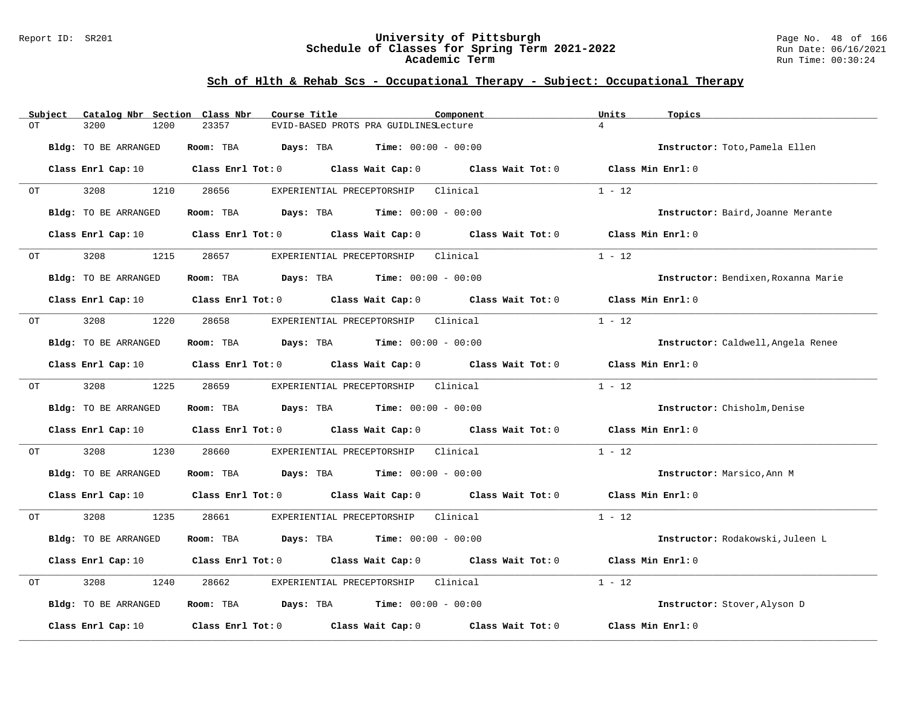#### Report ID: SR201 **University of Pittsburgh** Page No. 48 of 166 **Schedule of Classes for Spring Term 2021-2022** Run Date: 06/16/2021 **Academic Term** Run Time: 00:30:24

|    | Subject | Catalog Nbr Section Class Nbr |           | Course Title                                                                                        | Component                                                                                                                      | Units<br>Topics                     |  |
|----|---------|-------------------------------|-----------|-----------------------------------------------------------------------------------------------------|--------------------------------------------------------------------------------------------------------------------------------|-------------------------------------|--|
| OT |         | 3200<br>1200                  | 23357     | EVID-BASED PROTS PRA GUIDLINESLecture                                                               |                                                                                                                                | $\overline{4}$                      |  |
|    |         | Bldg: TO BE ARRANGED          | Room: TBA | <b>Days:</b> TBA <b>Time:</b> $00:00 - 00:00$                                                       |                                                                                                                                | Instructor: Toto, Pamela Ellen      |  |
|    |         |                               |           |                                                                                                     | Class Enrl Cap: 10 $\qquad$ Class Enrl Tot: 0 $\qquad$ Class Wait Cap: 0 $\qquad$ Class Wait Tot: 0                            | Class Min Enrl: 0                   |  |
|    |         |                               |           |                                                                                                     |                                                                                                                                |                                     |  |
| OT |         | 3208<br>1210                  | 28656     | EXPERIENTIAL PRECEPTORSHIP Clinical                                                                 |                                                                                                                                | $1 - 12$                            |  |
|    |         | Bldg: TO BE ARRANGED          | Room: TBA | <b>Days:</b> TBA <b>Time:</b> $00:00 - 00:00$                                                       |                                                                                                                                | Instructor: Baird, Joanne Merante   |  |
|    |         | Class Enrl Cap: 10            |           | Class Enrl Tot: 0 Class Wait Cap: 0 Class Wait Tot: 0                                               |                                                                                                                                | Class Min Enrl: 0                   |  |
| OT |         | 1215<br>3208                  | 28657     | EXPERIENTIAL PRECEPTORSHIP                                                                          | Clinical                                                                                                                       | $1 - 12$                            |  |
|    |         | Bldg: TO BE ARRANGED          | Room: TBA | <b>Days:</b> TBA <b>Time:</b> $00:00 - 00:00$                                                       |                                                                                                                                | Instructor: Bendixen, Roxanna Marie |  |
|    |         |                               |           |                                                                                                     | Class Enrl Cap: 10 $\qquad$ Class Enrl Tot: 0 $\qquad$ Class Wait Cap: 0 $\qquad$ Class Wait Tot: 0 $\qquad$ Class Min Enrl: 0 |                                     |  |
| OT |         | 3208<br>1220                  | 28658     | EXPERIENTIAL PRECEPTORSHIP                                                                          | Clinical                                                                                                                       | $1 - 12$                            |  |
|    |         | Bldg: TO BE ARRANGED          |           | Room: TBA $Days:$ TBA $Time: 00:00 - 00:00$                                                         |                                                                                                                                | Instructor: Caldwell, Angela Renee  |  |
|    |         |                               |           | Class Enrl Cap: 10 $\qquad$ Class Enrl Tot: 0 $\qquad$ Class Wait Cap: 0 $\qquad$ Class Wait Tot: 0 |                                                                                                                                | Class Min Enrl: 0                   |  |
|    |         |                               |           |                                                                                                     |                                                                                                                                |                                     |  |
| OT |         | 3208<br>1225                  | 28659     | EXPERIENTIAL PRECEPTORSHIP Clinical                                                                 |                                                                                                                                | $1 - 12$                            |  |
|    |         | Bldg: TO BE ARRANGED          |           | Room: TBA $Days:$ TBA $Time: 00:00 - 00:00$                                                         |                                                                                                                                | Instructor: Chisholm, Denise        |  |
|    |         |                               |           | Class Enrl Cap: 10 Class Enrl Tot: 0 Class Wait Cap: 0 Class Wait Tot: 0                            |                                                                                                                                | Class Min Enrl: 0                   |  |
| OT |         | 3208<br>1230                  | 28660     | EXPERIENTIAL PRECEPTORSHIP                                                                          | Clinical                                                                                                                       | $1 - 12$                            |  |
|    |         | Bldg: TO BE ARRANGED          |           | Room: TBA $\rule{1em}{0.15mm}$ Days: TBA $\qquad$ Time: $00:00 - 00:00$                             |                                                                                                                                | Instructor: Marsico, Ann M          |  |
|    |         |                               |           |                                                                                                     | Class Enrl Cap: 10 $\qquad$ Class Enrl Tot: 0 $\qquad$ Class Wait Cap: 0 $\qquad$ Class Wait Tot: 0                            | Class Min $Err1:0$                  |  |
| OT |         | 3208<br>1235                  | 28661     | EXPERIENTIAL PRECEPTORSHIP Clinical                                                                 |                                                                                                                                | $1 - 12$                            |  |
|    |         | Bldg: TO BE ARRANGED          | Room: TBA | $Days: TBA$ Time: $00:00 - 00:00$                                                                   |                                                                                                                                | Instructor: Rodakowski, Juleen L    |  |
|    |         |                               |           | Class Enrl Cap: 10 $\qquad$ Class Enrl Tot: 0 $\qquad$ Class Wait Cap: 0 $\qquad$ Class Wait Tot: 0 |                                                                                                                                | Class Min Enrl: 0                   |  |
| OT |         | 3208<br>1240                  | 28662     | EXPERIENTIAL PRECEPTORSHIP                                                                          | Clinical                                                                                                                       | $1 - 12$                            |  |
|    |         | Bldg: TO BE ARRANGED          |           | Room: TBA $Days:$ TBA $Time: 00:00 - 00:00$                                                         |                                                                                                                                | Instructor: Stover, Alyson D        |  |
|    |         | Class Enrl Cap: 10            |           | Class Enrl Tot: $0$ Class Wait Cap: $0$ Class Wait Tot: $0$                                         |                                                                                                                                | Class Min Enrl: 0                   |  |
|    |         |                               |           |                                                                                                     |                                                                                                                                |                                     |  |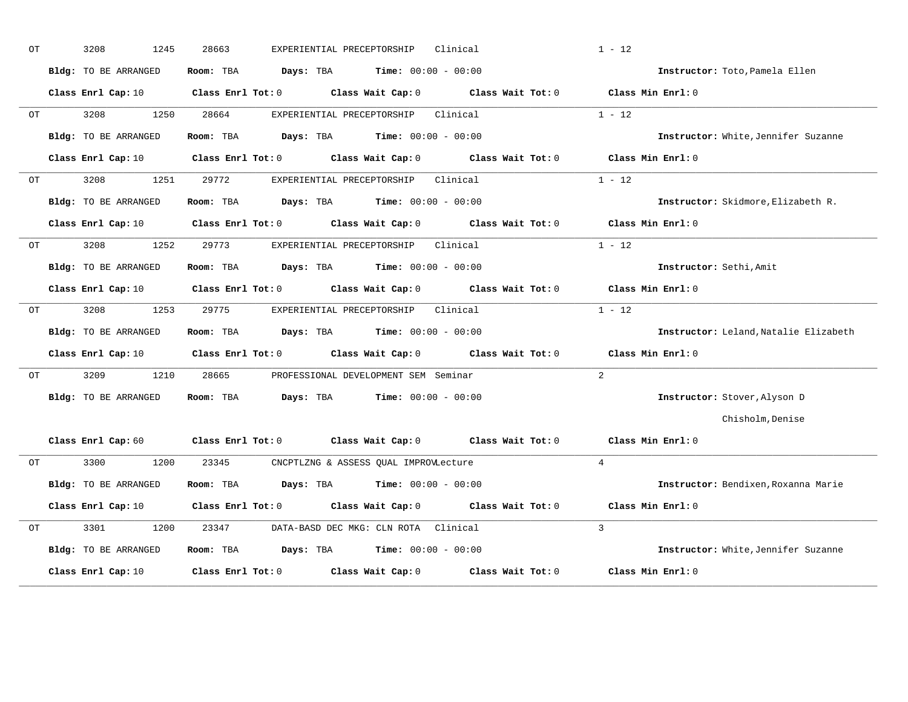| ОT | 3208<br>1245                | 28663<br>EXPERIENTIAL PRECEPTORSHIP<br>Clinical                                                                                | $1 - 12$                              |
|----|-----------------------------|--------------------------------------------------------------------------------------------------------------------------------|---------------------------------------|
|    | Bldg: TO BE ARRANGED        | <b>Days:</b> TBA <b>Time:</b> $00:00 - 00:00$<br>Room: TBA                                                                     | Instructor: Toto, Pamela Ellen        |
|    |                             | Class Enrl Cap: 10 Class Enrl Tot: 0 Class Wait Cap: 0 Class Wait Tot: 0 Class Min Enrl: 0                                     |                                       |
| OT | 3208<br>1250                | 28664<br>Clinical<br>EXPERIENTIAL PRECEPTORSHIP                                                                                | $1 - 12$                              |
|    | Bldg: TO BE ARRANGED        | Room: TBA<br><b>Days:</b> TBA <b>Time:</b> $00:00 - 00:00$                                                                     | Instructor: White, Jennifer Suzanne   |
|    | Class Enrl Cap: 10          | Class Enrl Tot: 0 Class Wait Cap: 0 Class Wait Tot: 0                                                                          | Class Min Enrl: 0                     |
| OT | 3208<br>1251                | 29772<br>Clinical<br>EXPERIENTIAL PRECEPTORSHIP                                                                                | $1 - 12$                              |
|    | Bldg: TO BE ARRANGED        | Room: TBA<br><b>Days:</b> TBA <b>Time:</b> $00:00 - 00:00$                                                                     | Instructor: Skidmore, Elizabeth R.    |
|    |                             | Class Enrl Cap: 10 Class Enrl Tot: 0 Class Wait Cap: 0 Class Wait Tot: 0 Class Min Enrl: 0                                     |                                       |
| OT | 3208<br>1252                | 29773<br>EXPERIENTIAL PRECEPTORSHIP<br>Clinical                                                                                | $1 - 12$                              |
|    | <b>Bldg:</b> TO BE ARRANGED | <b>Days:</b> TBA <b>Time:</b> $00:00 - 00:00$<br>Room: TBA                                                                     | Instructor: Sethi, Amit               |
|    | Class Enrl Cap: 10          | Class Enrl Tot: 0 Class Wait Cap: 0 Class Wait Tot: 0                                                                          | Class Min Enrl: 0                     |
| OT | 3208<br>1253                | 29775<br>Clinical<br>EXPERIENTIAL PRECEPTORSHIP                                                                                | $1 - 12$                              |
|    | Bldg: TO BE ARRANGED        | Room: TBA<br><b>Days:</b> TBA <b>Time:</b> $00:00 - 00:00$                                                                     | Instructor: Leland, Natalie Elizabeth |
|    |                             | Class Enrl Cap: 10 Class Enrl Tot: 0 Class Wait Cap: 0 Class Wait Tot: 0 Class Min Enrl: 0                                     |                                       |
| ОT | 3209<br>1210                | 28665<br>PROFESSIONAL DEVELOPMENT SEM Seminar                                                                                  | 2                                     |
|    | Bldg: TO BE ARRANGED        | <b>Days:</b> TBA <b>Time:</b> $00:00 - 00:00$<br>Room: TBA                                                                     | Instructor: Stover, Alyson D          |
|    |                             |                                                                                                                                | Chisholm, Denise                      |
|    |                             | Class Enrl Cap: 60 $\qquad$ Class Enrl Tot: 0 $\qquad$ Class Wait Cap: 0 $\qquad$ Class Wait Tot: 0 $\qquad$ Class Min Enrl: 0 |                                       |
| OT | 3300<br>1200                | 23345<br>CNCPTLZNG & ASSESS QUAL IMPROVLecture                                                                                 | $\overline{4}$                        |
|    | Bldg: TO BE ARRANGED        | <b>Days:</b> TBA <b>Time:</b> $00:00 - 00:00$<br>Room: TBA                                                                     | Instructor: Bendixen, Roxanna Marie   |
|    | Class Enrl Cap: 10          | Class Enrl Tot: 0 Class Wait Cap: 0 Class Wait Tot: 0                                                                          | Class Min Enrl: 0                     |
| ОT | 3301<br>1200                | 23347<br>DATA-BASD DEC MKG: CLN ROTA Clinical                                                                                  | $\overline{3}$                        |
|    | Bldg: TO BE ARRANGED        | Room: TBA<br><b>Days:</b> TBA <b>Time:</b> $00:00 - 00:00$                                                                     | Instructor: White, Jennifer Suzanne   |
|    | Class Enrl Cap: 10          | Class Enrl Tot: 0 Class Wait Cap: 0 Class Wait Tot: 0                                                                          | Class Min Enrl: 0                     |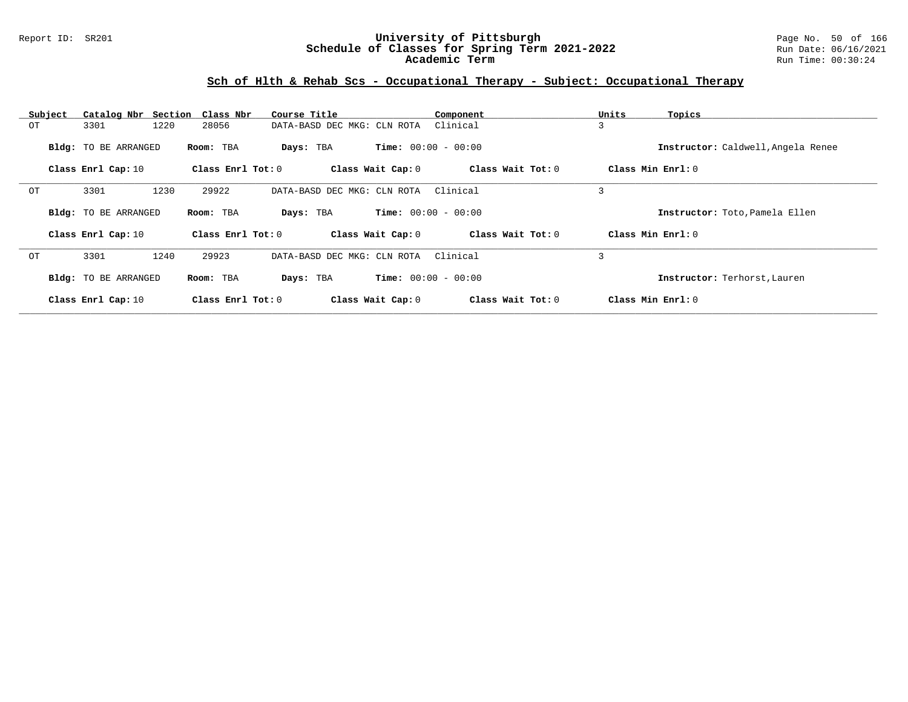### Report ID: SR201 **University of Pittsburgh** Page No. 50 of 166 **Schedule of Classes for Spring Term 2021-2022** Run Date: 06/16/2021 **Academic Term** Run Time: 00:30:24

| Subject | Catalog Nbr Section Class Nbr |                     | Course Title                | Component                    | Units<br>Topics                    |
|---------|-------------------------------|---------------------|-----------------------------|------------------------------|------------------------------------|
| ОT      | 1220<br>3301                  | 28056               | DATA-BASD DEC MKG: CLN ROTA | Clinical                     | 3                                  |
|         | Bldg: TO BE ARRANGED          | Room: TBA           | Days: TBA                   | <b>Time:</b> $00:00 - 00:00$ | Instructor: Caldwell, Angela Renee |
|         | Class Enrl Cap: 10            | Class Enrl Tot: $0$ | Class Wait Cap: 0           | Class Wait Tot: 0            | Class Min Enrl: 0                  |
| OT      | 3301<br>1230                  | 29922               | DATA-BASD DEC MKG: CLN ROTA | Clinical                     | 3                                  |
|         | Bldg: TO BE ARRANGED          | Room: TBA           | Days: TBA                   | <b>Time:</b> $00:00 - 00:00$ | Instructor: Toto, Pamela Ellen     |
|         | Class Enrl Cap: 10            | Class Enrl Tot: $0$ | Class Wait Cap: 0           | Class Wait Tot: 0            | Class Min Enrl: 0                  |
| OT      | 1240<br>3301                  | 29923               | DATA-BASD DEC MKG: CLN ROTA | Clinical                     | 3                                  |
|         | Bldg: TO BE ARRANGED          | Room: TBA           | Days: TBA                   | <b>Time:</b> $00:00 - 00:00$ | Instructor: Terhorst, Lauren       |
|         | Class Enrl Cap: 10            | Class Enrl Tot: $0$ | Class Wait Cap: 0           | Class Wait Tot: 0            | Class Min Enrl: 0                  |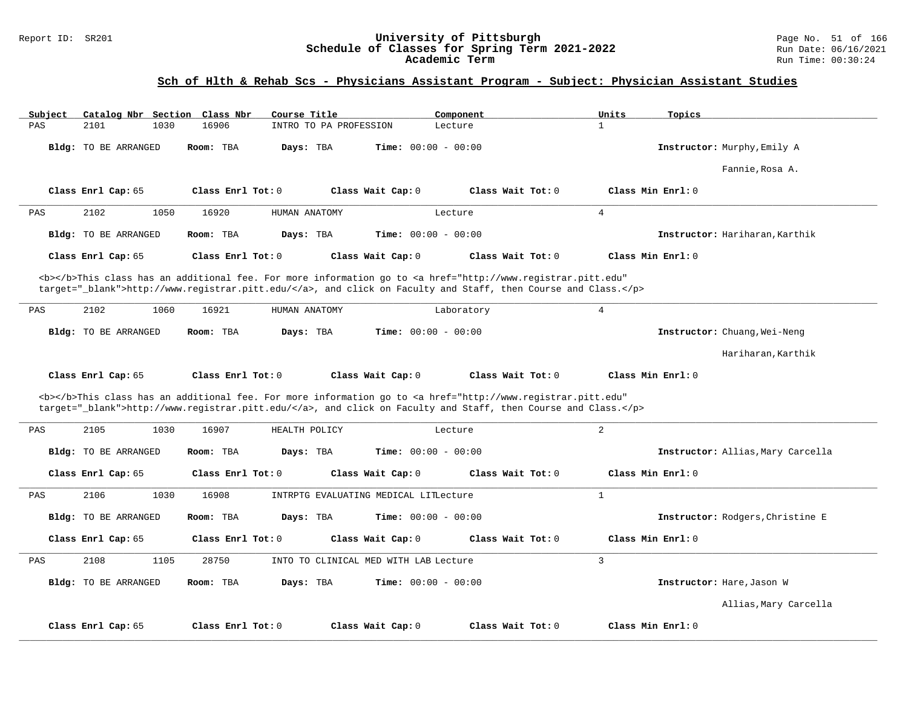### Report ID: SR201 **University of Pittsburgh** Page No. 51 of 166 **Schedule of Classes for Spring Term 2021-2022** Run Date: 06/16/2021 **Academic Term** Run Time: 00:30:24

# **Sch of Hlth & Rehab Scs - Physicians Assistant Program - Subject: Physician Assistant Studies**

| Subject<br>Catalog Nbr Section Class Nbr | Course Title                                                                                                                                                                                                                       | Component                    | Units<br>Topics                   |
|------------------------------------------|------------------------------------------------------------------------------------------------------------------------------------------------------------------------------------------------------------------------------------|------------------------------|-----------------------------------|
| PAS<br>2101<br>1030                      | 16906<br>INTRO TO PA PROFESSION                                                                                                                                                                                                    | Lecture                      | $\mathbf{1}$                      |
| Bldg: TO BE ARRANGED                     | Room: TBA<br>Days: TBA                                                                                                                                                                                                             | <b>Time:</b> $00:00 - 00:00$ | Instructor: Murphy, Emily A       |
|                                          |                                                                                                                                                                                                                                    |                              | Fannie, Rosa A.                   |
| Class Enrl Cap: 65                       | Class Enrl Tot: 0<br>Class Wait Cap: 0                                                                                                                                                                                             | Class Wait Tot: 0            | Class Min Enrl: 0                 |
| 2102<br>PAS<br>1050                      | 16920<br>HUMAN ANATOMY                                                                                                                                                                                                             | Lecture                      | $\overline{4}$                    |
| Bldg: TO BE ARRANGED                     | Room: TBA<br>Days: TBA                                                                                                                                                                                                             | <b>Time:</b> $00:00 - 00:00$ | Instructor: Hariharan, Karthik    |
| Class Enrl Cap: 65                       | Class Enrl Tot: $0$<br>Class Wait Cap: 0                                                                                                                                                                                           | Class Wait Tot: 0            | Class Min Enrl: 0                 |
|                                          | <b></b> This class has an additional fee. For more information go to <a <br="" href="http://www.registrar.pitt.edu">target="_blank"&gt;http://www.registrar.pitt.edu/</a> , and click on Faculty and Staff, then Course and Class. |                              |                                   |
| PAS<br>2102<br>1060                      | 16921<br>HUMAN ANATOMY                                                                                                                                                                                                             | Laboratory                   | $\overline{4}$                    |
| <b>Bldg:</b> TO BE ARRANGED              | Days: TBA<br>Room: TBA                                                                                                                                                                                                             | Time: $00:00 - 00:00$        | Instructor: Chuang, Wei-Neng      |
|                                          |                                                                                                                                                                                                                                    |                              | Hariharan, Karthik                |
| Class Enrl Cap: 65                       | Class Enrl Tot: 0<br>Class Wait Cap: 0                                                                                                                                                                                             | Class Wait Tot: 0            | Class Min Enrl: 0                 |
|                                          | <b></b> This class has an additional fee. For more information go to <a <br="" href="http://www.registrar.pitt.edu">target="_blank"&gt;http://www.registrar.pitt.edu/</a> , and click on Faculty and Staff, then Course and Class. |                              |                                   |
| 2105<br>1030<br>PAS                      | 16907<br>HEALTH POLICY                                                                                                                                                                                                             | Lecture                      | $\overline{2}$                    |
| Bldg: TO BE ARRANGED                     | Room: TBA<br>Days: TBA                                                                                                                                                                                                             | <b>Time:</b> $00:00 - 00:00$ | Instructor: Allias, Mary Carcella |
| Class Enrl Cap: 65                       | Class Enrl Tot: $0$<br>Class Wait Cap: 0                                                                                                                                                                                           | Class Wait $Tot: 0$          | Class Min Enrl: 0                 |
| 2106<br>1030<br>PAS                      | 16908<br>INTRPTG EVALUATING MEDICAL LITLecture                                                                                                                                                                                     |                              | $\mathbf{1}$                      |
| <b>Bldg:</b> TO BE ARRANGED              | Room: TBA<br>Days: TBA                                                                                                                                                                                                             | Time: $00:00 - 00:00$        | Instructor: Rodgers, Christine E  |
| Class Enrl Cap: 65                       | Class Enrl Tot: 0<br>Class Wait Cap: 0                                                                                                                                                                                             | Class Wait Tot: 0            | Class Min Enrl: 0                 |
| 1105<br>PAS<br>2108                      | 28750<br>INTO TO CLINICAL MED WITH LAB Lecture                                                                                                                                                                                     |                              | $\overline{3}$                    |
| Bldg: TO BE ARRANGED                     | Room: TBA<br>Days: TBA                                                                                                                                                                                                             | Time: $00:00 - 00:00$        | Instructor: Hare, Jason W         |
|                                          |                                                                                                                                                                                                                                    |                              | Allias, Mary Carcella             |
| Class Enrl Cap: 65                       | Class Enrl Tot: 0<br>Class Wait Cap: 0                                                                                                                                                                                             | Class Wait Tot: 0            | Class Min Enrl: 0                 |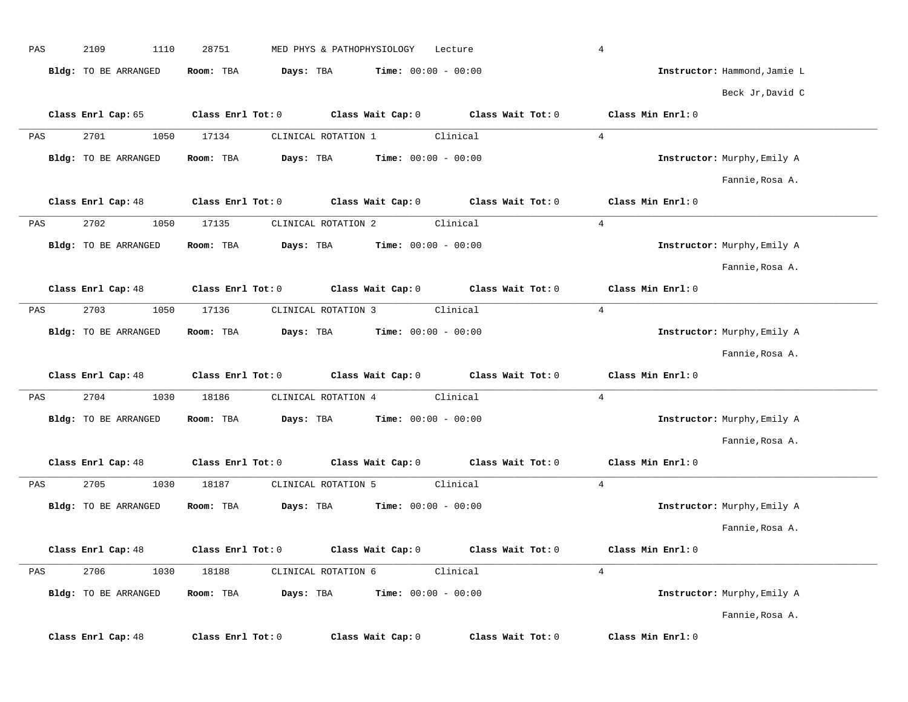| PAS | 2109<br>1110         | 28751             | MED PHYS & PATHOPHYSIOLOGY                    |                              | Lecture                                                                                            | $\overline{4}$               |  |
|-----|----------------------|-------------------|-----------------------------------------------|------------------------------|----------------------------------------------------------------------------------------------------|------------------------------|--|
|     | Bldg: TO BE ARRANGED | Room: TBA         | Days: TBA                                     | <b>Time:</b> $00:00 - 00:00$ |                                                                                                    | Instructor: Hammond, Jamie L |  |
|     |                      |                   |                                               |                              |                                                                                                    | Beck Jr, David C             |  |
|     | Class Enrl Cap: 65   |                   |                                               |                              | Class Enrl Tot: 0 $\qquad$ Class Wait Cap: 0 $\qquad$ Class Wait Tot: 0 $\qquad$ Class Min Enrl: 0 |                              |  |
| PAS | 2701<br>1050         | 17134             | CLINICAL ROTATION 1                           |                              | Clinical                                                                                           | $\overline{4}$               |  |
|     | Bldg: TO BE ARRANGED | Room: TBA         | <b>Days:</b> TBA <b>Time:</b> $00:00 - 00:00$ |                              |                                                                                                    | Instructor: Murphy, Emily A  |  |
|     |                      |                   |                                               |                              |                                                                                                    | Fannie, Rosa A.              |  |
|     | Class Enrl Cap: 48   | Class Enrl Tot: 0 |                                               |                              | Class Wait Cap: $0$ Class Wait Tot: $0$                                                            | Class Min Enrl: 0            |  |
| PAS | 2702<br>1050         | 17135             | CLINICAL ROTATION 2                           |                              | Clinical                                                                                           | $\overline{4}$               |  |
|     | Bldg: TO BE ARRANGED | Room: TBA         | Days: TBA                                     | <b>Time:</b> $00:00 - 00:00$ |                                                                                                    | Instructor: Murphy, Emily A  |  |
|     |                      |                   |                                               |                              |                                                                                                    | Fannie, Rosa A.              |  |
|     | Class Enrl Cap: 48   | Class Enrl Tot: 0 |                                               |                              | Class Wait Cap: 0 Class Wait Tot: 0                                                                | Class Min Enrl: 0            |  |
| PAS | 2703<br>1050         | 17136             | CLINICAL ROTATION 3                           |                              | Clinical                                                                                           | $\overline{4}$               |  |
|     | Bldg: TO BE ARRANGED | Room: TBA         | Days: TBA                                     | $Time: 00:00 - 00:00$        |                                                                                                    | Instructor: Murphy, Emily A  |  |
|     |                      |                   |                                               |                              |                                                                                                    |                              |  |
|     |                      |                   |                                               |                              |                                                                                                    | Fannie, Rosa A.              |  |
|     | Class Enrl Cap: 48   |                   |                                               |                              | Class Enrl Tot: 0 $\qquad$ Class Wait Cap: 0 $\qquad$ Class Wait Tot: 0 $\qquad$ Class Min Enrl: 0 |                              |  |
| PAS | 2704<br>1030         | 18186             | CLINICAL ROTATION 4                           |                              | Clinical                                                                                           | $\overline{4}$               |  |
|     | Bldg: TO BE ARRANGED | Room: TBA         | Days: TBA                                     | $Time: 00:00 - 00:00$        |                                                                                                    | Instructor: Murphy, Emily A  |  |
|     |                      |                   |                                               |                              |                                                                                                    | Fannie, Rosa A.              |  |
|     | Class Enrl Cap: 48   | Class Enrl Tot: 0 |                                               |                              | Class Wait Cap: 0 Class Wait Tot: 0                                                                | Class Min Enrl: 0            |  |
| PAS | 2705<br>1030         | 18187             | CLINICAL ROTATION 5                           |                              | Clinical                                                                                           | $\overline{4}$               |  |
|     | Bldg: TO BE ARRANGED | Room: TBA         | Days: TBA                                     | $Time: 00:00 - 00:00$        |                                                                                                    | Instructor: Murphy, Emily A  |  |
|     |                      |                   |                                               |                              |                                                                                                    | Fannie, Rosa A.              |  |
|     | Class Enrl Cap: 48   | Class Enrl Tot: 0 |                                               | Class Wait Cap: 0            | Class Wait Tot: 0                                                                                  | Class Min Enrl: 0            |  |
| PAS | 2706<br>1030         | 18188             | CLINICAL ROTATION 6                           |                              | Clinical                                                                                           | $\overline{4}$               |  |
|     | Bldg: TO BE ARRANGED | Room: TBA         | Days: TBA                                     | <b>Time:</b> $00:00 - 00:00$ |                                                                                                    | Instructor: Murphy, Emily A  |  |
|     |                      |                   |                                               |                              |                                                                                                    | Fannie, Rosa A.              |  |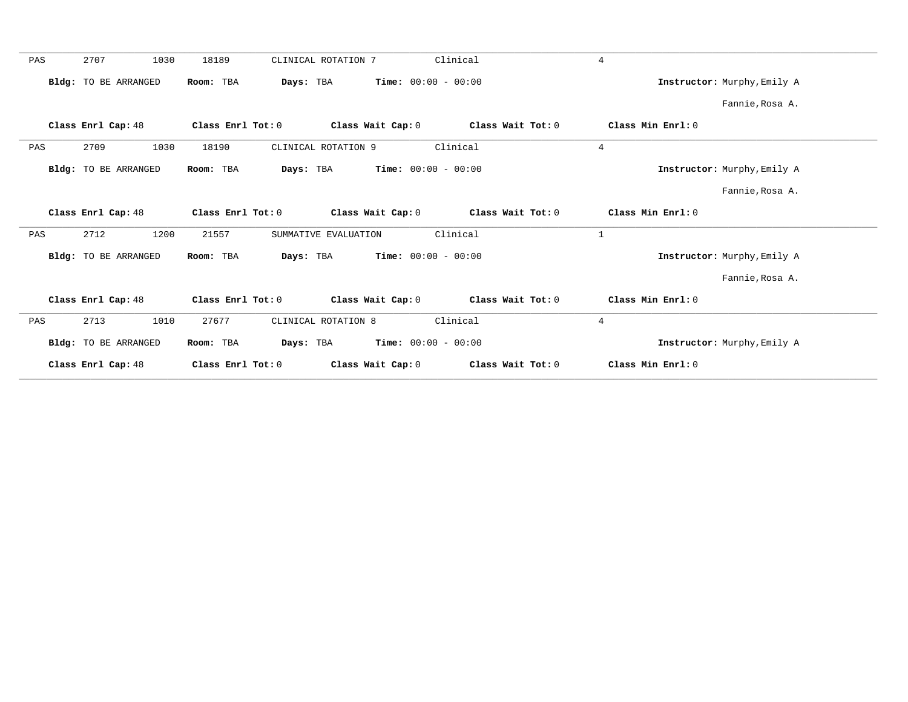| Clinical<br>2707<br>1030<br>18189<br>$\overline{4}$<br>PAS<br>CLINICAL ROTATION 7<br><b>Time:</b> $00:00 - 00:00$<br>Bldg: TO BE ARRANGED<br>Room: TBA<br>Days: TBA<br>Instructor: Murphy, Emily A<br>Fannie, Rosa A.<br>Class Enrl Cap: 48<br>Class Enrl Tot: 0<br>Class Wait Cap: 0<br>Class Wait Tot: 0<br>Class Min Enrl: 0<br>Clinical<br>$\overline{4}$<br>2709<br>1030<br>18190<br>CLINICAL ROTATION 9<br>PAS<br><b>Time:</b> $00:00 - 00:00$<br>Bldg: TO BE ARRANGED<br>Room: TBA<br>Days: TBA<br>Instructor: Murphy, Emily A<br>Fannie, Rosa A.<br>Class Enrl Cap: 48<br>Class Wait Cap: 0<br>Class Wait Tot: 0<br>Class Min Enrl: 0<br>Class Enrl Tot: 0<br>Clinical<br>$\mathbf{1}$<br>2712<br>1200<br>21557<br>PAS<br>SUMMATIVE EVALUATION<br>$Time: 00:00 - 00:00$<br>Bldg: TO BE ARRANGED<br>Room: TBA<br>Days: TBA<br>Instructor: Murphy, Emily A<br>Fannie, Rosa A.<br>Class Enrl Cap: 48<br>Class Enrl Tot: 0<br>Class Wait Cap: 0<br>Class Wait Tot: 0<br>Class Min Enrl: 0<br>27677<br>Clinical<br>$\overline{4}$<br>2713<br>1010<br>CLINICAL ROTATION 8<br>PAS<br>$Time: 00:00 - 00:00$<br><b>Bldg:</b> TO BE ARRANGED<br>Room: TBA<br>Days: TBA<br>Instructor: Murphy, Emily A<br>Class Enrl Cap: 48<br>Class Wait Cap: 0<br>Class Wait Tot: 0<br>Class Min Enrl: 0<br>Class Enrl Tot: 0 |  |  |  |
|---------------------------------------------------------------------------------------------------------------------------------------------------------------------------------------------------------------------------------------------------------------------------------------------------------------------------------------------------------------------------------------------------------------------------------------------------------------------------------------------------------------------------------------------------------------------------------------------------------------------------------------------------------------------------------------------------------------------------------------------------------------------------------------------------------------------------------------------------------------------------------------------------------------------------------------------------------------------------------------------------------------------------------------------------------------------------------------------------------------------------------------------------------------------------------------------------------------------------------------------------------------------------------------------------------------|--|--|--|
|                                                                                                                                                                                                                                                                                                                                                                                                                                                                                                                                                                                                                                                                                                                                                                                                                                                                                                                                                                                                                                                                                                                                                                                                                                                                                                               |  |  |  |
|                                                                                                                                                                                                                                                                                                                                                                                                                                                                                                                                                                                                                                                                                                                                                                                                                                                                                                                                                                                                                                                                                                                                                                                                                                                                                                               |  |  |  |
|                                                                                                                                                                                                                                                                                                                                                                                                                                                                                                                                                                                                                                                                                                                                                                                                                                                                                                                                                                                                                                                                                                                                                                                                                                                                                                               |  |  |  |
|                                                                                                                                                                                                                                                                                                                                                                                                                                                                                                                                                                                                                                                                                                                                                                                                                                                                                                                                                                                                                                                                                                                                                                                                                                                                                                               |  |  |  |
|                                                                                                                                                                                                                                                                                                                                                                                                                                                                                                                                                                                                                                                                                                                                                                                                                                                                                                                                                                                                                                                                                                                                                                                                                                                                                                               |  |  |  |
|                                                                                                                                                                                                                                                                                                                                                                                                                                                                                                                                                                                                                                                                                                                                                                                                                                                                                                                                                                                                                                                                                                                                                                                                                                                                                                               |  |  |  |
|                                                                                                                                                                                                                                                                                                                                                                                                                                                                                                                                                                                                                                                                                                                                                                                                                                                                                                                                                                                                                                                                                                                                                                                                                                                                                                               |  |  |  |
|                                                                                                                                                                                                                                                                                                                                                                                                                                                                                                                                                                                                                                                                                                                                                                                                                                                                                                                                                                                                                                                                                                                                                                                                                                                                                                               |  |  |  |
|                                                                                                                                                                                                                                                                                                                                                                                                                                                                                                                                                                                                                                                                                                                                                                                                                                                                                                                                                                                                                                                                                                                                                                                                                                                                                                               |  |  |  |
|                                                                                                                                                                                                                                                                                                                                                                                                                                                                                                                                                                                                                                                                                                                                                                                                                                                                                                                                                                                                                                                                                                                                                                                                                                                                                                               |  |  |  |
|                                                                                                                                                                                                                                                                                                                                                                                                                                                                                                                                                                                                                                                                                                                                                                                                                                                                                                                                                                                                                                                                                                                                                                                                                                                                                                               |  |  |  |
|                                                                                                                                                                                                                                                                                                                                                                                                                                                                                                                                                                                                                                                                                                                                                                                                                                                                                                                                                                                                                                                                                                                                                                                                                                                                                                               |  |  |  |
|                                                                                                                                                                                                                                                                                                                                                                                                                                                                                                                                                                                                                                                                                                                                                                                                                                                                                                                                                                                                                                                                                                                                                                                                                                                                                                               |  |  |  |
|                                                                                                                                                                                                                                                                                                                                                                                                                                                                                                                                                                                                                                                                                                                                                                                                                                                                                                                                                                                                                                                                                                                                                                                                                                                                                                               |  |  |  |
|                                                                                                                                                                                                                                                                                                                                                                                                                                                                                                                                                                                                                                                                                                                                                                                                                                                                                                                                                                                                                                                                                                                                                                                                                                                                                                               |  |  |  |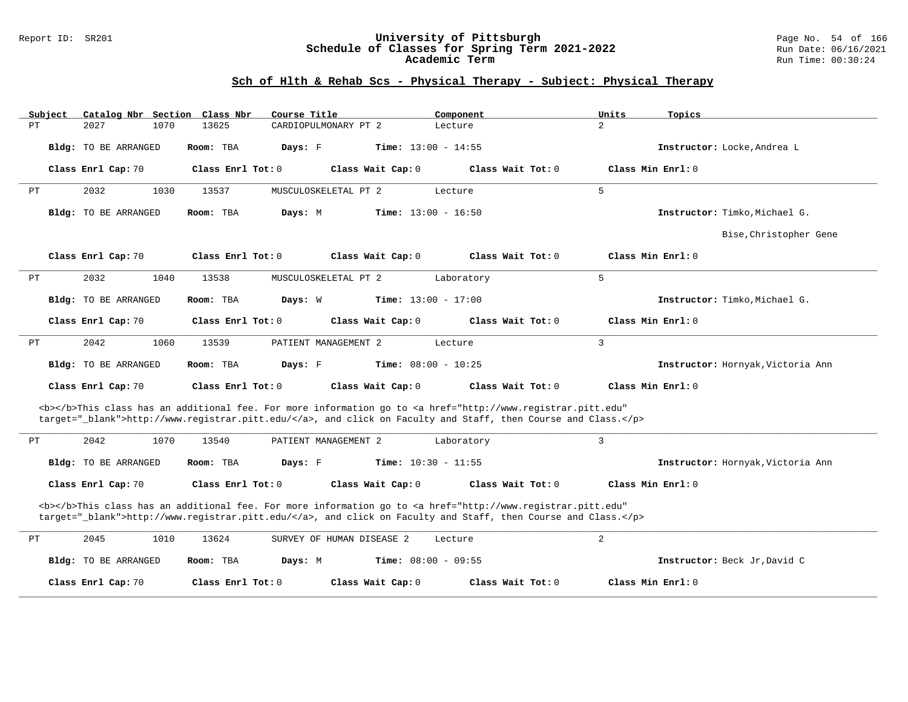#### Report ID: SR201 **University of Pittsburgh** Page No. 54 of 166 **Schedule of Classes for Spring Term 2021-2022** Run Date: 06/16/2021 **Academic Term** Run Time: 00:30:24

| Subject |                      | Catalog Nbr Section Class Nbr | Course Title              | Component                                                                                                                                                                                                                          | Units<br>Topics                   |
|---------|----------------------|-------------------------------|---------------------------|------------------------------------------------------------------------------------------------------------------------------------------------------------------------------------------------------------------------------------|-----------------------------------|
| PT      | 2027<br>1070         | 13625                         | CARDIOPULMONARY PT 2      | Lecture                                                                                                                                                                                                                            | $\overline{2}$                    |
|         | Bldg: TO BE ARRANGED | Room: TBA                     | Days: F                   | Time: $13:00 - 14:55$                                                                                                                                                                                                              | Instructor: Locke, Andrea L       |
|         | Class Enrl Cap: 70   | Class Enrl Tot: 0             | Class Wait Cap: 0         | Class Wait Tot: 0                                                                                                                                                                                                                  | Class Min Enrl: 0                 |
| PT      | 2032<br>1030         | 13537                         | MUSCULOSKELETAL PT 2      | Lecture                                                                                                                                                                                                                            | 5                                 |
|         | Bldg: TO BE ARRANGED | Room: TBA                     | Days: M                   | <b>Time:</b> $13:00 - 16:50$                                                                                                                                                                                                       | Instructor: Timko, Michael G.     |
|         |                      |                               |                           |                                                                                                                                                                                                                                    | Bise, Christopher Gene            |
|         | Class Enrl Cap: 70   | Class Enrl Tot: 0             | Class Wait Cap: 0         | Class Wait Tot: 0                                                                                                                                                                                                                  | Class Min Enrl: 0                 |
| PТ      | 2032<br>1040         | 13538                         | MUSCULOSKELETAL PT 2      | Laboratory                                                                                                                                                                                                                         | 5                                 |
|         | Bldg: TO BE ARRANGED | Room: TBA                     | Days: W                   | <b>Time:</b> $13:00 - 17:00$                                                                                                                                                                                                       | Instructor: Timko, Michael G.     |
|         | Class Enrl Cap: 70   | Class Enrl Tot: 0             | Class Wait Cap: 0         | Class Wait Tot: $0$                                                                                                                                                                                                                | Class Min Enrl: 0                 |
| PT      | 2042<br>1060         | 13539                         | PATIENT MANAGEMENT 2      | Lecture                                                                                                                                                                                                                            | 3                                 |
|         | Bldg: TO BE ARRANGED | Room: TBA                     | Days: F                   | <b>Time:</b> $08:00 - 10:25$                                                                                                                                                                                                       | Instructor: Hornyak, Victoria Ann |
|         | Class Enrl Cap: 70   | Class Enrl Tot: 0             | Class Wait Cap: 0         | Class Wait Tot: 0                                                                                                                                                                                                                  | Class Min Enrl: 0                 |
|         |                      |                               |                           | <b></b> This class has an additional fee. For more information go to <a <br="" href="http://www.registrar.pitt.edu">target="_blank"&gt;http://www.registrar.pitt.edu/</a> , and click on Faculty and Staff, then Course and Class. |                                   |
| PТ      | 1070<br>2042         | 13540                         | PATIENT MANAGEMENT 2      | Laboratory                                                                                                                                                                                                                         | 3                                 |
|         | Bldg: TO BE ARRANGED | Room: TBA                     | Days: F                   | <b>Time:</b> $10:30 - 11:55$                                                                                                                                                                                                       | Instructor: Hornyak, Victoria Ann |
|         | Class Enrl Cap: 70   | Class Enrl Tot: 0             | Class Wait Cap: 0         | Class Wait Tot: 0                                                                                                                                                                                                                  | Class Min Enrl: 0                 |
|         |                      |                               |                           | <b></b> This class has an additional fee. For more information go to <a <br="" href="http://www.registrar.pitt.edu">target="_blank"&gt;http://www.registrar.pitt.edu/</a> , and click on Faculty and Staff, then Course and Class. |                                   |
| PТ      | 2045<br>1010         | 13624                         | SURVEY OF HUMAN DISEASE 2 | Lecture                                                                                                                                                                                                                            | $\overline{a}$                    |
|         | Bldg: TO BE ARRANGED | Room: TBA                     | Days: M                   | <b>Time:</b> $08:00 - 09:55$                                                                                                                                                                                                       | Instructor: Beck Jr, David C      |
|         | Class Enrl Cap: 70   | Class Enrl Tot: $0$           | Class Wait Cap: 0         | Class Wait Tot: 0                                                                                                                                                                                                                  | Class Min Enrl: 0                 |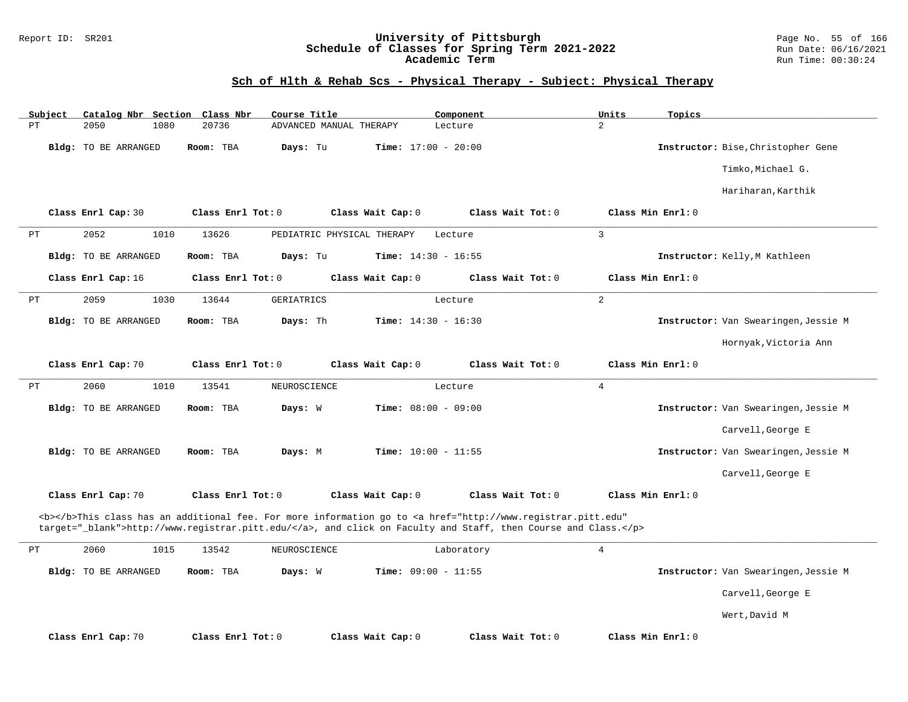### Report ID: SR201 **University of Pittsburgh** Page No. 55 of 166 **Schedule of Classes for Spring Term 2021-2022** Run Date: 06/16/2021 **Academic Term** Run Time: 00:30:24

| Subject  | Catalog Nbr Section Class Nbr | Course Title          |                              | Component                                                                                                                                                                                                                          | Units<br>Topics   |                                      |
|----------|-------------------------------|-----------------------|------------------------------|------------------------------------------------------------------------------------------------------------------------------------------------------------------------------------------------------------------------------------|-------------------|--------------------------------------|
| PT       | 1080<br>2050                  | 20736                 | ADVANCED MANUAL THERAPY      | Lecture                                                                                                                                                                                                                            | $\overline{a}$    |                                      |
|          | Bldg: TO BE ARRANGED          | Room: TBA<br>Days: Tu | <b>Time:</b> $17:00 - 20:00$ |                                                                                                                                                                                                                                    |                   | Instructor: Bise, Christopher Gene   |
|          |                               |                       |                              |                                                                                                                                                                                                                                    |                   | Timko, Michael G.                    |
|          |                               |                       |                              |                                                                                                                                                                                                                                    |                   | Hariharan, Karthik                   |
|          | Class Enrl Cap: 30            | Class Enrl Tot: 0     | Class Wait Cap: 0            | Class Wait Tot: 0                                                                                                                                                                                                                  | Class Min Enrl: 0 |                                      |
| РT       | 2052<br>1010                  | 13626                 | PEDIATRIC PHYSICAL THERAPY   | Lecture                                                                                                                                                                                                                            | $\overline{3}$    |                                      |
|          | <b>Bldg:</b> TO BE ARRANGED   | Days: Tu<br>Room: TBA | Time: $14:30 - 16:55$        |                                                                                                                                                                                                                                    |                   | Instructor: Kelly, M Kathleen        |
|          | Class Enrl Cap: 16            | Class Enrl Tot: 0     | Class Wait Cap: 0            | Class Wait Tot: 0                                                                                                                                                                                                                  | Class Min Enrl: 0 |                                      |
| РT       | 2059<br>1030                  | 13644<br>GERIATRICS   |                              | Lecture                                                                                                                                                                                                                            | 2                 |                                      |
|          | Bldg: TO BE ARRANGED          | Room: TBA<br>Days: Th | <b>Time:</b> $14:30 - 16:30$ |                                                                                                                                                                                                                                    |                   | Instructor: Van Swearingen, Jessie M |
|          |                               |                       |                              |                                                                                                                                                                                                                                    |                   | Hornyak, Victoria Ann                |
|          | Class Enrl Cap: 70            | Class Enrl Tot: 0     | Class Wait Cap: 0            | Class Wait Tot: 0                                                                                                                                                                                                                  | Class Min Enrl: 0 |                                      |
| $\rm PT$ | 2060<br>1010                  | 13541<br>NEUROSCIENCE |                              | Lecture                                                                                                                                                                                                                            | $\overline{4}$    |                                      |
|          | Bldg: TO BE ARRANGED          | Room: TBA<br>Days: W  | <b>Time:</b> $08:00 - 09:00$ |                                                                                                                                                                                                                                    |                   | Instructor: Van Swearingen, Jessie M |
|          |                               |                       |                              |                                                                                                                                                                                                                                    |                   | Carvell, George E                    |
|          | <b>Bldg:</b> TO BE ARRANGED   | Room: TBA<br>Days: M  | <b>Time:</b> $10:00 - 11:55$ |                                                                                                                                                                                                                                    |                   | Instructor: Van Swearingen, Jessie M |
|          |                               |                       |                              |                                                                                                                                                                                                                                    |                   | Carvell, George E                    |
|          | Class Enrl Cap: 70            | Class Enrl Tot: 0     | Class Wait Cap: 0            | Class Wait Tot: 0                                                                                                                                                                                                                  | Class Min Enrl: 0 |                                      |
|          |                               |                       |                              | <b></b> This class has an additional fee. For more information go to <a <br="" href="http://www.registrar.pitt.edu">target="_blank"&gt;http://www.registrar.pitt.edu/</a> , and click on Faculty and Staff, then Course and Class. |                   |                                      |
| РT       | 2060<br>1015                  | 13542<br>NEUROSCIENCE |                              | Laboratory                                                                                                                                                                                                                         | $\overline{4}$    |                                      |
|          | Bldg: TO BE ARRANGED          | Room: TBA<br>Days: W  | Time: $09:00 - 11:55$        |                                                                                                                                                                                                                                    |                   | Instructor: Van Swearingen, Jessie M |
|          |                               |                       |                              |                                                                                                                                                                                                                                    |                   | Carvell, George E                    |
|          |                               |                       |                              |                                                                                                                                                                                                                                    |                   | Wert, David M                        |
|          | Class Enrl Cap: 70            | Class Enrl Tot: 0     | Class Wait Cap: 0            | Class Wait Tot: 0                                                                                                                                                                                                                  | Class Min Enrl: 0 |                                      |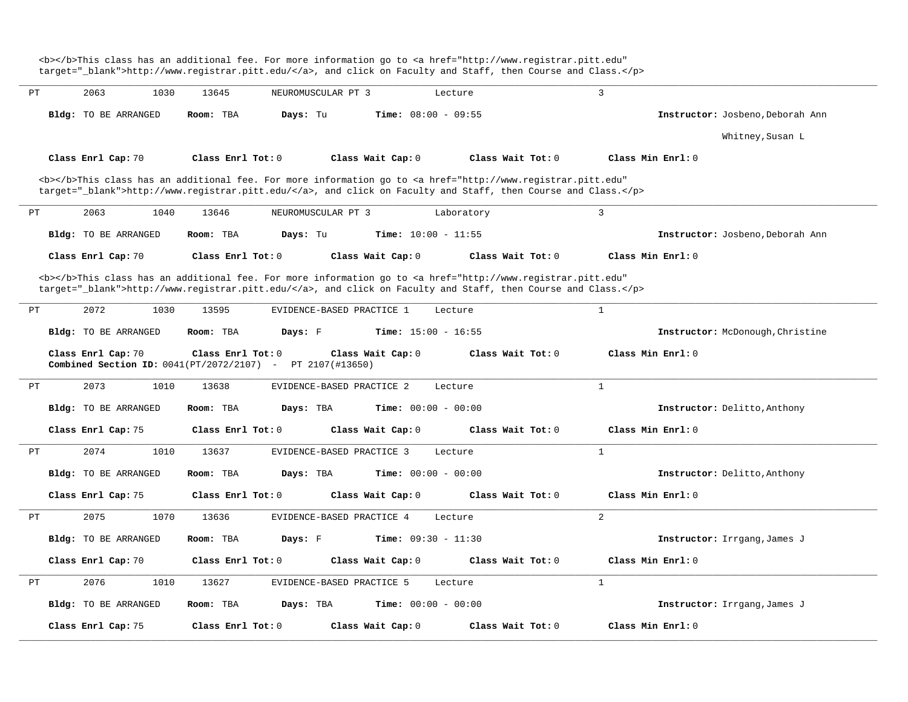<b></b>This class has an additional fee. For more information go to <a href="http://www.registrar.pitt.edu" target="\_blank">http://www.registrar.pitt.edu/</a>, and click on Faculty and Staff, then Course and Class.</p> **\_\_\_\_\_\_\_\_\_\_\_\_\_\_\_\_\_\_\_\_\_\_\_\_\_\_\_\_\_\_\_\_\_\_\_\_\_\_\_\_\_\_\_\_\_\_\_\_\_\_\_\_\_\_\_\_\_\_\_\_\_\_\_\_\_\_\_\_\_\_\_\_\_\_\_\_\_\_\_\_\_\_\_\_\_\_\_\_\_\_\_\_\_\_\_\_\_\_\_\_\_\_\_\_\_\_\_\_\_\_\_\_\_\_\_\_\_\_\_\_\_\_\_\_\_\_\_\_\_\_\_\_\_\_\_\_\_\_\_\_\_\_\_\_\_\_\_\_\_\_\_\_\_\_\_\_** PT 2063 1030 13645 NEUROMUSCULAR PT 3 Lecture 3 **Bldg:** TO BE ARRANGED **Room:** TBA **Days:** Tu **Time:** 08:00 - 09:55 **Instructor:** Josbeno,Deborah Ann Whitney,Susan L **Class Enrl Cap:** 70 **Class Enrl Tot:** 0 **Class Wait Cap:** 0 **Class Wait Tot:** 0 **Class Min Enrl:** 0 <b></b>This class has an additional fee. For more information go to <a href="http://www.registrar.pitt.edu" target=" blank">http://www.registrar.pitt.edu/</a>, and click on Faculty and Staff, then Course and Class.</p> **\_\_\_\_\_\_\_\_\_\_\_\_\_\_\_\_\_\_\_\_\_\_\_\_\_\_\_\_\_\_\_\_\_\_\_\_\_\_\_\_\_\_\_\_\_\_\_\_\_\_\_\_\_\_\_\_\_\_\_\_\_\_\_\_\_\_\_\_\_\_\_\_\_\_\_\_\_\_\_\_\_\_\_\_\_\_\_\_\_\_\_\_\_\_\_\_\_\_\_\_\_\_\_\_\_\_\_\_\_\_\_\_\_\_\_\_\_\_\_\_\_\_\_\_\_\_\_\_\_\_\_\_\_\_\_\_\_\_\_\_\_\_\_\_\_\_\_\_\_\_\_\_\_\_\_\_** PT 2063 1040 13646 NEUROMUSCULAR PT 3 Laboratory 3 **Bldg:** TO BE ARRANGED **Room:** TBA **Days:** Tu **Time:** 10:00 - 11:55 **Instructor:** Josbeno,Deborah Ann **Class Enrl Cap:** 70 **Class Enrl Tot:** 0 **Class Wait Cap:** 0 **Class Wait Tot:** 0 **Class Min Enrl:** 0 <b></b>This class has an additional fee. For more information go to <a href="http://www.registrar.pitt.edu" target=" blank">http://www.registrar.pitt.edu/</a>, and click on Faculty and Staff, then Course and Class.</p> **\_\_\_\_\_\_\_\_\_\_\_\_\_\_\_\_\_\_\_\_\_\_\_\_\_\_\_\_\_\_\_\_\_\_\_\_\_\_\_\_\_\_\_\_\_\_\_\_\_\_\_\_\_\_\_\_\_\_\_\_\_\_\_\_\_\_\_\_\_\_\_\_\_\_\_\_\_\_\_\_\_\_\_\_\_\_\_\_\_\_\_\_\_\_\_\_\_\_\_\_\_\_\_\_\_\_\_\_\_\_\_\_\_\_\_\_\_\_\_\_\_\_\_\_\_\_\_\_\_\_\_\_\_\_\_\_\_\_\_\_\_\_\_\_\_\_\_\_\_\_\_\_\_\_\_\_** PT 2072 1030 13595 EVIDENCE-BASED PRACTICE 1 Lecture 1 **Bldg:** TO BE ARRANGED **Room:** TBA **Days:** F **Time:** 15:00 - 16:55 **Instructor:** McDonough,Christine **Class Enrl Cap:** 70 **Class Enrl Tot:** 0 **Class Wait Cap:** 0 **Class Wait Tot:** 0 **Class Min Enrl:** 0 **Combined Section ID:** 0041(PT/2072/2107) - PT 2107(#13650) **\_\_\_\_\_\_\_\_\_\_\_\_\_\_\_\_\_\_\_\_\_\_\_\_\_\_\_\_\_\_\_\_\_\_\_\_\_\_\_\_\_\_\_\_\_\_\_\_\_\_\_\_\_\_\_\_\_\_\_\_\_\_\_\_\_\_\_\_\_\_\_\_\_\_\_\_\_\_\_\_\_\_\_\_\_\_\_\_\_\_\_\_\_\_\_\_\_\_\_\_\_\_\_\_\_\_\_\_\_\_\_\_\_\_\_\_\_\_\_\_\_\_\_\_\_\_\_\_\_\_\_\_\_\_\_\_\_\_\_\_\_\_\_\_\_\_\_\_\_\_\_\_\_\_\_\_** PT 2073 1010 13638 EVIDENCE-BASED PRACTICE 2 Lecture 1 **Bldg:** TO BE ARRANGED **Room:** TBA **Days:** TBA **Time:** 00:00 - 00:00 **Instructor:** Delitto,Anthony **Class Enrl Cap:** 75 **Class Enrl Tot:** 0 **Class Wait Cap:** 0 **Class Wait Tot:** 0 **Class Min Enrl:** 0 **\_\_\_\_\_\_\_\_\_\_\_\_\_\_\_\_\_\_\_\_\_\_\_\_\_\_\_\_\_\_\_\_\_\_\_\_\_\_\_\_\_\_\_\_\_\_\_\_\_\_\_\_\_\_\_\_\_\_\_\_\_\_\_\_\_\_\_\_\_\_\_\_\_\_\_\_\_\_\_\_\_\_\_\_\_\_\_\_\_\_\_\_\_\_\_\_\_\_\_\_\_\_\_\_\_\_\_\_\_\_\_\_\_\_\_\_\_\_\_\_\_\_\_\_\_\_\_\_\_\_\_\_\_\_\_\_\_\_\_\_\_\_\_\_\_\_\_\_\_\_\_\_\_\_\_\_** PT 2074 1010 13637 EVIDENCE-BASED PRACTICE 3 Lecture 1 **Bldg:** TO BE ARRANGED **Room:** TBA **Days:** TBA **Time:** 00:00 - 00:00 **Instructor:** Delitto,Anthony **Class Enrl Cap:** 75 **Class Enrl Tot:** 0 **Class Wait Cap:** 0 **Class Wait Tot:** 0 **Class Min Enrl:** 0 **\_\_\_\_\_\_\_\_\_\_\_\_\_\_\_\_\_\_\_\_\_\_\_\_\_\_\_\_\_\_\_\_\_\_\_\_\_\_\_\_\_\_\_\_\_\_\_\_\_\_\_\_\_\_\_\_\_\_\_\_\_\_\_\_\_\_\_\_\_\_\_\_\_\_\_\_\_\_\_\_\_\_\_\_\_\_\_\_\_\_\_\_\_\_\_\_\_\_\_\_\_\_\_\_\_\_\_\_\_\_\_\_\_\_\_\_\_\_\_\_\_\_\_\_\_\_\_\_\_\_\_\_\_\_\_\_\_\_\_\_\_\_\_\_\_\_\_\_\_\_\_\_\_\_\_\_** PT 2075 1070 13636 EVIDENCE-BASED PRACTICE 4 Lecture 2 **Bldg:** TO BE ARRANGED **Room:** TBA **Days:** F **Time:** 09:30 - 11:30 **Instructor:** Irrgang,James J **Class Enrl Cap:** 70 **Class Enrl Tot:** 0 **Class Wait Cap:** 0 **Class Wait Tot:** 0 **Class Min Enrl:** 0 **\_\_\_\_\_\_\_\_\_\_\_\_\_\_\_\_\_\_\_\_\_\_\_\_\_\_\_\_\_\_\_\_\_\_\_\_\_\_\_\_\_\_\_\_\_\_\_\_\_\_\_\_\_\_\_\_\_\_\_\_\_\_\_\_\_\_\_\_\_\_\_\_\_\_\_\_\_\_\_\_\_\_\_\_\_\_\_\_\_\_\_\_\_\_\_\_\_\_\_\_\_\_\_\_\_\_\_\_\_\_\_\_\_\_\_\_\_\_\_\_\_\_\_\_\_\_\_\_\_\_\_\_\_\_\_\_\_\_\_\_\_\_\_\_\_\_\_\_\_\_\_\_\_\_\_\_** PT 2076 1010 13627 EVIDENCE-BASED PRACTICE 5 Lecture 1 **Bldg:** TO BE ARRANGED **Room:** TBA **Days:** TBA **Time:** 00:00 - 00:00 **Instructor:** Irrgang,James J **Class Enrl Cap:** 75 **Class Enrl Tot:** 0 **Class Wait Cap:** 0 **Class Wait Tot:** 0 **Class Min Enrl:** 0 **\_\_\_\_\_\_\_\_\_\_\_\_\_\_\_\_\_\_\_\_\_\_\_\_\_\_\_\_\_\_\_\_\_\_\_\_\_\_\_\_\_\_\_\_\_\_\_\_\_\_\_\_\_\_\_\_\_\_\_\_\_\_\_\_\_\_\_\_\_\_\_\_\_\_\_\_\_\_\_\_\_\_\_\_\_\_\_\_\_\_\_\_\_\_\_\_\_\_\_\_\_\_\_\_\_\_\_\_\_\_\_\_\_\_\_\_\_\_\_\_\_\_\_\_\_\_\_\_\_\_\_\_\_\_\_\_\_\_\_\_\_\_\_\_\_\_\_\_\_\_\_\_\_\_\_\_**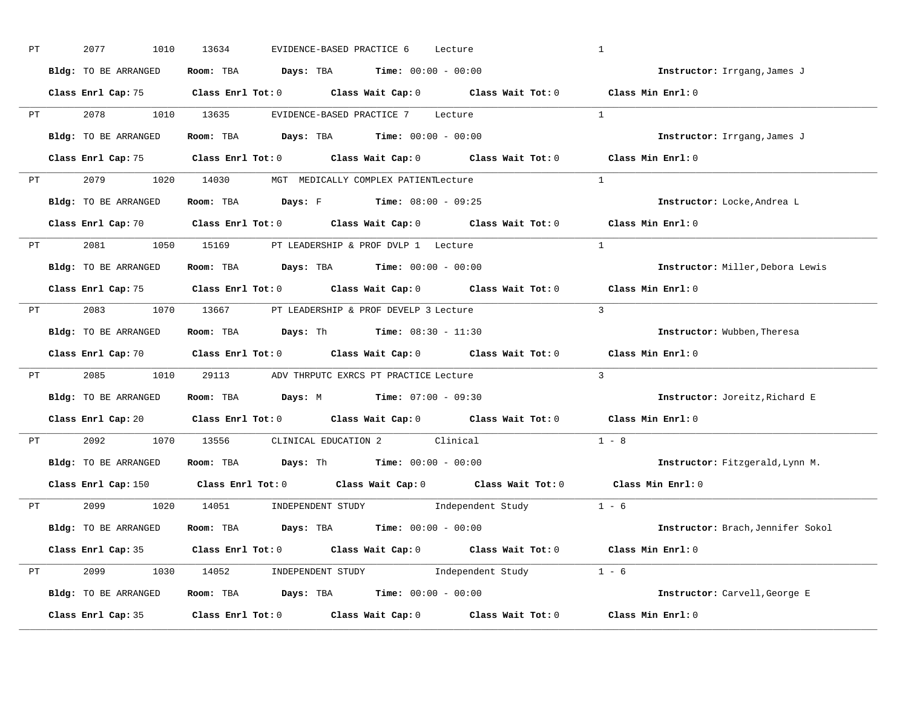| PT |                                                                                                                                                                                                                                | 2077<br>1010         | 13634<br>EVIDENCE-BASED PRACTICE 6<br>Lecture                                              | $\mathbf{1}$                      |
|----|--------------------------------------------------------------------------------------------------------------------------------------------------------------------------------------------------------------------------------|----------------------|--------------------------------------------------------------------------------------------|-----------------------------------|
|    |                                                                                                                                                                                                                                | Bldg: TO BE ARRANGED | Room: TBA $\rule{1em}{0.15mm}$ Days: TBA $\rule{1.15mm}]{0.15mm}$ Time: $0.000 - 0.0000$   | Instructor: Irrgang, James J      |
|    |                                                                                                                                                                                                                                |                      | Class Enrl Cap: 75 Class Enrl Tot: 0 Class Wait Cap: 0 Class Wait Tot: 0 Class Min Enrl: 0 |                                   |
|    |                                                                                                                                                                                                                                |                      | PT 2078 1010 13635 EVIDENCE-BASED PRACTICE 7 Lecture                                       | $\overline{1}$                    |
|    |                                                                                                                                                                                                                                | Bldg: TO BE ARRANGED | Room: TBA $Days:$ TBA $Time: 00:00 - 00:00$                                                | Instructor: Irrgang, James J      |
|    |                                                                                                                                                                                                                                |                      | Class Enrl Cap: 75 Class Enrl Tot: 0 Class Wait Cap: 0 Class Wait Tot: 0 Class Min Enrl: 0 |                                   |
|    |                                                                                                                                                                                                                                |                      | PT 2079 1020 14030 MGT MEDICALLY COMPLEX PATIENTLecture                                    | $\mathbf{1}$                      |
|    |                                                                                                                                                                                                                                |                      | Bldg: TO BE ARRANGED Room: TBA Days: F Time: 08:00 - 09:25                                 | Instructor: Locke, Andrea L       |
|    |                                                                                                                                                                                                                                |                      | Class Enrl Cap: 70 Class Enrl Tot: 0 Class Wait Cap: 0 Class Wait Tot: 0 Class Min Enrl: 0 |                                   |
|    |                                                                                                                                                                                                                                |                      | PT 2081 1050 15169 PT LEADERSHIP & PROF DVLP 1 Lecture                                     | $\overline{1}$                    |
|    |                                                                                                                                                                                                                                | Bldg: TO BE ARRANGED | Room: TBA $\rule{1em}{0.15mm}$ Days: TBA $\rule{1.15mm}]{0.15mm}$ Time: $0.000 - 0.0000$   | Instructor: Miller, Debora Lewis  |
|    |                                                                                                                                                                                                                                |                      | Class Enrl Cap: 75 Class Enrl Tot: 0 Class Wait Cap: 0 Class Wait Tot: 0                   | Class Min Enrl: 0                 |
|    |                                                                                                                                                                                                                                |                      | PT 2083 1070 13667 PT LEADERSHIP & PROF DEVELP 3 Lecture                                   | $\mathbf{3}$                      |
|    |                                                                                                                                                                                                                                | Bldg: TO BE ARRANGED | Room: TBA Days: Th Time: $08:30 - 11:30$                                                   | Instructor: Wubben, Theresa       |
|    |                                                                                                                                                                                                                                |                      | Class Enrl Cap: 70 Class Enrl Tot: 0 Class Wait Cap: 0 Class Wait Tot: 0                   | Class Min Enrl: 0                 |
| PT |                                                                                                                                                                                                                                |                      | 2085 1010 29113 ADV THRPUTC EXRCS PT PRACTICE Lecture                                      | $\overline{3}$                    |
|    |                                                                                                                                                                                                                                | Bldg: TO BE ARRANGED |                                                                                            | Instructor: Joreitz, Richard E    |
|    |                                                                                                                                                                                                                                |                      | Class Enrl Cap: 20 Class Enrl Tot: 0 Class Wait Cap: 0 Class Wait Tot: 0                   | $Class$ Min $Enrl: 0$             |
|    | PT and the set of the set of the set of the set of the set of the set of the set of the set of the set of the set of the set of the set of the set of the set of the set of the set of the set of the set of the set of the se |                      | 2092 1070 13556 CLINICAL EDUCATION 2 Clinical                                              | $1 - 8$                           |
|    |                                                                                                                                                                                                                                |                      | <b>Bldg:</b> TO BE ARRANGED <b>Room:</b> TBA <b>Days:</b> Th <b>Time:</b> $00:00 - 00:00$  | Instructor: Fitzgerald, Lynn M.   |
|    |                                                                                                                                                                                                                                |                      | Class Enrl Cap: 150 Class Enrl Tot: 0 Class Wait Cap: 0 Class Wait Tot: 0                  | Class Min Enrl: 0                 |
|    |                                                                                                                                                                                                                                |                      | PT 2099 1020 14051 INDEPENDENT STUDY Independent Study 1 - 6                               |                                   |
|    |                                                                                                                                                                                                                                | Bldg: TO BE ARRANGED | Room: TBA $Days:$ TBA $Time: 00:00 - 00:00$                                                | Instructor: Brach, Jennifer Sokol |
|    |                                                                                                                                                                                                                                |                      | Class Enrl Cap: 35 Class Enrl Tot: 0 Class Wait Cap: 0 Class Wait Tot: 0 Class Min Enrl: 0 |                                   |
|    |                                                                                                                                                                                                                                |                      | PT 2099 1030 14052 INDEPENDENT STUDY Independent Study 1 - 6                               |                                   |
|    |                                                                                                                                                                                                                                | Bldg: TO BE ARRANGED | Room: TBA $\rule{1em}{0.5em}$ Days: TBA Time: $00:00 - 00:00$                              | Instructor: Carvell, George E     |
|    |                                                                                                                                                                                                                                | Class Enrl Cap: 35   | Class Enrl Tot: $0$ Class Wait Cap: $0$ Class Wait Tot: $0$                                | Class Min Enrl: 0                 |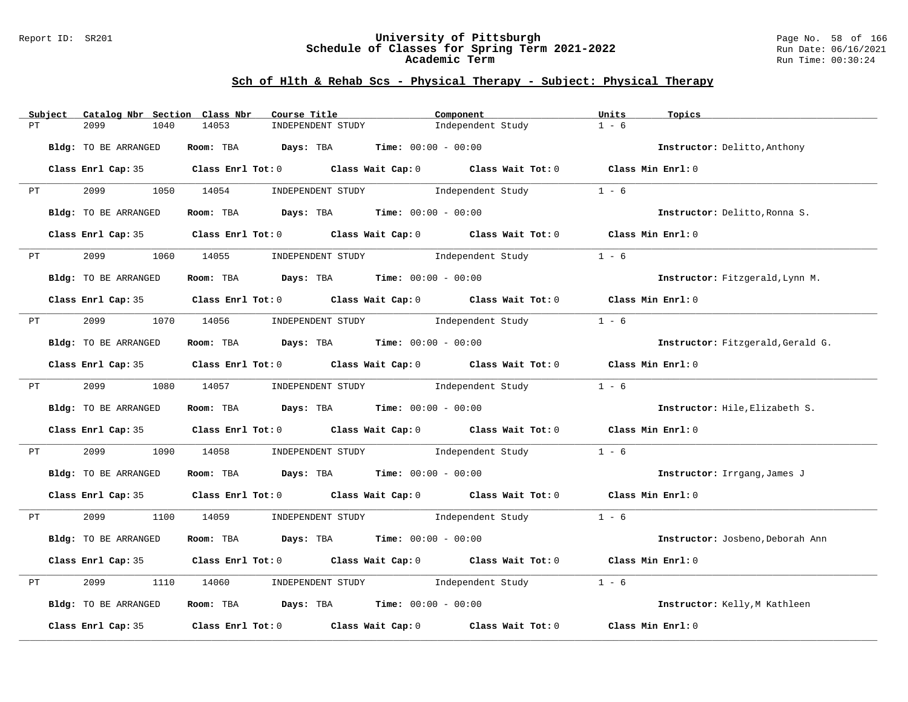#### Report ID: SR201 **University of Pittsburgh** Page No. 58 of 166 **Schedule of Classes for Spring Term 2021-2022** Run Date: 06/16/2021 **Academic Term** Run Time: 00:30:24

|    | Subject                                                                                                                                                                                                                        | Catalog Nbr Section Class Nbr | Course Title                                                                               |                                     | Component                                                   | Units<br>Topics   |                                   |
|----|--------------------------------------------------------------------------------------------------------------------------------------------------------------------------------------------------------------------------------|-------------------------------|--------------------------------------------------------------------------------------------|-------------------------------------|-------------------------------------------------------------|-------------------|-----------------------------------|
| PТ |                                                                                                                                                                                                                                | 2099<br>1040                  | 14053<br>INDEPENDENT STUDY                                                                 |                                     | Independent Study                                           | $1 - 6$           |                                   |
|    |                                                                                                                                                                                                                                | Bldg: TO BE ARRANGED          | Room: TBA $Days:$ TBA $Time: 00:00 - 00:00$                                                |                                     |                                                             |                   | Instructor: Delitto, Anthony      |
|    |                                                                                                                                                                                                                                |                               | Class Enrl Cap: 35 Class Enrl Tot: 0 Class Wait Cap: 0 Class Wait Tot: 0 Class Min Enrl: 0 |                                     |                                                             |                   |                                   |
| PT |                                                                                                                                                                                                                                | 2099 1050 14054               |                                                                                            | INDEPENDENT STUDY 1ndependent Study |                                                             | $1 - 6$           |                                   |
|    |                                                                                                                                                                                                                                | Bldg: TO BE ARRANGED          | Room: TBA $Days:$ TBA $Time: 00:00 - 00:00$                                                |                                     |                                                             |                   | Instructor: Delitto, Ronna S.     |
|    |                                                                                                                                                                                                                                | Class Enrl Cap: 35            |                                                                                            |                                     | Class Enrl Tot: $0$ Class Wait Cap: $0$ Class Wait Tot: $0$ | Class Min Enrl: 0 |                                   |
|    | PT FOR THE STATE OF THE STATE OF THE STATE OF THE STATE OF THE STATE OF THE STATE OF THE STATE OF THE STATE OF THE STATE OF THE STATE OF THE STATE OF THE STATE OF THE STATE OF THE STATE OF THE STATE OF THE STATE OF THE STA | 2099<br>1060                  | 14055 INDEPENDENT STUDY                                                                    |                                     | Independent Study                                           | $1 - 6$           |                                   |
|    |                                                                                                                                                                                                                                | Bldg: TO BE ARRANGED          | Room: TBA $Days: TBA$ Time: $00:00 - 00:00$                                                |                                     |                                                             |                   | Instructor: Fitzgerald, Lynn M.   |
|    |                                                                                                                                                                                                                                |                               | Class Enrl Cap: 35 Class Enrl Tot: 0 Class Wait Cap: 0 Class Wait Tot: 0 Class Min Enrl: 0 |                                     |                                                             |                   |                                   |
| PT |                                                                                                                                                                                                                                | 2099 1070 14056               |                                                                                            | INDEPENDENT STUDY Thdependent Study |                                                             | $1 - 6$           |                                   |
|    |                                                                                                                                                                                                                                | Bldg: TO BE ARRANGED          | Room: TBA $Days:$ TBA Time: $00:00 - 00:00$                                                |                                     |                                                             |                   | Instructor: Fitzgerald, Gerald G. |
|    |                                                                                                                                                                                                                                |                               | Class Enrl Cap: 35 Class Enrl Tot: 0 Class Wait Cap: 0 Class Wait Tot: 0 Class Min Enrl: 0 |                                     |                                                             |                   |                                   |
|    | PT FOR THE PUT OF THE STATE OF THE STATE OF THE STATE OF THE STATE OF THE STATE OF THE STATE OF THE STATE OF THE STATE OF THE STATE OF THE STATE OF THE STATE OF THE STATE OF THE STATE OF THE STATE OF THE STATE OF THE STATE |                               | 2099 1080 14057 INDEPENDENT STUDY Independent Study                                        |                                     |                                                             | $1 - 6$           |                                   |
|    |                                                                                                                                                                                                                                | Bldg: TO BE ARRANGED          | Room: TBA $Days:$ TBA $Time: 00:00 - 00:00$                                                |                                     |                                                             |                   | Instructor: Hile, Elizabeth S.    |
|    |                                                                                                                                                                                                                                |                               | Class Enrl Cap: 35 Class Enrl Tot: 0 Class Wait Cap: 0 Class Wait Tot: 0 Class Min Enrl: 0 |                                     |                                                             |                   |                                   |
| PT |                                                                                                                                                                                                                                | 2099<br>1090                  | 14058                                                                                      | INDEPENDENT STUDY 1ndependent Study |                                                             | $1 - 6$           |                                   |
|    |                                                                                                                                                                                                                                | Bldg: TO BE ARRANGED          | Room: TBA $Days:$ TBA $Time:$ $00:00 - 00:00$                                              |                                     |                                                             |                   | Instructor: Irrgang, James J      |
|    |                                                                                                                                                                                                                                |                               | Class Enrl Cap: 35 Class Enrl Tot: 0 Class Wait Cap: 0 Class Wait Tot: 0 Class Min Enrl: 0 |                                     |                                                             |                   |                                   |
| PT |                                                                                                                                                                                                                                | 2099 70                       | 1100 14059 INDEPENDENT STUDY Independent Study                                             |                                     |                                                             | $1 - 6$           |                                   |
|    |                                                                                                                                                                                                                                | Bldg: TO BE ARRANGED          | Room: TBA $Days:$ TBA $Time: 00:00 - 00:00$                                                |                                     |                                                             |                   | Instructor: Josbeno, Deborah Ann  |
|    |                                                                                                                                                                                                                                | Class Enrl Cap: 35            | Class Enrl Tot: 0 Class Wait Cap: 0 Class Wait Tot: 0                                      |                                     |                                                             | Class Min Enrl: 0 |                                   |
| PT |                                                                                                                                                                                                                                | 2099<br>1110                  | 14060                                                                                      | INDEPENDENT STUDY 1ndependent Study |                                                             | $1 - 6$           |                                   |
|    |                                                                                                                                                                                                                                | Bldg: TO BE ARRANGED          | Room: TBA $Days:$ TBA $Time: 00:00 - 00:00$                                                |                                     |                                                             |                   | Instructor: Kelly, M Kathleen     |
|    |                                                                                                                                                                                                                                | Class Enrl Cap: 35            | Class Enrl Tot: $0$ Class Wait Cap: $0$ Class Wait Tot: $0$                                |                                     |                                                             | Class Min Enrl: 0 |                                   |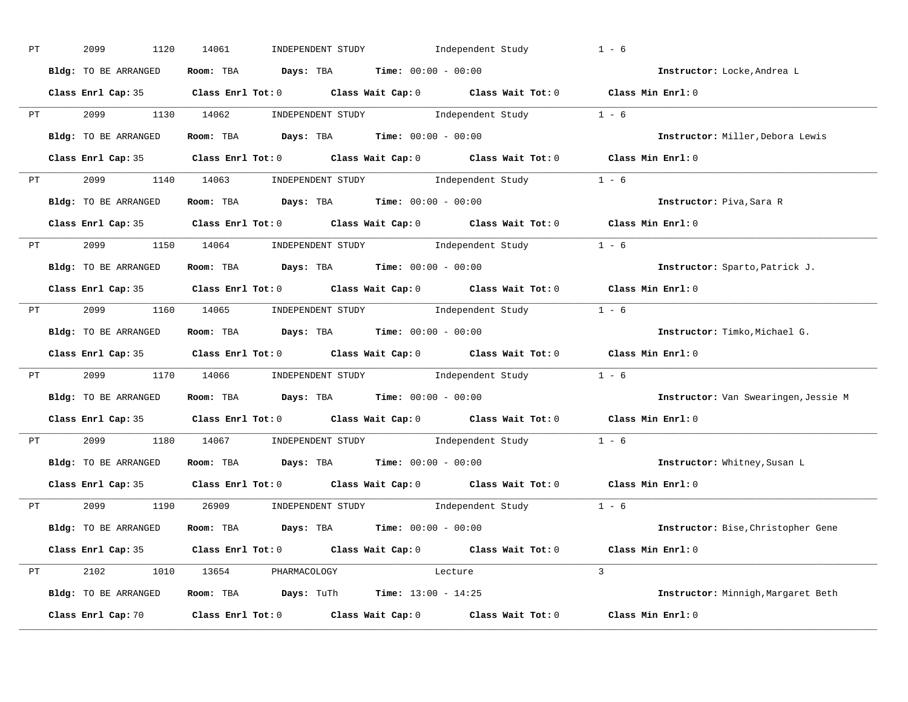| PT |    | 2099<br>1120         | INDEPENDENT STUDY Independent Study<br>14061                                               | $1 - 6$                              |
|----|----|----------------------|--------------------------------------------------------------------------------------------|--------------------------------------|
|    |    | Bldg: TO BE ARRANGED | Room: TBA $Days:$ TBA $Time: 00:00 - 00:00$                                                | Instructor: Locke, Andrea L          |
|    |    |                      | Class Enrl Cap: 35 Class Enrl Tot: 0 Class Wait Cap: 0 Class Wait Tot: 0 Class Min Enrl: 0 |                                      |
|    |    |                      | PT 2099 1130 14062 INDEPENDENT STUDY Independent Study 1 - 6                               |                                      |
|    |    | Bldg: TO BE ARRANGED | Room: TBA $Days:$ TBA $Time: 00:00 - 00:00$                                                | Instructor: Miller, Debora Lewis     |
|    |    |                      | Class Enrl Cap: 35 Class Enrl Tot: 0 Class Wait Cap: 0 Class Wait Tot: 0 Class Min Enrl: 0 |                                      |
|    |    |                      | PT 2099 1140 14063 INDEPENDENT STUDY Independent Study 1 - 6                               |                                      |
|    |    |                      | Bldg: TO BE ARRANGED Room: TBA Days: TBA Time: 00:00 - 00:00                               | Instructor: Piva, Sara R             |
|    |    |                      | Class Enrl Cap: 35 Class Enrl Tot: 0 Class Wait Cap: 0 Class Wait Tot: 0 Class Min Enrl: 0 |                                      |
|    |    |                      | PT 2099 1150 14064 INDEPENDENT STUDY Independent Study 1 - 6                               |                                      |
|    |    | Bldg: TO BE ARRANGED | Room: TBA $Days:$ TBA $Time: 00:00 - 00:00$                                                | Instructor: Sparto, Patrick J.       |
|    |    |                      | Class Enrl Cap: 35 Class Enrl Tot: 0 Class Wait Cap: 0 Class Wait Tot: 0 Class Min Enrl: 0 |                                      |
|    |    |                      | PT 2099 1160 14065 INDEPENDENT STUDY Independent Study 1 - 6                               |                                      |
|    |    | Bldg: TO BE ARRANGED | Room: TBA $Days:$ TBA $Time: 00:00 - 00:00$                                                | Instructor: Timko, Michael G.        |
|    |    |                      | Class Enrl Cap: 35 Class Enrl Tot: 0 Class Wait Cap: 0 Class Wait Tot: 0 Class Min Enrl: 0 |                                      |
|    |    |                      | PT 2099 1170 14066 INDEPENDENT STUDY Independent Study 1 - 6                               |                                      |
|    |    | Bldg: TO BE ARRANGED | Room: TBA $Days:$ TBA $Time: 00:00 - 00:00$                                                | Instructor: Van Swearingen, Jessie M |
|    |    |                      | Class Enrl Cap: 35 Class Enrl Tot: 0 Class Wait Cap: 0 Class Wait Tot: 0 Class Min Enrl: 0 |                                      |
|    | PT |                      | 2099 1180 14067 INDEPENDENT STUDY Independent Study 1 - 6                                  |                                      |
|    |    |                      | Bldg: TO BE ARRANGED ROOM: TBA Days: TBA Time: 00:00 - 00:00                               | Instructor: Whitney, Susan L         |
|    |    | Class Enrl Cap: 35   | Class Enrl Tot: $0$ Class Wait Cap: $0$ Class Wait Tot: $0$                                | Class Min Enrl: 0                    |
|    |    |                      | PT 2099 1190 26909 INDEPENDENT STUDY Independent Study 1 - 6                               |                                      |
|    |    | Bldg: TO BE ARRANGED | Room: TBA $\rule{1em}{0.15mm}$ Days: TBA $\rule{1.15mm}]{0.15mm}$ Time: $0.000 - 0.000$    | Instructor: Bise, Christopher Gene   |
|    |    |                      | Class Enrl Cap: 35 Class Enrl Tot: 0 Class Wait Cap: 0 Class Wait Tot: 0 Class Min Enrl: 0 |                                      |
|    |    |                      | PT 2102 1010 13654 PHARMACOLOGY<br>Lecture                                                 | $\mathcal{L}$                        |
|    |    | Bldg: TO BE ARRANGED | Room: TBA  Days: TuTh Time: $13:00 - 14:25$                                                | Instructor: Minnigh, Margaret Beth   |
|    |    | Class Enrl Cap: 70   | Class Enrl Tot: $0$ Class Wait Cap: $0$ Class Wait Tot: $0$ Class Min Enrl: $0$            |                                      |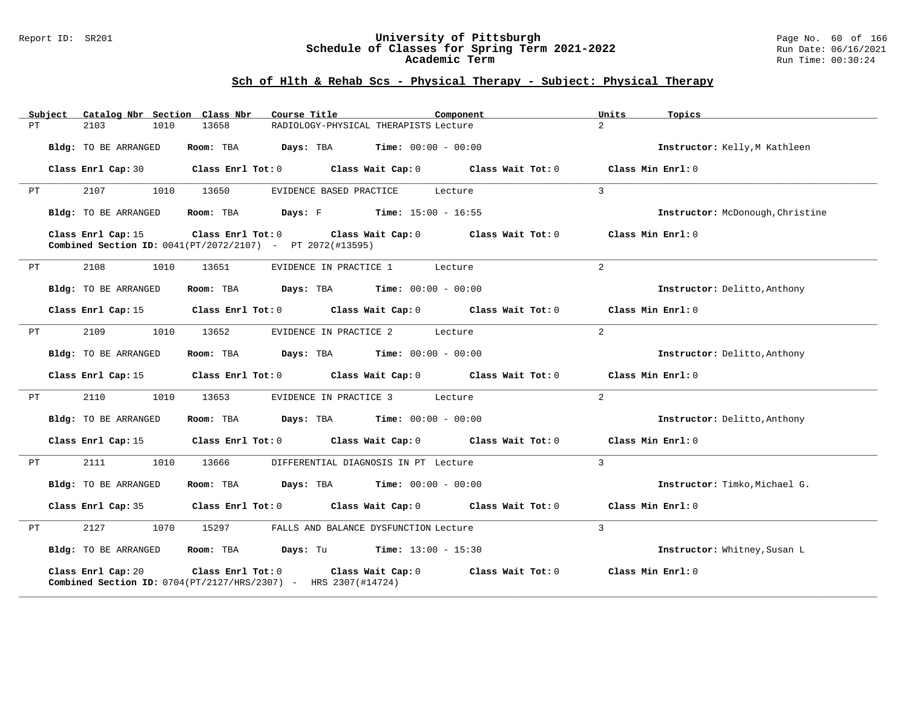#### Report ID: SR201 **University of Pittsburgh** Page No. 60 of 166 **Schedule of Classes for Spring Term 2021-2022** Run Date: 06/16/2021 **Academic Term** Run Time: 00:30:24

| Subiect | Catalog Nbr Section Class Nbr | Course Title                                                                                         | Component                                             | Units<br>Topics                  |
|---------|-------------------------------|------------------------------------------------------------------------------------------------------|-------------------------------------------------------|----------------------------------|
| PТ      | 2103<br>1010                  | 13658                                                                                                | RADIOLOGY-PHYSICAL THERAPISTS Lecture                 | $\overline{2}$                   |
|         | Bldg: TO BE ARRANGED          | Room: TBA                                                                                            | <b>Days:</b> TBA <b>Time:</b> $00:00 - 00:00$         | Instructor: Kelly, M Kathleen    |
|         | Class Enrl Cap: 30            | $Class$ $Enr1$ $Tot: 0$                                                                              | Class Wait Cap: 0 Class Wait Tot: 0                   | Class Min Enrl: 0                |
| PT      | 2107<br>1010                  | 13650<br>EVIDENCE BASED PRACTICE                                                                     | Lecture                                               | 3                                |
|         | Bldg: TO BE ARRANGED          | Room: TBA                                                                                            | <b>Days:</b> F Time: $15:00 - 16:55$                  | Instructor: McDonough, Christine |
|         | Class Enrl Cap: 15            | Class Enrl Tot: 0<br>Combined Section ID: 0041(PT/2072/2107) - PT 2072(#13595)                       | Class Wait Cap: 0<br>$Class$ Wait Tot: $0$            | Class Min Enrl: 0                |
| PТ      | 2108<br>1010                  | 13651                                                                                                | EVIDENCE IN PRACTICE 1<br>Lecture                     | $\overline{a}$                   |
|         | Bldg: TO BE ARRANGED          | Room: TBA                                                                                            | <b>Days:</b> TBA <b>Time:</b> $00:00 - 00:00$         | Instructor: Delitto, Anthony     |
|         | Class Enrl Cap: 15            |                                                                                                      | Class Enrl Tot: 0 Class Wait Cap: 0 Class Wait Tot: 0 | Class Min Enrl: 0                |
| PТ      | 2109<br>1010                  | 13652                                                                                                | EVIDENCE IN PRACTICE 2<br>Lecture                     | 2                                |
|         | Bldg: TO BE ARRANGED          | Room: TBA                                                                                            | <b>Days:</b> TBA <b>Time:</b> $00:00 - 00:00$         | Instructor: Delitto, Anthony     |
|         | Class Enrl Cap: 15            |                                                                                                      | Class Enrl Tot: 0 Class Wait Cap: 0 Class Wait Tot: 0 | Class Min Enrl: 0                |
| PТ      | 1010<br>2110                  | 13653<br>EVIDENCE IN PRACTICE 3                                                                      | Lecture                                               | $\overline{a}$                   |
|         | Bldg: TO BE ARRANGED          | Room: TBA                                                                                            | <b>Days:</b> TBA <b>Time:</b> $00:00 - 00:00$         | Instructor: Delitto, Anthony     |
|         | Class Enrl Cap: 15            |                                                                                                      | Class Enrl Tot: 0 Class Wait Cap: 0 Class Wait Tot: 0 | Class Min Enrl: 0                |
| РT      | 2111<br>1010                  | 13666                                                                                                | DIFFERENTIAL DIAGNOSIS IN PT Lecture                  | 3                                |
|         | Bldg: TO BE ARRANGED          | Room: TBA                                                                                            | <b>Days:</b> TBA <b>Time:</b> $00:00 - 00:00$         | Instructor: Timko, Michael G.    |
|         | Class Enrl Cap: 35            | Class Enrl Tot: 0 Class Wait Cap: 0                                                                  | Class Wait Tot: 0                                     | Class Min Enrl: 0                |
| PТ      | 2127<br>1070                  | 15297                                                                                                | FALLS AND BALANCE DYSFUNCTION Lecture                 | $\overline{3}$                   |
|         | Bldg: TO BE ARRANGED          | <b>Room:</b> TBA <b>Days:</b> Tu <b>Time:</b> $13:00 - 15:30$                                        |                                                       | Instructor: Whitney, Susan L     |
|         | Class Enrl Cap: 20            | $Class$ $Enr1$ $Tot: 0$<br><b>Combined Section ID:</b> $0704(PT/2127/HRS/2307)$ - HRS $2307(#14724)$ | Class Wait Cap: 0<br>Class Wait Tot: 0                | Class Min Enrl: 0                |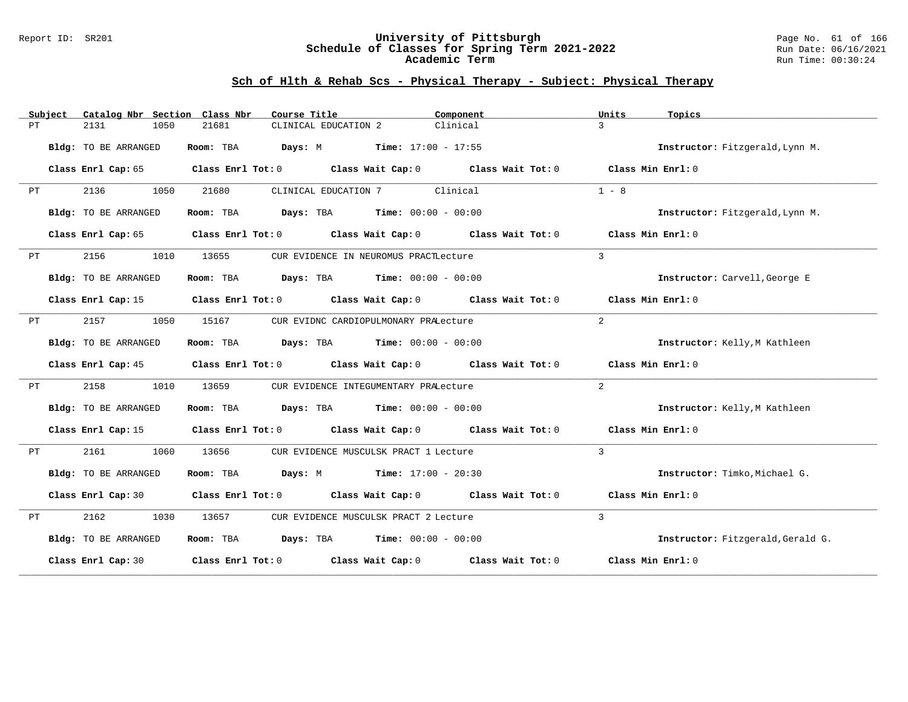### Report ID: SR201 **University of Pittsburgh** Page No. 61 of 166 **Schedule of Classes for Spring Term 2021-2022** Run Date: 06/16/2021 **Academic Term** Run Time: 00:30:24

|    | Subject | Catalog Nbr Section  | Class Nbr | Course Title                                                                    | Component         | Units<br>Topics   |                                   |
|----|---------|----------------------|-----------|---------------------------------------------------------------------------------|-------------------|-------------------|-----------------------------------|
| PТ |         | 2131<br>1050         | 21681     | CLINICAL EDUCATION 2                                                            | Clinical          | 3                 |                                   |
|    |         | Bldg: TO BE ARRANGED | Room: TBA | <b>Days:</b> M <b>Time:</b> $17:00 - 17:55$                                     |                   |                   | Instructor: Fitzgerald, Lynn M.   |
|    |         | Class Enrl Cap: 65   |           | Class Enrl Tot: 0 Class Wait Cap: 0 Class Wait Tot: 0                           |                   | Class Min Enrl: 0 |                                   |
| PT |         | 2136<br>1050         | 21680     | CLINICAL EDUCATION 7                                                            | Clinical          | $1 - 8$           |                                   |
|    |         | Bldg: TO BE ARRANGED | Room: TBA | <b>Days:</b> TBA <b>Time:</b> $00:00 - 00:00$                                   |                   |                   | Instructor: Fitzgerald, Lynn M.   |
|    |         | Class Enrl Cap: 65   |           | Class Enrl Tot: 0 Class Wait Cap: 0 Class Wait Tot: 0 Class Min Enrl: 0         |                   |                   |                                   |
| PТ |         | 2156<br>1010         | 13655     | CUR EVIDENCE IN NEUROMUS PRACTLecture                                           |                   | $\mathcal{L}$     |                                   |
|    |         | Bldg: TO BE ARRANGED | Room: TBA | <b>Days:</b> TBA <b>Time:</b> $00:00 - 00:00$                                   |                   |                   | Instructor: Carvell, George E     |
|    |         | Class Enrl Cap: 15   |           | Class Enrl Tot: 0 Class Wait Cap: 0 Class Wait Tot: 0 Class Min Enrl: 0         |                   |                   |                                   |
| РT |         | 2157<br>1050         | 15167     | CUR EVIDNC CARDIOPULMONARY PRALecture                                           |                   | 2                 |                                   |
|    |         | Bldg: TO BE ARRANGED |           | Room: TBA $Days:$ TBA $Time: 00:00 - 00:00$                                     |                   |                   | Instructor: Kelly, M Kathleen     |
|    |         | Class Enrl Cap: 45   |           | Class Enrl Tot: $0$ Class Wait Cap: $0$ Class Wait Tot: $0$                     |                   | Class Min Enrl: 0 |                                   |
| PТ |         | 2158<br>1010         | 13659     | CUR EVIDENCE INTEGUMENTARY PRALecture                                           |                   | 2                 |                                   |
|    |         | Bldg: TO BE ARRANGED |           | Room: TBA $Days:$ TBA $Time: 00:00 - 00:00$                                     |                   |                   | Instructor: Kelly, M Kathleen     |
|    |         | Class Enrl Cap: 15   |           | Class Enrl Tot: 0 Class Wait Cap: 0 Class Wait Tot: 0                           |                   | Class Min Enrl: 0 |                                   |
| PT |         | 2161<br>1060         | 13656     | CUR EVIDENCE MUSCULSK PRACT 1 Lecture                                           |                   | $\mathcal{L}$     |                                   |
|    |         | Bldg: TO BE ARRANGED | Room: TBA | <b>Days:</b> M <b>Time:</b> $17:00 - 20:30$                                     |                   |                   | Instructor: Timko, Michael G.     |
|    |         | Class Enrl Cap: 30   |           | Class Enrl Tot: $0$ Class Wait Cap: $0$ Class Wait Tot: $0$ Class Min Enrl: $0$ |                   |                   |                                   |
| PT |         | 2162<br>1030         | 13657     | CUR EVIDENCE MUSCULSK PRACT 2 Lecture                                           |                   | $\mathcal{L}$     |                                   |
|    |         | Bldg: TO BE ARRANGED | Room: TBA | <b>Days:</b> TBA <b>Time:</b> $00:00 - 00:00$                                   |                   |                   | Instructor: Fitzgerald, Gerald G. |
|    |         | Class Enrl Cap: 30   |           | Class Enrl Tot: $0$ Class Wait Cap: $0$                                         | Class Wait Tot: 0 | Class Min Enrl: 0 |                                   |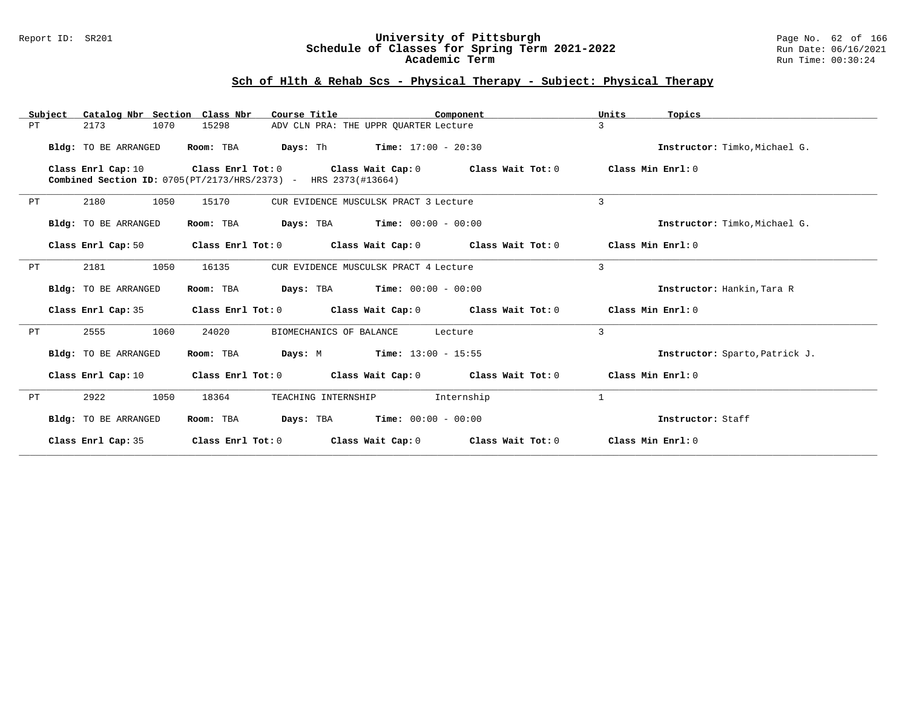### Report ID: SR201 **University of Pittsburgh** Page No. 62 of 166 **Schedule of Classes for Spring Term 2021-2022** Run Date: 06/16/2021 **Academic Term** Run Time: 00:30:24

| Subject | Catalog Nbr Section Class Nbr | Course Title                                                   | Component                                                                       | Units<br>Topics                |
|---------|-------------------------------|----------------------------------------------------------------|---------------------------------------------------------------------------------|--------------------------------|
| PT      | 1070<br>2173                  | 15298                                                          | ADV CLN PRA: THE UPPR OUARTER Lecture                                           | 3                              |
|         | Bldg: TO BE ARRANGED          | Room: TBA                                                      | <b>Days:</b> Th $\frac{17:00 - 20:30}{ }$                                       | Instructor: Timko, Michael G.  |
|         | Class Enrl Cap: 10            | Combined Section ID: 0705(PT/2173/HRS/2373) - HRS 2373(#13664) | Class Enrl Tot: $0$ Class Wait Cap: $0$ Class Wait Tot: $0$ Class Min Enrl: $0$ |                                |
| PT      | 2180<br>1050                  | 15170                                                          | CUR EVIDENCE MUSCULSK PRACT 3 Lecture                                           | 3                              |
|         | Bldg: TO BE ARRANGED          | Room: TBA                                                      | <b>Days:</b> TBA <b>Time:</b> $00:00 - 00:00$                                   | Instructor: Timko, Michael G.  |
|         | Class Enrl Cap: 50            |                                                                | Class Enrl Tot: $0$ Class Wait Cap: $0$ Class Wait Tot: $0$                     | Class Min Enrl: 0              |
| PT      | 1050<br>2181                  | 16135                                                          | CUR EVIDENCE MUSCULSK PRACT 4 Lecture                                           | $\overline{3}$                 |
|         | Bldg: TO BE ARRANGED          | Room: TBA                                                      | <b>Days:</b> TBA <b>Time:</b> $00:00 - 00:00$                                   | Instructor: Hankin, Tara R     |
|         | Class Enrl Cap: 35            |                                                                | Class Enrl Tot: $0$ Class Wait Cap: $0$ Class Wait Tot: $0$                     | Class Min Enrl: 0              |
| PT      | 1060<br>2555                  | 24020<br>BIOMECHANICS OF BALANCE                               | Lecture                                                                         | $\overline{3}$                 |
|         | Bldg: TO BE ARRANGED          | Room: TBA                                                      | <b>Days:</b> M <b>Time:</b> $13:00 - 15:55$                                     | Instructor: Sparto, Patrick J. |
|         | Class Enrl Cap: 10            |                                                                | Class Enrl Tot: $0$ Class Wait Cap: $0$ Class Wait Tot: $0$                     | Class Min Enrl: 0              |
| PT      | 1050<br>2922                  | 18364<br>TEACHING INTERNSHIP                                   | Internship                                                                      | $\mathbf{1}$                   |
|         | Bldg: TO BE ARRANGED          | Room: TBA                                                      | <b>Days:</b> TBA <b>Time:</b> $00:00 - 00:00$                                   | Instructor: Staff              |
|         | Class Enrl Cap: 35            | Class Enrl Tot: 0                                              | Class Wait Cap: 0 Class Wait Tot: 0                                             | Class Min Enrl: 0              |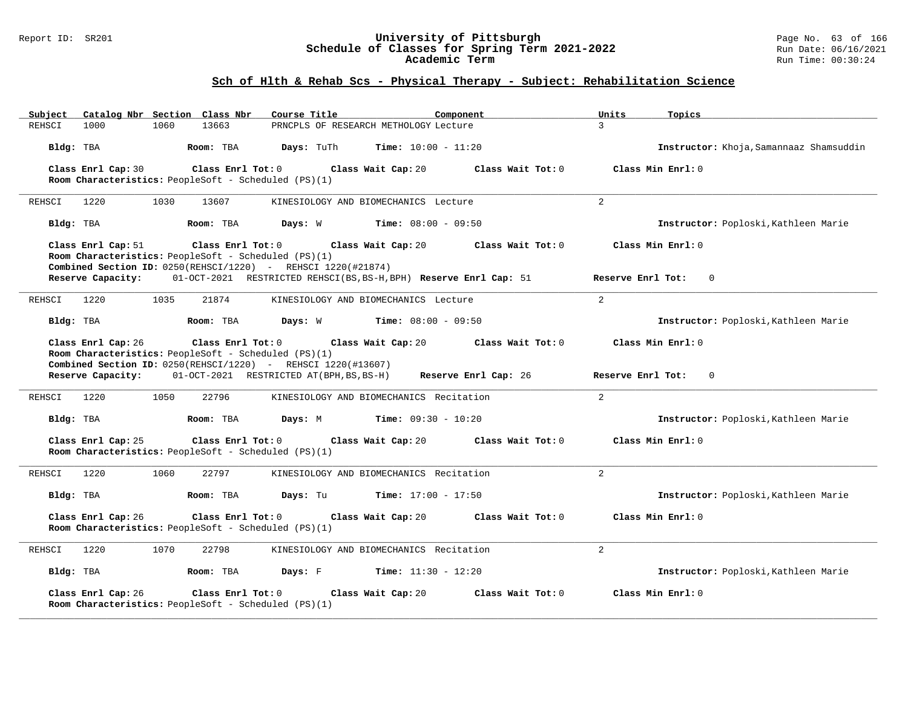### Report ID: SR201 **University of Pittsburgh** Page No. 63 of 166 **Schedule of Classes for Spring Term 2021-2022** Run Date: 06/16/2021 **Academic Term** Run Time: 00:30:24

| Catalog Nbr Section Class Nbr<br>Subject                     | Course Title<br>Component                                                           | Units<br>Topics                         |
|--------------------------------------------------------------|-------------------------------------------------------------------------------------|-----------------------------------------|
| REHSCI<br>13663<br>1000<br>1060                              | PRNCPLS OF RESEARCH METHOLOGY Lecture                                               | 3                                       |
| Bldg: TBA<br>Room: TBA                                       | Days: TuTh<br><b>Time:</b> $10:00 - 11:20$                                          | Instructor: Khoja, Samannaaz Shamsuddin |
| Class Enrl Cap: 30<br>Class Enrl Tot: 0                      | Class Wait Cap: 20<br>Class Wait Tot: 0                                             | Class Min Enrl: 0                       |
| Room Characteristics: PeopleSoft - Scheduled (PS)(1)         |                                                                                     |                                         |
|                                                              |                                                                                     |                                         |
| REHSCI<br>1220<br>1030<br>13607                              | KINESIOLOGY AND BIOMECHANICS Lecture                                                | 2                                       |
| Bldg: TBA<br>Room: TBA                                       | <b>Time:</b> $08:00 - 09:50$<br>Days: W                                             | Instructor: Poploski, Kathleen Marie    |
| Class Enrl Cap: 51<br>Class Enrl Tot: 0                      | Class Wait Cap: 20<br>Class Wait Tot: 0                                             | Class Min Enrl: 0                       |
| Room Characteristics: PeopleSoft - Scheduled (PS)(1)         |                                                                                     |                                         |
| Combined Section ID: 0250(REHSCI/1220) - REHSCI 1220(#21874) |                                                                                     |                                         |
|                                                              | Reserve Capacity: 01-OCT-2021 RESTRICTED REHSCI(BS, BS-H, BPH) Reserve Enrl Cap: 51 | Reserve Enrl Tot:<br>$\overline{0}$     |
| REHSCI<br>1220<br>1035<br>21874                              | KINESIOLOGY AND BIOMECHANICS Lecture                                                | $\overline{2}$                          |
| Bldg: TBA<br>Room: TBA                                       | Days: W<br><b>Time:</b> $08:00 - 09:50$                                             | Instructor: Poploski, Kathleen Marie    |
| Class Enrl Cap: 26<br>Class Enrl Tot: 0                      | Class Wait Cap: 20<br>Class Wait Tot: 0                                             | Class Min Enrl: 0                       |
| Room Characteristics: PeopleSoft - Scheduled (PS)(1)         |                                                                                     |                                         |
| Combined Section ID: 0250(REHSCI/1220) - REHSCI 1220(#13607) |                                                                                     |                                         |
| Reserve Capacity:                                            | 01-OCT-2021 RESTRICTED AT(BPH, BS, BS-H)<br>Reserve Enrl Cap: 26                    | $\Omega$<br>Reserve Enrl Tot:           |
|                                                              |                                                                                     |                                         |
| 1220<br>1050<br>22796<br>REHSCI                              | KINESIOLOGY AND BIOMECHANICS Recitation                                             | 2                                       |
| Bldg: TBA<br>Room: TBA                                       | Days: M<br><b>Time:</b> $09:30 - 10:20$                                             | Instructor: Poploski, Kathleen Marie    |
| Class Enrl Cap: 25<br>Class Enrl Tot: 0                      | Class Wait Cap: 20<br>Class Wait Tot: 0                                             | Class Min Enrl: 0                       |
| Room Characteristics: PeopleSoft - Scheduled (PS)(1)         |                                                                                     |                                         |
|                                                              |                                                                                     |                                         |
| 1220<br>1060<br>22797<br>REHSCI                              | KINESIOLOGY AND BIOMECHANICS Recitation                                             | 2                                       |
| Bldg: TBA<br>Room: TBA                                       | Days: Tu<br><b>Time:</b> $17:00 - 17:50$                                            | Instructor: Poploski, Kathleen Marie    |
| Class Enrl Cap: 26<br>Class Enrl Tot: 0                      | Class Wait Cap: 20<br>Class Wait Tot: 0                                             | Class Min Enrl: 0                       |
| Room Characteristics: PeopleSoft - Scheduled (PS)(1)         |                                                                                     |                                         |
| 1220<br>1070<br>22798<br>REHSCI                              | KINESIOLOGY AND BIOMECHANICS Recitation                                             | $\overline{a}$                          |
| Bldg: TBA<br>Room: TBA                                       | Days: F<br><b>Time:</b> $11:30 - 12:20$                                             | Instructor: Poploski, Kathleen Marie    |
| Class Enrl Cap: 26<br>Class Enrl Tot: 0                      | Class Wait Cap: 20<br>Class Wait Tot: 0                                             | Class Min Enrl: 0                       |
| Room Characteristics: PeopleSoft - Scheduled (PS)(1)         |                                                                                     |                                         |
|                                                              |                                                                                     |                                         |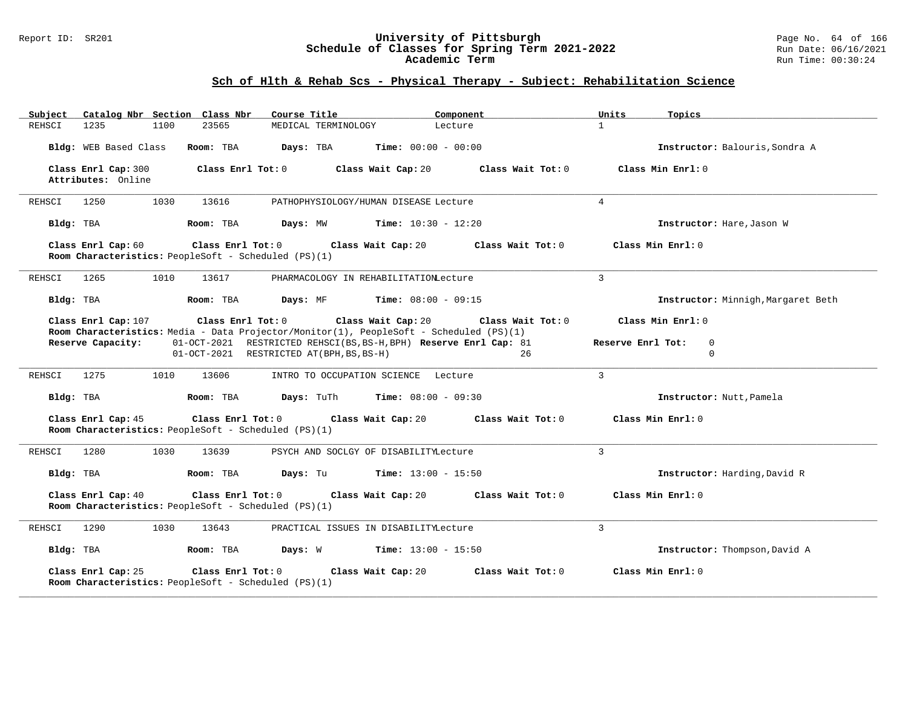#### Report ID: SR201 **University of Pittsburgh** Page No. 64 of 166 **Schedule of Classes for Spring Term 2021-2022** Run Date: 06/16/2021 **Academic Term** Run Time: 00:30:24

| Catalog Nbr Section Class Nbr<br>Subject                                                                                            | Course Title                                                                               | Component                                                                                    | Units<br>Topics                                                   |
|-------------------------------------------------------------------------------------------------------------------------------------|--------------------------------------------------------------------------------------------|----------------------------------------------------------------------------------------------|-------------------------------------------------------------------|
| 1235<br>1100<br>23565<br>REHSCI                                                                                                     | MEDICAL TERMINOLOGY                                                                        | Lecture                                                                                      | $\mathbf{1}$                                                      |
| Bldg: WEB Based Class<br>Room: TBA                                                                                                  | Days: TBA                                                                                  | <b>Time:</b> $00:00 - 00:00$                                                                 | Instructor: Balouris, Sondra A                                    |
| Class Enrl Cap: 300<br>Class Enrl Tot: 0<br>Attributes: Online                                                                      | Class Wait Cap: 20                                                                         | Class Wait Tot: 0                                                                            | Class Min Enrl: 0                                                 |
| 1030<br>REHSCI<br>1250<br>13616                                                                                                     | PATHOPHYSIOLOGY/HUMAN DISEASE Lecture                                                      |                                                                                              | $\overline{4}$                                                    |
| Bldg: TBA<br>Room: TBA                                                                                                              | Days: MW                                                                                   | $Time: 10:30 - 12:20$                                                                        | Instructor: Hare, Jason W                                         |
| Class Enrl Cap: 60<br>Class Enrl Tot: 0<br>Room Characteristics: PeopleSoft - Scheduled (PS)(1)                                     | Class Wait Cap: 20                                                                         | Class Wait Tot: 0                                                                            | Class Min Enrl: 0                                                 |
| 1265<br>1010<br>13617<br>REHSCI                                                                                                     | PHARMACOLOGY IN REHABILITATIONLecture                                                      |                                                                                              | $\overline{3}$                                                    |
| Bldg: TBA<br>Room: TBA                                                                                                              | Days: MF                                                                                   | <b>Time:</b> $08:00 - 09:15$                                                                 | Instructor: Minnigh, Margaret Beth                                |
| Class Enrl Cap: 107<br>Room Characteristics: Media - Data Projector/Monitor(1), PeopleSoft - Scheduled (PS)(1)<br>Reserve Capacity: | $Class$ $Enr1$ $Tot: 0$<br>Class Wait Cap: 20<br>01-OCT-2021 RESTRICTED AT (BPH, BS, BS-H) | Class Wait Tot: 0<br>01-OCT-2021 RESTRICTED REHSCI(BS, BS-H, BPH) Reserve Enrl Cap: 81<br>26 | Class Min Enrl: 0<br>Reserve Enrl Tot:<br>$\mathbf 0$<br>$\Omega$ |
| REHSCI<br>1275<br>1010<br>13606                                                                                                     | INTRO TO OCCUPATION SCIENCE Lecture                                                        |                                                                                              | $\mathcal{L}$                                                     |
| Bldg: TBA<br>Room: TBA                                                                                                              | <b>Days:</b> TuTh                                                                          | <b>Time:</b> $08:00 - 09:30$                                                                 | Instructor: Nutt, Pamela                                          |
| Class Enrl Cap: 45<br>Class Enrl Tot: 0<br>Room Characteristics: PeopleSoft - Scheduled (PS)(1)                                     | Class Wait Cap: 20                                                                         | Class Wait Tot: 0                                                                            | Class Min Enrl: 0                                                 |
| REHSCI<br>1280<br>1030<br>13639                                                                                                     | PSYCH AND SOCLGY OF DISABILITYLecture                                                      |                                                                                              | 3                                                                 |
| Bldg: TBA<br>Room: TBA                                                                                                              | <b>Days:</b> Tu <b>Time:</b> $13:00 - 15:50$                                               |                                                                                              | Instructor: Harding, David R                                      |
| Class Enrl Cap: 40<br>Class Enrl Tot: 0<br>Room Characteristics: PeopleSoft - Scheduled (PS)(1)                                     | Class Wait Cap: 20                                                                         | Class Wait Tot: 0                                                                            | Class Min Enrl: 0                                                 |
| 1290<br>1030<br>13643<br>REHSCI                                                                                                     | PRACTICAL ISSUES IN DISABILITYLecture                                                      |                                                                                              | $\mathbf{3}$                                                      |
| Bldg: TBA<br>Room: TBA                                                                                                              | Days: W                                                                                    | <b>Time:</b> $13:00 - 15:50$                                                                 | Instructor: Thompson, David A                                     |
| Class Enrl Cap: 25<br>Class Enrl Tot: 0<br>Room Characteristics: PeopleSoft - Scheduled (PS)(1)                                     | Class Wait Cap: 20                                                                         | Class Wait Tot: 0                                                                            | Class Min Enrl: 0                                                 |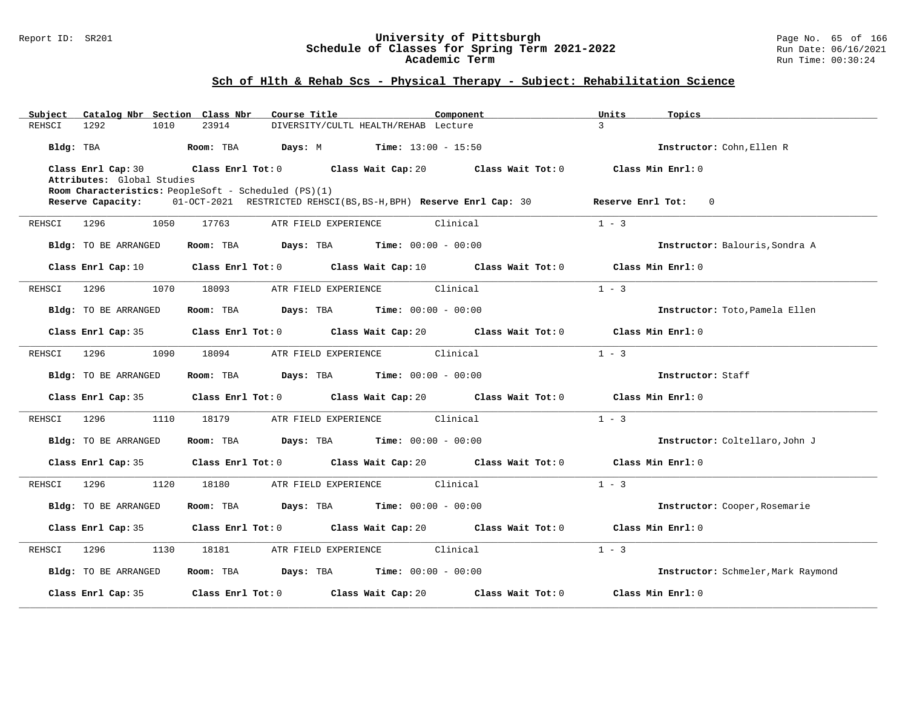#### Report ID: SR201 **University of Pittsburgh** Page No. 65 of 166 **Schedule of Classes for Spring Term 2021-2022** Run Date: 06/16/2021 **Academic Term** Run Time: 00:30:24

| Catalog Nbr Section Class Nbr<br>Subject | Course Title<br>Component                                                                                   | Topics<br>Units                        |
|------------------------------------------|-------------------------------------------------------------------------------------------------------------|----------------------------------------|
| REHSCI<br>1292<br>1010                   | 23914<br>DIVERSITY/CULTL HEALTH/REHAB Lecture                                                               | $\mathcal{L}$                          |
| Bldg: TBA                                | Room: TBA<br><b>Days:</b> M <b>Time:</b> $13:00 - 15:50$                                                    | Instructor: Cohn, Ellen R              |
| Class Enrl Cap: 30                       | Class Enrl Tot: 0 $\qquad$ Class Wait Cap: 20 $\qquad$ Class Wait Tot: 0                                    | Class Min Enrl: 0                      |
| Attributes: Global Studies               |                                                                                                             |                                        |
|                                          | Room Characteristics: PeopleSoft - Scheduled (PS)(1)                                                        |                                        |
| Reserve Capacity:                        | 01-OCT-2021 RESTRICTED REHSCI(BS, BS-H, BPH) Reserve Enrl Cap: 30                                           | Reserve Enrl Tot: 0                    |
| 1296 120<br>1050<br>REHSCI               | ATR FIELD EXPERIENCE Clinical<br>17763                                                                      | $1 - 3$                                |
| Bldg: TO BE ARRANGED                     | Room: TBA $Days:$ TBA Time: $00:00 - 00:00$                                                                 | Instructor: Balouris, Sondra A         |
| Class Enrl Cap: 10                       | Class Enrl Tot: $0$ Class Wait Cap: $10$ Class Wait Tot: $0$ Class Min Enrl: $0$                            |                                        |
| 1296<br>1070<br>REHSCI                   | ATR FIELD EXPERIENCE Clinical<br>18093                                                                      | $1 - 3$                                |
| Bldg: TO BE ARRANGED                     | Room: TBA $\rule{1em}{0.15mm}$ Days: TBA Time: $00:00 - 00:00$                                              | Instructor: Toto, Pamela Ellen         |
| Class Enrl Cap: 35                       | Class Enrl Tot: 0 Class Wait Cap: 20 Class Wait Tot: 0                                                      | Class Min Enrl: 0                      |
| 1296<br>1090<br>REHSCI                   | ATR FIELD EXPERIENCE<br>Clinical<br>18094                                                                   | $1 - 3$                                |
| Bldg: TO BE ARRANGED                     | Room: TBA $Days:$ TBA $Time: 00:00 - 00:00$                                                                 | Instructor: Staff                      |
| Class Enrl Cap: 35                       | Class Enrl Tot: $0$ Class Wait Cap: $20$ Class Wait Tot: $0$ Class Min Enrl: $0$                            |                                        |
| 1110<br>REHSCI<br>1296                   | 18179<br>ATR FIELD EXPERIENCE Clinical                                                                      | $1 - 3$                                |
| Bldg: TO BE ARRANGED                     | Room: TBA $\rule{1em}{0.15mm}$ Days: TBA $\qquad$ Time: $00:00 - 00:00$                                     | Instructor: Coltellaro, John J         |
|                                          | Class Enrl Cap: 35 Class Enrl Tot: 0 Class Wait Cap: 20 Class Wait Tot: 0 Class Min Enrl: 0                 |                                        |
| 1296<br>1120<br>REHSCI                   | ATR FIELD EXPERIENCE Clinical<br>18180                                                                      | $1 - 3$                                |
| Bldg: TO BE ARRANGED                     | Room: TBA $Days:$ TBA $Time: 00:00 - 00:00$                                                                 | Instructor: Cooper, Rosemarie          |
|                                          | Class Enrl Cap: 35     Class Enrl Tot: 0     Class Wait Cap: 20     Class Wait Tot: 0     Class Min Enrl: 0 |                                        |
| 1296<br>1130<br>REHSCI                   | ATR FIELD EXPERIENCE Clinical<br>18181                                                                      | $1 - 3$                                |
| Bldg: TO BE ARRANGED                     | Room: TBA $\rule{1em}{0.15mm}$ Days: TBA $\rule{1.5mm}{0.15mm}$ Time: $00:00 - 00:00$                       | Instructor: Schmeler, Mark Raymond     |
| Class Enrl Cap: 35                       | Class Enrl Tot: 0 Class Wait Cap: 20                                                                        | Class Wait Tot: 0<br>Class Min Enrl: 0 |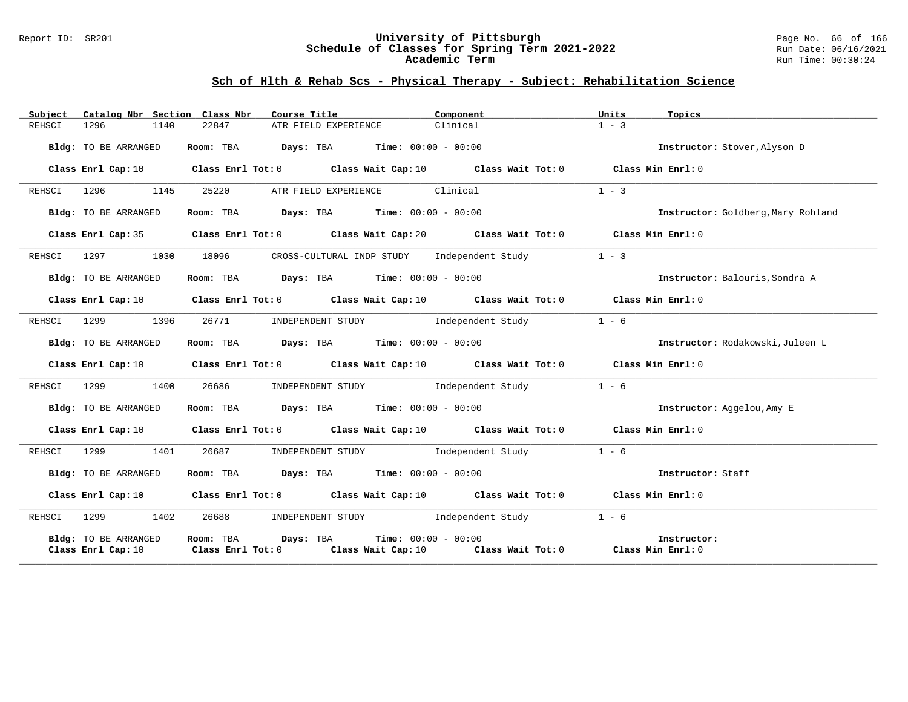#### Report ID: SR201 **University of Pittsburgh** Page No. 66 of 166 **Schedule of Classes for Spring Term 2021-2022** Run Date: 06/16/2021 **Academic Term** Run Time: 00:30:24

| Catalog Nbr Section Class Nbr<br>Subject   | Course Title <b>Source Search</b>                                                                                                                             | Component | Units<br>Topics                    |
|--------------------------------------------|---------------------------------------------------------------------------------------------------------------------------------------------------------------|-----------|------------------------------------|
| 1296<br>1140<br>REHSCI                     | 22847<br>ATR FIELD EXPERIENCE                                                                                                                                 | Clinical  | $1 - 3$                            |
| Bldg: TO BE ARRANGED                       | Room: TBA $Days:$ TBA $Time: 00:00 - 00:00$                                                                                                                   |           | Instructor: Stover, Alyson D       |
|                                            | Class Enrl Cap: 10 $\qquad$ Class Enrl Tot: 0 $\qquad$ Class Wait Cap: 10 $\qquad$ Class Wait Tot: 0 $\qquad$ Class Min Enrl: 0                               |           |                                    |
| REHSCI 1296<br>1145                        | ATR FIELD EXPERIENCE Clinical<br>25220                                                                                                                        |           | $1 - 3$                            |
| Bldg: TO BE ARRANGED                       | Room: TBA $Days:$ TBA $Time: 00:00 - 00:00$                                                                                                                   |           | Instructor: Goldberg, Mary Rohland |
|                                            | Class Enrl Cap: 35 Class Enrl Tot: 0 Class Wait Cap: 20 Class Wait Tot: 0 Class Min Enrl: 0                                                                   |           |                                    |
| 1297<br>1030<br>REHSCI                     | CROSS-CULTURAL INDP STUDY Independent Study<br>18096                                                                                                          |           | $1 - 3$                            |
| Bldg: TO BE ARRANGED                       | Room: TBA $Days:$ TBA $Time: 00:00 - 00:00$                                                                                                                   |           | Instructor: Balouris, Sondra A     |
|                                            | Class Enrl Cap: 10 Class Enrl Tot: 0 Class Wait Cap: 10 Class Wait Tot: 0 Class Min Enrl: 0                                                                   |           |                                    |
| REHSCI 1299 1396                           | INDEPENDENT STUDY 1ndependent Study<br>26771                                                                                                                  |           | $1 - 6$                            |
| Bldg: TO BE ARRANGED                       | Room: TBA $Days:$ TBA $Time: 00:00 - 00:00$                                                                                                                   |           | Instructor: Rodakowski, Juleen L   |
|                                            | Class Enrl Cap: 10 Class Enrl Tot: 0 Class Wait Cap: 10 Class Wait Tot: 0 Class Min Enrl: 0                                                                   |           |                                    |
| REHSCI 1299<br>1400                        | 26686<br>INDEPENDENT STUDY 1ndependent Study                                                                                                                  |           | $1 - 6$                            |
| Bldg: TO BE ARRANGED                       | Room: TBA $Days:$ TBA Time: $00:00 - 00:00$                                                                                                                   |           | Instructor: Aggelou, Amy E         |
|                                            | Class Enrl Cap: 10 Class Enrl Tot: 0 Class Wait Cap: 10 Class Wait Tot: 0 Class Min Enrl: 0                                                                   |           |                                    |
| 1299<br>1401<br>REHSCI                     | 26687<br>INDEPENDENT STUDY 1ndependent Study                                                                                                                  |           | $1 - 6$                            |
| Bldg: TO BE ARRANGED                       | <b>Room:</b> TBA $Days: TBA$ <b>Time:</b> $00:00 - 00:00$                                                                                                     |           | Instructor: Staff                  |
|                                            | Class Enrl Cap: 10 Class Enrl Tot: 0 Class Wait Cap: 10 Class Wait Tot: 0 Class Min Enrl: 0                                                                   |           |                                    |
| REHSCI<br>1299 1402                        | INDEPENDENT STUDY 1ndependent Study<br>26688                                                                                                                  |           | $1 - 6$                            |
| Bldg: TO BE ARRANGED<br>Class Enrl Cap: 10 | Room: TBA<br>Days: TBA<br><b>Time:</b> $00:00 - 00:00$<br>Class Enrl Tot: 0 $\qquad$ Class Wait Cap: 10 $\qquad$ Class Wait Tot: 0 $\qquad$ Class Min Enrl: 0 |           | Instructor:                        |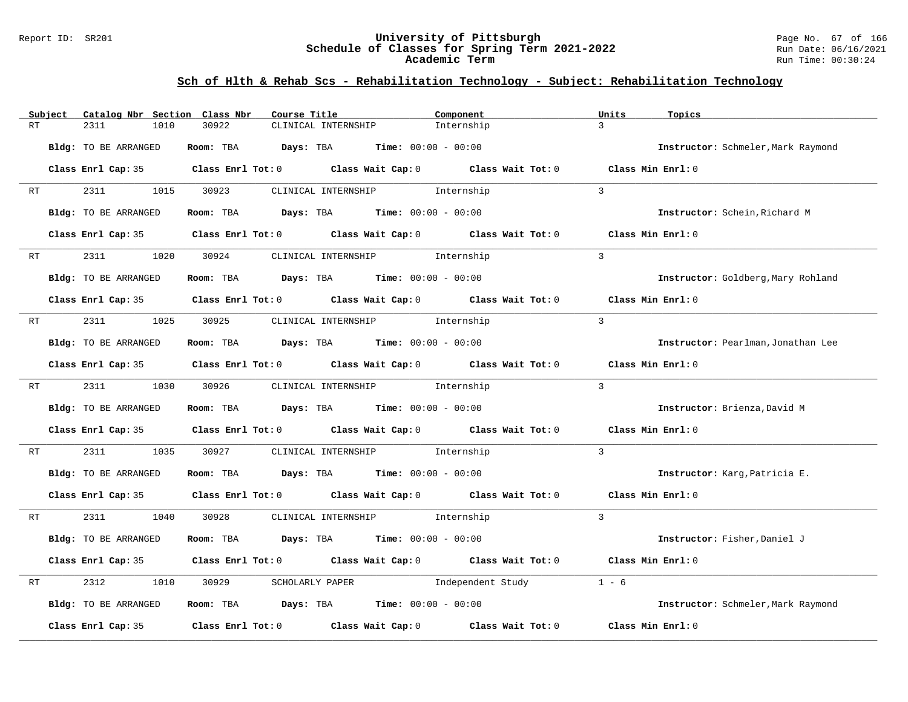#### Report ID: SR201 **University of Pittsburgh** Page No. 67 of 166 **Schedule of Classes for Spring Term 2021-2022** Run Date: 06/16/2021 **Academic Term** Run Time: 00:30:24

# **Sch of Hlth & Rehab Scs - Rehabilitation Technology - Subject: Rehabilitation Technology**

| RT | Subject | Catalog Nbr Section Class Nbr<br>2311<br>1010 | Course Title<br>30922                                                                 | CLINICAL INTERNSHIP                           | Component<br>Internship                                                                             | Units<br>Topics<br>$\overline{3}$  |
|----|---------|-----------------------------------------------|---------------------------------------------------------------------------------------|-----------------------------------------------|-----------------------------------------------------------------------------------------------------|------------------------------------|
|    |         | Bldg: TO BE ARRANGED                          | Room: TBA                                                                             | <b>Days:</b> TBA <b>Time:</b> $00:00 - 00:00$ |                                                                                                     | Instructor: Schmeler, Mark Raymond |
|    |         |                                               |                                                                                       |                                               |                                                                                                     |                                    |
|    |         |                                               |                                                                                       |                                               | Class Enrl Cap: 35 Class Enrl Tot: 0 Class Wait Cap: 0 Class Wait Tot: 0 Class Min Enrl: 0          |                                    |
| RT |         | 2311<br>1015                                  | 30923                                                                                 | CLINICAL INTERNSHIP 1nternship                |                                                                                                     | $\mathbf{3}$                       |
|    |         | Bldg: TO BE ARRANGED                          | Room: TBA $Days:$ TBA $Time: 00:00 - 00:00$                                           |                                               |                                                                                                     | Instructor: Schein, Richard M      |
|    |         |                                               | Class Enrl Cap: 35 Class Enrl Tot: 0 Class Wait Cap: 0 Class Wait Tot: 0              |                                               |                                                                                                     | Class Min Enrl: 0                  |
| RT |         | 2311<br>1020                                  | 30924                                                                                 | CLINICAL INTERNSHIP 1nternship                |                                                                                                     | $\overline{3}$                     |
|    |         | Bldg: TO BE ARRANGED                          | Room: TBA $\rule{1em}{0.15mm}$ Days: TBA $\rule{1.5mm}{0.15mm}$ Time: $00:00 - 00:00$ |                                               |                                                                                                     | Instructor: Goldberg, Mary Rohland |
|    |         |                                               | Class Enrl Cap: 35 Class Enrl Tot: 0 Class Wait Cap: 0 Class Wait Tot: 0              |                                               |                                                                                                     | Class Min Enrl: 0                  |
| RT |         | 2311                                          | 1025 30925                                                                            | CLINICAL INTERNSHIP 1nternship                |                                                                                                     | $\mathbf{3}$                       |
|    |         | Bldg: TO BE ARRANGED                          | Room: TBA $Days:$ TBA $Time: 00:00 - 00:00$                                           |                                               |                                                                                                     | Instructor: Pearlman, Jonathan Lee |
|    |         |                                               |                                                                                       |                                               | Class Enrl Cap: 35 $\qquad$ Class Enrl Tot: 0 $\qquad$ Class Wait Cap: 0 $\qquad$ Class Wait Tot: 0 | Class Min Enrl: 0                  |
| RT |         | 2311<br>1030                                  | 30926                                                                                 | CLINICAL INTERNSHIP 1nternship                |                                                                                                     | $\mathcal{L}$                      |
|    |         | Bldg: TO BE ARRANGED                          | Room: TBA $Days:$ TBA $Time: 00:00 - 00:00$                                           |                                               |                                                                                                     | Instructor: Brienza, David M       |
|    |         |                                               | Class Enrl Cap: 35 Class Enrl Tot: 0 Class Wait Cap: 0 Class Wait Tot: 0              |                                               |                                                                                                     | Class Min Enrl: 0                  |
| RT |         | 2311<br>1035                                  | 30927                                                                                 | CLINICAL INTERNSHIP 1nternship                |                                                                                                     | $\overline{3}$                     |
|    |         | Bldg: TO BE ARRANGED                          | Room: TBA $Days:$ TBA $Time: 00:00 - 00:00$                                           |                                               |                                                                                                     | Instructor: Karg, Patricia E.      |
|    |         |                                               |                                                                                       |                                               | Class Enrl Cap: 35 Class Enrl Tot: 0 Class Wait Cap: 0 Class Wait Tot: 0 Class Min Enrl: 0          |                                    |
| RT |         | 2311<br>1040                                  | 30928                                                                                 | CLINICAL INTERNSHIP 1nternship                |                                                                                                     | $\overline{3}$                     |
|    |         | Bldg: TO BE ARRANGED                          | Room: TBA $Days:$ TBA $Time: 00:00 - 00:00$                                           |                                               |                                                                                                     | Instructor: Fisher, Daniel J       |
|    |         |                                               | Class Enrl Cap: 35 Class Enrl Tot: 0 Class Wait Cap: 0 Class Wait Tot: 0              |                                               |                                                                                                     | Class Min Enrl: 0                  |
| RT |         | 2312<br>1010                                  | 30929                                                                                 | SCHOLARLY PAPER                               | Independent Study                                                                                   | $1 - 6$                            |
|    |         | Bldg: TO BE ARRANGED                          | Room: TBA $Days:$ TBA $Time: 00:00 - 00:00$                                           |                                               |                                                                                                     | Instructor: Schmeler, Mark Raymond |
|    |         | Class Enrl Cap: 35                            | Class Enrl Tot: $0$ Class Wait Cap: $0$                                               |                                               | Class Wait Tot: 0                                                                                   | Class Min Enrl: 0                  |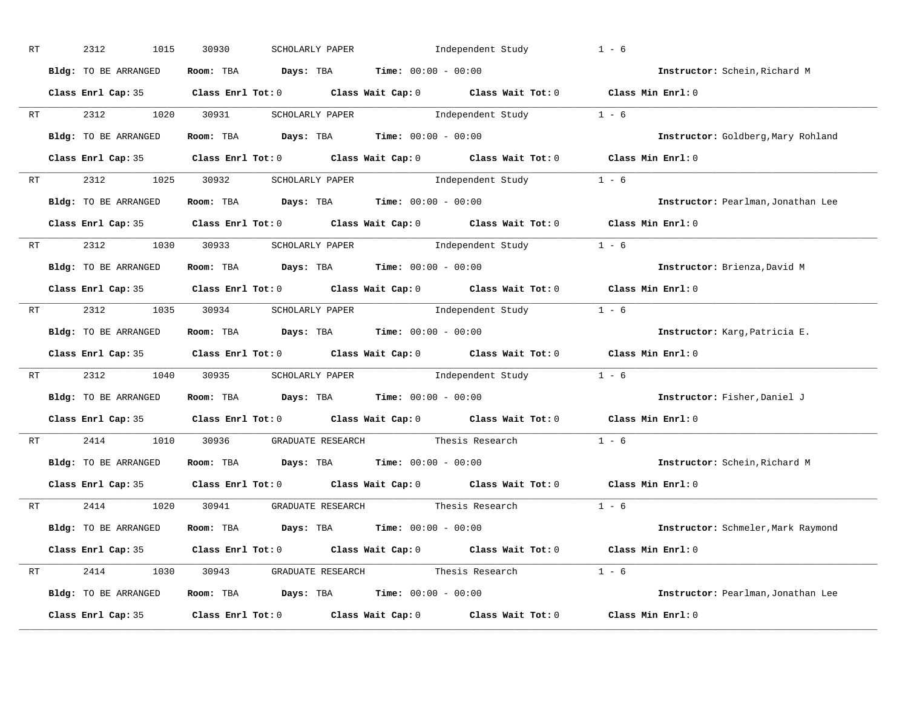| RT |                                                                                                                                                                                                                                | 2312<br>1015         | 30930<br>SCHOLARLY PAPER                                       | Independent Study                                                                          | $1 - 6$                            |
|----|--------------------------------------------------------------------------------------------------------------------------------------------------------------------------------------------------------------------------------|----------------------|----------------------------------------------------------------|--------------------------------------------------------------------------------------------|------------------------------------|
|    |                                                                                                                                                                                                                                | Bldg: TO BE ARRANGED | Room: TBA $Days:$ TBA $Time: 00:00 - 00:00$                    |                                                                                            | Instructor: Schein, Richard M      |
|    |                                                                                                                                                                                                                                |                      |                                                                | Class Enrl Cap: 35 Class Enrl Tot: 0 Class Wait Cap: 0 Class Wait Tot: 0 Class Min Enrl: 0 |                                    |
|    |                                                                                                                                                                                                                                | RT 2312 1020 30931   |                                                                | SCHOLARLY PAPER 1 - 6                                                                      |                                    |
|    |                                                                                                                                                                                                                                | Bldg: TO BE ARRANGED | Room: TBA $Days:$ TBA Time: $00:00 - 00:00$                    |                                                                                            | Instructor: Goldberg, Mary Rohland |
|    |                                                                                                                                                                                                                                |                      |                                                                | Class Enrl Cap: 35 Class Enrl Tot: 0 Class Wait Cap: 0 Class Wait Tot: 0 Class Min Enrl: 0 |                                    |
|    |                                                                                                                                                                                                                                |                      |                                                                | RT 2312 1025 30932 SCHOLARLY PAPER Independent Study 1 - 6                                 |                                    |
|    |                                                                                                                                                                                                                                | Bldg: TO BE ARRANGED | Room: TBA $Days:$ TBA $Time: 00:00 - 00:00$                    |                                                                                            | Instructor: Pearlman, Jonathan Lee |
|    |                                                                                                                                                                                                                                |                      |                                                                | Class Enrl Cap: 35 Class Enrl Tot: 0 Class Wait Cap: 0 Class Wait Tot: 0 Class Min Enrl: 0 |                                    |
|    |                                                                                                                                                                                                                                |                      | RT 2312 1030 30933 SCHOLARLY PAPER                             | Independent Study 1 - 6                                                                    |                                    |
|    |                                                                                                                                                                                                                                | Bldg: TO BE ARRANGED | Room: TBA $Days:$ TBA $Time: 00:00 - 00:00$                    |                                                                                            | Instructor: Brienza, David M       |
|    |                                                                                                                                                                                                                                |                      |                                                                | Class Enrl Cap: 35 Class Enrl Tot: 0 Class Wait Cap: 0 Class Wait Tot: 0 Class Min Enrl: 0 |                                    |
|    |                                                                                                                                                                                                                                |                      |                                                                | RT 2312 1035 30934 SCHOLARLY PAPER Independent Study 1 - 6                                 |                                    |
|    |                                                                                                                                                                                                                                | Bldg: TO BE ARRANGED | Room: TBA $Days:$ TBA $Time: 00:00 - 00:00$                    |                                                                                            | Instructor: Karg, Patricia E.      |
|    |                                                                                                                                                                                                                                |                      |                                                                | Class Enrl Cap: 35 Class Enrl Tot: 0 Class Wait Cap: 0 Class Wait Tot: 0 Class Min Enrl: 0 |                                    |
|    | RT and the set of the set of the set of the set of the set of the set of the set of the set of the set of the set of the set of the set of the set of the set of the set of the set of the set of the set of the set of the se |                      |                                                                | 2312 1040 30935 SCHOLARLY PAPER Independent Study 1 - 6                                    |                                    |
|    |                                                                                                                                                                                                                                | Bldg: TO BE ARRANGED | Room: TBA $Days:$ TBA $Time: 00:00 - 00:00$                    |                                                                                            | Instructor: Fisher, Daniel J       |
|    |                                                                                                                                                                                                                                |                      |                                                                | Class Enrl Cap: 35 Class Enrl Tot: 0 Class Wait Cap: 0 Class Wait Tot: 0                   | Class Min Enrl: 0                  |
|    | RT                                                                                                                                                                                                                             | 2414                 | 1010 30936 GRADUATE RESEARCH                                   | Thesis Research                                                                            | $1 - 6$                            |
|    |                                                                                                                                                                                                                                | Bldg: TO BE ARRANGED | Room: TBA $Days:$ TBA $Time: 00:00 - 00:00$                    |                                                                                            | Instructor: Schein, Richard M      |
|    |                                                                                                                                                                                                                                | Class Enrl Cap: 35   |                                                                | Class Enrl Tot: $0$ Class Wait Cap: $0$ Class Wait Tot: $0$                                | Class Min Enrl: 0                  |
|    |                                                                                                                                                                                                                                |                      | RT 2414 1020 30941 GRADUATE RESEARCH Thesis Research           |                                                                                            | $1 - 6$                            |
|    |                                                                                                                                                                                                                                | Bldg: TO BE ARRANGED | Room: TBA $\rule{1em}{0.15mm}$ Days: TBA Time: $00:00 - 00:00$ |                                                                                            | Instructor: Schmeler, Mark Raymond |
|    |                                                                                                                                                                                                                                |                      |                                                                | Class Enrl Cap: 35 Class Enrl Tot: 0 Class Wait Cap: 0 Class Wait Tot: 0 Class Min Enrl: 0 |                                    |
|    |                                                                                                                                                                                                                                |                      |                                                                | RT 2414 1030 30943 GRADUATE RESEARCH Thesis Research 1 - 6                                 |                                    |
|    |                                                                                                                                                                                                                                | Bldg: TO BE ARRANGED | Room: TBA $Days: TBA$ Time: $00:00 - 00:00$                    |                                                                                            | Instructor: Pearlman, Jonathan Lee |
|    |                                                                                                                                                                                                                                | Class Enrl Cap: 35   |                                                                | Class Enrl Tot: $0$ Class Wait Cap: $0$ Class Wait Tot: $0$                                | Class Min Enrl: 0                  |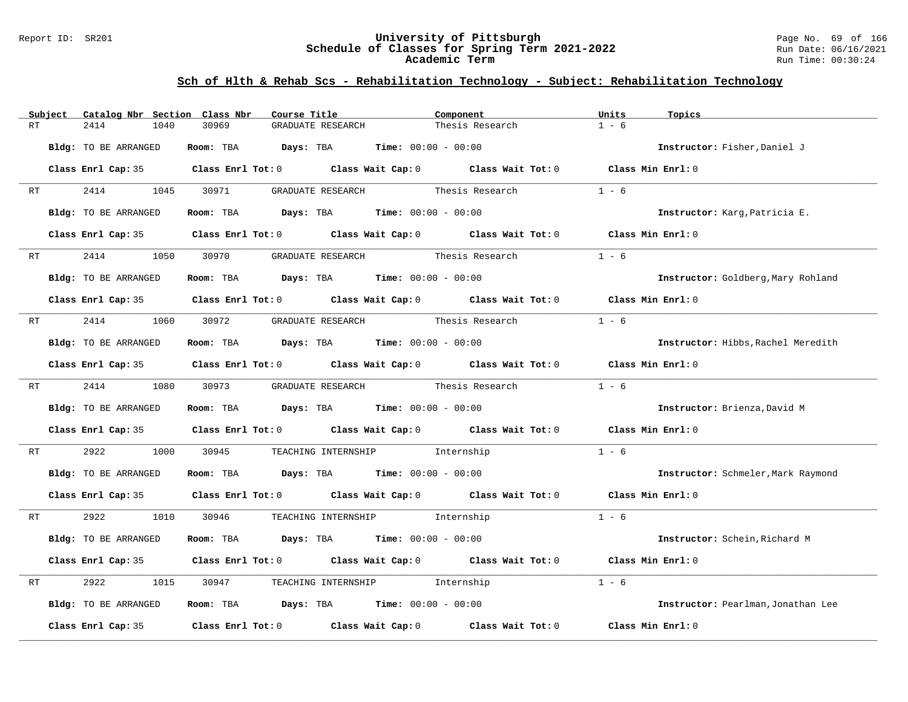#### Report ID: SR201 **University of Pittsburgh** Page No. 69 of 166 **Schedule of Classes for Spring Term 2021-2022** Run Date: 06/16/2021 **Academic Term** Run Time: 00:30:24

# **Sch of Hlth & Rehab Scs - Rehabilitation Technology - Subject: Rehabilitation Technology**

|    | Subject | Catalog Nbr Section Class Nbr | Course Title                                                                               |                                                                | Component       | Units<br>Topics                    |  |
|----|---------|-------------------------------|--------------------------------------------------------------------------------------------|----------------------------------------------------------------|-----------------|------------------------------------|--|
| RT |         | 2414<br>1040                  | 30969<br>GRADUATE RESEARCH                                                                 |                                                                | Thesis Research | $1 - 6$                            |  |
|    |         | Bldg: TO BE ARRANGED          | Room: TBA                                                                                  | <b>Days:</b> TBA <b>Time:</b> $00:00 - 00:00$                  |                 | Instructor: Fisher, Daniel J       |  |
|    |         |                               | Class Enrl Cap: 35 Class Enrl Tot: 0 Class Wait Cap: 0 Class Wait Tot: 0 Class Min Enrl: 0 |                                                                |                 |                                    |  |
| RT |         | 2414<br>1045                  | 30971                                                                                      | GRADUATE RESEARCH                                              | Thesis Research | $1 - 6$                            |  |
|    |         | Bldg: TO BE ARRANGED          |                                                                                            | Room: TBA $Days: TBA$ Time: $00:00 - 00:00$                    |                 | Instructor: Karg, Patricia E.      |  |
|    |         |                               | Class Enrl Cap: 35 Class Enrl Tot: 0 Class Wait Cap: 0 Class Wait Tot: 0 Class Min Enrl: 0 |                                                                |                 |                                    |  |
| RT |         | 2414<br>1050                  | 30970                                                                                      | GRADUATE RESEARCH Thesis Research                              |                 | $1 - 6$                            |  |
|    |         | Bldg: TO BE ARRANGED          |                                                                                            | Room: TBA $Days:$ TBA $Time: 00:00 - 00:00$                    |                 | Instructor: Goldberg, Mary Rohland |  |
|    |         |                               | Class Enrl Cap: 35 Class Enrl Tot: 0 Class Wait Cap: 0 Class Wait Tot: 0 Class Min Enrl: 0 |                                                                |                 |                                    |  |
| RT |         | 2414<br>1060 30972            |                                                                                            | GRADUATE RESEARCH Thesis Research                              |                 | $1 - 6$                            |  |
|    |         | Bldg: TO BE ARRANGED          |                                                                                            | Room: TBA $Days:$ TBA $Time: 00:00 - 00:00$                    |                 | Instructor: Hibbs, Rachel Meredith |  |
|    |         |                               | Class Enrl Cap: 35 Class Enrl Tot: 0 Class Wait Cap: 0 Class Wait Tot: 0                   |                                                                |                 | Class Min Enrl: 0                  |  |
| RT |         | 2414                          | 1080 30973                                                                                 | GRADUATE RESEARCH Thesis Research                              |                 | $1 - 6$                            |  |
|    |         | Bldg: TO BE ARRANGED          |                                                                                            | Room: TBA $Days:$ TBA $Time: 00:00 - 00:00$                    |                 | Instructor: Brienza, David M       |  |
|    |         |                               | Class Enrl Cap: 35 Class Enrl Tot: 0 Class Wait Cap: 0 Class Wait Tot: 0                   |                                                                |                 | Class Min Enrl: 0                  |  |
| RT |         | 2922<br>1000                  | 30945                                                                                      | TEACHING INTERNSHIP 1nternship                                 |                 | $1 - 6$                            |  |
|    |         | Bldg: TO BE ARRANGED          |                                                                                            | Room: TBA $\rule{1em}{0.15mm}$ Days: TBA Time: $00:00 - 00:00$ |                 | Instructor: Schmeler, Mark Raymond |  |
|    |         |                               | Class Enrl Cap: 35 Class Enrl Tot: 0 Class Wait Cap: 0 Class Wait Tot: 0 Class Min Enrl: 0 |                                                                |                 |                                    |  |
| RT |         | 2922 2022<br>1010             | 30946                                                                                      | TEACHING INTERNSHIP 1nternship                                 |                 | $1 - 6$                            |  |
|    |         | Bldg: TO BE ARRANGED          |                                                                                            | Room: TBA $Days:$ TBA $Time: 00:00 - 00:00$                    |                 | Instructor: Schein, Richard M      |  |
|    |         |                               | Class Enrl Cap: 35 Class Enrl Tot: 0 Class Wait Cap: 0 Class Wait Tot: 0                   |                                                                |                 | Class Min Enrl: 0                  |  |
| RT |         | 2922<br>1015                  | 30947                                                                                      | TEACHING INTERNSHIP 1nternship                                 |                 | $1 - 6$                            |  |
|    |         | Bldg: TO BE ARRANGED          |                                                                                            | Room: TBA $Days: TBA$ Time: $00:00 - 00:00$                    |                 | Instructor: Pearlman, Jonathan Lee |  |
|    |         | Class Enrl Cap: 35            |                                                                                            | Class Enrl Tot: 0 Class Wait Cap: 0 Class Wait Tot: 0          |                 | Class Min Enrl: 0                  |  |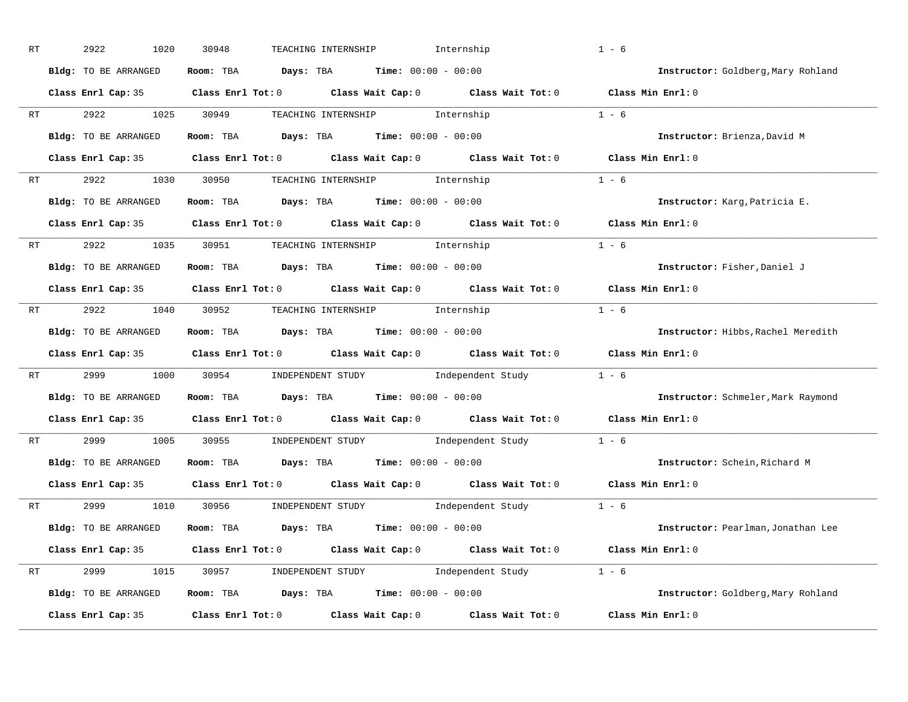| RT      | 2922<br>1020         | 30948<br>TEACHING INTERNSHIP                                                               | Internship                          | $1 - 6$                            |
|---------|----------------------|--------------------------------------------------------------------------------------------|-------------------------------------|------------------------------------|
|         | Bldg: TO BE ARRANGED | Room: TBA $Days:$ TBA $Time: 00:00 - 00:00$                                                |                                     | Instructor: Goldberg, Mary Rohland |
|         |                      | Class Enrl Cap: 35 Class Enrl Tot: 0 Class Wait Cap: 0 Class Wait Tot: 0 Class Min Enrl: 0 |                                     |                                    |
| RT      | 2922                 | 1025 30949<br>TEACHING INTERNSHIP 1nternship                                               |                                     | $1 - 6$                            |
|         | Bldg: TO BE ARRANGED | Room: TBA $Days:$ TBA $Time: 00:00 - 00:00$                                                |                                     | Instructor: Brienza, David M       |
|         |                      | Class Enrl Cap: 35 Class Enrl Tot: 0 Class Wait Cap: 0 Class Wait Tot: 0 Class Min Enrl: 0 |                                     |                                    |
| RT      | 2922                 | 1030 30950 TEACHING INTERNSHIP Internship                                                  | $1 - 6$                             |                                    |
|         | Bldg: TO BE ARRANGED | Room: TBA $\rule{1em}{0.15mm}$ Days: TBA Time: $00:00 - 00:00$                             |                                     | Instructor: Karg, Patricia E.      |
|         |                      | Class Enrl Cap: 35 Class Enrl Tot: 0 Class Wait Cap: 0 Class Wait Tot: 0 Class Min Enrl: 0 |                                     |                                    |
| RT      | 2922 1035 30951      | TEACHING INTERNSHIP 1nternship                                                             |                                     | $1 - 6$                            |
|         | Bldg: TO BE ARRANGED | Room: TBA $Days:$ TBA $Time: 00:00 - 00:00$                                                |                                     | Instructor: Fisher, Daniel J       |
|         |                      | Class Enrl Cap: 35 Class Enrl Tot: 0 Class Wait Cap: 0 Class Wait Tot: 0 Class Min Enrl: 0 |                                     |                                    |
|         |                      | RT 2922 1040 30952 TEACHING INTERNSHIP Internship                                          |                                     | $1 - 6$                            |
|         | Bldg: TO BE ARRANGED | Room: TBA $\rule{1em}{0.15mm}$ Days: TBA $\rule{1.15mm}]{0.15mm}$ Time: $0.000 - 0.000$    |                                     | Instructor: Hibbs, Rachel Meredith |
|         |                      | Class Enrl Cap: 35 Class Enrl Tot: 0 Class Wait Cap: 0 Class Wait Tot: 0 Class Min Enrl: 0 |                                     |                                    |
| RT 2999 | 1000                 | 30954 INDEPENDENT STUDY Independent Study 1 - 6                                            |                                     |                                    |
|         | Bldg: TO BE ARRANGED | Room: TBA $Days:$ TBA $Time: 00:00 - 00:00$                                                |                                     | Instructor: Schmeler, Mark Raymond |
|         |                      | Class Enrl Cap: 35 Class Enrl Tot: 0 Class Wait Cap: 0 Class Wait Tot: 0 Class Min Enrl: 0 |                                     |                                    |
| RT      | 2999 720<br>1005     | INDEPENDENT STUDY 1 - 6<br>30955                                                           |                                     |                                    |
|         | Bldg: TO BE ARRANGED | Room: TBA $Days: TBA$ Time: $00:00 - 00:00$                                                |                                     | Instructor: Schein, Richard M      |
|         |                      | Class Enrl Cap: 35 Class Enrl Tot: 0 Class Wait Cap: 0 Class Wait Tot: 0 Class Min Enrl: 0 |                                     |                                    |
| RT      | 2999                 | 1010 30956<br>INDEPENDENT STUDY 1 - 6                                                      |                                     |                                    |
|         | Bldg: TO BE ARRANGED | $\texttt{Room:}$ TBA $\texttt{DayS:}$ TBA $\texttt{Time:}$ 00:00 - 00:00                   |                                     | Instructor: Pearlman, Jonathan Lee |
|         |                      | Class Enrl Cap: 35 Class Enrl Tot: 0 Class Wait Cap: 0 Class Wait Tot: 0 Class Min Enrl: 0 |                                     |                                    |
| RT      |                      | 2999 1015 30957 INDEPENDENT STUDY Independent Study 1 - 6                                  |                                     |                                    |
|         | Bldg: TO BE ARRANGED | Room: TBA $\rule{1em}{0.5em}$ Days: TBA $\qquad$ Time: $00:00 - 00:00$                     |                                     | Instructor: Goldberg, Mary Rohland |
|         | Class Enrl Cap: 35   | $Class$ $Enr1$ $Tot: 0$                                                                    | Class Wait Cap: 0 Class Wait Tot: 0 | Class Min Enrl: 0                  |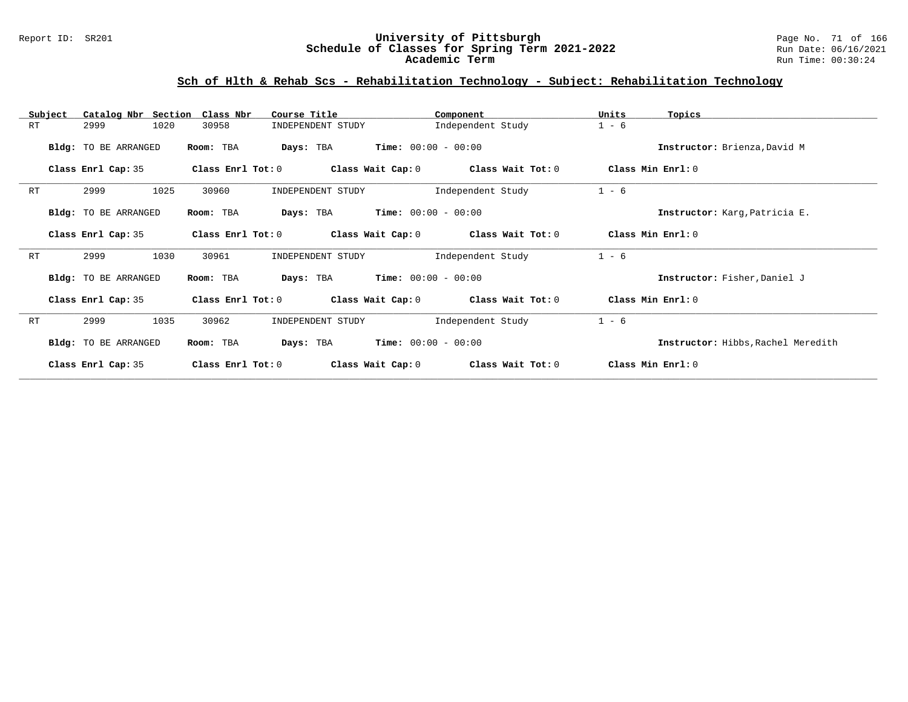### Report ID: SR201 **University of Pittsburgh** Page No. 71 of 166 **Schedule of Classes for Spring Term 2021-2022** Run Date: 06/16/2021 **Academic Term** Run Time: 00:30:24

# **Sch of Hlth & Rehab Scs - Rehabilitation Technology - Subject: Rehabilitation Technology**

| Subject | Catalog Nbr Section Class Nbr |                     | Course Title                       | Component                    | Units<br>Topics                    |  |
|---------|-------------------------------|---------------------|------------------------------------|------------------------------|------------------------------------|--|
| RT      | 2999<br>1020                  | 30958               | INDEPENDENT STUDY                  | Independent Study            | $1 - 6$                            |  |
|         | Bldg: TO BE ARRANGED          | Room: TBA           | Days: TBA                          | <b>Time:</b> $00:00 - 00:00$ | Instructor: Brienza, David M       |  |
|         | Class Enrl Cap: 35            | Class Enrl Tot: 0   | Class Wait Cap: 0                  | Class Wait Tot: 0            | Class Min Enrl: 0                  |  |
| RT      | 2999<br>1025                  | 30960               | INDEPENDENT STUDY                  | Independent Study            | $1 - 6$                            |  |
|         | Bldg: TO BE ARRANGED          | Room: TBA           | Days: TBA                          | $Time: 00:00 - 00:00$        | Instructor: Karg, Patricia E.      |  |
|         | Class Enrl Cap: 35            | Class Enrl Tot: 0   | Class Wait Cap: 0                  | Class Wait Tot: 0            | Class Min Enrl: 0                  |  |
| RT      | 1030<br>2999                  | 30961               | INDEPENDENT STUDY                  | Independent Study            | $1 - 6$                            |  |
|         | Bldg: TO BE ARRANGED          | Room: TBA           | $Time: 00:00 - 00:00$<br>Days: TBA |                              | Instructor: Fisher, Daniel J       |  |
|         | Class Enrl Cap: 35            | Class Enrl Tot: $0$ | Class Wait Cap: 0                  | Class Wait Tot: 0            | Class Min Enrl: 0                  |  |
| RT      | 1035<br>2999                  | 30962               | INDEPENDENT STUDY                  | Independent Study            | $1 - 6$                            |  |
|         | Bldg: TO BE ARRANGED          | Room: TBA           | $Time: 00:00 - 00:00$<br>Days: TBA |                              | Instructor: Hibbs, Rachel Meredith |  |
|         | Class Enrl Cap: 35            | Class Enrl Tot: $0$ | Class Wait Cap: 0                  | Class Wait Tot: 0            | Class Min Enrl: 0                  |  |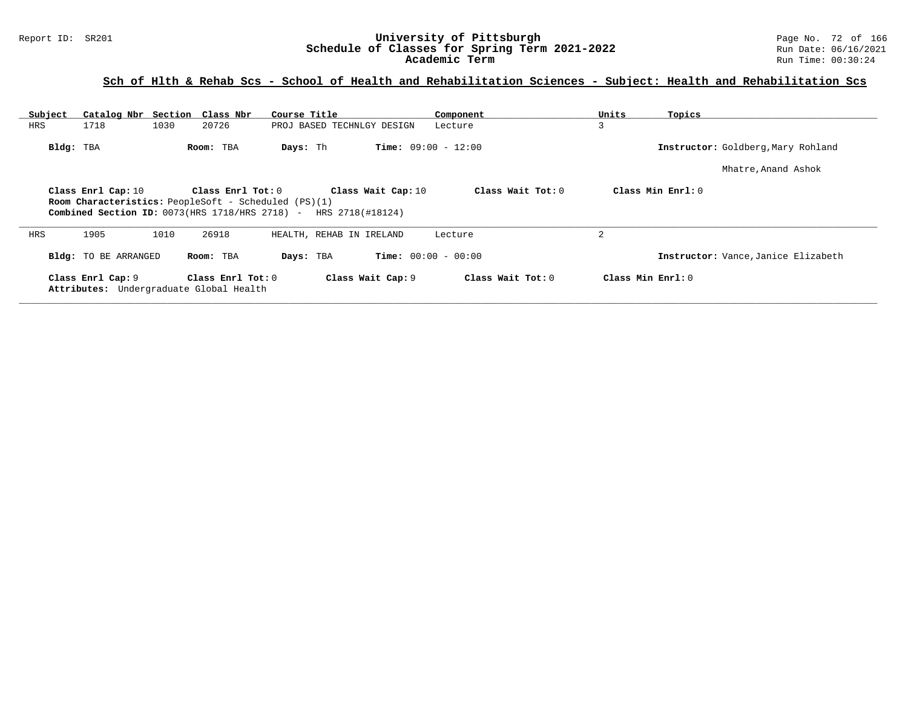### Report ID: SR201 **University of Pittsburgh** Page No. 72 of 166 **Schedule of Classes for Spring Term 2021-2022** Run Date: 06/16/2021 **Academic Term** Run Time: 00:30:24

# **Sch of Hlth & Rehab Scs - School of Health and Rehabilitation Sciences - Subject: Health and Rehabilitation Scs**

| Subject   | Catalog Nbr Section Class Nbr                                                                                                       |                         | Course Title                           | Component                    | Units<br>Topics   |                                     |
|-----------|-------------------------------------------------------------------------------------------------------------------------------------|-------------------------|----------------------------------------|------------------------------|-------------------|-------------------------------------|
| HRS       | 1718<br>1030                                                                                                                        | 20726                   | PROJ BASED TECHNLGY DESIGN             | Lecture                      | 3                 |                                     |
| Bldg: TBA |                                                                                                                                     | Room: TBA               | Days: Th                               | <b>Time:</b> $09:00 - 12:00$ |                   | Instructor: Goldberg, Mary Rohland  |
|           |                                                                                                                                     |                         |                                        |                              |                   | Mhatre, Anand Ashok                 |
|           | Class Enrl Cap: 10<br><b>Room Characteristics:</b> PeopleSoft - Scheduled (PS)(1)<br>Combined Section ID: 0073(HRS 1718/HRS 2718) - | $Class$ $Enr1$ $Tot: 0$ | Class Wait Cap: 10<br>HRS 2718(#18124) | Class Wait Tot: 0            | Class Min Enrl: 0 |                                     |
| HRS       | 1905<br>1010                                                                                                                        | 26918                   | HEALTH, REHAB IN IRELAND               | Lecture                      | 2                 |                                     |
|           | Bldg: TO BE ARRANGED                                                                                                                | Room: TBA               | Days: TBA                              | <b>Time:</b> $00:00 - 00:00$ |                   | Instructor: Vance, Janice Elizabeth |
|           | Class Enrl Cap: 9<br>Attributes: Undergraduate Global Health                                                                        | Class Enrl Tot: 0       | Class Wait Cap: 9                      | Class Wait Tot: 0            | Class Min Enrl: 0 |                                     |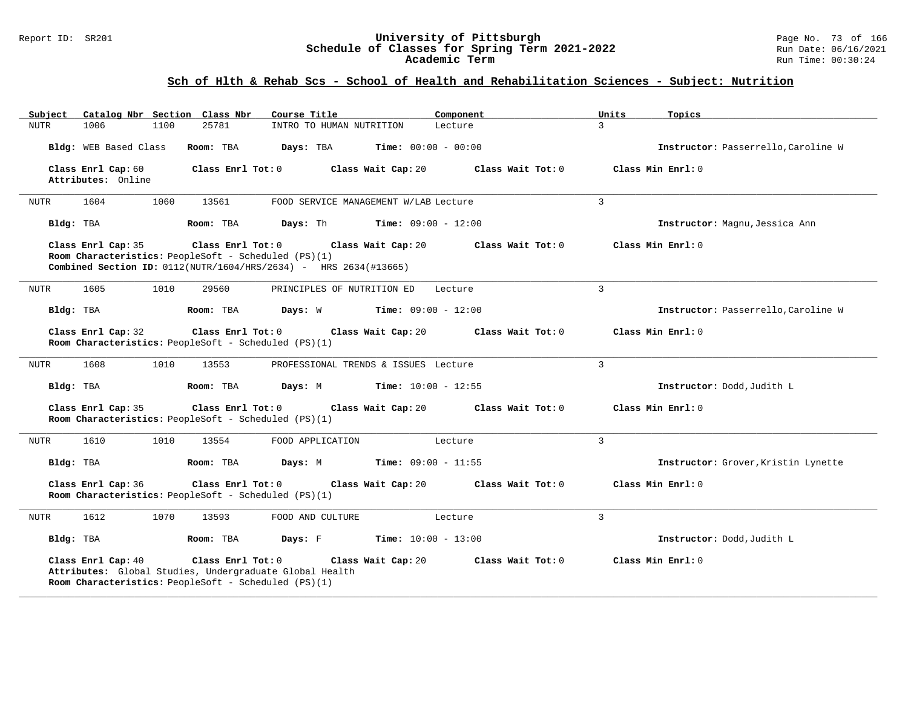#### Report ID: SR201 **University of Pittsburgh** Page No. 73 of 166 **Schedule of Classes for Spring Term 2021-2022** Run Date: 06/16/2021 **Academic Term** Run Time: 00:30:24

# **Sch of Hlth & Rehab Scs - School of Health and Rehabilitation Sciences - Subject: Nutrition**

| Subject                                  | Catalog Nbr Section Class Nbr |                                                                           | Course Title                                                                           | Component                    | Units          | Topics                              |
|------------------------------------------|-------------------------------|---------------------------------------------------------------------------|----------------------------------------------------------------------------------------|------------------------------|----------------|-------------------------------------|
| 1006<br><b>NUTR</b>                      | 1100                          | 25781                                                                     | INTRO TO HUMAN NUTRITION                                                               | Lecture                      | 3              |                                     |
|                                          | Bldg: WEB Based Class         | Room: TBA                                                                 | Days: TBA                                                                              | <b>Time:</b> $00:00 - 00:00$ |                | Instructor: Passerrello, Caroline W |
| Class Enrl Cap: 60<br>Attributes: Online |                               | Class Enrl Tot: 0                                                         | Class Wait Cap: 20                                                                     | Class Wait Tot: 0            |                | Class Min Enrl: 0                   |
| 1604<br><b>NUTR</b>                      | 1060                          | 13561                                                                     | FOOD SERVICE MANAGEMENT W/LAB Lecture                                                  |                              | $\mathbf{3}$   |                                     |
| Bldg: TBA                                |                               | Room: TBA                                                                 | Days: Th                                                                               | <b>Time:</b> $09:00 - 12:00$ |                | Instructor: Magnu, Jessica Ann      |
| Class Enrl Cap: 35                       |                               | Class Enrl Tot: 0<br>Room Characteristics: PeopleSoft - Scheduled (PS)(1) | Class Wait Cap: 20<br>Combined Section ID: 0112(NUTR/1604/HRS/2634) - HRS 2634(#13665) | Class Wait Tot: 0            |                | Class Min Enrl: 0                   |
| 1605<br>NUTR                             | 1010                          | 29560                                                                     | PRINCIPLES OF NUTRITION ED                                                             | Lecture                      | $\overline{3}$ |                                     |
| Bldg: TBA                                |                               | Room: TBA                                                                 | Days: W                                                                                | <b>Time:</b> $09:00 - 12:00$ |                | Instructor: Passerrello, Caroline W |
| Class Enrl Cap: 32                       |                               | Class Enrl Tot: 0<br>Room Characteristics: PeopleSoft - Scheduled (PS)(1) | Class Wait Cap: 20                                                                     | Class Wait Tot: 0            |                | Class Min Enrl: 0                   |
| 1608<br>NUTR                             | 1010                          | 13553                                                                     | PROFESSIONAL TRENDS & ISSUES Lecture                                                   |                              | $\mathbf{3}$   |                                     |
| Bldg: TBA                                |                               | Room: TBA                                                                 | Days: M                                                                                | <b>Time:</b> $10:00 - 12:55$ |                | Instructor: Dodd, Judith L          |
| Class Enrl Cap: 35                       |                               | Class Enrl Tot: 0<br>Room Characteristics: PeopleSoft - Scheduled (PS)(1) | Class Wait Cap: 20                                                                     | Class Wait Tot: 0            |                | Class Min Enrl: 0                   |
| 1610<br>NUTR                             | 1010                          | 13554                                                                     | FOOD APPLICATION                                                                       | Lecture                      | 3              |                                     |
| Bldg: TBA                                |                               | Room: TBA                                                                 | Days: M                                                                                | Time: $09:00 - 11:55$        |                | Instructor: Grover, Kristin Lynette |
| Class Enrl Cap: 36                       |                               | Class Enrl Tot: 0<br>Room Characteristics: PeopleSoft - Scheduled (PS)(1) | Class Wait Cap: 20                                                                     | Class Wait Tot: 0            |                | Class Min Enrl: 0                   |
| 1612<br>NUTR                             | 1070                          | 13593                                                                     | FOOD AND CULTURE                                                                       | Lecture                      | $\overline{3}$ |                                     |
| Bldg: TBA                                |                               | Room: TBA                                                                 | Days: F                                                                                | <b>Time:</b> $10:00 - 13:00$ |                | Instructor: Dodd, Judith L          |
| Class Enrl Cap: 40                       |                               | Class Enrl Tot: 0<br>Room Characteristics: PeopleSoft - Scheduled (PS)(1) | Class Wait Cap: 20<br>Attributes: Global Studies, Undergraduate Global Health          | Class Wait Tot: 0            |                | Class Min Enrl: 0                   |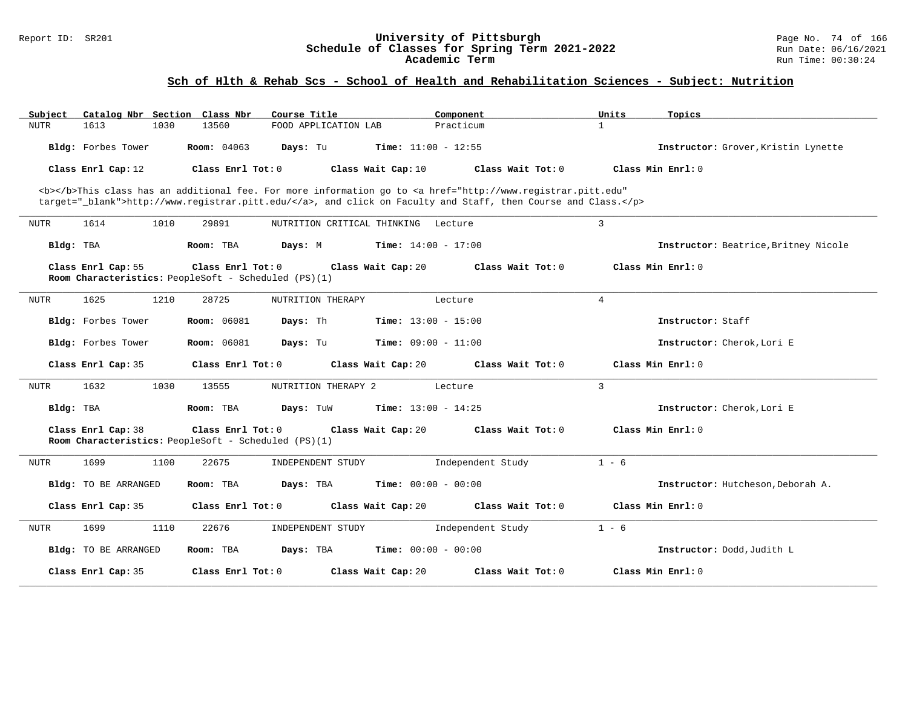#### Report ID: SR201 **University of Pittsburgh** Page No. 74 of 166 **Schedule of Classes for Spring Term 2021-2022** Run Date: 06/16/2021 **Academic Term** Run Time: 00:30:24

# **Sch of Hlth & Rehab Scs - School of Health and Rehabilitation Sciences - Subject: Nutrition**

| Catalog Nbr Section Class Nbr<br>Subject | Course Title                                                                                                                                   | Component                    | Units<br>Topics                      |
|------------------------------------------|------------------------------------------------------------------------------------------------------------------------------------------------|------------------------------|--------------------------------------|
| 1613<br>1030<br><b>NUTR</b>              | 13560<br>FOOD APPLICATION LAB                                                                                                                  | Practicum                    | $\mathbf{1}$                         |
| Bldg: Forbes Tower                       | <b>Room:</b> 04063<br>Days: Tu                                                                                                                 | <b>Time:</b> $11:00 - 12:55$ | Instructor: Grover, Kristin Lynette  |
| Class Enrl Cap: 12                       | Class Enrl Tot: 0<br>Class Wait Cap: 10                                                                                                        | Class Wait Tot: 0            | Class Min Enrl: 0                    |
|                                          | <b></b> This class has an additional fee. For more information go to <a <="" href="http://www.registrar.pitt.edu" td=""><td></td><td></td></a> |                              |                                      |
|                                          | target="_blank">http://www.registrar.pitt.edu/, and click on Faculty and Staff, then Course and Class.                                         |                              |                                      |
| 1614<br>1010<br><b>NUTR</b>              | 29891<br>NUTRITION CRITICAL THINKING Lecture                                                                                                   |                              | 3                                    |
| Bldg: TBA                                | Room: TBA<br>Days: M                                                                                                                           | <b>Time:</b> $14:00 - 17:00$ | Instructor: Beatrice, Britney Nicole |
| Class Enrl Cap: 55                       | Class Enrl Tot: 0<br>Class Wait Cap: 20                                                                                                        | Class Wait Tot: 0            | Class Min Enrl: 0                    |
|                                          | Room Characteristics: PeopleSoft - Scheduled (PS)(1)                                                                                           |                              |                                      |
| 1625<br>1210<br><b>NUTR</b>              | 28725<br>NUTRITION THERAPY                                                                                                                     | Lecture                      | 4                                    |
| Bldg: Forbes Tower                       | <b>Room: 06081</b><br>Days: Th                                                                                                                 | <b>Time:</b> $13:00 - 15:00$ | Instructor: Staff                    |
| Bldg: Forbes Tower                       | <b>Room: 06081</b><br>Days: Tu                                                                                                                 | <b>Time:</b> $09:00 - 11:00$ | Instructor: Cherok, Lori E           |
| Class Enrl Cap: 35                       | Class Enrl Tot: 0<br>Class Wait Cap: 20                                                                                                        | Class Wait Tot: 0            | Class Min Enrl: 0                    |
| 1632<br>1030<br>NUTR                     | 13555<br>NUTRITION THERAPY 2                                                                                                                   | Lecture                      | 3                                    |
| Bldg: TBA                                | Room: TBA<br>Days: TuW                                                                                                                         | <b>Time:</b> $13:00 - 14:25$ | Instructor: Cherok. Lori E           |
| Class Enrl Cap: 38                       | Class Enrl Tot: 0<br>Class Wait Cap: 20<br>Room Characteristics: PeopleSoft - Scheduled (PS)(1)                                                | Class Wait Tot: 0            | Class Min Enrl: 0                    |
| 1699<br>1100<br><b>NUTR</b>              | 22675<br>INDEPENDENT STUDY                                                                                                                     | Independent Study            | $1 - 6$                              |
| Bldg: TO BE ARRANGED                     | Days: TBA<br>Room: TBA                                                                                                                         | <b>Time:</b> $00:00 - 00:00$ | Instructor: Hutcheson, Deborah A.    |
| Class Enrl Cap: 35                       | Class Enrl Tot: 0<br>Class Wait Cap: 20                                                                                                        | Class Wait Tot: 0            | Class Min Enrl: 0                    |
| 1699<br>1110<br>NUTR                     | 22676<br>INDEPENDENT STUDY                                                                                                                     | Independent Study            | $1 - 6$                              |
| Bldg: TO BE ARRANGED                     | Days: TBA<br>Room: TBA                                                                                                                         | <b>Time:</b> $00:00 - 00:00$ | Instructor: Dodd, Judith L           |
| Class Enrl Cap: 35                       | Class Enrl Tot: 0<br>Class Wait Cap: 20                                                                                                        | Class Wait Tot: 0            | Class Min Enrl: 0                    |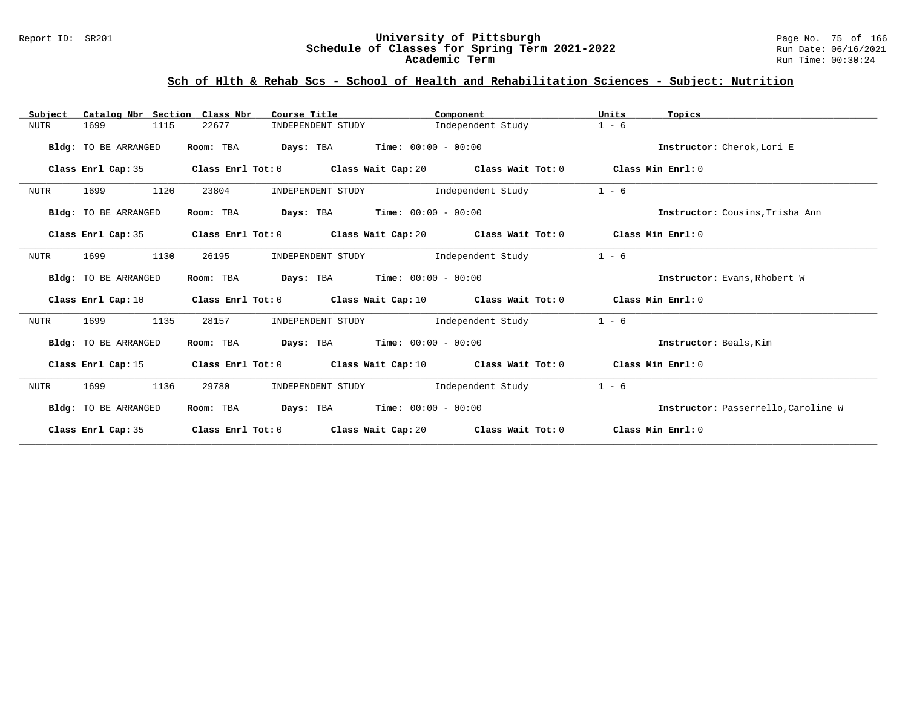#### Report ID: SR201 **University of Pittsburgh** Page No. 75 of 166 **Schedule of Classes for Spring Term 2021-2022** Run Date: 06/16/2021 **Academic Term** Run Time: 00:30:24

# **Sch of Hlth & Rehab Scs - School of Health and Rehabilitation Sciences - Subject: Nutrition**

| Catalog Nbr Section<br>Subject | Class Nbr<br>Course Title                                  | Component                                                                                           | Units<br>Topics                     |
|--------------------------------|------------------------------------------------------------|-----------------------------------------------------------------------------------------------------|-------------------------------------|
| 1115<br><b>NUTR</b><br>1699    | 22677<br>INDEPENDENT STUDY                                 | Independent Study                                                                                   | $1 - 6$                             |
| Bldg: TO BE ARRANGED           | Room: TBA                                                  | <b>Days:</b> TBA <b>Time:</b> $00:00 - 00:00$                                                       | Instructor: Cherok, Lori E          |
| Class Enrl Cap: 35             |                                                            | Class Enrl Tot: 0 $\,$ Class Wait Cap: 20 $\,$ Class Wait Tot: 0 $\,$ Class Min Enrl: 0 $\,$        |                                     |
| 1120<br>NUTR<br>1699           | 23804                                                      | INDEPENDENT STUDY 1ndependent Study                                                                 | $1 - 6$                             |
| Bldg: TO BE ARRANGED           | Room: TBA                                                  | <b>Days:</b> TBA <b>Time:</b> $00:00 - 00:00$                                                       | Instructor: Cousins, Trisha Ann     |
| Class Enrl Cap: 35             |                                                            | Class Enrl Tot: $0$ Class Wait Cap: $20$ Class Wait Tot: $0$ Class Min Enrl: $0$                    |                                     |
| <b>NUTR</b><br>1699<br>1130    | 26195<br>INDEPENDENT STUDY                                 | Independent Study                                                                                   | $1 - 6$                             |
| Bldg: TO BE ARRANGED           | <b>Days:</b> TBA <b>Time:</b> $00:00 - 00:00$<br>Room: TBA |                                                                                                     | Instructor: Evans, Rhobert W        |
| Class Enrl Cap: 10             |                                                            | Class Enrl Tot: 0 $\qquad$ Class Wait Cap: 10 $\qquad$ Class Wait Tot: 0 $\qquad$ Class Min Enrl: 0 |                                     |
| <b>NUTR</b><br>1699<br>1135    | 28157<br>INDEPENDENT STUDY                                 | Independent Study                                                                                   | $1 - 6$                             |
| Bldg: TO BE ARRANGED           | Room: TBA $Days:$ TBA $Time: 00:00 - 00:00$                |                                                                                                     | Instructor: Beals, Kim              |
| Class Enrl Cap: 15             |                                                            | Class Enrl Tot: 0 $\,$ Class Wait Cap: 10 $\,$ Class Wait Tot: 0 $\,$ Class Min Enrl: 0 $\,$        |                                     |
| NUTR<br>1136<br>1699           | 29780                                                      | INDEPENDENT STUDY 1ndependent Study                                                                 | $1 - 6$                             |
| Bldg: TO BE ARRANGED           | <b>Days:</b> TBA <b>Time:</b> $00:00 - 00:00$<br>Room: TBA |                                                                                                     | Instructor: Passerrello, Caroline W |
| Class Enrl Cap: 35             |                                                            | Class Enrl Tot: $0$ Class Wait Cap: $20$ Class Wait Tot: $0$ Class Min Enrl: $0$                    |                                     |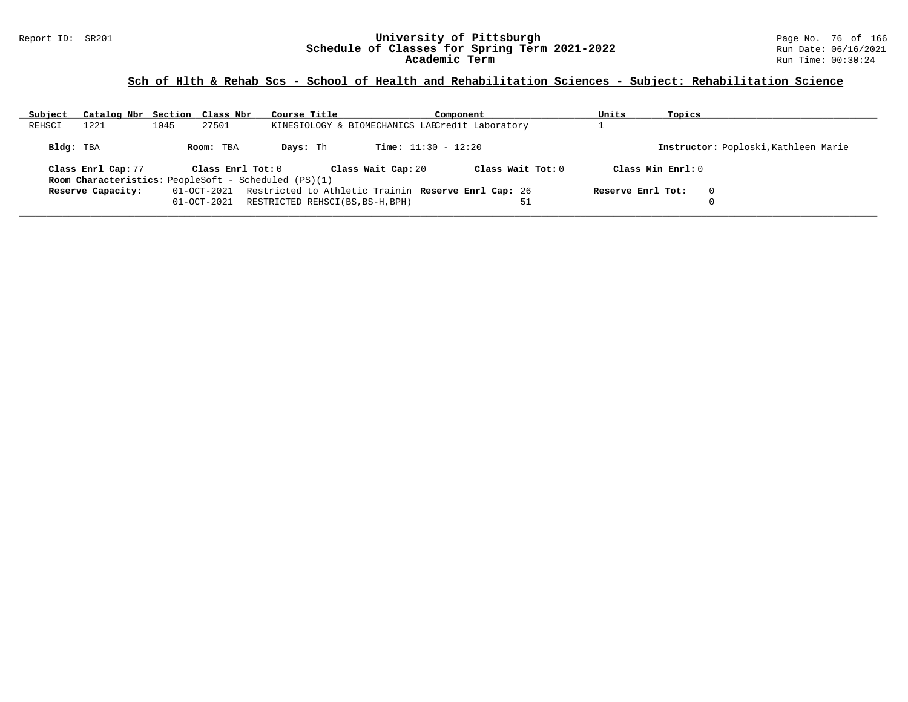#### Report ID: SR201 **University of Pittsburgh** Page No. 76 of 166 **Schedule of Classes for Spring Term 2021-2022** Run Date: 06/16/2021 **Academic Term** Run Time: 00:30:24

# **Sch of Hlth & Rehab Scs - School of Health and Rehabilitation Sciences - Subject: Rehabilitation Science**

| Subject   | Catalog Nbr Section Class Nbr |      |                   | Course Title                                                |                              | Component                                           |    | Units             | Topics              |                                      |
|-----------|-------------------------------|------|-------------------|-------------------------------------------------------------|------------------------------|-----------------------------------------------------|----|-------------------|---------------------|--------------------------------------|
| REHSCI    | 1221                          | 1045 | 27501             |                                                             |                              | KINESIOLOGY & BIOMECHANICS LAECredit Laboratory     |    |                   |                     |                                      |
| Bldg: TBA |                               |      | Room: TBA         | Days: Th                                                    | <b>Time:</b> $11:30 - 12:20$ |                                                     |    |                   |                     | Instructor: Poploski, Kathleen Marie |
|           | Class Enrl Cap: 77            |      | Class Enrl Tot: 0 | <b>Room Characteristics:</b> PeopleSoft - Scheduled (PS)(1) | Class Wait Cap: 20           | Class Wait Tot: 0                                   |    |                   | Class Min $Enrl: 0$ |                                      |
|           | Reserve Capacity:             |      | 01-OCT-2021       |                                                             |                              | Restricted to Athletic Trainin Reserve Enrl Cap: 26 |    | Reserve Enrl Tot: |                     | $\Omega$                             |
|           |                               |      | $01 - OCT - 2021$ | RESTRICTED REHSCI(BS, BS-H, BPH)                            |                              |                                                     | 51 |                   |                     | $\Omega$                             |
|           |                               |      |                   |                                                             |                              |                                                     |    |                   |                     |                                      |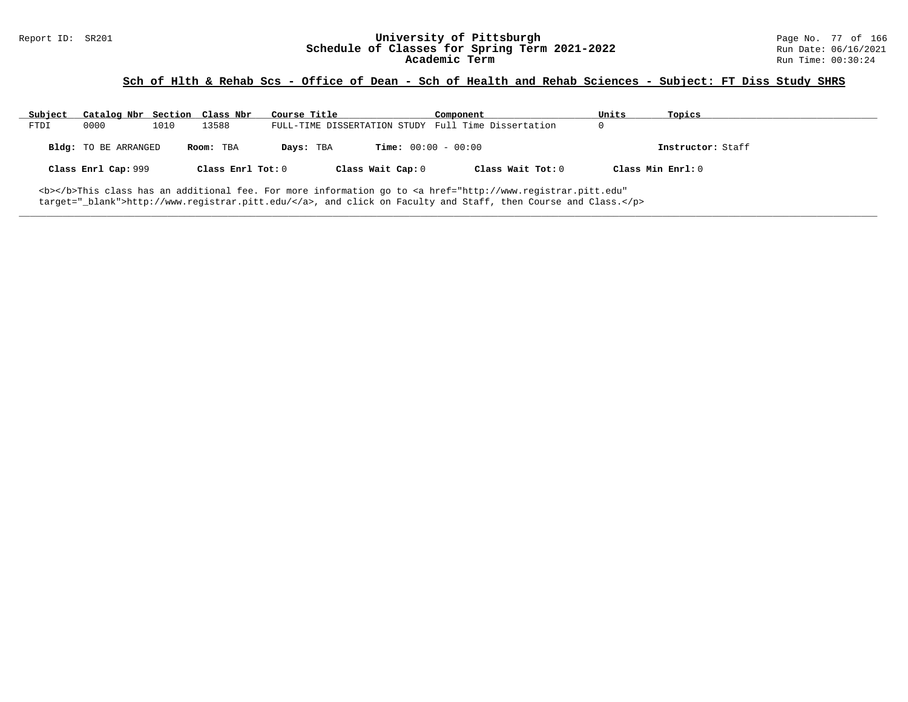# Report ID: SR201 **University of Pittsburgh University of Pittsburgh** Page No. 77 of 166<br>**Schedule of Classes for Spring Term 2021-2022** Run Date: 06/16/2021 Schedule of Classes for Spring Term 2021-2022<br>Academic Term

### **Sch of Hlth & Rehab Scs - Office of Dean - Sch of Health and Rehab Sciences - Subject: FT Diss Study SHRS**

| Subject | Catalog Nbr Section Class Nbr                                                                                                |      |                   | Course Title |                              | Component                                           | Units | Topics            |
|---------|------------------------------------------------------------------------------------------------------------------------------|------|-------------------|--------------|------------------------------|-----------------------------------------------------|-------|-------------------|
| FTDI    | 0000                                                                                                                         | 1010 | 13588             |              |                              | FULL-TIME DISSERTATION STUDY Full Time Dissertation |       |                   |
|         | <b>Bldg:</b> TO BE ARRANGED                                                                                                  |      | Room: TBA         | Days: TBA    | <b>Time:</b> $00:00 - 00:00$ |                                                     |       | Instructor: Staff |
|         | Class Enrl Cap: 999                                                                                                          |      | Class Enrl Tot: 0 |              | Class Wait Cap: 0            | Class Wait Tot: 0                                   |       | Class Min Enrl: 0 |
|         | <b></b> This class has an additional fee. For more information go to <a <="" href="http://www.registrar.pitt.edu" td=""></a> |      |                   |              |                              |                                                     |       |                   |

**\_\_\_\_\_\_\_\_\_\_\_\_\_\_\_\_\_\_\_\_\_\_\_\_\_\_\_\_\_\_\_\_\_\_\_\_\_\_\_\_\_\_\_\_\_\_\_\_\_\_\_\_\_\_\_\_\_\_\_\_\_\_\_\_\_\_\_\_\_\_\_\_\_\_\_\_\_\_\_\_\_\_\_\_\_\_\_\_\_\_\_\_\_\_\_\_\_\_\_\_\_\_\_\_\_\_\_\_\_\_\_\_\_\_\_\_\_\_\_\_\_\_\_\_\_\_\_\_\_\_\_\_\_\_\_\_\_\_\_\_\_\_\_\_\_\_\_\_\_\_\_\_\_\_\_\_**

target="\_blank">http://www.registrar.pitt.edu/</a>, and click on Faculty and Staff, then Course and Class.</p>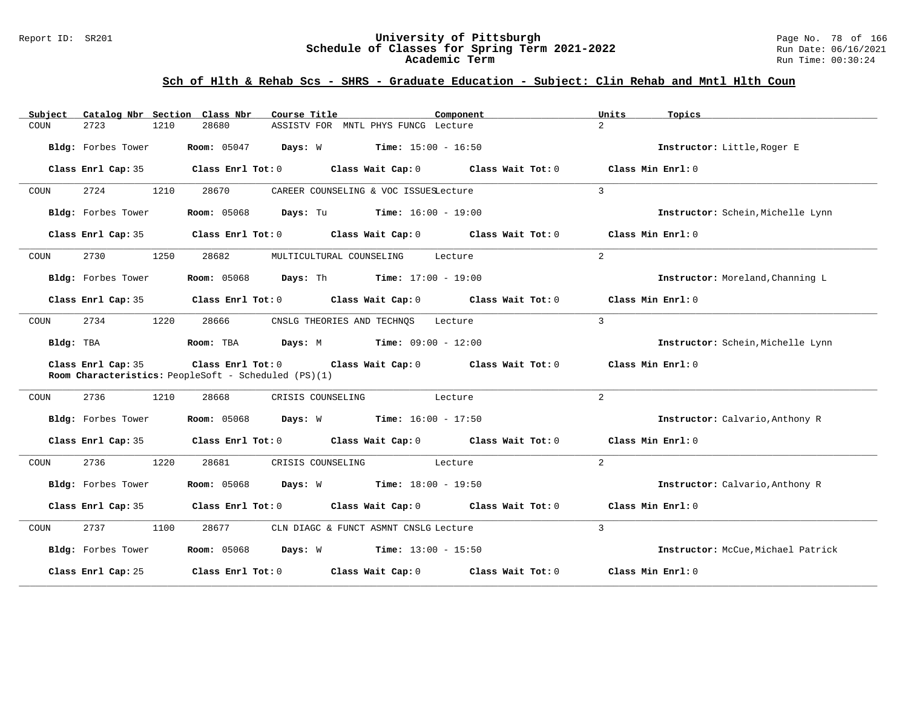#### Report ID: SR201 **University of Pittsburgh** Page No. 78 of 166 **Schedule of Classes for Spring Term 2021-2022** Run Date: 06/16/2021 **Academic Term** Run Time: 00:30:24

| Catalog Nbr Section Class Nbr<br>Subject                                   | Course Title                                                                                       | Component<br>Units | Topics                             |
|----------------------------------------------------------------------------|----------------------------------------------------------------------------------------------------|--------------------|------------------------------------|
| 2723<br>COUN<br>1210                                                       | 28680<br>ASSISTV FOR MNTL PHYS FUNCG Lecture                                                       | $\overline{2}$     |                                    |
| Bldg: Forbes Tower                                                         | Room: 05047 Days: W Time: 15:00 - 16:50                                                            |                    | Instructor: Little, Roger E        |
| Class Enrl Cap: 35                                                         | Class Enrl Tot: $0$ Class Wait Cap: $0$ Class Wait Tot: $0$                                        |                    | Class Min Enrl: 0                  |
| 2724<br>1210<br>COUN                                                       | 28670<br>CAREER COUNSELING & VOC ISSUESLecture                                                     | $\mathcal{E}$      |                                    |
| Bldg: Forbes Tower                                                         | <b>Room:</b> 05068<br><b>Days:</b> Tu <b>Time:</b> $16:00 - 19:00$                                 |                    | Instructor: Schein, Michelle Lynn  |
| Class Enrl Cap: 35                                                         | Class Enrl Tot: $0$ Class Wait Cap: $0$ Class Wait Tot: $0$ Class Min Enrl: $0$                    |                    |                                    |
| 2730<br>1250<br>COUN                                                       | 28682<br>MULTICULTURAL COUNSELING                                                                  | 2<br>Lecture       |                                    |
| Bldg: Forbes Tower                                                         | <b>Room:</b> 05068 <b>Days:</b> Th <b>Time:</b> 17:00 - 19:00                                      |                    | Instructor: Moreland, Channing L   |
| Class Enrl Cap: 35                                                         | Class Enrl Tot: 0 $\qquad$ Class Wait Cap: 0 $\qquad$ Class Wait Tot: 0 $\qquad$ Class Min Enrl: 0 |                    |                                    |
| 2734<br>1220<br>COUN                                                       | 28666<br>CNSLG THEORIES AND TECHNQS Lecture                                                        | $\mathcal{L}$      |                                    |
| Bldg: TBA                                                                  |                                                                                                    |                    | Instructor: Schein, Michelle Lynn  |
| Class Enrl Cap: 35<br>Room Characteristics: PeopleSoft - Scheduled (PS)(1) | Class Enrl Tot: 0 Class Wait Cap: 0 Class Wait Tot: 0                                              |                    | Class Min Enrl: 0                  |
| 2736<br>1210<br>COUN                                                       | 28668<br>CRISIS COUNSELING<br>Lecture                                                              | 2                  |                                    |
| Bldg: Forbes Tower                                                         | <b>Room:</b> 05068 <b>Days:</b> W <b>Time:</b> 16:00 - 17:50                                       |                    | Instructor: Calvario, Anthony R    |
| Class Enrl Cap: 35                                                         | Class Enrl Tot: 0 $\qquad$ Class Wait Cap: 0 $\qquad$ Class Wait Tot: 0 $\qquad$ Class Min Enrl: 0 |                    |                                    |
| 2736<br>1220<br>COUN                                                       | 28681<br>CRISIS COUNSELING<br>Lecture                                                              | $\overline{2}$     |                                    |
| Bldg: Forbes Tower                                                         | <b>Days:</b> W <b>Time:</b> $18:00 - 19:50$<br><b>Room:</b> 05068                                  |                    | Instructor: Calvario, Anthony R    |
|                                                                            | Class Enrl Cap: 35 Class Enrl Tot: 0 Class Wait Cap: 0 Class Wait Tot: 0 Class Min Enrl: 0         |                    |                                    |
| 2737<br>1100<br>COUN                                                       | 28677<br>CLN DIAGC & FUNCT ASMNT CNSLG Lecture                                                     | $\mathcal{L}$      |                                    |
| Bldg: Forbes Tower                                                         | <b>Room:</b> 05068 <b>Days:</b> W <b>Time:</b> $13:00 - 15:50$                                     |                    | Instructor: McCue, Michael Patrick |
| Class Enrl Cap: 25                                                         | Class Enrl Tot: $0$ Class Wait Cap: $0$ Class Wait Tot: $0$                                        |                    | Class Min Enrl: 0                  |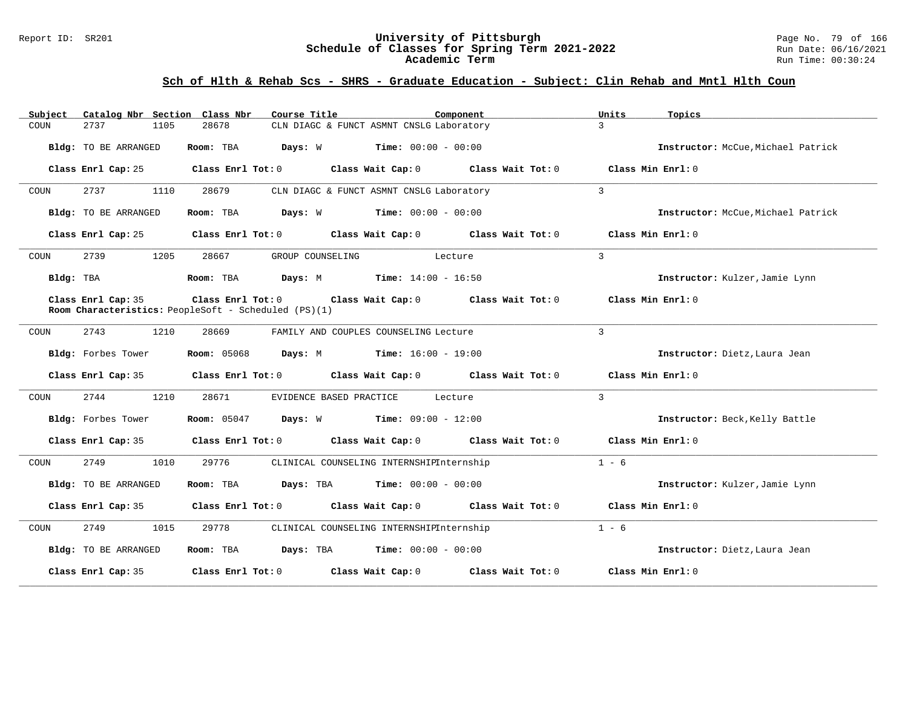#### Report ID: SR201 **University of Pittsburgh** Page No. 79 of 166 **Schedule of Classes for Spring Term 2021-2022** Run Date: 06/16/2021 **Academic Term** Run Time: 00:30:24

| Catalog Nbr Section Class Nbr<br>Subject | Course Title<br>Component                                                                                     | Units<br>Topics                    |
|------------------------------------------|---------------------------------------------------------------------------------------------------------------|------------------------------------|
| 2737<br>1105<br>COUN                     | 28678<br>CLN DIAGC & FUNCT ASMNT CNSLG Laboratory                                                             | $\mathcal{L}$                      |
| Bldg: TO BE ARRANGED                     | <b>Time:</b> $00:00 - 00:00$<br>Room: TBA<br>Days: W                                                          | Instructor: McCue, Michael Patrick |
| Class Enrl Cap: 25                       | $Class$ $Enr1$ $Tot: 0$<br>Class Wait Cap: 0 Class Wait Tot: 0                                                | Class Min Enrl: 0                  |
| 2737<br>1110<br>COUN                     | 28679<br>CLN DIAGC & FUNCT ASMNT CNSLG Laboratory                                                             | $\mathcal{E}$                      |
| Bldg: TO BE ARRANGED                     | <b>Days:</b> $W$ <b>Time:</b> $00:00 - 00:00$<br>Room: TBA                                                    | Instructor: McCue, Michael Patrick |
| Class Enrl Cap: 25                       | Class Enrl Tot: $0$ Class Wait Cap: $0$ Class Wait Tot: $0$                                                   | Class Min Enrl: 0                  |
| 2739<br>1205<br>COUN                     | 28667<br>GROUP COUNSELING<br>Lecture                                                                          | $\mathcal{E}$                      |
| Bldg: TBA                                | Days: M Time: 14:00 - 16:50<br>Room: TBA                                                                      | Instructor: Kulzer, Jamie Lynn     |
| Class Enrl Cap: 35                       | Class Enrl Tot: 0 Class Wait Cap: 0 Class Wait Tot: 0<br>Room Characteristics: PeopleSoft - Scheduled (PS)(1) | Class Min Enrl: 0                  |
| 2743<br>1210<br>COUN                     | 28669<br>FAMILY AND COUPLES COUNSELING Lecture                                                                | $\mathcal{L}$                      |
| Bldg: Forbes Tower                       | <b>Room: 05068</b><br><b>Days:</b> M <b>Time:</b> $16:00 - 19:00$                                             | Instructor: Dietz, Laura Jean      |
| Class Enrl Cap: 35                       | Class Enrl Tot: 0 Class Wait Cap: 0 Class Wait Tot: 0                                                         | Class Min Enrl: 0                  |
| 2744<br>1210<br>COUN                     | 28671<br>EVIDENCE BASED PRACTICE<br>Lecture                                                                   | $\mathcal{L}$                      |
| Bldg: Forbes Tower                       | <b>Room:</b> 05047 <b>Days:</b> W <b>Time:</b> 09:00 - 12:00                                                  | Instructor: Beck, Kelly Battle     |
| Class Enrl Cap: 35                       | Class Enrl Tot: $0$ Class Wait Cap: $0$ Class Wait Tot: $0$                                                   | Class Min Enrl: 0                  |
| 2749<br>1010<br>COUN                     | 29776<br>CLINICAL COUNSELING INTERNSHIPInternship                                                             | $1 - 6$                            |
| Bldg: TO BE ARRANGED                     | $Days: TBA$ Time: $00:00 - 00:00$<br>Room: TBA                                                                | Instructor: Kulzer, Jamie Lynn     |
| Class Enrl Cap: 35                       | Class Enrl Tot: $0$ Class Wait Cap: $0$ Class Wait Tot: $0$                                                   | Class Min Enrl: 0                  |
| 2749<br>1015<br>COUN                     | 29778<br>CLINICAL COUNSELING INTERNSHIPInternship                                                             | $1 - 6$                            |
| Bldg: TO BE ARRANGED                     | Room: TBA Days: TBA<br><b>Time:</b> $00:00 - 00:00$                                                           | Instructor: Dietz, Laura Jean      |
| Class Enrl Cap: 35                       | Class Enrl Tot: $0$ Class Wait Cap: $0$ Class Wait Tot: $0$                                                   | Class Min Enrl: 0                  |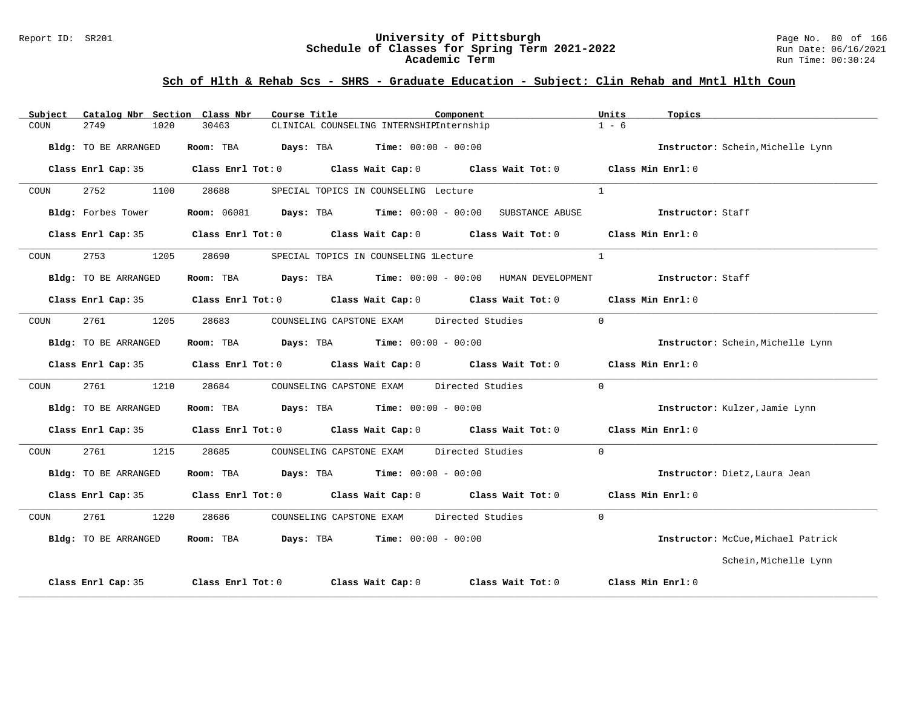#### Report ID: SR201 **University of Pittsburgh** Page No. 80 of 166 **Schedule of Classes for Spring Term 2021-2022** Run Date: 06/16/2021 **Academic Term** Run Time: 00:30:24

| Subject |                      |      | Catalog Nbr Section Class Nbr | Course Title |                                                           | Component |                                                                                                     | Units          | Topics                             |
|---------|----------------------|------|-------------------------------|--------------|-----------------------------------------------------------|-----------|-----------------------------------------------------------------------------------------------------|----------------|------------------------------------|
| COUN    | 2749                 | 1020 | 30463                         |              | CLINICAL COUNSELING INTERNSHIPInternship                  |           |                                                                                                     | $1 - 6$        |                                    |
|         | Bldg: TO BE ARRANGED |      |                               |              | Room: TBA $Days: TBA$ Time: $00:00 - 00:00$               |           |                                                                                                     |                | Instructor: Schein, Michelle Lynn  |
|         |                      |      |                               |              |                                                           |           | Class Enrl Cap: 35 Class Enrl Tot: 0 Class Wait Cap: 0 Class Wait Tot: 0 Class Min Enrl: 0          |                |                                    |
| COUN    | 2752                 | 1100 | 28688                         |              | SPECIAL TOPICS IN COUNSELING Lecture                      |           |                                                                                                     | $\overline{1}$ |                                    |
|         | Bldg: Forbes Tower   |      |                               |              |                                                           |           | Room: 06081 Days: TBA Time: 00:00 - 00:00 SUBSTANCE ABUSE                                           |                | Instructor: Staff                  |
|         |                      |      |                               |              |                                                           |           | Class Enrl Cap: 35 Class Enrl Tot: 0 Class Wait Cap: 0 Class Wait Tot: 0 Class Min Enrl: 0          |                |                                    |
| COUN    | 2753                 | 1205 | 28690                         |              | SPECIAL TOPICS IN COUNSELING lLecture                     |           |                                                                                                     | $\mathbf{1}$   |                                    |
|         | Bldg: TO BE ARRANGED |      |                               |              |                                                           |           | Room: TBA Days: TBA Time: $00:00 - 00:00$ HUMAN DEVELOPMENT Instructor: Staff                       |                |                                    |
|         |                      |      |                               |              |                                                           |           | Class Enrl Cap: 35 Class Enrl Tot: 0 Class Wait Cap: 0 Class Wait Tot: 0 Class Min Enrl: 0          |                |                                    |
| COUN    | 2761                 | 1205 | 28683                         |              | COUNSELING CAPSTONE EXAM Directed Studies                 |           |                                                                                                     | $\Omega$       |                                    |
|         | Bldg: TO BE ARRANGED |      |                               |              | Room: TBA $Days:$ TBA $Time: 00:00 - 00:00$               |           |                                                                                                     |                | Instructor: Schein, Michelle Lynn  |
|         |                      |      |                               |              |                                                           |           | Class Enrl Cap: 35 $\qquad$ Class Enrl Tot: 0 $\qquad$ Class Wait Cap: 0 $\qquad$ Class Wait Tot: 0 |                | Class Min Enrl: 0                  |
| COUN    | 2761                 | 1210 | 28684                         |              | COUNSELING CAPSTONE EXAM Directed Studies                 |           |                                                                                                     | $\Omega$       |                                    |
|         | Bldg: TO BE ARRANGED |      |                               |              | Room: TBA $Days:$ TBA $Time: 00:00 - 00:00$               |           |                                                                                                     |                | Instructor: Kulzer, Jamie Lynn     |
|         |                      |      |                               |              |                                                           |           | Class Enrl Cap: 35 Class Enrl Tot: 0 Class Wait Cap: 0 Class Wait Tot: 0                            |                | Class Min Enrl: 0                  |
| COUN    | 2761                 | 1215 | 28685                         |              | COUNSELING CAPSTONE EXAM Directed Studies                 |           |                                                                                                     | $\Omega$       |                                    |
|         | Bldg: TO BE ARRANGED |      |                               |              | Room: TBA $Days: TBA$ Time: $00:00 - 00:00$               |           |                                                                                                     |                | Instructor: Dietz, Laura Jean      |
|         |                      |      |                               |              |                                                           |           | Class Enrl Cap: 35 $\qquad$ Class Enrl Tot: 0 $\qquad$ Class Wait Cap: 0 $\qquad$ Class Wait Tot: 0 |                | $Class Min Ernst: 0$               |
| COUN    | 2761                 | 1220 | 28686                         |              | COUNSELING CAPSTONE EXAM Directed Studies                 |           |                                                                                                     | $\Omega$       |                                    |
|         | Bldg: TO BE ARRANGED |      |                               |              | <b>Room:</b> TBA $Days: TBA$ <b>Time:</b> $00:00 - 00:00$ |           |                                                                                                     |                | Instructor: McCue, Michael Patrick |
|         |                      |      |                               |              |                                                           |           |                                                                                                     |                | Schein, Michelle Lynn              |
|         | Class Enrl Cap: 35   |      |                               |              |                                                           |           | Class Enrl Tot: $0$ Class Wait Cap: $0$ Class Wait Tot: $0$                                         |                | Class Min Enrl: 0                  |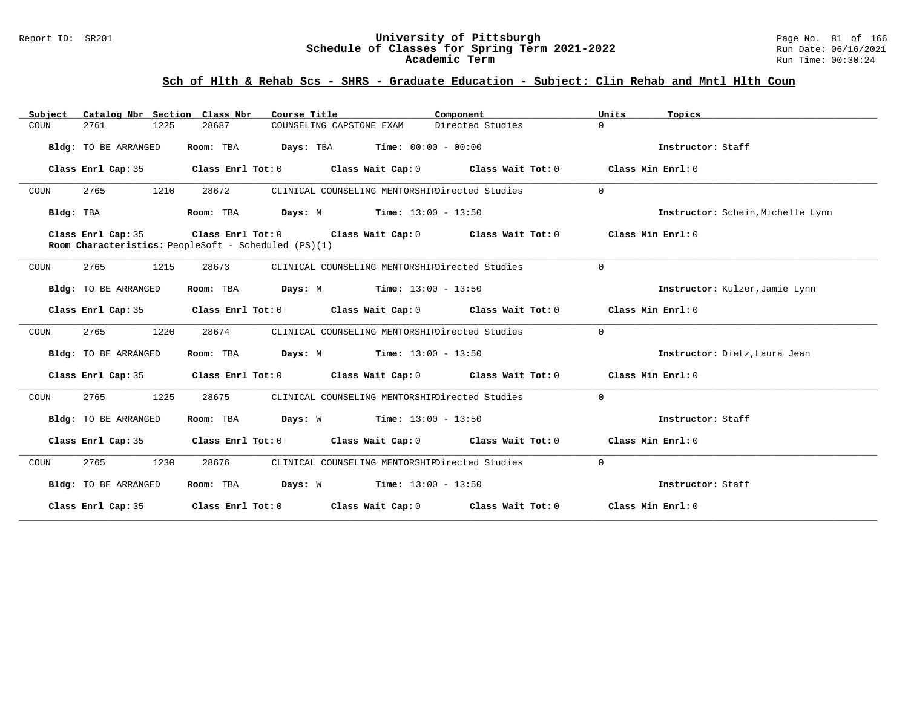#### Report ID: SR201 **University of Pittsburgh** Page No. 81 of 166 **Schedule of Classes for Spring Term 2021-2022** Run Date: 06/16/2021 **Academic Term** Run Time: 00:30:24

| Catalog Nbr Section Class Nbr<br>Subject | Course Title                                                                                                                            | Component        | Units<br>Topics                   |
|------------------------------------------|-----------------------------------------------------------------------------------------------------------------------------------------|------------------|-----------------------------------|
| COUN<br>2761<br>1225                     | 28687<br>COUNSELING CAPSTONE EXAM                                                                                                       | Directed Studies | $\Omega$                          |
| Bldg: TO BE ARRANGED                     | Room: TBA $Days:$ TBA $Time: 00:00 - 00:00$                                                                                             |                  | Instructor: Staff                 |
| Class Enrl Cap: 35                       | Class Enrl Tot: $0$ Class Wait Cap: $0$ Class Wait Tot: $0$ Class Min Enrl: $0$                                                         |                  |                                   |
| 2765<br>1210<br>COUN                     | 28672<br>CLINICAL COUNSELING MENTORSHIPDirected Studies                                                                                 |                  | $\Omega$                          |
| Bldg: TBA                                | <b>Room:</b> TBA <b>Days:</b> M <b>Time:</b> 13:00 - 13:50                                                                              |                  | Instructor: Schein, Michelle Lynn |
| Class Enrl Cap: 35                       | Class Enrl Tot: $0$ Class Wait Cap: $0$ Class Wait Tot: $0$ Class Min Enrl: $0$<br>Room Characteristics: PeopleSoft - Scheduled (PS)(1) |                  |                                   |
| 2765<br>1215<br>COUN                     | 28673<br>CLINICAL COUNSELING MENTORSHIPDirected Studies                                                                                 |                  | $\Omega$                          |
| Bldg: TO BE ARRANGED                     | <b>Room:</b> TBA <b>Days:</b> M <b>Time:</b> 13:00 - 13:50                                                                              |                  | Instructor: Kulzer, Jamie Lynn    |
|                                          | Class Enrl Cap: 35 Class Enrl Tot: 0 Class Wait Cap: 0 Class Wait Tot: 0 Class Min Enrl: 0                                              |                  |                                   |
| 2765<br>1220<br>COUN                     | 28674<br>CLINICAL COUNSELING MENTORSHIPDirected Studies                                                                                 |                  | $\Omega$                          |
| Bldg: TO BE ARRANGED                     | Room: TBA $Days: M$ Time: $13:00 - 13:50$                                                                                               |                  | Instructor: Dietz, Laura Jean     |
|                                          | Class Enrl Cap: 35 Class Enrl Tot: 0 Class Wait Cap: 0 Class Wait Tot: 0 Class Min Enrl: 0                                              |                  |                                   |
| 2765<br>1225<br>COUN                     | 28675<br>CLINICAL COUNSELING MENTORSHIPDirected Studies                                                                                 |                  | $\Omega$                          |
| Bldg: TO BE ARRANGED                     | Room: TBA $Days: W$ Time: $13:00 - 13:50$                                                                                               |                  | Instructor: Staff                 |
|                                          | Class Enrl Cap: 35 Class Enrl Tot: 0 Class Wait Cap: 0 Class Wait Tot: 0 Class Min Enrl: 0                                              |                  |                                   |
| 2765<br>1230<br>COUN                     | 28676<br>CLINICAL COUNSELING MENTORSHIPDirected Studies                                                                                 |                  | $\Omega$                          |
| Bldg: TO BE ARRANGED                     | Room: TBA $\rule{1em}{0.15mm}$ Days: W Time: 13:00 - 13:50                                                                              |                  | Instructor: Staff                 |
|                                          | Class Enrl Cap: 35 Class Enrl Tot: 0 Class Wait Cap: 0 Class Wait Tot: 0 Class Min Enrl: 0                                              |                  |                                   |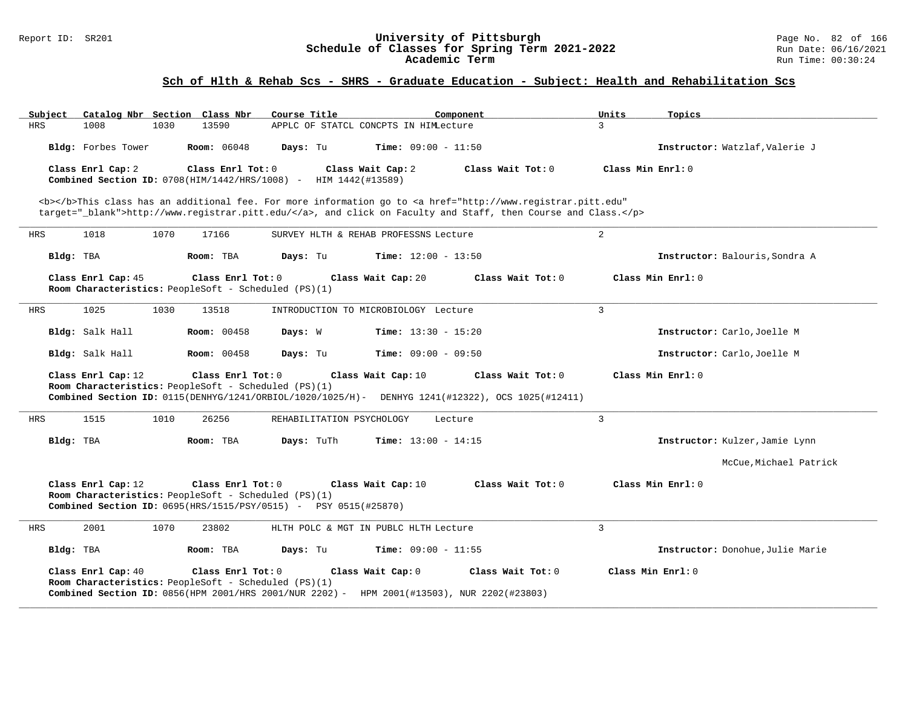#### Report ID: SR201 **University of Pittsburgh** Page No. 82 of 166 **Schedule of Classes for Spring Term 2021-2022** Run Date: 06/16/2021 **Academic Term** Run Time: 00:30:24

| Subject            | Catalog Nbr Section Class Nbr                                                                                                                                                                                       | Course Title<br>Component                                                                                                                                                                                                          | Units<br>Topics                  |  |  |  |  |
|--------------------|---------------------------------------------------------------------------------------------------------------------------------------------------------------------------------------------------------------------|------------------------------------------------------------------------------------------------------------------------------------------------------------------------------------------------------------------------------------|----------------------------------|--|--|--|--|
| <b>HRS</b><br>1008 | 1030<br>13590                                                                                                                                                                                                       | APPLC OF STATCL CONCPTS IN HIMLecture                                                                                                                                                                                              | $\mathbf{R}$                     |  |  |  |  |
| Bldg: Forbes Tower | <b>Room:</b> 06048                                                                                                                                                                                                  | Time: $09:00 - 11:50$<br>Days: Tu                                                                                                                                                                                                  | Instructor: Watzlaf, Valerie J   |  |  |  |  |
| Class Enrl Cap: 2  | Class Enrl Tot: 0<br>Combined Section ID: 0708(HIM/1442/HRS/1008) -                                                                                                                                                 | Class Wait Cap: 2<br>Class Wait Tot: $0$<br>HIM 1442(#13589)                                                                                                                                                                       | Class Min Enrl: 0                |  |  |  |  |
|                    |                                                                                                                                                                                                                     | <b></b> This class has an additional fee. For more information go to <a <br="" href="http://www.registrar.pitt.edu">target="_blank"&gt;http://www.registrar.pitt.edu/</a> , and click on Faculty and Staff, then Course and Class. |                                  |  |  |  |  |
| <b>HRS</b><br>1018 | 1070<br>17166                                                                                                                                                                                                       | SURVEY HLTH & REHAB PROFESSNS Lecture                                                                                                                                                                                              | $\overline{2}$                   |  |  |  |  |
| Bldg: TBA          | Room: TBA                                                                                                                                                                                                           | Days: Tu<br><b>Time:</b> $12:00 - 13:50$                                                                                                                                                                                           | Instructor: Balouris, Sondra A   |  |  |  |  |
| Class Enrl Cap: 45 | Class Enrl Tot: 0<br>Room Characteristics: PeopleSoft - Scheduled (PS)(1)                                                                                                                                           | Class Wait Cap: 20<br>Class Wait Tot: 0                                                                                                                                                                                            | Class Min Enrl: 0                |  |  |  |  |
| 1025<br>HRS        | 1030<br>13518                                                                                                                                                                                                       | INTRODUCTION TO MICROBIOLOGY Lecture                                                                                                                                                                                               | $\overline{3}$                   |  |  |  |  |
| Bldg: Salk Hall    | <b>Room: 00458</b>                                                                                                                                                                                                  | Days: W<br><b>Time:</b> $13:30 - 15:20$                                                                                                                                                                                            | Instructor: Carlo, Joelle M      |  |  |  |  |
| Bldg: Salk Hall    | <b>Room: 00458</b>                                                                                                                                                                                                  | Days: Tu<br><b>Time:</b> $09:00 - 09:50$                                                                                                                                                                                           | Instructor: Carlo, Joelle M      |  |  |  |  |
| Class Enrl Cap: 12 | Class Enrl Tot: 0<br>Room Characteristics: PeopleSoft - Scheduled (PS)(1)                                                                                                                                           | Class Wait Cap: 10<br>Class Wait Tot: 0<br>Combined Section ID: 0115(DENHYG/1241/ORBIOL/1020/1025/H)- DENHYG 1241(#12322), OCS 1025(#12411)                                                                                        | Class Min Enrl: 0                |  |  |  |  |
| 1515<br><b>HRS</b> | 1010<br>26256                                                                                                                                                                                                       | REHABILITATION PSYCHOLOGY<br>Lecture                                                                                                                                                                                               | $\overline{3}$                   |  |  |  |  |
| Bldg: TBA          | Room: TBA                                                                                                                                                                                                           | Days: TuTh<br><b>Time:</b> $13:00 - 14:15$                                                                                                                                                                                         | Instructor: Kulzer, Jamie Lynn   |  |  |  |  |
|                    |                                                                                                                                                                                                                     |                                                                                                                                                                                                                                    | McCue, Michael Patrick           |  |  |  |  |
| Class Enrl Cap: 12 | Class Min Enrl: 0<br>Class Enrl Tot: 0<br>Class Wait Cap: 10<br>Class Wait Tot: 0<br>Room Characteristics: PeopleSoft - Scheduled (PS)(1)<br><b>Combined Section ID:</b> 0695(HRS/1515/PSY/0515) - PSY 0515(#25870) |                                                                                                                                                                                                                                    |                                  |  |  |  |  |
| 2001<br>HRS        | 1070<br>23802                                                                                                                                                                                                       | HLTH POLC & MGT IN PUBLC HLTH Lecture                                                                                                                                                                                              | 3                                |  |  |  |  |
| Bldg: TBA          | Room: TBA                                                                                                                                                                                                           | Time: $09:00 - 11:55$<br>Days: Tu                                                                                                                                                                                                  | Instructor: Donohue, Julie Marie |  |  |  |  |
| Class Enrl Cap: 40 | Class Enrl Tot: 0<br>Room Characteristics: PeopleSoft - Scheduled (PS)(1)                                                                                                                                           | Class Wait Cap: 0<br>Class Wait Tot: 0<br>Combined Section ID: 0856(HPM 2001/HRS 2001/NUR 2202) - HPM 2001(#13503), NUR 2202(#23803)                                                                                               | Class Min Enrl: 0                |  |  |  |  |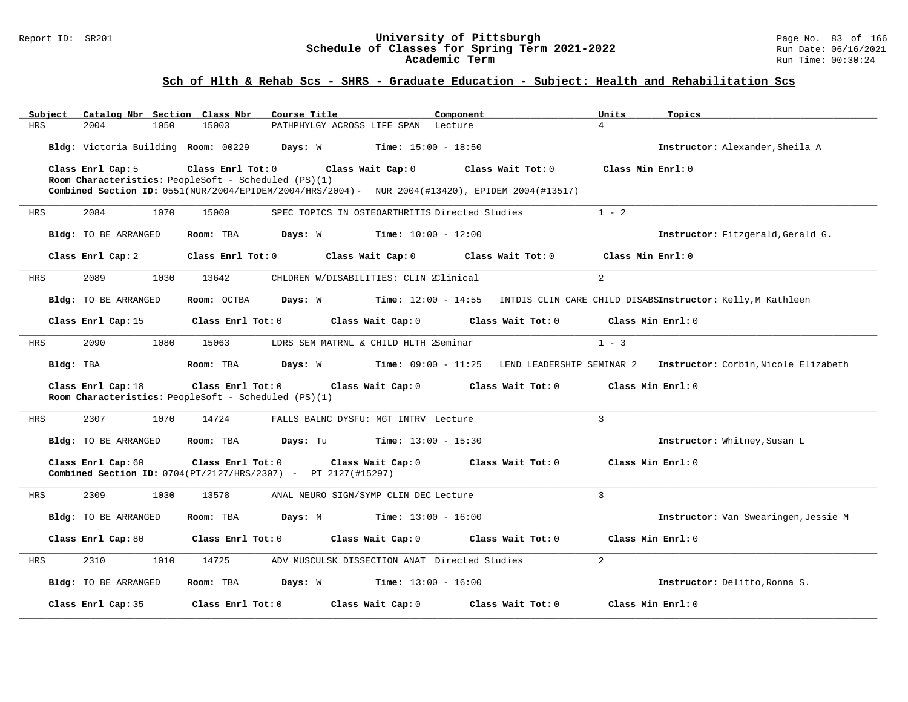#### Report ID: SR201 **University of Pittsburgh** Page No. 83 of 166 **Schedule of Classes for Spring Term 2021-2022** Run Date: 06/16/2021 **Academic Term** Run Time: 00:30:24

| Subject    | Catalog Nbr Section Class Nbr       |                                                      | Course Title                                                                                    | Component                                                                            | Units             | Topics                                                                                     |
|------------|-------------------------------------|------------------------------------------------------|-------------------------------------------------------------------------------------------------|--------------------------------------------------------------------------------------|-------------------|--------------------------------------------------------------------------------------------|
| <b>HRS</b> | 2004<br>1050                        | 15003                                                | PATHPHYLGY ACROSS LIFE SPAN Lecture                                                             |                                                                                      | $\overline{4}$    |                                                                                            |
|            | Bldg: Victoria Building Room: 00229 |                                                      | <b>Days:</b> W <b>Time:</b> $15:00 - 18:50$                                                     |                                                                                      |                   | Instructor: Alexander, Sheila A                                                            |
|            | Class Enrl Cap: 5                   | Class Enrl Tot: 0                                    | Class Wait Cap: 0                                                                               | Class Wait Tot: 0                                                                    | Class Min Enrl: 0 |                                                                                            |
|            |                                     | Room Characteristics: PeopleSoft - Scheduled (PS)(1) |                                                                                                 |                                                                                      |                   |                                                                                            |
|            |                                     |                                                      | Combined Section ID: 0551(NUR/2004/EPIDEM/2004/HRS/2004)- NUR 2004(#13420), EPIDEM 2004(#13517) |                                                                                      |                   |                                                                                            |
| <b>HRS</b> | 2084<br>1070                        | 15000                                                | SPEC TOPICS IN OSTEOARTHRITIS Directed Studies                                                  |                                                                                      | $1 - 2$           |                                                                                            |
|            | Bldg: TO BE ARRANGED                | Room: TBA                                            | Days: W<br>$Time: 10:00 - 12:00$                                                                |                                                                                      |                   | Instructor: Fitzgerald, Gerald G.                                                          |
|            | Class Enrl Cap: 2                   | Class Enrl Tot: 0                                    | Class Wait Cap: 0                                                                               | Class Wait Tot: 0                                                                    | Class Min Enrl: 0 |                                                                                            |
| <b>HRS</b> | 2089<br>1030                        | 13642                                                | CHLDREN W/DISABILITIES: CLIN 2Clinical                                                          |                                                                                      | 2                 |                                                                                            |
|            | Bldg: TO BE ARRANGED                | Room: OCTBA                                          | Days: W                                                                                         | <b>Time:</b> 12:00 - 14:55 INTDIS CLIN CARE CHILD DISABSInstructor: Kelly,M Kathleen |                   |                                                                                            |
|            | Class Enrl Cap: 15                  | $Class$ $Enr1$ $Tot: 0$                              | Class Wait Cap: 0                                                                               | Class Wait Tot: 0                                                                    | Class Min Enrl: 0 |                                                                                            |
| <b>HRS</b> | 2090<br>1080                        | 15063                                                | LDRS SEM MATRNL & CHILD HLTH 2Seminar                                                           |                                                                                      | $1 - 3$           |                                                                                            |
| Bldg: TBA  |                                     | Room: TBA                                            |                                                                                                 |                                                                                      |                   | Days: W Time: 09:00 - 11:25 LEND LEADERSHIP SEMINAR 2 Instructor: Corbin, Nicole Elizabeth |
|            | Class Enrl Cap: 18                  | Room Characteristics: PeopleSoft - Scheduled (PS)(1) | Class Enrl Tot: 0 Class Wait Cap: 0                                                             | Class Wait Tot: 0 Class Min Enrl: 0                                                  |                   |                                                                                            |
| HRS        | 2307<br>1070                        | 14724                                                | FALLS BALNC DYSFU: MGT INTRV Lecture                                                            |                                                                                      | $\mathbf{3}$      |                                                                                            |
|            | Bldg: TO BE ARRANGED                | Room: TBA                                            | <b>Time:</b> $13:00 - 15:30$<br>Days: Tu                                                        |                                                                                      |                   | Instructor: Whitney, Susan L                                                               |
|            | Class Enrl Cap: 60                  | Class Enrl Tot: 0                                    | Class Wait Cap: 0<br>Combined Section ID: 0704(PT/2127/HRS/2307) - PT 2127(#15297)              | Class Wait Tot: 0                                                                    | Class Min Enrl: 0 |                                                                                            |
| HRS        | 2309<br>1030                        | 13578                                                | ANAL NEURO SIGN/SYMP CLIN DEC Lecture                                                           |                                                                                      | $\overline{3}$    |                                                                                            |
|            | Bldg: TO BE ARRANGED                | Room: TBA                                            | <b>Days:</b> M <b>Time:</b> $13:00 - 16:00$                                                     |                                                                                      |                   | Instructor: Van Swearingen, Jessie M                                                       |
|            | Class Enrl Cap: 80                  | Class Enrl Tot: 0                                    | Class Wait Cap: 0                                                                               | Class Wait Tot: 0                                                                    | Class Min Enrl: 0 |                                                                                            |
| HRS        | 2310<br>1010                        | 14725                                                | ADV MUSCULSK DISSECTION ANAT Directed Studies                                                   |                                                                                      | $\overline{2}$    |                                                                                            |
|            | Bldg: TO BE ARRANGED                | Room: TBA                                            | <b>Days:</b> W <b>Time:</b> $13:00 - 16:00$                                                     |                                                                                      |                   | Instructor: Delitto, Ronna S.                                                              |
|            | Class Enrl Cap: 35                  | Class Enrl Tot: 0                                    | Class Wait Cap: 0                                                                               | Class Wait Tot: 0                                                                    | Class Min Enrl: 0 |                                                                                            |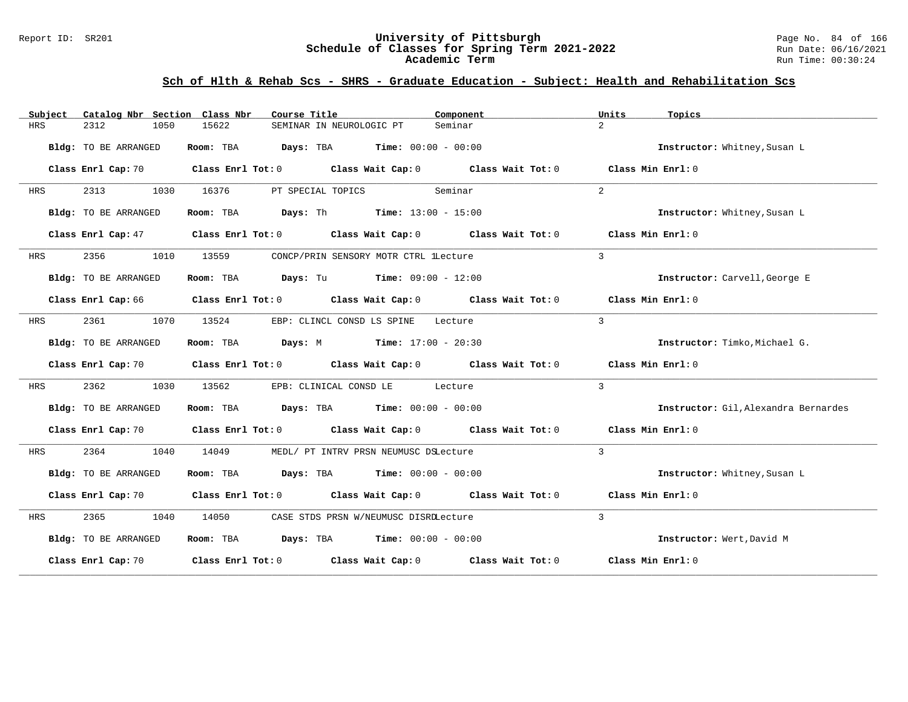#### Report ID: SR201 **University of Pittsburgh** Page No. 84 of 166 **Schedule of Classes for Spring Term 2021-2022** Run Date: 06/16/2021 **Academic Term** Run Time: 00:30:24

| Subject | Catalog Nbr Section Class Nbr | Course Title                                                                                        | Component | Units<br>Topics                      |
|---------|-------------------------------|-----------------------------------------------------------------------------------------------------|-----------|--------------------------------------|
| HRS     | 1050<br>2312                  | 15622<br>SEMINAR IN NEUROLOGIC PT                                                                   | Seminar   | $\overline{2}$                       |
|         | Bldg: TO BE ARRANGED          | Room: TBA $Days:$ TBA $Time: 00:00 - 00:00$                                                         |           | Instructor: Whitney, Susan L         |
|         |                               | Class Enrl Cap: 70 Class Enrl Tot: 0 Class Wait Cap: 0 Class Wait Tot: 0 Class Min Enrl: 0          |           |                                      |
| HRS     | 2313<br>1030                  | 16376<br>PT SPECIAL TOPICS                                                                          | Seminar   | 2                                    |
|         | Bldg: TO BE ARRANGED          | Room: TBA $\rule{1em}{0.15em}$ Days: Th Time: 13:00 - 15:00                                         |           | Instructor: Whitney, Susan L         |
|         |                               | Class Enrl Cap: 47 (Class Enrl Tot: 0 (Class Wait Cap: 0 (Class Wait Tot: 0 (Class Min Enrl: 0)     |           |                                      |
| HRS     | 2356                          | 1010 13559<br>CONCP/PRIN SENSORY MOTR CTRL lLecture                                                 |           | $\mathcal{E}$                        |
|         | Bldg: TO BE ARRANGED          | Room: TBA $\rule{1em}{0.15mm}$ Days: Tu $\rule{1.15mm}]{0.15mm}$ Time: $0.9:00 - 12:00$             |           | Instructor: Carvell, George E        |
|         |                               | Class Enrl Cap: 66 Class Enrl Tot: 0 Class Wait Cap: 0 Class Wait Tot: 0 Class Min Enrl: 0          |           |                                      |
| HRS     | 2361<br>1070                  | 13524<br>EBP: CLINCL CONSD LS SPINE                                                                 | Lecture   | $\mathbf{3}$                         |
|         | Bldg: TO BE ARRANGED          | <b>Room:</b> TBA <b>Days:</b> M <b>Time:</b> 17:00 - 20:30                                          |           | Instructor: Timko, Michael G.        |
|         |                               | Class Enrl Cap: 70 $\qquad$ Class Enrl Tot: 0 $\qquad$ Class Wait Cap: 0 $\qquad$ Class Wait Tot: 0 |           | Class Min Enrl: 0                    |
| HRS     | 2362<br>1030                  | 13562<br>EPB: CLINICAL CONSD LE Lecture                                                             |           | 3                                    |
|         | Bldg: TO BE ARRANGED          | Room: TBA $Days:$ TBA $Time: 00:00 - 00:00$                                                         |           | Instructor: Gil, Alexandra Bernardes |
|         |                               | Class Enrl Cap: 70 Class Enrl Tot: 0 Class Wait Cap: 0 Class Wait Tot: 0 Class Min Enrl: 0          |           |                                      |
| HRS     | 2364<br>1040                  | 14049<br>MEDL/ PT INTRV PRSN NEUMUSC DSLecture                                                      |           | $\mathcal{L}$                        |
|         | Bldg: TO BE ARRANGED          | Room: TBA $Days: TBA$ Time: $00:00 - 00:00$                                                         |           | Instructor: Whitney, Susan L         |
|         |                               | Class Enrl Cap: 70 Class Enrl Tot: 0 Class Wait Cap: 0 Class Wait Tot: 0 Class Min Enrl: 0          |           |                                      |
| HRS     | 2365 1040                     | 14050<br>CASE STDS PRSN W/NEUMUSC DISRDLecture                                                      |           | $\mathbf{3}$                         |
|         | Bldg: TO BE ARRANGED          | Room: TBA $Days:$ TBA $Time: 00:00 - 00:00$                                                         |           | Instructor: Wert, David M            |
|         |                               | Class Enrl Cap: 70 $\qquad$ Class Enrl Tot: 0 $\qquad$ Class Wait Cap: 0 $\qquad$ Class Wait Tot: 0 |           | Class Min Enrl: 0                    |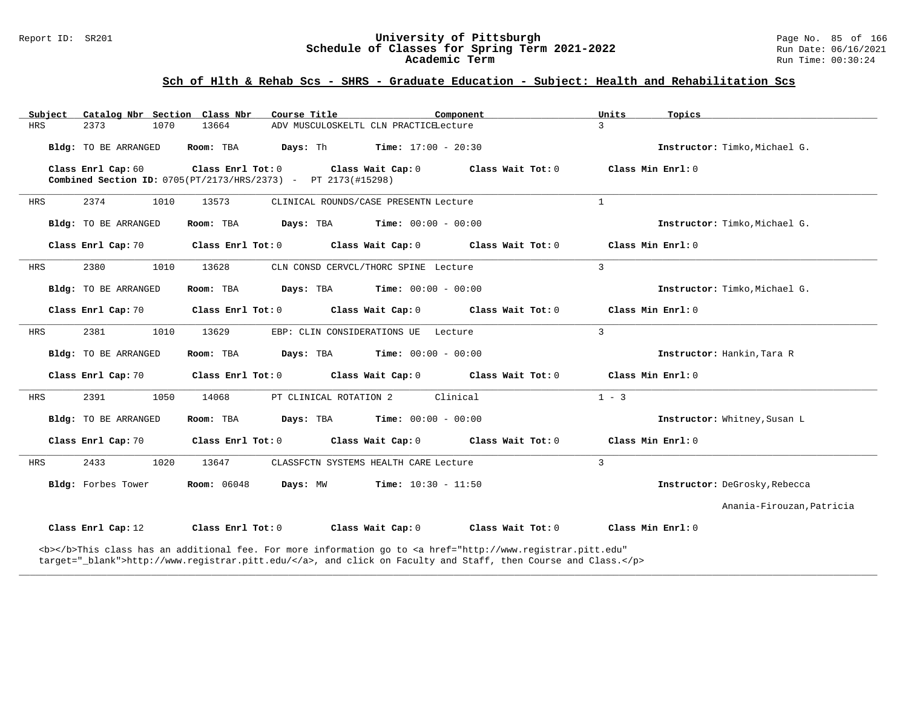#### Report ID: SR201 **University of Pittsburgh** Page No. 85 of 166 **Schedule of Classes for Spring Term 2021-2022** Run Date: 06/16/2021 **Academic Term** Run Time: 00:30:24

# **Sch of Hlth & Rehab Scs - SHRS - Graduate Education - Subject: Health and Rehabilitation Scs**

| Catalog Nbr Section Class Nbr<br>Subject | Course Title                                                                                         | Component                                                                                                                                                                                                                          | Units<br>Topics               |
|------------------------------------------|------------------------------------------------------------------------------------------------------|------------------------------------------------------------------------------------------------------------------------------------------------------------------------------------------------------------------------------------|-------------------------------|
| <b>HRS</b><br>2373<br>1070               | 13664                                                                                                | ADV MUSCULOSKELTL CLN PRACTICELecture                                                                                                                                                                                              | $\mathcal{L}$                 |
| Bldg: TO BE ARRANGED                     | Room: TBA                                                                                            | <b>Days:</b> Th <b>Time:</b> $17:00 - 20:30$                                                                                                                                                                                       | Instructor: Timko, Michael G. |
| Class Enrl Cap: 60                       | Class Enrl Tot: 0 Class Wait Cap: 0<br>Combined Section ID: 0705(PT/2173/HRS/2373) - PT 2173(#15298) | Class Wait Tot: 0                                                                                                                                                                                                                  | Class Min Enrl: 0             |
| HRS<br>2374<br>1010                      | 13573                                                                                                | CLINICAL ROUNDS/CASE PRESENTN Lecture                                                                                                                                                                                              | $\mathbf{1}$                  |
| Bldg: TO BE ARRANGED                     | Room: TBA                                                                                            | <b>Days:</b> TBA <b>Time:</b> $00:00 - 00:00$                                                                                                                                                                                      | Instructor: Timko, Michael G. |
| Class Enrl Cap: 70                       | Class Enrl Tot: 0 Class Wait Cap: 0                                                                  | Class Wait Tot: 0                                                                                                                                                                                                                  | Class Min Enrl: 0             |
| 2380<br>1010<br>HRS                      | 13628                                                                                                | CLN CONSD CERVCL/THORC SPINE Lecture                                                                                                                                                                                               | 3                             |
| Bldg: TO BE ARRANGED                     | Room: TBA<br>Days: TBA                                                                               | <b>Time:</b> $00:00 - 00:00$                                                                                                                                                                                                       | Instructor: Timko, Michael G. |
| Class Enrl Cap: 70                       | Class Enrl Tot: 0                                                                                    | Class Wait Cap: 0<br>Class Wait Tot: 0                                                                                                                                                                                             | Class Min $Enrl: 0$           |
| <b>HRS</b><br>2381<br>1010               | 13629                                                                                                | EBP: CLIN CONSIDERATIONS UE Lecture                                                                                                                                                                                                | 3                             |
| Bldg: TO BE ARRANGED                     | Room: TBA<br>Days: TBA                                                                               | Time: $00:00 - 00:00$                                                                                                                                                                                                              | Instructor: Hankin, Tara R    |
| Class Enrl Cap: 70                       | Class Enrl Tot: 0                                                                                    | Class Wait Cap: 0<br>Class Wait Tot: 0                                                                                                                                                                                             | Class Min Enrl: 0             |
| 2391<br>1050<br>HRS                      | 14068<br>PT CLINICAL ROTATION 2                                                                      | Clinical                                                                                                                                                                                                                           | $1 - 3$                       |
| Bldg: TO BE ARRANGED                     | Days: TBA<br>Room: TBA                                                                               | <b>Time:</b> $00:00 - 00:00$                                                                                                                                                                                                       | Instructor: Whitney, Susan L  |
| Class Enrl Cap: 70                       | Class Enrl Tot: 0                                                                                    | Class Wait Cap: 0 Class Wait Tot: 0                                                                                                                                                                                                | Class Min Enrl: 0             |
| 2433<br>HRS<br>1020                      | 13647                                                                                                | CLASSFCTN SYSTEMS HEALTH CARE Lecture                                                                                                                                                                                              | 3                             |
| Bldg: Forbes Tower                       | <b>Room:</b> 06048<br>Days: MW                                                                       | $Time: 10:30 - 11:50$                                                                                                                                                                                                              | Instructor: DeGrosky, Rebecca |
|                                          |                                                                                                      |                                                                                                                                                                                                                                    | Anania-Firouzan, Patricia     |
| Class Enrl Cap: 12                       | Class Enrl Tot: 0                                                                                    | Class Wait Cap: 0<br>Class Wait Tot: 0                                                                                                                                                                                             | Class Min Enrl: 0             |
|                                          |                                                                                                      | <b></b> This class has an additional fee. For more information go to <a <br="" href="http://www.registrar.pitt.edu">target="_blank"&gt;http://www.registrar.pitt.edu/</a> , and click on Faculty and Staff, then Course and Class. |                               |

**\_\_\_\_\_\_\_\_\_\_\_\_\_\_\_\_\_\_\_\_\_\_\_\_\_\_\_\_\_\_\_\_\_\_\_\_\_\_\_\_\_\_\_\_\_\_\_\_\_\_\_\_\_\_\_\_\_\_\_\_\_\_\_\_\_\_\_\_\_\_\_\_\_\_\_\_\_\_\_\_\_\_\_\_\_\_\_\_\_\_\_\_\_\_\_\_\_\_\_\_\_\_\_\_\_\_\_\_\_\_\_\_\_\_\_\_\_\_\_\_\_\_\_\_\_\_\_\_\_\_\_\_\_\_\_\_\_\_\_\_\_\_\_\_\_\_\_\_\_\_\_\_\_\_\_\_**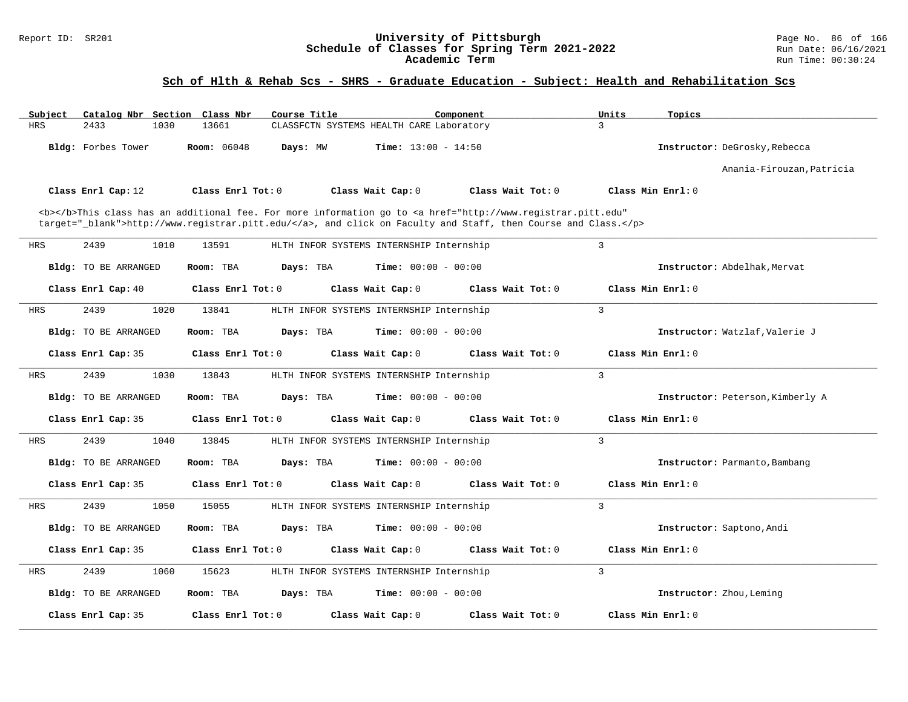#### Report ID: SR201 **University of Pittsburgh** Page No. 86 of 166 **Schedule of Classes for Spring Term 2021-2022** Run Date: 06/16/2021 **Academic Term** Run Time: 00:30:24

| Subject    | Catalog Nbr Section Class Nbr |                         | Course Title                                                                                                                                   | Component           | Units<br>Topics                  |
|------------|-------------------------------|-------------------------|------------------------------------------------------------------------------------------------------------------------------------------------|---------------------|----------------------------------|
| <b>HRS</b> | 2433<br>1030                  | 13661                   | CLASSFCTN SYSTEMS HEALTH CARE Laboratory                                                                                                       |                     | 3                                |
|            | Bldg: Forbes Tower            | <b>Room: 06048</b>      | Days: MW<br><b>Time:</b> $13:00 - 14:50$                                                                                                       |                     | Instructor: DeGrosky, Rebecca    |
|            |                               |                         |                                                                                                                                                |                     | Anania-Firouzan, Patricia        |
|            | Class Enrl Cap: 12            | Class Enrl Tot: 0       | Class Wait Cap: 0                                                                                                                              | Class Wait Tot: 0   | Class Min Enrl: 0                |
|            |                               |                         | <b></b> This class has an additional fee. For more information go to <a <="" href="http://www.registrar.pitt.edu" td=""><td></td><td></td></a> |                     |                                  |
|            |                               |                         | target="_blank">http://www.registrar.pitt.edu/, and click on Faculty and Staff, then Course and Class.                                         |                     |                                  |
| <b>HRS</b> | 2439<br>1010                  | 13591                   | HLTH INFOR SYSTEMS INTERNSHIP Internship                                                                                                       |                     | 3                                |
|            | <b>Bldg:</b> TO BE ARRANGED   | Room: TBA               | Days: TBA<br><b>Time:</b> $00:00 - 00:00$                                                                                                      |                     | Instructor: Abdelhak, Mervat     |
|            | Class Enrl Cap: 40            | Class Enrl Tot: 0       | Class Wait Cap: 0                                                                                                                              | Class Wait Tot: 0   | Class Min Enrl: 0                |
| <b>HRS</b> | 2439<br>1020                  | 13841                   | HLTH INFOR SYSTEMS INTERNSHIP Internship                                                                                                       |                     | $\mathbf{3}$                     |
|            | <b>Bldg:</b> TO BE ARRANGED   | Room: TBA               | <b>Time:</b> $00:00 - 00:00$<br>Days: TBA                                                                                                      |                     | Instructor: Watzlaf, Valerie J   |
|            | Class Enrl Cap: 35            | Class Enrl Tot: 0       | Class Wait Cap: 0                                                                                                                              | Class Wait Tot: 0   | Class Min Enrl: 0                |
| <b>HRS</b> | 2439<br>1030                  | 13843                   | HLTH INFOR SYSTEMS INTERNSHIP Internship                                                                                                       |                     | $\overline{3}$                   |
|            | Bldg: TO BE ARRANGED          | Room: TBA               | <b>Time:</b> $00:00 - 00:00$<br>Days: TBA                                                                                                      |                     | Instructor: Peterson, Kimberly A |
|            | Class Enrl Cap: 35            | Class Enrl Tot: 0       | Class Wait Cap: 0                                                                                                                              | Class Wait Tot: 0   | Class Min Enrl: 0                |
| HRS        | 2439<br>1040                  | 13845                   | HLTH INFOR SYSTEMS INTERNSHIP Internship                                                                                                       |                     | 3                                |
|            | <b>Bldg:</b> TO BE ARRANGED   | Room: TBA               | Days: TBA<br><b>Time:</b> $00:00 - 00:00$                                                                                                      |                     | Instructor: Parmanto, Bambang    |
|            | Class Enrl Cap: 35            | Class Enrl Tot: 0       | Class Wait Cap: 0                                                                                                                              | Class Wait $Tot: 0$ | Class Min $Enrl: 0$              |
| <b>HRS</b> | 2439<br>1050                  | 15055                   | HLTH INFOR SYSTEMS INTERNSHIP Internship                                                                                                       |                     | 3                                |
|            | <b>Bldg:</b> TO BE ARRANGED   | Room: TBA               | <b>Time:</b> $00:00 - 00:00$<br>Days: TBA                                                                                                      |                     | Instructor: Saptono, Andi        |
|            | Class Enrl Cap: 35            | $Class$ $Enr1$ $Tot: 0$ | Class Wait Cap: 0                                                                                                                              | Class Wait $Tot: 0$ | Class Min Enrl: 0                |
| HRS        | 2439<br>1060                  | 15623                   | HLTH INFOR SYSTEMS INTERNSHIP Internship                                                                                                       |                     | $\overline{3}$                   |
|            | Bldg: TO BE ARRANGED          | Room: TBA               | <b>Time:</b> $00:00 - 00:00$<br>Days: TBA                                                                                                      |                     | Instructor: Zhou, Leming         |
|            | Class Enrl Cap: 35            | Class Enrl Tot: 0       | Class Wait Cap: 0                                                                                                                              | Class Wait Tot: 0   | Class Min Enrl: 0                |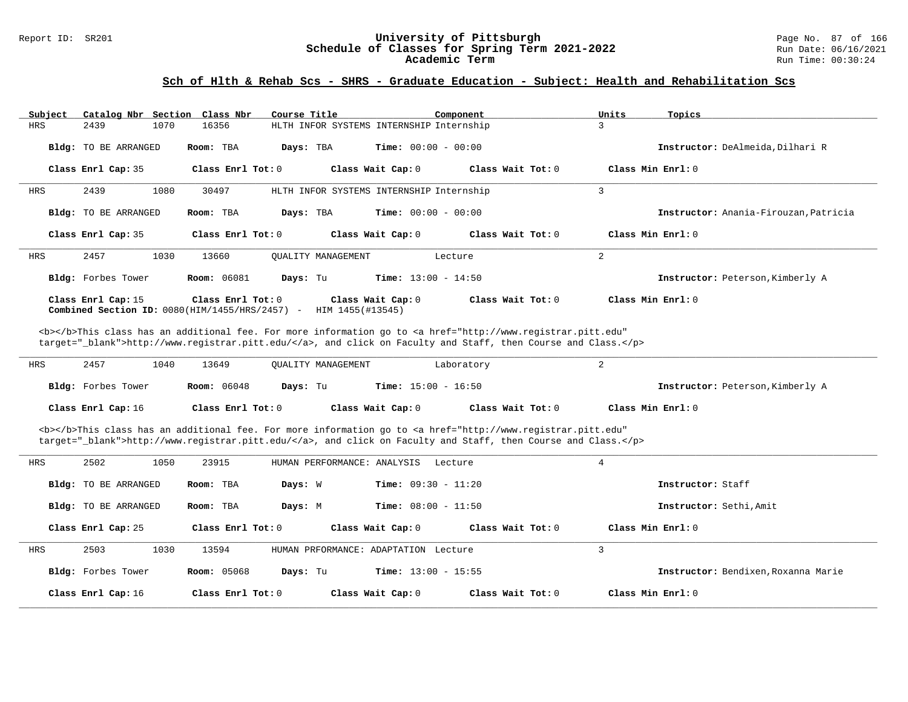# Report ID: SR201 **1988 Chedule of Classes for Spring Term 2021-2022** Page No. 87 of 166<br>**Schedule of Classes for Spring Term 2021-2022** Run Date: 06/16/2021 Schedule of Classes for Spring Term 2021-2022<br>Academic Term

#### **Sch of Hlth & Rehab Scs - SHRS - Graduate Education - Subject: Health and Rehabilitation Scs**

| Subject    | Catalog Nbr Section Class Nbr |                                                                       | Course Title                          | Component                                                                                                                                                                                                                          |                     | Units               | Topics                                |
|------------|-------------------------------|-----------------------------------------------------------------------|---------------------------------------|------------------------------------------------------------------------------------------------------------------------------------------------------------------------------------------------------------------------------------|---------------------|---------------------|---------------------------------------|
| HRS        | 2439<br>1070                  | 16356                                                                 |                                       | HLTH INFOR SYSTEMS INTERNSHIP Internship                                                                                                                                                                                           |                     | 3                   |                                       |
|            | Bldg: TO BE ARRANGED          | Room: TBA                                                             | Days: TBA                             | <b>Time:</b> $00:00 - 00:00$                                                                                                                                                                                                       |                     |                     | Instructor: DeAlmeida, Dilhari R      |
|            | Class Enrl Cap: 35            | Class Enrl Tot: 0                                                     | Class Wait Cap: 0                     |                                                                                                                                                                                                                                    | Class Wait $Tot: 0$ |                     | Class Min $Enr1: 0$                   |
| HRS        | 2439<br>1080                  | 30497                                                                 |                                       | HLTH INFOR SYSTEMS INTERNSHIP Internship                                                                                                                                                                                           |                     | 3                   |                                       |
|            | Bldg: TO BE ARRANGED          | Room: TBA                                                             | Days: TBA                             | <b>Time:</b> $00:00 - 00:00$                                                                                                                                                                                                       |                     |                     | Instructor: Anania-Firouzan, Patricia |
|            | Class Enrl Cap: 35            | Class Enrl Tot: 0                                                     | Class Wait Cap: 0                     |                                                                                                                                                                                                                                    | Class Wait Tot: 0   | Class Min $Enrl: 0$ |                                       |
| <b>HRS</b> | 2457<br>1030                  | 13660                                                                 | <b>OUALITY MANAGEMENT</b>             | Lecture                                                                                                                                                                                                                            |                     | 2                   |                                       |
|            | Bldg: Forbes Tower            | <b>Room: 06081</b>                                                    | Days: Tu                              | <b>Time:</b> $13:00 - 14:50$                                                                                                                                                                                                       |                     |                     | Instructor: Peterson, Kimberly A      |
|            | Class Enrl Cap: 15            | Class Enrl Tot: 0<br>Combined Section ID: $0080(HIM/1455/HRS/2457)$ - | Class Wait Cap: 0<br>HIM 1455(#13545) |                                                                                                                                                                                                                                    | Class Wait Tot: 0   | Class Min Enrl: 0   |                                       |
|            |                               |                                                                       |                                       | <b></b> This class has an additional fee. For more information go to <a <br="" href="http://www.registrar.pitt.edu">target="_blank"&gt;http://www.registrar.pitt.edu/</a> , and click on Faculty and Staff, then Course and Class. |                     |                     |                                       |
| HRS        | 2457<br>1040                  | 13649                                                                 | <b>OUALITY MANAGEMENT</b>             | Laboratory                                                                                                                                                                                                                         |                     | 2                   |                                       |
|            | Bldg: Forbes Tower            | <b>Room:</b> 06048                                                    | Days: Tu                              | <b>Time:</b> $15:00 - 16:50$                                                                                                                                                                                                       |                     |                     | Instructor: Peterson, Kimberly A      |

| Class Enrl Cap: 16<br>Class Enrl Tot: 0 | Class Wait Cap: 0 | Class Wait Tot: 0 | Class Min Enrl: 0 |
|-----------------------------------------|-------------------|-------------------|-------------------|
|-----------------------------------------|-------------------|-------------------|-------------------|

<b></b>This class has an additional fee. For more information go to <a href="http://www.registrar.pitt.edu" target="\_blank">http://www.registrar.pitt.edu/</a>, and click on Faculty and Staff, then Course and Class.</p>

| HRS        | 2502<br>1050         | 23915              | HUMAN PERFORMANCE: ANALYSIS          | Lecture                      |                     | 4                                   |
|------------|----------------------|--------------------|--------------------------------------|------------------------------|---------------------|-------------------------------------|
|            |                      |                    |                                      |                              |                     |                                     |
|            | Bldg: TO BE ARRANGED | Room: TBA          | Days: W                              | <b>Time:</b> $09:30 - 11:20$ |                     | Instructor: Staff                   |
|            | Bldg: TO BE ARRANGED | Room: TBA          | Days: M                              | <b>Time:</b> $08:00 - 11:50$ |                     | Instructor: Sethi, Amit             |
|            | Class Enrl Cap: 25   | Class Enrl Tot: 0  |                                      | Class Wait Cap: 0            | Class Wait Tot: $0$ | Class Min Enrl: 0                   |
| <b>HRS</b> | 2503<br>1030         | 13594              | HUMAN PRFORMANCE: ADAPTATION Lecture |                              |                     |                                     |
|            | Bldg: Forbes Tower   | <b>Room: 05068</b> | Days: Tu                             | <b>Time:</b> $13:00 - 15:55$ |                     | Instructor: Bendixen, Roxanna Marie |
|            | Class Enrl Cap: 16   | Class Enrl Tot: 0  |                                      | Class Wait Cap: 0            | Class Wait Tot: $0$ | Class Min Enrl: 0                   |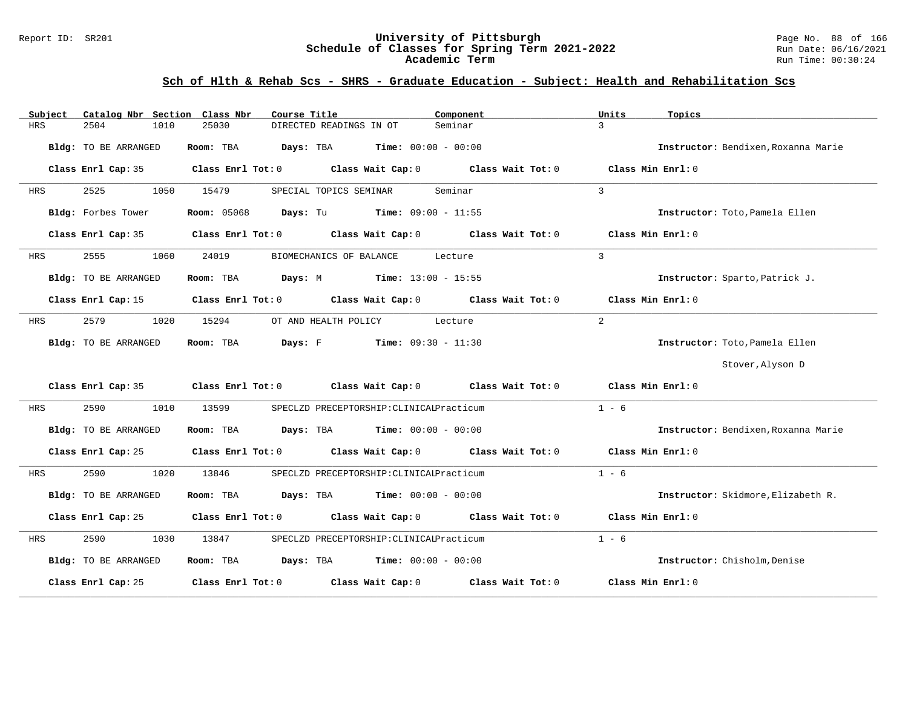#### Report ID: SR201 **University of Pittsburgh** Page No. 88 of 166 **Schedule of Classes for Spring Term 2021-2022** Run Date: 06/16/2021 **Academic Term** Run Time: 00:30:24

| Subject | Catalog Nbr Section Class Nbr | Course Title                                                                               | Component         | Units<br>Topics                     |
|---------|-------------------------------|--------------------------------------------------------------------------------------------|-------------------|-------------------------------------|
| HRS     | 2504<br>1010                  | 25030<br>DIRECTED READINGS IN OT                                                           | Seminar           | $\mathbf{R}$                        |
|         | Bldg: TO BE ARRANGED          | <b>Days:</b> TBA <b>Time:</b> $00:00 - 00:00$<br>Room: TBA                                 |                   | Instructor: Bendixen, Roxanna Marie |
|         | Class Enrl Cap: 35            | Class Enrl Tot: 0 Class Wait Cap: 0 Class Wait Tot: 0                                      |                   | Class Min Enrl: 0                   |
| HRS     | 2525<br>1050                  | 15479<br>SPECIAL TOPICS SEMINAR                                                            | Seminar           | 3                                   |
|         | Bldg: Forbes Tower            | <b>Room:</b> 05068 <b>Days:</b> Tu <b>Time:</b> 09:00 - 11:55                              |                   | Instructor: Toto, Pamela Ellen      |
|         | Class Enrl Cap: 35            | Class Enrl Tot: 0 Class Wait Cap: 0 Class Wait Tot: 0                                      |                   | Class Min Enrl: 0                   |
| HRS     | 2555<br>1060                  | 24019<br>BIOMECHANICS OF BALANCE                                                           | Lecture           | $\mathbf{3}$                        |
|         | Bldg: TO BE ARRANGED          | Room: TBA Days: M Time: 13:00 - 15:55                                                      |                   | Instructor: Sparto, Patrick J.      |
|         | Class Enrl Cap: 15            | Class Enrl Tot: 0 Class Wait Cap: 0 Class Wait Tot: 0                                      |                   | Class Min Enrl: 0                   |
| HRS     | 2579<br>1020                  | OT AND HEALTH POLICY<br>15294                                                              | Lecture           | $\overline{2}$                      |
|         | Bldg: TO BE ARRANGED          | Room: TBA $\rule{1em}{0.15mm}$ Days: F Time: $09:30 - 11:30$                               |                   | Instructor: Toto, Pamela Ellen      |
|         |                               |                                                                                            |                   | Stover, Alyson D                    |
|         |                               | Class Enrl Cap: 35 Class Enrl Tot: 0 Class Wait Cap: 0 Class Wait Tot: 0 Class Min Enrl: 0 |                   |                                     |
| HRS     | 2590<br>1010                  | 13599<br>SPECLZD PRECEPTORSHIP: CLINICALPracticum                                          |                   | $1 - 6$                             |
|         | Bldg: TO BE ARRANGED          | Room: TBA $Days: TBA$ Time: $00:00 - 00:00$                                                |                   | Instructor: Bendixen, Roxanna Marie |
|         |                               | Class Enrl Cap: 25 Class Enrl Tot: 0 Class Wait Cap: 0 Class Wait Tot: 0 Class Min Enrl: 0 |                   |                                     |
| HRS     | 2590<br>1020                  | 13846<br>SPECLZD PRECEPTORSHIP: CLINICALPracticum                                          |                   | $1 - 6$                             |
|         | Bldg: TO BE ARRANGED          | Room: TBA $Days:$ TBA $Time: 00:00 - 00:00$                                                |                   | Instructor: Skidmore, Elizabeth R.  |
|         | Class Enrl Cap: 25            | Class Enrl Tot: $0$ Class Wait Cap: $0$ Class Wait Tot: $0$ Class Min Enrl: $0$            |                   |                                     |
| HRS     | 2590<br>1030                  | 13847<br>SPECLZD PRECEPTORSHIP: CLINICALPracticum                                          |                   | $1 - 6$                             |
|         | Bldg: TO BE ARRANGED          | Room: TBA $Days:$ TBA Time: $00:00 - 00:00$                                                |                   | Instructor: Chisholm, Denise        |
|         | Class Enrl Cap: 25            | Class Enrl Tot: 0 Class Wait Cap: 0                                                        | Class Wait Tot: 0 | Class Min Enrl: 0                   |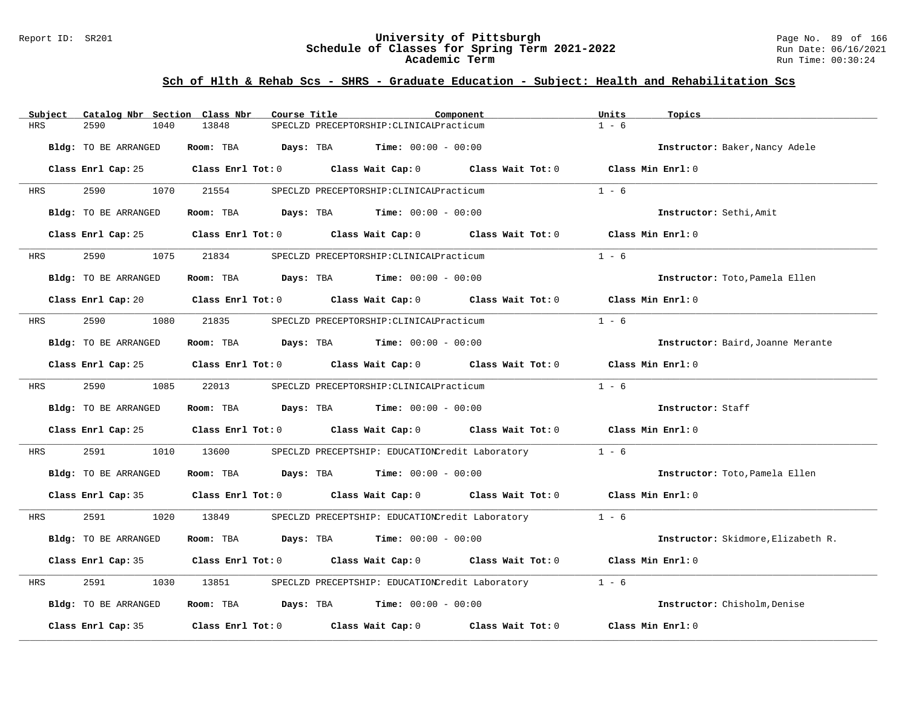#### Report ID: SR201 **University of Pittsburgh** Page No. 89 of 166 **Schedule of Classes for Spring Term 2021-2022** Run Date: 06/16/2021 **Academic Term** Run Time: 00:30:24

| Subject    | Catalog Nbr Section Class Nbr | Course Title                            | Component                                                                                                           |                   | Units<br>Topics                    |
|------------|-------------------------------|-----------------------------------------|---------------------------------------------------------------------------------------------------------------------|-------------------|------------------------------------|
| <b>HRS</b> | 2590<br>1040                  | 13848                                   | SPECLZD PRECEPTORSHIP: CLINICALPracticum                                                                            |                   | $1 - 6$                            |
|            | Bldg: TO BE ARRANGED          | Room: TBA                               | Days: TBA<br><b>Time:</b> $00:00 - 00:00$                                                                           |                   | Instructor: Baker, Nancy Adele     |
|            |                               |                                         | Class Enrl Cap: 25 Class Enrl Tot: 0 Class Wait Cap: 0 Class Wait Tot: 0 Class Min Enrl: 0                          |                   |                                    |
| HRS        | 2590<br>1070                  | 21554                                   | SPECLZD PRECEPTORSHIP: CLINICALPracticum                                                                            |                   | $1 - 6$                            |
|            | Bldg: TO BE ARRANGED          |                                         | Room: TBA $Days:$ TBA $Time: 00:00 - 00:00$                                                                         |                   | Instructor: Sethi, Amit            |
|            |                               |                                         | Class Enrl Cap: 25 Class Enrl Tot: 0 Class Wait Cap: 0 Class Wait Tot: 0                                            |                   | Class Min Enrl: 0                  |
| HRS        | 1075<br>2590                  | 21834                                   | SPECLZD PRECEPTORSHIP: CLINICALPracticum                                                                            |                   | $1 - 6$                            |
|            | Bldg: TO BE ARRANGED          |                                         | Room: TBA $Days:$ TBA $Time: 00:00 - 00:00$                                                                         |                   | Instructor: Toto, Pamela Ellen     |
|            |                               |                                         | Class Enrl Cap: 20 $\qquad$ Class Enrl Tot: 0 $\qquad$ Class Wait Cap: 0 $\qquad$ Class Wait Tot: 0                 |                   | Class Min Enrl: 0                  |
| HRS        | 2590<br>1080                  | 21835                                   | SPECLZD PRECEPTORSHIP: CLINICALPracticum                                                                            |                   | $1 - 6$                            |
|            | Bldg: TO BE ARRANGED          |                                         | Room: TBA $\rule{1em}{0.15mm}$ Days: TBA $\rule{1.5mm}{0.15mm}$ Time: $00:00 - 00:00$                               |                   | Instructor: Baird, Joanne Merante  |
|            |                               |                                         | Class Enrl Cap: 25 $\,$ Class Enrl Tot: 0 $\,$ Class Wait Cap: 0 $\,$ Class Wait Tot: 0 $\,$ Class Wait Tot: 0 $\,$ |                   | Class Min Enrl: 0                  |
| HRS        | 2590 000<br>1085              | 22013                                   | SPECLZD PRECEPTORSHIP: CLINICALPracticum                                                                            |                   | $1 - 6$                            |
|            | Bldg: TO BE ARRANGED          |                                         | Room: TBA $Days:$ TBA $Time: 00:00 - 00:00$                                                                         |                   | Instructor: Staff                  |
|            |                               |                                         | Class Enrl Cap: 25 Class Enrl Tot: 0 Class Wait Cap: 0 Class Wait Tot: 0 Class Min Enrl: 0                          |                   |                                    |
| HRS        | 2591<br>1010                  | 13600                                   | SPECLZD PRECEPTSHIP: EDUCATIONCredit Laboratory                                                                     |                   | $1 - 6$                            |
|            | Bldg: TO BE ARRANGED          |                                         | Room: TBA $Days:$ TBA $Time: 00:00 - 00:00$                                                                         |                   | Instructor: Toto, Pamela Ellen     |
|            |                               |                                         | Class Enrl Cap: 35 Class Enrl Tot: 0 Class Wait Cap: 0 Class Wait Tot: 0 Class Min Enrl: 0                          |                   |                                    |
| HRS        | 2591                          | 1020 13849                              | SPECLZD PRECEPTSHIP: EDUCATIONCredit Laboratory 1 - 6                                                               |                   |                                    |
|            | Bldg: TO BE ARRANGED          | Room: TBA Days: TBA                     | <b>Time:</b> $00:00 - 00:00$                                                                                        |                   | Instructor: Skidmore, Elizabeth R. |
|            |                               |                                         | Class Enrl Cap: 35 $\qquad$ Class Enrl Tot: 0 $\qquad$ Class Wait Cap: 0 $\qquad$ Class Wait Tot: 0                 |                   | Class Min Enrl: 0                  |
| <b>HRS</b> | 2591<br>1030                  | 13851                                   | SPECLZD PRECEPTSHIP: EDUCATIONCredit Laboratory                                                                     |                   | $1 - 6$                            |
|            | Bldg: TO BE ARRANGED          |                                         | Room: TBA $Days:$ TBA $Time: 00:00 - 00:00$                                                                         |                   | Instructor: Chisholm, Denise       |
|            | Class Enrl Cap: 35            | Class Enrl Tot: $0$ Class Wait Cap: $0$ |                                                                                                                     | Class Wait Tot: 0 | Class Min Enrl: 0                  |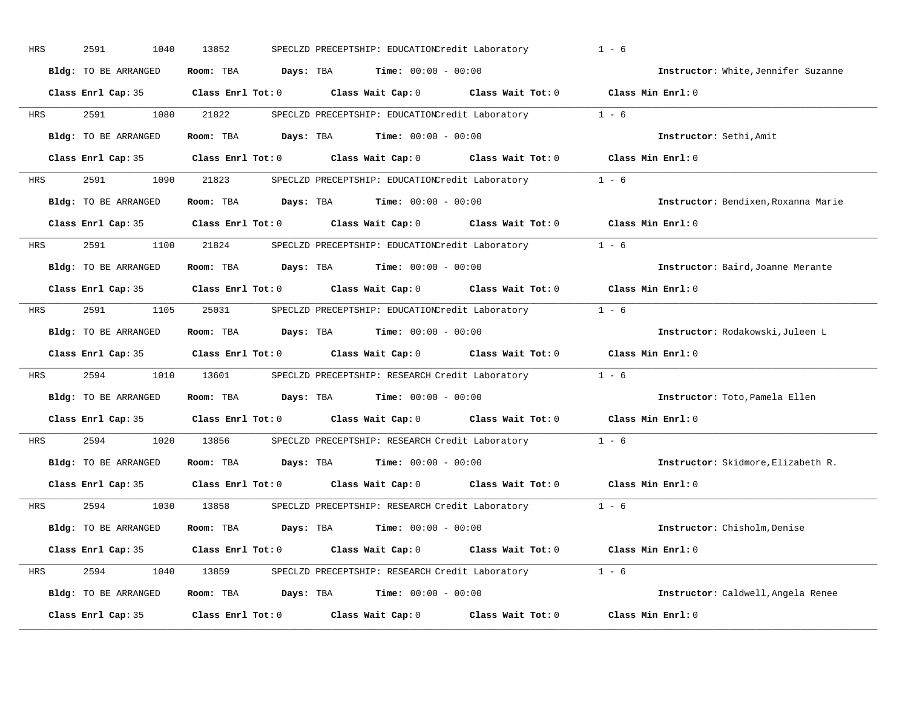| HRS | 2591<br>1040         | 13852                   | SPECLZD PRECEPTSHIP: EDUCATIONCredit Laboratory       |                   | $1 - 6$                             |
|-----|----------------------|-------------------------|-------------------------------------------------------|-------------------|-------------------------------------|
|     | Bldg: TO BE ARRANGED | Days: TBA<br>Room: TBA  | <b>Time:</b> $00:00 - 00:00$                          |                   | Instructor: White, Jennifer Suzanne |
|     | Class Enrl Cap: 35   | $Class$ $Enr1$ $Tot: 0$ | Class Wait Cap: 0                                     | Class Wait Tot: 0 | Class Min Enrl: 0                   |
| HRS | 2591<br>1080         | 21822                   | SPECLZD PRECEPTSHIP: EDUCATIONCredit Laboratory       |                   | $1 - 6$                             |
|     | Bldg: TO BE ARRANGED | Days: TBA<br>Room: TBA  | <b>Time:</b> $00:00 - 00:00$                          |                   | Instructor: Sethi, Amit             |
|     | Class Enrl Cap: 35   | $Class$ $Enr1$ $Tot: 0$ | Class Wait Cap: 0 Class Wait Tot: 0                   |                   | Class Min Enrl: 0                   |
| HRS | 2591<br>1090         | 21823                   | SPECLZD PRECEPTSHIP: EDUCATIONCredit Laboratory 1 - 6 |                   |                                     |
|     | Bldg: TO BE ARRANGED | Room: TBA<br>Days: TBA  | <b>Time:</b> $00:00 - 00:00$                          |                   | Instructor: Bendixen, Roxanna Marie |
|     | Class Enrl Cap: 35   | $Class$ $Enr1$ $Tot: 0$ | Class Wait Cap: 0 Class Wait Tot: 0                   |                   | Class Min Enrl: 0                   |
| HRS | 2591<br>1100         | 21824                   | SPECLZD PRECEPTSHIP: EDUCATIONCredit Laboratory       |                   | $1 - 6$                             |
|     | Bldg: TO BE ARRANGED | Room: TBA               | <b>Days:</b> TBA <b>Time:</b> $00:00 - 00:00$         |                   | Instructor: Baird, Joanne Merante   |
|     | Class Enrl Cap: 35   | Class Enrl Tot: 0       | Class Wait Cap: 0                                     | Class Wait Tot: 0 | Class Min Enrl: 0                   |
| HRS | 2591<br>1105         | 25031                   | SPECLZD PRECEPTSHIP: EDUCATIONCredit Laboratory 1 - 6 |                   |                                     |
|     | Bldg: TO BE ARRANGED | Room: TBA               | <b>Days:</b> TBA <b>Time:</b> $00:00 - 00:00$         |                   | Instructor: Rodakowski, Juleen L    |
|     | Class Enrl Cap: 35   | $Class$ $Enr1$ $Tot: 0$ | Class Wait Cap: 0                                     | Class Wait Tot: 0 | Class Min Enrl: 0                   |
| HRS | 2594<br>1010         | 13601                   | SPECLZD PRECEPTSHIP: RESEARCH Credit Laboratory       |                   | $1 - 6$                             |
|     | Bldg: TO BE ARRANGED | Room: TBA               | <b>Days:</b> TBA <b>Time:</b> $00:00 - 00:00$         |                   | Instructor: Toto, Pamela Ellen      |
|     | Class Enrl Cap: 35   | $Class$ $Enr1$ $Tot: 0$ | Class Wait Cap: 0 Class Wait Tot: 0                   |                   | Class Min Enrl: 0                   |
| HRS | 2594<br>1020         | 13856                   | SPECLZD PRECEPTSHIP: RESEARCH Credit Laboratory       |                   | $1 - 6$                             |
|     | Bldg: TO BE ARRANGED | Room: TBA               | <b>Days:</b> TBA <b>Time:</b> $00:00 - 00:00$         |                   | Instructor: Skidmore, Elizabeth R.  |
|     | Class Enrl Cap: 35   | Class Enrl Tot: 0       | Class Wait Cap: 0                                     | Class Wait Tot: 0 | Class Min Enrl: 0                   |
| HRS | 2594<br>1030         | 13858                   | SPECLZD PRECEPTSHIP: RESEARCH Credit Laboratory       |                   | $1 - 6$                             |
|     | Bldg: TO BE ARRANGED | Room: TBA               | <b>Days:</b> TBA <b>Time:</b> $00:00 - 00:00$         |                   | Instructor: Chisholm, Denise        |
|     | Class Enrl Cap: 35   | $Class$ $Enr1$ $Tot: 0$ | Class Wait Cap: 0                                     | Class Wait Tot: 0 | Class Min Enrl: 0                   |
| HRS | 2594<br>1040         | 13859                   | SPECLZD PRECEPTSHIP: RESEARCH Credit Laboratory 1 - 6 |                   |                                     |
|     | Bldg: TO BE ARRANGED | Days: TBA<br>Room: TBA  | $Time: 00:00 - 00:00$                                 |                   | Instructor: Caldwell, Angela Renee  |
|     | Class Enrl Cap: 35   | Class Enrl Tot: 0       | Class Wait Cap: 0                                     | Class Wait Tot: 0 | Class Min Enrl: 0                   |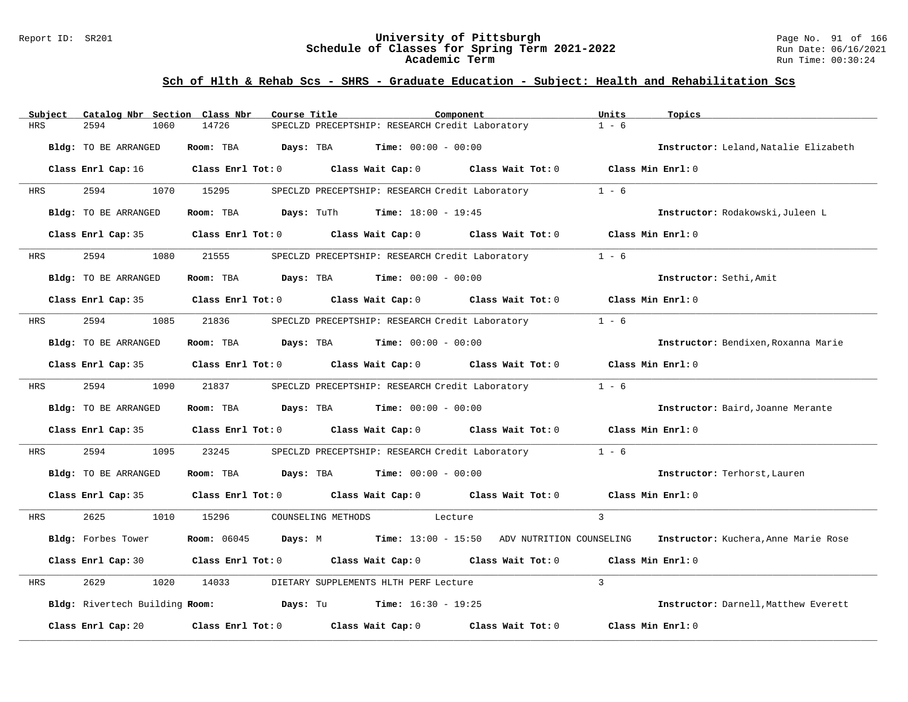#### Report ID: SR201 **University of Pittsburgh** Page No. 91 of 166 **Schedule of Classes for Spring Term 2021-2022** Run Date: 06/16/2021 **Academic Term** Run Time: 00:30:24

| Subject | Catalog Nbr Section Class Nbr | Course Title | Component                                                                                                                      | Units<br>Topics                       |
|---------|-------------------------------|--------------|--------------------------------------------------------------------------------------------------------------------------------|---------------------------------------|
| HRS     | 2594<br>1060                  | 14726        | SPECLZD PRECEPTSHIP: RESEARCH Credit Laboratory                                                                                | $1 - 6$                               |
|         | Bldg: TO BE ARRANGED          | Room: TBA    | <b>Days:</b> TBA <b>Time:</b> $00:00 - 00:00$                                                                                  | Instructor: Leland, Natalie Elizabeth |
|         |                               |              | Class Enrl Cap: 16 $\qquad$ Class Enrl Tot: 0 $\qquad$ Class Wait Cap: 0 $\qquad$ Class Wait Tot: 0 $\qquad$ Class Min Enrl: 0 |                                       |
| HRS     | 2594                          | 1070 15295   | SPECLZD PRECEPTSHIP: RESEARCH Credit Laboratory                                                                                | $1 - 6$                               |
|         | Bldg: TO BE ARRANGED          |              | <b>Room:</b> TBA $Days: Turl$ <b>Time:</b> $18:00 - 19:45$                                                                     | Instructor: Rodakowski, Juleen L      |
|         | Class Enrl Cap: 35            |              | Class Enrl Tot: $0$ Class Wait Cap: $0$ Class Wait Tot: $0$ Class Min Enrl: $0$                                                |                                       |
| HRS     | 2594<br>1080                  | 21555        | SPECLZD PRECEPTSHIP: RESEARCH Credit Laboratory                                                                                | $1 - 6$                               |
|         | Bldg: TO BE ARRANGED          |              | Room: TBA $Days:$ TBA $Time: 00:00 - 00:00$                                                                                    | Instructor: Sethi, Amit               |
|         |                               |              | Class Enrl Cap: 35 Class Enrl Tot: 0 Class Wait Cap: 0 Class Wait Tot: 0                                                       | Class Min $Enr1:0$                    |
| HRS     | 2594<br>1085                  | 21836        | SPECLZD PRECEPTSHIP: RESEARCH Credit Laboratory                                                                                | $1 - 6$                               |
|         | Bldg: TO BE ARRANGED          |              | Room: TBA $Days:$ TBA $Time: 00:00 - 00:00$                                                                                    | Instructor: Bendixen, Roxanna Marie   |
|         |                               |              | Class Enrl Cap: 35 Class Enrl Tot: 0 Class Wait Cap: 0 Class Wait Tot: 0 Class Min Enrl: 0                                     |                                       |
| HRS     | 2594<br>1090                  | 21837        | SPECLZD PRECEPTSHIP: RESEARCH Credit Laboratory 1 - 6                                                                          |                                       |
|         | Bldg: TO BE ARRANGED          |              | Room: TBA $Days:$ TBA $Time: 00:00 - 00:00$                                                                                    | Instructor: Baird, Joanne Merante     |
|         |                               |              | Class Enrl Cap: 35 Class Enrl Tot: 0 Class Wait Cap: 0 Class Wait Tot: 0 Class Min Enrl: 0                                     |                                       |
| HRS     | 2594<br>1095                  | 23245        | SPECLZD PRECEPTSHIP: RESEARCH Credit Laboratory                                                                                | $1 - 6$                               |
|         | Bldg: TO BE ARRANGED          |              | Room: TBA $Days:$ TBA $Time: 00:00 - 00:00$                                                                                    | Instructor: Terhorst, Lauren          |
|         |                               |              | Class Enrl Cap: 35 Class Enrl Tot: 0 Class Wait Cap: 0 Class Wait Tot: 0 Class Min Enrl: 0                                     |                                       |
| HRS     | 2625                          | 1010 15296   | COUNSELING METHODS Lecture                                                                                                     | $\mathbf{3}$                          |
|         | Bldg: Forbes Tower            |              | Room: 06045 Days: M Time: 13:00 - 15:50 ADV NUTRITION COUNSELING                                                               | Instructor: Kuchera, Anne Marie Rose  |
|         |                               |              | Class Enrl Cap: 30 $\qquad$ Class Enrl Tot: 0 $\qquad$ Class Wait Cap: 0 $\qquad$ Class Wait Tot: 0 $\qquad$ Class Min Enrl: 0 |                                       |
| HRS     | 2629<br>1020                  | 14033        | DIETARY SUPPLEMENTS HLTH PERF Lecture                                                                                          | 3                                     |
|         |                               |              | Bldg: Rivertech Building Room: Days: Tu Time: 16:30 - 19:25                                                                    | Instructor: Darnell, Matthew Everett  |
|         |                               |              | Class Enrl Cap: 20 		 Class Enrl Tot: 0 		 Class Wait Cap: 0 		 Class Wait Tot: 0                                              | Class Min Enrl: 0                     |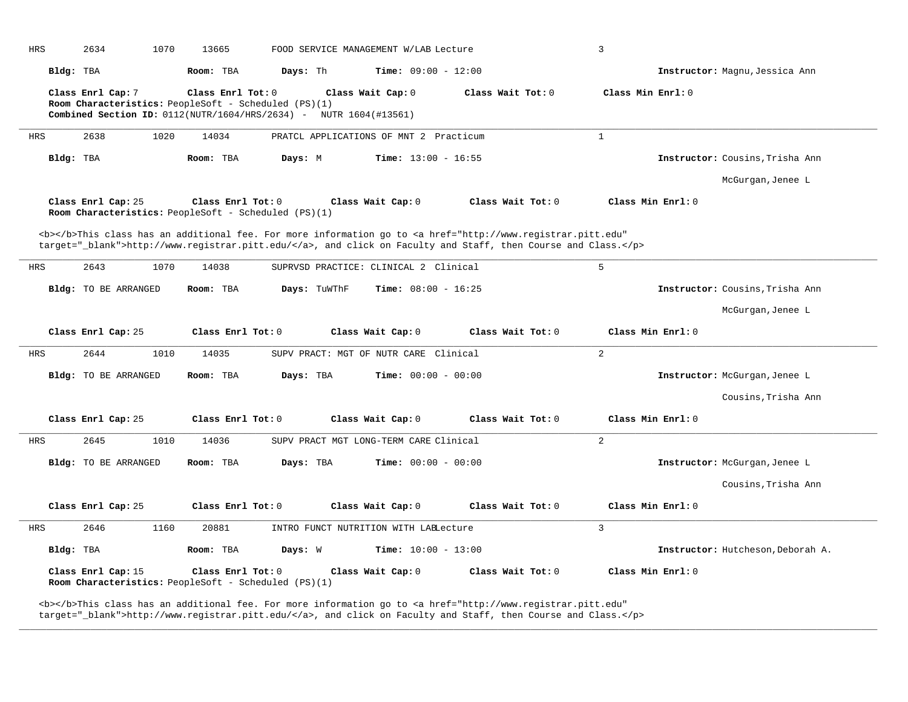| <b>HRS</b> | 2634                                                                       | 1070 | 13665             |              | FOOD SERVICE MANAGEMENT W/LAB Lecture                                                  |                                                                                                                                                                                                                                    | 3                 |                                   |
|------------|----------------------------------------------------------------------------|------|-------------------|--------------|----------------------------------------------------------------------------------------|------------------------------------------------------------------------------------------------------------------------------------------------------------------------------------------------------------------------------------|-------------------|-----------------------------------|
|            | Bldg: TBA                                                                  |      | Room: TBA         | Days: Th     |                                                                                        | <b>Time:</b> $09:00 - 12:00$                                                                                                                                                                                                       |                   | Instructor: Magnu, Jessica Ann    |
|            | Class Enrl Cap: 7<br>Room Characteristics: PeopleSoft - Scheduled (PS)(1)  |      | Class Enrl Tot: 0 |              | Class Wait Cap: 0<br>Combined Section ID: 0112(NUTR/1604/HRS/2634) - NUTR 1604(#13561) | Class Wait Tot: 0                                                                                                                                                                                                                  | Class Min Enrl: 0 |                                   |
| <b>HRS</b> | 2638                                                                       | 1020 | 14034             |              | PRATCL APPLICATIONS OF MNT 2 Practicum                                                 |                                                                                                                                                                                                                                    | $\mathbf{1}$      |                                   |
|            | Bldg: TBA                                                                  |      | Room: TBA         | Days: M      |                                                                                        | <b>Time:</b> $13:00 - 16:55$                                                                                                                                                                                                       |                   | Instructor: Cousins, Trisha Ann   |
|            |                                                                            |      |                   |              |                                                                                        |                                                                                                                                                                                                                                    |                   | McGurgan, Jenee L                 |
|            | Class Enrl Cap: 25<br>Room Characteristics: PeopleSoft - Scheduled (PS)(1) |      | Class Enrl Tot: 0 |              | Class Wait Cap: 0                                                                      | Class Wait Tot: 0                                                                                                                                                                                                                  | Class Min Enrl: 0 |                                   |
|            |                                                                            |      |                   |              |                                                                                        | <b></b> This class has an additional fee. For more information go to <a <br="" href="http://www.registrar.pitt.edu">target="_blank"&gt;http://www.registrar.pitt.edu/</a> , and click on Faculty and Staff, then Course and Class. |                   |                                   |
| <b>HRS</b> | 2643                                                                       | 1070 | 14038             |              | SUPRVSD PRACTICE: CLINICAL 2 Clinical                                                  |                                                                                                                                                                                                                                    | 5                 |                                   |
|            | Bldg: TO BE ARRANGED                                                       |      | Room: TBA         | Days: TuWThF |                                                                                        | <b>Time:</b> $08:00 - 16:25$                                                                                                                                                                                                       |                   | Instructor: Cousins, Trisha Ann   |
|            |                                                                            |      |                   |              |                                                                                        |                                                                                                                                                                                                                                    |                   | McGurgan, Jenee L                 |
|            |                                                                            |      |                   |              |                                                                                        |                                                                                                                                                                                                                                    |                   |                                   |
|            | Class Enrl Cap: 25                                                         |      | Class Enrl Tot: 0 |              | Class Wait Cap: 0                                                                      | Class Wait Tot: 0                                                                                                                                                                                                                  | Class Min Enrl: 0 |                                   |
| <b>HRS</b> | 2644                                                                       | 1010 | 14035             |              | SUPV PRACT: MGT OF NUTR CARE Clinical                                                  |                                                                                                                                                                                                                                    | 2                 |                                   |
|            | Bldg: TO BE ARRANGED                                                       |      | Room: TBA         | Days: TBA    |                                                                                        | <b>Time:</b> $00:00 - 00:00$                                                                                                                                                                                                       |                   | Instructor: McGurgan, Jenee L     |
|            |                                                                            |      |                   |              |                                                                                        |                                                                                                                                                                                                                                    |                   | Cousins, Trisha Ann               |
|            | Class Enrl Cap: 25                                                         |      | Class Enrl Tot: 0 |              | Class Wait Cap: 0                                                                      | Class Wait Tot: 0                                                                                                                                                                                                                  | Class Min Enrl: 0 |                                   |
| <b>HRS</b> | 2645                                                                       | 1010 | 14036             |              | SUPV PRACT MGT LONG-TERM CARE Clinical                                                 |                                                                                                                                                                                                                                    | $\overline{a}$    |                                   |
|            | Bldg: TO BE ARRANGED                                                       |      | Room: TBA         | Days: TBA    |                                                                                        | <b>Time:</b> $00:00 - 00:00$                                                                                                                                                                                                       |                   | Instructor: McGurgan, Jenee L     |
|            |                                                                            |      |                   |              |                                                                                        |                                                                                                                                                                                                                                    |                   | Cousins, Trisha Ann               |
|            | Class Enrl Cap: 25                                                         |      | Class Enrl Tot: 0 |              | Class Wait Cap: 0                                                                      | Class Wait Tot: 0                                                                                                                                                                                                                  | Class Min Enrl: 0 |                                   |
| <b>HRS</b> | 2646                                                                       | 1160 | 20881             |              | INTRO FUNCT NUTRITION WITH LAELecture                                                  |                                                                                                                                                                                                                                    | 3                 |                                   |
|            | Bldg: TBA                                                                  |      | Room: TBA         | Days: W      |                                                                                        | <b>Time:</b> $10:00 - 13:00$                                                                                                                                                                                                       |                   | Instructor: Hutcheson, Deborah A. |

**\_\_\_\_\_\_\_\_\_\_\_\_\_\_\_\_\_\_\_\_\_\_\_\_\_\_\_\_\_\_\_\_\_\_\_\_\_\_\_\_\_\_\_\_\_\_\_\_\_\_\_\_\_\_\_\_\_\_\_\_\_\_\_\_\_\_\_\_\_\_\_\_\_\_\_\_\_\_\_\_\_\_\_\_\_\_\_\_\_\_\_\_\_\_\_\_\_\_\_\_\_\_\_\_\_\_\_\_\_\_\_\_\_\_\_\_\_\_\_\_\_\_\_\_\_\_\_\_\_\_\_\_\_\_\_\_\_\_\_\_\_\_\_\_\_\_\_\_\_\_\_\_\_\_\_\_**

<b></b>This class has an additional fee. For more information go to <a href="http://www.registrar.pitt.edu" target="\_blank">http://www.registrar.pitt.edu/</a>, and click on Faculty and Staff, then Course and Class.</p>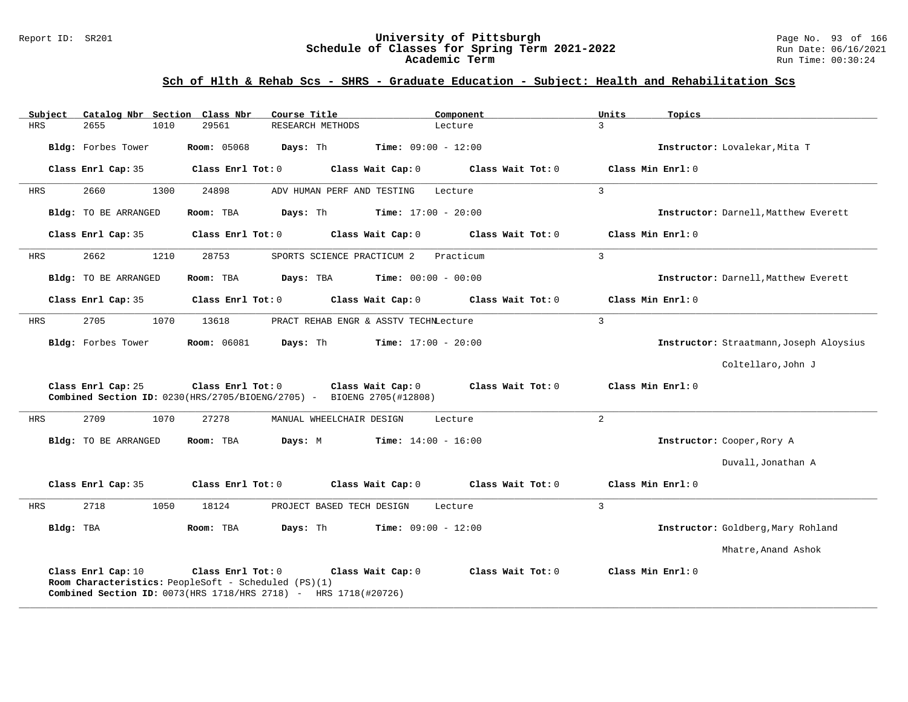#### Report ID: SR201 **University of Pittsburgh** Page No. 93 of 166 **Schedule of Classes for Spring Term 2021-2022** Run Date: 06/16/2021 **Academic Term** Run Time: 00:30:24

| Subject    | Catalog Nbr Section Class Nbr                                                                                                                 |                    | Course Title                          |                              | Component         | Units          | Topics                                  |
|------------|-----------------------------------------------------------------------------------------------------------------------------------------------|--------------------|---------------------------------------|------------------------------|-------------------|----------------|-----------------------------------------|
| <b>HRS</b> | 2655<br>1010                                                                                                                                  | 29561              | RESEARCH METHODS                      | Lecture                      |                   | $\mathcal{L}$  |                                         |
|            | Bldg: Forbes Tower                                                                                                                            | <b>Room: 05068</b> | Days: Th                              | <b>Time:</b> $09:00 - 12:00$ |                   |                | Instructor: Lovalekar, Mita T           |
|            | Class Enrl Cap: 35                                                                                                                            | Class Enrl Tot: 0  |                                       | Class Wait Cap: 0            | Class Wait Tot: 0 |                | Class Min Enrl: 0                       |
| HRS        | 2660<br>1300                                                                                                                                  | 24898              | ADV HUMAN PERF AND TESTING            | Lecture                      |                   | $\overline{3}$ |                                         |
|            | <b>Bldg:</b> TO BE ARRANGED                                                                                                                   | Room: TBA          | Days: Th                              | <b>Time:</b> $17:00 - 20:00$ |                   |                | Instructor: Darnell, Matthew Everett    |
|            | Class Enrl Cap: 35                                                                                                                            | Class Enrl Tot: 0  |                                       | Class Wait Cap: 0            | Class Wait Tot: 0 |                | Class Min Enrl: 0                       |
| HRS        | 2662<br>1210                                                                                                                                  | 28753              | SPORTS SCIENCE PRACTICUM 2            |                              | Practicum         | 3              |                                         |
|            | Bldg: TO BE ARRANGED                                                                                                                          | Room: TBA          | Days: TBA                             | <b>Time:</b> $00:00 - 00:00$ |                   |                | Instructor: Darnell, Matthew Everett    |
|            | Class Enrl Cap: 35                                                                                                                            | Class Enrl Tot: 0  |                                       | Class Wait Cap: 0            | Class Wait Tot: 0 |                | Class Min Enrl: 0                       |
| HRS        | 2705<br>1070                                                                                                                                  | 13618              | PRACT REHAB ENGR & ASSTV TECHNLecture |                              |                   | $\overline{3}$ |                                         |
|            | Bldg: Forbes Tower                                                                                                                            | <b>Room:</b> 06081 | Days: Th                              | <b>Time:</b> $17:00 - 20:00$ |                   |                | Instructor: Straatmann, Joseph Aloysius |
|            |                                                                                                                                               |                    |                                       |                              |                   |                | Coltellaro, John J                      |
|            | Class Enrl Cap: 25<br><b>Combined Section ID:</b> $0230$ (HRS/2705/BIOENG/2705) - BIOENG 2705(#12808)                                         | Class Enrl Tot: 0  |                                       | Class Wait Cap: 0            | Class Wait Tot: 0 |                | Class Min Enrl: 0                       |
| HRS        | 2709<br>1070                                                                                                                                  | 27278              | MANUAL WHEELCHAIR DESIGN              | Lecture                      |                   | 2              |                                         |
|            | Bldg: TO BE ARRANGED                                                                                                                          | Room: TBA          | Days: M                               | <b>Time:</b> $14:00 - 16:00$ |                   |                | Instructor: Cooper, Rory A              |
|            |                                                                                                                                               |                    |                                       |                              |                   |                | Duvall, Jonathan A                      |
|            | Class Enrl Cap: 35                                                                                                                            | Class Enrl Tot: 0  |                                       | Class Wait Cap: 0            | Class Wait Tot: 0 |                | Class Min Enrl: 0                       |
| HRS        | 2718<br>1050                                                                                                                                  | 18124              | PROJECT BASED TECH DESIGN             | Lecture                      |                   | $\overline{3}$ |                                         |
| Bldg: TBA  |                                                                                                                                               | Room: TBA          | Days: Th                              | <b>Time:</b> $09:00 - 12:00$ |                   |                | Instructor: Goldberg, Mary Rohland      |
|            |                                                                                                                                               |                    |                                       |                              |                   |                | Mhatre, Anand Ashok                     |
|            | Class Enrl Cap: 10<br>Room Characteristics: PeopleSoft - Scheduled (PS)(1)<br>Combined Section ID: 0073(HRS 1718/HRS 2718) - HRS 1718(#20726) | Class Enrl Tot: 0  |                                       | Class Wait Cap: 0            | Class Wait Tot: 0 |                | Class Min Enrl: 0                       |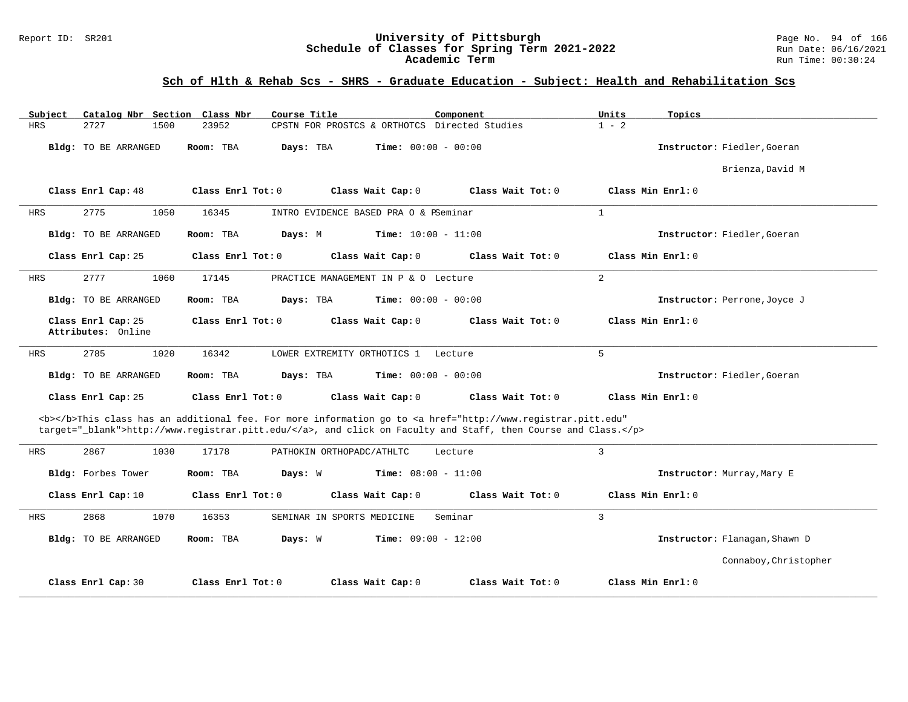#### Report ID: SR201 **University of Pittsburgh** Page No. 94 of 166 **Schedule of Classes for Spring Term 2021-2022** Run Date: 06/16/2021 **Academic Term** Run Time: 00:30:24

| Catalog Nbr Section Class Nbr<br>Subject | Course Title                                                                                                                                                                                                                       | Component                    | Units<br>Topics               |
|------------------------------------------|------------------------------------------------------------------------------------------------------------------------------------------------------------------------------------------------------------------------------------|------------------------------|-------------------------------|
| <b>HRS</b><br>2727<br>1500               | CPSTN FOR PROSTCS & ORTHOTCS Directed Studies<br>23952                                                                                                                                                                             |                              | $1 - 2$                       |
| Bldg: TO BE ARRANGED                     | Days: TBA<br>Room: TBA                                                                                                                                                                                                             | <b>Time:</b> $00:00 - 00:00$ | Instructor: Fiedler, Goeran   |
|                                          |                                                                                                                                                                                                                                    |                              | Brienza, David M              |
| Class Enrl Cap: 48                       | Class Enrl Tot: $0$<br>Class Wait Cap: 0                                                                                                                                                                                           | Class Wait Tot: 0            | Class Min Enrl: 0             |
| <b>HRS</b><br>2775<br>1050               | 16345<br>INTRO EVIDENCE BASED PRA O & PSeminar                                                                                                                                                                                     | $\mathbf{1}$                 |                               |
| Bldg: TO BE ARRANGED                     | <b>Time:</b> $10:00 - 11:00$<br>Room: TBA<br>Days: M                                                                                                                                                                               |                              | Instructor: Fiedler, Goeran   |
| Class Enrl Cap: 25                       | Class Enrl Tot: 0<br>Class Wait Cap: 0                                                                                                                                                                                             | Class Wait Tot: 0            | Class Min Enrl: 0             |
| 2777<br><b>HRS</b><br>1060               | 17145<br>PRACTICE MANAGEMENT IN P & O Lecture                                                                                                                                                                                      | $\overline{a}$               |                               |
| Bldg: TO BE ARRANGED                     | Room: TBA<br>Days: TBA                                                                                                                                                                                                             | <b>Time:</b> $00:00 - 00:00$ | Instructor: Perrone, Joyce J  |
| Class Enrl Cap: 25<br>Attributes: Online | Class Enrl Tot: 0<br>Class Wait Cap: 0                                                                                                                                                                                             | Class Wait Tot: 0            | Class Min Enrl: 0             |
| 2785<br>1020<br><b>HRS</b>               | 16342<br>LOWER EXTREMITY ORTHOTICS 1                                                                                                                                                                                               | 5<br>Lecture                 |                               |
| Bldg: TO BE ARRANGED                     | Room: TBA<br>Days: TBA                                                                                                                                                                                                             | <b>Time:</b> $00:00 - 00:00$ | Instructor: Fiedler, Goeran   |
| Class Enrl Cap: 25                       | Class Enrl Tot: 0<br>Class Wait Cap: 0                                                                                                                                                                                             | Class Wait Tot: 0            | Class Min Enrl: 0             |
|                                          | <b></b> This class has an additional fee. For more information go to <a <br="" href="http://www.registrar.pitt.edu">target="_blank"&gt;http://www.registrar.pitt.edu/</a> , and click on Faculty and Staff, then Course and Class. |                              |                               |
| 2867<br>1030<br><b>HRS</b>               | 17178<br>PATHOKIN ORTHOPADC/ATHLTC                                                                                                                                                                                                 | 3<br>Lecture                 |                               |
| Bldg: Forbes Tower                       | Room: TBA<br>Days: W<br><b>Time:</b> $08:00 - 11:00$                                                                                                                                                                               |                              | Instructor: Murray, Mary E    |
| Class Enrl Cap: 10                       | Class Enrl Tot: 0<br>Class Wait Cap: 0                                                                                                                                                                                             | Class Wait Tot: 0            | Class Min Enrl: 0             |
| 2868<br>1070<br><b>HRS</b>               | 16353<br>SEMINAR IN SPORTS MEDICINE                                                                                                                                                                                                | 3<br>Seminar                 |                               |
| <b>Bldg:</b> TO BE ARRANGED              | Days: W<br>Room: TBA                                                                                                                                                                                                               | <b>Time:</b> $09:00 - 12:00$ | Instructor: Flanagan, Shawn D |
|                                          |                                                                                                                                                                                                                                    |                              | Connaboy, Christopher         |
| Class Enrl Cap: 30                       | Class Enrl Tot: 0<br>Class Wait Cap: 0                                                                                                                                                                                             | Class Wait Tot: 0            | Class Min Enrl: 0             |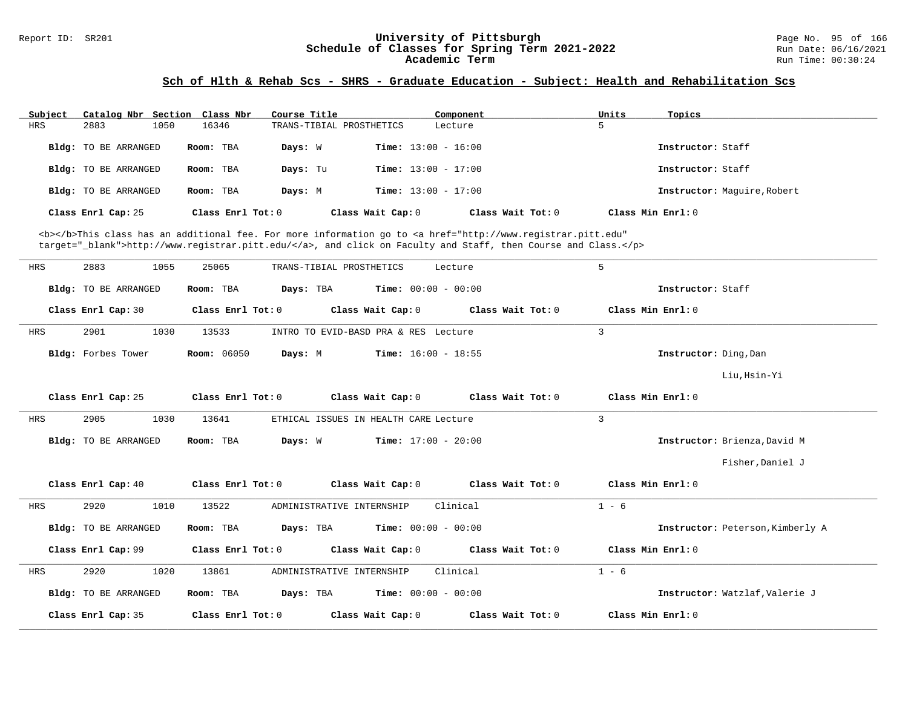# Report ID: SR201 **1988 Children Schedule of Classes for Spring Term 2021-2022** Page No. 95 of 166<br>**Schedule of Classes for Spring Term 2021-2022** Run Date: 06/16/2021 Schedule of Classes for Spring Term 2021-2022<br>**Academic Term**

#### **Sch of Hlth & Rehab Scs - SHRS - Graduate Education - Subject: Health and Rehabilitation Scs**

| Subject | Catalog Nbr Section Class Nbr |                   | Course Title             | Component                    | Units<br>Topics   |                             |
|---------|-------------------------------|-------------------|--------------------------|------------------------------|-------------------|-----------------------------|
| HRS     | 2883<br>1050                  | 16346             | TRANS-TIBIAL PROSTHETICS | Lecture                      |                   |                             |
|         | <b>Bldg:</b> TO BE ARRANGED   | Room: TBA         | Days: W                  | <b>Time:</b> $13:00 - 16:00$ |                   | Instructor: Staff           |
|         | Bldg: TO BE ARRANGED          | Room: TBA         | Days: Tu                 | <b>Time:</b> $13:00 - 17:00$ |                   | Instructor: Staff           |
|         | <b>Bldg:</b> TO BE ARRANGED   | Room: TBA         | Days: M                  | <b>Time:</b> $13:00 - 17:00$ |                   | Instructor: Maquire, Robert |
|         | Class Enrl Cap: 25            | Class Enrl Tot: 0 | Class Wait Cap: 0        | Class Wait Tot: 0            | Class Min Enrl: 0 |                             |

<b></b>This class has an additional fee. For more information go to <a href="http://www.registrar.pitt.edu" target="\_blank">http://www.registrar.pitt.edu/</a>, and click on Faculty and Staff, then Course and Class.</p>

| HRS | 1055<br>2883                | 25065<br>TRANS-TIBIAL PROSTHETICS                             | Lecture           | 5                                |
|-----|-----------------------------|---------------------------------------------------------------|-------------------|----------------------------------|
|     | <b>Bldg:</b> TO BE ARRANGED | Room: TBA<br>Days: TBA<br>$Time: 00:00 - 00:00$               |                   | Instructor: Staff                |
|     | Class Enrl Cap: 30          | Class Enrl Tot: 0<br>Class Wait Cap: 0                        | Class Wait Tot: 0 | Class Min Enrl: 0                |
| HRS | 2901<br>1030                | 13533<br>INTRO TO EVID-BASD PRA & RES Lecture                 |                   | $\mathbf{3}$                     |
|     | Bldg: Forbes Tower          | <b>Room:</b> 06050<br>Days: M<br><b>Time:</b> $16:00 - 18:55$ |                   | Instructor: Ding, Dan            |
|     |                             |                                                               |                   | Liu, Hsin-Yi                     |
|     | Class Enrl Cap: 25          | Class Enrl Tot: $0$ Class Wait Cap: $0$ Class Wait Tot: $0$   |                   | Class Min Enri: 0                |
| HRS | 2905<br>1030                | 13641<br>ETHICAL ISSUES IN HEALTH CARE Lecture                |                   | $\overline{3}$                   |
|     | <b>Bldg:</b> TO BE ARRANGED | $Time: 17:00 - 20:00$<br>Room: TBA<br>Days: W                 |                   | Instructor: Brienza, David M     |
|     |                             |                                                               |                   | Fisher, Daniel J                 |
|     | Class Enrl Cap: 40          | Class Enrl Tot: 0<br>Class Wait Cap: 0                        | Class Wait Tot: 0 | Class Min Enrl: 0                |
| HRS | 2920<br>1010                | 13522<br>ADMINISTRATIVE INTERNSHIP                            | Clinical          | $1 - 6$                          |
|     | Bldg: TO BE ARRANGED        | Room: TBA<br><b>Days:</b> TBA <b>Time:</b> $00:00 - 00:00$    |                   | Instructor: Peterson, Kimberly A |
|     | Class Enrl Cap: 99          | Class Wait Cap: 0<br>Class Enrl Tot: 0                        | Class Wait Tot: 0 | Class Min Enrl: 0                |
| HRS | 1020<br>2920                | 13861<br>ADMINISTRATIVE INTERNSHIP                            | Clinical          | $1 - 6$                          |
|     | <b>Bldg:</b> TO BE ARRANGED | $Time: 00:00 - 00:00$<br>Room: TBA<br>Days: TBA               |                   | Instructor: Watzlaf, Valerie J   |
|     | Class Enrl Cap: 35          | Class Enrl Tot: $0$<br>Class Wait Cap: 0                      | Class Wait Tot: 0 | Class Min Enrl: 0                |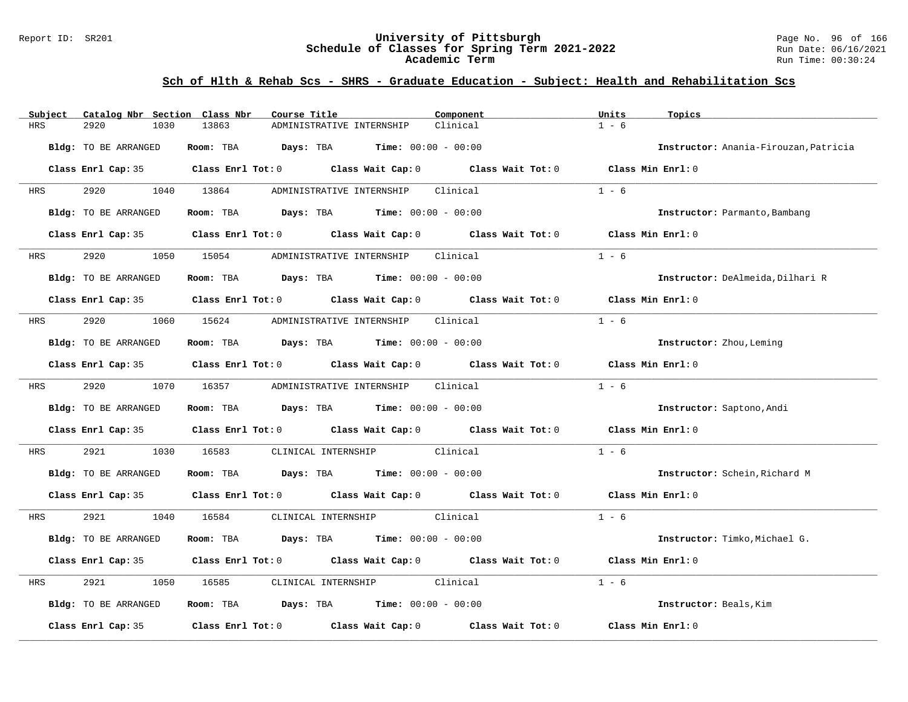#### Report ID: SR201 **University of Pittsburgh** Page No. 96 of 166 **Schedule of Classes for Spring Term 2021-2022** Run Date: 06/16/2021 **Academic Term** Run Time: 00:30:24

| Catalog Nbr Section Class Nbr<br>Subject | Course Title                                                                                        | Component<br>Units  | Topics                                |
|------------------------------------------|-----------------------------------------------------------------------------------------------------|---------------------|---------------------------------------|
| <b>HRS</b><br>2920<br>1030               | 13863<br>ADMINISTRATIVE INTERNSHIP                                                                  | $1 - 6$<br>Clinical |                                       |
| Bldg: TO BE ARRANGED                     | Room: TBA $Days:$ TBA $Time: 00:00 - 00:00$                                                         |                     | Instructor: Anania-Firouzan, Patricia |
|                                          | Class Enrl Cap: 35 $\qquad$ Class Enrl Tot: 0 $\qquad$ Class Wait Cap: 0 $\qquad$ Class Wait Tot: 0 |                     | Class Min Enrl: 0                     |
| HRS                                      | 1040 13864<br>ADMINISTRATIVE INTERNSHIP                                                             | $1 - 6$<br>Clinical |                                       |
| Bldg: TO BE ARRANGED                     | Room: TBA $\rule{1em}{0.15mm}$ Days: TBA Time: $00:00 - 00:00$                                      |                     | Instructor: Parmanto, Bambang         |
|                                          | Class Enrl Cap: 35 $\qquad$ Class Enrl Tot: 0 $\qquad$ Class Wait Cap: 0 $\qquad$ Class Wait Tot: 0 |                     | Class Min Enrl: 0                     |
| 2920<br><b>HRS</b>                       | 1050 15054<br>ADMINISTRATIVE INTERNSHIP Clinical                                                    | $1 - 6$             |                                       |
| Bldg: TO BE ARRANGED                     | Room: TBA $Days:$ TBA $Time: 00:00 - 00:00$                                                         |                     | Instructor: DeAlmeida, Dilhari R      |
|                                          | Class Enrl Cap: 35 $\qquad$ Class Enrl Tot: 0 $\qquad$ Class Wait Cap: 0 $\qquad$ Class Wait Tot: 0 |                     | Class Min $Enr1:0$                    |
| 2920 20<br>HRS                           | 1060 15624<br>ADMINISTRATIVE INTERNSHIP Clinical                                                    | $1 - 6$             |                                       |
| Bldg: TO BE ARRANGED                     | Room: TBA $Days:$ TBA $Time: 00:00 - 00:00$                                                         |                     | Instructor: Zhou, Leming              |
|                                          | Class Enrl Cap: 35 Class Enrl Tot: 0 Class Wait Cap: 0 Class Wait Tot: 0 Class Min Enrl: 0          |                     |                                       |
| <b>HRS</b>                               | 2920 1070 16357 ADMINISTRATIVE INTERNSHIP Clinical                                                  | $1 - 6$             |                                       |
| Bldg: TO BE ARRANGED                     | Room: TBA $Days:$ TBA $Time: 00:00 - 00:00$                                                         |                     | Instructor: Saptono, Andi             |
|                                          | Class Enrl Cap: 35 Class Enrl Tot: 0 Class Wait Cap: 0 Class Wait Tot: 0                            | Class Min Enrl: 0   |                                       |
| 2921<br>1030<br>HRS                      | 16583<br>CLINICAL INTERNSHIP Clinical                                                               | $1 - 6$             |                                       |
| Bldg: TO BE ARRANGED                     | Room: TBA $Days:$ TBA $Time: 00:00 - 00:00$                                                         |                     | Instructor: Schein, Richard M         |
|                                          | Class Enrl Cap: 35 Class Enrl Tot: 0 Class Wait Cap: 0 Class Wait Tot: 0 Class Min Enrl: 0          |                     |                                       |
| 2921<br>HRS                              | 1040 16584 CLINICAL INTERNSHIP Clinical                                                             | $1 - 6$             |                                       |
| Bldg: TO BE ARRANGED                     | Room: TBA $Days:$ TBA $Time: 00:00 - 00:00$                                                         |                     | Instructor: Timko, Michael G.         |
|                                          | Class Enrl Cap: 35 Class Enrl Tot: 0 Class Wait Cap: 0 Class Wait Tot: 0                            | Class Min Enrl: 0   |                                       |
| 2921<br>1050<br>HRS                      | CLINICAL INTERNSHIP Clinical<br>16585                                                               | $1 - 6$             |                                       |
| Bldg: TO BE ARRANGED                     | Room: TBA $Days:$ TBA $Time: 00:00 - 00:00$                                                         |                     | Instructor: Beals, Kim                |
| Class Enrl Cap: 35                       | Class Enrl Tot: $0$ Class Wait Cap: $0$ Class Wait Tot: $0$                                         |                     | Class Min Enrl: 0                     |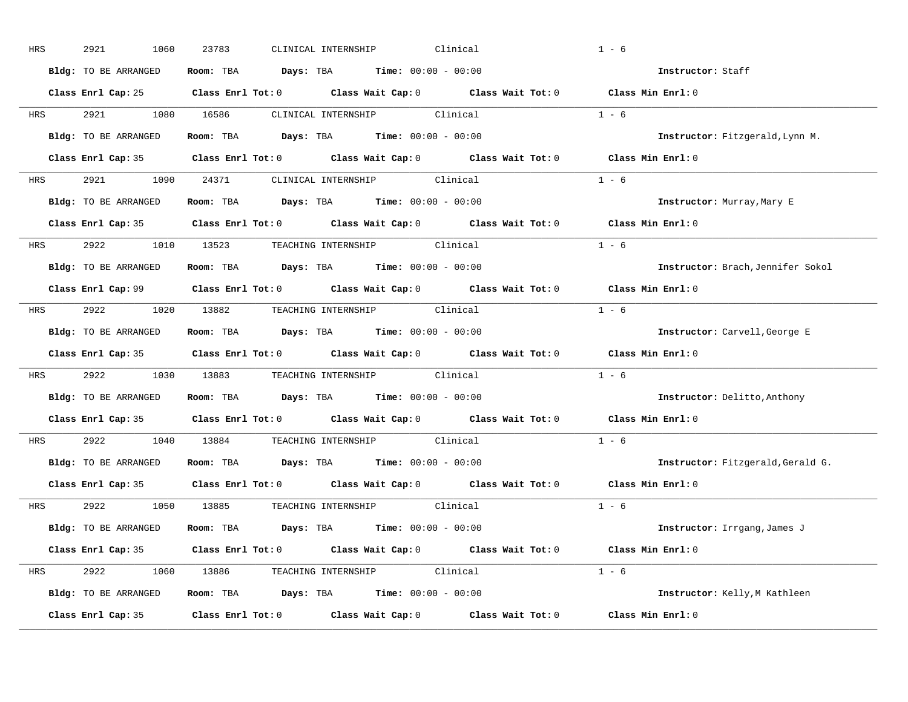| HRS        | 2921<br>1060         | CLINICAL INTERNSHIP<br>Clinical<br>23783                                                   | $1 - 6$                             |
|------------|----------------------|--------------------------------------------------------------------------------------------|-------------------------------------|
|            | Bldg: TO BE ARRANGED | Room: TBA $Days:$ TBA $Time: 00:00 - 00:00$                                                | Instructor: Staff                   |
|            |                      | Class Enrl Cap: 25 Class Enrl Tot: 0 Class Wait Cap: 0 Class Wait Tot: 0 Class Min Enrl: 0 |                                     |
|            |                      | HRS 2921 1080 16586 CLINICAL INTERNSHIP Clinical                                           | $1 - 6$                             |
|            | Bldg: TO BE ARRANGED | Room: TBA $Days: TBA$ Time: $00:00 - 00:00$                                                | Instructor: Fitzgerald, Lynn M.     |
|            |                      | Class Enrl Cap: 35 Class Enrl Tot: 0 Class Wait Cap: 0 Class Wait Tot: 0 Class Min Enrl: 0 |                                     |
|            |                      | HRS 2921 1090 24371 CLINICAL INTERNSHIP Clinical                                           | $1 - 6$                             |
|            |                      | Bldg: TO BE ARRANGED Room: TBA Days: TBA Time: 00:00 - 00:00                               | Instructor: Murray, Mary E          |
|            |                      | Class Enrl Cap: 35 Class Enrl Tot: 0 Class Wait Cap: 0 Class Wait Tot: 0                   | Class Min $Enr1:0$                  |
|            |                      | HRS 2922 1010 13523 TEACHING INTERNSHIP Clinical                                           | $1 - 6$                             |
|            | Bldg: TO BE ARRANGED | Room: TBA $Days:$ TBA $Time: 00:00 - 00:00$                                                | Instructor: Brach, Jennifer Sokol   |
|            |                      | Class Enrl Cap: 99 Class Enrl Tot: 0 Class Wait Cap: 0 Class Wait Tot: 0 Class Min Enrl: 0 |                                     |
|            |                      | HRS 2922 1020 13882 TEACHING_INTERNSHIP Clinical                                           | $1 - 6$                             |
|            | Bldg: TO BE ARRANGED | Room: TBA $Days:$ TBA Time: $00:00 - 00:00$                                                | Instructor: Carvell, George E       |
|            |                      | Class Enrl Cap: 35 Class Enrl Tot: 0 Class Wait Cap: 0 Class Wait Tot: 0 Class Min Enrl: 0 |                                     |
| <b>HRS</b> |                      | 2922 1030 13883 TEACHING INTERNSHIP Clinical                                               | $1 - 6$                             |
|            | Bldg: TO BE ARRANGED | Room: TBA $\rule{1em}{0.15mm}$ Days: TBA $\rule{1.5mm}{0.15mm}$ Time: $00:00 - 00:00$      | <b>Instructor:</b> Delitto, Anthony |
|            |                      | Class Enrl Cap: 35 Class Enrl Tot: 0 Class Wait Cap: 0 Class Wait Tot: 0                   | Class Min Enrl: 0                   |
| <b>HRS</b> |                      | 2922 1040 13884 TEACHING INTERNSHIP Clinical                                               | $1 - 6$                             |
|            | Bldg: TO BE ARRANGED | Room: TBA Days: TBA Time: $00:00 - 00:00$                                                  | Instructor: Fitzgerald, Gerald G.   |
|            | Class Enrl Cap: 35   | Class Enrl Tot: $0$ Class Wait Cap: $0$ Class Wait Tot: $0$                                | Class Min Enrl: 0                   |
|            |                      | HRS 2922 1050 13885 TEACHING INTERNSHIP Clinical                                           | $1 - 6$                             |
|            |                      | Bldg: TO BE ARRANGED Room: TBA Days: TBA Time: 00:00 - 00:00                               | Instructor: Irrgang, James J        |
|            |                      | Class Enrl Cap: 35 Class Enrl Tot: 0 Class Wait Cap: 0 Class Wait Tot: 0 Class Min Enrl: 0 |                                     |
|            |                      | HRS 2922 1060 13886 TEACHING INTERNSHIP Clinical                                           | $1 - 6$                             |
|            |                      |                                                                                            |                                     |
|            |                      | Bldg: TO BE ARRANGED Room: TBA Days: TBA Time: 00:00 - 00:00                               | Instructor: Kelly, M Kathleen       |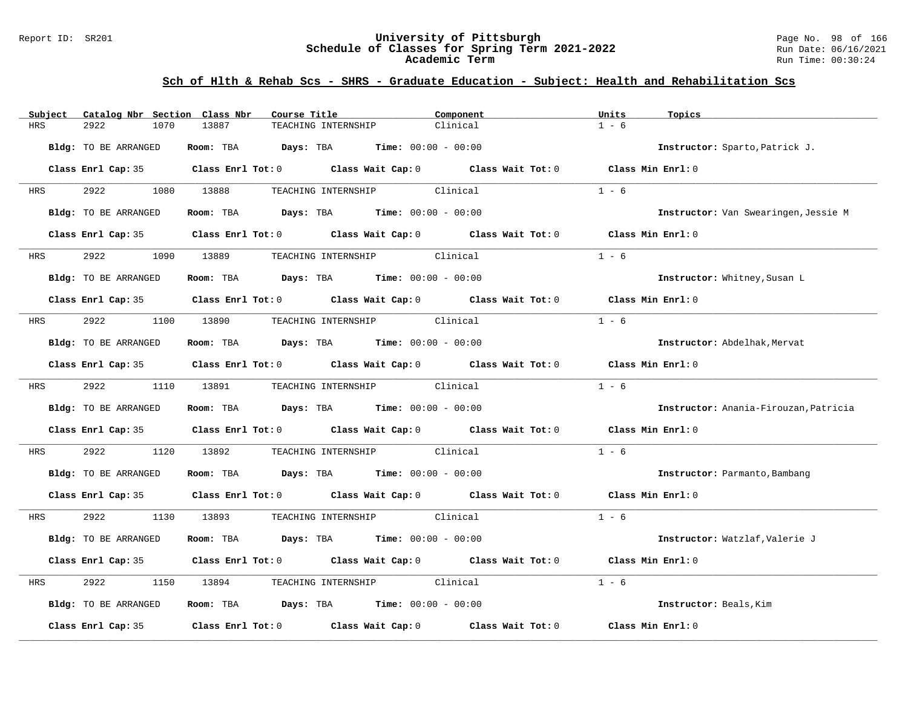#### Report ID: SR201 **University of Pittsburgh** Page No. 98 of 166 **Schedule of Classes for Spring Term 2021-2022** Run Date: 06/16/2021 **Academic Term** Run Time: 00:30:24

| Subject                 | Catalog Nbr Section Class Nbr | Course Title                                                             |                              | Component                                                                                           | Units              | Topics                                |
|-------------------------|-------------------------------|--------------------------------------------------------------------------|------------------------------|-----------------------------------------------------------------------------------------------------|--------------------|---------------------------------------|
| 2922<br>HRS             | 13887<br>1070                 | TEACHING INTERNSHIP                                                      | Clinical                     |                                                                                                     | $1 - 6$            |                                       |
| Bldg: TO BE ARRANGED    |                               | Room: TBA $Days:$ TBA $Time: 00:00 - 00:00$                              |                              |                                                                                                     |                    | Instructor: Sparto, Patrick J.        |
|                         |                               |                                                                          |                              | Class Enrl Cap: 35 $\qquad$ Class Enrl Tot: 0 $\qquad$ Class Wait Cap: 0 $\qquad$ Class Wait Tot: 0 | Class Min Enrl: 0  |                                       |
| 2922 2022<br><b>HRS</b> | 1080 13888                    |                                                                          | TEACHING INTERNSHIP Clinical |                                                                                                     | $1 - 6$            |                                       |
| Bldg: TO BE ARRANGED    |                               | Room: TBA $Days:$ TBA $Time: 00:00 - 00:00$                              |                              |                                                                                                     |                    | Instructor: Van Swearingen, Jessie M  |
|                         |                               |                                                                          |                              | Class Enrl Cap: 35 Class Enrl Tot: 0 Class Wait Cap: 0 Class Wait Tot: 0 Class Min Enrl: 0          |                    |                                       |
| HRS 2922                | 1090 13889                    |                                                                          | TEACHING INTERNSHIP Clinical |                                                                                                     | $1 - 6$            |                                       |
| Bldg: TO BE ARRANGED    |                               | Room: TBA Days: TBA Time: $00:00 - 00:00$                                |                              |                                                                                                     |                    | Instructor: Whitney, Susan L          |
|                         |                               |                                                                          |                              | Class Enrl Cap: 35 $\qquad$ Class Enrl Tot: 0 $\qquad$ Class Wait Cap: 0 $\qquad$ Class Wait Tot: 0 | Class Min $Enr1:0$ |                                       |
| 2922<br><b>HRS</b>      | 1100 13890                    |                                                                          | TEACHING INTERNSHIP Clinical |                                                                                                     | $1 - 6$            |                                       |
| Bldg: TO BE ARRANGED    |                               | Room: TBA $Days:$ TBA $Time: 00:00 - 00:00$                              |                              |                                                                                                     |                    | Instructor: Abdelhak, Mervat          |
|                         |                               |                                                                          |                              | Class Enrl Cap: 35 Class Enrl Tot: 0 Class Wait Cap: 0 Class Wait Tot: 0 Class Min Enrl: 0          |                    |                                       |
| HRS 2922 1110 13891     |                               |                                                                          | TEACHING INTERNSHIP Clinical |                                                                                                     | $1 - 6$            |                                       |
| Bldg: TO BE ARRANGED    |                               | Room: TBA $Days:$ TBA $Time: 00:00 - 00:00$                              |                              |                                                                                                     |                    | Instructor: Anania-Firouzan, Patricia |
|                         |                               | Class Enrl Cap: 35 Class Enrl Tot: 0 Class Wait Cap: 0 Class Wait Tot: 0 |                              |                                                                                                     | Class Min Enrl: 0  |                                       |
| 2922<br>HRS             | 1120 13892                    |                                                                          | TEACHING INTERNSHIP Clinical |                                                                                                     | $1 - 6$            |                                       |
| Bldg: TO BE ARRANGED    |                               | Room: TBA $Days:$ TBA $Time: 00:00 - 00:00$                              |                              |                                                                                                     |                    | Instructor: Parmanto, Bambang         |
|                         |                               |                                                                          |                              | Class Enrl Cap: 35 Class Enrl Tot: 0 Class Wait Cap: 0 Class Wait Tot: 0 Class Min Enrl: 0          |                    |                                       |
| HRS 2922                |                               | 1130 13893 TEACHING INTERNSHIP Clinical                                  |                              |                                                                                                     | $1 - 6$            |                                       |
| Bldg: TO BE ARRANGED    |                               | Room: TBA $Days:$ TBA $Time: 00:00 - 00:00$                              |                              |                                                                                                     |                    | Instructor: Watzlaf, Valerie J        |
|                         |                               | Class Enrl Cap: 35 Class Enrl Tot: 0 Class Wait Cap: 0 Class Wait Tot: 0 |                              |                                                                                                     | Class Min Enrl: 0  |                                       |
| 2922<br>HRS             | 1150                          | 13894 TEACHING INTERNSHIP Clinical                                       |                              |                                                                                                     | $1 - 6$            |                                       |
| Bldg: TO BE ARRANGED    |                               | Room: TBA $Days:$ TBA $Time: 00:00 - 00:00$                              |                              |                                                                                                     |                    | Instructor: Beals, Kim                |
| Class Enrl Cap: 35      |                               |                                                                          |                              | Class Enrl Tot: $0$ Class Wait Cap: $0$ Class Wait Tot: $0$                                         | Class Min Enrl: 0  |                                       |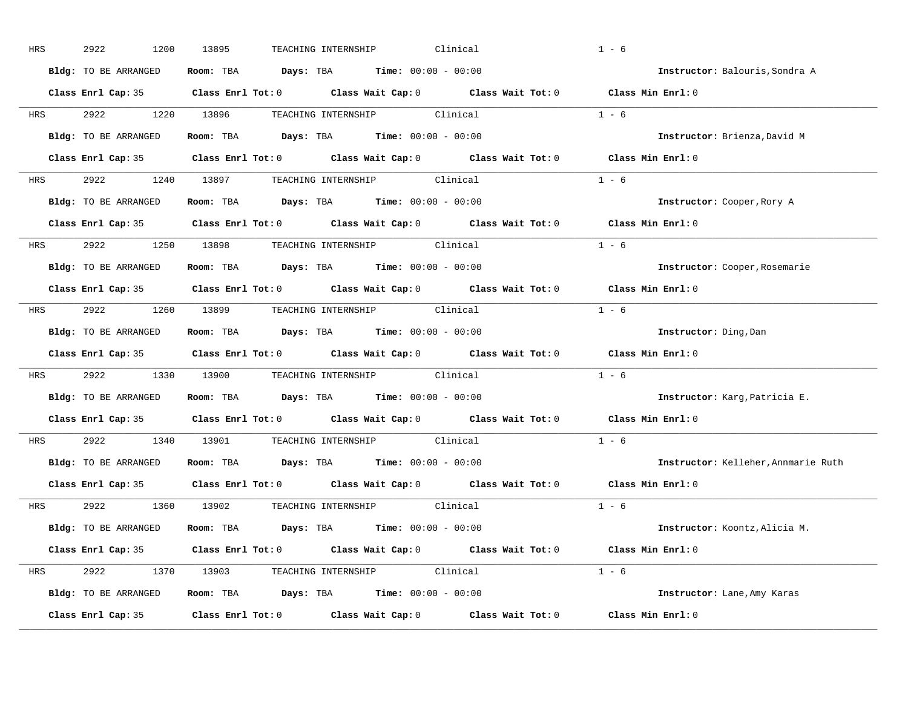| HRS        | 2922<br>1200         | 13895<br>Clinical<br>TEACHING INTERNSHIP                                                            | $1 - 6$                             |
|------------|----------------------|-----------------------------------------------------------------------------------------------------|-------------------------------------|
|            | Bldg: TO BE ARRANGED | Room: TBA $Days:$ TBA $Time: 00:00 - 00:00$                                                         | Instructor: Balouris, Sondra A      |
|            |                      | Class Enrl Cap: 35 Class Enrl Tot: 0 Class Wait Cap: 0 Class Wait Tot: 0 Class Min Enrl: 0          |                                     |
| <b>HRS</b> |                      | 2922 1220 13896 TEACHING INTERNSHIP Clinical                                                        | $1 - 6$                             |
|            | Bldg: TO BE ARRANGED | Room: TBA Days: TBA Time: $00:00 - 00:00$                                                           | Instructor: Brienza, David M        |
|            |                      | Class Enrl Cap: 35 Class Enrl Tot: 0 Class Wait Cap: 0 Class Wait Tot: 0 Class Min Enrl: 0          |                                     |
|            |                      | HRS 2922 1240 13897 TEACHING INTERNSHIP Clinical                                                    | $1 - 6$                             |
|            | Bldg: TO BE ARRANGED | Room: TBA Days: TBA Time: $00:00 - 00:00$                                                           | Instructor: Cooper, Rory A          |
|            |                      | Class Enrl Cap: 35 $\qquad$ Class Enrl Tot: 0 $\qquad$ Class Wait Cap: 0 $\qquad$ Class Wait Tot: 0 | Class Min Enrl: 0                   |
| <b>HRS</b> |                      | 2922 1250 13898 TEACHING INTERNSHIP Clinical                                                        | $1 - 6$                             |
|            | Bldg: TO BE ARRANGED | Room: TBA $Days:$ TBA $Time: 00:00 - 00:00$                                                         | Instructor: Cooper, Rosemarie       |
|            |                      | Class Enrl Cap: 35 Class Enrl Tot: 0 Class Wait Cap: 0 Class Wait Tot: 0                            | Class Min Enrl: 0                   |
| HRS        |                      | 2922 1260 13899 TEACHING INTERNSHIP Clinical                                                        | $1 - 6$                             |
|            | Bldg: TO BE ARRANGED | Room: TBA $\rule{1em}{0.15mm}$ Days: TBA Time: $00:00 - 00:00$                                      | Instructor: Ding, Dan               |
|            |                      | Class Enrl Cap: 35 Class Enrl Tot: 0 Class Wait Cap: 0 Class Wait Tot: 0                            | Class Min Enrl: 0                   |
| <b>HRS</b> |                      | 2922 1330 13900 TEACHING INTERNSHIP Clinical                                                        | $1 - 6$                             |
|            |                      | Bldg: TO BE ARRANGED ROOM: TBA Days: TBA Time: 00:00 - 00:00                                        | Instructor: Karg, Patricia E.       |
|            |                      | Class Enrl Cap: 35 Class Enrl Tot: 0 Class Wait Cap: 0 Class Wait Tot: 0                            | Class Min Enrl: 0                   |
| <b>HRS</b> |                      | 2922 1340 13901 TEACHING INTERNSHIP Clinical                                                        | $1 - 6$                             |
|            |                      |                                                                                                     |                                     |
|            | Bldg: TO BE ARRANGED | Room: TBA $Days:$ TBA $Time: 00:00 - 00:00$                                                         | Instructor: Kelleher, Annmarie Ruth |
|            |                      | Class Enrl Cap: 35 Class Enrl Tot: 0 Class Wait Cap: 0 Class Wait Tot: 0                            | Class Min Enrl: 0                   |
|            |                      | HRS 2922 1360 13902 TEACHING INTERNSHIP Clinical                                                    | $1 - 6$                             |
|            | Bldg: TO BE ARRANGED | Room: TBA $Days:$ TBA $Time: 00:00 - 00:00$                                                         | Instructor: Koontz, Alicia M.       |
|            |                      | Class Enrl Cap: 35 Class Enrl Tot: 0 Class Wait Cap: 0 Class Wait Tot: 0 Class Min Enrl: 0          |                                     |
|            |                      | HRS 2922 1370 13903 TEACHING INTERNSHIP Clinical                                                    | $1 - 6$                             |
|            | Bldg: TO BE ARRANGED | <b>Room:</b> TBA $\qquad \qquad$ Days: TBA $\qquad \qquad$ Time: $00:00 - 00:00$                    | Instructor: Lane, Amy Karas         |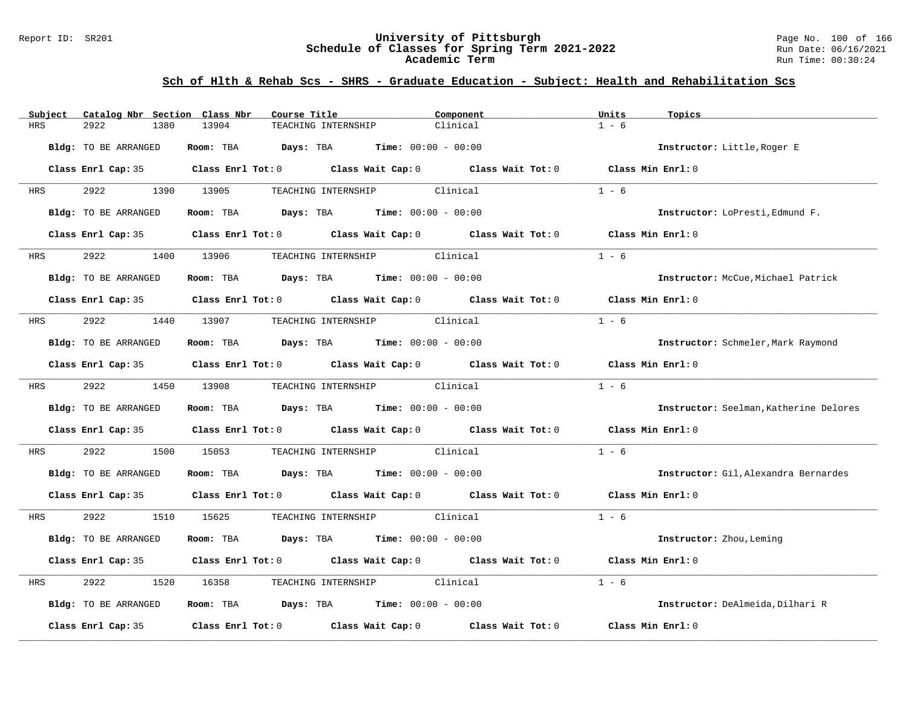#### Report ID: SR201 **University of Pittsburgh** Page No. 100 of 166 **Schedule of Classes for Spring Term 2021-2022** Run Date: 06/16/2021 **Academic Term** Run Time: 00:30:24

| Catalog Nbr Section Class Nbr<br>Subject | Course Title                                                                                        | Component | Units<br>Topics                        |
|------------------------------------------|-----------------------------------------------------------------------------------------------------|-----------|----------------------------------------|
| 2922<br>1380<br>HRS                      | 13904<br>TEACHING INTERNSHIP                                                                        | Clinical  | $1 - 6$                                |
| Bldg: TO BE ARRANGED                     | Room: TBA<br><b>Days:</b> TBA <b>Time:</b> $00:00 - 00:00$                                          |           | Instructor: Little, Roger E            |
|                                          | Class Enrl Cap: 35 Class Enrl Tot: 0 Class Wait Cap: 0 Class Wait Tot: 0 Class Min Enrl: 0          |           |                                        |
| 2922<br>HRS                              | 1390 13905<br>TEACHING INTERNSHIP Clinical                                                          |           | $1 - 6$                                |
| <b>Bldg:</b> TO BE ARRANGED              | <b>Room:</b> TBA <b>Days:</b> TBA <b>Time:</b> 00:00 - 00:00                                        |           | Instructor: LoPresti, Edmund F.        |
|                                          | Class Enrl Cap: 35 $\qquad$ Class Enrl Tot: 0 $\qquad$ Class Wait Cap: 0 $\qquad$ Class Wait Tot: 0 |           | Class Min Enrl: 0                      |
| 2922<br><b>HRS</b>                       | 1400 13906<br>TEACHING INTERNSHIP Clinical                                                          |           | $1 - 6$                                |
| Bldg: TO BE ARRANGED                     | Room: TBA $Days:$ TBA $Time: 00:00 - 00:00$                                                         |           | Instructor: McCue, Michael Patrick     |
|                                          | Class Enrl Cap: 35 Class Enrl Tot: 0 Class Wait Cap: 0 Class Wait Tot: 0                            |           | Class Min $Enr1:0$                     |
| 2922<br>HRS                              | 1440 13907<br>TEACHING INTERNSHIP Clinical                                                          |           | $1 - 6$                                |
| Bldg: TO BE ARRANGED                     | Room: TBA $Days:$ TBA $Time: 00:00 - 00:00$                                                         |           | Instructor: Schmeler, Mark Raymond     |
|                                          | Class Enrl Cap: 35 Class Enrl Tot: 0 Class Wait Cap: 0 Class Wait Tot: 0                            |           | Class Min Enrl: 0                      |
| 2922<br><b>HRS</b>                       | 1450 13908<br>TEACHING INTERNSHIP Clinical                                                          |           | $1 - 6$                                |
| Bldg: TO BE ARRANGED                     | Room: TBA $Days: TBA$ Time: $00:00 - 00:00$                                                         |           | Instructor: Seelman, Katherine Delores |
|                                          | Class Enrl Cap: 35 Class Enrl Tot: 0 Class Wait Cap: 0 Class Wait Tot: 0 Class Min Enrl: 0          |           |                                        |
| 2922<br>1500<br>HRS                      | 15053<br>TEACHING INTERNSHIP Clinical                                                               |           | $1 - 6$                                |
| Bldg: TO BE ARRANGED                     | Room: TBA $Days:$ TBA $Time: 00:00 - 00:00$                                                         |           | Instructor: Gil, Alexandra Bernardes   |
|                                          | Class Enrl Cap: 35 Class Enrl Tot: 0 Class Wait Cap: 0 Class Wait Tot: 0 Class Min Enrl: 0          |           |                                        |
| 2922<br>HRS                              | TEACHING INTERNSHIP Clinical<br>1510 15625                                                          |           | $1 - 6$                                |
| Bldg: TO BE ARRANGED                     | Room: TBA $Days:$ TBA $Time: 00:00 - 00:00$                                                         |           | Instructor: Zhou, Leming               |
|                                          | Class Enrl Cap: 35 Class Enrl Tot: 0 Class Wait Cap: 0 Class Wait Tot: 0                            |           | Class Min Enrl: 0                      |
| 2922<br>1520<br>HRS                      | TEACHING INTERNSHIP Clinical<br>16358                                                               |           | $1 - 6$                                |
| Bldg: TO BE ARRANGED                     | Room: TBA $\rule{1em}{0.15mm}$ Days: TBA $\rule{1.15mm}]{0.15mm}$ Time: $0.000 - 0.0000$            |           | Instructor: DeAlmeida, Dilhari R       |
| Class Enrl Cap: 35                       | Class Enrl Tot: $0$ Class Wait Cap: $0$ Class Wait Tot: $0$                                         |           | Class Min Enrl: 0                      |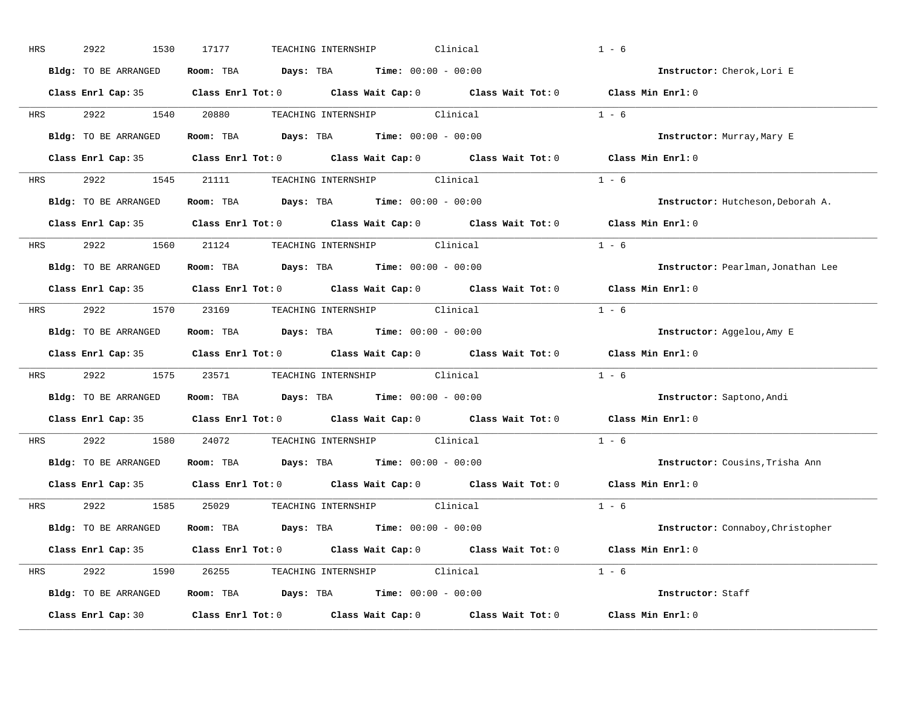| HRS        | 2922<br>1530         | 17177<br>TEACHING INTERNSHIP<br>Clinical                                                            | $1 - 6$                                  |
|------------|----------------------|-----------------------------------------------------------------------------------------------------|------------------------------------------|
|            | Bldg: TO BE ARRANGED | Room: TBA $Days:$ TBA $Time: 00:00 - 00:00$                                                         | Instructor: Cherok, Lori E               |
|            |                      | Class Enrl Cap: 35 Class Enrl Tot: 0 Class Wait Cap: 0 Class Wait Tot: 0 Class Min Enrl: 0          |                                          |
|            |                      | HRS 2922 1540 20880 TEACHING INTERNSHIP Clinical                                                    | $1 - 6$                                  |
|            | Bldg: TO BE ARRANGED | Room: TBA Days: TBA Time: $00:00 - 00:00$                                                           | Instructor: Murray, Mary E               |
|            |                      | Class Enrl Cap: 35 Class Enrl Tot: 0 Class Wait Cap: 0 Class Wait Tot: 0 Class Min Enrl: 0          |                                          |
|            |                      | HRS 2922 1545 21111 TEACHING INTERNSHIP Clinical                                                    | $1 - 6$                                  |
|            |                      | Bldg: TO BE ARRANGED Room: TBA Days: TBA Time: 00:00 - 00:00                                        | Instructor: Hutcheson, Deborah A.        |
|            |                      | Class Enrl Cap: 35 $\qquad$ Class Enrl Tot: 0 $\qquad$ Class Wait Cap: 0 $\qquad$ Class Wait Tot: 0 | Class Min Enrl: 0                        |
|            |                      | HRS 2922 1560 21124 TEACHING INTERNSHIP Clinical                                                    | $1 - 6$                                  |
|            | Bldg: TO BE ARRANGED | Room: TBA $Days:$ TBA $Time: 00:00 - 00:00$                                                         | Instructor: Pearlman, Jonathan Lee       |
|            |                      | Class Enrl Cap: 35 Class Enrl Tot: 0 Class Wait Cap: 0 Class Wait Tot: 0                            | Class Min $Enr1:0$                       |
|            |                      | HRS 2922 1570 23169 TEACHING_INTERNSHIP Clinical                                                    | $1 - 6$                                  |
|            | Bldg: TO BE ARRANGED | Room: TBA $\rule{1em}{0.15mm}$ Days: TBA Time: $00:00 - 00:00$                                      | Instructor: Aggelou, Amy E               |
|            |                      | Class Enrl Cap: 35 Class Enrl Tot: 0 Class Wait Cap: 0 Class Wait Tot: 0 Class Min Enrl: 0          |                                          |
| <b>HRS</b> |                      | 2922 1575 23571 TEACHING INTERNSHIP Clinical                                                        | $1 - 6$                                  |
|            |                      | Bldg: TO BE ARRANGED ROOM: TBA Days: TBA Time: 00:00 - 00:00                                        | Instructor: Saptono, Andi                |
|            |                      | Class Enrl Cap: 35 Class Enrl Tot: 0 Class Wait Cap: 0 Class Wait Tot: 0                            | Class Min Enrl: 0                        |
| <b>HRS</b> |                      | 2922 1580 24072 TEACHING INTERNSHIP Clinical                                                        | $1 - 6$                                  |
|            | Bldg: TO BE ARRANGED | Room: TBA $Days:$ TBA $Time: 00:00 - 00:00$                                                         | Instructor: Cousins, Trisha Ann          |
|            |                      | Class Enrl Cap: 35 Class Enrl Tot: 0 Class Wait Cap: 0 Class Wait Tot: 0                            | Class Min Enrl: 0                        |
|            |                      | HRS 2922 1585 25029 TEACHING INTERNSHIP Clinical                                                    | $1 - 6$                                  |
|            | Bldg: TO BE ARRANGED | Room: TBA $Days:$ TBA $Time: 00:00 - 00:00$                                                         | <b>Instructor:</b> Connaboy, Christopher |
|            |                      | Class Enrl Cap: 35 Class Enrl Tot: 0 Class Wait Cap: 0 Class Wait Tot: 0 Class Min Enrl: 0          |                                          |
|            |                      | HRS 2922 1590 26255 TEACHING INTERNSHIP Clinical                                                    | $1 - 6$                                  |
|            | Bldg: TO BE ARRANGED | Room: TBA $Days: TBA$ Time: $00:00 - 00:00$                                                         | Instructor: Staff                        |
|            | Class Enrl Cap: 30   | Class Enrl Tot: $0$ Class Wait Cap: $0$ Class Wait Tot: $0$ Class Min Enrl: $0$                     |                                          |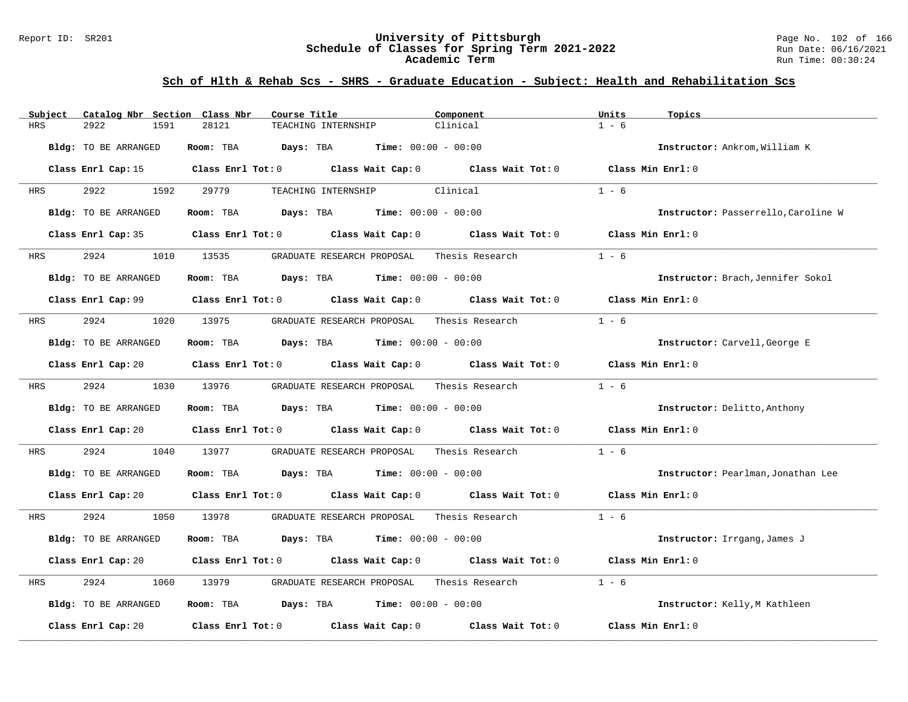#### Report ID: SR201 **University of Pittsburgh** Page No. 102 of 166 **Schedule of Classes for Spring Term 2021-2022** Run Date: 06/16/2021 **Academic Term** Run Time: 00:30:24

| Catalog Nbr Section Class Nbr<br>Subject | Course Title<br>Component                                                                           | Units                      | Topics                              |
|------------------------------------------|-----------------------------------------------------------------------------------------------------|----------------------------|-------------------------------------|
| <b>HRS</b><br>2922<br>1591               | 28121<br>Clinical<br>TEACHING INTERNSHIP                                                            | $1 - 6$                    |                                     |
| Bldg: TO BE ARRANGED                     | Room: TBA<br>Days: TBA<br><b>Time:</b> $00:00 - 00:00$                                              |                            | Instructor: Ankrom, William K       |
|                                          | Class Enrl Cap: 15 Class Enrl Tot: 0 Class Wait Cap: 0 Class Wait Tot: 0 Class Min Enrl: 0          |                            |                                     |
| 2922<br>1592<br>HRS                      | 29779<br>Clinical<br>TEACHING INTERNSHIP                                                            | $1 - 6$                    |                                     |
| Bldg: TO BE ARRANGED                     | Room: TBA $Days:$ TBA $Time: 00:00 - 00:00$                                                         |                            | Instructor: Passerrello, Caroline W |
| Class Enrl Cap: 35                       | Class Enrl Tot: 0 Class Wait Cap: 0                                                                 | Class Wait Tot: 0          | Class Min Enrl: 0                   |
| 2924<br>HRS                              | 1010 13535<br>GRADUATE RESEARCH PROPOSAL                                                            | $1 - 6$<br>Thesis Research |                                     |
| Bldg: TO BE ARRANGED                     | Room: TBA $Days:$ TBA $Time: 00:00 - 00:00$                                                         |                            | Instructor: Brach, Jennifer Sokol   |
|                                          | Class Enrl Cap: 99 $\qquad$ Class Enrl Tot: 0 $\qquad$ Class Wait Cap: 0 $\qquad$ Class Wait Tot: 0 |                            | Class Min Enrl: 0                   |
| 2924<br>1020<br>HRS                      | 13975<br>GRADUATE RESEARCH PROPOSAL                                                                 | Thesis Research<br>$1 - 6$ |                                     |
| Bldg: TO BE ARRANGED                     | Room: TBA $Days:$ TBA $Time: 00:00 - 00:00$                                                         |                            | Instructor: Carvell, George E       |
|                                          | Class Enrl Cap: 20 		 Class Enrl Tot: 0 		 Class Wait Cap: 0 		 Class Wait Tot: 0                   |                            | Class Min Enrl: 0                   |
| 2924<br>HRS                              | 1030 13976<br>GRADUATE RESEARCH PROPOSAL                                                            | $1 - 6$<br>Thesis Research |                                     |
| Bldg: TO BE ARRANGED                     | Room: TBA $Days:$ TBA $Time: 00:00 - 00:00$                                                         |                            | Instructor: Delitto, Anthony        |
| Class Enrl Cap: 20                       | Class Enrl Tot: $0$ Class Wait Cap: $0$ Class Wait Tot: $0$                                         |                            | Class Min Enrl: 0                   |
| 2924<br>HRS<br>1040                      | 13977<br>GRADUATE RESEARCH PROPOSAL                                                                 | Thesis Research<br>$1 - 6$ |                                     |
| Bldg: TO BE ARRANGED                     | Room: TBA $Days:$ TBA $Time: 00:00 - 00:00$                                                         |                            | Instructor: Pearlman, Jonathan Lee  |
|                                          | Class Enrl Cap: 20 $\qquad$ Class Enrl Tot: 0 $\qquad$ Class Wait Cap: 0 $\qquad$ Class Wait Tot: 0 |                            | Class Min Enrl: 0                   |
| 2924<br>1050<br>HRS                      | 13978<br>GRADUATE RESEARCH PROPOSAL Thesis Research                                                 | $1 - 6$                    |                                     |
| Bldg: TO BE ARRANGED                     | Room: TBA<br><b>Days:</b> TBA <b>Time:</b> $00:00 - 00:00$                                          |                            | Instructor: Irrgang, James J        |
| Class Enrl Cap: 20                       | Class Enrl Tot: 0 Class Wait Cap: 0 Class Wait Tot: 0                                               |                            | Class Min Enrl: 0                   |
| 2924<br>HRS<br>1060                      | GRADUATE RESEARCH PROPOSAL<br>13979                                                                 | $1 - 6$<br>Thesis Research |                                     |
| Bldg: TO BE ARRANGED                     | Room: TBA $\rule{1em}{0.15mm}$ Days: TBA $\rule{1.15mm}]{0.15mm}$ Time: $0.000 - 0.0000$            |                            | Instructor: Kelly, M Kathleen       |
| Class Enrl Cap: 20                       | Class Enrl Tot: $0$ Class Wait Cap: $0$ Class Wait Tot: $0$                                         |                            | Class Min Enrl: 0                   |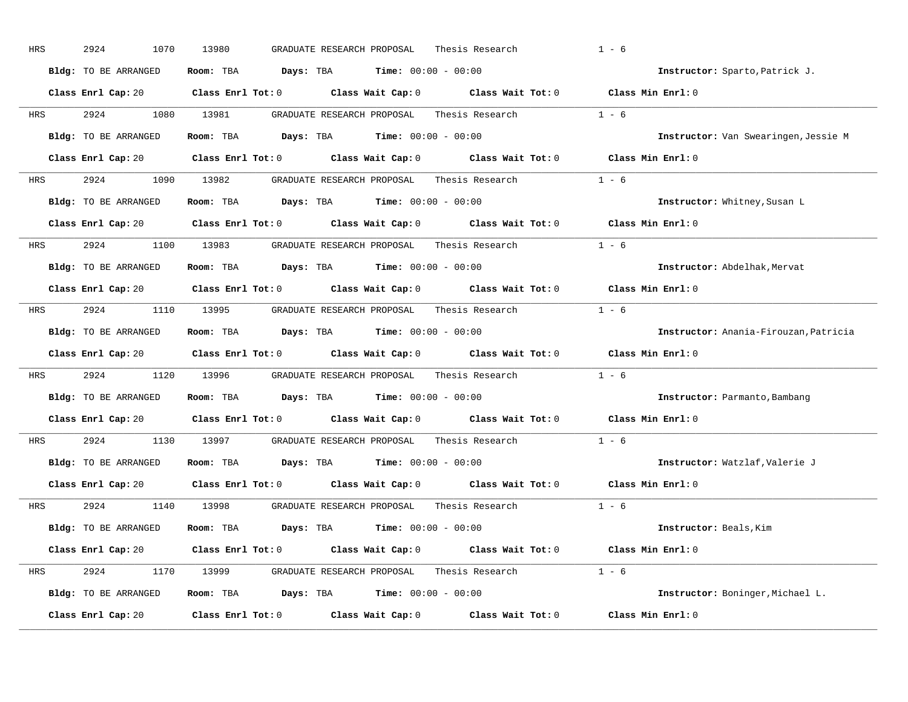| HRS | 2924<br>1070         | 13980<br>GRADUATE RESEARCH PROPOSAL<br>Thesis Research                                              | $1 - 6$                               |
|-----|----------------------|-----------------------------------------------------------------------------------------------------|---------------------------------------|
|     | Bldg: TO BE ARRANGED | Room: TBA $Days:$ TBA $Time: 00:00 - 00:00$                                                         | Instructor: Sparto, Patrick J.        |
|     |                      | Class Enrl Cap: 20 Class Enrl Tot: 0 Class Wait Cap: 0 Class Wait Tot: 0 Class Min Enrl: 0          |                                       |
| HRS | 2924                 | Thesis Research $1 - 6$<br>1080 13981<br>GRADUATE RESEARCH PROPOSAL                                 |                                       |
|     | Bldg: TO BE ARRANGED | Room: TBA $Days:$ TBA $Time: 00:00 - 00:00$                                                         | Instructor: Van Swearingen, Jessie M  |
|     |                      | Class Enrl Cap: 20 Class Enrl Tot: 0 Class Wait Cap: 0 Class Wait Tot: 0 Class Min Enrl: 0          |                                       |
| HRS |                      | 2924 1090 13982 GRADUATE RESEARCH PROPOSAL Thesis Research 1 - 6                                    |                                       |
|     | Bldg: TO BE ARRANGED | Room: TBA Days: TBA Time: $00:00 - 00:00$                                                           | Instructor: Whitney, Susan L          |
|     |                      | Class Enrl Cap: 20 $\qquad$ Class Enrl Tot: 0 $\qquad$ Class Wait Cap: 0 $\qquad$ Class Wait Tot: 0 | Class Min Enrl: 0                     |
| HRS |                      | 2924 1100 13983 GRADUATE RESEARCH PROPOSAL Thesis Research                                          | $1 - 6$                               |
|     | Bldg: TO BE ARRANGED | Room: TBA $Days:$ TBA $Time: 00:00 - 00:00$                                                         | Instructor: Abdelhak, Mervat          |
|     |                      | Class Enrl Cap: 20 $\qquad$ Class Enrl Tot: 0 $\qquad$ Class Wait Cap: 0 $\qquad$ Class Wait Tot: 0 | Class Min $Enr1:0$                    |
| HRS |                      |                                                                                                     | $1 - 6$                               |
|     | Bldg: TO BE ARRANGED | Room: TBA $Days:$ TBA $Time: 00:00 - 00:00$                                                         | Instructor: Anania-Firouzan, Patricia |
|     |                      | Class Enrl Cap: 20 $\qquad$ Class Enrl Tot: 0 $\qquad$ Class Wait Cap: 0 $\qquad$ Class Wait Tot: 0 | Class Min Enrl: 0                     |
| HRS | 2924                 | 1120 13996 GRADUATE RESEARCH PROPOSAL Thesis Research                                               | $1 - 6$                               |
|     | Bldg: TO BE ARRANGED | Room: TBA $Days:$ TBA $Time: 00:00 - 00:00$                                                         | Instructor: Parmanto, Bambang         |
|     |                      | Class Enrl Cap: 20 Class Enrl Tot: 0 Class Wait Cap: 0 Class Wait Tot: 0                            | Class Min Enrl: 0                     |
| HRS | 2924                 | 1130 13997<br>GRADUATE RESEARCH PROPOSAL<br>Thesis Research                                         | $1 - 6$                               |
|     | Bldg: TO BE ARRANGED | Room: TBA $Days:$ TBA Time: $00:00 - 00:00$                                                         | Instructor: Watzlaf, Valerie J        |
|     | Class Enrl Cap: 20   | Class Enrl Tot: $0$ Class Wait Cap: $0$ Class Wait Tot: $0$                                         | Class Min Enrl: 0                     |
| HRS | 2924                 | 1140 13998 GRADUATE RESEARCH PROPOSAL<br>Thesis Research                                            | $1 - 6$                               |
|     | Bldg: TO BE ARRANGED | Room: TBA $Days: TBA$ Time: $00:00 - 00:00$                                                         | Instructor: Beals, Kim                |
|     |                      | Class Enrl Cap: 20 Class Enrl Tot: 0 Class Wait Cap: 0 Class Wait Tot: 0 Class Min Enrl: 0          |                                       |
| HRS |                      | 2924 1170 13999 GRADUATE RESEARCH PROPOSAL Thesis Research 1 - 6                                    |                                       |
|     | Bldg: TO BE ARRANGED | Room: TBA $Days: TBA$ Time: $00:00 - 00:00$                                                         | Instructor: Boninger, Michael L.      |
|     | Class Enrl Cap: 20   | Class Enrl Tot: $0$ Class Wait Cap: $0$ Class Wait Tot: $0$                                         | Class Min Enrl: 0                     |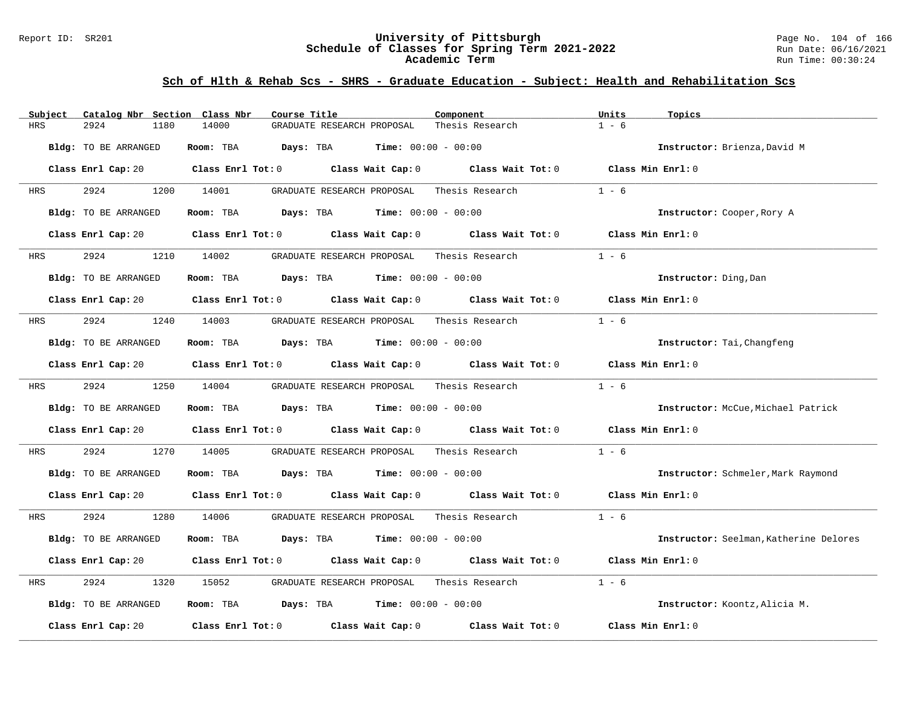#### Report ID: SR201 **University of Pittsburgh** Page No. 104 of 166 **Schedule of Classes for Spring Term 2021-2022** Run Date: 06/16/2021 **Academic Term** Run Time: 00:30:24

| Catalog Nbr Section Class Nbr<br>Subject | Course Title                                                                                                                   | Component                    | Units<br>Topics                        |
|------------------------------------------|--------------------------------------------------------------------------------------------------------------------------------|------------------------------|----------------------------------------|
| <b>HRS</b><br>2924<br>1180               | 14000<br>GRADUATE RESEARCH PROPOSAL                                                                                            | Thesis Research              | $1 - 6$                                |
| Bldg: TO BE ARRANGED                     | Room: TBA<br>Days: TBA                                                                                                         | <b>Time:</b> $00:00 - 00:00$ | Instructor: Brienza, David M           |
|                                          | Class Enrl Cap: 20 $\qquad$ Class Enrl Tot: 0 $\qquad$ Class Wait Cap: 0 $\qquad$ Class Wait Tot: 0 $\qquad$ Class Min Enrl: 0 |                              |                                        |
| 2924<br>HRS                              | 1200 14001<br>GRADUATE RESEARCH PROPOSAL                                                                                       | Thesis Research              | $1 - 6$                                |
| Bldg: TO BE ARRANGED                     | Room: TBA $Days:$ TBA $Time: 00:00 - 00:00$                                                                                    |                              | Instructor: Cooper, Rory A             |
|                                          | Class Enrl Cap: 20 $\qquad$ Class Enrl Tot: 0 $\qquad$ Class Wait Cap: 0 $\qquad$ Class Wait Tot: 0                            |                              | Class Min Enrl: 0                      |
| 2924<br>HRS                              | 1210 14002<br>GRADUATE RESEARCH PROPOSAL                                                                                       | Thesis Research              | $1 - 6$                                |
| Bldg: TO BE ARRANGED                     | Room: TBA $Days: TBA$ Time: $00:00 - 00:00$                                                                                    |                              | Instructor: Ding, Dan                  |
|                                          | Class Enrl Cap: 20 Class Enrl Tot: 0 Class Wait Cap: 0 Class Wait Tot: 0 Class Min Enrl: 0                                     |                              |                                        |
| 2924<br>HRS                              | 1240 14003<br>GRADUATE RESEARCH PROPOSAL                                                                                       | Thesis Research              | $1 - 6$                                |
| Bldg: TO BE ARRANGED                     | Room: TBA $Days:$ TBA $Time: 00:00 - 00:00$                                                                                    |                              | Instructor: Tai, Changfeng             |
|                                          | Class Enrl Cap: 20 $\qquad$ Class Enrl Tot: 0 $\qquad$ Class Wait Cap: 0 $\qquad$ Class Wait Tot: 0                            |                              | Class Min Enrl: 0                      |
| 2924<br><b>HRS</b>                       | 1250 14004<br>GRADUATE RESEARCH PROPOSAL                                                                                       | Thesis Research              | $1 - 6$                                |
| Bldg: TO BE ARRANGED                     | <b>Room:</b> TBA <b>Days:</b> TBA <b>Time:</b> 00:00 - 00:00                                                                   |                              | Instructor: McCue, Michael Patrick     |
|                                          | Class Enrl Cap: 20 $\qquad$ Class Enrl Tot: 0 $\qquad$ Class Wait Cap: 0 $\qquad$ Class Wait Tot: 0                            |                              | Class Min Enrl: 0                      |
| 2924<br>1270<br>HRS                      | 14005<br>GRADUATE RESEARCH PROPOSAL                                                                                            | Thesis Research              | $1 - 6$                                |
| Bldg: TO BE ARRANGED                     | Room: TBA $Days:$ TBA $Time: 00:00 - 00:00$                                                                                    |                              | Instructor: Schmeler, Mark Raymond     |
|                                          | Class Enrl Cap: 20 $\qquad$ Class Enrl Tot: 0 $\qquad$ Class Wait Cap: 0 $\qquad$ Class Wait Tot: 0 $\qquad$ Class Min Enrl: 0 |                              |                                        |
| 2924<br>1280<br>HRS                      | 14006<br>GRADUATE RESEARCH PROPOSAL Thesis Research                                                                            |                              | $1 - 6$                                |
| Bldg: TO BE ARRANGED                     | Room: TBA $Days:$ TBA $Time: 00:00 - 00:00$                                                                                    |                              | Instructor: Seelman, Katherine Delores |
|                                          | Class Enrl Cap: 20 Class Enrl Tot: 0 Class Wait Cap: 0 Class Wait Tot: 0                                                       |                              | Class Min Enrl: 0                      |
| 2924<br>HRS<br>1320                      | GRADUATE RESEARCH PROPOSAL<br>15052                                                                                            | Thesis Research              | $1 - 6$                                |
| Bldg: TO BE ARRANGED                     | Room: TBA $\rule{1em}{0.15mm}$ Days: TBA $\rule{1.5mm}{0.15mm}$ Time: $00:00 - 00:00$                                          |                              | Instructor: Koontz, Alicia M.          |
| Class Enrl Cap: 20                       | Class Enrl Tot: $0$ Class Wait Cap: $0$ Class Wait Tot: $0$                                                                    |                              | Class Min Enrl: 0                      |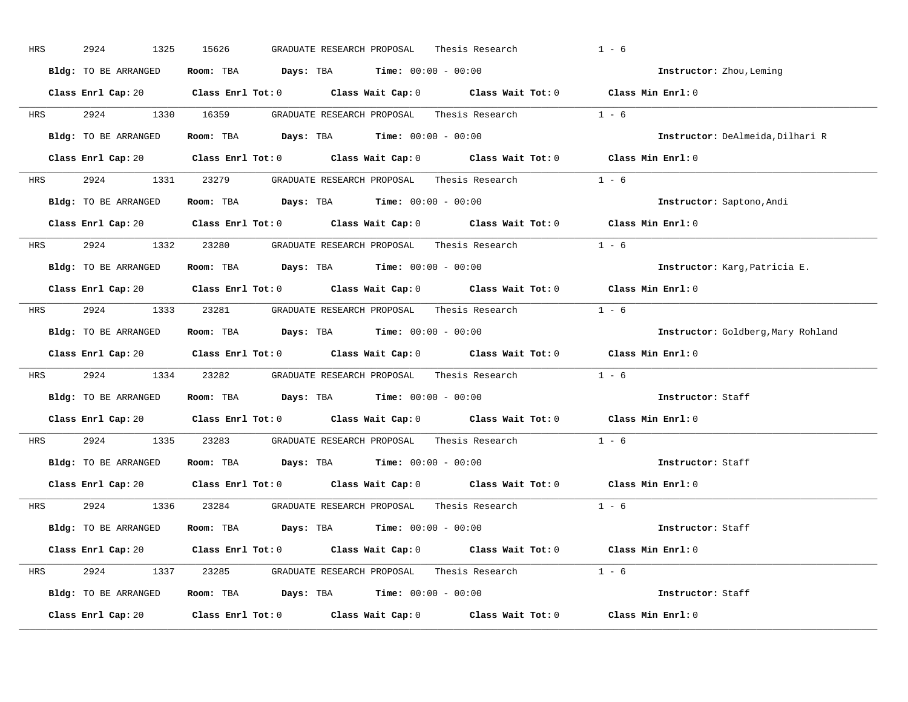| HRS        | 2924<br>1325         | 15626<br>GRADUATE RESEARCH PROPOSAL<br>Thesis Research                                              | $1 - 6$                            |
|------------|----------------------|-----------------------------------------------------------------------------------------------------|------------------------------------|
|            | Bldg: TO BE ARRANGED | Room: TBA $Days:$ TBA $Time: 00:00 - 00:00$                                                         | Instructor: Zhou, Leming           |
|            |                      | Class Enrl Cap: 20 Class Enrl Tot: 0 Class Wait Cap: 0 Class Wait Tot: 0 Class Min Enrl: 0          |                                    |
|            |                      | HRS 2924 1330 16359 GRADUATE RESEARCH PROPOSAL Thesis Research 1 - 6                                |                                    |
|            | Bldg: TO BE ARRANGED | Room: TBA $\rule{1em}{0.15mm}$ Days: TBA Time: $00:00 - 00:00$                                      | Instructor: DeAlmeida, Dilhari R   |
|            |                      | Class Enrl Cap: 20 Class Enrl Tot: 0 Class Wait Cap: 0 Class Wait Tot: 0 Class Min Enrl: 0          |                                    |
|            |                      | HRS 2924 1331 23279 GRADUATE RESEARCH PROPOSAL Thesis Research 1 - 6                                |                                    |
|            |                      | Bldg: TO BE ARRANGED Room: TBA Days: TBA Time: 00:00 - 00:00                                        | Instructor: Saptono, Andi          |
|            |                      | Class Enrl Cap: 20 Class Enrl Tot: 0 Class Wait Cap: 0 Class Wait Tot: 0 Class Min Enrl: 0          |                                    |
|            |                      | HRS 2924 1332 23280 GRADUATE RESEARCH PROPOSAL Thesis Research 1 - 6                                |                                    |
|            | Bldg: TO BE ARRANGED | Room: TBA $\rule{1em}{0.15mm}$ Days: TBA Time: $00:00 - 00:00$                                      | Instructor: Karg, Patricia E.      |
|            |                      | Class Enrl Cap: 20 Class Enrl Tot: 0 Class Wait Cap: 0 Class Wait Tot: 0 Class Min Enrl: 0          |                                    |
|            |                      | HRS 2924 1333 23281 GRADUATE RESEARCH PROPOSAL Thesis Research 1 - 6                                |                                    |
|            | Bldg: TO BE ARRANGED | Room: TBA $\rule{1em}{0.15mm}$ Days: TBA $\rule{1.5mm}{0.15mm}$ Time: $00:00 - 00:00$               | Instructor: Goldberg, Mary Rohland |
|            |                      | Class Enrl Cap: 20 Class Enrl Tot: 0 Class Wait Cap: 0 Class Wait Tot: 0 Class Min Enrl: 0          |                                    |
| <b>HRS</b> |                      | 2924 1334 23282 GRADUATE RESEARCH PROPOSAL Thesis Research 1 - 6                                    |                                    |
|            |                      | Bldg: TO BE ARRANGED Room: TBA Days: TBA Time: 00:00 - 00:00                                        | Instructor: Staff                  |
|            |                      | Class Enrl Cap: 20 $\qquad$ Class Enrl Tot: 0 $\qquad$ Class Wait Cap: 0 $\qquad$ Class Wait Tot: 0 | Class Min $Enr1:0$                 |
| <b>HRS</b> |                      | 2924 1335 23283 GRADUATE RESEARCH PROPOSAL Thesis Research                                          | $1 - 6$                            |
|            | Bldg: TO BE ARRANGED | Room: TBA $\rule{1em}{0.15mm}$ Days: TBA Time: $00:00 - 00:00$                                      | Instructor: Staff                  |
|            |                      | Class Enrl Cap: 20 Class Enrl Tot: 0 Class Wait Cap: 0 Class Wait Tot: 0 Class Min Enrl: 0          |                                    |
|            |                      | HRS 2924 1336 23284 GRADUATE RESEARCH PROPOSAL Thesis Research 1 - 6                                |                                    |
|            | Bldg: TO BE ARRANGED | Room: TBA $\rule{1em}{0.15mm}$ Days: TBA $\rule{1.5mm}{0.15mm}$ Time: $00:00 - 00:00$               | Instructor: Staff                  |
|            |                      | Class Enrl Cap: 20 Class Enrl Tot: 0 Class Wait Cap: 0 Class Wait Tot: 0 Class Min Enrl: 0          |                                    |
|            |                      | HRS 2924 1337 23285 GRADUATE RESEARCH PROPOSAL Thesis Research 1 - 6                                |                                    |
|            |                      | Bldg: TO BE ARRANGED Room: TBA Days: TBA Time: 00:00 - 00:00                                        | Instructor: Staff                  |
|            |                      | Class Enrl Cap: 20 Class Enrl Tot: 0 Class Wait Cap: 0 Class Wait Tot: 0 Class Min Enrl: 0          |                                    |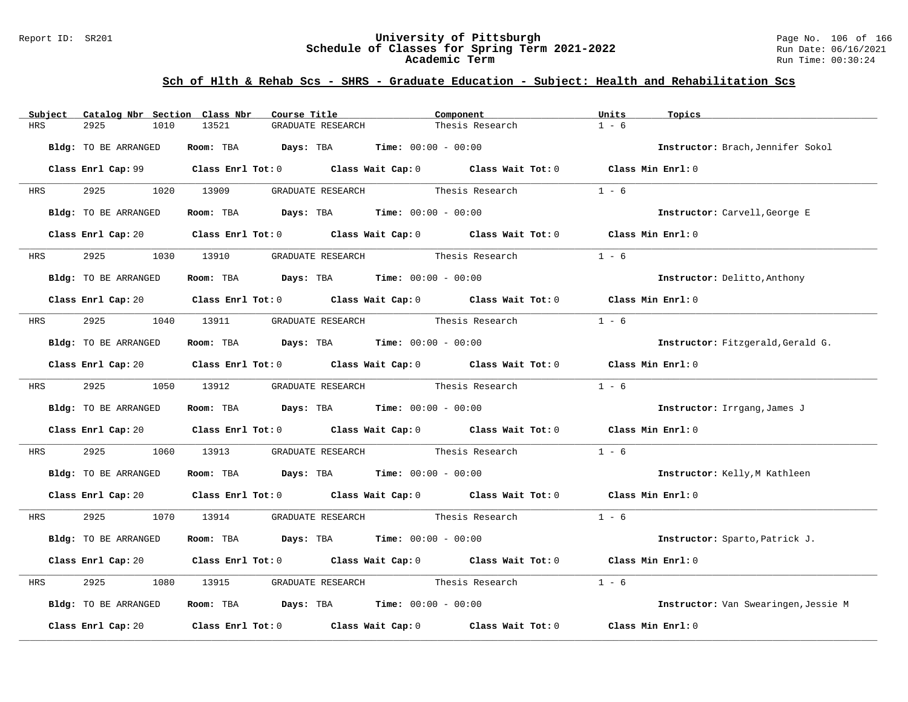#### Report ID: SR201 **University of Pittsburgh** Page No. 106 of 166 **Schedule of Classes for Spring Term 2021-2022** Run Date: 06/16/2021 **Academic Term** Run Time: 00:30:24

| Subject    | Catalog Nbr Section Class Nbr | Course Title                                                                                                                   | Component                    | Units<br>Topics                      |
|------------|-------------------------------|--------------------------------------------------------------------------------------------------------------------------------|------------------------------|--------------------------------------|
| <b>HRS</b> | 2925<br>1010                  | 13521<br>GRADUATE RESEARCH                                                                                                     | Thesis Research              | $1 - 6$                              |
|            | Bldg: TO BE ARRANGED          | Room: TBA<br>Days: TBA                                                                                                         | <b>Time:</b> $00:00 - 00:00$ | Instructor: Brach, Jennifer Sokol    |
|            |                               | Class Enrl Cap: 99 Class Enrl Tot: 0 Class Wait Cap: 0 Class Wait Tot: 0 Class Min Enrl: 0                                     |                              |                                      |
| HRS        | 2925                          | 1020 13909<br>GRADUATE RESEARCH Thesis Research                                                                                |                              | $1 - 6$                              |
|            | Bldg: TO BE ARRANGED          | Room: TBA $\rule{1em}{0.15mm}$ Days: TBA Time: $00:00 - 00:00$                                                                 |                              | Instructor: Carvell, George E        |
|            |                               | Class Enrl Cap: 20 		 Class Enrl Tot: 0 		 Class Wait Cap: 0 		 Class Wait Tot: 0                                              |                              | Class Min Enrl: 0                    |
| <b>HRS</b> | 2925                          | 1030 13910<br>GRADUATE RESEARCH Thesis Research                                                                                |                              | $1 - 6$                              |
|            | <b>Bldg:</b> TO BE ARRANGED   | <b>Room:</b> TBA <b>Days:</b> TBA <b>Time:</b> 00:00 - 00:00                                                                   |                              | Instructor: Delitto, Anthony         |
|            |                               | Class Enrl Cap: 20 $\qquad$ Class Enrl Tot: 0 $\qquad$ Class Wait Cap: 0 $\qquad$ Class Wait Tot: 0                            |                              | Class Min Enrl: 0                    |
| HRS        | 2925                          | 1040 13911 GRADUATE RESEARCH Thesis Research                                                                                   |                              | $1 - 6$                              |
|            | Bldg: TO BE ARRANGED          | Room: TBA $Days: TBA$ Time: $00:00 - 00:00$                                                                                    |                              | Instructor: Fitzgerald, Gerald G.    |
|            |                               | Class Enrl Cap: 20 $\qquad$ Class Enrl Tot: 0 $\qquad$ Class Wait Cap: 0 $\qquad$ Class Wait Tot: 0                            |                              | Class Min Enrl: 0                    |
| <b>HRS</b> | 2925 30                       | 1050 13912<br>GRADUATE RESEARCH Thesis Research                                                                                |                              | $1 - 6$                              |
|            | Bldg: TO BE ARRANGED          | Room: TBA $\rule{1em}{0.15mm}$ Days: TBA Time: $00:00 - 00:00$                                                                 |                              | Instructor: Irrgang, James J         |
|            |                               | Class Enrl Cap: 20 Class Enrl Tot: 0 Class Wait Cap: 0 Class Wait Tot: 0 Class Min Enrl: 0                                     |                              |                                      |
| HRS        | 2925<br>1060                  | GRADUATE RESEARCH Thesis Research<br>13913                                                                                     |                              | $1 - 6$                              |
|            | Bldg: TO BE ARRANGED          | Room: TBA $Days:$ TBA $Time: 00:00 - 00:00$                                                                                    |                              | Instructor: Kelly, M Kathleen        |
|            |                               | Class Enrl Cap: 20 $\qquad$ Class Enrl Tot: 0 $\qquad$ Class Wait Cap: 0 $\qquad$ Class Wait Tot: 0 $\qquad$ Class Min Enrl: 0 |                              |                                      |
| HRS        | 2925 7                        | 1070 13914 GRADUATE RESEARCH Thesis Research                                                                                   |                              | $1 - 6$                              |
|            | Bldg: TO BE ARRANGED          | Room: TBA $Days:$ TBA $Time: 00:00 - 00:00$                                                                                    |                              | Instructor: Sparto, Patrick J.       |
|            |                               | Class Enrl Cap: 20 Class Enrl Tot: 0 Class Wait Cap: 0 Class Wait Tot: 0                                                       |                              | Class Min Enrl: 0                    |
| HRS        | 2925<br>1080                  | GRADUATE RESEARCH<br>13915                                                                                                     | Thesis Research              | $1 - 6$                              |
|            | Bldg: TO BE ARRANGED          | Room: TBA $Days:$ TBA $Time: 00:00 - 00:00$                                                                                    |                              | Instructor: Van Swearingen, Jessie M |
|            | Class Enrl Cap: 20            | Class Enrl Tot: $0$ Class Wait Cap: $0$                                                                                        | Class Wait Tot: $0$          | Class Min Enrl: 0                    |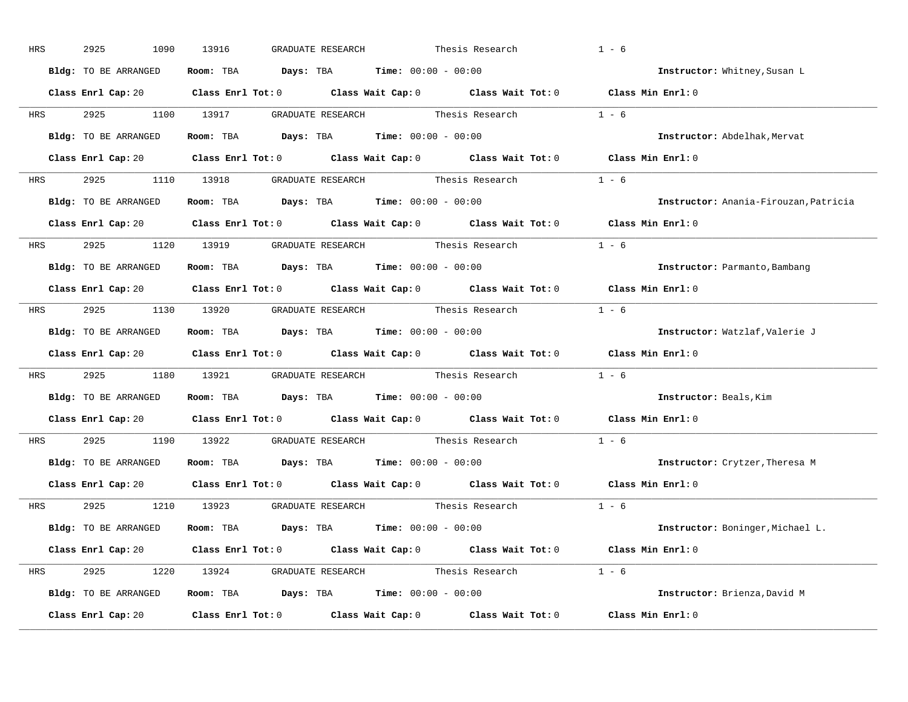| HRS        | 2925<br>1090         | 13916<br>GRADUATE RESEARCH                                                                          | Thesis Research | $1 - 6$                               |  |
|------------|----------------------|-----------------------------------------------------------------------------------------------------|-----------------|---------------------------------------|--|
|            | Bldg: TO BE ARRANGED | Room: TBA $Days:$ TBA $Time: 00:00 - 00:00$                                                         |                 | Instructor: Whitney, Susan L          |  |
|            |                      | Class Enrl Cap: 20 Class Enrl Tot: 0 Class Wait Cap: 0 Class Wait Tot: 0 Class Min Enrl: 0          |                 |                                       |  |
|            |                      |                                                                                                     |                 | $1 - 6$                               |  |
|            | Bldg: TO BE ARRANGED | Room: TBA $Days:$ TBA Time: $00:00 - 00:00$                                                         |                 | Instructor: Abdelhak, Mervat          |  |
|            |                      | Class Enrl Cap: 20 Class Enrl Tot: 0 Class Wait Cap: 0 Class Wait Tot: 0 Class Min Enrl: 0          |                 |                                       |  |
|            |                      | HRS 2925 1110 13918 GRADUATE RESEARCH Thesis Research 1 - 6                                         |                 |                                       |  |
|            |                      | Bldg: TO BE ARRANGED Room: TBA Days: TBA Time: 00:00 - 00:00                                        |                 | Instructor: Anania-Firouzan, Patricia |  |
|            |                      | Class Enrl Cap: 20 $\qquad$ Class Enrl Tot: 0 $\qquad$ Class Wait Cap: 0 $\qquad$ Class Wait Tot: 0 |                 | Class Min Enrl: 0                     |  |
|            |                      | HRS 2925 1120 13919 GRADUATE RESEARCH Thesis Research                                               |                 | $1 - 6$                               |  |
|            | Bldg: TO BE ARRANGED | Room: TBA $Days:$ TBA $Time: 00:00 - 00:00$                                                         |                 | Instructor: Parmanto, Bambang         |  |
|            |                      | Class Enrl Cap: 20 Class Enrl Tot: 0 Class Wait Cap: 0 Class Wait Tot: 0 Class Min Enrl: 0          |                 |                                       |  |
| HRS        |                      | 2925 1130 13920 GRADUATE RESEARCH Thesis Research 1 - 6                                             |                 |                                       |  |
|            | Bldg: TO BE ARRANGED | Room: TBA $Days:$ TBA $Time: 00:00 - 00:00$                                                         |                 | Instructor: Watzlaf, Valerie J        |  |
|            |                      | Class Enrl Cap: 20 Class Enrl Tot: 0 Class Wait Cap: 0 Class Wait Tot: 0 Class Min Enrl: 0          |                 |                                       |  |
| <b>HRS</b> |                      | 2925 1180 13921 GRADUATE RESEARCH Thesis Research 1 - 6                                             |                 |                                       |  |
|            | Bldg: TO BE ARRANGED | Room: TBA $Days:$ TBA $Time: 00:00 - 00:00$                                                         |                 | Instructor: Beals, Kim                |  |
|            |                      | Class Enrl Cap: 20 $\qquad$ Class Enrl Tot: 0 $\qquad$ Class Wait Cap: 0 $\qquad$ Class Wait Tot: 0 |                 | Class Min Enrl: 0                     |  |
| <b>HRS</b> |                      | 2925 1190 13922 GRADUATE RESEARCH Thesis Research                                                   |                 | $1 - 6$                               |  |
|            |                      | Bldg: TO BE ARRANGED Room: TBA Days: TBA Time: 00:00 - 00:00                                        |                 | Instructor: Crytzer, Theresa M        |  |
|            |                      | Class Enrl Cap: 20 $\qquad$ Class Enrl Tot: 0 $\qquad$ Class Wait Cap: 0 $\qquad$ Class Wait Tot: 0 |                 | Class Min Enrl: 0                     |  |
|            |                      | HRS 2925 1210 13923 GRADUATE RESEARCH Thesis Research 1 - 6                                         |                 |                                       |  |
|            | Bldg: TO BE ARRANGED | Room: TBA $Days:$ TBA $Time: 00:00 - 00:00$                                                         |                 | Instructor: Boninger, Michael L.      |  |
|            |                      | Class Enrl Cap: 20 Class Enrl Tot: 0 Class Wait Cap: 0 Class Wait Tot: 0 Class Min Enrl: 0          |                 |                                       |  |
|            |                      | HRS 2925 1220 13924 GRADUATE RESEARCH Thesis Research 1 - 6                                         |                 |                                       |  |
|            | Bldg: TO BE ARRANGED | Room: TBA $Days: TBA$ Time: $00:00 - 00:00$                                                         |                 | Instructor: Brienza, David M          |  |
|            | Class Enrl Cap: 20   | Class Enrl Tot: $0$ Class Wait Cap: $0$ Class Wait Tot: $0$ Class Min Enrl: $0$                     |                 |                                       |  |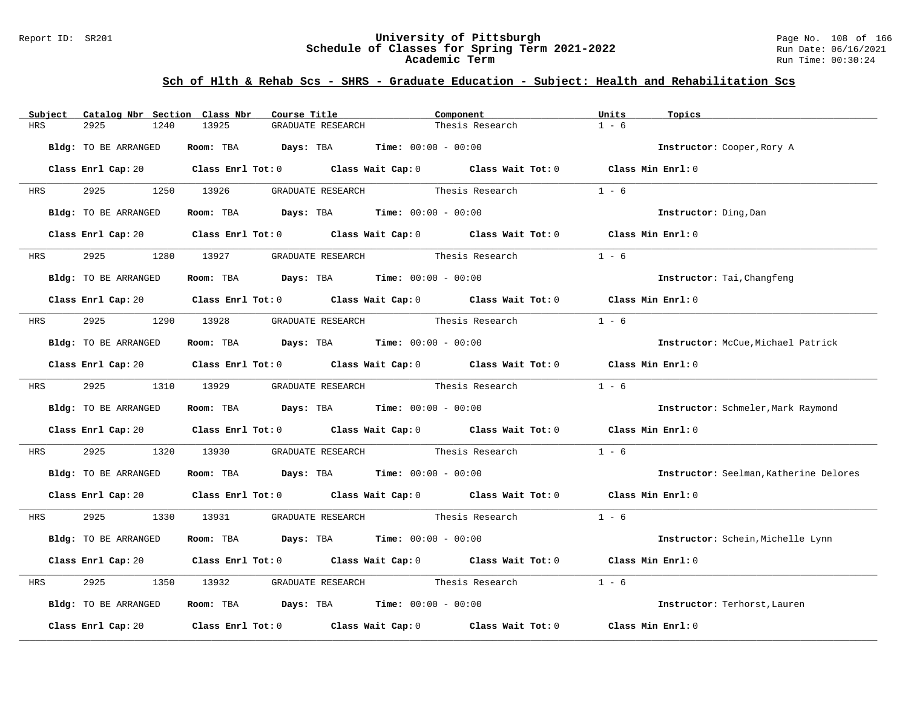#### Report ID: SR201 **University of Pittsburgh** Page No. 108 of 166 **Schedule of Classes for Spring Term 2021-2022** Run Date: 06/16/2021 **Academic Term** Run Time: 00:30:24

| Subject Catalog Nbr Section Class Nbr |               | Course Title                                                            |                                                                | Component                                                                                                                      |                   | Topics                                 |  |
|---------------------------------------|---------------|-------------------------------------------------------------------------|----------------------------------------------------------------|--------------------------------------------------------------------------------------------------------------------------------|-------------------|----------------------------------------|--|
| 2925<br>HRS                           | 13925<br>1240 | GRADUATE RESEARCH                                                       |                                                                | Thesis Research                                                                                                                |                   |                                        |  |
| Bldg: TO BE ARRANGED                  |               | Room: TBA $Days:$ TBA $Time: 00:00 - 00:00$                             |                                                                |                                                                                                                                |                   | Instructor: Cooper, Rory A             |  |
|                                       |               |                                                                         |                                                                | Class Enrl Cap: 20 Class Enrl Tot: 0 Class Wait Cap: 0 Class Wait Tot: 0 Class Min Enrl: 0                                     |                   |                                        |  |
| 2925<br><b>HRS</b>                    | 1250 13926    |                                                                         |                                                                | GRADUATE RESEARCH Thesis Research                                                                                              | $1 - 6$           |                                        |  |
| Bldg: TO BE ARRANGED                  |               | Room: TBA $Days:$ TBA $Time: 00:00 - 00:00$                             |                                                                |                                                                                                                                |                   | Instructor: Ding, Dan                  |  |
|                                       |               |                                                                         |                                                                | Class Enrl Cap: 20 $\qquad$ Class Enrl Tot: 0 $\qquad$ Class Wait Cap: 0 $\qquad$ Class Wait Tot: 0 $\qquad$ Class Min Enrl: 0 |                   |                                        |  |
| 2925<br><b>HRS</b>                    | 13927<br>1280 |                                                                         | GRADUATE RESEARCH Thesis Research                              |                                                                                                                                | $1 - 6$           |                                        |  |
| Bldg: TO BE ARRANGED                  |               | Room: TBA $\rule{1em}{0.15mm}$ Days: TBA $\qquad$ Time: $00:00 - 00:00$ |                                                                |                                                                                                                                |                   | Instructor: Tai, Changfeng             |  |
|                                       |               |                                                                         |                                                                | Class Enrl Cap: 20 Class Enrl Tot: 0 Class Wait Cap: 0 Class Wait Tot: 0 Class Min Enrl: 0                                     |                   |                                        |  |
| 2925 — 100<br>HRS                     |               | 1290 13928 GRADUATE RESEARCH Thesis Research                            |                                                                |                                                                                                                                | $1 - 6$           |                                        |  |
| Bldg: TO BE ARRANGED                  |               | Room: TBA $Days:$ TBA $Time: 00:00 - 00:00$                             |                                                                |                                                                                                                                |                   | Instructor: McCue, Michael Patrick     |  |
|                                       |               |                                                                         |                                                                | Class Enrl Cap: 20 Class Enrl Tot: 0 Class Wait Cap: 0 Class Wait Tot: 0 Class Min Enrl: 0                                     |                   |                                        |  |
| 2925<br><b>HRS</b>                    |               | 1310 13929 GRADUATE RESEARCH Thesis Research                            |                                                                |                                                                                                                                | $1 - 6$           |                                        |  |
| Bldg: TO BE ARRANGED                  |               |                                                                         | Room: TBA $\rule{1em}{0.15mm}$ Days: TBA Time: $00:00 - 00:00$ |                                                                                                                                |                   | Instructor: Schmeler, Mark Raymond     |  |
|                                       |               |                                                                         |                                                                | Class Enrl Cap: 20 $\qquad$ Class Enrl Tot: 0 $\qquad$ Class Wait Cap: 0 $\qquad$ Class Wait Tot: 0 $\qquad$ Class Min Enrl: 0 |                   |                                        |  |
| 2925<br>HRS                           | 1320 13930    |                                                                         |                                                                | GRADUATE RESEARCH Thesis Research                                                                                              | $1 - 6$           |                                        |  |
| Bldg: TO BE ARRANGED                  |               | Room: TBA $Days:$ TBA $Time: 00:00 - 00:00$                             |                                                                |                                                                                                                                |                   | Instructor: Seelman, Katherine Delores |  |
|                                       |               |                                                                         |                                                                | Class Enrl Cap: 20 Class Enrl Tot: 0 Class Wait Cap: 0 Class Wait Tot: 0 Class Min Enrl: 0                                     |                   |                                        |  |
| HRS 2925                              |               |                                                                         |                                                                | 1330 13931 GRADUATE RESEARCH Thesis Research                                                                                   | $1 - 6$           |                                        |  |
| Bldg: TO BE ARRANGED                  |               | Room: TBA $Days:$ TBA $Time: 00:00 - 00:00$                             |                                                                |                                                                                                                                |                   | Instructor: Schein, Michelle Lynn      |  |
|                                       |               |                                                                         |                                                                | Class Enrl Cap: 20 $\qquad$ Class Enrl Tot: 0 $\qquad$ Class Wait Cap: 0 $\qquad$ Class Wait Tot: 0 $\qquad$ Class Min Enrl: 0 |                   |                                        |  |
| 2925<br>HRS                           | 13932<br>1350 |                                                                         | GRADUATE RESEARCH Thesis Research                              |                                                                                                                                | $1 - 6$           |                                        |  |
| Bldg: TO BE ARRANGED                  |               |                                                                         |                                                                | Room: TBA $Days:$ TBA $Time: 00:00 - 00:00$                                                                                    |                   | Instructor: Terhorst, Lauren           |  |
|                                       |               |                                                                         |                                                                | Class Enrl Cap: 20 $\qquad$ Class Enrl Tot: 0 $\qquad$ Class Wait Cap: 0 $\qquad$ Class Wait Tot: 0                            | Class Min Enrl: 0 |                                        |  |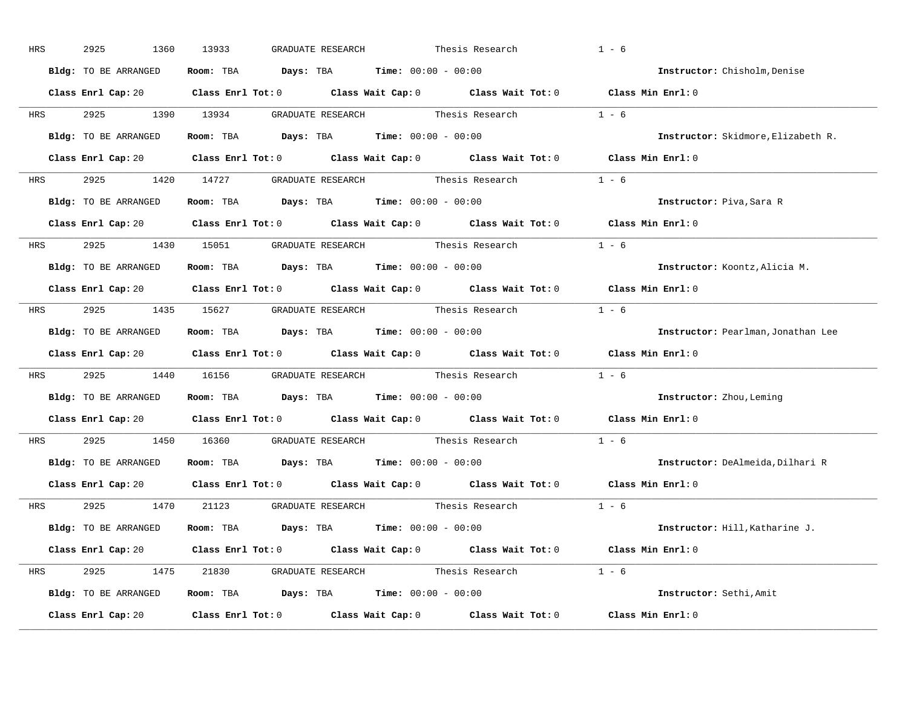| HRS        | 2925<br>1360         | 13933<br>GRADUATE RESEARCH                                                                          | Thesis Research | $1 - 6$                            |
|------------|----------------------|-----------------------------------------------------------------------------------------------------|-----------------|------------------------------------|
|            | Bldg: TO BE ARRANGED | Room: TBA $Days:$ TBA $Time: 00:00 - 00:00$                                                         |                 | Instructor: Chisholm, Denise       |
|            |                      | Class Enrl Cap: 20 Class Enrl Tot: 0 Class Wait Cap: 0 Class Wait Tot: 0 Class Min Enrl: 0          |                 |                                    |
|            |                      |                                                                                                     |                 | $1 - 6$                            |
|            | Bldg: TO BE ARRANGED | Room: TBA $Days:$ TBA Time: $00:00 - 00:00$                                                         |                 | Instructor: Skidmore, Elizabeth R. |
|            |                      | Class Enrl Cap: 20 Class Enrl Tot: 0 Class Wait Cap: 0 Class Wait Tot: 0 Class Min Enrl: 0          |                 |                                    |
|            |                      | HRS 2925 1420 14727 GRADUATE RESEARCH Thesis Research 1 - 6                                         |                 |                                    |
|            | Bldg: TO BE ARRANGED | Room: TBA $Days:$ TBA $Time: 00:00 - 00:00$                                                         |                 | Instructor: Piva, Sara R           |
|            |                      | Class Enrl Cap: 20 Class Enrl Tot: 0 Class Wait Cap: 0 Class Wait Tot: 0 Class Min Enrl: 0          |                 |                                    |
|            |                      | HRS 2925 1430 15051 GRADUATE RESEARCH Thesis Research                                               |                 | $1 - 6$                            |
|            | Bldg: TO BE ARRANGED | Room: TBA $Days:$ TBA $Time: 00:00 - 00:00$                                                         |                 | Instructor: Koontz, Alicia M.      |
|            |                      | Class Enrl Cap: 20 Class Enrl Tot: 0 Class Wait Cap: 0 Class Wait Tot: 0 Class Min Enrl: 0          |                 |                                    |
| HRS        |                      | 2925 1435 15627 GRADUATE RESEARCH Thesis Research 1 - 6                                             |                 |                                    |
|            | Bldg: TO BE ARRANGED | Room: TBA $Days:$ TBA $Time: 00:00 - 00:00$                                                         |                 | Instructor: Pearlman, Jonathan Lee |
|            |                      | Class Enrl Cap: 20 Class Enrl Tot: 0 Class Wait Cap: 0 Class Wait Tot: 0 Class Min Enrl: 0          |                 |                                    |
| <b>HRS</b> |                      | 2925 1440 16156 GRADUATE RESEARCH Thesis Research 1 - 6                                             |                 |                                    |
|            | Bldg: TO BE ARRANGED | Room: TBA $Days:$ TBA $Time: 00:00 - 00:00$                                                         |                 | Instructor: Zhou, Leming           |
|            |                      | Class Enrl Cap: 20 $\qquad$ Class Enrl Tot: 0 $\qquad$ Class Wait Cap: 0 $\qquad$ Class Wait Tot: 0 |                 | Class Min Enrl: 0                  |
| <b>HRS</b> |                      | 2925 1450 16360 GRADUATE RESEARCH Thesis Research                                                   |                 | $1 - 6$                            |
|            |                      | Bldg: TO BE ARRANGED ROOM: TBA Days: TBA Time: 00:00 - 00:00                                        |                 | Instructor: DeAlmeida, Dilhari R   |
|            |                      | Class Enrl Cap: 20 $\qquad$ Class Enrl Tot: 0 $\qquad$ Class Wait Cap: 0 $\qquad$ Class Wait Tot: 0 |                 | Class Min Enrl: 0                  |
|            |                      | HRS 2925 1470 21123 GRADUATE RESEARCH Thesis Research 1 - 6                                         |                 |                                    |
|            | Bldg: TO BE ARRANGED | Room: TBA $Days:$ TBA $Time: 00:00 - 00:00$                                                         |                 | Instructor: Hill, Katharine J.     |
|            |                      | Class Enrl Cap: 20 Class Enrl Tot: 0 Class Wait Cap: 0 Class Wait Tot: 0 Class Min Enrl: 0          |                 |                                    |
|            |                      | HRS 2925 1475 21830 GRADUATE RESEARCH Thesis Research 1 - 6                                         |                 |                                    |
|            | Bldg: TO BE ARRANGED | Room: TBA $Days: TBA$ Time: $00:00 - 00:00$                                                         |                 | Instructor: Sethi, Amit            |
|            | Class Enrl Cap: 20   | Class Enrl Tot: $0$ Class Wait Cap: $0$ Class Wait Tot: $0$ Class Min Enrl: $0$                     |                 |                                    |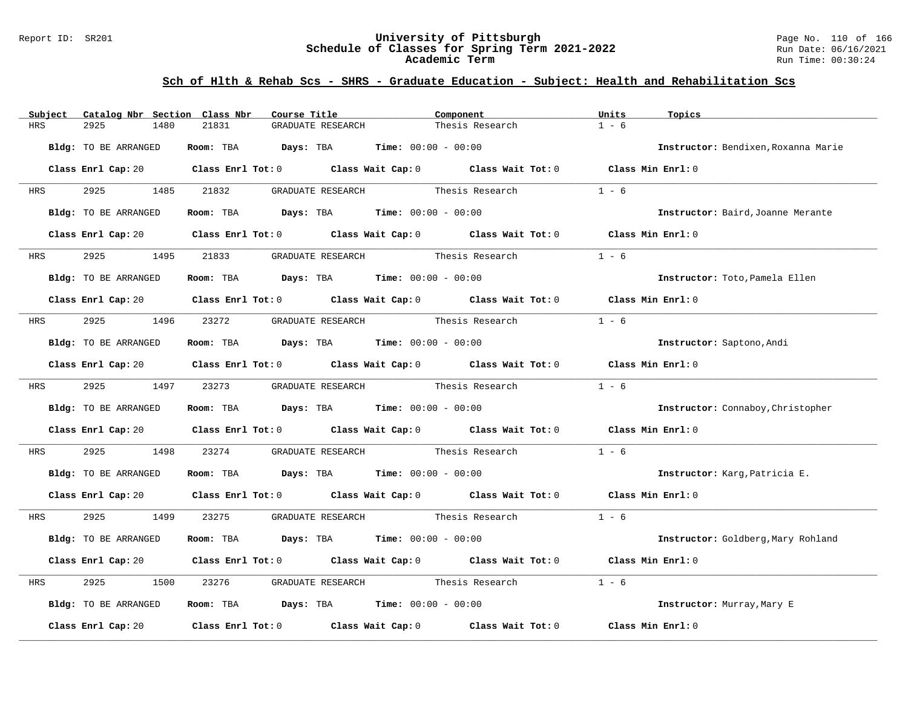### Report ID: SR201 **University of Pittsburgh** Page No. 110 of 166 **Schedule of Classes for Spring Term 2021-2022** Run Date: 06/16/2021 **Academic Term** Run Time: 00:30:24

| Subject    | Catalog Nbr Section Class Nbr | Course Title                                                 | Component                                                                                                                      | Units<br>Topics                     |
|------------|-------------------------------|--------------------------------------------------------------|--------------------------------------------------------------------------------------------------------------------------------|-------------------------------------|
| <b>HRS</b> | 2925<br>1480                  | 21831<br>GRADUATE RESEARCH                                   | Thesis Research                                                                                                                | $1 - 6$                             |
|            | Bldg: TO BE ARRANGED          | Room: TBA $Days:$ TBA $Time: 00:00 - 00:00$                  |                                                                                                                                | Instructor: Bendixen, Roxanna Marie |
|            |                               |                                                              | Class Enrl Cap: 20 $\qquad$ Class Enrl Tot: 0 $\qquad$ Class Wait Cap: 0 $\qquad$ Class Wait Tot: 0 $\qquad$ Class Min Enrl: 0 |                                     |
| HRS        | 2925 1485                     | 21832<br>GRADUATE RESEARCH                                   | Thesis Research                                                                                                                | $1 - 6$                             |
|            | Bldg: TO BE ARRANGED          | Room: TBA $Days:$ TBA $Time: 00:00 - 00:00$                  |                                                                                                                                | Instructor: Baird, Joanne Merante   |
|            |                               |                                                              | Class Enrl Cap: 20 $\qquad$ Class Enrl Tot: 0 $\qquad$ Class Wait Cap: 0 $\qquad$ Class Wait Tot: 0                            | Class Min Enrl: 0                   |
| <b>HRS</b> | 2925 7<br>1495                | 21833                                                        | GRADUATE RESEARCH Thesis Research                                                                                              | $1 - 6$                             |
|            | Bldg: TO BE ARRANGED          | Room: TBA $Days:$ TBA $Time: 00:00 - 00:00$                  |                                                                                                                                | Instructor: Toto, Pamela Ellen      |
|            |                               |                                                              | Class Enrl Cap: 20 $\qquad$ Class Enrl Tot: 0 $\qquad$ Class Wait Cap: 0 $\qquad$ Class Wait Tot: 0 $\qquad$ Class Min Enrl: 0 |                                     |
| <b>HRS</b> |                               | 2925 1496 23272 GRADUATE RESEARCH Thesis Research            |                                                                                                                                | $1 - 6$                             |
|            | Bldg: TO BE ARRANGED          | Room: TBA $Days:$ TBA $Time: 00:00 - 00:00$                  |                                                                                                                                | Instructor: Saptono, Andi           |
|            |                               |                                                              | Class Enrl Cap: 20 $\qquad$ Class Enrl Tot: 0 $\qquad$ Class Wait Cap: 0 $\qquad$ Class Wait Tot: 0 $\qquad$ Class Min Enrl: 0 |                                     |
|            | HRS 2925 1497 23273           |                                                              | GRADUATE RESEARCH Thesis Research                                                                                              | $1 - 6$                             |
|            | Bldg: TO BE ARRANGED          | Room: TBA $Days:$ TBA $Time: 00:00 - 00:00$                  |                                                                                                                                | Instructor: Connaboy, Christopher   |
|            |                               |                                                              | Class Enrl Cap: 20 $\qquad$ Class Enrl Tot: 0 $\qquad$ Class Wait Cap: 0 $\qquad$ Class Wait Tot: 0 $\qquad$ Class Min Enrl: 0 |                                     |
| HRS        | 2925<br>1498                  | 23274                                                        | GRADUATE RESEARCH Thesis Research                                                                                              | $1 - 6$                             |
|            | Bldg: TO BE ARRANGED          | <b>Room:</b> TBA <b>Days:</b> TBA <b>Time:</b> 00:00 - 00:00 |                                                                                                                                | Instructor: Karg, Patricia E.       |
|            |                               |                                                              | Class Enrl Cap: 20 $\qquad$ Class Enrl Tot: 0 $\qquad$ Class Wait Cap: 0 $\qquad$ Class Wait Tot: 0 $\qquad$ Class Min Enrl: 0 |                                     |
|            | HRS 2925 1499                 | 23275                                                        |                                                                                                                                | $1 - 6$                             |
|            | Bldg: TO BE ARRANGED          | Room: TBA $Days:$ TBA $Time: 00:00 - 00:00$                  |                                                                                                                                | Instructor: Goldberg, Mary Rohland  |
|            |                               |                                                              | Class Enrl Cap: 20 Class Enrl Tot: 0 Class Wait Cap: 0 Class Wait Tot: 0 Class Min Enrl: 0                                     |                                     |
| HRS        | 2925<br>1500                  | 23276                                                        | GRADUATE RESEARCH Thesis Research                                                                                              | $1 - 6$                             |
|            | Bldg: TO BE ARRANGED          | Room: TBA $Days:$ TBA $Time: 00:00 - 00:00$                  |                                                                                                                                | Instructor: Murray, Mary E          |
|            | Class Enrl Cap: 20            |                                                              | Class Enrl Tot: $0$ Class Wait Cap: $0$ Class Wait Tot: $0$                                                                    | Class Min Enrl: 0                   |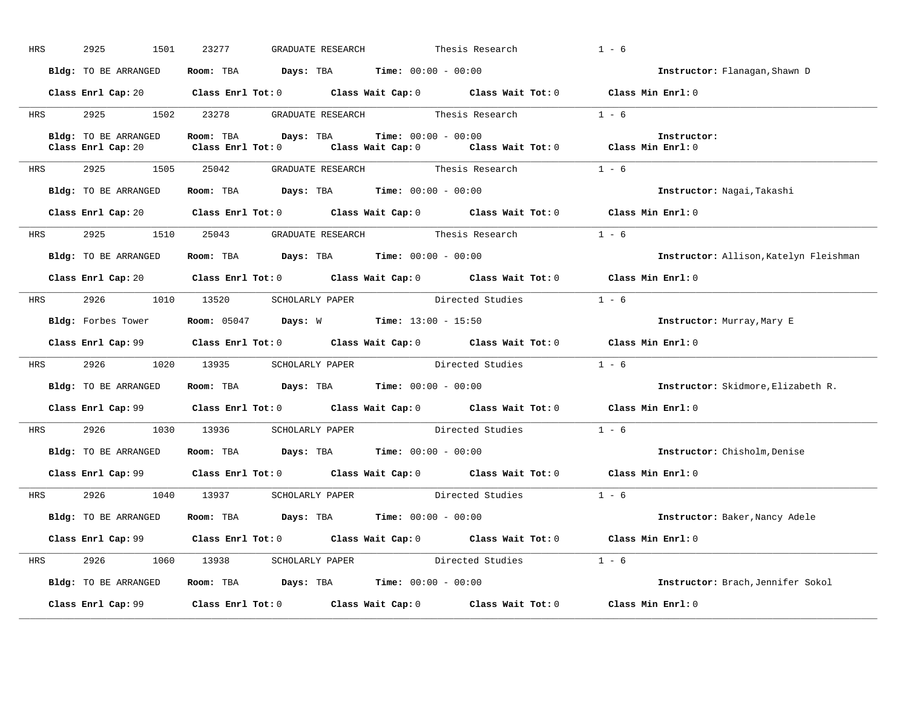| HRS        | 2925<br>1501                               | 23277 | GRADUATE RESEARCH                                                                     |                              | Thesis Research                                                                            | $1 - 6$                                |
|------------|--------------------------------------------|-------|---------------------------------------------------------------------------------------|------------------------------|--------------------------------------------------------------------------------------------|----------------------------------------|
|            | Bldg: TO BE ARRANGED                       |       | Room: TBA $Days:$ TBA $Time: 00:00 - 00:00$                                           |                              |                                                                                            | Instructor: Flanagan, Shawn D          |
|            |                                            |       |                                                                                       |                              | Class Enrl Cap: 20 Class Enrl Tot: 0 Class Wait Cap: 0 Class Wait Tot: 0 Class Min Enrl: 0 |                                        |
|            |                                            |       |                                                                                       |                              | HRS 2925 1502 23278 GRADUATE RESEARCH Thesis Research 1 - 6                                |                                        |
|            | Bldg: TO BE ARRANGED<br>Class Enrl Cap: 20 |       | Room: TBA Days: TBA                                                                   | <b>Time:</b> $00:00 - 00:00$ | Class Enrl Tot: 0 Class Wait Cap: 0 Class Wait Tot: 0 Class Min Enrl: 0                    | Instructor:                            |
| <b>HRS</b> |                                            |       | 2925 1505 25042 GRADUATE RESEARCH Thesis Research                                     |                              |                                                                                            | $1 - 6$                                |
|            |                                            |       | Bldg: TO BE ARRANGED Room: TBA Days: TBA Time: 00:00 - 00:00                          |                              |                                                                                            | Instructor: Nagai, Takashi             |
|            |                                            |       |                                                                                       |                              | Class Enrl Cap: 20 Class Enrl Tot: 0 Class Wait Cap: 0 Class Wait Tot: 0 Class Min Enrl: 0 |                                        |
|            |                                            |       | HRS 2925 1510 25043 GRADUATE RESEARCH Thesis Research                                 |                              |                                                                                            | $1 - 6$                                |
|            | Bldg: TO BE ARRANGED                       |       | Room: TBA $Days:$ TBA $Time: 00:00 - 00:00$                                           |                              |                                                                                            | Instructor: Allison, Katelyn Fleishman |
|            |                                            |       |                                                                                       |                              | Class Enrl Cap: 20 Class Enrl Tot: 0 Class Wait Cap: 0 Class Wait Tot: 0 Class Min Enrl: 0 |                                        |
|            |                                            |       |                                                                                       |                              | HRS 2926 1010 13520 SCHOLARLY PAPER Directed Studies 1 - 6                                 |                                        |
|            |                                            |       | Bldg: Forbes Tower Room: 05047 Days: W Time: 13:00 - 15:50                            |                              |                                                                                            | Instructor: Murray, Mary E             |
|            |                                            |       |                                                                                       |                              |                                                                                            |                                        |
|            |                                            |       |                                                                                       |                              | Class Enrl Cap: 99 Class Enrl Tot: 0 Class Wait Cap: 0 Class Wait Tot: 0 Class Min Enrl: 0 |                                        |
|            |                                            |       |                                                                                       |                              | HRS $2926$ 1020 13935 SCHOLARLY PAPER Directed Studies 1 - 6                               |                                        |
|            | Bldg: TO BE ARRANGED                       |       | Room: TBA $Days:$ TBA $Time: 00:00 - 00:00$                                           |                              |                                                                                            | Instructor: Skidmore, Elizabeth R.     |
|            |                                            |       |                                                                                       |                              | Class Enrl Cap: 99 Class Enrl Tot: 0 Class Wait Cap: 0 Class Wait Tot: 0 Class Min Enrl: 0 |                                        |
| <b>HRS</b> |                                            |       |                                                                                       |                              | 2926 1030 13936 SCHOLARLY PAPER Directed Studies 1 - 6                                     |                                        |
|            | Bldg: TO BE ARRANGED                       |       | Room: TBA $Days$ : TBA Time: $00:00 - 00:00$                                          |                              |                                                                                            | Instructor: Chisholm, Denise           |
|            |                                            |       |                                                                                       |                              | Class Enrl Cap: 99 Class Enrl Tot: 0 Class Wait Cap: 0 Class Wait Tot: 0 Class Min Enrl: 0 |                                        |
| <b>HRS</b> |                                            |       |                                                                                       |                              | 2926 1040 13937 SCHOLARLY PAPER Directed Studies 1 - 6                                     |                                        |
|            | Bldg: TO BE ARRANGED                       |       | Room: TBA $\rule{1em}{0.15mm}$ Days: TBA $\rule{1.5mm}{0.15mm}$ Time: $00:00 - 00:00$ |                              |                                                                                            | Instructor: Baker, Nancy Adele         |
|            |                                            |       |                                                                                       |                              | Class Enrl Cap: 99 Class Enrl Tot: 0 Class Wait Cap: 0 Class Wait Tot: 0 Class Min Enrl: 0 |                                        |
|            |                                            |       |                                                                                       |                              | HRS 2926 1060 13938 SCHOLARLY PAPER Directed Studies 1 - 6                                 |                                        |
|            | Bldg: TO BE ARRANGED                       |       | Room: TBA $Days: TBA$ Time: $00:00 - 00:00$                                           |                              |                                                                                            | Instructor: Brach, Jennifer Sokol      |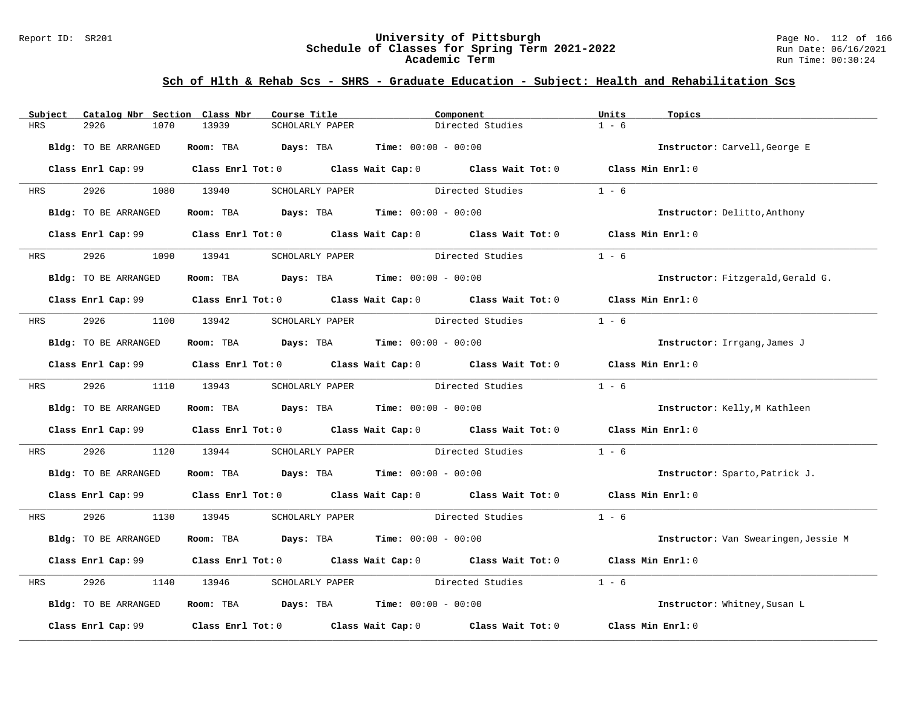### Report ID: SR201 **University of Pittsburgh** Page No. 112 of 166 **Schedule of Classes for Spring Term 2021-2022** Run Date: 06/16/2021 **Academic Term** Run Time: 00:30:24

| Subject    | Catalog Nbr Section Class Nbr | Course Title                                                                          | Component                                                                                           | Units<br>Topics                      |
|------------|-------------------------------|---------------------------------------------------------------------------------------|-----------------------------------------------------------------------------------------------------|--------------------------------------|
| HRS        | 2926<br>1070                  | 13939<br>SCHOLARLY PAPER                                                              | Directed Studies                                                                                    | $1 - 6$                              |
|            | Bldg: TO BE ARRANGED          | <b>Room:</b> TBA <b>Days:</b> TBA <b>Time:</b> 00:00 - 00:00                          |                                                                                                     | Instructor: Carvell, George E        |
|            |                               |                                                                                       | Class Enrl Cap: 99 Class Enrl Tot: 0 Class Wait Cap: 0 Class Wait Tot: 0 Class Min Enrl: 0          |                                      |
| HRS        | 2926 2012                     | 1080 13940<br>SCHOLARLY PAPER                                                         | Directed Studies                                                                                    | $1 - 6$                              |
|            | Bldg: TO BE ARRANGED          | Room: TBA $Days:$ TBA $Time: 00:00 - 00:00$                                           |                                                                                                     | Instructor: Delitto, Anthony         |
|            |                               |                                                                                       | Class Enrl Cap: 99 Class Enrl Tot: 0 Class Wait Cap: 0 Class Wait Tot: 0 Class Min Enrl: 0          |                                      |
| HRS        | 2926                          | 1090 13941<br>SCHOLARLY PAPER                                                         | Directed Studies                                                                                    | $1 - 6$                              |
|            | Bldg: TO BE ARRANGED          | Room: TBA $Days:$ TBA $Time: 00:00 - 00:00$                                           |                                                                                                     | Instructor: Fitzgerald, Gerald G.    |
|            |                               |                                                                                       | Class Enrl Cap: 99 Class Enrl Tot: 0 Class Wait Cap: 0 Class Wait Tot: 0 Class Min Enrl: 0          |                                      |
| HRS        | 2926                          | 1100 13942<br>SCHOLARLY PAPER                                                         | Directed Studies                                                                                    | $1 - 6$                              |
|            | Bldg: TO BE ARRANGED          | Room: TBA $\rule{1em}{0.15mm}$ Days: TBA $\rule{1.5mm}{0.15mm}$ Time: $00:00 - 00:00$ |                                                                                                     | Instructor: Irrgang, James J         |
|            |                               |                                                                                       | Class Enrl Cap: 99 $\qquad$ Class Enrl Tot: 0 $\qquad$ Class Wait Cap: 0 $\qquad$ Class Wait Tot: 0 | Class Min Enrl: 0                    |
| <b>HRS</b> | 2926 7                        | 1110 13943                                                                            | SCHOLARLY PAPER Directed Studies                                                                    | $1 - 6$                              |
|            | Bldg: TO BE ARRANGED          | Room: TBA $Days:$ TBA $Time: 00:00 - 00:00$                                           |                                                                                                     | Instructor: Kelly, M Kathleen        |
|            |                               |                                                                                       | Class Enrl Cap: 99 Class Enrl Tot: 0 Class Wait Cap: 0 Class Wait Tot: 0 Class Min Enrl: 0          |                                      |
| HRS        | 2926<br>1120                  | 13944                                                                                 | SCHOLARLY PAPER Directed Studies                                                                    | $1 - 6$                              |
|            | Bldg: TO BE ARRANGED          | Room: TBA $\rule{1em}{0.15mm}$ Days: TBA $\rule{1.5mm}{0.15mm}$ Time: $00:00 - 00:00$ |                                                                                                     | Instructor: Sparto, Patrick J.       |
|            |                               |                                                                                       | Class Enrl Cap: 99 Class Enrl Tot: 0 Class Wait Cap: 0 Class Wait Tot: 0 Class Min Enrl: 0          |                                      |
| HRS        | 2926 7                        | 1130 13945                                                                            | SCHOLARLY PAPER Directed Studies 1 - 6                                                              |                                      |
|            | Bldg: TO BE ARRANGED          | Room: TBA $Days: TBA$ Time: $00:00 - 00:00$                                           |                                                                                                     | Instructor: Van Swearingen, Jessie M |
|            |                               |                                                                                       | Class Enrl Cap: 99 Class Enrl Tot: 0 Class Wait Cap: 0 Class Wait Tot: 0                            | Class Min Enrl: 0                    |
| HRS        | 2926<br>1140                  | 13946<br>SCHOLARLY PAPER                                                              | Directed Studies                                                                                    | $1 - 6$                              |
|            | Bldg: TO BE ARRANGED          | Room: TBA $\rule{1em}{0.15mm}$ Days: TBA $\rule{1.5mm}{0.15mm}$ Time: $00:00 - 00:00$ |                                                                                                     | Instructor: Whitney, Susan L         |
|            | Class Enrl Cap: 99            |                                                                                       | Class Enrl Tot: $0$ $Class$ Wait Cap: $0$ $Class$ Wait Tot: $0$                                     | Class Min Enrl: 0                    |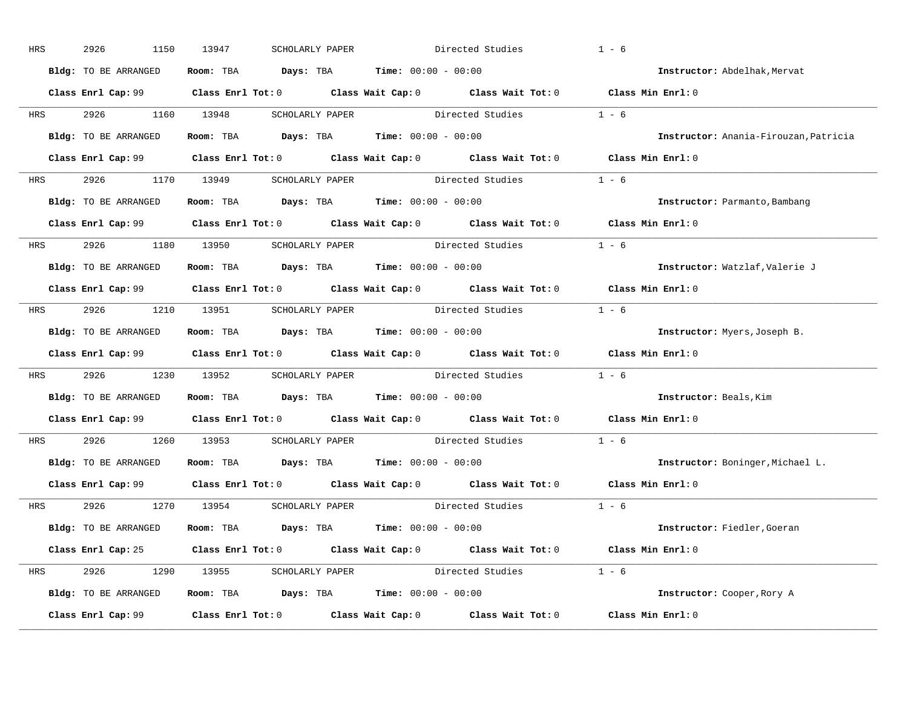| HRS        | 2926<br>1150         | 13947<br>SCHOLARLY PAPER                                     | Directed Studies                                                                           | $1 - 6$                               |
|------------|----------------------|--------------------------------------------------------------|--------------------------------------------------------------------------------------------|---------------------------------------|
|            | Bldg: TO BE ARRANGED | Room: TBA $Days: TBA$ Time: $00:00 - 00:00$                  |                                                                                            | Instructor: Abdelhak, Mervat          |
|            |                      |                                                              | Class Enrl Cap: 99 Class Enrl Tot: 0 Class Wait Cap: 0 Class Wait Tot: 0 Class Min Enrl: 0 |                                       |
|            | HRS 2926 1160 13948  |                                                              | SCHOLARLY PAPER Directed Studies                                                           | $1 - 6$                               |
|            | Bldg: TO BE ARRANGED | Room: TBA $Days:$ TBA Time: $00:00 - 00:00$                  |                                                                                            | Instructor: Anania-Firouzan, Patricia |
|            |                      |                                                              | Class Enrl Cap: 99 Class Enrl Tot: 0 Class Wait Cap: 0 Class Wait Tot: 0 Class Min Enrl: 0 |                                       |
|            |                      |                                                              | HRS 2926 1170 13949 SCHOLARLY PAPER Directed Studies 1 - 6                                 |                                       |
|            |                      | Bldg: TO BE ARRANGED Room: TBA Days: TBA Time: 00:00 - 00:00 |                                                                                            | Instructor: Parmanto, Bambang         |
|            |                      |                                                              | Class Enrl Cap: 99 Class Enrl Tot: 0 Class Wait Cap: 0 Class Wait Tot: 0 Class Min Enrl: 0 |                                       |
|            |                      | HRS 2926 1180 13950 SCHOLARLY PAPER                          | Directed Studies                                                                           | $1 - 6$                               |
|            | Bldg: TO BE ARRANGED | Room: TBA $Days:$ TBA $Time: 00:00 - 00:00$                  |                                                                                            | Instructor: Watzlaf, Valerie J        |
|            |                      |                                                              | Class Enrl Cap: 99 Class Enrl Tot: 0 Class Wait Cap: 0 Class Wait Tot: 0 Class Min Enrl: 0 |                                       |
|            |                      |                                                              | HRS 2926 1210 13951 SCHOLARLY PAPER Directed Studies 1 - 6                                 |                                       |
|            | Bldg: TO BE ARRANGED | Room: TBA $Days:$ TBA $Time: 00:00 - 00:00$                  |                                                                                            | Instructor: Myers, Joseph B.          |
|            |                      |                                                              | Class Enrl Cap: 99 Class Enrl Tot: 0 Class Wait Cap: 0 Class Wait Tot: 0 Class Min Enrl: 0 |                                       |
| <b>HRS</b> |                      |                                                              | 2926 1230 13952 SCHOLARLY PAPER Directed Studies 1 - 6                                     |                                       |
|            | Bldg: TO BE ARRANGED | Room: TBA $Days:$ TBA $Time: 00:00 - 00:00$                  |                                                                                            | Instructor: Beals, Kim                |
|            |                      |                                                              | Class Enrl Cap: $99$ Class Enrl Tot: 0 Class Wait Cap: 0 Class Wait Tot: 0                 | Class Min Enrl: 0                     |
| <b>HRS</b> | 2926 1260 13953      |                                                              | SCHOLARLY PAPER Directed Studies                                                           | $1 - 6$                               |
|            |                      | Bldg: TO BE ARRANGED ROOM: TBA Days: TBA Time: 00:00 - 00:00 |                                                                                            | Instructor: Boninger, Michael L.      |
|            |                      |                                                              | Class Enrl Cap: 99 Class Enrl Tot: 0 Class Wait Cap: 0 Class Wait Tot: 0                   | Class Min Enrl: 0                     |
|            |                      | HRS 2926 1270 13954 SCHOLARLY PAPER                          | Directed Studies 1 - 6                                                                     |                                       |
|            | Bldg: TO BE ARRANGED | Room: TBA $Days:$ TBA $Time: 00:00 - 00:00$                  |                                                                                            | Instructor: Fiedler, Goeran           |
|            |                      |                                                              | Class Enrl Cap: 25 Class Enrl Tot: 0 Class Wait Cap: 0 Class Wait Tot: 0 Class Min Enrl: 0 |                                       |
|            |                      |                                                              | HRS 2926 1290 13955 SCHOLARLY PAPER Directed Studies 1 - 6                                 |                                       |
|            | Bldg: TO BE ARRANGED | Room: TBA $Days:$ TBA $Time: 00:00 - 00:00$                  |                                                                                            | Instructor: Cooper, Rory A            |
|            |                      |                                                              | Class Enrl Cap: 99 Class Enrl Tot: 0 Class Wait Cap: 0 Class Wait Tot: 0 Class Min Enrl: 0 |                                       |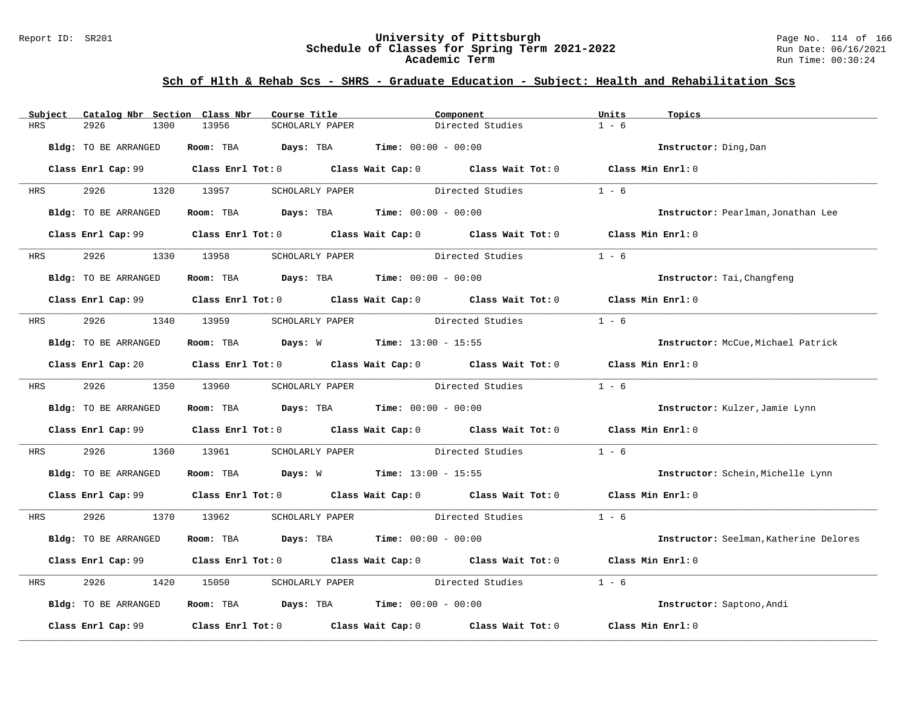### Report ID: SR201 **University of Pittsburgh** Page No. 114 of 166 **Schedule of Classes for Spring Term 2021-2022** Run Date: 06/16/2021 **Academic Term** Run Time: 00:30:24

| Subject    | Catalog Nbr Section Class Nbr | Course Title                                               | Component                                                                                              | Units<br>Topics                        |
|------------|-------------------------------|------------------------------------------------------------|--------------------------------------------------------------------------------------------------------|----------------------------------------|
| HRS        | 2926<br>1300                  | 13956<br>SCHOLARLY PAPER                                   | Directed Studies                                                                                       | $1 - 6$                                |
|            | Bldg: TO BE ARRANGED          | Room: TBA Days: TBA                                        | <b>Time:</b> $00:00 - 00:00$                                                                           | Instructor: Ding, Dan                  |
|            |                               |                                                            | Class Enrl Cap: 99 Class Enrl Tot: 0 Class Wait Cap: 0 Class Wait Tot: 0 Class Min Enrl: 0             |                                        |
| HRS        | 2926 2012                     | 1320 13957<br>SCHOLARLY PAPER                              | Directed Studies                                                                                       | $1 - 6$                                |
|            | Bldg: TO BE ARRANGED          | Room: TBA $Days:$ TBA $Time: 00:00 - 00:00$                |                                                                                                        | Instructor: Pearlman, Jonathan Lee     |
|            |                               |                                                            | Class Enrl Cap: 99 Class Enrl Tot: 0 Class Wait Cap: 0 Class Wait Tot: 0 Class Min Enrl: 0             |                                        |
| <b>HRS</b> | 2926 7                        | 1330 13958<br>SCHOLARLY PAPER                              | Directed Studies                                                                                       | $1 - 6$                                |
|            | Bldg: TO BE ARRANGED          | Room: TBA $Days:$ TBA $Time: 00:00 - 00:00$                |                                                                                                        | Instructor: Tai, Changfeng             |
|            |                               |                                                            | Class Enrl Cap: 99 Class Enrl Tot: 0 Class Wait Cap: 0 Class Wait Tot: 0 Class Min Enrl: 0             |                                        |
| HRS        | 2926 1340 13959               |                                                            | SCHOLARLY PAPER Directed Studies                                                                       | $1 - 6$                                |
|            | Bldg: TO BE ARRANGED          | <b>Room:</b> TBA <b>Days:</b> W <b>Time:</b> 13:00 - 15:55 |                                                                                                        | Instructor: McCue, Michael Patrick     |
|            |                               |                                                            | Class Enrl Cap: 20 		 Class Enrl Tot: 0 		 Class Wait Cap: 0 		 Class Wait Tot: 0 		 Class Min Enrl: 0 |                                        |
| <b>HRS</b> | 2926 1350 13960               |                                                            | SCHOLARLY PAPER Directed Studies                                                                       | $1 - 6$                                |
|            | Bldg: TO BE ARRANGED          | Room: TBA $Days: TBA$ Time: $00:00 - 00:00$                |                                                                                                        | Instructor: Kulzer, Jamie Lynn         |
|            |                               |                                                            | Class Enrl Cap: 99 Class Enrl Tot: 0 Class Wait Cap: 0 Class Wait Tot: 0 Class Min Enrl: 0             |                                        |
| HRS        | 2926<br>1360                  | 13961                                                      | SCHOLARLY PAPER Directed Studies                                                                       | $1 - 6$                                |
|            | Bldg: TO BE ARRANGED          | Room: TBA $Days: W$ Time: $13:00 - 15:55$                  |                                                                                                        | Instructor: Schein, Michelle Lynn      |
|            |                               |                                                            | Class Enrl Cap: 99 Class Enrl Tot: 0 Class Wait Cap: 0 Class Wait Tot: 0 Class Min Enrl: 0             |                                        |
| HRS        | 2926 1370 13962               |                                                            | SCHOLARLY PAPER Directed Studies                                                                       | $1 - 6$                                |
|            | Bldg: TO BE ARRANGED          | Room: TBA $Days:$ TBA $Time: 00:00 - 00:00$                |                                                                                                        | Instructor: Seelman, Katherine Delores |
|            |                               |                                                            | Class Enrl Cap: 99 Class Enrl Tot: 0 Class Wait Cap: 0 Class Wait Tot: 0 Class Min Enrl: 0             |                                        |
| HRS        | 2926<br>1420                  | 15050<br>SCHOLARLY PAPER                                   | Directed Studies                                                                                       | $1 - 6$                                |
|            | Bldg: TO BE ARRANGED          | Room: TBA $Days:$ TBA $Time: 00:00 - 00:00$                |                                                                                                        | Instructor: Saptono, Andi              |
|            |                               |                                                            | Class Enrl Cap: 99 $\qquad$ Class Enrl Tot: 0 $\qquad$ Class Wait Cap: 0 $\qquad$ Class Wait Tot: 0    | Class Min Enrl: 0                      |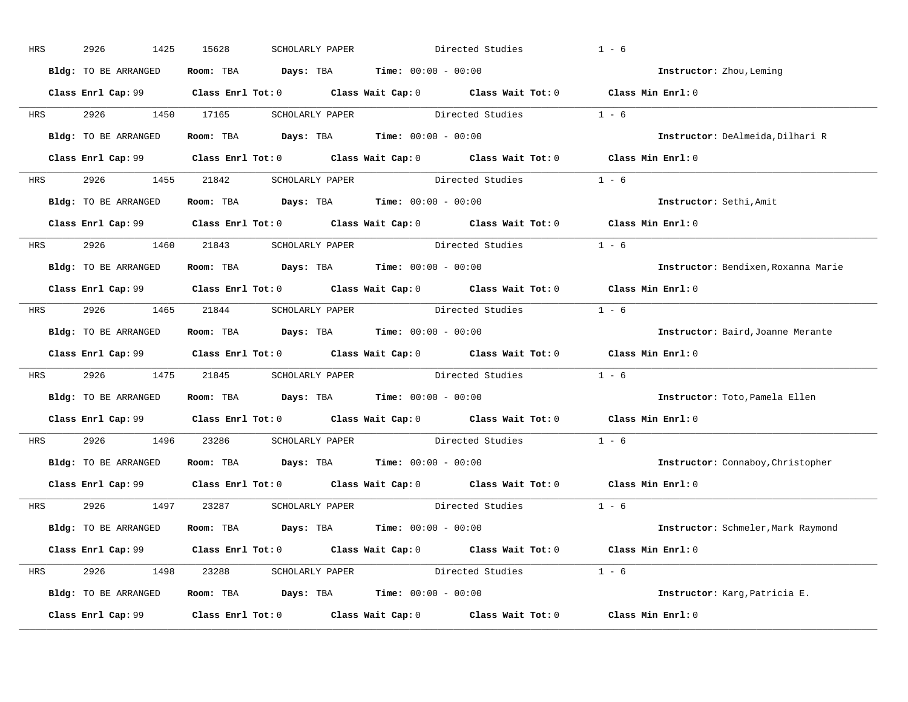| HRS        | 2926<br>1425         | 15628<br>SCHOLARLY PAPER                                                                 | Directed Studies                                                                                    | $1 - 6$                             |
|------------|----------------------|------------------------------------------------------------------------------------------|-----------------------------------------------------------------------------------------------------|-------------------------------------|
|            | Bldg: TO BE ARRANGED | Room: TBA $Days:$ TBA $Time: 00:00 - 00:00$                                              |                                                                                                     | Instructor: Zhou, Leming            |
|            |                      |                                                                                          | Class Enrl Cap: 99 Class Enrl Tot: 0 Class Wait Cap: 0 Class Wait Tot: 0 Class Min Enrl: 0          |                                     |
| <b>HRS</b> | 2926 1450 17165      |                                                                                          | SCHOLARLY PAPER Directed Studies 1 - 6                                                              |                                     |
|            | Bldg: TO BE ARRANGED | Room: TBA Days: TBA Time: $00:00 - 00:00$                                                |                                                                                                     | Instructor: DeAlmeida, Dilhari R    |
|            |                      |                                                                                          | Class Enrl Cap: 99 Class Enrl Tot: 0 Class Wait Cap: 0 Class Wait Tot: 0 Class Min Enrl: 0          |                                     |
| HRS        |                      |                                                                                          | 2926 1455 21842 SCHOLARLY PAPER Directed Studies 1 - 6                                              |                                     |
|            |                      | Bldg: TO BE ARRANGED Room: TBA Days: TBA Time: 00:00 - 00:00                             |                                                                                                     | Instructor: Sethi, Amit             |
|            |                      |                                                                                          | Class Enrl Cap: 99 Class Enrl Tot: 0 Class Wait Cap: 0 Class Wait Tot: 0 Class Min Enrl: 0          |                                     |
|            |                      |                                                                                          | HRS 2926 1460 21843 SCHOLARLY PAPER Directed Studies 1 - 6                                          |                                     |
|            | Bldg: TO BE ARRANGED | Room: TBA $\rule{1em}{0.15mm}$ Days: TBA $\rule{1.15mm}]{0.15mm}$ Time: $0.000 - 0.0000$ |                                                                                                     | Instructor: Bendixen, Roxanna Marie |
|            |                      |                                                                                          | Class Enrl Cap: 99 Class Enrl Tot: 0 Class Wait Cap: 0 Class Wait Tot: 0 Class Min Enrl: 0          |                                     |
| HRS        |                      |                                                                                          | 2926 1465 21844 SCHOLARLY PAPER Directed Studies 1 - 6                                              |                                     |
|            | Bldg: TO BE ARRANGED | Room: TBA $\rule{1em}{0.15mm}$ Days: TBA Time: $00:00 - 00:00$                           |                                                                                                     | Instructor: Baird, Joanne Merante   |
|            |                      |                                                                                          | Class Enrl Cap: 99 Class Enrl Tot: 0 Class Wait Cap: 0 Class Wait Tot: 0 Class Min Enrl: 0          |                                     |
| <b>HRS</b> |                      |                                                                                          | 2926 1475 21845 SCHOLARLY PAPER Directed Studies 1 - 6                                              |                                     |
|            |                      | Bldg: TO BE ARRANGED Room: TBA Days: TBA Time: 00:00 - 00:00                             |                                                                                                     | Instructor: Toto, Pamela Ellen      |
|            |                      |                                                                                          | Class Enrl Cap: 99 $\qquad$ Class Enrl Tot: 0 $\qquad$ Class Wait Cap: 0 $\qquad$ Class Wait Tot: 0 | Class Min Enrl: 0                   |
| <b>HRS</b> | 2926 1496 23286      |                                                                                          | SCHOLARLY PAPER Directed Studies                                                                    | $1 - 6$                             |
|            | Bldg: TO BE ARRANGED | Room: TBA $\rule{1em}{0.15mm}$ Days: TBA Time: $00:00 - 00:00$                           |                                                                                                     | Instructor: Connaboy, Christopher   |
|            |                      |                                                                                          | Class Enrl Cap: 99 Class Enrl Tot: 0 Class Wait Cap: 0 Class Wait Tot: 0                            | Class Min Enrl: 0                   |
|            |                      | HRS 2926 1497 23287 SCHOLARLY PAPER                                                      | Directed Studies                                                                                    | $1 - 6$                             |
|            | Bldg: TO BE ARRANGED | Room: TBA $Days:$ TBA $Time: 00:00 - 00:00$                                              |                                                                                                     | Instructor: Schmeler, Mark Raymond  |
|            |                      |                                                                                          | Class Enrl Cap: 99 Class Enrl Tot: 0 Class Wait Cap: 0 Class Wait Tot: 0 Class Min Enrl: 0          |                                     |
|            |                      |                                                                                          | HRS 2926 1498 23288 SCHOLARLY PAPER Directed Studies 1 - 6                                          |                                     |
|            | Bldg: TO BE ARRANGED | Room: TBA $Days:$ TBA $Time: 00:00 - 00:00$                                              |                                                                                                     | Instructor: Karg, Patricia E.       |
|            | Class Enrl Cap: 99   |                                                                                          | Class Enrl Tot: $0$ Class Wait Cap: $0$ Class Wait Tot: $0$                                         | Class Min Enrl: 0                   |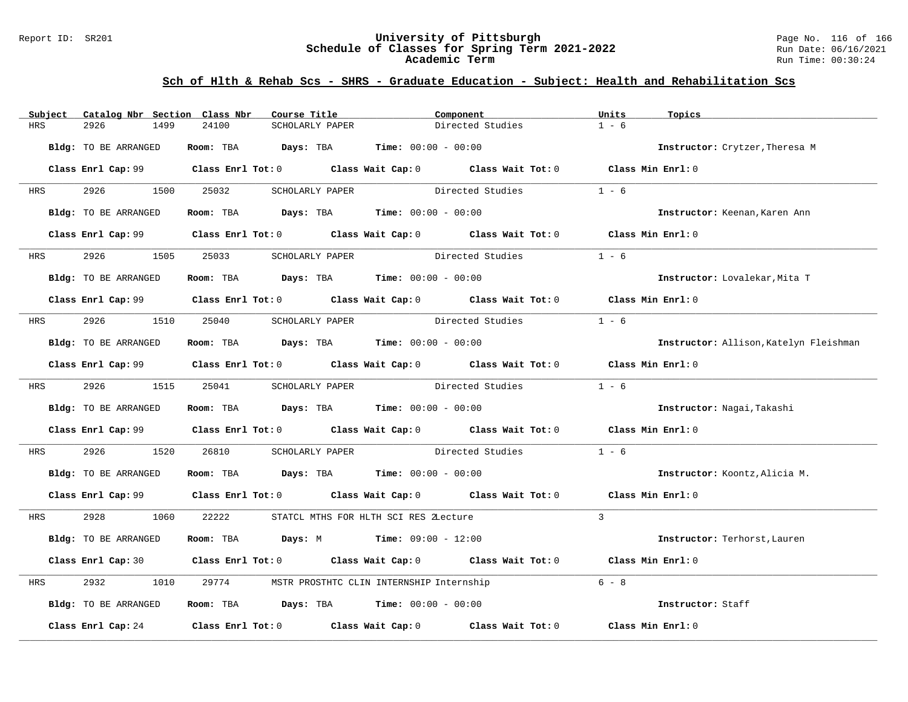### Report ID: SR201 **University of Pittsburgh** Page No. 116 of 166 **Schedule of Classes for Spring Term 2021-2022** Run Date: 06/16/2021 **Academic Term** Run Time: 00:30:24

| Subject    | Catalog Nbr Section Class Nbr | Course Title                                                 | Component                                                                                  | Units<br>Topics                        |
|------------|-------------------------------|--------------------------------------------------------------|--------------------------------------------------------------------------------------------|----------------------------------------|
| HRS        | 2926<br>1499                  | 24100<br>SCHOLARLY PAPER                                     | Directed Studies                                                                           | $1 - 6$                                |
|            | Bldg: TO BE ARRANGED          | <b>Room:</b> TBA <b>Days:</b> TBA <b>Time:</b> 00:00 - 00:00 |                                                                                            | Instructor: Crytzer, Theresa M         |
|            |                               |                                                              | Class Enrl Cap: 99 Class Enrl Tot: 0 Class Wait Cap: 0 Class Wait Tot: 0 Class Min Enrl: 0 |                                        |
| HRS        | 2926 1500 25032               | SCHOLARLY PAPER                                              | Directed Studies                                                                           | $1 - 6$                                |
|            | Bldg: TO BE ARRANGED          | Room: TBA $Days:$ TBA $Time: 00:00 - 00:00$                  |                                                                                            | Instructor: Keenan, Karen Ann          |
|            |                               |                                                              | Class Enrl Cap: 99 Class Enrl Tot: 0 Class Wait Cap: 0 Class Wait Tot: 0 Class Min Enrl: 0 |                                        |
| <b>HRS</b> | 2926                          | 1505 25033<br>SCHOLARLY PAPER                                | Directed Studies                                                                           | $1 - 6$                                |
|            | Bldg: TO BE ARRANGED          | Room: TBA $Days:$ TBA $Time: 00:00 - 00:00$                  |                                                                                            | Instructor: Lovalekar, Mita T          |
|            |                               |                                                              | Class Enrl Cap: 99 Class Enrl Tot: 0 Class Wait Cap: 0 Class Wait Tot: 0 Class Min Enrl: 0 |                                        |
| HRS        | 2926 1510 25040               |                                                              | SCHOLARLY PAPER Directed Studies                                                           | $1 - 6$                                |
|            | Bldg: TO BE ARRANGED          | Room: TBA $Days:$ TBA $Time: 00:00 - 00:00$                  |                                                                                            | Instructor: Allison, Katelyn Fleishman |
|            |                               |                                                              | Class Enrl Cap: 99 Class Enrl Tot: 0 Class Wait Cap: 0 Class Wait Tot: 0 Class Min Enrl: 0 |                                        |
| <b>HRS</b> | 2926 1515 25041               |                                                              | SCHOLARLY PAPER Directed Studies                                                           | $1 - 6$                                |
|            | Bldg: TO BE ARRANGED          | Room: TBA $Days:$ TBA $Time: 00:00 - 00:00$                  |                                                                                            | Instructor: Nagai, Takashi             |
|            |                               |                                                              | Class Enrl Cap: 99 Class Enrl Tot: 0 Class Wait Cap: 0 Class Wait Tot: 0 Class Min Enrl: 0 |                                        |
| HRS        | 2926<br>1520                  | 26810                                                        | SCHOLARLY PAPER Directed Studies                                                           | $1 - 6$                                |
|            | Bldg: TO BE ARRANGED          | Room: TBA $Days:$ TBA $Time: 00:00 - 00:00$                  |                                                                                            | Instructor: Koontz, Alicia M.          |
|            |                               |                                                              | Class Enrl Cap: 99 Class Enrl Tot: 0 Class Wait Cap: 0 Class Wait Tot: 0 Class Min Enrl: 0 |                                        |
| HRS        | 2928 1060                     | 22222                                                        | STATCL MTHS FOR HLTH SCI RES ZLecture                                                      | $\mathcal{L}$                          |
|            | Bldg: TO BE ARRANGED          | Room: TBA $Days: M$ Time: $09:00 - 12:00$                    |                                                                                            | Instructor: Terhorst, Lauren           |
|            |                               |                                                              | Class Enrl Cap: 30 Class Enrl Tot: 0 Class Wait Cap: 0 Class Wait Tot: 0 Class Min Enrl: 0 |                                        |
| HRS        | 2932<br>1010                  | 29774                                                        | MSTR PROSTHTC CLIN INTERNSHIP Internship                                                   | $6 - 8$                                |
|            | Bldg: TO BE ARRANGED          | Room: TBA $Days:$ TBA $Time: 00:00 - 00:00$                  |                                                                                            | Instructor: Staff                      |
|            |                               |                                                              | Class Enrl Cap: $24$ Class Enrl Tot: 0 Class Wait Cap: 0 Class Wait Tot: 0                 | Class Min Enrl: 0                      |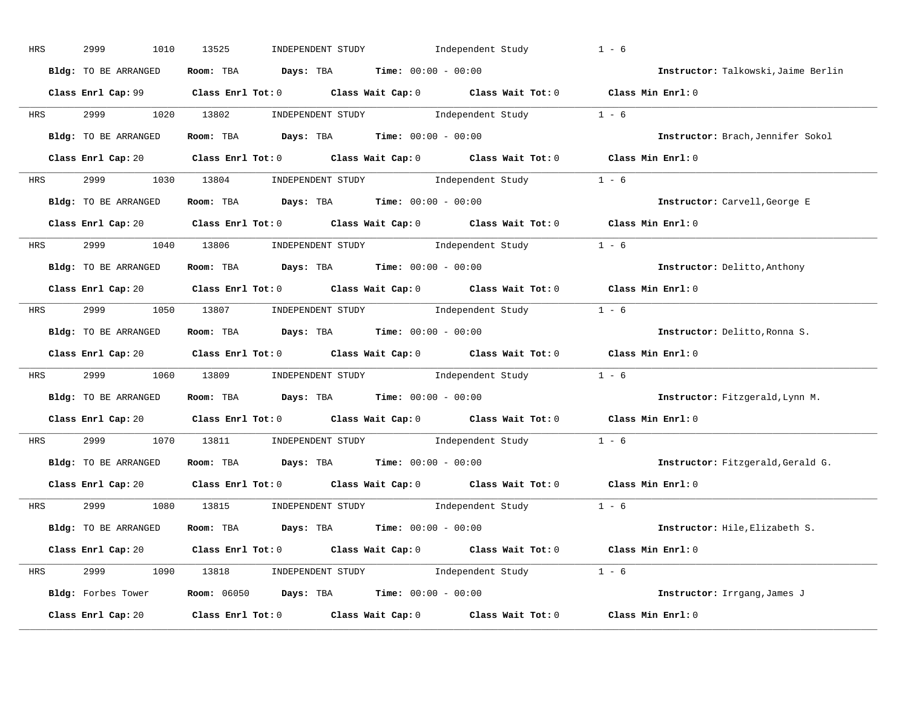| HRS        | 2999<br>1010         | 13525<br>INDEPENDENT STUDY                                                                                                                                                                                                                                                                                                                                                                                                                                                     | Independent Study | $1 - 6$                             |
|------------|----------------------|--------------------------------------------------------------------------------------------------------------------------------------------------------------------------------------------------------------------------------------------------------------------------------------------------------------------------------------------------------------------------------------------------------------------------------------------------------------------------------|-------------------|-------------------------------------|
|            | Bldg: TO BE ARRANGED | Room: TBA $Days:$ TBA $Time: 00:00 - 00:00$                                                                                                                                                                                                                                                                                                                                                                                                                                    |                   | Instructor: Talkowski, Jaime Berlin |
|            |                      | Class Enrl Cap: 99 Class Enrl Tot: 0 Class Wait Cap: 0 Class Wait Tot: 0 Class Min Enrl: 0                                                                                                                                                                                                                                                                                                                                                                                     |                   |                                     |
| HRS        | 2999 72<br>1020      | 13802<br>INDEPENDENT STUDY 1 - 6                                                                                                                                                                                                                                                                                                                                                                                                                                               |                   |                                     |
|            | Bldg: TO BE ARRANGED | Room: TBA $Days:$ TBA $Time: 00:00 - 00:00$                                                                                                                                                                                                                                                                                                                                                                                                                                    |                   | Instructor: Brach, Jennifer Sokol   |
|            |                      | Class Enrl Cap: 20 Class Enrl Tot: 0 Class Wait Cap: 0 Class Wait Tot: 0 Class Min Enrl: 0                                                                                                                                                                                                                                                                                                                                                                                     |                   |                                     |
| HRS        | 2999 200             | 1030 13804 INDEPENDENT STUDY 1ndependent Study 1 - 6                                                                                                                                                                                                                                                                                                                                                                                                                           |                   |                                     |
|            | Bldg: TO BE ARRANGED | Room: TBA $Days:$ TBA Time: $00:00 - 00:00$                                                                                                                                                                                                                                                                                                                                                                                                                                    |                   | Instructor: Carvell, George E       |
|            |                      | Class Enrl Cap: 20 Class Enrl Tot: 0 Class Wait Cap: 0 Class Wait Tot: 0 Class Min Enrl: 0                                                                                                                                                                                                                                                                                                                                                                                     |                   |                                     |
| <b>HRS</b> | 2999 1040 13806      | $\begin{minipage}[c]{0.9\linewidth} \textbf{INDEX} & \textbf{STUDY} \\ \textbf{1 - 6} & \textbf{Index} \\ \textbf{1 - 6} & \textbf{Index} \\ \textbf{1 - 6} & \textbf{Index} \\ \textbf{1 - 6} & \textbf{Index} \\ \textbf{1 - 6} & \textbf{Index} \\ \textbf{1 - 6} & \textbf{Index} \\ \textbf{1 - 6} & \textbf{Index} \\ \textbf{1 - 6} & \textbf{Index} \\ \textbf{1 - 6} & \textbf{Index} \\ \textbf{1 - 6} & \textbf{Index} \\ \textbf{1 - 6} & \textbf{Index} \\ \text$ |                   |                                     |
|            | Bldg: TO BE ARRANGED | Room: TBA $\rule{1em}{0.5em}$ Days: TBA $\rule{1.5em}{0.5em}$ Time: $00:00 - 00:00$                                                                                                                                                                                                                                                                                                                                                                                            |                   | Instructor: Delitto, Anthony        |
|            |                      | Class Enrl Cap: 20 Class Enrl Tot: 0 Class Wait Cap: 0 Class Wait Tot: 0 Class Min Enrl: 0                                                                                                                                                                                                                                                                                                                                                                                     |                   |                                     |
|            |                      | HRS 2999 1050 13807 INDEPENDENT STUDY Independent Study 1 - 6                                                                                                                                                                                                                                                                                                                                                                                                                  |                   |                                     |
|            | Bldg: TO BE ARRANGED | $\texttt{Days:}$ TBA $\texttt{Time:}$ 00:00 - 00:00<br>Room: TBA                                                                                                                                                                                                                                                                                                                                                                                                               |                   | Instructor: Delitto, Ronna S.       |
|            |                      | Class Enrl Cap: 20 Class Enrl Tot: 0 Class Wait Cap: 0 Class Wait Tot: 0 Class Min Enrl: 0                                                                                                                                                                                                                                                                                                                                                                                     |                   |                                     |
| HRS        | 2999<br>1060         | INDEPENDENT STUDY 1 - 6<br>13809                                                                                                                                                                                                                                                                                                                                                                                                                                               |                   |                                     |
|            | Bldg: TO BE ARRANGED | <b>Room:</b> TBA <b>Days:</b> TBA <b>Time:</b> 00:00 - 00:00                                                                                                                                                                                                                                                                                                                                                                                                                   |                   | Instructor: Fitzgerald, Lynn M.     |
|            |                      | Class Enrl Cap: 20 Class Enrl Tot: 0 Class Wait Cap: 0 Class Wait Tot: 0 Class Min Enrl: 0                                                                                                                                                                                                                                                                                                                                                                                     |                   |                                     |
| HRS        | 2999<br>1070         | $\begin{minipage}[c]{0.9\linewidth} \textbf{INDEX} & \textbf{STUDY} \\ \textbf{1 - 6} & \textbf{1 - 6} \\ \textbf{1 - 6} & \textbf{1 - 6} \\ \textbf{1 - 6} & \textbf{1 - 6} \\ \textbf{1 - 6} & \textbf{1 - 6} \\ \textbf{1 - 6} & \textbf{1 - 6} \\ \textbf{1 - 6} & \textbf{1 - 6} \\ \textbf{1 - 6} & \textbf{1 - 6} \\ \textbf{1 - 6} & \textbf{1 - 6} \\ \textbf{1 - 6} & \textbf{1 - 6} \\ \textbf{1 - 6}$<br>13811                                                     |                   |                                     |
|            | Bldg: TO BE ARRANGED | Room: TBA $Days:$ TBA $Time: 00:00 - 00:00$                                                                                                                                                                                                                                                                                                                                                                                                                                    |                   | Instructor: Fitzgerald, Gerald G.   |
|            |                      | Class Enrl Cap: 20 $\qquad$ Class Enrl Tot: 0 $\qquad$ Class Wait Cap: 0 $\qquad$ Class Wait Tot: 0                                                                                                                                                                                                                                                                                                                                                                            |                   | Class Min Enrl: 0                   |
| HRS        | 2999                 | 1080 13815<br>INDEPENDENT STUDY 1 - 6                                                                                                                                                                                                                                                                                                                                                                                                                                          |                   |                                     |
|            | Bldg: TO BE ARRANGED | Room: TBA $Days:$ TBA $Time:$ $00:00 - 00:00$                                                                                                                                                                                                                                                                                                                                                                                                                                  |                   | Instructor: Hile, Elizabeth S.      |
|            |                      | Class Enrl Cap: 20 Class Enrl Tot: 0 Class Wait Cap: 0 Class Wait Tot: 0 Class Min Enrl: 0                                                                                                                                                                                                                                                                                                                                                                                     |                   |                                     |
| HRS        | 2999 200             | 1090 13818 INDEPENDENT STUDY Independent Study 1 - 6                                                                                                                                                                                                                                                                                                                                                                                                                           |                   |                                     |
|            | Bldg: Forbes Tower   | <b>Room:</b> $06050$ <b>Days:</b> TBA <b>Time:</b> $00:00 - 00:00$                                                                                                                                                                                                                                                                                                                                                                                                             |                   | Instructor: Irrgang, James J        |
|            | Class Enrl Cap: 20   | $Class$ $Enr1$ $Tot: 0$<br>Class Wait Cap: 0                                                                                                                                                                                                                                                                                                                                                                                                                                   | Class Wait Tot: 0 | Class Min Enrl: 0                   |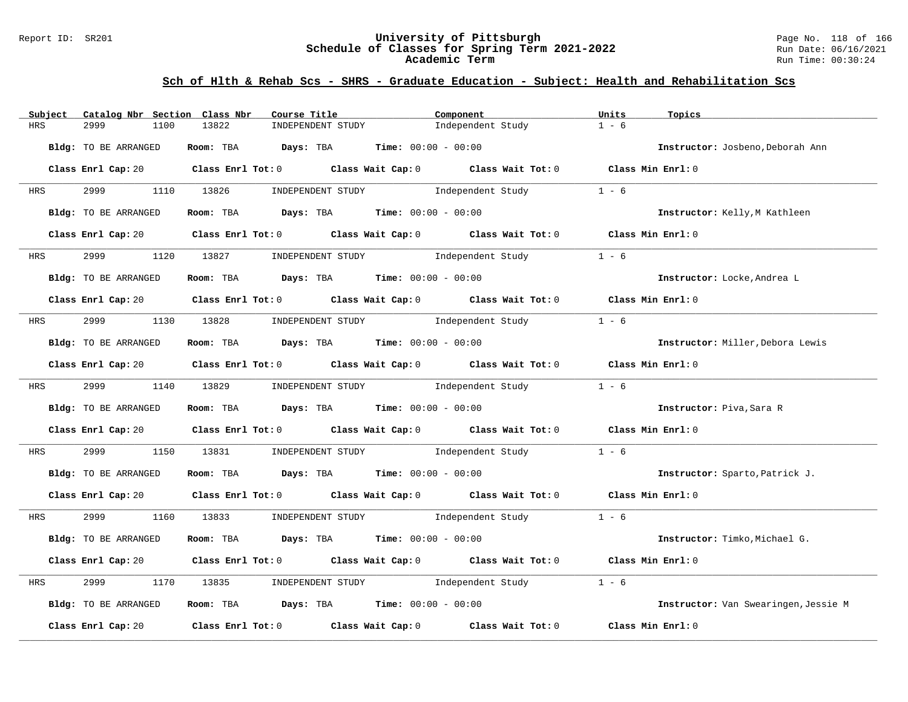### Report ID: SR201 **University of Pittsburgh** Page No. 118 of 166 **Schedule of Classes for Spring Term 2021-2022** Run Date: 06/16/2021 **Academic Term** Run Time: 00:30:24

| Subject              | Catalog Nbr Section Class Nbr | Course Title                                                                                                                   | Component                    |                   | Units<br>Topics   |                                      |
|----------------------|-------------------------------|--------------------------------------------------------------------------------------------------------------------------------|------------------------------|-------------------|-------------------|--------------------------------------|
| 2999<br><b>HRS</b>   | 13822<br>1100                 | INDEPENDENT STUDY                                                                                                              |                              | Independent Study | $1 - 6$           |                                      |
| Bldg: TO BE ARRANGED |                               | Room: TBA Days: TBA                                                                                                            | <b>Time:</b> $00:00 - 00:00$ |                   |                   | Instructor: Josbeno, Deborah Ann     |
|                      |                               | Class Enrl Cap: 20 $\qquad$ Class Enrl Tot: 0 $\qquad$ Class Wait Cap: 0 $\qquad$ Class Wait Tot: 0 $\qquad$ Class Min Enrl: 0 |                              |                   |                   |                                      |
| HRS                  | 2999 1110 13826               | INDEPENDENT STUDY                                                                                                              |                              | Independent Study | $1 - 6$           |                                      |
| Bldg: TO BE ARRANGED |                               | Room: TBA $Days:$ TBA $Time: 00:00 - 00:00$                                                                                    |                              |                   |                   | Instructor: Kelly, M Kathleen        |
|                      |                               | Class Enrl Cap: 20 Class Enrl Tot: 0 Class Wait Cap: 0 Class Wait Tot: 0 Class Min Enrl: 0                                     |                              |                   |                   |                                      |
| 2999<br><b>HRS</b>   |                               | 1120 13827 INDEPENDENT STUDY Independent Study                                                                                 |                              |                   | $1 - 6$           |                                      |
| Bldg: TO BE ARRANGED |                               | Room: TBA $Days:$ TBA $Time: 00:00 - 00:00$                                                                                    |                              |                   |                   | Instructor: Locke, Andrea L          |
|                      |                               | Class Enrl Cap: 20 $\qquad$ Class Enrl Tot: 0 $\qquad$ Class Wait Cap: 0 $\qquad$ Class Wait Tot: 0 $\qquad$ Class Min Enrl: 0 |                              |                   |                   |                                      |
| <b>HRS</b>           |                               | 2999 1130 13828 INDEPENDENT STUDY Independent Study                                                                            |                              |                   | $1 - 6$           |                                      |
| Bldg: TO BE ARRANGED |                               | Room: TBA $Days:$ TBA $Time: 00:00 - 00:00$                                                                                    |                              |                   |                   | Instructor: Miller, Debora Lewis     |
|                      |                               | Class Enrl Cap: 20 Class Enrl Tot: 0 Class Wait Cap: 0 Class Wait Tot: 0 Class Min Enrl: 0                                     |                              |                   |                   |                                      |
| <b>HRS</b>           | 2999 1140 13829               | INDEPENDENT STUDY The Independent Study                                                                                        |                              |                   | $1 - 6$           |                                      |
| Bldg: TO BE ARRANGED |                               | Room: TBA $\rule{1em}{0.15mm}$ Days: TBA $\rule{1.5mm}{0.15mm}$ Time: $00:00 - 00:00$                                          |                              |                   |                   | Instructor: Piva, Sara R             |
|                      |                               | Class Enrl Cap: 20 $\qquad$ Class Enrl Tot: 0 $\qquad$ Class Wait Cap: 0 $\qquad$ Class Wait Tot: 0 $\qquad$ Class Min Enrl: 0 |                              |                   |                   |                                      |
| 2999<br>HRS          | 1150<br>13831                 | INDEPENDENT STUDY 1ndependent Study                                                                                            |                              |                   | $1 - 6$           |                                      |
| Bldg: TO BE ARRANGED |                               | Room: TBA $Days:$ TBA $Time: 00:00 - 00:00$                                                                                    |                              |                   |                   | Instructor: Sparto, Patrick J.       |
|                      |                               | Class Enrl Cap: 20 $\qquad$ Class Enrl Tot: 0 $\qquad$ Class Wait Cap: 0 $\qquad$ Class Wait Tot: 0 $\qquad$ Class Min Enrl: 0 |                              |                   |                   |                                      |
| HRS                  |                               | 2999 1160 13833 INDEPENDENT STUDY Independent Study 1 - 6                                                                      |                              |                   |                   |                                      |
| Bldg: TO BE ARRANGED |                               | Room: TBA $Days:$ TBA $Time: 00:00 - 00:00$                                                                                    |                              |                   |                   | Instructor: Timko, Michael G.        |
|                      |                               | Class Enrl Cap: 20 $\qquad$ Class Enrl Tot: 0 $\qquad$ Class Wait Cap: 0 $\qquad$ Class Wait Tot: 0                            |                              |                   | Class Min Enrl: 0 |                                      |
| 2999<br>HRS          | 1170<br>13835                 | INDEPENDENT STUDY 1ndependent Study                                                                                            |                              |                   | $1 - 6$           |                                      |
| Bldg: TO BE ARRANGED |                               | Room: TBA $Days: TBA$ Time: $00:00 - 00:00$                                                                                    |                              |                   |                   | Instructor: Van Swearingen, Jessie M |
| Class Enrl Cap: 20   |                               | Class Enrl Tot: $0$ $Class$ Wait Cap: $0$ $Class$ Wait Tot: $0$                                                                |                              |                   | Class Min Enrl: 0 |                                      |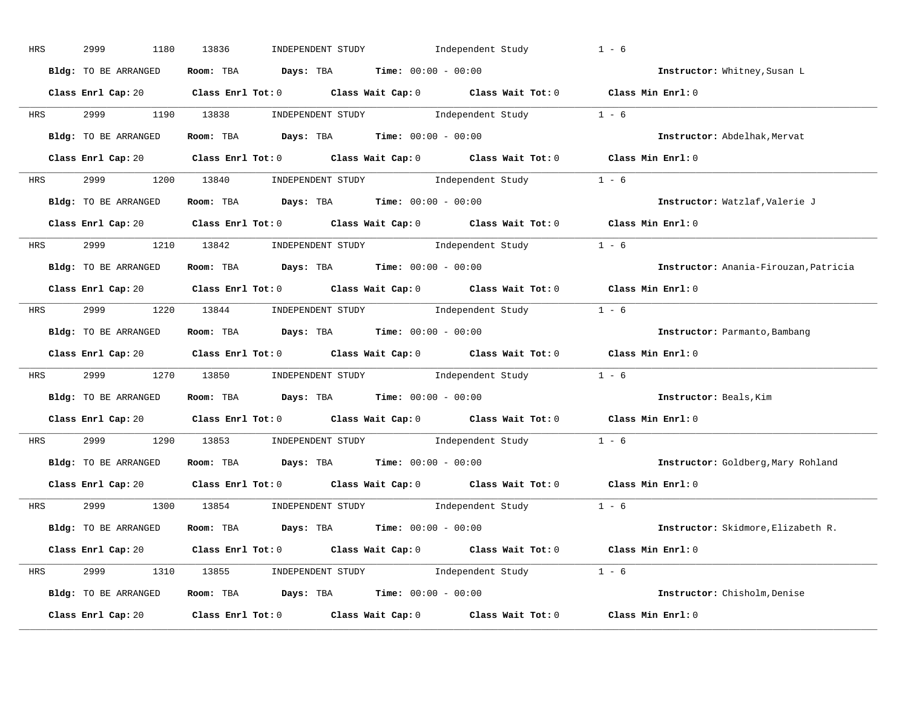| HRS        | 2999<br>1180         | 13836<br>INDEPENDENT STUDY Independent Study                                                        | $1 - 6$                               |
|------------|----------------------|-----------------------------------------------------------------------------------------------------|---------------------------------------|
|            | Bldg: TO BE ARRANGED | Room: TBA $Days:$ TBA $Time: 00:00 - 00:00$                                                         | Instructor: Whitney, Susan L          |
|            |                      | Class Enrl Cap: 20 Class Enrl Tot: 0 Class Wait Cap: 0 Class Wait Tot: 0 Class Min Enrl: 0          |                                       |
| <b>HRS</b> |                      | 2999 1190 13838 INDEPENDENT STUDY Independent Study 1 - 6                                           |                                       |
|            | Bldg: TO BE ARRANGED | Room: TBA $\rule{1em}{0.15mm}$ Days: TBA Time: $00:00 - 00:00$                                      | Instructor: Abdelhak, Mervat          |
|            |                      | Class Enrl Cap: 20 Class Enrl Tot: 0 Class Wait Cap: 0 Class Wait Tot: 0 Class Min Enrl: 0          |                                       |
|            |                      | HRS 2999 1200 13840 INDEPENDENT STUDY Independent Study 1 - 6                                       |                                       |
|            | Bldg: TO BE ARRANGED | Room: TBA $Days:$ TBA $Time:$ 00:00 - 00:00                                                         | Instructor: Watzlaf, Valerie J        |
|            |                      | Class Enrl Cap: 20 Class Enrl Tot: 0 Class Wait Cap: 0 Class Wait Tot: 0 Class Min Enrl: 0          |                                       |
|            |                      | HRS 2999 1210 13842 INDEPENDENT STUDY Independent Study 1 - 6                                       |                                       |
|            | Bldg: TO BE ARRANGED | Room: TBA $Days: TBA$ Time: $00:00 - 00:00$                                                         | Instructor: Anania-Firouzan, Patricia |
|            |                      | Class Enrl Cap: 20 Class Enrl Tot: 0 Class Wait Cap: 0 Class Wait Tot: 0 Class Min Enrl: 0          |                                       |
|            |                      | HRS 2999 1220 13844 INDEPENDENT STUDY Independent Study 1 - 6                                       |                                       |
|            | Bldg: TO BE ARRANGED | Room: TBA $\rule{1em}{0.15mm}$ Days: TBA $\rule{1.5mm}{0.15mm}$ Time: $00:00 - 00:00$               | Instructor: Parmanto, Bambang         |
|            |                      | Class Enrl Cap: 20 Class Enrl Tot: 0 Class Wait Cap: 0 Class Wait Tot: 0 Class Min Enrl: 0          |                                       |
| <b>HRS</b> |                      | 2999 1270 13850 INDEPENDENT STUDY Independent Study 1 - 6                                           |                                       |
|            | Bldg: TO BE ARRANGED | Room: TBA $Days:$ TBA Time: $00:00 - 00:00$                                                         | Instructor: Beals, Kim                |
|            |                      | Class Enrl Cap: 20 $\qquad$ Class Enrl Tot: 0 $\qquad$ Class Wait Cap: 0 $\qquad$ Class Wait Tot: 0 | Class Min $Enr1:0$                    |
| <b>HRS</b> |                      | 2999 1290 13853 INDEPENDENT STUDY Independent Study 1 - 6                                           |                                       |
|            | Bldg: TO BE ARRANGED | Room: TBA $Days:$ TBA $Time: 00:00 - 00:00$                                                         | Instructor: Goldberg, Mary Rohland    |
|            | Class Enrl Cap: 20   | Class Enrl Tot: $0$ Class Wait Cap: $0$ Class Wait Tot: $0$                                         | Class Min Enrl: 0                     |
|            |                      | HRS 2999 1300 13854 INDEPENDENT STUDY Independent Study 1 - 6                                       |                                       |
|            | Bldg: TO BE ARRANGED | Room: TBA $Days:$ TBA $Time:$ $00:00 - 00:00$                                                       | Instructor: Skidmore, Elizabeth R.    |
|            |                      | Class Enrl Cap: 20 Class Enrl Tot: 0 Class Wait Cap: 0 Class Wait Tot: 0 Class Min Enrl: 0          |                                       |
|            |                      | HRS 2999 1310 13855 INDEPENDENT STUDY Independent Study 1 - 6                                       |                                       |
|            | Bldg: TO BE ARRANGED | Room: TBA $\rule{1em}{0.15mm}$ Days: TBA $\rule{1.15mm}]{0.15mm}$ Time: $0.000 - 0.000$             | Instructor: Chisholm, Denise          |
|            | Class Enrl Cap: 20   | Class Enrl Tot: $0$ Class Wait Cap: $0$ Class Wait Tot: $0$ Class Min Enrl: $0$                     |                                       |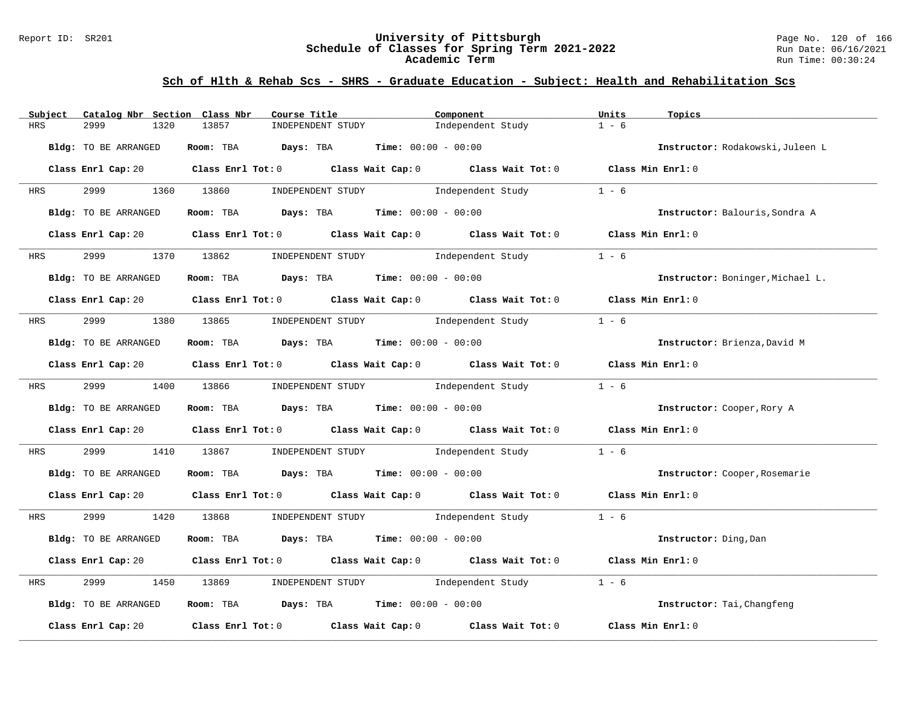### Report ID: SR201 **University of Pittsburgh** Page No. 120 of 166 **Schedule of Classes for Spring Term 2021-2022** Run Date: 06/16/2021 **Academic Term** Run Time: 00:30:24

| Subject    | Catalog Nbr Section Class Nbr | Course Title                                                   | Component                                                                                                                      | Units<br>Topics                  |
|------------|-------------------------------|----------------------------------------------------------------|--------------------------------------------------------------------------------------------------------------------------------|----------------------------------|
| <b>HRS</b> | 2999<br>1320                  | 13857<br>INDEPENDENT STUDY                                     | Independent Study                                                                                                              | $1 - 6$                          |
|            | Bldg: TO BE ARRANGED          | Room: TBA Days: TBA                                            | <b>Time:</b> $00:00 - 00:00$                                                                                                   | Instructor: Rodakowski, Juleen L |
|            |                               |                                                                | Class Enrl Cap: 20 Class Enrl Tot: 0 Class Wait Cap: 0 Class Wait Tot: 0 Class Min Enrl: 0                                     |                                  |
| HRS        | 2999 1360 13860               |                                                                | INDEPENDENT STUDY 1ndependent Study                                                                                            | $1 - 6$                          |
|            | Bldg: TO BE ARRANGED          | Room: TBA $Days:$ TBA Time: $00:00 - 00:00$                    |                                                                                                                                | Instructor: Balouris, Sondra A   |
|            |                               |                                                                | Class Enrl Cap: 20 Class Enrl Tot: 0 Class Wait Cap: 0 Class Wait Tot: 0 Class Min Enrl: 0                                     |                                  |
| <b>HRS</b> | 2999 — 200                    | 1370 13862 INDEPENDENT STUDY Independent Study                 |                                                                                                                                | $1 - 6$                          |
|            | Bldg: TO BE ARRANGED          | Room: TBA $Days:$ TBA $Time: 00:00 - 00:00$                    |                                                                                                                                | Instructor: Boninger, Michael L. |
|            |                               |                                                                | Class Enrl Cap: 20 $\qquad$ Class Enrl Tot: 0 $\qquad$ Class Wait Cap: 0 $\qquad$ Class Wait Tot: 0 $\qquad$ Class Min Enrl: 0 |                                  |
| <b>HRS</b> |                               |                                                                | 2999 1380 13865 INDEPENDENT STUDY Independent Study                                                                            | $1 - 6$                          |
|            | Bldg: TO BE ARRANGED          | Room: TBA $Days:$ TBA $Time: 00:00 - 00:00$                    |                                                                                                                                | Instructor: Brienza, David M     |
|            |                               |                                                                | Class Enrl Cap: 20 Class Enrl Tot: 0 Class Wait Cap: 0 Class Wait Tot: 0 Class Min Enrl: 0                                     |                                  |
|            | HRS 2999 1400 13866           |                                                                | INDEPENDENT STUDY 1ndependent Study                                                                                            | $1 - 6$                          |
|            | Bldg: TO BE ARRANGED          | Room: TBA $\rule{1em}{0.15mm}$ Days: TBA Time: $00:00 - 00:00$ |                                                                                                                                | Instructor: Cooper, Rory A       |
|            |                               |                                                                | Class Enrl Cap: 20 $\qquad$ Class Enrl Tot: 0 $\qquad$ Class Wait Cap: 0 $\qquad$ Class Wait Tot: 0 $\qquad$ Class Min Enrl: 0 |                                  |
| HRS        | 2999<br>1410                  | 13867                                                          | INDEPENDENT STUDY 1ndependent Study                                                                                            | $1 - 6$                          |
|            | Bldg: TO BE ARRANGED          | Room: TBA $Days:$ TBA Time: $00:00 - 00:00$                    |                                                                                                                                | Instructor: Cooper, Rosemarie    |
|            |                               |                                                                | Class Enrl Cap: 20 $\qquad$ Class Enrl Tot: 0 $\qquad$ Class Wait Cap: 0 $\qquad$ Class Wait Tot: 0 $\qquad$ Class Min Enrl: 0 |                                  |
| HRS        |                               |                                                                | 2999 1420 13868 INDEPENDENT STUDY Independent Study 1 - 6                                                                      |                                  |
|            | Bldg: TO BE ARRANGED          | Room: TBA $Days:$ TBA $Time: 00:00 - 00:00$                    |                                                                                                                                | Instructor: Ding, Dan            |
|            |                               |                                                                | Class Enrl Cap: 20 Class Enrl Tot: 0 Class Wait Cap: 0 Class Wait Tot: 0 Class Min Enrl: 0                                     |                                  |
| HRS        | 2999<br>1450                  | 13869                                                          | INDEPENDENT STUDY 1ndependent Study                                                                                            | $1 - 6$                          |
|            | Bldg: TO BE ARRANGED          | Room: TBA $Days:$ TBA $Time: 00:00 - 00:00$                    |                                                                                                                                | Instructor: Tai, Changfeng       |
|            | Class Enrl Cap: 20            |                                                                | Class Enrl Tot: $0$ Class Wait Cap: $0$ Class Wait Tot: $0$                                                                    | Class Min Enrl: 0                |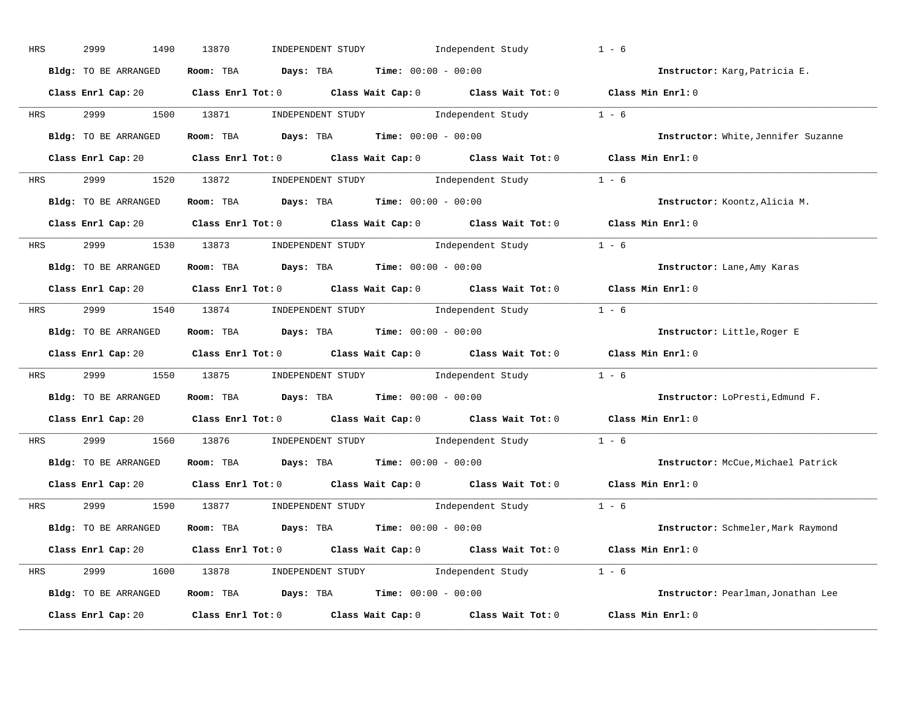| HRS        | 2999<br>1490         | 13870<br>INDEPENDENT STUDY Independent Study                                               | $1 - 6$                             |
|------------|----------------------|--------------------------------------------------------------------------------------------|-------------------------------------|
|            | Bldg: TO BE ARRANGED | Room: TBA $Days:$ TBA $Time: 00:00 - 00:00$                                                | Instructor: Karg, Patricia E.       |
|            |                      | Class Enrl Cap: 20 Class Enrl Tot: 0 Class Wait Cap: 0 Class Wait Tot: 0 Class Min Enrl: 0 |                                     |
| <b>HRS</b> |                      | 2999 1500 13871 INDEPENDENT STUDY Independent Study 1 - 6                                  |                                     |
|            | Bldg: TO BE ARRANGED | Room: TBA $\rule{1em}{0.15mm}$ Days: TBA Time: $00:00 - 00:00$                             | Instructor: White, Jennifer Suzanne |
|            |                      | Class Enrl Cap: 20 Class Enrl Tot: 0 Class Wait Cap: 0 Class Wait Tot: 0 Class Min Enrl: 0 |                                     |
|            |                      | HRS 2999 1520 13872 INDEPENDENT STUDY Independent Study 1 - 6                              |                                     |
|            | Bldg: TO BE ARRANGED | Room: TBA $Days:$ TBA $Time:$ 00:00 - 00:00                                                | Instructor: Koontz, Alicia M.       |
|            |                      | Class Enrl Cap: 20 Class Enrl Tot: 0 Class Wait Cap: 0 Class Wait Tot: 0 Class Min Enrl: 0 |                                     |
|            |                      | HRS 2999 1530 13873 INDEPENDENT STUDY Independent Study 1 - 6                              |                                     |
|            | Bldg: TO BE ARRANGED | Room: TBA $Days: TBA$ Time: $00:00 - 00:00$                                                | Instructor: Lane, Amy Karas         |
|            |                      | Class Enrl Cap: 20 Class Enrl Tot: 0 Class Wait Cap: 0 Class Wait Tot: 0 Class Min Enrl: 0 |                                     |
|            |                      | HRS 2999 1540 13874 INDEPENDENT STUDY Independent Study 1 - 6                              |                                     |
|            | Bldg: TO BE ARRANGED | Room: TBA $\rule{1em}{0.15mm}$ Days: TBA Time: $00:00 - 00:00$                             | Instructor: Little, Roger E         |
|            |                      | Class Enrl Cap: 20 Class Enrl Tot: 0 Class Wait Cap: 0 Class Wait Tot: 0 Class Min Enrl: 0 |                                     |
| <b>HRS</b> |                      | 2999 1550 13875 INDEPENDENT STUDY Independent Study 1 - 6                                  |                                     |
|            | Bldg: TO BE ARRANGED | Room: TBA $\rule{1em}{0.15mm}$ Days: TBA $\rule{1.5mm}{0.15mm}$ Time: $00:00 - 00:00$      | Instructor: LoPresti, Edmund F.     |
|            |                      | Class Enrl Cap: 20 Class Enrl Tot: 0 Class Wait Cap: 0 Class Wait Tot: 0                   | Class Min Enrl: 0                   |
| <b>HRS</b> |                      | 2999 1560 13876 INDEPENDENT STUDY Independent Study 1 - 6                                  |                                     |
|            | Bldg: TO BE ARRANGED | Room: TBA $Days:$ TBA $Time: 00:00 - 00:00$                                                | Instructor: McCue, Michael Patrick  |
|            | Class Enrl Cap: 20   | Class Enrl Tot: $0$ Class Wait Cap: $0$ Class Wait Tot: $0$                                | Class Min Enrl: 0                   |
|            |                      | HRS 2999 1590 13877 INDEPENDENT STUDY Independent Study 1 - 6                              |                                     |
|            | Bldg: TO BE ARRANGED | Room: TBA $Days:$ TBA $Time: 00:00 - 00:00$                                                | Instructor: Schmeler, Mark Raymond  |
|            |                      | Class Enrl Cap: 20 Class Enrl Tot: 0 Class Wait Cap: 0 Class Wait Tot: 0 Class Min Enrl: 0 |                                     |
|            |                      | HRS 2999 1600 13878 INDEPENDENT STUDY Independent Study 1 - 6                              |                                     |
|            | Bldg: TO BE ARRANGED | Room: TBA $\rule{1em}{0.15mm}$ Days: TBA Time: $00:00 - 00:00$                             | Instructor: Pearlman, Jonathan Lee  |
|            | Class Enrl Cap: 20   | Class Enrl Tot: $0$ Class Wait Cap: $0$ Class Wait Tot: $0$                                | Class Min Enrl: 0                   |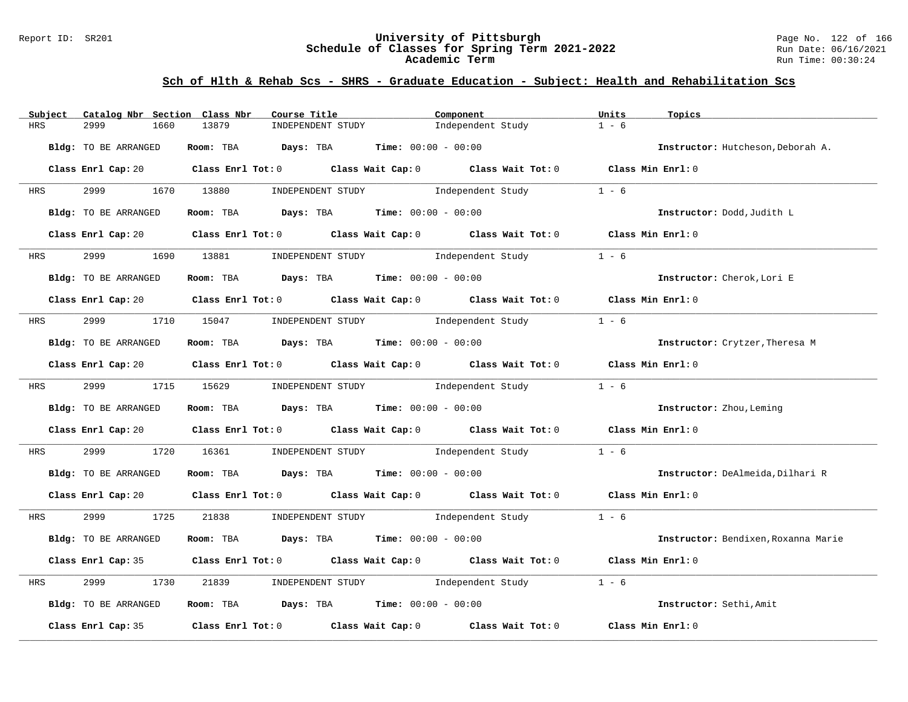### Report ID: SR201 **University of Pittsburgh** Page No. 122 of 166 **Schedule of Classes for Spring Term 2021-2022** Run Date: 06/16/2021 **Academic Term** Run Time: 00:30:24

| Subject    | Catalog Nbr Section Class Nbr | Course Title                                                                                                                   | Component                           | Units<br>Topics                     |
|------------|-------------------------------|--------------------------------------------------------------------------------------------------------------------------------|-------------------------------------|-------------------------------------|
| <b>HRS</b> | 2999<br>1660                  | 13879<br>INDEPENDENT STUDY                                                                                                     | Independent Study                   | $1 - 6$                             |
|            | Bldg: TO BE ARRANGED          | Room: TBA $Days:$ TBA $Time: 00:00 - 00:00$                                                                                    |                                     | Instructor: Hutcheson, Deborah A.   |
|            |                               | Class Enrl Cap: 20 Class Enrl Tot: 0 Class Wait Cap: 0 Class Wait Tot: 0 Class Min Enrl: 0                                     |                                     |                                     |
| HRS        | 2999 1670 13880               | INDEPENDENT STUDY                                                                                                              | Independent Study                   | $1 - 6$                             |
|            | Bldg: TO BE ARRANGED          | Room: TBA $Days:$ TBA $Time: 00:00 - 00:00$                                                                                    |                                     | Instructor: Dodd, Judith L          |
|            |                               | Class Enrl Cap: 20 Class Enrl Tot: 0 Class Wait Cap: 0 Class Wait Tot: 0 Class Min Enrl: 0                                     |                                     |                                     |
| <b>HRS</b> |                               | 1690 13881 INDEPENDENT STUDY Independent Study                                                                                 |                                     | $1 - 6$                             |
|            | Bldg: TO BE ARRANGED          | Room: TBA $Days:$ TBA $Time: 00:00 - 00:00$                                                                                    |                                     | Instructor: Cherok, Lori E          |
|            |                               | Class Enrl Cap: 20 $\qquad$ Class Enrl Tot: 0 $\qquad$ Class Wait Cap: 0 $\qquad$ Class Wait Tot: 0 $\qquad$ Class Min Enrl: 0 |                                     |                                     |
| <b>HRS</b> |                               | 2999 1710 15047 INDEPENDENT STUDY Independent Study                                                                            |                                     | $1 - 6$                             |
|            | Bldg: TO BE ARRANGED          | Room: TBA $Days:$ TBA Time: $00:00 - 00:00$                                                                                    |                                     | Instructor: Crytzer, Theresa M      |
|            |                               | Class Enrl Cap: 20 Class Enrl Tot: 0 Class Wait Cap: 0 Class Wait Tot: 0 Class Min Enrl: 0                                     |                                     |                                     |
|            |                               | HRS 2999 1715 15629 INDEPENDENT STUDY Independent Study                                                                        |                                     | $1 - 6$                             |
|            | Bldg: TO BE ARRANGED          | Room: TBA $Days:$ TBA $Time: 00:00 - 00:00$                                                                                    |                                     | Instructor: Zhou, Leming            |
|            |                               | Class Enrl Cap: 20 $\qquad$ Class Enrl Tot: 0 $\qquad$ Class Wait Cap: 0 $\qquad$ Class Wait Tot: 0 $\qquad$ Class Min Enrl: 0 |                                     |                                     |
| HRS        | 2999                          | 1720 16361                                                                                                                     | INDEPENDENT STUDY 1ndependent Study | $1 - 6$                             |
|            | Bldg: TO BE ARRANGED          | <b>Room:</b> TBA <b>Days:</b> TBA <b>Time:</b> 00:00 - 00:00                                                                   |                                     | Instructor: DeAlmeida, Dilhari R    |
|            |                               | Class Enrl Cap: 20 $\qquad$ Class Enrl Tot: 0 $\qquad$ Class Wait Cap: 0 $\qquad$ Class Wait Tot: 0 $\qquad$ Class Min Enrl: 0 |                                     |                                     |
|            | HRS 2999 1725                 | 21838 INDEPENDENT STUDY Independent Study 1 - 6                                                                                |                                     |                                     |
|            | Bldg: TO BE ARRANGED          | Room: TBA $Days:$ TBA $Time: 00:00 - 00:00$                                                                                    |                                     | Instructor: Bendixen, Roxanna Marie |
|            |                               | Class Enrl Cap: 35 Class Enrl Tot: 0 Class Wait Cap: 0 Class Wait Tot: 0 Class Min Enrl: 0                                     |                                     |                                     |
| HRS        | 2999<br>1730                  | INDEPENDENT STUDY 1ndependent Study<br>21839                                                                                   |                                     | $1 - 6$                             |
|            | Bldg: TO BE ARRANGED          | Room: TBA Days: TBA Time: $00:00 - 00:00$                                                                                      |                                     | Instructor: Sethi, Amit             |
|            | Class Enrl Cap: 35            | Class Enrl Tot: $0$ Class Wait Cap: $0$ Class Wait Tot: $0$                                                                    |                                     | Class Min Enrl: 0                   |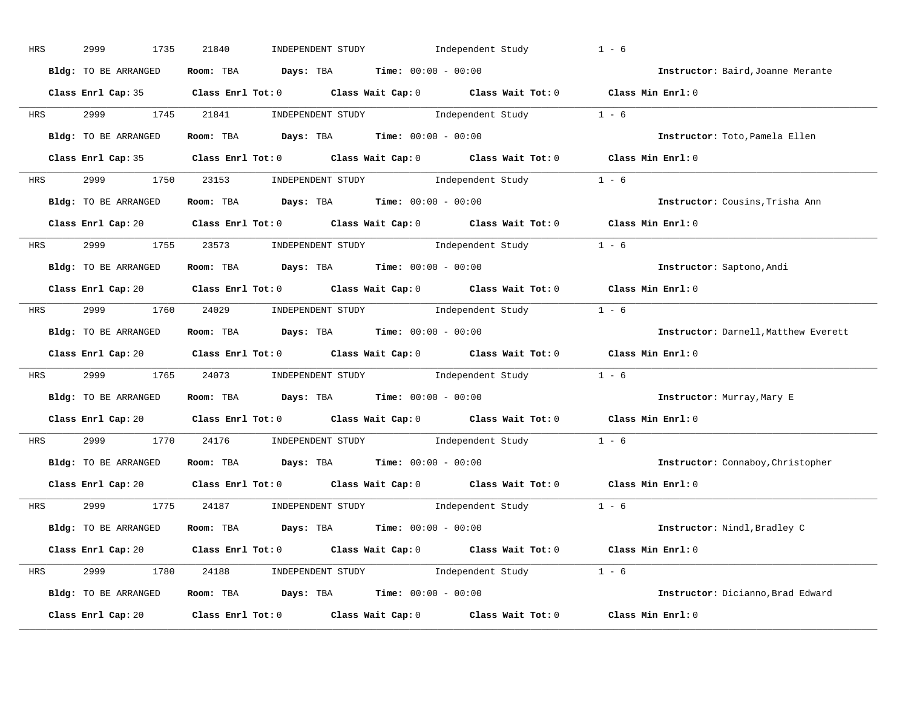| HRS        | 2999<br>1735         | 21840<br>INDEPENDENT STUDY Independent Study                                                        | $1 - 6$                              |
|------------|----------------------|-----------------------------------------------------------------------------------------------------|--------------------------------------|
|            | Bldg: TO BE ARRANGED | Room: TBA $Days:$ TBA $Time: 00:00 - 00:00$                                                         | Instructor: Baird, Joanne Merante    |
|            |                      | Class Enrl Cap: 35 Class Enrl Tot: 0 Class Wait Cap: 0 Class Wait Tot: 0 Class Min Enrl: 0          |                                      |
| <b>HRS</b> | 2999 1745 21841      | INDEPENDENT STUDY 1 - 6                                                                             |                                      |
|            | Bldg: TO BE ARRANGED | Room: TBA $\rule{1em}{0.15mm}$ Days: TBA Time: $00:00 - 00:00$                                      | Instructor: Toto, Pamela Ellen       |
|            |                      | Class Enrl Cap: 35 Class Enrl Tot: 0 Class Wait Cap: 0 Class Wait Tot: 0 Class Min Enrl: 0          |                                      |
|            |                      | HRS 2999 1750 23153 INDEPENDENT STUDY Independent Study 1 - 6                                       |                                      |
|            | Bldg: TO BE ARRANGED | Room: TBA $Days:$ TBA $Time:$ 00:00 - 00:00                                                         | Instructor: Cousins, Trisha Ann      |
|            |                      | Class Enrl Cap: 20 Class Enrl Tot: 0 Class Wait Cap: 0 Class Wait Tot: 0 Class Min Enrl: 0          |                                      |
|            |                      | HRS 2999 1755 23573 INDEPENDENT STUDY Independent Study 1 - 6                                       |                                      |
|            | Bldg: TO BE ARRANGED | Room: TBA $Days: TBA$ Time: $00:00 - 00:00$                                                         | Instructor: Saptono, Andi            |
|            |                      | Class Enrl Cap: 20 Class Enrl Tot: 0 Class Wait Cap: 0 Class Wait Tot: 0 Class Min Enrl: 0          |                                      |
|            |                      | HRS 2999 1760 24029 INDEPENDENT STUDY Independent Study 1 - 6                                       |                                      |
|            | Bldg: TO BE ARRANGED | Room: TBA $\rule{1em}{0.15mm}$ Days: TBA Time: $00:00 - 00:00$                                      | Instructor: Darnell, Matthew Everett |
|            |                      | Class Enrl Cap: 20 Class Enrl Tot: 0 Class Wait Cap: 0 Class Wait Tot: 0 Class Min Enrl: 0          |                                      |
| <b>HRS</b> |                      | 2999 1765 24073 INDEPENDENT STUDY Independent Study 1 - 6                                           |                                      |
|            | Bldg: TO BE ARRANGED | Room: TBA $Days:$ TBA Time: $00:00 - 00:00$                                                         | Instructor: Murray, Mary E           |
|            |                      | Class Enrl Cap: 20 $\qquad$ Class Enrl Tot: 0 $\qquad$ Class Wait Cap: 0 $\qquad$ Class Wait Tot: 0 | Class Min Enrl: 0                    |
| <b>HRS</b> | 2999 720             | 1770 24176 INDEPENDENT STUDY Independent Study 1 - 6                                                |                                      |
|            | Bldg: TO BE ARRANGED | Room: TBA $Days:$ TBA $Time: 00:00 - 00:00$                                                         | Instructor: Connaboy, Christopher    |
|            | Class Enrl Cap: 20   | Class Enrl Tot: 0 $\qquad$ Class Wait Cap: 0 $\qquad$ Class Wait Tot: 0                             | Class Min Enrl: 0                    |
|            | HRS 2999             | 1775 24187 INDEPENDENT STUDY Independent Study 1 - 6                                                |                                      |
|            |                      | Bldg: TO BE ARRANGED Room: TBA Days: TBA Time: 00:00 - 00:00                                        | Instructor: Nindl, Bradley C         |
|            |                      | Class Enrl Cap: 20 Class Enrl Tot: 0 Class Wait Cap: 0 Class Wait Tot: 0 Class Min Enrl: 0          |                                      |
|            |                      | HRS 2999 1780 24188 INDEPENDENT STUDY Independent Study 1 - 6                                       |                                      |
|            | Bldg: TO BE ARRANGED | Room: TBA $\rule{1em}{0.15mm}$ Days: TBA Time: $00:00 - 00:00$                                      | Instructor: Dicianno, Brad Edward    |
|            | Class Enrl Cap: 20   | Class Enrl Tot: $0$ Class Wait Cap: $0$ Class Wait Tot: $0$                                         | Class Min Enrl: 0                    |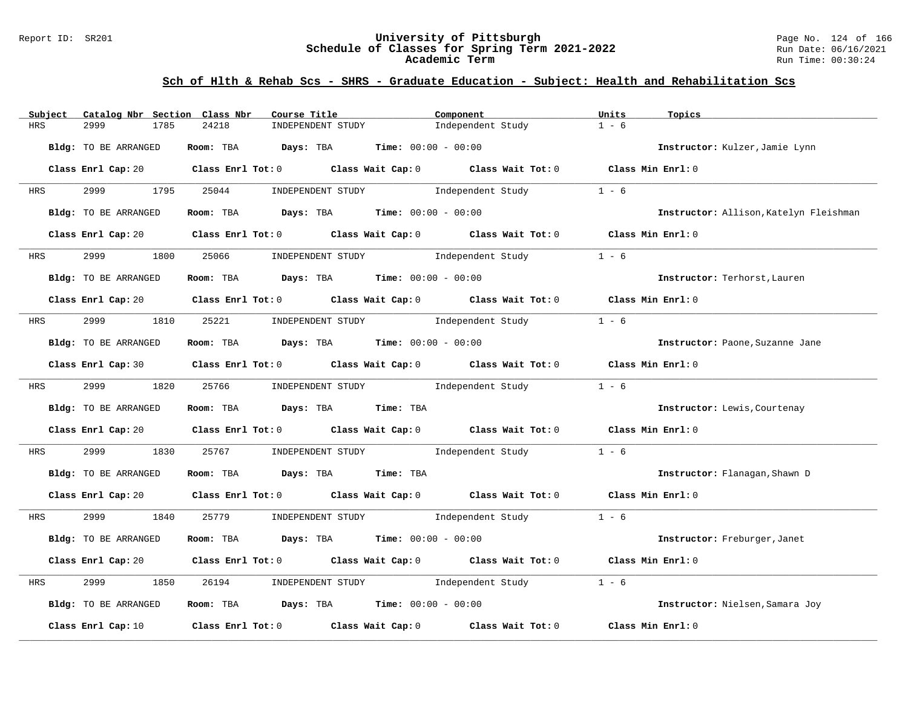### Report ID: SR201 **University of Pittsburgh** Page No. 124 of 166 **Schedule of Classes for Spring Term 2021-2022** Run Date: 06/16/2021 **Academic Term** Run Time: 00:30:24

| Subject                    | Catalog Nbr Section Class Nbr<br>Course Title                                                                                  | Component                                                   | Units<br>Topics                        |
|----------------------------|--------------------------------------------------------------------------------------------------------------------------------|-------------------------------------------------------------|----------------------------------------|
| <b>HRS</b><br>2999<br>1785 | 24218<br>INDEPENDENT STUDY                                                                                                     | Independent Study                                           | $1 - 6$                                |
| Bldg: TO BE ARRANGED       | Room: TBA<br>Days: TBA                                                                                                         | <b>Time:</b> $00:00 - 00:00$                                | Instructor: Kulzer, Jamie Lynn         |
|                            | Class Enrl Cap: 20 $\qquad$ Class Enrl Tot: 0 $\qquad$ Class Wait Cap: 0 $\qquad$ Class Wait Tot: 0 $\qquad$ Class Min Enrl: 0 |                                                             |                                        |
| 2999<br>HRS                | 1795<br>25044<br>INDEPENDENT STUDY                                                                                             | Independent Study                                           | $1 - 6$                                |
| Bldg: TO BE ARRANGED       | Room: TBA $Days:$ TBA $Time: 00:00 - 00:00$                                                                                    |                                                             | Instructor: Allison, Katelyn Fleishman |
| Class Enrl Cap: 20         |                                                                                                                                | Class Enrl Tot: $0$ Class Wait Cap: $0$ Class Wait Tot: $0$ | Class Min Enrl: 0                      |
| 2999<br>HRS                | 1800<br>25066<br>INDEPENDENT STUDY                                                                                             | Independent Study                                           | $1 - 6$                                |
| Bldg: TO BE ARRANGED       | Room: TBA $Days:$ TBA $Time: 00:00 - 00:00$                                                                                    |                                                             | Instructor: Terhorst, Lauren           |
|                            | Class Enrl Cap: 20 Class Enrl Tot: 0 Class Wait Cap: 0 Class Wait Tot: 0 Class Min Enrl: 0                                     |                                                             |                                        |
| 2999<br>HRS                | 25221<br>1810                                                                                                                  | INDEPENDENT STUDY 1ndependent Study                         | $1 - 6$                                |
| Bldg: TO BE ARRANGED       | Room: TBA $\rule{1em}{0.15mm}$ Days: TBA Time: $00:00 - 00:00$                                                                 |                                                             | Instructor: Paone, Suzanne Jane        |
|                            | Class Enrl Cap: 30 $\qquad$ Class Enrl Tot: 0 $\qquad$ Class Wait Cap: 0 $\qquad$ Class Wait Tot: 0                            |                                                             | Class Min Enrl: 0                      |
| 2999 — 200<br><b>HRS</b>   | 1820<br>25766                                                                                                                  | INDEPENDENT STUDY 1ndependent Study                         | $1 - 6$                                |
| Bldg: TO BE ARRANGED       | Room: TBA Days: TBA                                                                                                            | Time: TBA                                                   | Instructor: Lewis, Courtenay           |
|                            | Class Enrl Cap: 20 $\qquad$ Class Enrl Tot: 0 $\qquad$ Class Wait Cap: 0 $\qquad$ Class Wait Tot: 0 $\qquad$ Class Min Enrl: 0 |                                                             |                                        |
| 2999<br>1830<br>HRS        | 25767                                                                                                                          | INDEPENDENT STUDY 1ndependent Study                         | $1 - 6$                                |
| Bldg: TO BE ARRANGED       | Room: TBA Days: TBA Time: TBA                                                                                                  |                                                             | Instructor: Flanagan, Shawn D          |
|                            | Class Enrl Cap: 20 $\qquad$ Class Enrl Tot: 0 $\qquad$ Class Wait Cap: 0 $\qquad$ Class Wait Tot: 0 $\qquad$ Class Min Enrl: 0 |                                                             |                                        |
| 2999<br>1840<br>HRS        | 25779                                                                                                                          | INDEPENDENT STUDY 1ndependent Study                         | $1 - 6$                                |
| Bldg: TO BE ARRANGED       | Room: TBA $Days:$ TBA $Time: 00:00 - 00:00$                                                                                    |                                                             | Instructor: Freburger, Janet           |
|                            | Class Enrl Cap: 20 $\qquad$ Class Enrl Tot: 0 $\qquad$ Class Wait Cap: 0 $\qquad$ Class Wait Tot: 0                            |                                                             | Class Min Enrl: 0                      |
| 2999<br>HRS<br>1850        | 26194<br>INDEPENDENT STUDY                                                                                                     | Independent Study                                           | $1 - 6$                                |
| Bldg: TO BE ARRANGED       | Room: TBA $Days:$ TBA $Time: 00:00 - 00:00$                                                                                    |                                                             | Instructor: Nielsen, Samara Joy        |
| Class Enrl Cap: 10         | Class Enrl Tot: $0$ Class Wait Cap: $0$                                                                                        | Class Wait Tot: 0                                           | Class Min Enrl: 0                      |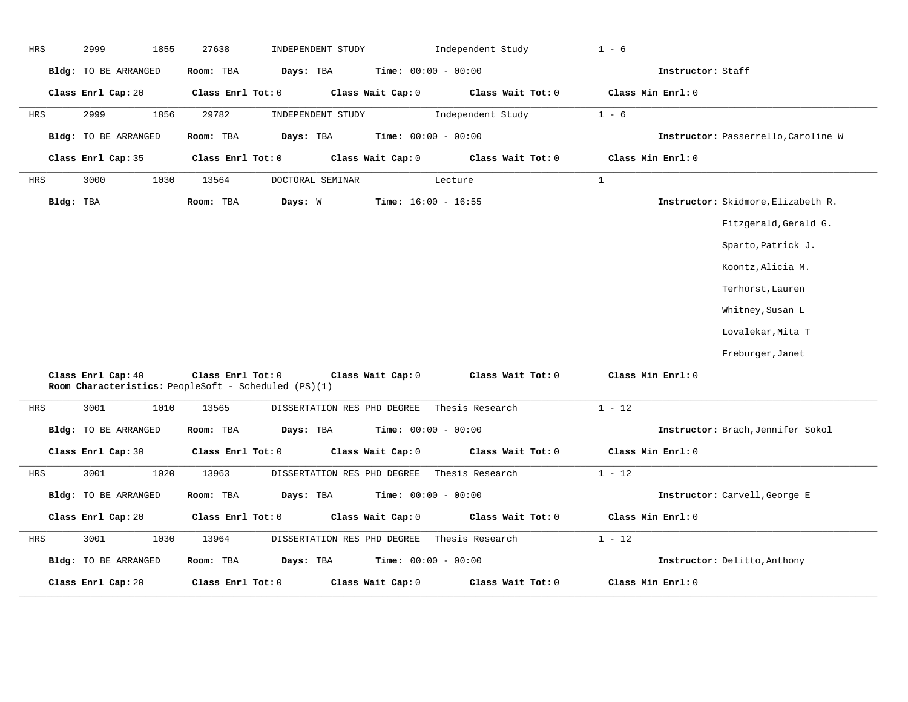| <b>HRS</b> | 2999<br>1855         | 27638<br>INDEPENDENT STUDY                                                                     | Independent Study            | $1 - 6$                             |
|------------|----------------------|------------------------------------------------------------------------------------------------|------------------------------|-------------------------------------|
|            | Bldg: TO BE ARRANGED | Room: TBA<br>Days: TBA                                                                         | <b>Time:</b> $00:00 - 00:00$ | Instructor: Staff                   |
|            | Class Enrl Cap: 20   | Class Enrl Tot: 0<br>Class Wait Cap: 0                                                         | Class Wait Tot: 0            | Class Min Enrl: 0                   |
| HRS        | 2999<br>1856         | 29782<br>INDEPENDENT STUDY                                                                     | Independent Study            | $1 - 6$                             |
|            | Bldg: TO BE ARRANGED | Room: TBA<br>Days: TBA                                                                         | Time: $00:00 - 00:00$        | Instructor: Passerrello, Caroline W |
|            | Class Enrl Cap: 35   | Class Enrl Tot: 0<br>Class Wait Cap: 0                                                         | Class Wait Tot: 0            | Class Min Enrl: 0                   |
| HRS        | 3000<br>1030         | 13564<br>DOCTORAL SEMINAR                                                                      | Lecture                      | $1\,$                               |
| Bldg: TBA  |                      | Days: W<br>Room: TBA                                                                           | <b>Time:</b> $16:00 - 16:55$ | Instructor: Skidmore, Elizabeth R.  |
|            |                      |                                                                                                |                              | Fitzgerald, Gerald G.               |
|            |                      |                                                                                                |                              | Sparto, Patrick J.                  |
|            |                      |                                                                                                |                              | Koontz, Alicia M.                   |
|            |                      |                                                                                                |                              | Terhorst, Lauren                    |
|            |                      |                                                                                                |                              | Whitney, Susan L                    |
|            |                      |                                                                                                |                              | Lovalekar, Mita T                   |
|            |                      |                                                                                                |                              | Freburger, Janet                    |
|            | Class Enrl Cap: 40   | Class Enrl Tot: 0<br>Class Wait Cap: 0<br>Room Characteristics: PeopleSoft - Scheduled (PS)(1) | Class Wait Tot: 0            | Class Min Enrl: 0                   |
| HRS        | 3001<br>1010         | 13565<br>DISSERTATION RES PHD DEGREE                                                           | Thesis Research              | $1 - 12$                            |
|            | Bldg: TO BE ARRANGED | Room: TBA<br>Days: TBA                                                                         | <b>Time:</b> $00:00 - 00:00$ | Instructor: Brach, Jennifer Sokol   |
|            | Class Enrl Cap: 30   | Class Enrl Tot: 0<br>Class Wait Cap: 0                                                         | Class Wait Tot: 0            | Class Min Enrl: 0                   |
| HRS        | 3001<br>1020         | 13963<br>DISSERTATION RES PHD DEGREE                                                           | Thesis Research              | $1 - 12$                            |
|            | Bldg: TO BE ARRANGED | Room: TBA<br>Days: TBA                                                                         | <b>Time:</b> $00:00 - 00:00$ | Instructor: Carvell, George E       |
|            | Class Enrl Cap: 20   | Class Wait Cap: 0<br>Class Enrl Tot: 0                                                         | Class Wait Tot: 0            | Class Min Enrl: 0                   |
| HRS        | 3001<br>1030         | 13964<br>DISSERTATION RES PHD DEGREE                                                           | Thesis Research              | $1 - 12$                            |
|            | Bldg: TO BE ARRANGED | Days: TBA<br>Room: TBA                                                                         | <b>Time:</b> $00:00 - 00:00$ | Instructor: Delitto, Anthony        |
|            | Class Enrl Cap: 20   | Class Enrl Tot: 0<br>Class Wait Cap: 0                                                         | Class Wait Tot: 0            | Class Min Enrl: 0                   |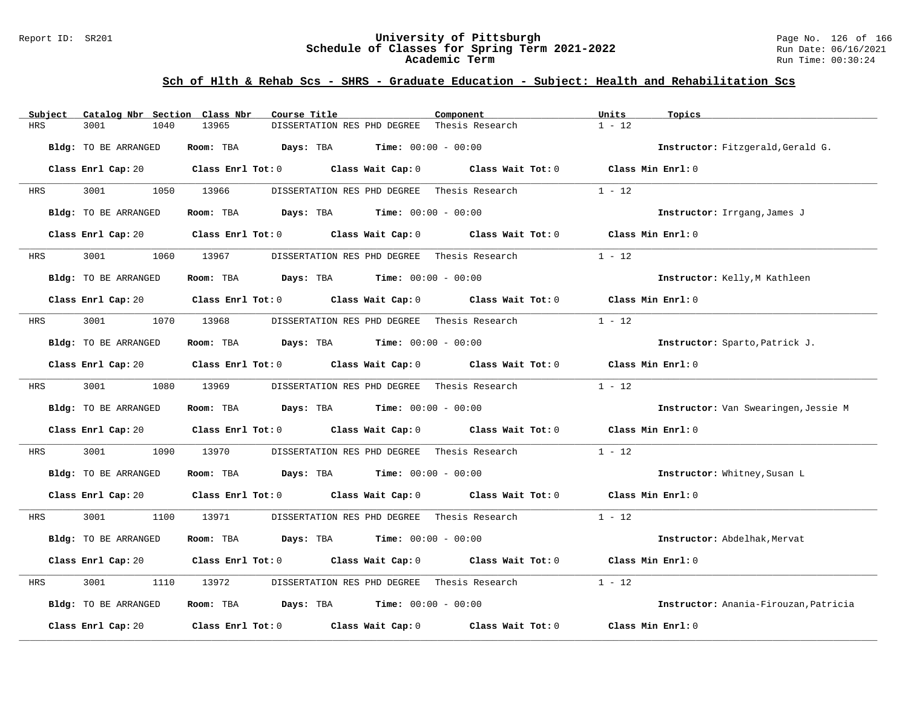### Report ID: SR201 **University of Pittsburgh** Page No. 126 of 166 **Schedule of Classes for Spring Term 2021-2022** Run Date: 06/16/2021 **Academic Term** Run Time: 00:30:24

| Subject    | Catalog Nbr Section Class Nbr | Course Title                                                      | Component           | Units<br>Topics                       |
|------------|-------------------------------|-------------------------------------------------------------------|---------------------|---------------------------------------|
| <b>HRS</b> | 3001<br>1040                  | 13965<br>DISSERTATION RES PHD DEGREE                              | Thesis Research     | $1 - 12$                              |
|            | Bldg: TO BE ARRANGED          | Room: TBA<br><b>Days:</b> TBA <b>Time:</b> $00:00 - 00:00$        |                     | Instructor: Fitzgerald, Gerald G.     |
|            | Class Enrl Cap: 20            | Class Enrl Tot: 0 Class Wait Cap: 0                               | Class Wait Tot: $0$ | Class Min Enrl: 0                     |
| HRS        | 3001<br>1050                  | 13966<br>DISSERTATION RES PHD DEGREE                              | Thesis Research     | $1 - 12$                              |
|            | Bldg: TO BE ARRANGED          | $\texttt{Davis:}$ TBA $\texttt{Time:}$ 00:00 - 00:00<br>Room: TBA |                     | Instructor: Irrgang, James J          |
|            | Class Enrl Cap: 20            | Class Enrl Tot: 0 Class Wait Cap: 0                               | Class Wait Tot: 0   | Class Min $Enrl: 0$                   |
| HRS        | 3001<br>1060                  | 13967<br>DISSERTATION RES PHD DEGREE Thesis Research              |                     | $1 - 12$                              |
|            | Bldg: TO BE ARRANGED          | Room: TBA<br><b>Days:</b> TBA <b>Time:</b> $00:00 - 00:00$        |                     | Instructor: Kelly, M Kathleen         |
|            | Class Enrl Cap: 20            | Class Enrl Tot: $0$ Class Wait Cap: $0$ Class Wait Tot: $0$       |                     | Class Min Enrl: 0                     |
| HRS        | 3001<br>1070                  | 13968<br>DISSERTATION RES PHD DEGREE Thesis Research              |                     | $1 - 12$                              |
|            | Bldg: TO BE ARRANGED          | Room: TBA<br><b>Days:</b> TBA <b>Time:</b> $00:00 - 00:00$        |                     | Instructor: Sparto, Patrick J.        |
|            | Class Enrl Cap: 20            | Class Enrl Tot: 0 Class Wait Cap: 0                               | Class Wait Tot: 0   | Class Min Enrl: 0                     |
| HRS        | 3001<br>1080                  | 13969<br>DISSERTATION RES PHD DEGREE Thesis Research              |                     | $1 - 12$                              |
|            | Bldg: TO BE ARRANGED          | Room: TBA<br>$\texttt{Davis:}$ TBA $\texttt{Time:}$ 00:00 - 00:00 |                     | Instructor: Van Swearingen, Jessie M  |
|            | Class Enrl Cap: 20            | Class Enrl Tot: 0 Class Wait Cap: 0 Class Wait Tot: 0             |                     | Class Min Enrl: 0                     |
| HRS        | 3001<br>1090                  | 13970<br>DISSERTATION RES PHD DEGREE                              | Thesis Research     | $1 - 12$                              |
|            | Bldg: TO BE ARRANGED          | Room: TBA $Days:$ TBA $Time: 00:00 - 00:00$                       |                     | Instructor: Whitney, Susan L          |
|            | Class Enrl Cap: 20            | Class Enrl Tot: 0 Class Wait Cap: 0 Class Wait Tot: 0             |                     | Class Min Enrl: 0                     |
| HRS        | 3001<br>1100                  | 13971<br>DISSERTATION RES PHD DEGREE Thesis Research              |                     | $1 - 12$                              |
|            | Bldg: TO BE ARRANGED          | $Days: TBA$ Time: $00:00 - 00:00$<br>Room: TBA                    |                     | Instructor: Abdelhak, Mervat          |
|            | Class Enrl Cap: 20            | Class Enrl Tot: 0 Class Wait Cap: 0 Class Wait Tot: 0             |                     | Class Min Enrl: 0                     |
| HRS        | 3001<br>1110                  | 13972<br>DISSERTATION RES PHD DEGREE Thesis Research              |                     | $1 - 12$                              |
|            | Bldg: TO BE ARRANGED          | Room: TBA $Days:$ TBA $Time: 00:00 - 00:00$                       |                     | Instructor: Anania-Firouzan, Patricia |
|            | Class Enrl Cap: 20            | Class Enrl Tot: 0 Class Wait Cap: 0                               | Class Wait Tot: 0   | Class Min Enrl: 0                     |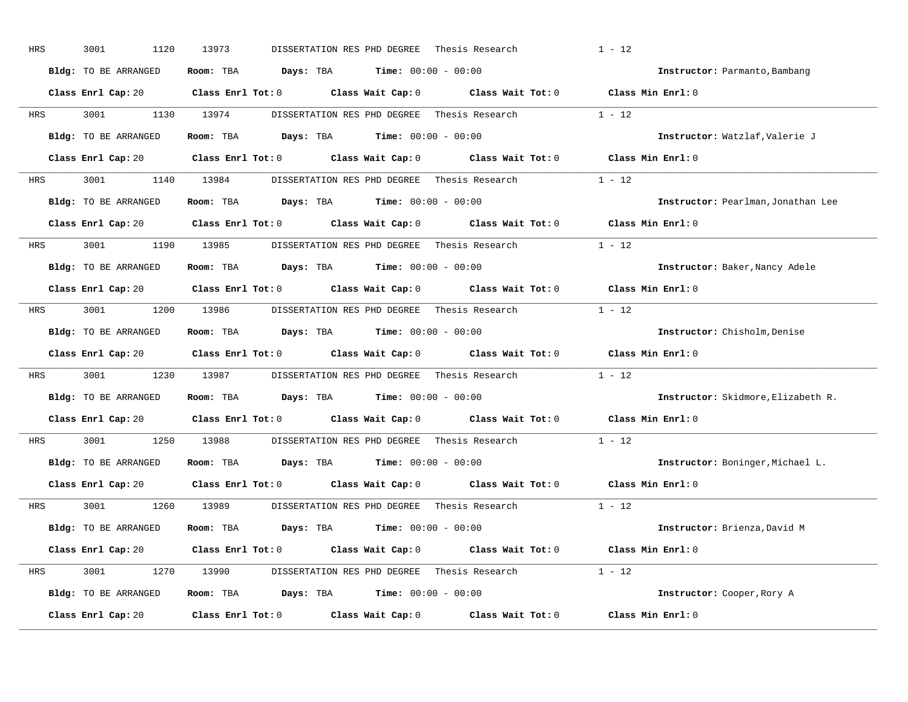| HRS | 3001<br>1120         | 13973<br>DISSERTATION RES PHD DEGREE                                                                | Thesis Research | $1 - 12$                           |
|-----|----------------------|-----------------------------------------------------------------------------------------------------|-----------------|------------------------------------|
|     | Bldg: TO BE ARRANGED | Room: TBA $\rule{1em}{0.15mm}$ Days: TBA Time: $00:00 - 00:00$                                      |                 | Instructor: Parmanto, Bambang      |
|     |                      | Class Enrl Cap: 20 Class Enrl Tot: 0 Class Wait Cap: 0 Class Wait Tot: 0 Class Min Enrl: 0          |                 |                                    |
| HRS | 3001                 | 1130 13974<br>DISSERTATION RES PHD DEGREE Thesis Research                                           |                 | $1 - 12$                           |
|     | Bldg: TO BE ARRANGED | Room: TBA $Days:$ TBA $Time: 00:00 - 00:00$                                                         |                 | Instructor: Watzlaf, Valerie J     |
|     |                      | Class Enrl Cap: 20 Class Enrl Tot: 0 Class Wait Cap: 0 Class Wait Tot: 0 Class Min Enrl: 0          |                 |                                    |
| HRS |                      | 3001 1140 13984 DISSERTATION RES PHD DEGREE Thesis Research 1 - 12                                  |                 |                                    |
|     | Bldg: TO BE ARRANGED | Room: TBA $Days:$ TBA Time: $00:00 - 00:00$                                                         |                 | Instructor: Pearlman, Jonathan Lee |
|     |                      | Class Enrl Cap: 20 Class Enrl Tot: 0 Class Wait Cap: 0 Class Wait Tot: 0                            |                 | Class Min Enrl: 0                  |
| HRS | 3001 1190 13985      | DISSERTATION RES PHD DEGREE - Thesis Research                                                       |                 | $1 - 12$                           |
|     | Bldg: TO BE ARRANGED | Room: TBA $Days:$ TBA $Time: 00:00 - 00:00$                                                         |                 | Instructor: Baker, Nancy Adele     |
|     |                      | Class Enrl Cap: 20 $\qquad$ Class Enrl Tot: 0 $\qquad$ Class Wait Cap: 0 $\qquad$ Class Wait Tot: 0 |                 | Class Min Enrl: 0                  |
| HRS |                      | 3001 1200 13986 DISSERTATION RES PHD DEGREE Thesis Research 1 - 12                                  |                 |                                    |
|     | Bldg: TO BE ARRANGED | Room: TBA $Days:$ TBA $Time: 00:00 - 00:00$                                                         |                 | Instructor: Chisholm, Denise       |
|     |                      | Class Enrl Cap: 20 Class Enrl Tot: 0 Class Wait Cap: 0 Class Wait Tot: 0                            |                 | Class Min Enrl: 0                  |
| HRS | 3001                 | 1230 13987 DISSERTATION RES PHD DEGREE Thesis Research                                              |                 | $1 - 12$                           |
|     | Bldg: TO BE ARRANGED | Room: TBA $Days:$ TBA $Time: 00:00 - 00:00$                                                         |                 | Instructor: Skidmore, Elizabeth R. |
|     |                      | Class Enrl Cap: 20 Class Enrl Tot: 0 Class Wait Cap: 0 Class Wait Tot: 0                            |                 | Class Min Enrl: 0                  |
| HRS | 3001 000             | 1250 13988<br>DISSERTATION RES PHD DEGREE Thesis Research                                           |                 | $1 - 12$                           |
|     | Bldg: TO BE ARRANGED | Room: TBA $Days:$ TBA $Time: 00:00 - 00:00$                                                         |                 | Instructor: Boninger, Michael L.   |
|     |                      | Class Enrl Cap: 20 Class Enrl Tot: 0 Class Wait Cap: 0 Class Wait Tot: 0                            |                 | Class Min Enrl: 0                  |
| HRS | 3001                 | 1260 13989<br>DISSERTATION RES PHD DEGREE                                                           | Thesis Research | $1 - 12$                           |
|     | Bldg: TO BE ARRANGED | Room: TBA $Days: TBA$ Time: $00:00 - 00:00$                                                         |                 | Instructor: Brienza, David M       |
|     |                      | Class Enrl Cap: 20 Class Enrl Tot: 0 Class Wait Cap: 0 Class Wait Tot: 0 Class Min Enrl: 0          |                 |                                    |
| HRS |                      | 3001 1270 13990 DISSERTATION RES PHD DEGREE Thesis Research 1 - 12                                  |                 |                                    |
|     | Bldg: TO BE ARRANGED | Room: TBA $Days: TBA$ Time: $00:00 - 00:00$                                                         |                 | Instructor: Cooper, Rory A         |
|     | Class Enrl Cap: 20   | Class Enrl Tot: $0$ Class Wait Cap: $0$ Class Wait Tot: $0$                                         |                 | Class Min Enrl: 0                  |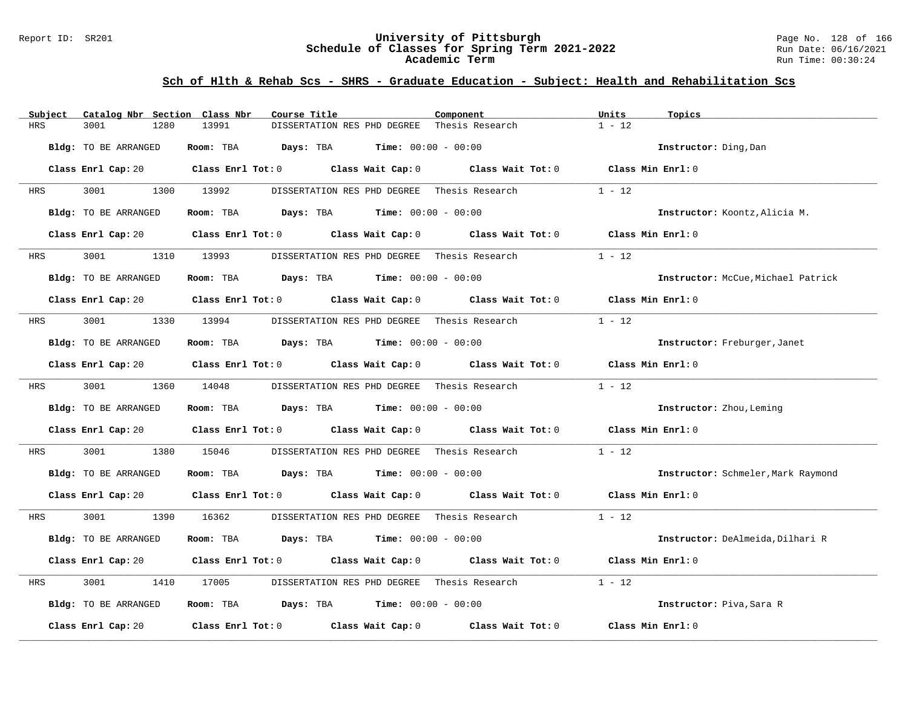### Report ID: SR201 **University of Pittsburgh** Page No. 128 of 166 **Schedule of Classes for Spring Term 2021-2022** Run Date: 06/16/2021 **Academic Term** Run Time: 00:30:24

| Catalog Nbr Section Class Nbr<br>Subject | Course Title                                                                                                                   | Component         | Units<br>Topics                    |
|------------------------------------------|--------------------------------------------------------------------------------------------------------------------------------|-------------------|------------------------------------|
| <b>HRS</b><br>3001<br>1280               | 13991<br>DISSERTATION RES PHD DEGREE                                                                                           | Thesis Research   | $1 - 12$                           |
| Bldg: TO BE ARRANGED                     | <b>Days:</b> TBA <b>Time:</b> $00:00 - 00:00$<br>Room: TBA                                                                     |                   | Instructor: Ding, Dan              |
|                                          | Class Enrl Cap: 20 Class Enrl Tot: 0 Class Wait Cap: 0 Class Wait Tot: 0 Class Min Enrl: 0                                     |                   |                                    |
| 3001<br>HRS                              | 1300 13992<br>DISSERTATION RES PHD DEGREE Thesis Research                                                                      |                   | $1 - 12$                           |
| Bldg: TO BE ARRANGED                     | Room: TBA $Days:$ TBA $Time: 00:00 - 00:00$                                                                                    |                   | Instructor: Koontz, Alicia M.      |
|                                          | Class Enrl Cap: 20 Class Enrl Tot: 0 Class Wait Cap: 0                                                                         | Class Wait Tot: 0 | Class Min Enrl: 0                  |
| 3001<br>HRS                              | 1310 13993<br>DISSERTATION RES PHD DEGREE Thesis Research                                                                      |                   | $1 - 12$                           |
| Bldg: TO BE ARRANGED                     | Room: TBA $Days: TBA$ Time: $00:00 - 00:00$                                                                                    |                   | Instructor: McCue, Michael Patrick |
|                                          | Class Enrl Cap: 20 Class Enrl Tot: 0 Class Wait Cap: 0 Class Wait Tot: 0                                                       |                   | Class Min Enrl: 0                  |
| 3001<br>HRS                              | 1330 13994<br>DISSERTATION RES PHD DEGREE Thesis Research                                                                      |                   | $1 - 12$                           |
| Bldg: TO BE ARRANGED                     | Room: TBA $Days:$ TBA $Time: 00:00 - 00:00$                                                                                    |                   | Instructor: Freburger, Janet       |
|                                          | Class Enrl Cap: 20 $\qquad$ Class Enrl Tot: 0 $\qquad$ Class Wait Cap: 0 $\qquad$ Class Wait Tot: 0                            |                   | Class Min Enrl: 0                  |
| 3001 2002<br>HRS                         | 1360 14048<br>DISSERTATION RES PHD DEGREE - Thesis Research                                                                    |                   | $1 - 12$                           |
| Bldg: TO BE ARRANGED                     | Room: TBA $Days:$ TBA $Time: 00:00 - 00:00$                                                                                    |                   | Instructor: Zhou, Leming           |
|                                          | Class Enrl Cap: 20 Class Enrl Tot: 0 Class Wait Cap: 0 Class Wait Tot: 0 Class Min Enrl: 0                                     |                   |                                    |
| 3001<br>1380<br>HRS                      | 15046<br>DISSERTATION RES PHD DEGREE Thesis Research                                                                           |                   | $1 - 12$                           |
| Bldg: TO BE ARRANGED                     | Room: TBA $Days:$ TBA $Time:$ $00:00 - 00:00$                                                                                  |                   | Instructor: Schmeler, Mark Raymond |
|                                          | Class Enrl Cap: 20 $\qquad$ Class Enrl Tot: 0 $\qquad$ Class Wait Cap: 0 $\qquad$ Class Wait Tot: 0 $\qquad$ Class Min Enrl: 0 |                   |                                    |
| 3001 200<br>HRS                          | 1390 16362<br>DISSERTATION RES PHD DEGREE Thesis Research                                                                      |                   | $1 - 12$                           |
| Bldg: TO BE ARRANGED                     | Room: TBA $Days:$ TBA $Time: 00:00 - 00:00$                                                                                    |                   | Instructor: DeAlmeida, Dilhari R   |
|                                          | Class Enrl Cap: 20 Class Enrl Tot: 0 Class Wait Cap: 0 Class Wait Tot: 0                                                       |                   | Class Min Enrl: 0                  |
| 3001<br>HRS<br>1410                      | DISSERTATION RES PHD DEGREE Thesis Research<br>17005                                                                           |                   | $1 - 12$                           |
| Bldg: TO BE ARRANGED                     | Room: TBA $\rule{1em}{0.15mm}$ Days: TBA $\rule{1.15mm}]{0.15mm}$ Time: $0.000 - 0.0000$                                       |                   | Instructor: Piva, Sara R           |
| Class Enrl Cap: 20                       | Class Enrl Tot: $0$ Class Wait Cap: $0$ Class Wait Tot: $0$                                                                    |                   | Class Min Enrl: 0                  |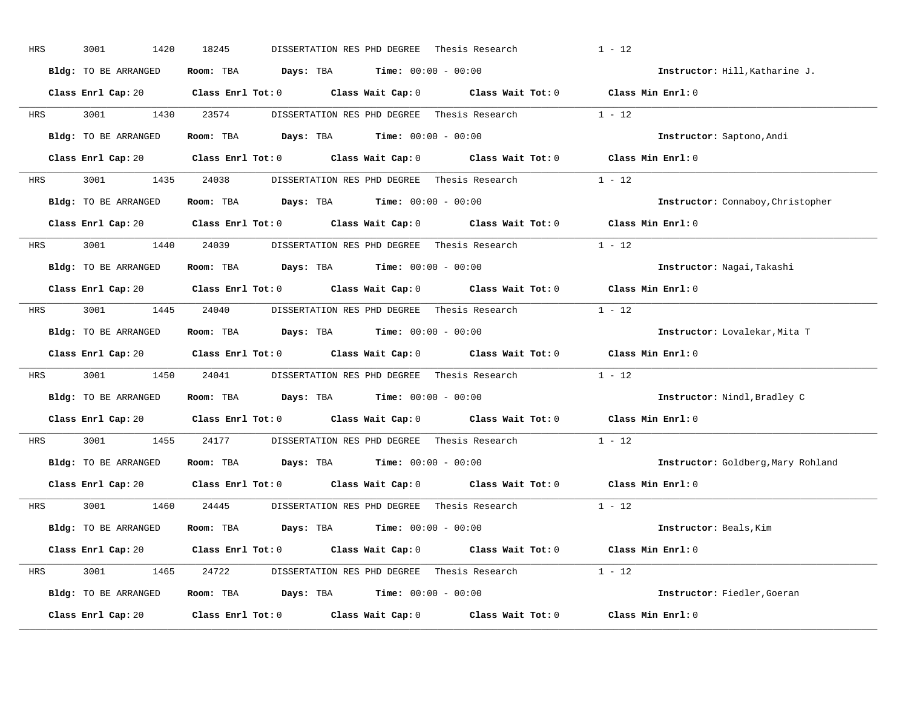| HRS        | 3001<br>1420         | 18245<br>DISSERTATION RES PHD DEGREE                                                                | Thesis Research | $1 - 12$                           |
|------------|----------------------|-----------------------------------------------------------------------------------------------------|-----------------|------------------------------------|
|            | Bldg: TO BE ARRANGED | Room: TBA $Days: TBA$ Time: $00:00 - 00:00$                                                         |                 | Instructor: Hill, Katharine J.     |
|            |                      | Class Enrl Cap: 20 Class Enrl Tot: 0 Class Wait Cap: 0 Class Wait Tot: 0 Class Min Enrl: 0          |                 |                                    |
| <b>HRS</b> | 3001 1430 23574      | DISSERTATION RES PHD DEGREE Thesis Research 1 - 12                                                  |                 |                                    |
|            | Bldg: TO BE ARRANGED | Room: TBA $Days:$ TBA $Time: 00:00 - 00:00$                                                         |                 | Instructor: Saptono, Andi          |
|            |                      | Class Enrl Cap: 20 Class Enrl Tot: 0 Class Wait Cap: 0 Class Wait Tot: 0 Class Min Enrl: 0          |                 |                                    |
| HRS        |                      | 3001 1435 24038 DISSERTATION RES PHD DEGREE Thesis Research 1 - 12                                  |                 |                                    |
|            | Bldg: TO BE ARRANGED | Room: TBA $Days:$ TBA $Time: 00:00 - 00:00$                                                         |                 | Instructor: Connaboy, Christopher  |
|            |                      | Class Enrl Cap: 20 Class Enrl Tot: 0 Class Wait Cap: 0 Class Wait Tot: 0 Class Min Enrl: 0          |                 |                                    |
|            |                      | HRS 3001 1440 24039 DISSERTATION RES PHD DEGREE Thesis Research                                     |                 | $1 - 12$                           |
|            | Bldg: TO BE ARRANGED | Room: TBA $Days: TBA$ Time: $00:00 - 00:00$                                                         |                 | Instructor: Nagai, Takashi         |
|            |                      | Class Enrl Cap: 20 Class Enrl Tot: 0 Class Wait Cap: 0 Class Wait Tot: 0 Class Min Enrl: 0          |                 |                                    |
| HRS        |                      | 3001 1445 24040 DISSERTATION RES PHD DEGREE Thesis Research 1 - 12                                  |                 |                                    |
|            | Bldg: TO BE ARRANGED | Room: TBA $Days: TBA$ Time: $00:00 - 00:00$                                                         |                 | Instructor: Lovalekar, Mita T      |
|            |                      | Class Enrl Cap: 20 Class Enrl Tot: 0 Class Wait Cap: 0 Class Wait Tot: 0 Class Min Enrl: 0          |                 |                                    |
| HRS        |                      | 3001 1450 24041 DISSERTATION RES PHD DEGREE Thesis Research                                         |                 | $1 - 12$                           |
|            | Bldg: TO BE ARRANGED | Room: TBA $Days:$ TBA $Time: 00:00 - 00:00$                                                         |                 | Instructor: Nindl, Bradley C       |
|            |                      | Class Enrl Cap: 20 $\qquad$ Class Enrl Tot: 0 $\qquad$ Class Wait Cap: 0 $\qquad$ Class Wait Tot: 0 |                 | Class Min Enrl: 0                  |
| <b>HRS</b> | 3001 1455 24177      | DISSERTATION RES PHD DEGREE Thesis Research                                                         |                 | $1 - 12$                           |
|            | Bldg: TO BE ARRANGED | Room: TBA $Days:$ TBA Time: $00:00 - 00:00$                                                         |                 | Instructor: Goldberg, Mary Rohland |
|            |                      | Class Enrl Cap: 20 		 Class Enrl Tot: 0 		 Class Wait Cap: 0 		 Class Wait Tot: 0                   |                 | Class Min Enrl: 0                  |
|            |                      | HRS    3001      1460    24445     DISSERTATION RES PHD DEGREE Thesis Research         1 - 12       |                 |                                    |
|            | Bldg: TO BE ARRANGED | Room: TBA $Days:$ TBA $Time: 00:00 - 00:00$                                                         |                 | Instructor: Beals, Kim             |
|            |                      | Class Enrl Cap: 20 Class Enrl Tot: 0 Class Wait Cap: 0 Class Wait Tot: 0 Class Min Enrl: 0          |                 |                                    |
| HRS        |                      | 3001 1465 24722 DISSERTATION RES PHD DEGREE Thesis Research 1 - 12                                  |                 |                                    |
|            | Bldg: TO BE ARRANGED | Room: TBA $Days: TBA$ Time: $00:00 - 00:00$                                                         |                 | Instructor: Fiedler, Goeran        |
|            | Class Enrl Cap: 20   | Class Enrl Tot: $0$ Class Wait Cap: $0$ Class Wait Tot: $0$                                         |                 | Class Min Enrl: 0                  |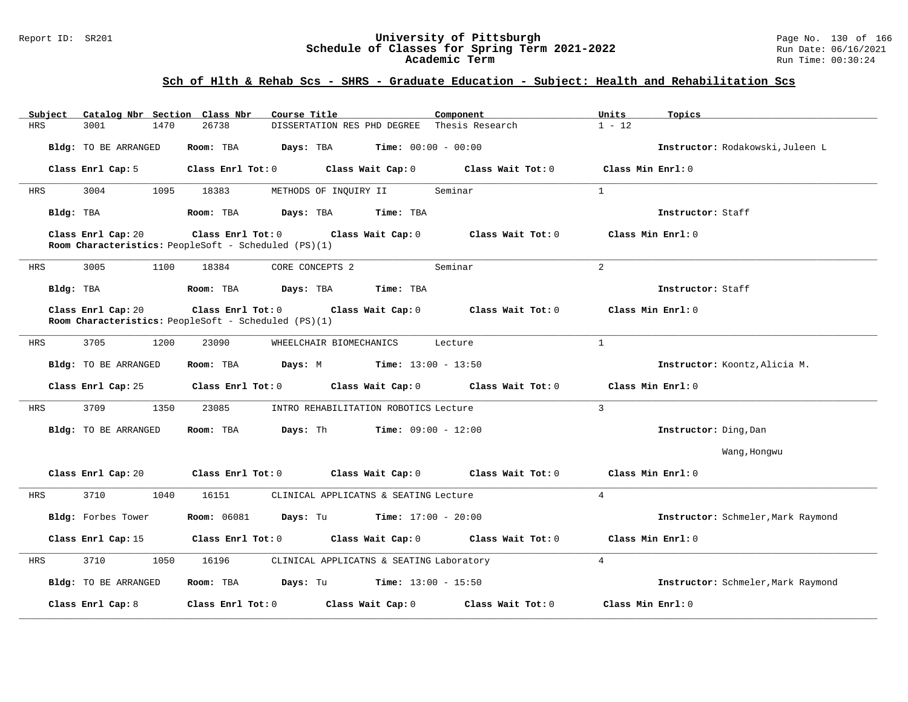### Report ID: SR201 **University of Pittsburgh** Page No. 130 of 166 **Schedule of Classes for Spring Term 2021-2022** Run Date: 06/16/2021 **Academic Term** Run Time: 00:30:24

| Subject    | Catalog Nbr Section Class Nbr | Course Title                                                                                | Component             | Units<br>Topics                    |
|------------|-------------------------------|---------------------------------------------------------------------------------------------|-----------------------|------------------------------------|
| <b>HRS</b> | 3001<br>1470                  | 26738<br>DISSERTATION RES PHD DEGREE                                                        | Thesis Research       | $1 - 12$                           |
|            | Bldg: TO BE ARRANGED          | Room: TBA<br><b>Time:</b> $00:00 - 00:00$<br>Days: TBA                                      |                       | Instructor: Rodakowski, Juleen L   |
|            | Class Enrl Cap: 5             | Class Wait Cap: 0<br>Class Enrl Tot: 0                                                      | Class Wait Tot: 0     | Class Min Enrl: 0                  |
| HRS        | 3004<br>1095                  | 18383<br>METHODS OF INQUIRY II                                                              | Seminar               | $\mathbf{1}$                       |
| Bldg: TBA  |                               | Room: TBA<br>Days: TBA<br>Time: TBA                                                         |                       | Instructor: Staff                  |
|            | Class Enrl Cap: 20            | Class Enrl Tot: 0 Class Wait Cap: 0<br>Room Characteristics: PeopleSoft - Scheduled (PS)(1) | Class Wait Tot: 0     | Class Min Enrl: 0                  |
| HRS        | 3005<br>1100                  | 18384<br>CORE CONCEPTS 2                                                                    | Seminar               | 2                                  |
| Bldg: TBA  |                               | Room: TBA<br>Days: TBA<br>Time: TBA                                                         |                       | Instructor: Staff                  |
|            | Class Enrl Cap: 20            | Class Enrl Tot: 0 Class Wait Cap: 0<br>Room Characteristics: PeopleSoft - Scheduled (PS)(1) | $Class$ Wait Tot: $0$ | Class Min Enrl: 0                  |
| HRS        | 3705<br>1200                  | 23090<br>WHEELCHAIR BIOMECHANICS                                                            | Lecture               | $\mathbf{1}$                       |
|            | Bldg: TO BE ARRANGED          | Room: TBA<br>Days: M<br><b>Time:</b> $13:00 - 13:50$                                        |                       | Instructor: Koontz, Alicia M.      |
|            | Class Enrl Cap: 25            | Class Enrl Tot: 0 Class Wait Cap: 0                                                         | Class Wait Tot: 0     | Class Min Enrl: 0                  |
| HRS        | 3709<br>1350                  | 23085<br>INTRO REHABILITATION ROBOTICS Lecture                                              |                       | $\mathbf{3}$                       |
|            | Bldg: TO BE ARRANGED          | Days: Th<br>Room: TBA<br>$Time: 09:00 - 12:00$                                              |                       | Instructor: Ding, Dan              |
|            |                               |                                                                                             |                       | Wang, Hongwu                       |
|            | Class Enrl Cap: 20            | Class Enrl Tot: 0<br>Class Wait Cap: 0                                                      | Class Wait Tot: 0     | Class Min Enrl: 0                  |
| HRS        | 3710<br>1040                  | 16151<br>CLINICAL APPLICATNS & SEATING Lecture                                              |                       | $\overline{4}$                     |
|            | Bldg: Forbes Tower            | <b>Room:</b> 06081<br>Days: Tu<br>$Time: 17:00 - 20:00$                                     |                       | Instructor: Schmeler, Mark Raymond |
|            | Class Enrl Cap: 15            | Class Enrl Tot: 0<br>Class Wait Cap: 0                                                      | Class Wait Tot: 0     | Class Min Enrl: 0                  |
| HRS        | 3710<br>1050                  | 16196<br>CLINICAL APPLICATNS & SEATING Laboratory                                           |                       | $\overline{4}$                     |
|            | Bldg: TO BE ARRANGED          | Room: TBA<br>Days: Tu<br>$Time: 13:00 - 15:50$                                              |                       | Instructor: Schmeler, Mark Raymond |
|            | Class Enrl Cap: 8             | Class Enr1 Tot: 0<br>Class Wait Cap: 0                                                      | Class Wait Tot: 0     | Class Min Enrl: 0                  |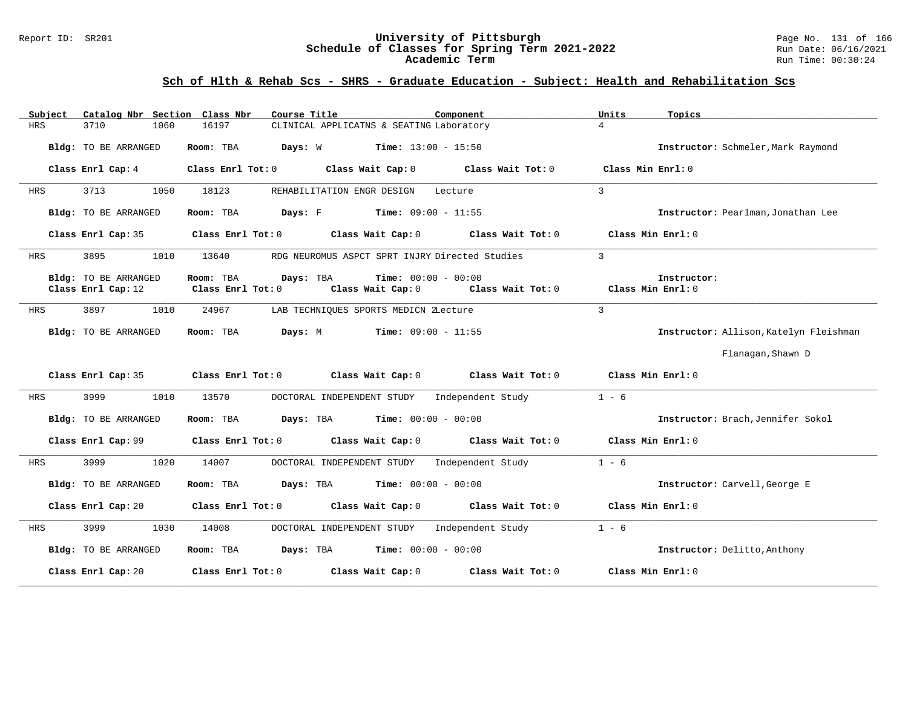### Report ID: SR201 **University of Pittsburgh** Page No. 131 of 166 **Schedule of Classes for Spring Term 2021-2022** Run Date: 06/16/2021 **Academic Term** Run Time: 00:30:24

| Subject    | Catalog Nbr Section Class Nbr              | Course Title                                      | Component                                                           | Units<br>Topics                        |
|------------|--------------------------------------------|---------------------------------------------------|---------------------------------------------------------------------|----------------------------------------|
| HRS        | 3710<br>1060                               | 16197                                             | CLINICAL APPLICATNS & SEATING Laboratory                            | $\overline{4}$                         |
|            | Bldg: TO BE ARRANGED                       | Room: TBA<br>Days: W                              | <b>Time:</b> $13:00 - 15:50$                                        | Instructor: Schmeler, Mark Raymond     |
|            | Class Enrl Cap: 4                          | Class Enrl Tot: 0<br>Class Wait Cap: 0            | Class Wait Tot: 0                                                   | Class Min Enrl: 0                      |
| HRS        | 3713<br>1050                               | 18123<br>REHABILITATION ENGR DESIGN               | Lecture                                                             | 3                                      |
|            | Bldg: TO BE ARRANGED                       | <b>Days:</b> F Time: $09:00 - 11:55$<br>Room: TBA |                                                                     | Instructor: Pearlman, Jonathan Lee     |
|            | Class Enrl Cap: 35                         | Class Enrl Tot: 0<br>Class Wait Cap: 0            | Class Wait Tot: 0                                                   | Class Min Enrl: 0                      |
| HRS        | 3895<br>1010                               | 13640                                             | RDG NEUROMUS ASPCT SPRT INJRY Directed Studies                      | $\mathcal{E}$                          |
|            | Bldg: TO BE ARRANGED<br>Class Enrl Cap: 12 | Room: TBA<br>Days: TBA<br>Class Enrl Tot: 0       | <b>Time:</b> $00:00 - 00:00$<br>Class Wait Cap: 0 Class Wait Tot: 0 | Instructor:<br>Class Min Enrl: 0       |
| HRS        | 3897<br>1010                               | 24967<br>LAB TECHNIQUES SPORTS MEDICN ZLecture    |                                                                     | $\mathbf{3}$                           |
|            | Bldg: TO BE ARRANGED                       | Room: TBA<br>Days: M                              | $Time: 09:00 - 11:55$                                               | Instructor: Allison, Katelyn Fleishman |
|            |                                            |                                                   |                                                                     | Flanagan, Shawn D                      |
|            | Class Enrl Cap: 35                         | Class Enrl Tot: 0 Class Wait Cap: 0               | Class Wait Tot: 0                                                   | Class Min Enrl: 0                      |
| HRS        | 3999<br>1010                               | 13570<br>DOCTORAL INDEPENDENT STUDY               | Independent Study                                                   | $1 - 6$                                |
|            | Bldg: TO BE ARRANGED                       | Room: TBA<br>Days: TBA                            | Time: $00:00 - 00:00$                                               | Instructor: Brach, Jennifer Sokol      |
|            | Class Enrl Cap: 99                         | Class Wait Cap: 0<br>Class Enrl Tot: 0            | Class Wait Tot: 0                                                   | Class Min Enrl: 0                      |
| <b>HRS</b> | 3999<br>1020                               | 14007<br>DOCTORAL INDEPENDENT STUDY               | Independent Study                                                   | $1 - 6$                                |
|            | Bldg: TO BE ARRANGED                       | Days: TBA<br>Room: TBA                            | <b>Time:</b> $00:00 - 00:00$                                        | Instructor: Carvell, George E          |
|            | Class Enrl Cap: 20                         | Class Enrl Tot: 0 Class Wait Cap: 0               | Class Wait Tot: 0                                                   | Class Min Enrl: 0                      |
| HRS        | 3999<br>1030                               | 14008<br>DOCTORAL INDEPENDENT STUDY               | Independent Study                                                   | $1 - 6$                                |
|            | Bldg: TO BE ARRANGED                       | Room: TBA<br>Days: TBA                            | <b>Time:</b> $00:00 - 00:00$                                        | Instructor: Delitto, Anthony           |
|            | Class Enrl Cap: 20                         | Class Wait Cap: 0<br>Class Enrl Tot: 0            | Class Wait Tot: 0                                                   | Class Min Enrl: 0                      |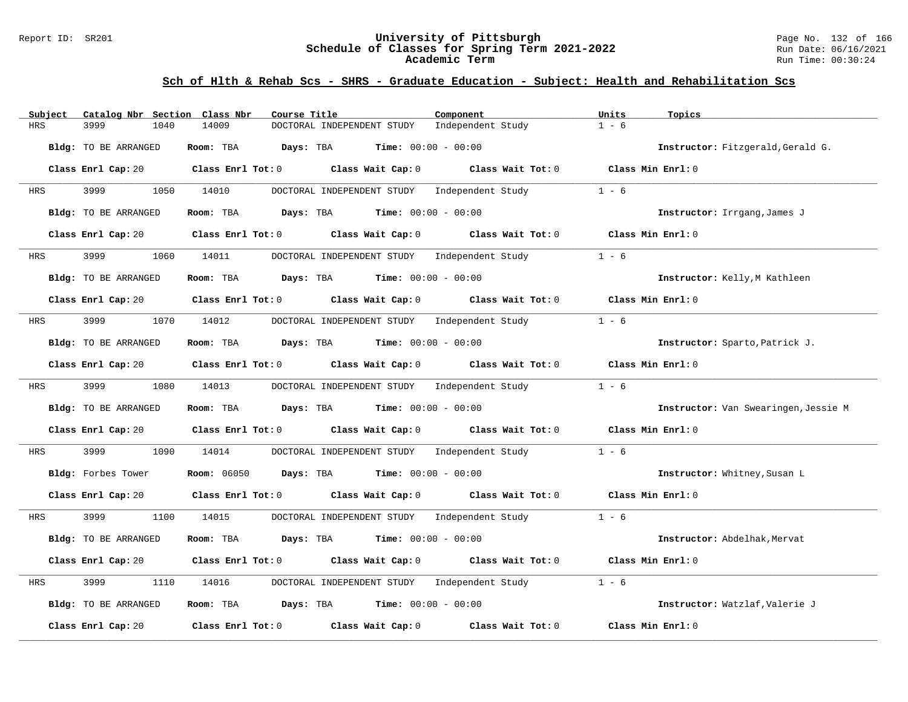### Report ID: SR201 **University of Pittsburgh** Page No. 132 of 166 **Schedule of Classes for Spring Term 2021-2022** Run Date: 06/16/2021 **Academic Term** Run Time: 00:30:24

| Catalog Nbr Section Class Nbr<br>Subject | Course Title                                                                                       | Component                    | Units<br>Topics                      |
|------------------------------------------|----------------------------------------------------------------------------------------------------|------------------------------|--------------------------------------|
| <b>HRS</b><br>3999<br>1040               | 14009<br>DOCTORAL INDEPENDENT STUDY                                                                | Independent Study            | $1 - 6$                              |
| Bldg: TO BE ARRANGED                     | Room: TBA<br>Days: TBA                                                                             | <b>Time:</b> $00:00 - 00:00$ | Instructor: Fitzgerald, Gerald G.    |
|                                          | Class Enrl Cap: 20 Class Enrl Tot: 0 Class Wait Cap: 0 Class Wait Tot: 0 Class Min Enrl: 0         |                              |                                      |
| 3999<br>1050<br>HRS                      | 14010<br>DOCTORAL INDEPENDENT STUDY Independent Study                                              |                              | $1 - 6$                              |
| Bldg: TO BE ARRANGED                     | <b>Days:</b> TBA <b>Time:</b> $00:00 - 00:00$<br>Room: TBA                                         |                              | Instructor: Irrgang, James J         |
| Class Enrl Cap: 20                       | Class Enrl Tot: 0<br>Class Wait Cap: 0                                                             | Class Wait Tot: 0            | Class Min Enrl: 0                    |
| 3999<br>HRS                              | 1060 14011<br>DOCTORAL INDEPENDENT STUDY Independent Study                                         |                              | $1 - 6$                              |
| Bldg: TO BE ARRANGED                     | Room: TBA Days: TBA                                                                                | <b>Time:</b> $00:00 - 00:00$ | Instructor: Kelly, M Kathleen        |
| Class Enrl Cap: 20                       | Class Enrl Tot: $0$ Class Wait Cap: $0$ Class Wait Tot: $0$                                        |                              | Class Min Enrl: 0                    |
| 3999<br>1070<br>HRS                      | DOCTORAL INDEPENDENT STUDY Independent Study<br>14012                                              |                              | $1 - 6$                              |
| Bldg: TO BE ARRANGED                     | <b>Room:</b> TBA <b>Days:</b> TBA <b>Time:</b> 00:00 - 00:00                                       |                              | Instructor: Sparto, Patrick J.       |
| Class Enrl Cap: 20                       | Class Enrl Tot: 0 Class Wait Cap: 0                                                                | Class Wait Tot: 0            | Class Min Enrl: 0                    |
| 3999<br>1080<br>HRS                      | 14013<br>DOCTORAL INDEPENDENT STUDY Independent Study                                              |                              | $1 - 6$                              |
| Bldg: TO BE ARRANGED                     | Room: TBA<br>$\texttt{Davis:}$ TBA $\texttt{Time:}$ 00:00 - 00:00                                  |                              | Instructor: Van Swearingen, Jessie M |
| Class Enrl Cap: 20                       | Class Enrl Tot: 0 Class Wait Cap: 0 Class Wait Tot: 0                                              |                              | Class Min Enrl: 0                    |
| 3999<br>1090<br>HRS                      | DOCTORAL INDEPENDENT STUDY Independent Study<br>14014                                              |                              | $1 - 6$                              |
| Bldg: Forbes Tower                       | <b>Room:</b> $06050$ <b>Days:</b> TBA <b>Time:</b> $00:00 - 00:00$                                 |                              | Instructor: Whitney, Susan L         |
| Class Enrl Cap: 20                       | Class Enrl Tot: 0 $\qquad$ Class Wait Cap: 0 $\qquad$ Class Wait Tot: 0 $\qquad$ Class Min Enrl: 0 |                              |                                      |
| 3999<br>1100<br><b>HRS</b>               | 14015<br>DOCTORAL INDEPENDENT STUDY Independent Study                                              |                              | $1 - 6$                              |
| Bldg: TO BE ARRANGED                     | Room: TBA<br>Days: TBA                                                                             | <b>Time:</b> $00:00 - 00:00$ | Instructor: Abdelhak, Mervat         |
| Class Enrl Cap: 20                       | Class Enrl Tot: 0 Class Wait Cap: 0 Class Wait Tot: 0                                              |                              | Class Min Enrl: 0                    |
| 3999<br><b>HRS</b><br>1110               | 14016<br>DOCTORAL INDEPENDENT STUDY                                                                | Independent Study            | $1 - 6$                              |
| Bldg: TO BE ARRANGED                     | Room: TBA $Days:$ TBA $Time: 00:00 - 00:00$                                                        |                              | Instructor: Watzlaf, Valerie J       |
| Class Enrl Cap: 20                       | Class Enrl Tot: 0 Class Wait Cap: 0                                                                | Class Wait Tot: 0            | Class Min Enrl: 0                    |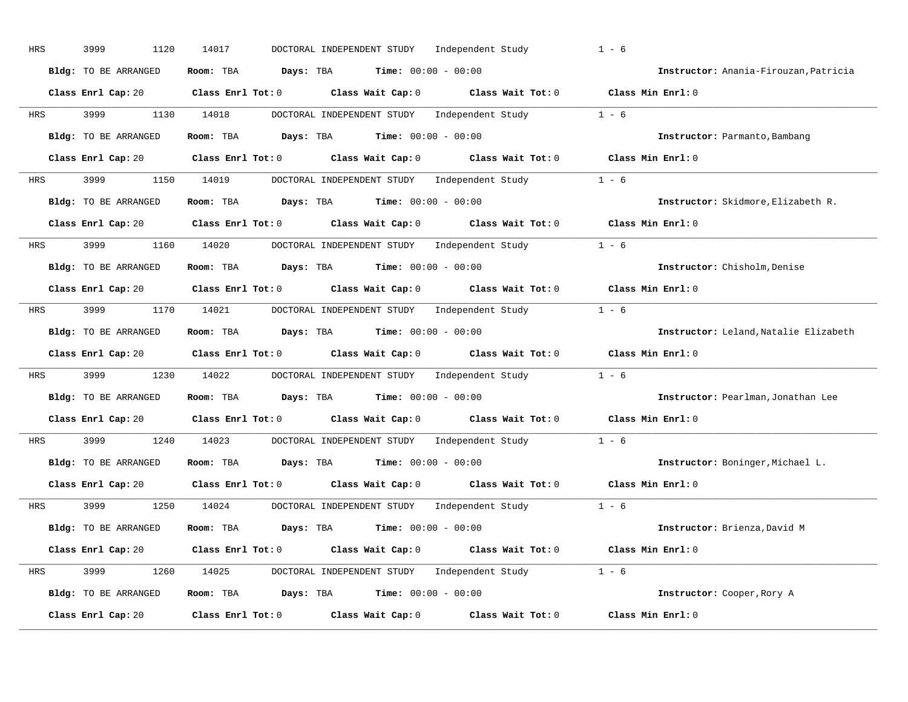| HRS | 1120<br>3999                | 14017<br>DOCTORAL INDEPENDENT STUDY    | Independent Study                                  | $1 - 6$                                |
|-----|-----------------------------|----------------------------------------|----------------------------------------------------|----------------------------------------|
|     | Bldg: TO BE ARRANGED        | Room: TBA<br>Days: TBA                 | <b>Time:</b> $00:00 - 00:00$                       | Instructor: Anania-Firouzan, Patricia  |
|     | Class Enrl Cap: 20          | $Class$ $Enrl$ $Tot: 0$                | Class Wait Cap: 0                                  | Class Wait Tot: 0 Class Min Enrl: 0    |
| HRS | 3999<br>1130                | 14018<br>DOCTORAL INDEPENDENT STUDY    | Independent Study                                  | $1 - 6$                                |
|     | Bldg: TO BE ARRANGED        | Room: TBA                              | <b>Days:</b> TBA <b>Time:</b> $00:00 - 00:00$      | Instructor: Parmanto, Bambang          |
|     | Class Enrl Cap: 20          | Class Enrl Tot: 0                      | Class Wait Cap: 0                                  | Class Wait Tot: 0 Class Min Enrl: 0    |
| HRS | 3999<br>1150                | 14019                                  | DOCTORAL INDEPENDENT STUDY Independent Study 1 - 6 |                                        |
|     | <b>Bldg:</b> TO BE ARRANGED | Room: TBA<br>Days: TBA                 | <b>Time:</b> $00:00 - 00:00$                       | Instructor: Skidmore, Elizabeth R.     |
|     | Class Enrl Cap: 20          | Class Enrl Tot: 0                      | Class Wait Cap: 0<br>Class Wait Tot: 0             | Class Min Enrl: 0                      |
| HRS | 3999<br>1160                | 14020                                  | DOCTORAL INDEPENDENT STUDY Independent Study       | $1 - 6$                                |
|     | <b>Bldg:</b> TO BE ARRANGED | Room: TBA                              | <b>Days:</b> TBA <b>Time:</b> $00:00 - 00:00$      | Instructor: Chisholm, Denise           |
|     | Class Enrl Cap: 20          | Class Enrl Tot: 0                      | Class Wait Cap: 0<br>Class Wait Tot: 0             | Class Min Enrl: 0                      |
| HRS | 3999<br>1170                | 14021                                  | DOCTORAL INDEPENDENT STUDY Independent Study       | $1 - 6$                                |
|     | Bldg: TO BE ARRANGED        | Room: TBA                              | <b>Days:</b> TBA <b>Time:</b> $00:00 - 00:00$      | Instructor: Leland, Natalie Elizabeth  |
|     | Class Enrl Cap: 20          | $Class$ $Enr1$ $Tot: 0$                | Class Wait Cap: 0<br>Class Wait Tot: 0             | Class Min Enrl: 0                      |
| HRS | 3999<br>1230                | 14022                                  | DOCTORAL INDEPENDENT STUDY Independent Study       | $1 - 6$                                |
|     | Bldg: TO BE ARRANGED        | Room: TBA<br>Days: TBA                 | $Time: 00:00 - 00:00$                              | Instructor: Pearlman, Jonathan Lee     |
|     | Class Enrl Cap: 20          | Class Enrl Tot: 0                      | Class Wait Cap: 0<br>Class Wait Tot: 0             | Class Min Enrl: 0                      |
| HRS | 3999<br>1240                | 14023<br>DOCTORAL INDEPENDENT STUDY    | Independent Study                                  | $1 - 6$                                |
|     | Bldg: TO BE ARRANGED        | Room: TBA<br>Days: TBA                 | <b>Time:</b> $00:00 - 00:00$                       | Instructor: Boninger, Michael L.       |
|     | Class Enrl Cap: 20          | $Class$ $Enr1$ $Tot: 0$                | Class Wait Cap: 0<br>Class Wait Tot: 0             | Class Min Enrl: 0                      |
| HRS | 3999<br>1250                | 14024<br>DOCTORAL INDEPENDENT STUDY    |                                                    | Independent Study 1 - 6                |
|     | <b>Bldg:</b> TO BE ARRANGED | Room: TBA                              | <b>Days:</b> TBA <b>Time:</b> $00:00 - 00:00$      | Instructor: Brienza, David M           |
|     | Class Enrl Cap: 20          | $Class$ $Enr1$ $Tot: 0$                | Class Wait Cap: 0                                  | Class Min Enrl: 0<br>Class Wait Tot: 0 |
| HRS | 3999<br>1260                | 14025                                  | DOCTORAL INDEPENDENT STUDY Independent Study 1 - 6 |                                        |
|     | Bldg: TO BE ARRANGED        | Days: TBA<br>Room: TBA                 | $Time: 00:00 - 00:00$                              | Instructor: Cooper, Rory A             |
|     | Class Enrl Cap: 20          | Class Enrl Tot: 0<br>Class Wait Cap: 0 | Class Wait Tot: 0                                  | Class Min Enrl: 0                      |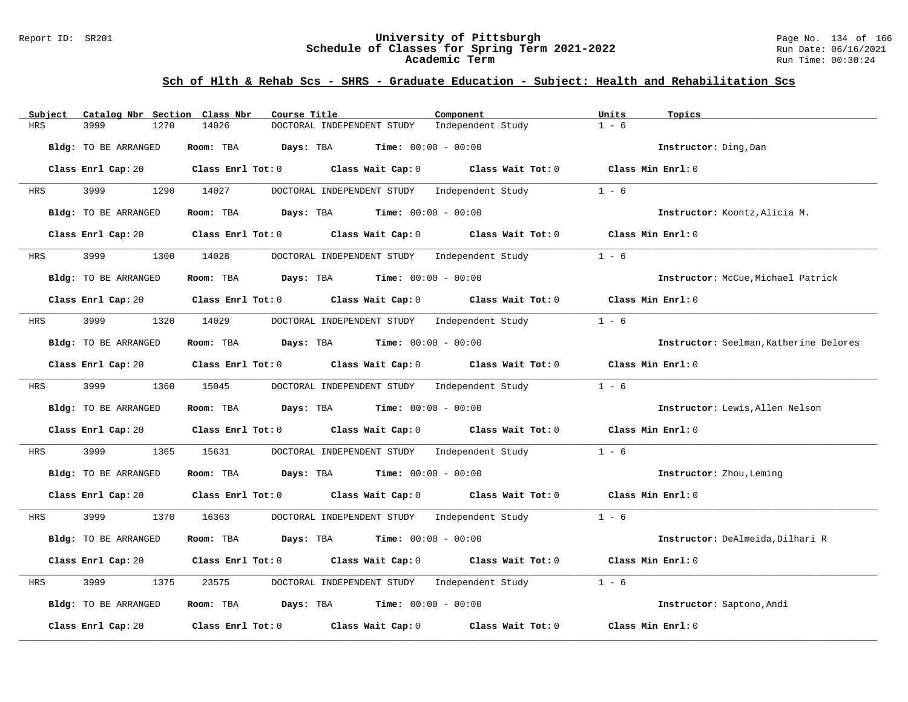### Report ID: SR201 **University of Pittsburgh** Page No. 134 of 166 **Schedule of Classes for Spring Term 2021-2022** Run Date: 06/16/2021 **Academic Term** Run Time: 00:30:24

| Subject    | Catalog Nbr Section Class Nbr | Course Title                                                                                                                   | Component                               | Units<br>Topics                        |
|------------|-------------------------------|--------------------------------------------------------------------------------------------------------------------------------|-----------------------------------------|----------------------------------------|
| <b>HRS</b> | 3999<br>1270                  | 14026<br>DOCTORAL INDEPENDENT STUDY                                                                                            | Independent Study                       | $1 - 6$                                |
|            | Bldg: TO BE ARRANGED          | Room: TBA<br>Days: TBA<br><b>Time:</b> $00:00 - 00:00$                                                                         |                                         | Instructor: Ding, Dan                  |
|            | Class Enrl Cap: 20            | Class Enrl Tot: $0$ Class Wait Cap: $0$ Class Wait Tot: $0$ Class Min Enrl: $0$                                                |                                         |                                        |
| HRS        | 3999<br>1290                  | 14027<br>DOCTORAL INDEPENDENT STUDY                                                                                            | Independent Study                       | $1 - 6$                                |
|            | Bldg: TO BE ARRANGED          | Room: TBA $Days:$ TBA $Time: 00:00 - 00:00$                                                                                    |                                         | Instructor: Koontz, Alicia M.          |
|            | Class Enrl Cap: 20            | Class Enrl Tot: 0 Class Wait Cap: 0                                                                                            | Class Wait Tot: $0$ Class Min Enrl: $0$ |                                        |
| HRS        | 3999                          | 1300 14028<br>DOCTORAL INDEPENDENT STUDY Independent Study                                                                     |                                         | $1 - 6$                                |
|            | Bldg: TO BE ARRANGED          | Room: TBA Days: TBA<br><b>Time:</b> $00:00 - 00:00$                                                                            |                                         | Instructor: McCue, Michael Patrick     |
|            |                               | Class Enrl Cap: 20 Class Enrl Tot: 0 Class Wait Cap: 0 Class Wait Tot: 0 Class Min Enrl: 0                                     |                                         |                                        |
| HRS        | 3999                          | 1320 14029 DOCTORAL INDEPENDENT STUDY Independent Study                                                                        |                                         | $1 - 6$                                |
|            | Bldg: TO BE ARRANGED          | Room: TBA Days: TBA Time: $00:00 - 00:00$                                                                                      |                                         | Instructor: Seelman, Katherine Delores |
|            |                               | Class Enrl Cap: 20 Class Enrl Tot: 0 Class Wait Cap: 0                                                                         | Class Wait Tot: 0                       | $Class$ Min Enrl: $0$                  |
| HRS        | 3999 7                        | 1360 15045<br>DOCTORAL INDEPENDENT STUDY Independent Study                                                                     |                                         | $1 - 6$                                |
|            | Bldg: TO BE ARRANGED          | Room: TBA $Days:$ TBA $Time: 00:00 - 00:00$                                                                                    |                                         | Instructor: Lewis, Allen Nelson        |
|            |                               | Class Enrl Cap: 20 $\qquad$ Class Enrl Tot: 0 $\qquad$ Class Wait Cap: 0 $\qquad$ Class Wait Tot: 0 $\qquad$ Class Min Enrl: 0 |                                         |                                        |
| HRS        | 3999<br>1365                  | 15631<br>DOCTORAL INDEPENDENT STUDY Independent Study                                                                          |                                         | $1 - 6$                                |
|            | Bldg: TO BE ARRANGED          | Room: TBA $Days: TBA$ Time: $00:00 - 00:00$                                                                                    |                                         | Instructor: Zhou, Leming               |
|            |                               | Class Enrl Cap: 20 Class Enrl Tot: 0 Class Wait Cap: 0 Class Wait Tot: 0 Class Min Enrl: 0                                     |                                         |                                        |
| HRS        | 1370<br>3999                  | DOCTORAL INDEPENDENT STUDY Independent Study 1 - 6<br>16363                                                                    |                                         |                                        |
|            | Bldg: TO BE ARRANGED          | Room: TBA $Days:$ TBA $Time: 00:00 - 00:00$                                                                                    |                                         | Instructor: DeAlmeida, Dilhari R       |
|            |                               | Class Enrl Cap: 20 $\qquad$ Class Enrl Tot: 0 $\qquad$ Class Wait Cap: 0 $\qquad$ Class Wait Tot: 0                            |                                         | Class Min Enrl: 0                      |
| HRS        | 3999<br>1375                  | 23575<br>DOCTORAL INDEPENDENT STUDY                                                                                            | Independent Study                       | $1 - 6$                                |
|            | Bldg: TO BE ARRANGED          | Room: TBA $Days:$ TBA $Time: 00:00 - 00:00$                                                                                    |                                         | Instructor: Saptono, Andi              |
|            | Class Enrl Cap: 20            | Class Enrl Tot: 0 Class Wait Cap: 0                                                                                            | Class Wait Tot: 0                       | Class Min Enrl: 0                      |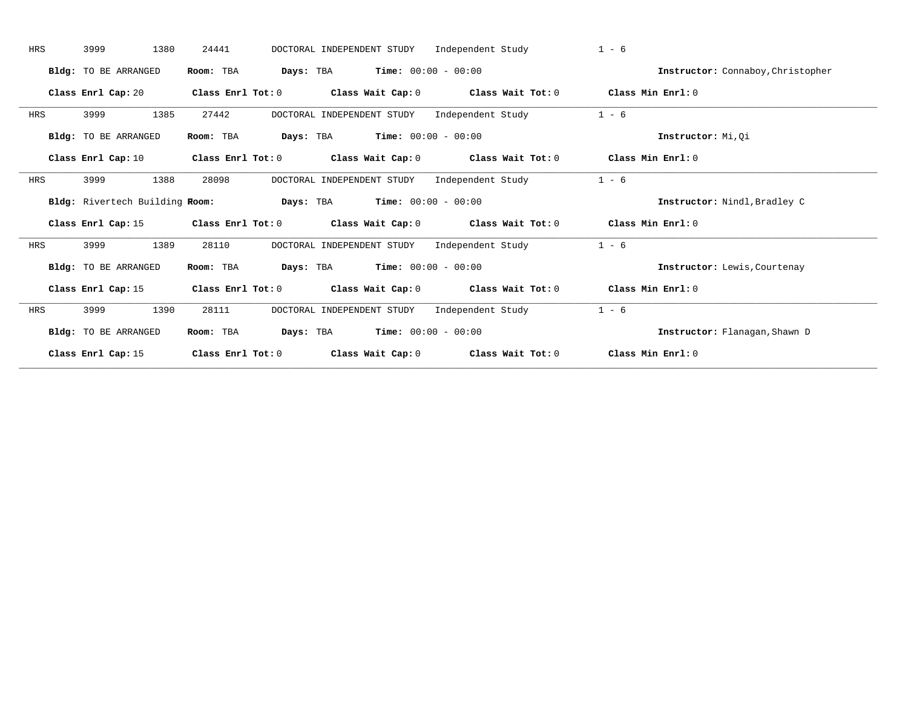| <b>HRS</b> | 1380<br>3999                | 24441<br>DOCTORAL INDEPENDENT STUDY                                                                | Independent Study                       | $1 - 6$                           |
|------------|-----------------------------|----------------------------------------------------------------------------------------------------|-----------------------------------------|-----------------------------------|
|            | Bldg: TO BE ARRANGED        | <b>Days:</b> TBA <b>Time:</b> $00:00 - 00:00$<br>Room: TBA                                         |                                         | Instructor: Connaboy, Christopher |
|            | Class Enrl Cap: 20          | Class Enrl Tot: $0$ Class Wait Cap: $0$ Class Wait Tot: $0$ Class Min Enrl: $0$                    |                                         |                                   |
| HRS        | 1385<br>3999                | DOCTORAL INDEPENDENT STUDY<br>27442                                                                | Independent Study                       | $1 - 6$                           |
|            | Bldg: TO BE ARRANGED        | <b>Days:</b> TBA <b>Time:</b> $00:00 - 00:00$<br>Room: TBA                                         |                                         | Instructor: Mi, Oi                |
|            | Class Enrl Cap: 10          | Class Enrl Tot: $0$ Class Wait Cap: $0$ Class Wait Tot: $0$                                        |                                         | Class Min Enrl: 0                 |
| HRS        | 3999<br>1388                | 28098<br>DOCTORAL INDEPENDENT STUDY                                                                | Independent Study                       | $1 - 6$                           |
|            |                             | Bldg: Rivertech Building Room: Days: TBA Time: 00:00 - 00:00                                       |                                         | Instructor: Nindl, Bradley C      |
|            | Class Enrl Cap: 15          | Class Enrl Tot: 0 $\qquad$ Class Wait Cap: 0 $\qquad$ Class Wait Tot: 0 $\qquad$ Class Min Enrl: 0 |                                         |                                   |
| HRS        | 3999<br>1389                | DOCTORAL INDEPENDENT STUDY<br>28110                                                                | Independent Study                       | $1 - 6$                           |
|            | Bldg: TO BE ARRANGED        | <b>Days:</b> TBA <b>Time:</b> $00:00 - 00:00$<br>Room: TBA                                         |                                         | Instructor: Lewis, Courtenay      |
|            | Class Enrl Cap: 15          | Class Enrl Tot: $0$ Class Wait Cap: $0$ Class Wait Tot: $0$                                        |                                         | Class Min Enrl: 0                 |
| HRS        | 3999<br>1390                | DOCTORAL INDEPENDENT STUDY<br>28111                                                                | Independent Study                       | $1 - 6$                           |
|            | <b>Bldg:</b> TO BE ARRANGED | <b>Days:</b> TBA <b>Time:</b> $00:00 - 00:00$<br>Room: TBA                                         |                                         | Instructor: Flanagan, Shawn D     |
|            | Class Enrl Cap: 15          | Class Enrl Tot: 0                                                                                  | Class Wait Cap: $0$ Class Wait Tot: $0$ | Class Min Enrl: 0                 |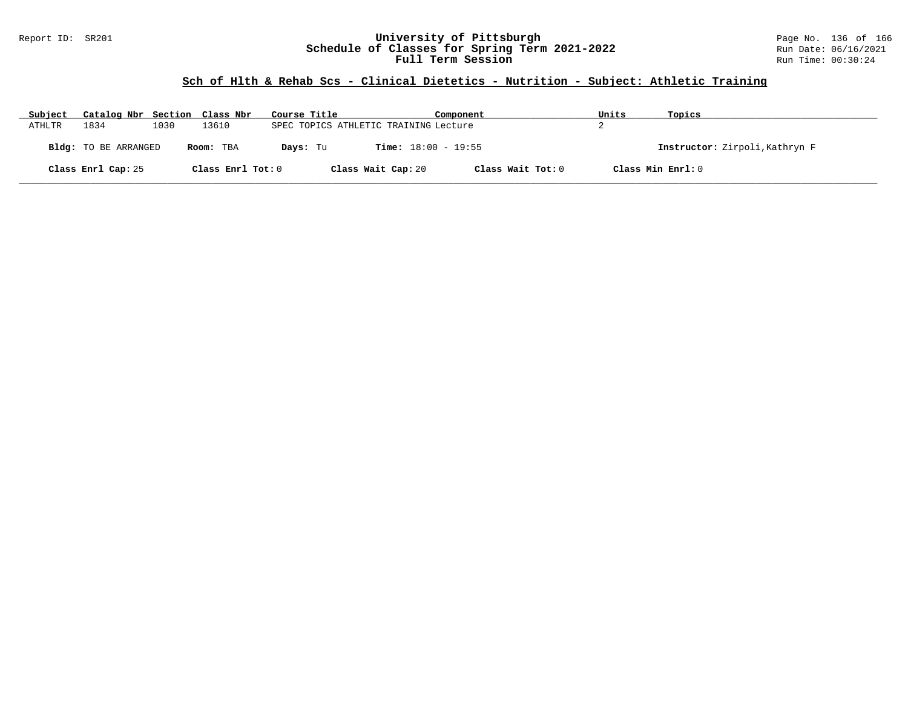### Report ID: SR201 **University of Pittsburgh** Page No. 136 of 166 **Schedule of Classes for Spring Term 2021-2022** Run Date: 06/16/2021 **Full Term Session Run Time: 00:30:24**

# **Sch of Hlth & Rehab Scs - Clinical Dietetics - Nutrition - Subject: Athletic Training**

| Subject | Catalog Nbr Section Class Nbr |      |                   | Course Title                          | Component                    | Units | Topics                         |
|---------|-------------------------------|------|-------------------|---------------------------------------|------------------------------|-------|--------------------------------|
| ATHLTR  | 1834                          | 1030 | 13610             | SPEC TOPICS ATHLETIC TRAINING Lecture |                              |       |                                |
|         | Bldg: TO BE ARRANGED          |      | Room: TBA         | Days: Tu                              | <b>Time:</b> $18:00 - 19:55$ |       | Instructor: Zirpoli, Kathryn F |
|         | Class Enrl Cap: 25            |      | Class Enrl Tot: 0 | Class Wait Cap: 20                    | Class Wait Tot: 0            |       | Class Min Enrl: 0              |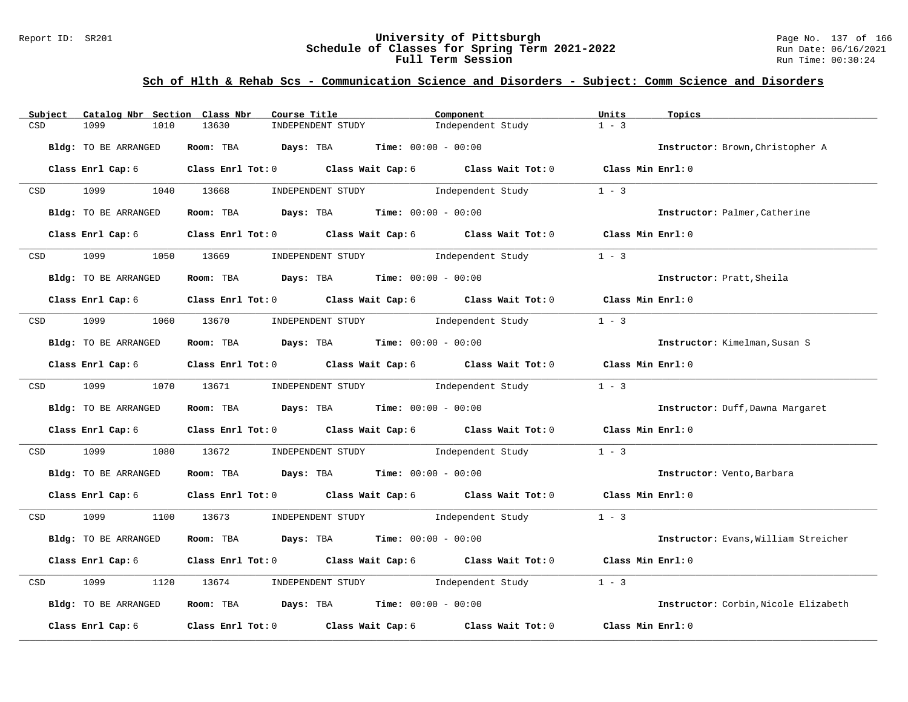### Report ID: SR201 **University of Pittsburgh** Page No. 137 of 166 **Schedule of Classes for Spring Term 2021-2022** Run Date: 06/16/2021 **Full Term Session Run Time: 00:30:24**

## **Sch of Hlth & Rehab Scs - Communication Science and Disorders - Subject: Comm Science and Disorders**

| Subject          | Catalog Nbr Section Class Nbr | Course Title                                                                             | Component                                                               | Units               | Topics                               |
|------------------|-------------------------------|------------------------------------------------------------------------------------------|-------------------------------------------------------------------------|---------------------|--------------------------------------|
| CSD              | 1099<br>1010                  | 13630<br>INDEPENDENT STUDY                                                               | Independent Study                                                       | $1 - 3$             |                                      |
|                  | Bldg: TO BE ARRANGED          | Room: TBA $Days:$ TBA $Time: 00:00 - 00:00$                                              |                                                                         |                     | Instructor: Brown, Christopher A     |
|                  | Class Enrl Cap: 6             |                                                                                          | Class Enrl Tot: 0 Class Wait Cap: 6 Class Wait Tot: 0 Class Min Enrl: 0 |                     |                                      |
| CSD <sub>c</sub> | 1099 700                      | 1040 13668<br>INDEPENDENT STUDY                                                          | Independent Study                                                       | $1 - 3$             |                                      |
|                  | Bldg: TO BE ARRANGED          | Room: TBA $Days:$ TBA $Time: 00:00 - 00:00$                                              |                                                                         |                     | Instructor: Palmer, Catherine        |
|                  | Class Enrl Cap: 6             |                                                                                          | Class Enrl Tot: 0 Class Wait Cap: 6 Class Wait Tot: 0                   | Class Min Enrl: 0   |                                      |
| CSD              | 1099                          | 1050 13669<br>INDEPENDENT STUDY                                                          | Independent Study                                                       | $1 - 3$             |                                      |
|                  | <b>Bldg:</b> TO BE ARRANGED   | Room: TBA $Days:$ TBA $Time: 00:00 - 00:00$                                              |                                                                         |                     | Instructor: Pratt, Sheila            |
|                  | Class Enrl Cap: 6             |                                                                                          | Class Enrl Tot: 0 Class Wait Cap: 6 Class Wait Tot: 0 Class Min Enrl: 0 |                     |                                      |
| CSD <sub>c</sub> | 1099 1060 13670               |                                                                                          | INDEPENDENT STUDY 1ndependent Study                                     | $1 - 3$             |                                      |
|                  | Bldg: TO BE ARRANGED          | Room: TBA $Days:$ TBA $Time: 00:00 - 00:00$                                              |                                                                         |                     | Instructor: Kimelman, Susan S        |
|                  | Class Enrl Cap: 6             |                                                                                          | Class Enrl Tot: 0 Class Wait Cap: 6 Class Wait Tot: 0 Class Min Enrl: 0 |                     |                                      |
|                  | CSD 1099 1070 13671           |                                                                                          | INDEPENDENT STUDY 1ndependent Study                                     | $1 - 3$             |                                      |
|                  | Bldg: TO BE ARRANGED          | Room: TBA $Days:$ TBA Time: $00:00 - 00:00$                                              |                                                                         |                     | Instructor: Duff, Dawna Margaret     |
|                  | Class Enrl Cap: 6             |                                                                                          | Class Enrl Tot: $0$ Class Wait Cap: $6$ Class Wait Tot: $0$             | Class Min Enrl: 0   |                                      |
| CSD              | 1099<br>1080                  | 13672                                                                                    | INDEPENDENT STUDY 1ndependent Study                                     | $1 - 3$             |                                      |
|                  | Bldg: TO BE ARRANGED          | Room: TBA $\rule{1em}{0.15mm}$ Days: TBA $\rule{1.15mm}]{0.15mm}$ Time: $0.000 - 0.0000$ |                                                                         |                     | Instructor: Vento, Barbara           |
|                  | Class Enrl Cap: 6             |                                                                                          | Class Enrl Tot: 0 Class Wait Cap: 6 Class Wait Tot: 0 Class Min Enrl: 0 |                     |                                      |
| <b>CSD</b>       | 1099 700                      |                                                                                          | 1100 13673 INDEPENDENT STUDY Independent Study 1 - 3                    |                     |                                      |
|                  | Bldg: TO BE ARRANGED          | Room: TBA $Days: TBA$ Time: $00:00 - 00:00$                                              |                                                                         |                     | Instructor: Evans, William Streicher |
|                  | Class Enrl Cap: 6             |                                                                                          | Class Enrl Tot: $0$ Class Wait Cap: $6$ Class Wait Tot: $0$             | Class Min $Enrl: 0$ |                                      |
| CSD              | 1099<br>1120                  | INDEPENDENT STUDY<br>13674                                                               | Independent Study                                                       | $1 - 3$             |                                      |
|                  | Bldg: TO BE ARRANGED          | Room: TBA $Days:$ TBA $Time: 00:00 - 00:00$                                              |                                                                         |                     | Instructor: Corbin. Nicole Elizabeth |
|                  | Class Enrl Cap: 6             | Class Enrl Tot: 0 Class Wait Cap: 6                                                      | Class Wait Tot: 0                                                       | Class Min Enrl: 0   |                                      |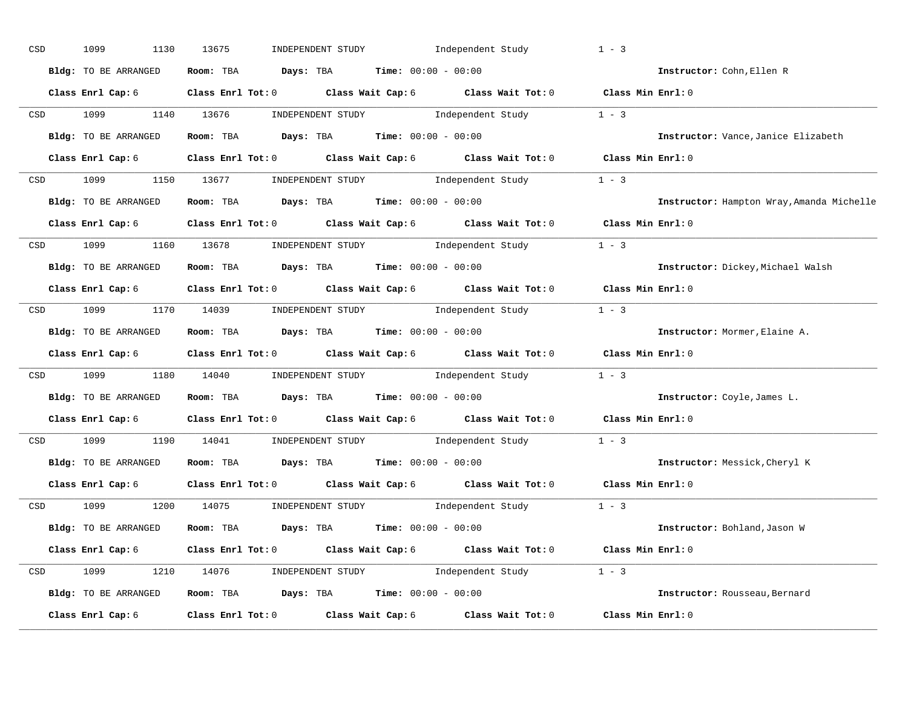| CSD |                  | 1099<br>1130         | 13675                                                                                     | INDEPENDENT STUDY Independent Study |                                                                                                                                                                                                                                                                                                                                                                                                                   | $1 - 3$           |                                           |
|-----|------------------|----------------------|-------------------------------------------------------------------------------------------|-------------------------------------|-------------------------------------------------------------------------------------------------------------------------------------------------------------------------------------------------------------------------------------------------------------------------------------------------------------------------------------------------------------------------------------------------------------------|-------------------|-------------------------------------------|
|     |                  | Bldg: TO BE ARRANGED | Room: TBA $Days:$ TBA $Time: 00:00 - 00:00$                                               |                                     |                                                                                                                                                                                                                                                                                                                                                                                                                   |                   | Instructor: Cohn, Ellen R                 |
|     |                  |                      | Class Enrl Cap: 6 Class Enrl Tot: 0 Class Wait Cap: 6 Class Wait Tot: 0 Class Min Enrl: 0 |                                     |                                                                                                                                                                                                                                                                                                                                                                                                                   |                   |                                           |
|     |                  | CSD 1099             | 1140 13676                                                                                |                                     | $\begin{minipage}[c]{0.9\linewidth} \textbf{INDEX} & \textbf{STUDY} \\ \textbf{1 - 3} & \textbf{1 - 3} \\ \textbf{2 - 1} & \textbf{1 - 3} \\ \textbf{3 - 2} & \textbf{1 - 3} \\ \textbf{4 - 3} & \textbf{1 - 3} \\ \textbf{5 - 4} & \textbf{1 - 3} \\ \textbf{6 - 1} & \textbf{1 - 3} \\ \textbf{7 - 2} & \textbf{1 - 3} \\ \textbf{8 - 1} & \textbf{1 - 3} \\ \textbf{9 - 1} & \textbf{1 - 3} \\ \textbf{1 - 3}$ |                   |                                           |
|     |                  | Bldg: TO BE ARRANGED | Room: TBA $\rule{1em}{0.15mm}$ Days: TBA Time: $00:00 - 00:00$                            |                                     |                                                                                                                                                                                                                                                                                                                                                                                                                   |                   | Instructor: Vance, Janice Elizabeth       |
|     |                  | Class Enrl Cap: 6    | Class Enrl Tot: 0 Class Wait Cap: 6 Class Wait Tot: 0 Class Min Enrl: 0                   |                                     |                                                                                                                                                                                                                                                                                                                                                                                                                   |                   |                                           |
|     |                  |                      | CSD 1099 1150 13677 INDEPENDENT STUDY Independent Study 1 - 3                             |                                     |                                                                                                                                                                                                                                                                                                                                                                                                                   |                   |                                           |
|     |                  |                      | Bldg: TO BE ARRANGED Room: TBA Days: TBA Time: 00:00 - 00:00                              |                                     |                                                                                                                                                                                                                                                                                                                                                                                                                   |                   | Instructor: Hampton Wray, Amanda Michelle |
|     |                  |                      | Class Enrl Cap: 6 Class Enrl Tot: 0 Class Wait Cap: 6 Class Wait Tot: 0 Class Min Enrl: 0 |                                     |                                                                                                                                                                                                                                                                                                                                                                                                                   |                   |                                           |
|     |                  |                      | CSD 1099 1160 13678 INDEPENDENT STUDY Independent Study 1 - 3                             |                                     |                                                                                                                                                                                                                                                                                                                                                                                                                   |                   |                                           |
|     |                  | Bldg: TO BE ARRANGED | Room: TBA $Days: TBA$ Time: $00:00 - 00:00$                                               |                                     |                                                                                                                                                                                                                                                                                                                                                                                                                   |                   | Instructor: Dickey, Michael Walsh         |
|     |                  |                      | Class Enrl Cap: 6 Class Enrl Tot: 0 Class Wait Cap: 6 Class Wait Tot: 0 Class Min Enrl: 0 |                                     |                                                                                                                                                                                                                                                                                                                                                                                                                   |                   |                                           |
|     |                  |                      | CSD 1099 1170 14039 INDEPENDENT STUDY Independent Study 1 - 3                             |                                     |                                                                                                                                                                                                                                                                                                                                                                                                                   |                   |                                           |
|     |                  | Bldg: TO BE ARRANGED | <b>Room:</b> TBA $Days:$ TBA $Time:$ $00:00 - 00:00$                                      |                                     |                                                                                                                                                                                                                                                                                                                                                                                                                   |                   | Instructor: Mormer, Elaine A.             |
|     |                  |                      | Class Enrl Cap: 6 Class Enrl Tot: 0 Class Wait Cap: 6 Class Wait Tot: 0 Class Min Enrl: 0 |                                     |                                                                                                                                                                                                                                                                                                                                                                                                                   |                   |                                           |
|     |                  |                      | CSD 1099 1180 14040 INDEPENDENT STUDY Independent Study 1 - 3                             |                                     |                                                                                                                                                                                                                                                                                                                                                                                                                   |                   |                                           |
|     |                  | Bldg: TO BE ARRANGED | Room: TBA $Days: TBA$ Time: $00:00 - 00:00$                                               |                                     |                                                                                                                                                                                                                                                                                                                                                                                                                   |                   | Instructor: Coyle, James L.               |
|     |                  |                      | Class Enrl Cap: 6 Class Enrl Tot: 0 Class Wait Cap: 6 Class Wait Tot: 0                   |                                     |                                                                                                                                                                                                                                                                                                                                                                                                                   | Class Min Enrl: 0 |                                           |
|     | CSD <sub>c</sub> | 1099                 | 1190 14041 INDEPENDENT STUDY Independent Study 1 - 3                                      |                                     |                                                                                                                                                                                                                                                                                                                                                                                                                   |                   |                                           |
|     |                  | Bldg: TO BE ARRANGED | Room: TBA $Days:$ TBA $Time: 00:00 - 00:00$                                               |                                     |                                                                                                                                                                                                                                                                                                                                                                                                                   |                   | Instructor: Messick, Cheryl K             |
|     |                  |                      | Class Enrl Cap: 6 Class Enrl Tot: 0 Class Wait Cap: 6 Class Wait Tot: 0                   |                                     |                                                                                                                                                                                                                                                                                                                                                                                                                   | Class Min Enrl: 0 |                                           |
|     |                  | CSD 1099             | 1200 14075 INDEPENDENT STUDY Independent Study 1 - 3                                      |                                     |                                                                                                                                                                                                                                                                                                                                                                                                                   |                   |                                           |
|     |                  | Bldg: TO BE ARRANGED | <b>Room:</b> TBA $\rule{1em}{0.15mm}$ <b>Days:</b> TBA <b>Time:</b> $00:00 - 00:00$       |                                     |                                                                                                                                                                                                                                                                                                                                                                                                                   |                   | Instructor: Bohland, Jason W              |
|     |                  |                      | Class Enrl Cap: 6 Class Enrl Tot: 0 Class Wait Cap: 6 Class Wait Tot: 0 Class Min Enrl: 0 |                                     |                                                                                                                                                                                                                                                                                                                                                                                                                   |                   |                                           |
|     |                  |                      | CSD 1099 1210 14076 INDEPENDENT STUDY Independent Study 1 - 3                             |                                     |                                                                                                                                                                                                                                                                                                                                                                                                                   |                   |                                           |
|     |                  |                      | Bldg: TO BE ARRANGED Room: TBA Days: TBA Time: 00:00 - 00:00                              |                                     |                                                                                                                                                                                                                                                                                                                                                                                                                   |                   | Instructor: Rousseau, Bernard             |
|     |                  | Class Enrl Cap: 6    | Class Enrl Tot: $0$ Class Wait Cap: $6$ Class Wait Tot: $0$                               |                                     |                                                                                                                                                                                                                                                                                                                                                                                                                   | Class Min Enrl: 0 |                                           |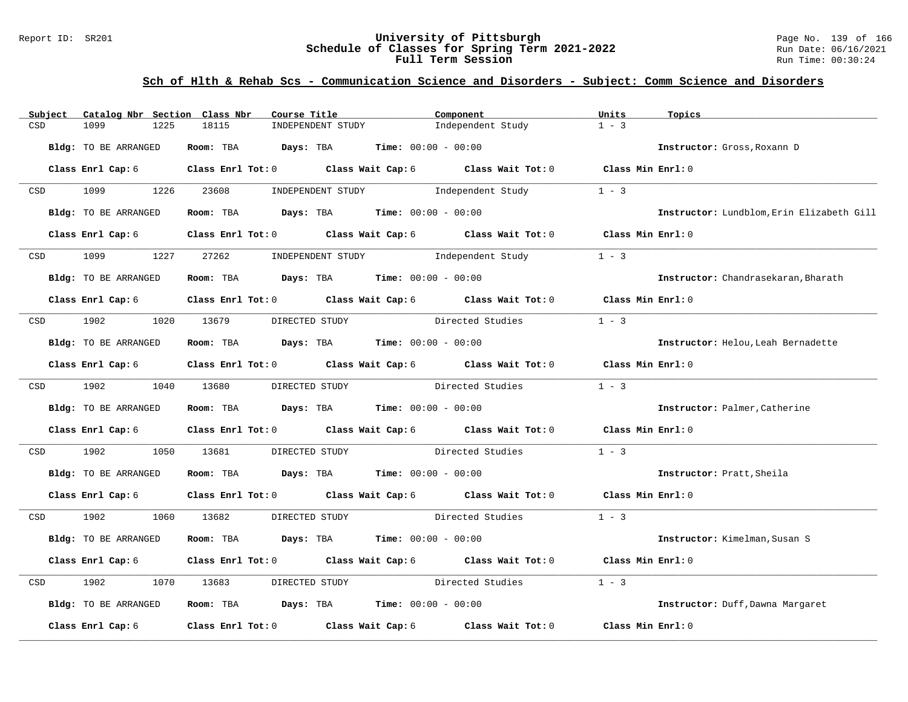### Report ID: SR201 **University of Pittsburgh** Page No. 139 of 166 **Schedule of Classes for Spring Term 2021-2022** Run Date: 06/16/2021 **Full Term Session Run Time: 00:30:24**

## **Sch of Hlth & Rehab Scs - Communication Science and Disorders - Subject: Comm Science and Disorders**

| Subject                                                                                                         | Catalog Nbr Section Class Nbr | Course Title                 | Component                                                                                          | Units             | Topics                                    |
|-----------------------------------------------------------------------------------------------------------------|-------------------------------|------------------------------|----------------------------------------------------------------------------------------------------|-------------------|-------------------------------------------|
| CSD                                                                                                             | 1099<br>1225                  | 18115<br>INDEPENDENT STUDY   | Independent Study                                                                                  | $1 - 3$           |                                           |
|                                                                                                                 | <b>Bldg:</b> TO BE ARRANGED   | Room: TBA                    | <b>Days:</b> TBA <b>Time:</b> $00:00 - 00:00$                                                      |                   | Instructor: Gross, Roxann D               |
|                                                                                                                 | Class Enrl Cap: 6             |                              | Class Enrl Tot: 0 Class Wait Cap: 6 Class Wait Tot: 0 Class Min Enrl: 0                            |                   |                                           |
| CSD                                                                                                             | 1099<br>1226                  | 23608                        | INDEPENDENT STUDY 1ndependent Study                                                                | $1 - 3$           |                                           |
|                                                                                                                 | Bldg: TO BE ARRANGED          |                              | Room: TBA $Days:$ TBA $Time: 00:00 - 00:00$                                                        |                   | Instructor: Lundblom, Erin Elizabeth Gill |
|                                                                                                                 | Class Enrl Cap: 6             |                              | Class Enrl Tot: 0 Class Wait Cap: 6 Class Wait Tot: 0                                              | Class Min Enrl: 0 |                                           |
| CSD                                                                                                             | 1099<br>1227                  | 27262                        | INDEPENDENT STUDY<br>Independent Study                                                             | $1 - 3$           |                                           |
|                                                                                                                 | Bldg: TO BE ARRANGED          |                              | Room: TBA $Days:$ TBA $Time: 00:00 - 00:00$                                                        |                   | Instructor: Chandrasekaran, Bharath       |
|                                                                                                                 | Class Enrl Cap: 6             |                              | Class Enrl Tot: 0 Class Wait Cap: 6 Class Wait Tot: 0 Class Min Enrl: 0                            |                   |                                           |
| CSD                                                                                                             | 1902                          | 1020 13679<br>DIRECTED STUDY | Directed Studies                                                                                   | $1 - 3$           |                                           |
|                                                                                                                 | <b>Bldg:</b> TO BE ARRANGED   |                              | Room: TBA $Days:$ TBA $Time: 00:00 - 00:00$                                                        |                   | Instructor: Helou, Leah Bernadette        |
|                                                                                                                 | Class Enrl Cap: 6             |                              | Class Enrl Tot: 0 $\qquad$ Class Wait Cap: 6 $\qquad$ Class Wait Tot: 0 $\qquad$ Class Min Enrl: 0 |                   |                                           |
| CSD and the control of the control of the control of the control of the control of the control of the control o | 1902 1903                     | 1040 13680<br>DIRECTED STUDY | Directed Studies                                                                                   | $1 - 3$           |                                           |
|                                                                                                                 | Bldg: TO BE ARRANGED          |                              | Room: TBA $\rule{1em}{0.15mm}$ Days: TBA Time: $00:00 - 00:00$                                     |                   | Instructor: Palmer, Catherine             |
|                                                                                                                 | Class Enrl Cap: 6             |                              | Class Enrl Tot: $0$ Class Wait Cap: $6$ Class Wait Tot: $0$ Class Min Enrl: $0$                    |                   |                                           |
| CSD                                                                                                             | 1902<br>1050                  | 13681                        | DIRECTED STUDY Directed Studies                                                                    | $1 - 3$           |                                           |
|                                                                                                                 | Bldg: TO BE ARRANGED          |                              | Room: TBA $Days:$ TBA $Time: 00:00 - 00:00$                                                        |                   | Instructor: Pratt, Sheila                 |
|                                                                                                                 | Class Enrl Cap: 6             |                              | Class Enrl Tot: 0 Class Wait Cap: 6 Class Wait Tot: 0 Class Min Enrl: 0                            |                   |                                           |
| CSD                                                                                                             | 1902                          | 1060 13682                   | DIRECTED STUDY Directed Studies                                                                    | $1 - 3$           |                                           |
|                                                                                                                 | Bldg: TO BE ARRANGED          |                              | Room: TBA $Days:$ TBA $Time: 00:00 - 00:00$                                                        |                   | Instructor: Kimelman, Susan S             |
|                                                                                                                 | Class Enrl Cap: 6             |                              | Class Enrl Tot: 0 Class Wait Cap: 6 Class Wait Tot: 0                                              | Class Min Enrl: 0 |                                           |
| CSD                                                                                                             | 1902<br>1070                  | 13683<br>DIRECTED STUDY      | Directed Studies                                                                                   | $1 - 3$           |                                           |
|                                                                                                                 | Bldg: TO BE ARRANGED          |                              | Room: TBA $Days:$ TBA $Time: 00:00 - 00:00$                                                        |                   | Instructor: Duff, Dawna Margaret          |
|                                                                                                                 | Class Enrl Cap: 6             |                              | Class Enrl Tot: 0 Class Wait Cap: 6 Class Wait Tot: 0                                              | Class Min Enrl: 0 |                                           |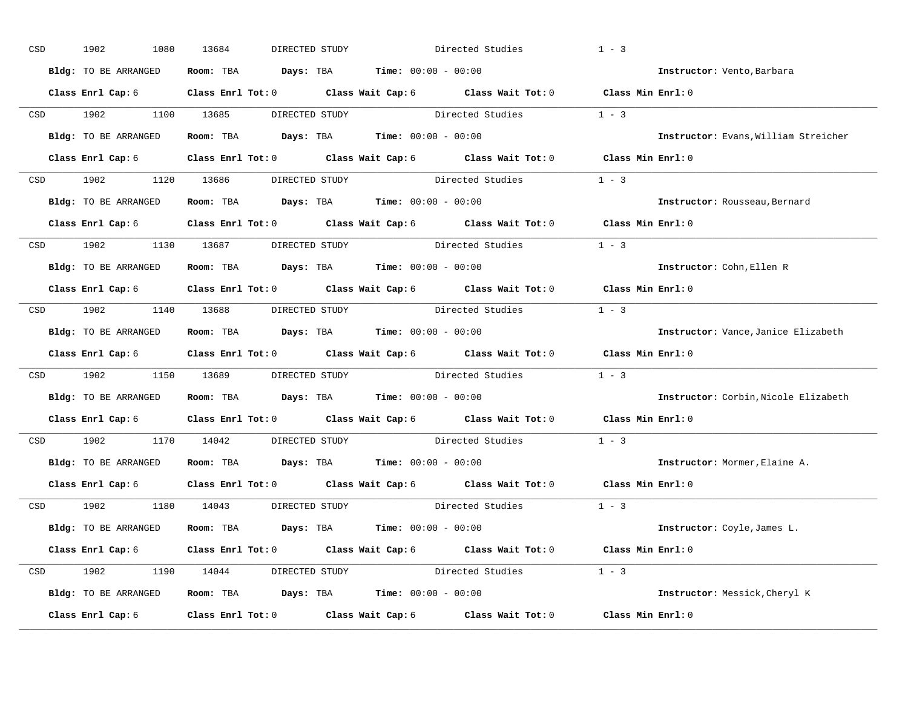| CSD |                  | 1902<br>1080         | 13684<br>DIRECTED STUDY                                                                            |                                 | $1 - 3$<br>Directed Studies                                                               |                                      |
|-----|------------------|----------------------|----------------------------------------------------------------------------------------------------|---------------------------------|-------------------------------------------------------------------------------------------|--------------------------------------|
|     |                  | Bldg: TO BE ARRANGED | Room: TBA $Days:$ TBA $Time: 00:00 - 00:00$                                                        |                                 |                                                                                           | Instructor: Vento, Barbara           |
|     |                  |                      |                                                                                                    |                                 | Class Enrl Cap: 6 Class Enrl Tot: 0 Class Wait Cap: 6 Class Wait Tot: 0 Class Min Enrl: 0 |                                      |
|     |                  | CSD 1902             | 1100 13685                                                                                         | DIRECTED STUDY Directed Studies | $1 - 3$                                                                                   |                                      |
|     |                  | Bldg: TO BE ARRANGED | Room: TBA $Days:$ TBA Time: $00:00 - 00:00$                                                        |                                 |                                                                                           | Instructor: Evans, William Streicher |
|     |                  | Class Enrl Cap: 6    |                                                                                                    |                                 | Class Enrl Tot: 0 Class Wait Cap: 6 Class Wait Tot: 0 Class Min Enrl: 0                   |                                      |
|     |                  |                      |                                                                                                    |                                 | CSD 1902 1120 13686 DIRECTED STUDY Directed Studies 1 - 3                                 |                                      |
|     |                  |                      | Bldg: TO BE ARRANGED Room: TBA Days: TBA Time: 00:00 - 00:00                                       |                                 |                                                                                           | Instructor: Rousseau, Bernard        |
|     |                  |                      | Class Enrl Cap: 6 $\qquad$ Class Enrl Tot: 0 $\qquad$ Class Wait Cap: 6 $\qquad$ Class Wait Tot: 0 |                                 |                                                                                           | Class Min Enrl: 0                    |
|     |                  |                      | CSD 1902 1130 13687 DIRECTED STUDY                                                                 | Directed Studies                | $1 - 3$                                                                                   |                                      |
|     |                  | Bldg: TO BE ARRANGED | Room: TBA $Days:$ TBA $Time: 00:00 - 00:00$                                                        |                                 |                                                                                           | Instructor: Cohn, Ellen R            |
|     |                  |                      |                                                                                                    |                                 | Class Enrl Cap: 6 Class Enrl Tot: 0 Class Wait Cap: 6 Class Wait Tot: 0 Class Min Enrl: 0 |                                      |
|     |                  |                      | CSD 1902 1140 13688 DIRECTED STUDY Directed Studies                                                |                                 | $1 - 3$                                                                                   |                                      |
|     |                  | Bldg: TO BE ARRANGED | <b>Room:</b> TBA $\qquad \qquad$ Days: TBA $\qquad \qquad$ Time: $00:00 - 00:00$                   |                                 |                                                                                           | Instructor: Vance, Janice Elizabeth  |
|     |                  |                      |                                                                                                    |                                 | Class Enrl Cap: 6 Class Enrl Tot: 0 Class Wait Cap: 6 Class Wait Tot: 0 Class Min Enrl: 0 |                                      |
|     | CSD <sub>c</sub> |                      | 1902 1150 13689 DIRECTED STUDY Directed Studies                                                    |                                 | $1 - 3$                                                                                   |                                      |
|     |                  |                      | Bldg: TO BE ARRANGED Room: TBA Days: TBA Time: 00:00 - 00:00                                       |                                 |                                                                                           | Instructor: Corbin, Nicole Elizabeth |
|     |                  |                      | Class Enrl Cap: 6 Class Enrl Tot: 0 Class Wait Cap: 6 Class Wait Tot: 0                            |                                 |                                                                                           | Class Min Enrl: 0                    |
|     | CSD <sub>c</sub> | 1902 1903            | 1170 14042                                                                                         | DIRECTED STUDY                  | $1 - 3$<br>Directed Studies                                                               |                                      |
|     |                  |                      | Bldg: TO BE ARRANGED Room: TBA Days: TBA Time: 00:00 - 00:00                                       |                                 |                                                                                           | Instructor: Mormer, Elaine A.        |
|     |                  |                      | Class Enrl Cap: 6 Class Enrl Tot: 0 Class Wait Cap: 6 Class Wait Tot: 0                            |                                 |                                                                                           | Class Min Enrl: 0                    |
|     |                  |                      | CSD 1902 1180 14043 DIRECTED STUDY                                                                 |                                 | Directed Studies 1 - 3                                                                    |                                      |
|     |                  | Bldg: TO BE ARRANGED | <b>Room:</b> TBA $Days:$ TBA $Time: 00:00 - 00:00$                                                 |                                 |                                                                                           | Instructor: Coyle, James L.          |
|     |                  |                      |                                                                                                    |                                 | Class Enrl Cap: 6 Class Enrl Tot: 0 Class Wait Cap: 6 Class Wait Tot: 0 Class Min Enrl: 0 |                                      |
|     |                  |                      |                                                                                                    |                                 | CSD 1902 1190 14044 DIRECTED STUDY Directed Studies 1 - 3                                 |                                      |
|     |                  |                      | Bldg: TO BE ARRANGED Room: TBA Days: TBA Time: 00:00 - 00:00                                       |                                 |                                                                                           | Instructor: Messick, Cheryl K        |
|     |                  | Class Enrl Cap: 6    | Class Enrl Tot: $0$ Class Wait Cap: $6$ Class Wait Tot: $0$                                        |                                 |                                                                                           | Class Min Enrl: 0                    |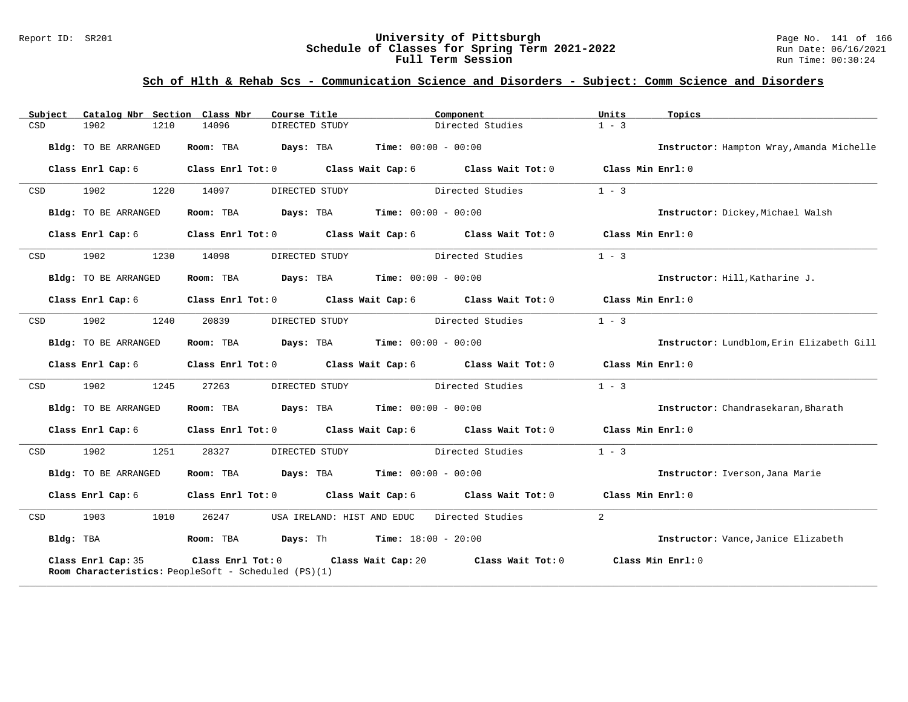### Report ID: SR201 **University of Pittsburgh** Page No. 141 of 166 **Schedule of Classes for Spring Term 2021-2022** Run Date: 06/16/2021 **Full Term Session Run Time: 00:30:24**

## **Sch of Hlth & Rehab Scs - Communication Science and Disorders - Subject: Comm Science and Disorders**

| Subject    | Catalog Nbr Section Class Nbr                                              |           | Course Title                                        | Component                                             | Units               | Topics                                    |
|------------|----------------------------------------------------------------------------|-----------|-----------------------------------------------------|-------------------------------------------------------|---------------------|-------------------------------------------|
| CSD        | 1902<br>1210                                                               | 14096     | DIRECTED STUDY                                      | Directed Studies                                      | $1 - 3$             |                                           |
|            | Bldg: TO BE ARRANGED                                                       | Room: TBA | <b>Days:</b> TBA <b>Time:</b> $00:00 - 00:00$       |                                                       |                     | Instructor: Hampton Wray, Amanda Michelle |
|            | Class Enrl Cap: 6                                                          |           |                                                     | Class Enrl Tot: 0 Class Wait Cap: 6 Class Wait Tot: 0 | Class Min $Enrl: 0$ |                                           |
| CSD        | 1902<br>1220                                                               | 14097     | DIRECTED STUDY                                      | Directed Studies                                      | $1 - 3$             |                                           |
|            | Bldg: TO BE ARRANGED                                                       |           | Room: TBA $Days:$ TBA $Time: 00:00 - 00:00$         |                                                       |                     | Instructor: Dickey, Michael Walsh         |
|            | Class Enrl Cap: 6                                                          |           |                                                     | Class Enrl Tot: 0 Class Wait Cap: 6 Class Wait Tot: 0 | Class Min Enrl: 0   |                                           |
| <b>CSD</b> | 1902<br>1230                                                               | 14098     | DIRECTED STUDY                                      | Directed Studies                                      | $1 - 3$             |                                           |
|            | Bldg: TO BE ARRANGED                                                       |           | Room: TBA $Days:$ TBA $Time: 00:00 - 00:00$         |                                                       |                     | Instructor: Hill, Katharine J.            |
|            | Class Enrl Cap: 6                                                          |           |                                                     | Class Enrl Tot: 0 Class Wait Cap: 6 Class Wait Tot: 0 | Class Min Enrl: 0   |                                           |
| CSD        | 1902<br>1240                                                               | 20839     | DIRECTED STUDY                                      | Directed Studies                                      | $1 - 3$             |                                           |
|            | Bldg: TO BE ARRANGED                                                       | Room: TBA | $\texttt{Days:}$ TBA $\texttt{Time:}$ 00:00 - 00:00 |                                                       |                     | Instructor: Lundblom, Erin Elizabeth Gill |
|            | Class Enrl Cap: 6                                                          |           |                                                     | Class Enrl Tot: 0 Class Wait Cap: 6 Class Wait Tot: 0 | Class Min Enrl: 0   |                                           |
| CSD        | 1902<br>1245                                                               | 27263     | DIRECTED STUDY                                      | Directed Studies                                      | $1 - 3$             |                                           |
|            | Bldg: TO BE ARRANGED                                                       | Room: TBA | <b>Days:</b> TBA <b>Time:</b> $00:00 - 00:00$       |                                                       |                     | Instructor: Chandrasekaran, Bharath       |
|            | Class Enrl Cap: 6                                                          |           |                                                     | Class Enrl Tot: 0 Class Wait Cap: 6 Class Wait Tot: 0 | Class Min Enrl: 0   |                                           |
| CSD        | 1902<br>1251                                                               | 28327     | DIRECTED STUDY                                      | Directed Studies                                      | $1 - 3$             |                                           |
|            | Bldg: TO BE ARRANGED                                                       |           | Room: TBA $Days:$ TBA $Time: 00:00 - 00:00$         |                                                       |                     | Instructor: Iverson, Jana Marie           |
|            | Class Enrl Cap: 6                                                          |           |                                                     | Class Enrl Tot: 0 Class Wait Cap: 6 Class Wait Tot: 0 | Class Min Enrl: 0   |                                           |
| CSD        | 1903<br>1010                                                               | 26247     |                                                     | USA IRELAND: HIST AND EDUC Directed Studies           | $\overline{2}$      |                                           |
| Bldg: TBA  |                                                                            |           | Room: TBA $Days:$ Th Time: $18:00 - 20:00$          |                                                       |                     | Instructor: Vance, Janice Elizabeth       |
|            | Class Enrl Cap: 35<br>Room Characteristics: PeopleSoft - Scheduled (PS)(1) |           | Class Enrl Tot: 0 Class Wait Cap: 20                | Class Wait Tot: 0                                     |                     | Class Min Enrl: 0                         |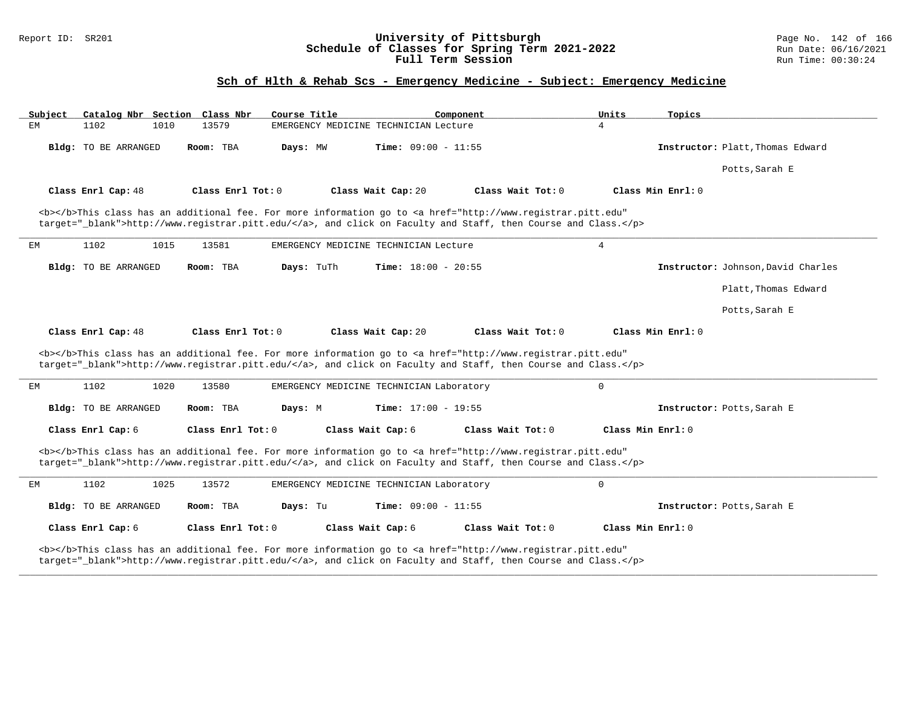### Report ID: SR201 **University of Pittsburgh** Page No. 142 of 166 **Schedule of Classes for Spring Term 2021-2022** Run Date: 06/16/2021 **Full Term Session Run Time: 00:30:24**

# **Sch of Hlth & Rehab Scs - Emergency Medicine - Subject: Emergency Medicine**

| Subject            | Catalog Nbr Section Class Nbr |                   | Course Title |                                          | Component                                                                                                                                                                                                                          | Units             | Topics                             |
|--------------------|-------------------------------|-------------------|--------------|------------------------------------------|------------------------------------------------------------------------------------------------------------------------------------------------------------------------------------------------------------------------------------|-------------------|------------------------------------|
| EM<br>1102         | 1010                          | 13579             |              | EMERGENCY MEDICINE TECHNICIAN Lecture    |                                                                                                                                                                                                                                    | $\overline{4}$    |                                    |
|                    | Bldg: TO BE ARRANGED          | Room: TBA         | Days: MW     | Time: $09:00 - 11:55$                    |                                                                                                                                                                                                                                    |                   | Instructor: Platt, Thomas Edward   |
|                    |                               |                   |              |                                          |                                                                                                                                                                                                                                    |                   | Potts, Sarah E                     |
| Class Enrl Cap: 48 |                               | Class Enrl Tot: 0 |              | Class Wait Cap: 20                       | Class Wait Tot: 0                                                                                                                                                                                                                  |                   | Class Min Enrl: 0                  |
|                    |                               |                   |              |                                          | <b></b> This class has an additional fee. For more information go to <a <br="" href="http://www.registrar.pitt.edu">target=" blank"&gt;http://www.registrar.pitt.edu/</a> , and click on Faculty and Staff, then Course and Class. |                   |                                    |
| 1102<br>ЕM         | 1015                          | 13581             |              | EMERGENCY MEDICINE TECHNICIAN Lecture    |                                                                                                                                                                                                                                    | 4                 |                                    |
|                    | Bldg: TO BE ARRANGED          | Room: TBA         | Days: TuTh   | <b>Time:</b> $18:00 - 20:55$             |                                                                                                                                                                                                                                    |                   | Instructor: Johnson, David Charles |
|                    |                               |                   |              |                                          |                                                                                                                                                                                                                                    |                   | Platt, Thomas Edward               |
|                    |                               |                   |              |                                          |                                                                                                                                                                                                                                    |                   | Potts, Sarah E                     |
| Class Enrl Cap: 48 |                               | Class Enrl Tot: 0 |              | Class Wait Cap: 20                       | Class Wait Tot: 0                                                                                                                                                                                                                  |                   | Class Min Enrl: 0                  |
|                    |                               |                   |              |                                          | <b></b> This class has an additional fee. For more information go to <a <br="" href="http://www.registrar.pitt.edu">target="_blank"&gt;http://www.registrar.pitt.edu/</a> , and click on Faculty and Staff, then Course and Class. |                   |                                    |
| 1102<br>EМ         | 1020                          | 13580             |              | EMERGENCY MEDICINE TECHNICIAN Laboratory |                                                                                                                                                                                                                                    | $\mathbf 0$       |                                    |
|                    | Bldg: TO BE ARRANGED          | Room: TBA         | Days: M      | <b>Time:</b> $17:00 - 19:55$             |                                                                                                                                                                                                                                    |                   | Instructor: Potts, Sarah E         |
| Class Enrl Cap: 6  |                               | Class Enrl Tot: 0 |              | Class Wait Cap: 6                        | Class Wait Tot: 0                                                                                                                                                                                                                  | Class Min Enrl: 0 |                                    |
|                    |                               |                   |              |                                          | <b></b> This class has an additional fee. For more information go to <a <br="" href="http://www.registrar.pitt.edu">target="_blank"&gt;http://www.registrar.pitt.edu/</a> , and click on Faculty and Staff, then Course and Class. |                   |                                    |
| 1102<br>EM         | 1025                          | 13572             |              | EMERGENCY MEDICINE TECHNICIAN Laboratory |                                                                                                                                                                                                                                    | $\mathsf{O}$      |                                    |
|                    |                               |                   | Days: Tu     | <b>Time:</b> $09:00 - 11:55$             |                                                                                                                                                                                                                                    |                   | Instructor: Potts, Sarah E         |
|                    | <b>Bldg:</b> TO BE ARRANGED   | Room: TBA         |              |                                          |                                                                                                                                                                                                                                    |                   |                                    |
| Class Enrl Cap: 6  |                               | Class Enrl Tot: 0 |              | Class Wait Cap: 6                        | Class Wait Tot: 0                                                                                                                                                                                                                  | Class Min Enrl: 0 |                                    |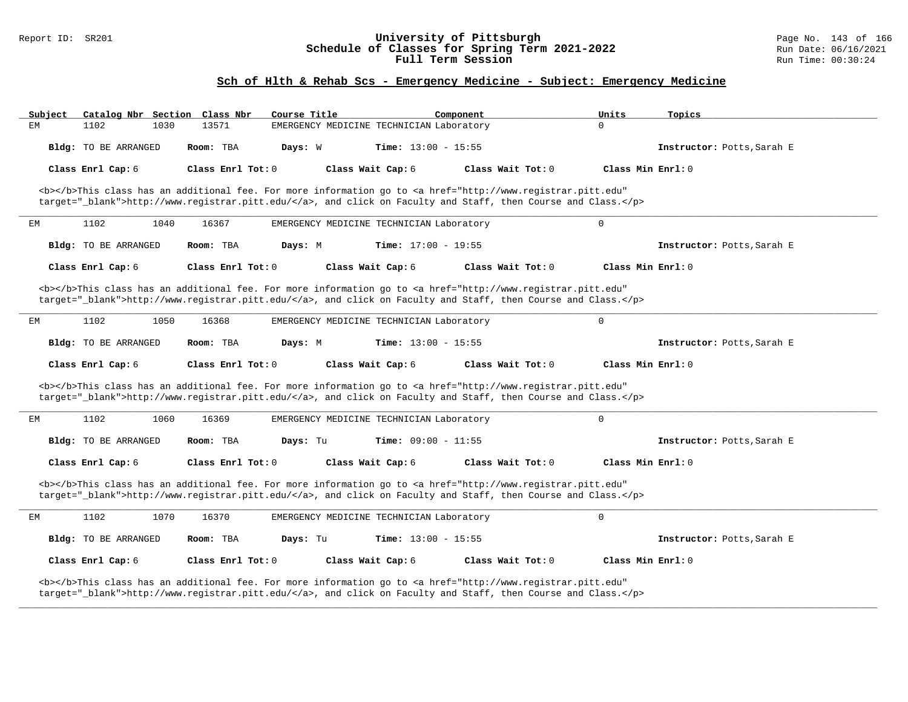### Report ID: SR201 **University of Pittsburgh** Page No. 143 of 166 **Schedule of Classes for Spring Term 2021-2022** Run Date: 06/16/2021 **Full Term Session Run Time: 00:30:24**

# **Sch of Hlth & Rehab Scs - Emergency Medicine - Subject: Emergency Medicine**

| Subject | Catalog Nbr Section Class Nbr |                   | Course Title                             |                              | Component                                                                                                                                                                                                                          | Units               | Topics                     |
|---------|-------------------------------|-------------------|------------------------------------------|------------------------------|------------------------------------------------------------------------------------------------------------------------------------------------------------------------------------------------------------------------------------|---------------------|----------------------------|
| EM      | 1102<br>1030                  | 13571             | EMERGENCY MEDICINE TECHNICIAN Laboratory |                              |                                                                                                                                                                                                                                    | $\Omega$            |                            |
|         | Bldg: TO BE ARRANGED          | Room: TBA         | Days: W                                  | <b>Time:</b> $13:00 - 15:55$ |                                                                                                                                                                                                                                    |                     | Instructor: Potts, Sarah E |
|         | Class Enrl Cap: 6             | Class Enrl Tot: 0 |                                          | Class Wait Cap: 6            | Class Wait Tot: 0                                                                                                                                                                                                                  | Class Min Enrl: 0   |                            |
|         |                               |                   |                                          |                              | <b></b> This class has an additional fee. For more information go to <a <br="" href="http://www.registrar.pitt.edu">target="_blank"&gt;http://www.registrar.pitt.edu/</a> , and click on Faculty and Staff, then Course and Class. |                     |                            |
| EМ      | 1102<br>1040                  | 16367             | EMERGENCY MEDICINE TECHNICIAN Laboratory |                              |                                                                                                                                                                                                                                    | $\Omega$            |                            |
|         | Bldg: TO BE ARRANGED          | Room: TBA         | Days: M                                  | Time: $17:00 - 19:55$        |                                                                                                                                                                                                                                    |                     | Instructor: Potts, Sarah E |
|         | Class Enrl Cap: 6             | Class Enrl Tot: 0 |                                          | Class Wait Cap: 6            | Class Wait Tot: $0$                                                                                                                                                                                                                | Class Min $Enr1: 0$ |                            |
|         |                               |                   |                                          |                              | <b></b> This class has an additional fee. For more information go to <a <br="" href="http://www.registrar.pitt.edu">target="_blank"&gt;http://www.registrar.pitt.edu/</a> , and click on Faculty and Staff, then Course and Class. |                     |                            |
| ЕM      | 1102<br>1050                  | 16368             | EMERGENCY MEDICINE TECHNICIAN Laboratory |                              |                                                                                                                                                                                                                                    | $\mathbf 0$         |                            |
|         | Bldg: TO BE ARRANGED          | Room: TBA         | Days: M                                  | <b>Time:</b> $13:00 - 15:55$ |                                                                                                                                                                                                                                    |                     | Instructor: Potts, Sarah E |
|         | Class Enrl Cap: 6             | Class Enrl Tot: 0 |                                          | Class Wait Cap: 6            | Class Wait Tot: 0                                                                                                                                                                                                                  | Class Min Enrl: 0   |                            |
|         |                               |                   |                                          |                              | <b></b> This class has an additional fee. For more information go to <a <="" href="http://www.registrar.pitt.edu" td=""><td></td><td></td></a>                                                                                     |                     |                            |
|         |                               |                   |                                          |                              | target="_blank">http://www.registrar.pitt.edu/, and click on Faculty and Staff, then Course and Class.                                                                                                                             |                     |                            |
| ЕM      | 1102<br>1060                  | 16369             | EMERGENCY MEDICINE TECHNICIAN Laboratory |                              |                                                                                                                                                                                                                                    | $\mathbf 0$         |                            |
|         | Bldg: TO BE ARRANGED          | Room: TBA         | Days: Tu                                 | <b>Time:</b> $09:00 - 11:55$ |                                                                                                                                                                                                                                    |                     | Instructor: Potts, Sarah E |
|         | Class Enrl Cap: 6             | Class Enrl Tot: 0 |                                          | Class Wait Cap: 6            | Class Wait Tot: $0$                                                                                                                                                                                                                | Class Min Enrl: 0   |                            |
|         |                               |                   |                                          |                              | <b></b> This class has an additional fee. For more information go to <a <br="" href="http://www.registrar.pitt.edu">target="_blank"&gt;http://www.registrar.pitt.edu/</a> , and click on Faculty and Staff, then Course and Class. |                     |                            |
| ЕM      | 1102<br>1070                  | 16370             | EMERGENCY MEDICINE TECHNICIAN Laboratory |                              |                                                                                                                                                                                                                                    | $\mathbf 0$         |                            |
|         | Bldg: TO BE ARRANGED          | Room: TBA         | Days: Tu                                 | <b>Time:</b> $13:00 - 15:55$ |                                                                                                                                                                                                                                    |                     | Instructor: Potts, Sarah E |
|         | Class Enrl Cap: 6             | Class Enrl Tot: 0 |                                          | Class Wait Cap: 6            | Class Wait Tot: 0                                                                                                                                                                                                                  | Class Min Enrl: 0   |                            |

**\_\_\_\_\_\_\_\_\_\_\_\_\_\_\_\_\_\_\_\_\_\_\_\_\_\_\_\_\_\_\_\_\_\_\_\_\_\_\_\_\_\_\_\_\_\_\_\_\_\_\_\_\_\_\_\_\_\_\_\_\_\_\_\_\_\_\_\_\_\_\_\_\_\_\_\_\_\_\_\_\_\_\_\_\_\_\_\_\_\_\_\_\_\_\_\_\_\_\_\_\_\_\_\_\_\_\_\_\_\_\_\_\_\_\_\_\_\_\_\_\_\_\_\_\_\_\_\_\_\_\_\_\_\_\_\_\_\_\_\_\_\_\_\_\_\_\_\_\_\_\_\_\_\_\_\_**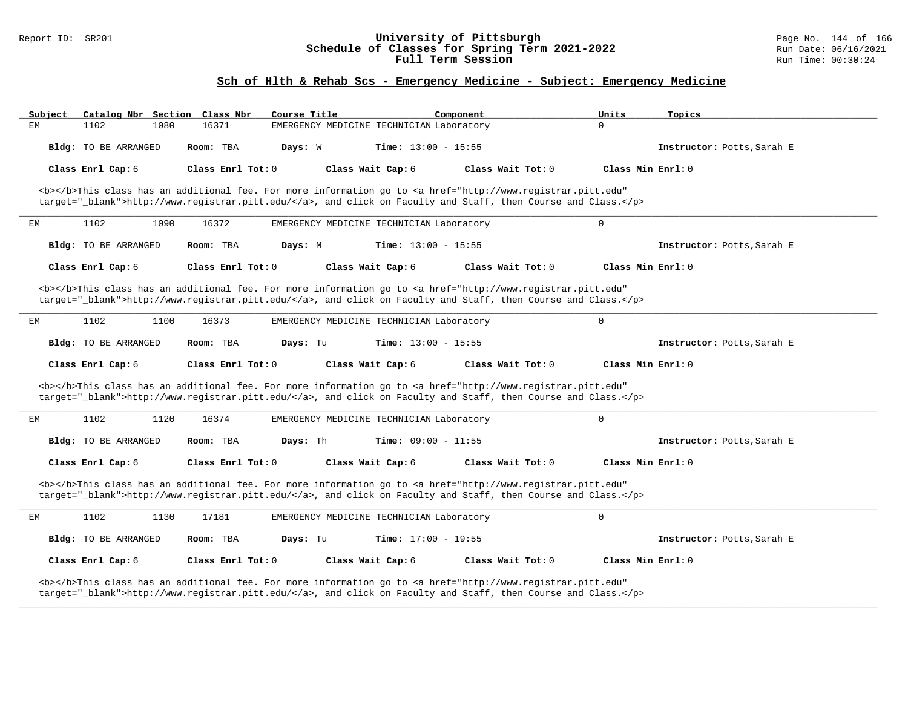### Report ID: SR201 **University of Pittsburgh** Page No. 144 of 166 **Schedule of Classes for Spring Term 2021-2022** Run Date: 06/16/2021 **Full Term Session Run Time: 00:30:24**

# **Sch of Hlth & Rehab Scs - Emergency Medicine - Subject: Emergency Medicine**

| Subiect              | Catalog Nbr Section Class Nbr<br>Course Title                                                                                                                                                                                      |                                          | Component           | Units        | Topics                     |
|----------------------|------------------------------------------------------------------------------------------------------------------------------------------------------------------------------------------------------------------------------------|------------------------------------------|---------------------|--------------|----------------------------|
| 1102<br>1080<br>EM   | 16371                                                                                                                                                                                                                              | EMERGENCY MEDICINE TECHNICIAN Laboratory |                     | $\Omega$     |                            |
| Bldg: TO BE ARRANGED | Room: TBA<br>Days: W                                                                                                                                                                                                               | <b>Time:</b> $13:00 - 15:55$             |                     |              | Instructor: Potts, Sarah E |
| Class Enrl Cap: 6    | Class Enrl Tot: 0                                                                                                                                                                                                                  | Class Wait Cap: 6                        | Class Wait Tot: 0   |              | Class Min Enrl: 0          |
|                      | <b></b> This class has an additional fee. For more information go to <a <br="" href="http://www.registrar.pitt.edu">target="_blank"&gt;http://www.registrar.pitt.edu/</a> , and click on Faculty and Staff, then Course and Class. |                                          |                     |              |                            |
| 1102<br>1090<br>ЕM   | 16372                                                                                                                                                                                                                              | EMERGENCY MEDICINE TECHNICIAN Laboratory |                     | $\mathbf 0$  |                            |
| Bldg: TO BE ARRANGED | Room: TBA<br>Days: M                                                                                                                                                                                                               | Time: $13:00 - 15:55$                    |                     |              | Instructor: Potts, Sarah E |
| Class Enrl Cap: 6    | Class Enrl Tot: 0                                                                                                                                                                                                                  | Class Wait Cap: 6                        | Class Wait Tot: 0   |              | Class Min Enrl: 0          |
|                      | <b></b> This class has an additional fee. For more information go to <a <br="" href="http://www.registrar.pitt.edu">target="_blank"&gt;http://www.registrar.pitt.edu/</a> , and click on Faculty and Staff, then Course and Class. |                                          |                     |              |                            |
| 1102<br>1100<br>EM   | 16373                                                                                                                                                                                                                              | EMERGENCY MEDICINE TECHNICIAN Laboratory |                     | $\mathbf{0}$ |                            |
| Bldg: TO BE ARRANGED | Room: TBA<br>Days: Tu                                                                                                                                                                                                              | <b>Time:</b> $13:00 - 15:55$             |                     |              | Instructor: Potts, Sarah E |
|                      |                                                                                                                                                                                                                                    |                                          |                     |              |                            |
| Class Enrl Cap: 6    | Class Enrl Tot: $0$                                                                                                                                                                                                                | Class Wait Cap: 6                        | Class Wait Tot: $0$ |              | Class Min $Enr1: 0$        |
|                      | <b></b> This class has an additional fee. For more information go to <a <br="" href="http://www.registrar.pitt.edu">target="_blank"&gt;http://www.registrar.pitt.edu/</a> , and click on Faculty and Staff, then Course and Class. |                                          |                     |              |                            |
| 1102<br>1120<br>ЕM   | 16374                                                                                                                                                                                                                              | EMERGENCY MEDICINE TECHNICIAN Laboratory |                     | $\mathbf 0$  |                            |
| Bldg: TO BE ARRANGED | Days: Th<br>Room: TBA                                                                                                                                                                                                              | Time: $09:00 - 11:55$                    |                     |              | Instructor: Potts, Sarah E |
| Class Enrl Cap: 6    | Class Enrl Tot: 0                                                                                                                                                                                                                  | Class Wait Cap: 6                        | Class Wait Tot: 0   |              | Class Min Enrl: 0          |
|                      | <b></b> This class has an additional fee. For more information go to <a <br="" href="http://www.registrar.pitt.edu">target="_blank"&gt;http://www.registrar.pitt.edu/</a> , and click on Faculty and Staff, then Course and Class. |                                          |                     |              |                            |
| 1102<br>1130<br>EM   | 17181                                                                                                                                                                                                                              | EMERGENCY MEDICINE TECHNICIAN Laboratory |                     | $\mathbf{0}$ |                            |
| Bldg: TO BE ARRANGED | Days: Tu<br>Room: TBA                                                                                                                                                                                                              | <b>Time:</b> $17:00 - 19:55$             |                     |              | Instructor: Potts, Sarah E |
| Class Enrl Cap: 6    | Class Enrl Tot: 0                                                                                                                                                                                                                  | Class Wait Cap: 6                        | Class Wait Tot: 0   |              | Class Min Enrl: 0          |

**\_\_\_\_\_\_\_\_\_\_\_\_\_\_\_\_\_\_\_\_\_\_\_\_\_\_\_\_\_\_\_\_\_\_\_\_\_\_\_\_\_\_\_\_\_\_\_\_\_\_\_\_\_\_\_\_\_\_\_\_\_\_\_\_\_\_\_\_\_\_\_\_\_\_\_\_\_\_\_\_\_\_\_\_\_\_\_\_\_\_\_\_\_\_\_\_\_\_\_\_\_\_\_\_\_\_\_\_\_\_\_\_\_\_\_\_\_\_\_\_\_\_\_\_\_\_\_\_\_\_\_\_\_\_\_\_\_\_\_\_\_\_\_\_\_\_\_\_\_\_\_\_\_\_\_\_**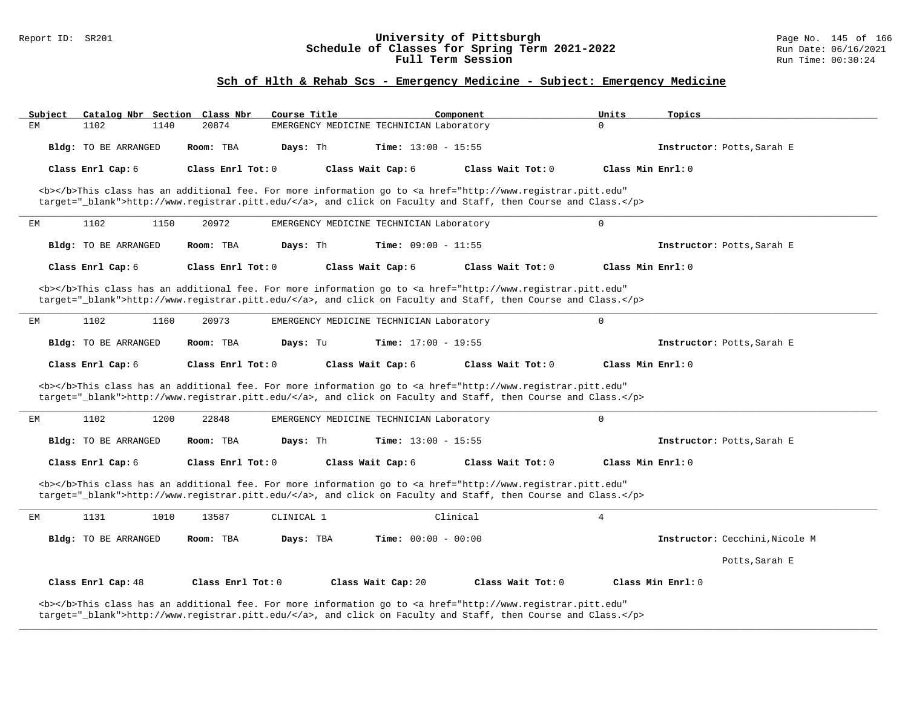### Report ID: SR201 **1988 Chedule of Classes for Spring Term 2021-2022** Page No. 145 of 166 Page No. 145 of 166 Page No<br>**Schedule of Classes for Spring Term 2021-2022** Run Date: 06/16/2021 **Schedule of Classes for Spring Term 2021-2022** Run Date: 06/16/2021 **Full Term Session Run Time: 00:30:24**

### **Sch of Hlth & Rehab Scs - Emergency Medicine - Subject: Emergency Medicine**

| Subject<br>Catalog Nbr Section Class Nbr | Course Title           |                                                                                                                                                                                                                                    | Component           | Units<br>Topics                |
|------------------------------------------|------------------------|------------------------------------------------------------------------------------------------------------------------------------------------------------------------------------------------------------------------------------|---------------------|--------------------------------|
| ЕM<br>1102<br>1140                       | 20874                  | EMERGENCY MEDICINE TECHNICIAN Laboratory                                                                                                                                                                                           |                     | $\Omega$                       |
| Bldg: TO BE ARRANGED                     | Room: TBA<br>Days: Th  | <b>Time:</b> $13:00 - 15:55$                                                                                                                                                                                                       |                     | Instructor: Potts, Sarah E     |
| Class Enrl Cap: 6                        | Class Enrl Tot: 0      | Class Wait Cap: 6                                                                                                                                                                                                                  | Class Wait Tot: $0$ | Class Min Enrl: 0              |
|                                          |                        | <b></b> This class has an additional fee. For more information go to <a <br="" href="http://www.registrar.pitt.edu">target="_blank"&gt;http://www.registrar.pitt.edu/</a> , and click on Faculty and Staff, then Course and Class. |                     |                                |
| 1102<br>1150<br>ЕM                       | 20972                  | EMERGENCY MEDICINE TECHNICIAN Laboratory                                                                                                                                                                                           |                     | $\mathbf 0$                    |
| Bldg: TO BE ARRANGED                     | Room: TBA<br>Days: Th  | <b>Time:</b> $09:00 - 11:55$                                                                                                                                                                                                       |                     | Instructor: Potts, Sarah E     |
| Class Enrl Cap: 6                        | Class Enrl Tot: 0      | Class Wait Cap: 6                                                                                                                                                                                                                  | Class Wait Tot: 0   | Class Min Enrl: 0              |
|                                          |                        | <b></b> This class has an additional fee. For more information go to <a <br="" href="http://www.registrar.pitt.edu">target="_blank"&gt;http://www.registrar.pitt.edu/</a> , and click on Faculty and Staff, then Course and Class. |                     |                                |
| EМ<br>1102<br>1160                       | 20973                  | EMERGENCY MEDICINE TECHNICIAN Laboratory                                                                                                                                                                                           |                     | $\mathbf 0$                    |
| Bldg: TO BE ARRANGED                     | Room: TBA<br>Days: Tu  | Time: $17:00 - 19:55$                                                                                                                                                                                                              |                     | Instructor: Potts, Sarah E     |
|                                          |                        |                                                                                                                                                                                                                                    |                     |                                |
| Class Enrl Cap: 6                        | Class Enrl Tot: 0      | Class Wait Cap: 6                                                                                                                                                                                                                  | Class Wait Tot: 0   | Class Min Enrl: 0              |
|                                          |                        | <b></b> This class has an additional fee. For more information go to <a <br="" href="http://www.registrar.pitt.edu">target="_blank"&gt;http://www.registrar.pitt.edu/</a> , and click on Faculty and Staff, then Course and Class. |                     |                                |
| 1102<br>1200<br>EМ                       | 22848                  | EMERGENCY MEDICINE TECHNICIAN Laboratory                                                                                                                                                                                           |                     | $\mathbf 0$                    |
| Bldg: TO BE ARRANGED                     | Room: TBA<br>Days: Th  | <b>Time:</b> $13:00 - 15:55$                                                                                                                                                                                                       |                     | Instructor: Potts, Sarah E     |
| Class Enrl Cap: 6                        | Class Enrl Tot: 0      | Class Wait Cap: 6                                                                                                                                                                                                                  | Class Wait Tot: 0   | Class Min Enrl: 0              |
|                                          |                        | <b></b> This class has an additional fee. For more information go to <a <br="" href="http://www.registrar.pitt.edu">target="_blank"&gt;http://www.registrar.pitt.edu/</a> , and click on Faculty and Staff, then Course and Class. |                     |                                |
| 1131<br>1010<br>EМ                       | 13587<br>CLINICAL 1    |                                                                                                                                                                                                                                    | Clinical            | $\overline{4}$                 |
| Bldg: TO BE ARRANGED                     | Room: TBA<br>Days: TBA | <b>Time:</b> $00:00 - 00:00$                                                                                                                                                                                                       |                     | Instructor: Cecchini, Nicole M |
|                                          |                        |                                                                                                                                                                                                                                    |                     | Potts, Sarah E                 |
| Class Enrl Cap: 48                       | Class Enrl Tot: 0      | Class Wait Cap: 20                                                                                                                                                                                                                 | Class Wait Tot: 0   | Class Min Enrl: 0              |

**\_\_\_\_\_\_\_\_\_\_\_\_\_\_\_\_\_\_\_\_\_\_\_\_\_\_\_\_\_\_\_\_\_\_\_\_\_\_\_\_\_\_\_\_\_\_\_\_\_\_\_\_\_\_\_\_\_\_\_\_\_\_\_\_\_\_\_\_\_\_\_\_\_\_\_\_\_\_\_\_\_\_\_\_\_\_\_\_\_\_\_\_\_\_\_\_\_\_\_\_\_\_\_\_\_\_\_\_\_\_\_\_\_\_\_\_\_\_\_\_\_\_\_\_\_\_\_\_\_\_\_\_\_\_\_\_\_\_\_\_\_\_\_\_\_\_\_\_\_\_\_\_\_\_\_\_**

target="\_blank">http://www.registrar.pitt.edu/</a>, and click on Faculty and Staff, then Course and Class.</p>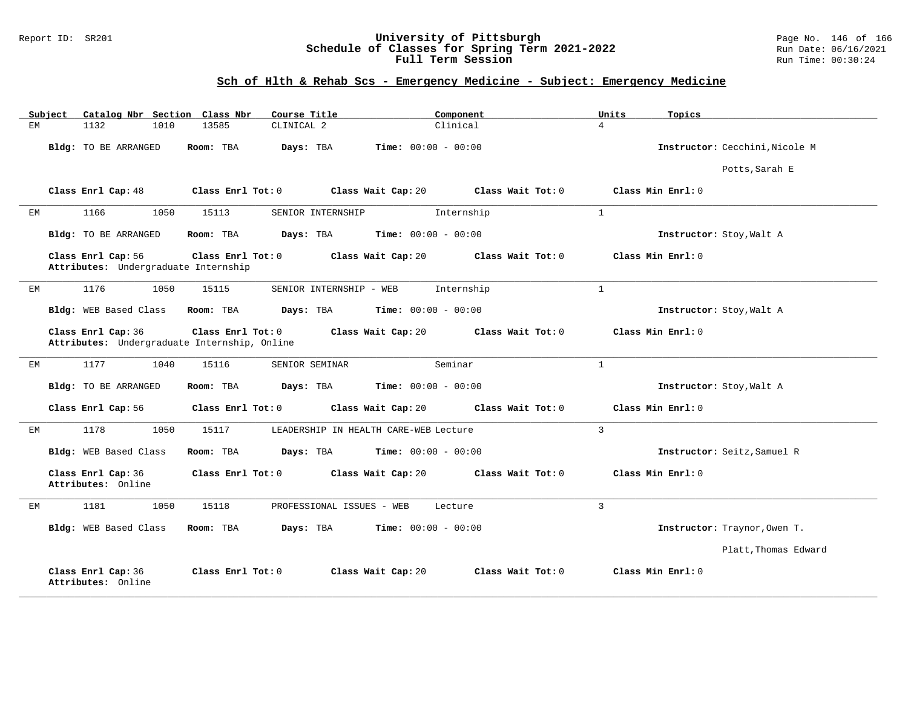### Report ID: SR201 **University of Pittsburgh** Page No. 146 of 166 **Schedule of Classes for Spring Term 2021-2022** Run Date: 06/16/2021 **Full Term Session Run Time: 00:30:24**

# **Sch of Hlth & Rehab Scs - Emergency Medicine - Subject: Emergency Medicine**

| Subject | Catalog Nbr Section Class Nbr                              |                                                                   | Course Title                              | Component           | Units<br>Topics                |
|---------|------------------------------------------------------------|-------------------------------------------------------------------|-------------------------------------------|---------------------|--------------------------------|
| EМ      | 1132<br>1010                                               | 13585<br>CLINICAL 2                                               |                                           | Clinical            | $\overline{4}$                 |
|         | Bldg: TO BE ARRANGED                                       | Room: TBA                                                         | Days: TBA<br><b>Time:</b> $00:00 - 00:00$ |                     | Instructor: Cecchini, Nicole M |
|         |                                                            |                                                                   |                                           |                     | Potts, Sarah E                 |
|         | Class Enrl Cap: 48                                         | Class Enrl Tot: 0                                                 | Class Wait Cap: 20                        | Class Wait Tot: 0   | Class Min Enrl: 0              |
| EМ      | 1166<br>1050                                               | 15113                                                             | SENIOR INTERNSHIP                         | Internship          | $\mathbf{1}$                   |
|         | Bldg: TO BE ARRANGED                                       | Room: TBA                                                         | <b>Time:</b> $00:00 - 00:00$<br>Days: TBA |                     | Instructor: Stoy, Walt A       |
|         | Class Enrl Cap: 56<br>Attributes: Undergraduate Internship | Class Enrl Tot: 0                                                 | Class Wait Cap: 20                        | Class Wait Tot: 0   | Class Min Enrl: 0              |
| ЕM      | 1176<br>1050                                               | 15115                                                             | SENIOR INTERNSHIP - WEB                   | Internship          | $\mathbf{1}$                   |
|         | Bldg: WEB Based Class                                      | Room: TBA                                                         | <b>Time:</b> $00:00 - 00:00$<br>Days: TBA |                     | Instructor: Stoy, Walt A       |
|         | Class Enrl Cap: 36                                         | Class Enrl Tot: 0<br>Attributes: Undergraduate Internship, Online | Class Wait Cap: 20                        | Class Wait Tot: 0   | Class Min Enrl: 0              |
| EM      | 1177<br>1040                                               | 15116                                                             | SENIOR SEMINAR                            | Seminar             | $\mathbf{1}$                   |
|         | Bldg: TO BE ARRANGED                                       | Room: TBA                                                         | <b>Time:</b> $00:00 - 00:00$<br>Days: TBA |                     | Instructor: Stoy, Walt A       |
|         | Class Enrl Cap: 56                                         | Class Enrl Tot: $0$                                               | Class Wait Cap: 20                        | Class Wait $Tot: 0$ | Class Min Enrl: 0              |
| ЕM      | 1178<br>1050                                               | 15117                                                             | LEADERSHIP IN HEALTH CARE-WEB Lecture     |                     | $\overline{3}$                 |
|         | Bldg: WEB Based Class                                      | Room: TBA                                                         | Days: TBA<br><b>Time:</b> $00:00 - 00:00$ |                     | Instructor: Seitz, Samuel R    |
|         | Class Enrl Cap: 36<br>Attributes: Online                   | Class Enrl Tot: 0                                                 | Class Wait Cap: 20                        | Class Wait Tot: 0   | Class Min Enrl: 0              |
| EМ      | 1181<br>1050                                               | 15118                                                             | PROFESSIONAL ISSUES - WEB                 | Lecture             | 3                              |
|         | Bldg: WEB Based Class                                      | Room: TBA                                                         | Days: TBA<br><b>Time:</b> $00:00 - 00:00$ |                     | Instructor: Traynor, Owen T.   |
|         |                                                            |                                                                   |                                           |                     | Platt, Thomas Edward           |
|         | Class Enrl Cap: 36<br>Attributes: Online                   | Class Enrl Tot: 0                                                 | Class Wait Cap: 20                        | Class Wait Tot: 0   | Class Min Enrl: 0              |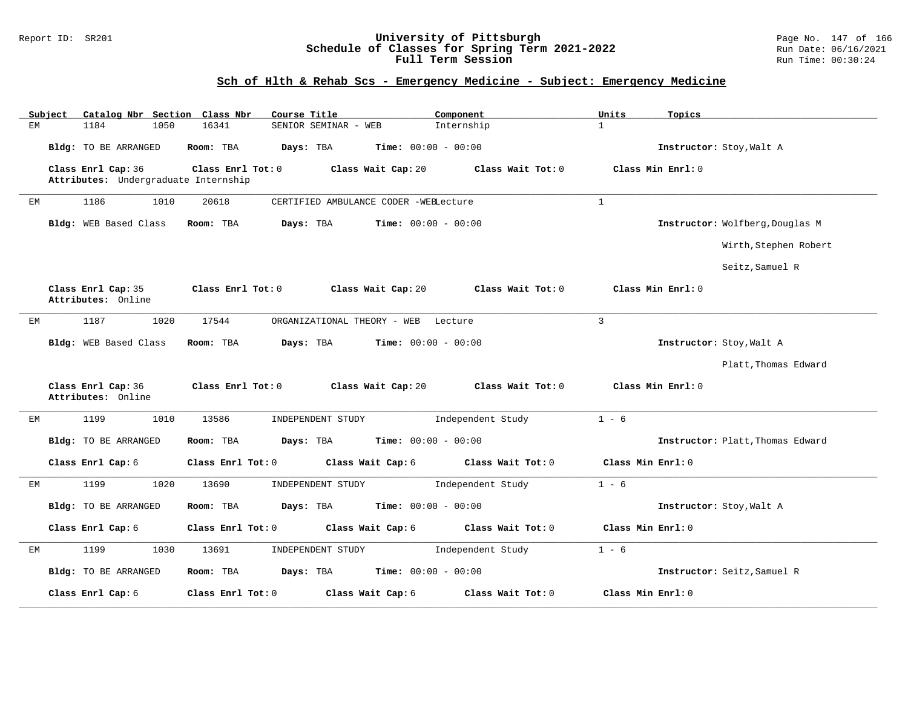#### Report ID: SR201 **University of Pittsburgh** Page No. 147 of 166 **Schedule of Classes for Spring Term 2021-2022** Run Date: 06/16/2021 **Full Term Session Run Time: 00:30:24**

# **Sch of Hlth & Rehab Scs - Emergency Medicine - Subject: Emergency Medicine**

|    | Subject | Catalog Nbr Section Class Nbr                              |      |                   | Course Title |                      |                                       | Component         |              | Units             | Topics                           |
|----|---------|------------------------------------------------------------|------|-------------------|--------------|----------------------|---------------------------------------|-------------------|--------------|-------------------|----------------------------------|
| EM |         | 1184                                                       | 1050 | 16341             |              | SENIOR SEMINAR - WEB |                                       | Internship        |              | $\mathbf{1}$      |                                  |
|    |         | Bldg: TO BE ARRANGED                                       |      | Room: TBA         | Days: TBA    |                      | Time: $00:00 - 00:00$                 |                   |              |                   | Instructor: Stoy, Walt A         |
|    |         | Class Enrl Cap: 36<br>Attributes: Undergraduate Internship |      | Class Enrl Tot: 0 |              |                      | Class Wait Cap: 20                    | Class Wait Tot: 0 |              |                   | Class Min Enrl: 0                |
|    |         |                                                            |      |                   |              |                      |                                       |                   |              |                   |                                  |
| ЕM |         | 1186                                                       | 1010 | 20618             |              |                      | CERTIFIED AMBULANCE CODER -WEBLecture |                   | $\mathbf{1}$ |                   |                                  |
|    |         | Bldg: WEB Based Class                                      |      | Room: TBA         | Days: TBA    |                      | <b>Time:</b> $00:00 - 00:00$          |                   |              |                   | Instructor: Wolfberg, Douglas M  |
|    |         |                                                            |      |                   |              |                      |                                       |                   |              |                   | Wirth, Stephen Robert            |
|    |         |                                                            |      |                   |              |                      |                                       |                   |              |                   | Seitz, Samuel R                  |
|    |         | Class Enrl Cap: 35<br>Attributes: Online                   |      | Class Enrl Tot: 0 |              |                      | Class Wait Cap: 20                    | Class Wait Tot: 0 |              |                   | Class Min Enrl: 0                |
| EM |         | 1187                                                       | 1020 | 17544             |              |                      | ORGANIZATIONAL THEORY - WEB           | Lecture           |              | 3                 |                                  |
|    |         | Bldg: WEB Based Class                                      |      | Room: TBA         | Days: TBA    |                      | <b>Time:</b> $00:00 - 00:00$          |                   |              |                   | Instructor: Stoy, Walt A         |
|    |         |                                                            |      |                   |              |                      |                                       |                   |              |                   | Platt, Thomas Edward             |
|    |         | Class Enrl Cap: 36<br>Attributes: Online                   |      | Class Enrl Tot: 0 |              |                      | Class Wait Cap: 20                    | Class Wait Tot: 0 |              |                   | Class Min Enrl: 0                |
| EМ |         | 1199                                                       | 1010 | 13586             |              | INDEPENDENT STUDY    |                                       | Independent Study |              | $1 - 6$           |                                  |
|    |         | Bldg: TO BE ARRANGED                                       |      | Room: TBA         | Days: TBA    |                      | <b>Time:</b> $00:00 - 00:00$          |                   |              |                   | Instructor: Platt, Thomas Edward |
|    |         | Class Enrl Cap: 6                                          |      | Class Enrl Tot: 0 |              |                      | Class Wait Cap: 6                     | Class Wait Tot: 0 |              | Class Min Enrl: 0 |                                  |
| EM |         | 1199                                                       | 1020 | 13690             |              | INDEPENDENT STUDY    |                                       | Independent Study |              | $1 - 6$           |                                  |
|    |         | Bldg: TO BE ARRANGED                                       |      | Room: TBA         | Days: TBA    |                      | Time: $00:00 - 00:00$                 |                   |              |                   | Instructor: Stoy, Walt A         |
|    |         | Class Enrl Cap: 6                                          |      | Class Enrl Tot: 0 |              |                      | Class Wait Cap: 6                     | Class Wait Tot: 0 |              | Class Min Enrl: 0 |                                  |
| ЕM |         | 1199                                                       | 1030 | 13691             |              | INDEPENDENT STUDY    |                                       | Independent Study |              | $1 - 6$           |                                  |
|    |         | Bldg: TO BE ARRANGED                                       |      | Room: TBA         | Days: TBA    |                      | <b>Time:</b> $00:00 - 00:00$          |                   |              |                   | Instructor: Seitz, Samuel R      |
|    |         | Class Enrl Cap: 6                                          |      | Class Enrl Tot: 0 |              |                      | Class Wait Cap: 6                     | Class Wait Tot: 0 |              | Class Min Enrl: 0 |                                  |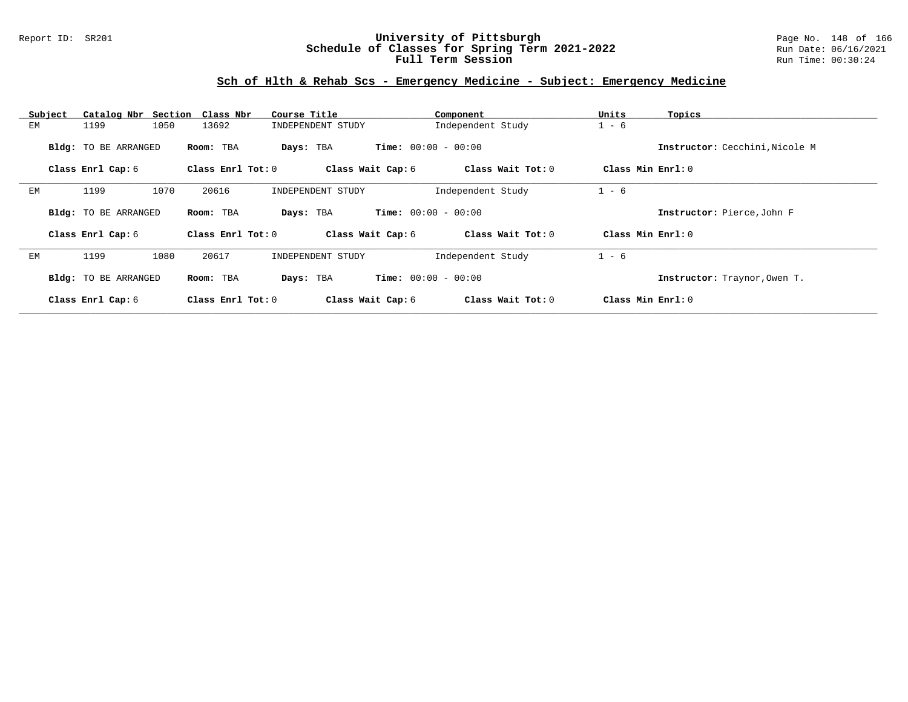### Report ID: SR201 **University of Pittsburgh** Page No. 148 of 166 **Schedule of Classes for Spring Term 2021-2022** Run Date: 06/16/2021 **Full Term Session Run Time: 00:30:24**

# **Sch of Hlth & Rehab Scs - Emergency Medicine - Subject: Emergency Medicine**

| Subject | Catalog Nbr Section Class Nbr |                   | Course Title                              | Component         | Units<br>Topics                |
|---------|-------------------------------|-------------------|-------------------------------------------|-------------------|--------------------------------|
| EМ      | 1050<br>1199                  | 13692             | INDEPENDENT STUDY                         | Independent Study | $1 - 6$                        |
|         | Bldg: TO BE ARRANGED          | Room: TBA         | <b>Time:</b> $00:00 - 00:00$<br>Days: TBA |                   | Instructor: Cecchini, Nicole M |
|         | Class Enrl Cap: 6             | Class Enrl Tot: 0 | Class Wait Cap: 6                         | Class Wait Tot: 0 | Class Min Enrl: 0              |
| EМ      | 1070<br>1199                  | 20616             | INDEPENDENT STUDY                         | Independent Study | $1 - 6$                        |
|         | Bldg: TO BE ARRANGED          | Room: TBA         | <b>Time:</b> $00:00 - 00:00$<br>Days: TBA |                   | Instructor: Pierce, John F     |
|         | Class Enrl Cap: 6             | Class Enrl Tot: 0 | Class Wait Cap: 6                         | Class Wait Tot: 0 | Class Min $Err1:0$             |
| ЕM      | 1199<br>1080                  | 20617             | INDEPENDENT STUDY                         | Independent Study | $1 - 6$                        |
|         | Bldg: TO BE ARRANGED          | Room: TBA         | <b>Time:</b> $00:00 - 00:00$<br>Days: TBA |                   | Instructor: Traynor, Owen T.   |
|         | Class Enrl Cap: 6             | Class Enrl Tot: 0 | Class Wait Cap: 6                         | Class Wait Tot: 0 | Class Min Enrl: 0              |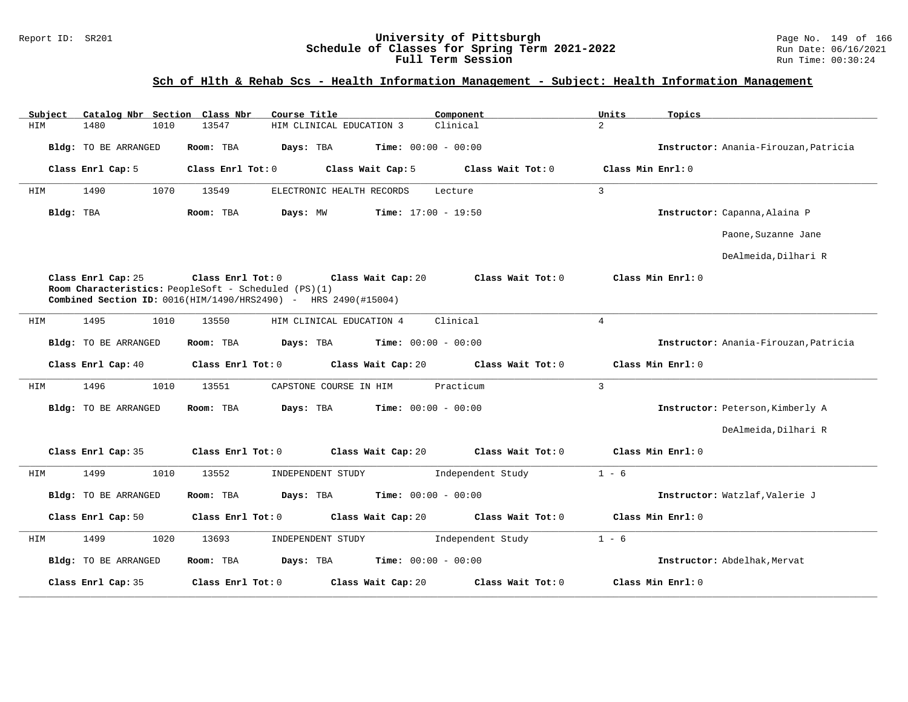#### Report ID: SR201 **University of Pittsburgh** Page No. 149 of 166 **Schedule of Classes for Spring Term 2021-2022** Run Date: 06/16/2021 **Full Term Session Run Time: 00:30:24**

# **Sch of Hlth & Rehab Scs - Health Information Management - Subject: Health Information Management**

| Catalog Nbr Section Class Nbr<br>Subject | Course Title<br>Component                                                                                                                                         | Units<br>Topics                        |
|------------------------------------------|-------------------------------------------------------------------------------------------------------------------------------------------------------------------|----------------------------------------|
| HIM<br>1480<br>1010                      | HIM CLINICAL EDUCATION 3<br>Clinical<br>13547                                                                                                                     | $\overline{2}$                         |
| Bldg: TO BE ARRANGED                     | Days: TBA<br><b>Time:</b> $00:00 - 00:00$<br>Room: TBA                                                                                                            | Instructor: Anania-Firouzan, Patricia  |
| Class Enrl Cap: 5                        | Class Enrl Tot: 0<br>Class Wait Cap: 5                                                                                                                            | Class Wait Tot: 0<br>Class Min Enrl: 0 |
| 1490<br>1070<br>HIM                      | 13549<br>ELECTRONIC HEALTH RECORDS<br>Lecture                                                                                                                     | $\overline{3}$                         |
| Bldg: TBA                                | Room: TBA<br><b>Time:</b> $17:00 - 19:50$<br>Days: MW                                                                                                             | Instructor: Capanna, Alaina P          |
|                                          |                                                                                                                                                                   | Paone, Suzanne Jane                    |
|                                          |                                                                                                                                                                   | DeAlmeida, Dilhari R                   |
| Class Enrl Cap: 25                       | Class Enrl Tot: 0<br>Class Wait Cap: 20<br>Room Characteristics: PeopleSoft - Scheduled (PS)(1)<br>Combined Section ID: 0016(HIM/1490/HRS2490) - HRS 2490(#15004) | Class Min Enrl: 0<br>Class Wait Tot: 0 |
| 1495<br>1010<br>HIM                      | Clinical<br>13550<br>HIM CLINICAL EDUCATION 4                                                                                                                     | $\overline{4}$                         |
| Bldg: TO BE ARRANGED                     | Room: TBA<br>Days: TBA<br><b>Time:</b> $00:00 - 00:00$                                                                                                            | Instructor: Anania-Firouzan, Patricia  |
| Class Enrl Cap: 40                       | Class Enrl Tot: 0<br>Class Wait Cap: 20                                                                                                                           | Class Min Enrl: 0<br>Class Wait Tot: 0 |
| 1496<br>1010<br>HIM                      | Practicum<br>13551<br>CAPSTONE COURSE IN HIM                                                                                                                      | $\overline{3}$                         |
| Bldg: TO BE ARRANGED                     | <b>Time:</b> $00:00 - 00:00$<br>Room: TBA<br>Days: TBA                                                                                                            | Instructor: Peterson, Kimberly A       |
|                                          |                                                                                                                                                                   | DeAlmeida, Dilhari R                   |
| Class Enrl Cap: 35                       | Class Wait Cap: 20<br>Class Enrl Tot: 0                                                                                                                           | Class Wait Tot: 0<br>Class Min Enrl: 0 |
| 1499<br>1010<br>HIM                      | 13552<br>INDEPENDENT STUDY                                                                                                                                        | Independent Study<br>$1 - 6$           |
| Bldg: TO BE ARRANGED                     | <b>Time:</b> $00:00 - 00:00$<br>Days: TBA<br>Room: TBA                                                                                                            | Instructor: Watzlaf, Valerie J         |
| Class Enrl Cap: 50                       | Class Enrl Tot: 0<br>Class Wait Cap: 20                                                                                                                           | Class Wait Tot: 0<br>Class Min Enrl: 0 |
| HIM<br>1499<br>1020                      | 13693<br>INDEPENDENT STUDY                                                                                                                                        | Independent Study<br>$1 - 6$           |
| Bldg: TO BE ARRANGED                     | Room: TBA<br>Days: TBA<br><b>Time:</b> $00:00 - 00:00$                                                                                                            | Instructor: Abdelhak, Mervat           |
| Class Enrl Cap: 35                       | Class Enrl Tot: 0<br>Class Wait Cap: 20                                                                                                                           | Class Wait Tot: 0<br>Class Min Enrl: 0 |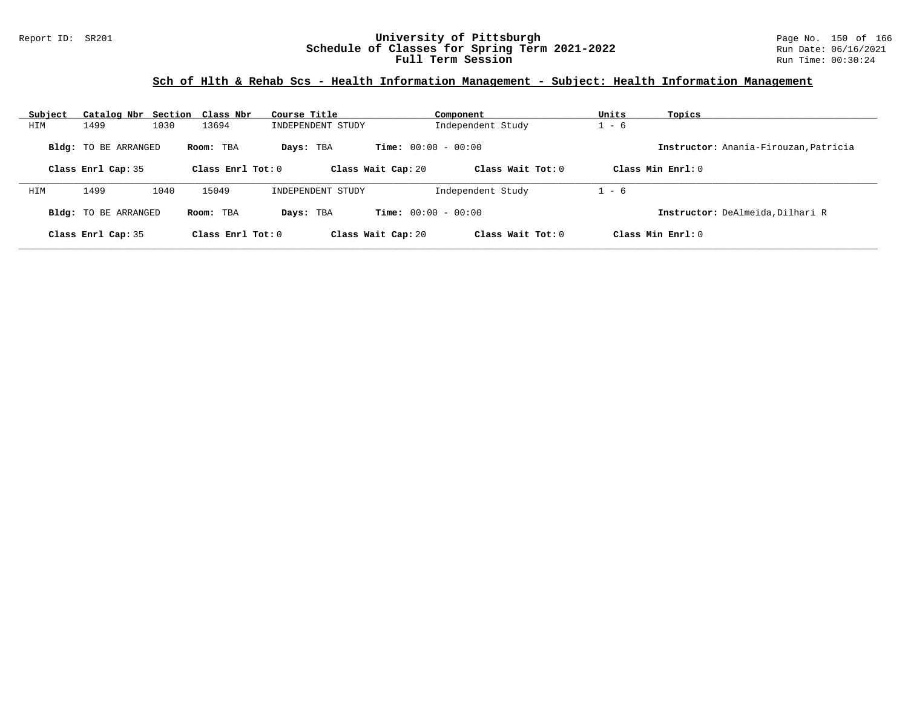### Report ID: SR201 **University of Pittsburgh** Page No. 150 of 166 **Schedule of Classes for Spring Term 2021-2022** Run Date: 06/16/2021 **Full Term Session Run Time: 00:30:24**

# **Sch of Hlth & Rehab Scs - Health Information Management - Subject: Health Information Management**

| Subject | Catalog Nbr Section Class Nbr |      |                     | Course Title      |                              | Component           | Units   | Topics                                |
|---------|-------------------------------|------|---------------------|-------------------|------------------------------|---------------------|---------|---------------------------------------|
| HIM     | 1499                          | 1030 | 13694               | INDEPENDENT STUDY |                              | Independent Study   | $1 - 6$ |                                       |
|         | <b>Bldg:</b> TO BE ARRANGED   |      | Room: TBA           | Days: TBA         | <b>Time:</b> $00:00 - 00:00$ |                     |         | Instructor: Anania-Firouzan, Patricia |
|         | Class Enrl Cap: 35            |      | Class Enrl Tot: $0$ |                   | Class Wait Cap: 20           | Class Wait Tot: $0$ |         | Class Min Enrl: 0                     |
| HIM     | 1499                          | 1040 | 15049               | INDEPENDENT STUDY |                              | Independent Study   | $1 - 6$ |                                       |
|         | <b>Bldg:</b> TO BE ARRANGED   |      | Room: TBA           | Days: TBA         | <b>Time:</b> $00:00 - 00:00$ |                     |         | Instructor: DeAlmeida, Dilhari R      |
|         | Class Enrl Cap: 35            |      | Class Enrl Tot: $0$ |                   | Class Wait Cap: 20           | Class Wait Tot: 0   |         | Class Min $Err1:0$                    |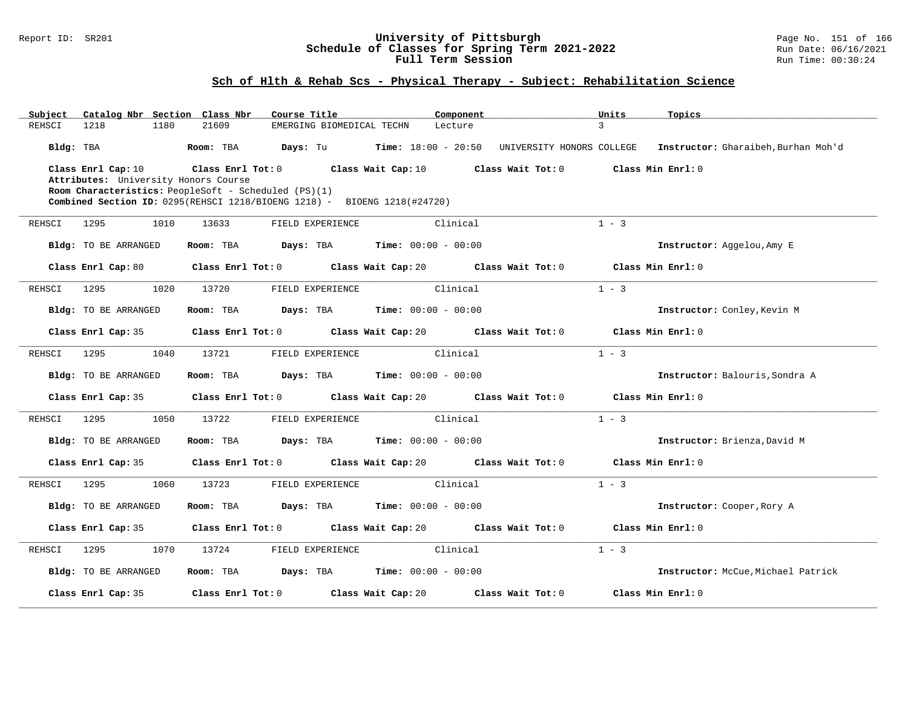#### Report ID: SR201 **University of Pittsburgh** Page No. 151 of 166 **Schedule of Classes for Spring Term 2021-2022** Run Date: 06/16/2021 **Full Term Session Run Time: 00:30:24**

| Subject   |                                                            |      | Catalog Nbr Section Class Nbr | Course Title                                                             |                                          | Component |                           | Units   | Topics                              |
|-----------|------------------------------------------------------------|------|-------------------------------|--------------------------------------------------------------------------|------------------------------------------|-----------|---------------------------|---------|-------------------------------------|
| REHSCI    | 1218                                                       | 1180 | 21609                         | EMERGING BIOMEDICAL TECHN                                                |                                          | Lecture   |                           | 3       |                                     |
| Bldg: TBA |                                                            |      | Room: TBA                     | <b>Days:</b> Tu <b>Time:</b> $18:00 - 20:50$                             |                                          |           | UNIVERSITY HONORS COLLEGE |         | Instructor: Gharaibeh, Burhan Moh'd |
|           | Class Enrl Cap: 10<br>Attributes: University Honors Course |      | Class Enrl Tot: 0             |                                                                          | Class Wait Cap: $10$ Class Wait Tot: $0$ |           |                           |         | Class Min Enrl: 0                   |
|           |                                                            |      |                               | Room Characteristics: PeopleSoft - Scheduled (PS)(1)                     |                                          |           |                           |         |                                     |
|           |                                                            |      |                               | Combined Section ID: 0295(REHSCI 1218/BIOENG 1218) - BIOENG 1218(#24720) |                                          |           |                           |         |                                     |
| REHSCI    | 1295                                                       | 1010 | 13633                         | FIELD EXPERIENCE                                                         |                                          | Clinical  |                           | $1 - 3$ |                                     |
|           | Bldg: TO BE ARRANGED                                       |      | Room: TBA                     | Days: TBA                                                                | <b>Time:</b> $00:00 - 00:00$             |           |                           |         | Instructor: Aggelou, Amy E          |
|           | Class Enrl Cap: 80                                         |      |                               | Class Enrl Tot: 0 Class Wait Cap: 20 Class Wait Tot: 0                   |                                          |           |                           |         | Class Min Enrl: 0                   |
| REHSCI    | 1295                                                       | 1020 | 13720                         | FIELD EXPERIENCE                                                         |                                          | Clinical  |                           | $1 - 3$ |                                     |
|           | Bldg: TO BE ARRANGED                                       |      | Room: TBA                     | Days: TBA                                                                | <b>Time:</b> $00:00 - 00:00$             |           |                           |         | Instructor: Conley, Kevin M         |
|           | Class Enrl Cap: 35                                         |      |                               | Class Enrl Tot: 0 Class Wait Cap: 20 Class Wait Tot: 0                   |                                          |           |                           |         | Class Min Enrl: 0                   |
| REHSCI    | 1295                                                       | 1040 | 13721                         | FIELD EXPERIENCE                                                         |                                          | Clinical  |                           | $1 - 3$ |                                     |
|           | Bldg: TO BE ARRANGED                                       |      | Room: TBA                     | <b>Days:</b> TBA <b>Time:</b> $00:00 - 00:00$                            |                                          |           |                           |         | Instructor: Balouris, Sondra A      |
|           | Class Enrl Cap: 35                                         |      |                               | Class Enrl Tot: 0 Class Wait Cap: 20 Class Wait Tot: 0                   |                                          |           |                           |         | Class Min Enrl: 0                   |
| REHSCI    | 1295                                                       | 1050 | 13722                         | FIELD EXPERIENCE                                                         |                                          | Clinical  |                           | $1 - 3$ |                                     |
|           | Bldg: TO BE ARRANGED                                       |      | Room: TBA                     | Days: TBA                                                                | <b>Time:</b> $00:00 - 00:00$             |           |                           |         | Instructor: Brienza, David M        |
|           | Class Enrl Cap: 35                                         |      |                               | Class Enrl Tot: 0 Class Wait Cap: 20 Class Wait Tot: 0                   |                                          |           |                           |         | Class Min Enrl: 0                   |
| REHSCI    | 1295                                                       | 1060 | 13723                         | FIELD EXPERIENCE                                                         |                                          | Clinical  |                           | $1 - 3$ |                                     |
|           | <b>Bldg:</b> TO BE ARRANGED                                |      | Room: TBA                     | Days: TBA                                                                | <b>Time:</b> $00:00 - 00:00$             |           |                           |         | Instructor: Cooper, Rory A          |
|           | Class Enrl Cap: 35                                         |      |                               | Class Enrl Tot: 0 Class Wait Cap: 20 Class Wait Tot: 0                   |                                          |           |                           |         | Class Min Enrl: 0                   |
| REHSCI    | 1295                                                       | 1070 | 13724                         | FIELD EXPERIENCE                                                         |                                          | Clinical  |                           | $1 - 3$ |                                     |
|           | <b>Bldg:</b> TO BE ARRANGED                                |      | Room: TBA                     | <b>Days:</b> TBA <b>Time:</b> $00:00 - 00:00$                            |                                          |           |                           |         | Instructor: McCue, Michael Patrick  |
|           | Class Enrl Cap: 35                                         |      | Class Enrl Tot: 0             |                                                                          | Class Wait Cap: 20                       |           | Class Wait Tot: 0         |         | Class Min Enrl: 0                   |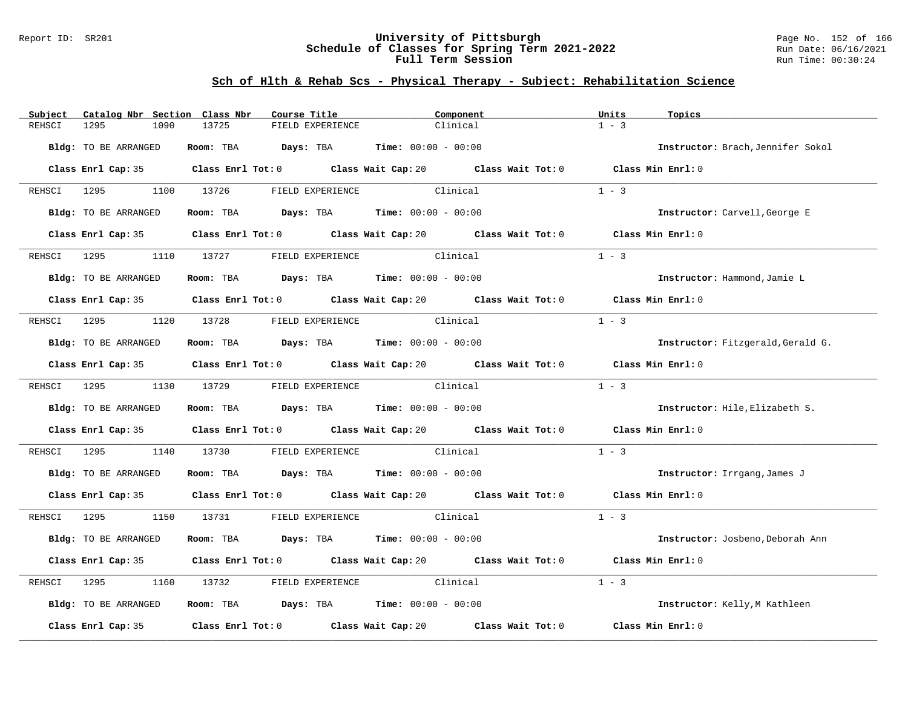#### Report ID: SR201 **University of Pittsburgh** Page No. 152 of 166 **Schedule of Classes for Spring Term 2021-2022** Run Date: 06/16/2021 **Full Term Session Run Time: 00:30:24**

| Subject     | Catalog Nbr Section Class Nbr | Course Title                                                            | Component                                                                                   | Units<br>Topics                   |
|-------------|-------------------------------|-------------------------------------------------------------------------|---------------------------------------------------------------------------------------------|-----------------------------------|
| REHSCI      | 1295<br>1090                  | 13725<br>FIELD EXPERIENCE                                               | Clinical                                                                                    | $1 - 3$                           |
|             | Bldg: TO BE ARRANGED          | Room: TBA $Days:$ TBA $Time: 00:00 - 00:00$                             |                                                                                             | Instructor: Brach, Jennifer Sokol |
|             |                               |                                                                         | Class Enrl Cap: 35 Class Enrl Tot: 0 Class Wait Cap: 20 Class Wait Tot: 0 Class Min Enrl: 0 |                                   |
|             | REHSCI 1295                   | 1100 13726<br>FIELD EXPERIENCE                                          | Clinical                                                                                    | $1 - 3$                           |
|             | Bldg: TO BE ARRANGED          | Room: TBA $Days:$ TBA $Time: 00:00 - 00:00$                             |                                                                                             | Instructor: Carvell, George E     |
|             | Class Enrl Cap: 35            |                                                                         | Class Enrl Tot: $0$ Class Wait Cap: $20$ Class Wait Tot: $0$                                | Class Min Enrl: 0                 |
| REHSCI 1295 |                               | 1110 13727<br>FIELD EXPERIENCE                                          | Clinical                                                                                    | $1 - 3$                           |
|             | Bldg: TO BE ARRANGED          | Room: TBA $Days:$ TBA $Time: 00:00 - 00:00$                             |                                                                                             | Instructor: Hammond, Jamie L      |
|             |                               |                                                                         | Class Enrl Cap: 35 Class Enrl Tot: 0 Class Wait Cap: 20 Class Wait Tot: 0 Class Min Enrl: 0 |                                   |
| REHSCI 1295 |                               | 1120 13728 FIELD EXPERIENCE Clinical                                    |                                                                                             | $1 - 3$                           |
|             | Bldg: TO BE ARRANGED          | Room: TBA $\rule{1em}{0.15mm}$ Days: TBA $\qquad$ Time: $00:00 - 00:00$ |                                                                                             | Instructor: Fitzgerald, Gerald G. |
|             |                               |                                                                         | Class Enrl Cap: 35 Class Enrl Tot: 0 Class Wait Cap: 20 Class Wait Tot: 0                   | Class Min Enrl: 0                 |
|             | REHSCI 1295 1130 13729        |                                                                         | FIELD EXPERIENCE Clinical                                                                   | $1 - 3$                           |
|             | Bldg: TO BE ARRANGED          | Room: TBA $\rule{1em}{0.15mm}$ Days: TBA $\qquad$ Time: $00:00 - 00:00$ |                                                                                             | Instructor: Hile, Elizabeth S.    |
|             |                               |                                                                         | Class Enrl Cap: 35 Class Enrl Tot: 0 Class Wait Cap: 20 Class Wait Tot: 0                   | Class Min Enrl: 0                 |
| REHSCI      | 1140<br>1295                  | 13730                                                                   | FIELD EXPERIENCE Clinical                                                                   | $1 - 3$                           |
|             | Bldg: TO BE ARRANGED          | Room: TBA $Days:$ TBA $Time: 00:00 - 00:00$                             |                                                                                             | Instructor: Irrgang, James J      |
|             |                               |                                                                         | Class Enrl Cap: 35 Class Enrl Tot: 0 Class Wait Cap: 20 Class Wait Tot: 0 Class Min Enrl: 0 |                                   |
|             | REHSCI 1295 1150 13731        |                                                                         | FIELD EXPERIENCE Clinical                                                                   | $1 - 3$                           |
|             | Bldg: TO BE ARRANGED          | Room: TBA $Days:$ TBA $Time: 00:00 - 00:00$                             |                                                                                             | Instructor: Josbeno, Deborah Ann  |
|             |                               |                                                                         | Class Enrl Cap: 35 Class Enrl Tot: 0 Class Wait Cap: 20 Class Wait Tot: 0                   | Class Min Enrl: 0                 |
| REHSCI      | 1295<br>1160                  | 13732                                                                   | FIELD EXPERIENCE Clinical                                                                   | $1 - 3$                           |
|             | Bldg: TO BE ARRANGED          | Room: TBA $Days:$ TBA $Time: 00:00 - 00:00$                             |                                                                                             | Instructor: Kelly, M Kathleen     |
|             | Class Enrl Cap: 35            | Class Enrl Tot: $0$ Class Wait Cap: $20$                                | Class Wait Tot: 0                                                                           | Class Min Enrl: 0                 |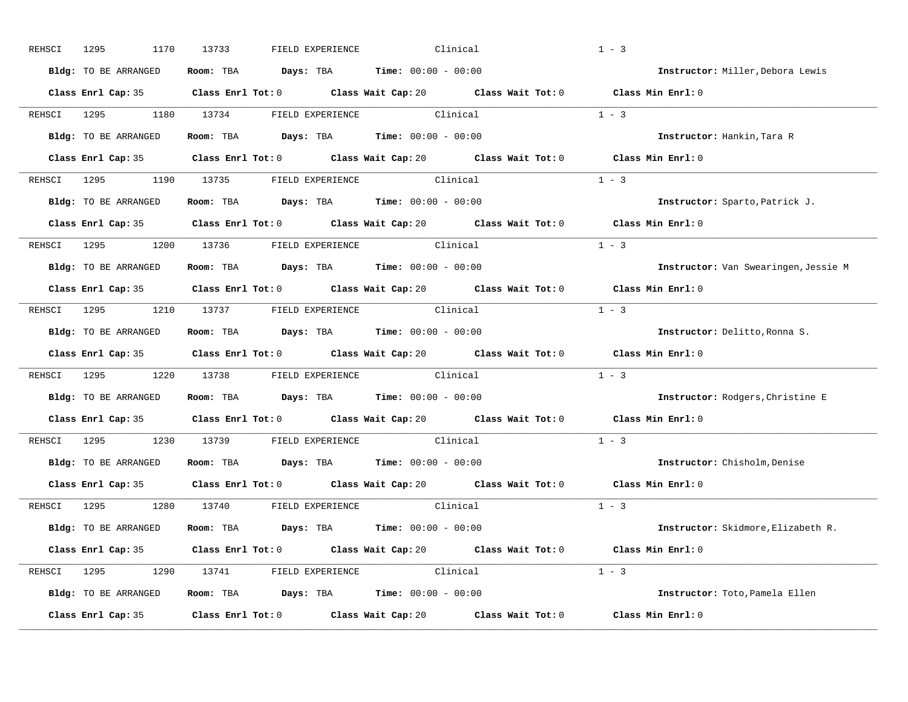| REHSCI      | 1295<br>1170                                                                                       | 13733      | FIELD EXPERIENCE                                                                 | Clinical                                                                                             | $1 - 3$                              |
|-------------|----------------------------------------------------------------------------------------------------|------------|----------------------------------------------------------------------------------|------------------------------------------------------------------------------------------------------|--------------------------------------|
|             | Bldg: TO BE ARRANGED                                                                               |            | Room: TBA $Days:$ TBA $Time: 00:00 - 00:00$                                      |                                                                                                      | Instructor: Miller, Debora Lewis     |
|             |                                                                                                    |            |                                                                                  | Class Enrl Cap: 35 Class Enrl Tot: 0 Class Wait Cap: 20 Class Wait Tot: 0 Class Min Enrl: 0          |                                      |
| REHSCI      | 1295                                                                                               | 1180 13734 | FIELD EXPERIENCE Clinical                                                        |                                                                                                      | $1 - 3$                              |
|             | Bldg: TO BE ARRANGED                                                                               |            | Room: TBA $Days:$ TBA $Time: 00:00 - 00:00$                                      |                                                                                                      | Instructor: Hankin, Tara R           |
|             |                                                                                                    |            |                                                                                  | Class Enrl Cap: 35 Class Enrl Tot: 0 Class Wait Cap: 20 Class Wait Tot: 0 Class Min Enrl: 0          |                                      |
|             | REHSCI 1295 1190 13735 FIELD EXPERIENCE Clinical                                                   |            |                                                                                  | $1 - 3$                                                                                              |                                      |
|             | Bldg: TO BE ARRANGED Room: TBA Days: TBA Time: 00:00 - 00:00                                       |            |                                                                                  |                                                                                                      | Instructor: Sparto, Patrick J.       |
|             |                                                                                                    |            |                                                                                  | Class Enrl Cap: 35 $\qquad$ Class Enrl Tot: 0 $\qquad$ Class Wait Cap: 20 $\qquad$ Class Wait Tot: 0 | Class Min Enrl: 0                    |
|             | REHSCI 1295          1200       13736            FIELD EXPERIENCE                         Clinical |            |                                                                                  |                                                                                                      | $1 - 3$                              |
|             | Bldg: TO BE ARRANGED                                                                               |            | Room: TBA $Days:$ TBA $Time: 00:00 - 00:00$                                      |                                                                                                      | Instructor: Van Swearingen, Jessie M |
|             |                                                                                                    |            |                                                                                  | Class Enrl Cap: 35 Class Enrl Tot: 0 Class Wait Cap: 20 Class Wait Tot: 0 Class Min Enrl: 0          |                                      |
|             | REHSCI 1295 1210 13737 FIELD EXPERIENCE Clinical                                                   |            |                                                                                  |                                                                                                      | $1 - 3$                              |
|             | Bldg: TO BE ARRANGED                                                                               |            | <b>Room:</b> TBA $\qquad \qquad$ Days: TBA $\qquad \qquad$ Time: $00:00 - 00:00$ |                                                                                                      | Instructor: Delitto, Ronna S.        |
|             |                                                                                                    |            |                                                                                  | Class Enrl Cap: 35 Class Enrl Tot: 0 Class Wait Cap: 20 Class Wait Tot: 0                            | Class Min Enrl: 0                    |
| REHSCI 1295 | 1220                                                                                               |            | 13738 FIELD EXPERIENCE Clinical                                                  |                                                                                                      | $1 - 3$                              |
|             | Bldg: TO BE ARRANGED                                                                               |            | Room: TBA $Days:$ TBA $Time: 00:00 - 00:00$                                      |                                                                                                      | Instructor: Rodgers, Christine E     |
|             |                                                                                                    |            |                                                                                  | Class Enrl Cap: 35 Class Enrl Tot: 0 Class Wait Cap: 20 Class Wait Tot: 0                            | Class Min Enrl: 0                    |
|             | REHSCI 1295                                                                                        | 1230 13739 | FIELD EXPERIENCE Clinical                                                        |                                                                                                      | $1 - 3$                              |
|             | Bldg: TO BE ARRANGED                                                                               |            | Room: TBA $Days:$ TBA $Time: 00:00 - 00:00$                                      |                                                                                                      | Instructor: Chisholm, Denise         |
|             |                                                                                                    |            |                                                                                  | Class Enrl Cap: 35 Class Enrl Tot: 0 Class Wait Cap: 20 Class Wait Tot: 0                            | Class Min Enrl: 0                    |
|             | REHSCI 1295 1280 13740 FIELD EXPERIENCE Clinical                                                   |            |                                                                                  |                                                                                                      | $1 - 3$                              |
|             | Bldg: TO BE ARRANGED                                                                               |            | Room: TBA $Days:$ TBA $Time: 00:00 - 00:00$                                      |                                                                                                      | Instructor: Skidmore, Elizabeth R.   |
|             |                                                                                                    |            |                                                                                  | Class Enrl Cap: 35 Class Enrl Tot: 0 Class Wait Cap: 20 Class Wait Tot: 0 Class Min Enrl: 0          |                                      |
|             | REHSCI 1295 1290 13741 FIELD EXPERIENCE Clinical                                                   |            |                                                                                  |                                                                                                      | $1 - 3$                              |
|             | Bldg: TO BE ARRANGED                                                                               |            | <b>Room:</b> TBA $\qquad \qquad$ Days: TBA $\qquad \qquad$ Time: $00:00 - 00:00$ |                                                                                                      | Instructor: Toto, Pamela Ellen       |
|             |                                                                                                    |            |                                                                                  |                                                                                                      |                                      |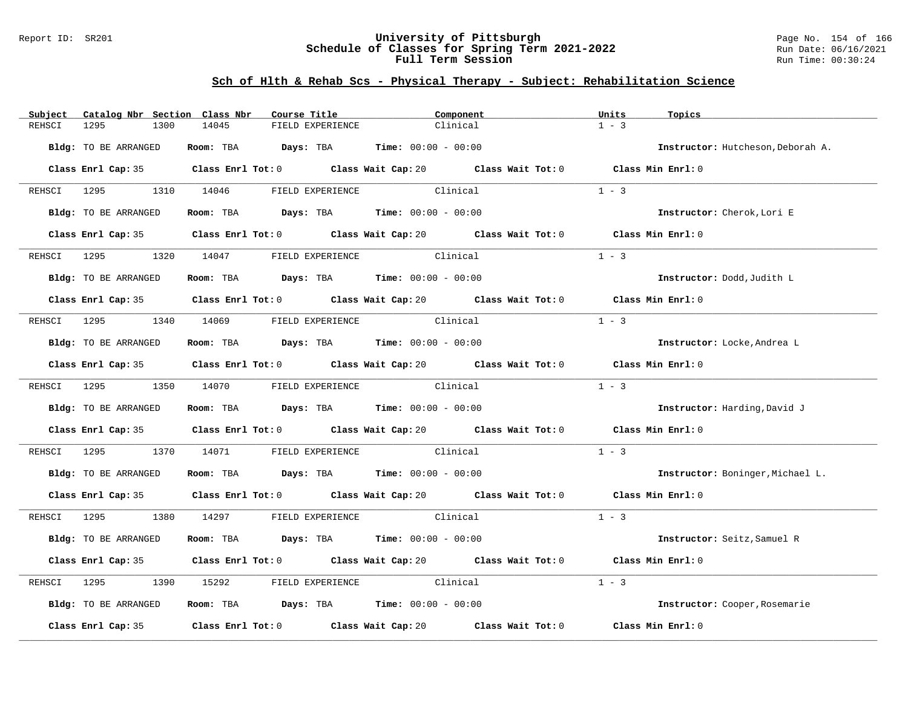#### Report ID: SR201 **University of Pittsburgh** Page No. 154 of 166 **Schedule of Classes for Spring Term 2021-2022** Run Date: 06/16/2021 **Full Term Session Run Time: 00:30:24**

| Subject     | Catalog Nbr Section Class Nbr | Course Title                                                                          |                           | Component                                                                                            | Units             | Topics                            |
|-------------|-------------------------------|---------------------------------------------------------------------------------------|---------------------------|------------------------------------------------------------------------------------------------------|-------------------|-----------------------------------|
| REHSCI      | 1295<br>1300                  | 14045                                                                                 | FIELD EXPERIENCE          | Clinical                                                                                             | $1 - 3$           |                                   |
|             | Bldg: TO BE ARRANGED          | Room: TBA $Days:$ TBA $Time: 00:00 - 00:00$                                           |                           |                                                                                                      |                   | Instructor: Hutcheson, Deborah A. |
|             |                               |                                                                                       |                           | Class Enrl Cap: 35 Class Enrl Tot: 0 Class Wait Cap: 20 Class Wait Tot: 0 Class Min Enrl: 0          |                   |                                   |
|             |                               | REHSCI 1295 1310 14046 FIELD EXPERIENCE Clinical                                      |                           |                                                                                                      | $1 - 3$           |                                   |
|             | Bldg: TO BE ARRANGED          | Room: TBA $Days:$ TBA $Time: 00:00 - 00:00$                                           |                           |                                                                                                      |                   | Instructor: Cherok, Lori E        |
|             |                               |                                                                                       |                           | Class Enrl Cap: 35 Class Enrl Tot: 0 Class Wait Cap: 20 Class Wait Tot: 0 Class Min Enrl: 0          |                   |                                   |
|             | REHSCI 1295                   | 1320 14047 FIELD EXPERIENCE                                                           |                           | Clinical                                                                                             | $1 - 3$           |                                   |
|             | Bldg: TO BE ARRANGED          | Room: TBA $Days:$ TBA $Time: 00:00 - 00:00$                                           |                           |                                                                                                      |                   | Instructor: Dodd, Judith L        |
|             |                               |                                                                                       |                           | Class Enrl Cap: 35 Class Enrl Tot: 0 Class Wait Cap: 20 Class Wait Tot: 0 Class Min Enrl: 0          |                   |                                   |
|             |                               | REHSCI 1295 1340 14069 FIELD EXPERIENCE Clinical                                      |                           |                                                                                                      | $1 - 3$           |                                   |
|             | Bldg: TO BE ARRANGED          | Room: TBA $Days:$ TBA Time: $00:00 - 00:00$                                           |                           |                                                                                                      |                   | Instructor: Locke, Andrea L       |
|             |                               |                                                                                       |                           | Class Enrl Cap: 35 Class Enrl Tot: 0 Class Wait Cap: 20 Class Wait Tot: 0 Class Min Enrl: 0          |                   |                                   |
|             |                               | REHSCI 1295 1350 14070 FIELD EXPERIENCE Clinical                                      |                           |                                                                                                      | $1 - 3$           |                                   |
|             | Bldg: TO BE ARRANGED          | Room: TBA $\rule{1em}{0.15mm}$ Days: TBA $\rule{1.5mm}{0.15mm}$ Time: $00:00 - 00:00$ |                           |                                                                                                      |                   | Instructor: Harding, David J      |
|             |                               |                                                                                       |                           | Class Enrl Cap: 35 Class Enrl Tot: 0 Class Wait Cap: 20 Class Wait Tot: 0 Class Min Enrl: 0          |                   |                                   |
|             | REHSCI 1295                   | 1370 14071                                                                            | FIELD EXPERIENCE Clinical |                                                                                                      | $1 - 3$           |                                   |
|             | Bldg: TO BE ARRANGED          | Room: TBA $Days:$ TBA $Time: 00:00 - 00:00$                                           |                           |                                                                                                      |                   | Instructor: Boninger, Michael L.  |
|             |                               |                                                                                       |                           | Class Enrl Cap: 35 Class Enrl Tot: 0 Class Wait Cap: 20 Class Wait Tot: 0 Class Min Enrl: 0          |                   |                                   |
|             |                               | REHSCI 1295 1380 14297 FIELD EXPERIENCE Clinical                                      |                           |                                                                                                      | $1 - 3$           |                                   |
|             | Bldg: TO BE ARRANGED          | Room: TBA $Days:$ TBA $Time: 00:00 - 00:00$                                           |                           |                                                                                                      |                   | Instructor: Seitz, Samuel R       |
|             |                               |                                                                                       |                           | Class Enrl Cap: 35 Class Enrl Tot: 0 Class Wait Cap: 20 Class Wait Tot: 0 Class Min Enrl: 0          |                   |                                   |
| REHSCI 1295 | 1390                          | 15292                                                                                 | FIELD EXPERIENCE Clinical |                                                                                                      | $1 - 3$           |                                   |
|             | Bldg: TO BE ARRANGED          | Room: TBA $Days:$ TBA $Time: 00:00 - 00:00$                                           |                           |                                                                                                      |                   | Instructor: Cooper, Rosemarie     |
|             |                               |                                                                                       |                           | Class Enrl Cap: 35 $\qquad$ Class Enrl Tot: 0 $\qquad$ Class Wait Cap: 20 $\qquad$ Class Wait Tot: 0 | Class Min Enrl: 0 |                                   |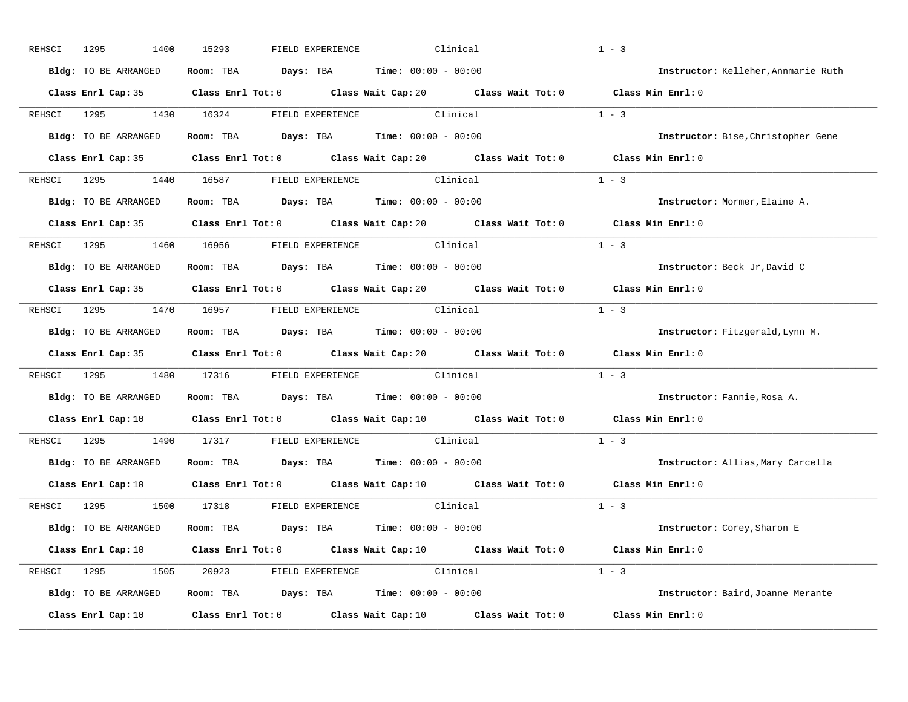| REHSCI      | 1295<br>1400                                     | 15293                                    | FIELD EXPERIENCE | Clinical                                                                                 |                                                                                                      | $1 - 3$                             |
|-------------|--------------------------------------------------|------------------------------------------|------------------|------------------------------------------------------------------------------------------|------------------------------------------------------------------------------------------------------|-------------------------------------|
|             | Bldg: TO BE ARRANGED                             |                                          |                  | Room: TBA $\rule{1em}{0.15mm}$ Days: TBA $\rule{1.15mm}]{0.15mm}$ Time: $0.000 - 0.0000$ |                                                                                                      | Instructor: Kelleher, Annmarie Ruth |
|             |                                                  |                                          |                  |                                                                                          | Class Enrl Cap: 35 Class Enrl Tot: 0 Class Wait Cap: 20 Class Wait Tot: 0 Class Min Enrl: 0          |                                     |
| REHSCI      | 1295<br>1430                                     | 16324                                    |                  | FIELD EXPERIENCE Clinical                                                                |                                                                                                      | $1 - 3$                             |
|             | Bldg: TO BE ARRANGED                             |                                          |                  | Room: TBA $Days:$ TBA $Time: 00:00 - 00:00$                                              |                                                                                                      | Instructor: Bise, Christopher Gene  |
|             |                                                  |                                          |                  |                                                                                          | Class Enrl Cap: 35 Class Enrl Tot: 0 Class Wait Cap: 20 Class Wait Tot: 0 Class Min Enrl: 0          |                                     |
|             | REHSCI 1295 1440 16587 FIELD EXPERIENCE Clinical |                                          |                  |                                                                                          | $1 - 3$                                                                                              |                                     |
|             | Bldg: TO BE ARRANGED                             |                                          |                  | Room: TBA $\rule{1em}{0.15mm}$ Days: TBA Time: $00:00 - 00:00$                           |                                                                                                      | Instructor: Mormer, Elaine A.       |
|             |                                                  |                                          |                  |                                                                                          | Class Enrl Cap: 35 Class Enrl Tot: 0 Class Wait Cap: 20 Class Wait Tot: 0                            | Class Min Enrl: 0                   |
|             | REHSCI 1295 1460 16956                           |                                          |                  | FIELD EXPERIENCE Clinical                                                                |                                                                                                      | $1 - 3$                             |
|             | Bldg: TO BE ARRANGED                             |                                          |                  | Room: TBA $Days:$ TBA $Time: 00:00 - 00:00$                                              |                                                                                                      | Instructor: Beck Jr, David C        |
|             |                                                  |                                          |                  |                                                                                          | Class Enrl Cap: 35 Class Enrl Tot: 0 Class Wait Cap: 20 Class Wait Tot: 0 Class Min Enrl: 0          |                                     |
| REHSCI      | 1295 1470 16957 FIELD EXPERIENCE Clinical        |                                          |                  |                                                                                          |                                                                                                      | $1 - 3$                             |
|             | Bldg: TO BE ARRANGED                             |                                          |                  | Room: TBA $Days:$ TBA $Time: 00:00 - 00:00$                                              |                                                                                                      | Instructor: Fitzgerald, Lynn M.     |
|             |                                                  |                                          |                  |                                                                                          | Class Enrl Cap: 35 Class Enrl Tot: 0 Class Wait Cap: 20 Class Wait Tot: 0                            | Class Min Enrl: 0                   |
| REHSCI 1295 | 1480                                             |                                          |                  | 17316 FIELD EXPERIENCE Clinical                                                          |                                                                                                      | $1 - 3$                             |
|             | Bldg: TO BE ARRANGED                             |                                          |                  | Room: TBA $Days:$ TBA $Time: 00:00 - 00:00$                                              |                                                                                                      | Instructor: Fannie, Rosa A.         |
|             |                                                  |                                          |                  |                                                                                          | Class Enrl Cap: 10 $\qquad$ Class Enrl Tot: 0 $\qquad$ Class Wait Cap: 10 $\qquad$ Class Wait Tot: 0 | Class Min Enrl: 0                   |
| REHSCI 1295 | 1490                                             | 17317                                    |                  | FIELD EXPERIENCE Clinical                                                                |                                                                                                      | $1 - 3$                             |
|             | Bldg: TO BE ARRANGED                             |                                          |                  | Room: TBA $Days:$ TBA $Time: 00:00 - 00:00$                                              |                                                                                                      | Instructor: Allias, Mary Carcella   |
|             |                                                  |                                          |                  |                                                                                          | Class Enrl Cap: 10 $\qquad$ Class Enrl Tot: 0 $\qquad$ Class Wait Cap: 10 $\qquad$ Class Wait Tot: 0 | Class Min Enrl: 0                   |
| REHSCI      | 1295                                             | 1500 17318 FIELD EXPERIENCE     Clinical |                  |                                                                                          |                                                                                                      | $1 - 3$                             |
|             | Bldg: TO BE ARRANGED                             |                                          |                  | Room: TBA $Days:$ TBA $Time: 00:00 - 00:00$                                              |                                                                                                      | Instructor: Corey, Sharon E         |
|             |                                                  |                                          |                  |                                                                                          | Class Enrl Cap: 10 Class Enrl Tot: 0 Class Wait Cap: 10 Class Wait Tot: 0 Class Min Enrl: 0          |                                     |
|             | REHSCI 1295 1505 20923 FIELD EXPERIENCE Clinical |                                          |                  |                                                                                          |                                                                                                      | $1 - 3$                             |
|             | Bldg: TO BE ARRANGED                             |                                          |                  | <b>Room:</b> TBA $Days:$ TBA $Time: 00:00 - 00:00$                                       |                                                                                                      | Instructor: Baird, Joanne Merante   |
|             |                                                  |                                          |                  |                                                                                          |                                                                                                      |                                     |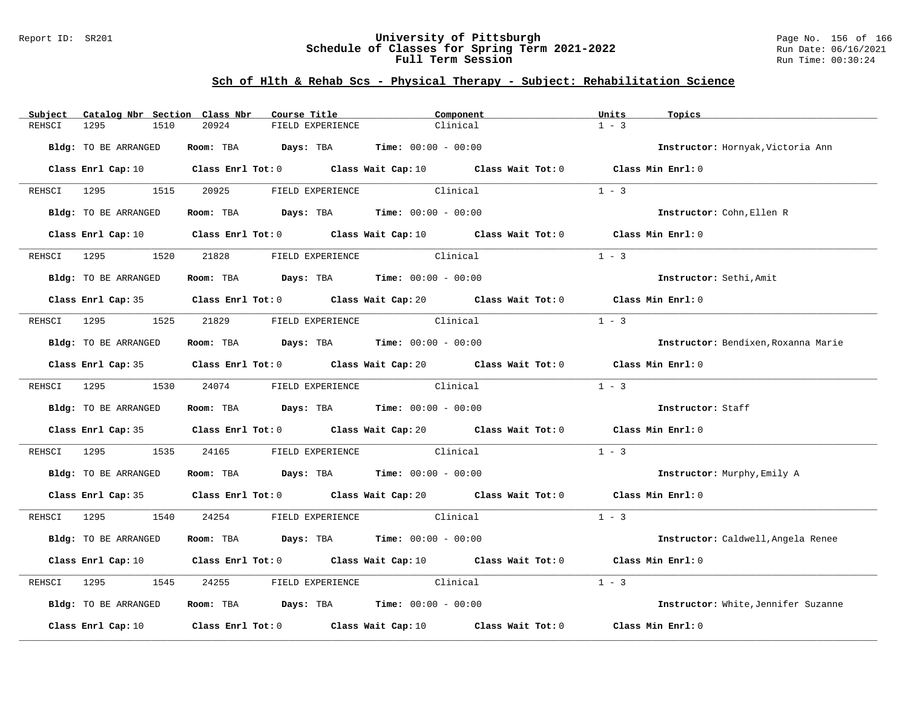#### Report ID: SR201 **University of Pittsburgh** Page No. 156 of 166 **Schedule of Classes for Spring Term 2021-2022** Run Date: 06/16/2021 **Full Term Session Run Time: 00:30:24**

| Subject     | Catalog Nbr Section Class Nbr | Course Title                                                   | Component                                                                                                                       | Units<br>Topics                     |
|-------------|-------------------------------|----------------------------------------------------------------|---------------------------------------------------------------------------------------------------------------------------------|-------------------------------------|
| REHSCI      | 1295<br>1510                  | 20924<br>FIELD EXPERIENCE                                      | Clinical                                                                                                                        | $1 - 3$                             |
|             | Bldg: TO BE ARRANGED          | Room: TBA $Days:$ TBA $Time: 00:00 - 00:00$                    |                                                                                                                                 | Instructor: Hornyak, Victoria Ann   |
|             |                               |                                                                | Class Enrl Cap: 10 Class Enrl Tot: 0 Class Wait Cap: 10 Class Wait Tot: 0 Class Min Enrl: 0                                     |                                     |
|             | REHSCI 1295 1515              | 20925 FIELD EXPERIENCE                                         | Clinical                                                                                                                        | $1 - 3$                             |
|             | Bldg: TO BE ARRANGED          | Room: TBA $\rule{1em}{0.15mm}$ Days: TBA Time: $00:00 - 00:00$ |                                                                                                                                 | Instructor: Cohn, Ellen R           |
|             |                               |                                                                | Class Enrl Cap: 10 $\qquad$ Class Enrl Tot: 0 $\qquad$ Class Wait Cap: 10 $\qquad$ Class Wait Tot: 0 $\qquad$ Class Min Enrl: 0 |                                     |
|             | REHSCI 1295                   | 1520 21828 FIELD EXPERIENCE                                    | Clinical                                                                                                                        | $1 - 3$                             |
|             | Bldg: TO BE ARRANGED          | Room: TBA $Days:$ TBA $Time: 00:00 - 00:00$                    |                                                                                                                                 | Instructor: Sethi, Amit             |
|             |                               |                                                                | Class Enrl Cap: 35 Class Enrl Tot: 0 Class Wait Cap: 20 Class Wait Tot: 0 Class Min Enrl: 0                                     |                                     |
|             |                               | REHSCI 1295 1525 21829 FIELD EXPERIENCE Clinical               |                                                                                                                                 | $1 - 3$                             |
|             | Bldg: TO BE ARRANGED          | Room: TBA $Days:$ TBA $Time: 00:00 - 00:00$                    |                                                                                                                                 | Instructor: Bendixen, Roxanna Marie |
|             |                               |                                                                | Class Enrl Cap: 35 Class Enrl Tot: 0 Class Wait Cap: 20 Class Wait Tot: 0 Class Min Enrl: 0                                     |                                     |
|             |                               | REHSCI 1295 1530 24074 FIELD EXPERIENCE Clinical               |                                                                                                                                 | $1 - 3$                             |
|             | Bldg: TO BE ARRANGED          | Room: TBA $Days: TBA$ Time: $00:00 - 00:00$                    |                                                                                                                                 | Instructor: Staff                   |
|             |                               |                                                                | Class Enrl Cap: 35 Class Enrl Tot: 0 Class Wait Cap: 20 Class Wait Tot: 0 Class Min Enrl: 0                                     |                                     |
|             | REHSCI 1295                   | 1535 24165                                                     | FIELD EXPERIENCE Clinical                                                                                                       | $1 - 3$                             |
|             | Bldg: TO BE ARRANGED          | Room: TBA $Days:$ TBA $Time: 00:00 - 00:00$                    |                                                                                                                                 | Instructor: Murphy, Emily A         |
|             |                               |                                                                | Class Enrl Cap: 35 Class Enrl Tot: 0 Class Wait Cap: 20 Class Wait Tot: 0 Class Min Enrl: 0                                     |                                     |
|             |                               | REHSCI 1295   1540   24254   FIELD EXPERIENCE   Clinical       |                                                                                                                                 | $1 - 3$                             |
|             | Bldg: TO BE ARRANGED          | Room: TBA $Days:$ TBA $Time: 00:00 - 00:00$                    |                                                                                                                                 | Instructor: Caldwell, Angela Renee  |
|             |                               |                                                                | Class Enrl Cap: 10 Class Enrl Tot: 0 Class Wait Cap: 10 Class Wait Tot: 0                                                       | Class Min Enrl: 0                   |
| REHSCI 1295 | 1545                          | 24255                                                          | FIELD EXPERIENCE Clinical                                                                                                       | $1 - 3$                             |
|             | Bldg: TO BE ARRANGED          | Room: TBA $Days:$ TBA Time: $00:00 - 00:00$                    |                                                                                                                                 | Instructor: White, Jennifer Suzanne |
|             |                               |                                                                | Class Enrl Cap: 10 $\qquad$ Class Enrl Tot: 0 $\qquad$ Class Wait Cap: 10 $\qquad$ Class Wait Tot: 0                            | Class Min Enrl: 0                   |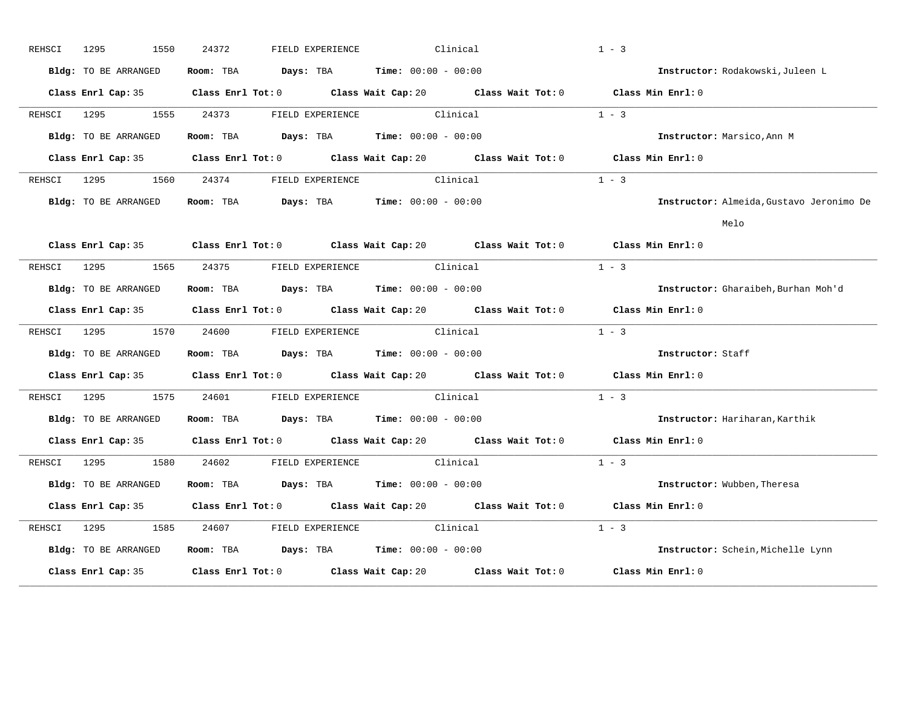| REHSCI | 1295<br>1550                | 24372<br>FIELD EXPERIENCE                                                                   | Clinical                  | $1 - 3$                                  |
|--------|-----------------------------|---------------------------------------------------------------------------------------------|---------------------------|------------------------------------------|
|        | Bldg: TO BE ARRANGED        | Room: TBA $Days:$ TBA $Time: 00:00 - 00:00$                                                 |                           | Instructor: Rodakowski, Juleen L         |
|        |                             | Class Enrl Cap: 35 Class Enrl Tot: 0 Class Wait Cap: 20 Class Wait Tot: 0 Class Min Enrl: 0 |                           |                                          |
| REHSCI | 1295 1555                   | 24373 FIELD EXPERIENCE Clinical                                                             |                           | $1 - 3$                                  |
|        | Bldg: TO BE ARRANGED        | Room: TBA $Days:$ TBA $Time: 00:00 - 00:00$                                                 |                           | Instructor: Marsico, Ann M               |
|        |                             | Class Enrl Cap: 35 Class Enrl Tot: 0 Class Wait Cap: 20 Class Wait Tot: 0 Class Min Enrl: 0 |                           |                                          |
| REHSCI | 1295   1295                 | 1560 24374 FIELD EXPERIENCE Clinical                                                        |                           | $1 - 3$                                  |
|        | Bldg: TO BE ARRANGED        | Room: TBA $Days:$ TBA $Time: 00:00 - 00:00$                                                 |                           | Instructor: Almeida, Gustavo Jeronimo De |
|        |                             |                                                                                             |                           | Melo                                     |
|        |                             | Class Enrl Cap: 35 Class Enrl Tot: 0 Class Wait Cap: 20 Class Wait Tot: 0 Class Min Enrl: 0 |                           |                                          |
| REHSCI | 1295 720<br>1565            | 24375 FIELD EXPERIENCE Clinical                                                             |                           | $1 - 3$                                  |
|        | Bldg: TO BE ARRANGED        | Room: TBA $Days:$ TBA $Time: 00:00 - 00:00$                                                 |                           | Instructor: Gharaibeh, Burhan Moh'd      |
|        |                             | Class Enrl Cap: 35 Class Enrl Tot: 0 Class Wait Cap: 20 Class Wait Tot: 0 Class Min Enrl: 0 |                           |                                          |
| REHSCI | 1295 1570                   | 24600 FIELD EXPERIENCE Clinical                                                             |                           | $1 - 3$                                  |
|        | Bldg: TO BE ARRANGED        | Room: TBA $Days:$ TBA $Time: 00:00 - 00:00$                                                 |                           | Instructor: Staff                        |
|        |                             | Class Enrl Cap: 35 Class Enrl Tot: 0 Class Wait Cap: 20 Class Wait Tot: 0                   |                           | Class Min Enrl: 0                        |
| REHSCI | 1575                        | 24601                                                                                       | FIELD EXPERIENCE Clinical | $1 - 3$                                  |
|        | Bldg: TO BE ARRANGED        | Room: TBA $Days:$ TBA $Time: 00:00 - 00:00$                                                 |                           | Instructor: Hariharan, Karthik           |
|        |                             | Class Enrl Cap: 35 Class Enrl Tot: 0 Class Wait Cap: 20 Class Wait Tot: 0 Class Min Enrl: 0 |                           |                                          |
|        | REHSCI 1295 1580            | 24602 FIELD EXPERIENCE Clinical                                                             |                           | $1 - 3$                                  |
|        | <b>Bldg:</b> TO BE ARRANGED | Room: TBA $Days:$ TBA $Time: 00:00 - 00:00$                                                 |                           | Instructor: Wubben, Theresa              |
|        |                             | Class Enrl Cap: 35 Class Enrl Tot: 0 Class Wait Cap: 20 Class Wait Tot: 0 Class Min Enrl: 0 |                           |                                          |
| REHSCI | 1295 120<br>1585            | 24607                                                                                       | FIELD EXPERIENCE Clinical | $1 - 3$                                  |
|        | Bldg: TO BE ARRANGED        | Room: TBA $Days:$ TBA $Time: 00:00 - 00:00$                                                 |                           | Instructor: Schein, Michelle Lynn        |
|        |                             | Class Enrl Cap: 35 Class Enrl Tot: 0 Class Wait Cap: 20 Class Wait Tot: 0                   |                           | Class Min Enrl: 0                        |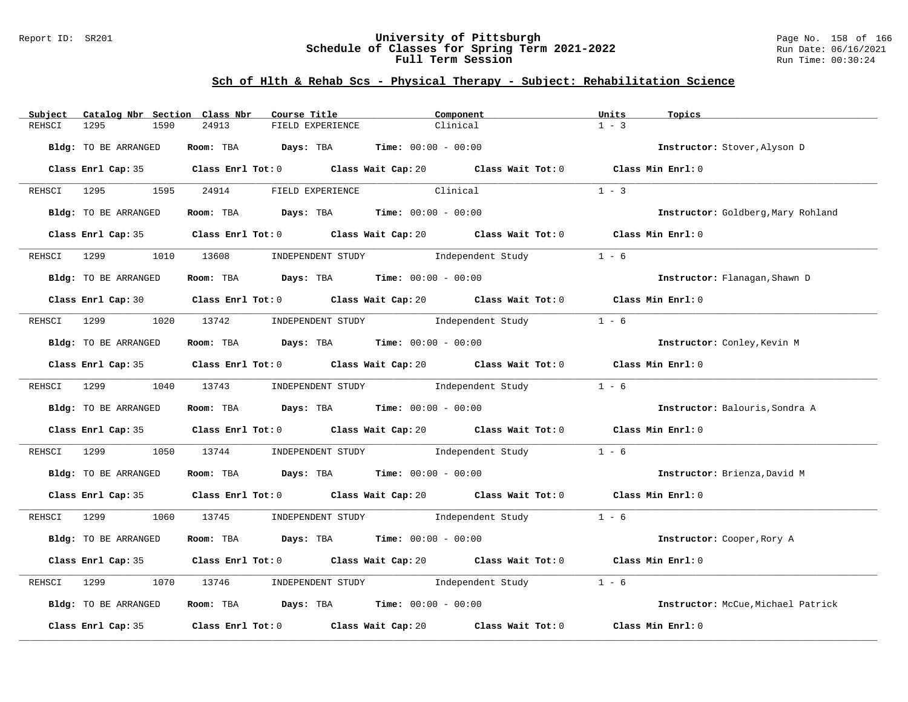#### Report ID: SR201 **University of Pittsburgh** Page No. 158 of 166 **Schedule of Classes for Spring Term 2021-2022** Run Date: 06/16/2021 **Full Term Session Run Time: 00:30:24**

| Subject     | Catalog Nbr Section Class Nbr | Course Title                                                 | Component                                                                                   | Units<br>Topics                    |
|-------------|-------------------------------|--------------------------------------------------------------|---------------------------------------------------------------------------------------------|------------------------------------|
| REHSCI      | 1295<br>1590                  | 24913<br>FIELD EXPERIENCE                                    | Clinical                                                                                    | $1 - 3$                            |
|             | Bldg: TO BE ARRANGED          | Room: TBA $Days:$ TBA $Time: 00:00 - 00:00$                  |                                                                                             | Instructor: Stover, Alyson D       |
|             |                               |                                                              | Class Enrl Cap: 35 Class Enrl Tot: 0 Class Wait Cap: 20 Class Wait Tot: 0 Class Min Enrl: 0 |                                    |
|             | REHSCI 1295 1595              | 24914<br>FIELD EXPERIENCE                                    | Clinical                                                                                    | $1 - 3$                            |
|             | Bldg: TO BE ARRANGED          | Room: TBA $Days:$ TBA $Time: 00:00 - 00:00$                  |                                                                                             | Instructor: Goldberg, Mary Rohland |
|             |                               |                                                              | Class Enrl Cap: 35 Class Enrl Tot: 0 Class Wait Cap: 20 Class Wait Tot: 0 Class Min Enrl: 0 |                                    |
| REHSCI      | 1299 (1984)                   |                                                              | 1010 13608 INDEPENDENT STUDY Independent Study                                              | $1 - 6$                            |
|             | Bldg: TO BE ARRANGED          | Room: TBA $Days:$ TBA $Time: 00:00 - 00:00$                  |                                                                                             | Instructor: Flanagan, Shawn D      |
|             |                               |                                                              | Class Enrl Cap: 30 Class Enrl Tot: 0 Class Wait Cap: 20 Class Wait Tot: 0 Class Min Enrl: 0 |                                    |
|             |                               |                                                              | REHSCI 1299 1020 13742 INDEPENDENT STUDY Independent Study                                  | $1 - 6$                            |
|             | Bldg: TO BE ARRANGED          | Room: TBA $Days:$ TBA Time: $00:00 - 00:00$                  |                                                                                             | Instructor: Conley, Kevin M        |
|             |                               |                                                              | Class Enrl Cap: 35 Class Enrl Tot: 0 Class Wait Cap: 20 Class Wait Tot: 0 Class Min Enrl: 0 |                                    |
|             |                               |                                                              | REHSCI 1299 1040 13743 INDEPENDENT STUDY Independent Study 1 - 6                            |                                    |
|             | Bldg: TO BE ARRANGED          | Room: TBA $Days:$ TBA $Time: 00:00 - 00:00$                  |                                                                                             | Instructor: Balouris, Sondra A     |
|             |                               |                                                              | Class Enrl Cap: 35 Class Enrl Tot: 0 Class Wait Cap: 20 Class Wait Tot: 0 Class Min Enrl: 0 |                                    |
| REHSCI      | 1050<br>1299                  | 13744                                                        | INDEPENDENT STUDY 1ndependent Study                                                         | $1 - 6$                            |
|             | Bldg: TO BE ARRANGED          | <b>Room:</b> TBA <b>Days:</b> TBA <b>Time:</b> 00:00 - 00:00 |                                                                                             | Instructor: Brienza, David M       |
|             |                               |                                                              | Class Enrl Cap: 35 Class Enrl Tot: 0 Class Wait Cap: 20 Class Wait Tot: 0 Class Min Enrl: 0 |                                    |
|             |                               |                                                              | REHSCI 1299 1060 13745 INDEPENDENT STUDY Independent Study 1 - 6                            |                                    |
|             | Bldg: TO BE ARRANGED          | Room: TBA $Days:$ TBA $Time: 00:00 - 00:00$                  |                                                                                             | Instructor: Cooper, Rory A         |
|             |                               |                                                              | Class Enrl Cap: 35 Class Enrl Tot: 0 Class Wait Cap: 20 Class Wait Tot: 0 Class Min Enrl: 0 |                                    |
| REHSCI 1299 | 1070                          |                                                              | 13746 INDEPENDENT STUDY Independent Study                                                   | $1 - 6$                            |
|             | Bldg: TO BE ARRANGED          | Room: TBA $Days: TBA$ Time: $00:00 - 00:00$                  |                                                                                             | Instructor: McCue, Michael Patrick |
|             | Class Enrl Cap: 35            | Class Enrl Tot: 0 Class Wait Cap: 20                         | Class Wait Tot: 0                                                                           | Class Min Enrl: 0                  |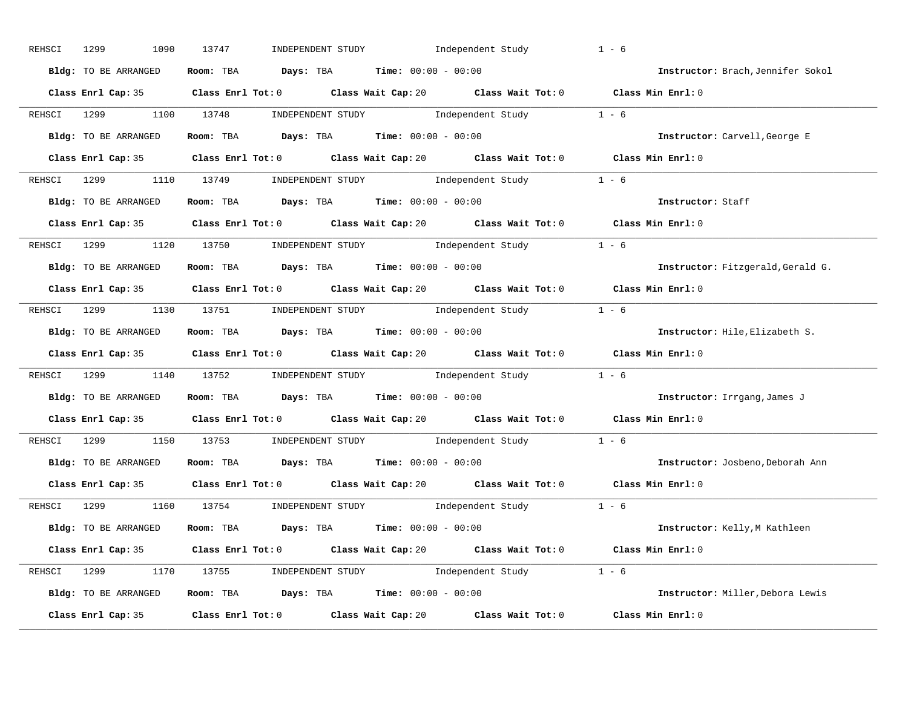| REHSCI | 1299<br>1090           | 13747<br>INDEPENDENT STUDY                                                                           | Independent Study                                                                                                                      | $1 - 6$                           |
|--------|------------------------|------------------------------------------------------------------------------------------------------|----------------------------------------------------------------------------------------------------------------------------------------|-----------------------------------|
|        | Bldg: TO BE ARRANGED   | Room: TBA $Days: TBA$ Time: $00:00 - 00:00$                                                          |                                                                                                                                        | Instructor: Brach, Jennifer Sokol |
|        |                        | Class Enrl Cap: 35 Class Enrl Tot: 0 Class Wait Cap: 20 Class Wait Tot: 0 Class Min Enrl: 0          |                                                                                                                                        |                                   |
|        | REHSCI 1299 1100 13748 |                                                                                                      | INDEPENDENT STUDY 1 - 6                                                                                                                |                                   |
|        | Bldg: TO BE ARRANGED   | Room: TBA $\rule{1em}{0.15mm}$ Days: TBA Time: $00:00 - 00:00$                                       |                                                                                                                                        | Instructor: Carvell, George E     |
|        |                        | Class Enrl Cap: 35 Class Enrl Tot: 0 Class Wait Cap: 20 Class Wait Tot: 0 Class Min Enrl: 0          |                                                                                                                                        |                                   |
|        |                        | REHSCI 1299 1110 13749 INDEPENDENT STUDY Independent Study 1 - 6                                     |                                                                                                                                        |                                   |
|        |                        | <b>Bldg:</b> TO BE ARRANGED <b>ROOM:</b> TBA <b>Days:</b> TBA <b>Time:</b> $00:00 - 00:00$           |                                                                                                                                        | Instructor: Staff                 |
|        |                        | Class Enrl Cap: 35 Class Enrl Tot: 0 Class Wait Cap: 20 Class Wait Tot: 0 Class Min Enrl: 0          |                                                                                                                                        |                                   |
|        |                        | REHSCI 1299 1120 13750 INDEPENDENT STUDY Independent Study 1 - 6                                     |                                                                                                                                        |                                   |
|        | Bldg: TO BE ARRANGED   | Room: TBA $Days:$ TBA $Time: 00:00 - 00:00$                                                          |                                                                                                                                        | Instructor: Fitzgerald, Gerald G. |
|        |                        | Class Enrl Cap: 35 Class Enrl Tot: 0 Class Wait Cap: 20 Class Wait Tot: 0 Class Min Enrl: 0          |                                                                                                                                        |                                   |
|        |                        | REHSCI 1299 1130 13751 INDEPENDENT STUDY Independent Study 1 - 6                                     |                                                                                                                                        |                                   |
|        | Bldg: TO BE ARRANGED   | Room: TBA $Days:$ TBA $Time: 00:00 - 00:00$                                                          |                                                                                                                                        | Instructor: Hile, Elizabeth S.    |
|        |                        | Class Enrl Cap: 35 Class Enrl Tot: 0 Class Wait Cap: 20 Class Wait Tot: 0 Class Min Enrl: 0          |                                                                                                                                        |                                   |
|        |                        | REHSCI 1299 1140 13752 INDEPENDENT STUDY Independent Study 1 - 6                                     |                                                                                                                                        |                                   |
|        | Bldg: TO BE ARRANGED   | Room: TBA $Days:$ TBA $Time: 00:00 - 00:00$                                                          |                                                                                                                                        | Instructor: Irrgang, James J      |
|        |                        | Class Enrl Cap: 35 Class Enrl Tot: 0 Class Wait Cap: 20 Class Wait Tot: 0                            |                                                                                                                                        | Class Min $Enrl: 0$               |
|        | REHSCI 1299            | 1150 13753                                                                                           | $\begin{minipage}[c]{0.9\linewidth} \textbf{INDEX} & \textbf{STUDY} \\ \textbf{Index} & \textbf{Index} & \textbf{C} \\ \end{minipage}$ |                                   |
|        | Bldg: TO BE ARRANGED   | Room: TBA Days: TBA Time: $00:00 - 00:00$                                                            |                                                                                                                                        | Instructor: Josbeno, Deborah Ann  |
|        |                        | Class Enrl Cap: 35 Class Enrl Tot: 0 Class Wait Cap: 20 Class Wait Tot: 0 Class Min Enrl: 0          |                                                                                                                                        |                                   |
|        |                        | REHSCI 1299 1160 13754 INDEPENDENT STUDY Independent Study 1 - 6                                     |                                                                                                                                        |                                   |
|        | Bldg: TO BE ARRANGED   | Room: TBA $\rule{1em}{0.15mm}$ Days: TBA Time: $00:00 - 00:00$                                       |                                                                                                                                        | Instructor: Kelly,M Kathleen      |
|        |                        | Class Enrl Cap: 35 Class Enrl Tot: 0 Class Wait Cap: 20 Class Wait Tot: 0 Class Min Enrl: 0          |                                                                                                                                        |                                   |
|        |                        | REHSCI 1299 1170 13755 INDEPENDENT STUDY Independent Study 1 - 6                                     |                                                                                                                                        |                                   |
|        | Bldg: TO BE ARRANGED   | Room: TBA $Days: TBA$ Time: $00:00 - 00:00$                                                          |                                                                                                                                        | Instructor: Miller, Debora Lewis  |
|        |                        | Class Enrl Cap: 35 $\qquad$ Class Enrl Tot: 0 $\qquad$ Class Wait Cap: 20 $\qquad$ Class Wait Tot: 0 |                                                                                                                                        | Class Min Enrl: 0                 |
|        |                        |                                                                                                      |                                                                                                                                        |                                   |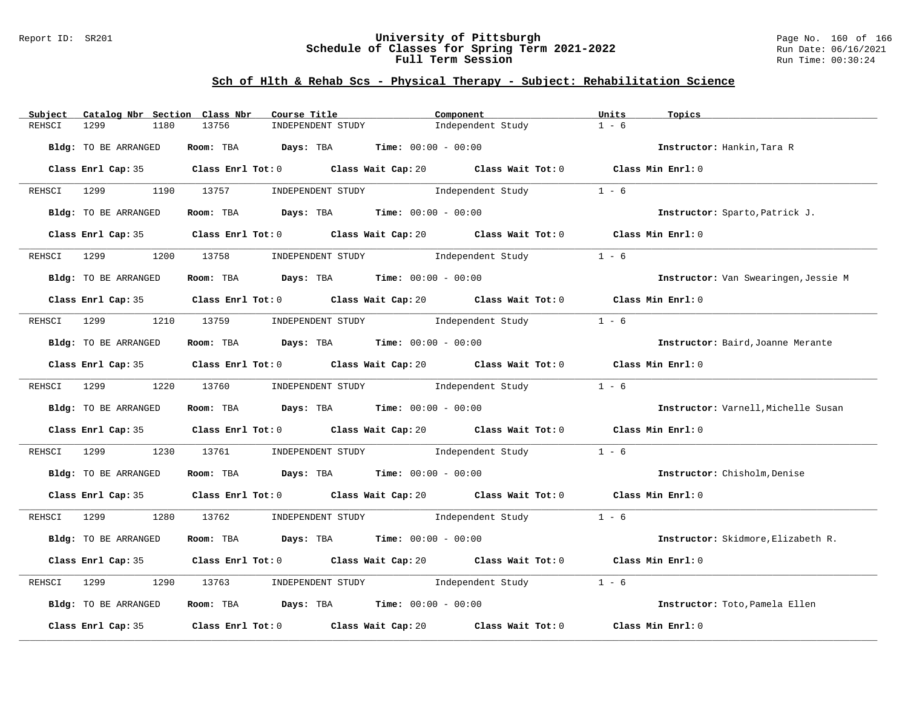#### Report ID: SR201 **University of Pittsburgh** Page No. 160 of 166 **Schedule of Classes for Spring Term 2021-2022** Run Date: 06/16/2021 **Full Term Session Run Time: 00:30:24**

| Subject     | Catalog Nbr Section Class Nbr | Course Title                                                                                  | Component                                                                                                                    | Units<br>Topics                      |
|-------------|-------------------------------|-----------------------------------------------------------------------------------------------|------------------------------------------------------------------------------------------------------------------------------|--------------------------------------|
| REHSCI      | 1299<br>1180                  | 13756<br>INDEPENDENT STUDY                                                                    | Independent Study                                                                                                            | $1 - 6$                              |
|             | Bldg: TO BE ARRANGED          | Room: TBA $Days:$ TBA $Time: 00:00 - 00:00$                                                   |                                                                                                                              | Instructor: Hankin, Tara R           |
|             |                               | Class Enrl Cap: 35 Class Enrl Tot: 0 Class Wait Cap: 20 Class Wait Tot: 0                     |                                                                                                                              | Class Min Enrl: 0                    |
|             | REHSCI 1299 1190 13757        |                                                                                               | INDEPENDENT STUDY 1ndependent Study                                                                                          | $1 - 6$                              |
|             | Bldg: TO BE ARRANGED          | Room: TBA $Days: TBA$ Time: $00:00 - 00:00$                                                   |                                                                                                                              | Instructor: Sparto, Patrick J.       |
|             | Class Enrl Cap: 35            | Class Enrl Tot: 0 Class Wait Cap: 20 Class Wait Tot: 0 Class Min Enrl: 0                      |                                                                                                                              |                                      |
| REHSCI      | 1299                          | 1200 13758                                                                                    | INDEPENDENT STUDY 1ndependent Study                                                                                          | $1 - 6$                              |
|             | Bldg: TO BE ARRANGED          | Room: TBA $Days:$ TBA $Time: 00:00 - 00:00$                                                   |                                                                                                                              | Instructor: Van Swearingen, Jessie M |
|             |                               | Class Enrl Cap: 35 Class Enrl Tot: 0 Class Wait Cap: 20 Class Wait Tot: 0 Class Min Enrl: 0   |                                                                                                                              |                                      |
| REHSCI 1299 |                               | 1210 13759                                                                                    | INDEPENDENT STUDY The Independent Study                                                                                      | $1 - 6$                              |
|             | Bldg: TO BE ARRANGED          | Room: TBA Days: TBA Time: $00:00 - 00:00$                                                     |                                                                                                                              | Instructor: Baird, Joanne Merante    |
|             |                               | Class Enrl Cap: 35 Class Enrl Tot: 0 Class Wait Cap: 20 Class Wait Tot: 0 Class Min Enrl: 0   |                                                                                                                              |                                      |
|             | REHSCI 1299                   | 1220 13760                                                                                    | $\begin{minipage}[c]{0.9\linewidth} \textbf{INDEX} & \textbf{STUDY} \\ \textbf{Independent Study} & 1 - 6 \\ \end{minipage}$ |                                      |
|             | Bldg: TO BE ARRANGED          | Room: TBA $Days:$ TBA $Time: 00:00 - 00:00$                                                   |                                                                                                                              | Instructor: Varnell, Michelle Susan  |
|             |                               | Class Enrl Cap: 35 $\,$ Class Enrl Tot: 0 $\,$ Class Wait Cap: 20 $\,$ Class Wait Tot: 0 $\,$ |                                                                                                                              | Class Min $Enr1:0$                   |
| REHSCI      | 1299<br>1230                  | 13761                                                                                         | INDEPENDENT STUDY 1ndependent Study                                                                                          | $1 - 6$                              |
|             | Bldg: TO BE ARRANGED          | Room: TBA $\rule{1em}{0.15mm}$ Days: TBA Time: $00:00 - 00:00$                                |                                                                                                                              | Instructor: Chisholm, Denise         |
|             |                               | Class Enrl Cap: 35 Class Enrl Tot: 0 Class Wait Cap: 20 Class Wait Tot: 0 Class Min Enrl: 0   |                                                                                                                              |                                      |
| REHSCI      | 1299 1280 13762               |                                                                                               | INDEPENDENT STUDY 1 - 6                                                                                                      |                                      |
|             | Bldg: TO BE ARRANGED          | Room: TBA $Days:$ TBA $Time: 00:00 - 00:00$                                                   |                                                                                                                              | Instructor: Skidmore, Elizabeth R.   |
|             | Class Enrl Cap: 35            | Class Enrl Tot: $0$ Class Wait Cap: $20$ Class Wait Tot: $0$                                  |                                                                                                                              | Class Min Enrl: 0                    |
| REHSCI      | 1290<br>1299                  | 13763                                                                                         | INDEPENDENT STUDY 1ndependent Study                                                                                          | $1 - 6$                              |
|             | Bldg: TO BE ARRANGED          | Room: TBA $Days:$ TBA $Time: 00:00 - 00:00$                                                   |                                                                                                                              | Instructor: Toto, Pamela Ellen       |
|             | Class Enrl Cap: 35            | Class Enrl Tot: 0 Class Wait Cap: 20                                                          | Class Wait Tot: 0                                                                                                            | Class Min Enrl: 0                    |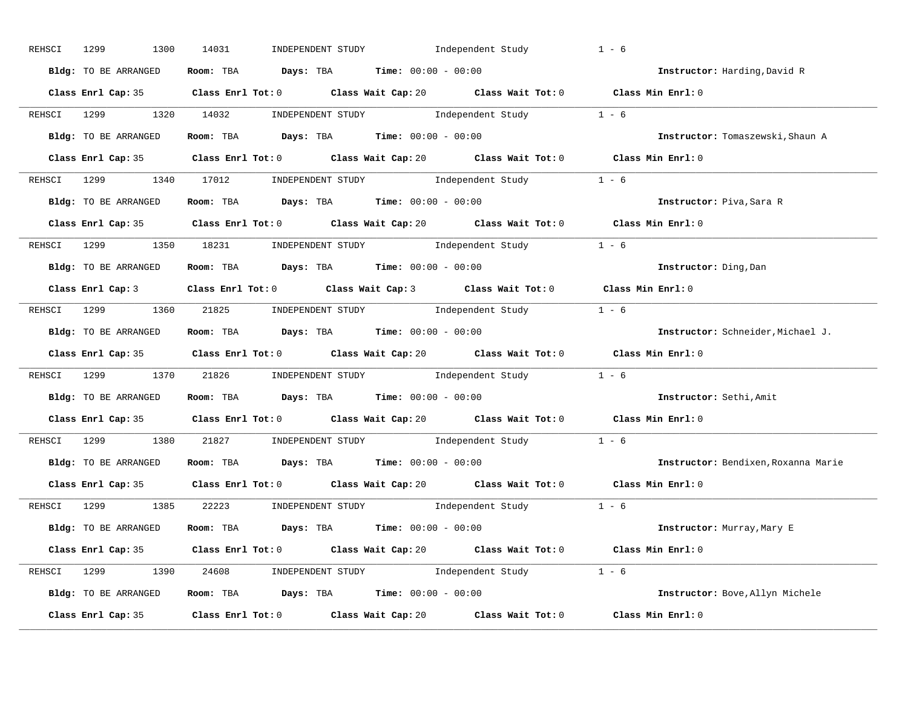| REHSCI | 1299<br>1300         | 14031<br>INDEPENDENT STUDY 1ndependent Study                                                | $1 - 6$                             |
|--------|----------------------|---------------------------------------------------------------------------------------------|-------------------------------------|
|        | Bldg: TO BE ARRANGED | Room: TBA $Days:$ TBA $Time: 00:00 - 00:00$                                                 | Instructor: Harding, David R        |
|        |                      | Class Enrl Cap: 35 Class Enrl Tot: 0 Class Wait Cap: 20 Class Wait Tot: 0 Class Min Enrl: 0 |                                     |
|        |                      | REHSCI 1299 1320 14032 INDEPENDENT STUDY Independent Study 1 - 6                            |                                     |
|        | Bldg: TO BE ARRANGED | Room: TBA $Days:$ TBA $Time: 00:00 - 00:00$                                                 | Instructor: Tomaszewski, Shaun A    |
|        |                      | Class Enrl Cap: 35 Class Enrl Tot: 0 Class Wait Cap: 20 Class Wait Tot: 0 Class Min Enrl: 0 |                                     |
|        |                      | REHSCI 1299 1340 17012 INDEPENDENT STUDY Independent Study 1 - 6                            |                                     |
|        |                      | Bldg: TO BE ARRANGED ROOM: TBA Days: TBA Time: 00:00 - 00:00                                | Instructor: Piva, Sara R            |
|        |                      | Class Enrl Cap: 35 Class Enrl Tot: 0 Class Wait Cap: 20 Class Wait Tot: 0 Class Min Enrl: 0 |                                     |
|        |                      | REHSCI 1299 1350 18231 INDEPENDENT STUDY Independent Study 1 - 6                            |                                     |
|        | Bldg: TO BE ARRANGED | Room: TBA $\rule{1em}{0.15mm}$ Days: TBA Time: $00:00 - 00:00$                              | Instructor: Ding, Dan               |
|        |                      | Class Enrl Cap: 3 Class Enrl Tot: 0 Class Wait Cap: 3 Class Wait Tot: 0 Class Min Enrl: 0   |                                     |
|        |                      | REHSCI 1299 1360 21825 INDEPENDENT STUDY Independent Study 1 - 6                            |                                     |
|        | Bldg: TO BE ARRANGED | Room: TBA $\rule{1em}{0.15mm}$ Days: TBA $\rule{1.15mm}]{0.15mm}$ Time: $00:00 - 00:00$     | Instructor: Schneider, Michael J.   |
|        |                      |                                                                                             |                                     |
|        |                      | Class Enrl Cap: 35 Class Enrl Tot: 0 Class Wait Cap: 20 Class Wait Tot: 0 Class Min Enrl: 0 |                                     |
|        |                      | REHSCI 1299 1370 21826 INDEPENDENT STUDY Independent Study 1 - 6                            |                                     |
|        |                      | Bldg: TO BE ARRANGED ROOM: TBA Days: TBA Time: 00:00 - 00:00                                | Instructor: Sethi, Amit             |
|        |                      | Class Enrl Cap: 35 Class Enrl Tot: 0 Class Wait Cap: 20 Class Wait Tot: 0 Class Min Enrl: 0 |                                     |
|        |                      | REHSCI 1299 1380 21827 INDEPENDENT STUDY Independent Study 1 - 6                            |                                     |
|        | Bldg: TO BE ARRANGED | Room: TBA $\rule{1em}{0.15mm}$ Days: TBA Time: $00:00 - 00:00$                              | Instructor: Bendixen, Roxanna Marie |
|        |                      | Class Enrl Cap: 35 Class Enrl Tot: 0 Class Wait Cap: 20 Class Wait Tot: 0 Class Min Enrl: 0 |                                     |
|        |                      | REHSCI 1299 1385 22223 INDEPENDENT STUDY Independent Study 1 - 6                            |                                     |
|        |                      | Bldg: TO BE ARRANGED Room: TBA Days: TBA Time: 00:00 - 00:00                                | Instructor: Murray, Mary E          |
|        |                      | Class Enrl Cap: 35 Class Enrl Tot: 0 Class Wait Cap: 20 Class Wait Tot: 0 Class Min Enrl: 0 |                                     |
|        |                      | REHSCI 1299 1390 24608 INDEPENDENT STUDY Independent Study 1 - 6                            |                                     |
|        |                      | Bldg: TO BE ARRANGED Room: TBA Days: TBA Time: $00:00 - 00:00$                              | Instructor: Bove, Allyn Michele     |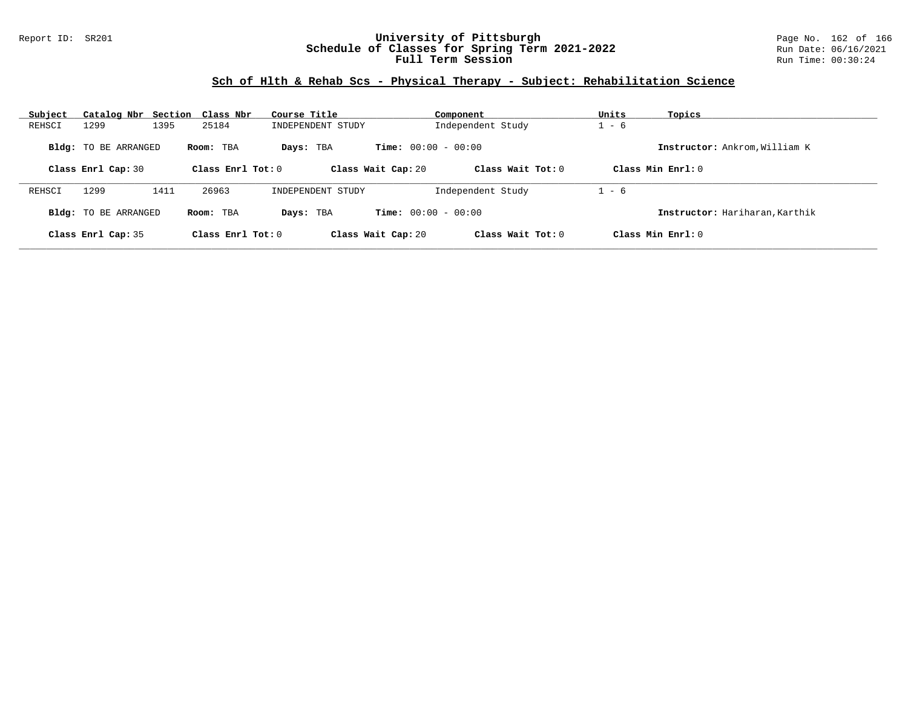### Report ID: SR201 **University of Pittsburgh** Page No. 162 of 166 **Schedule of Classes for Spring Term 2021-2022** Run Date: 06/16/2021 **Full Term Session Run Time: 00:30:24**

| Subject<br>Catalog Nbr Section Class Nbr |                     | Course Title       | Component                    | Units<br>Topics                |
|------------------------------------------|---------------------|--------------------|------------------------------|--------------------------------|
| 1395<br>1299<br>REHSCI                   | 25184               | INDEPENDENT STUDY  | Independent Study            | $-6$                           |
| <b>Bldg:</b> TO BE ARRANGED              | Room: TBA           | Days: TBA          | <b>Time:</b> $00:00 - 00:00$ | Instructor: Ankrom, William K  |
| Class Enrl Cap: 30                       | Class Enrl Tot: $0$ | Class Wait Cap: 20 | Class Wait Tot: $0$          | Class Min $Enr1: 0$            |
| 1299<br>1411<br>REHSCI                   | 26963               | INDEPENDENT STUDY  | Independent Study            | $1 - 6$                        |
| Bldg: TO BE ARRANGED                     | Room: TBA           | Davs: TBA          | <b>Time:</b> $00:00 - 00:00$ | Instructor: Hariharan, Karthik |
| Class Enrl Cap: 35                       | Class Enrl Tot: 0   | Class Wait Cap: 20 | Class Wait Tot: 0            | Class Min $Enr1: 0$            |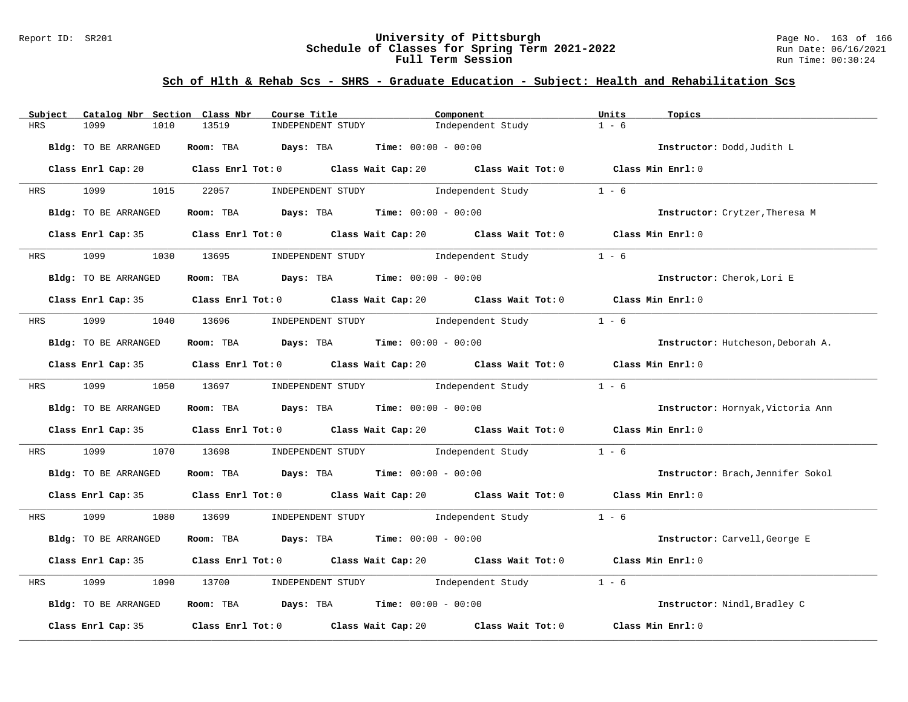#### Report ID: SR201 **University of Pittsburgh** Page No. 163 of 166 **Schedule of Classes for Spring Term 2021-2022** Run Date: 06/16/2021 **Full Term Session Run Time: 00:30:24**

# **Sch of Hlth & Rehab Scs - SHRS - Graduate Education - Subject: Health and Rehabilitation Scs**

| Catalog Nbr Section Class Nbr<br>Subject | Course Title                                                                                | Component                           | Units<br>Topics                   |
|------------------------------------------|---------------------------------------------------------------------------------------------|-------------------------------------|-----------------------------------|
| <b>HRS</b><br>1099<br>1010               | 13519<br>INDEPENDENT STUDY                                                                  | Independent Study                   | $1 - 6$                           |
| Bldg: TO BE ARRANGED                     | Room: TBA $Days: TBA$ Time: $00:00 - 00:00$                                                 |                                     | Instructor: Dodd, Judith L        |
|                                          | Class Enrl Cap: 20 Class Enrl Tot: 0 Class Wait Cap: 20 Class Wait Tot: 0 Class Min Enrl: 0 |                                     |                                   |
| HRS 1099 1015 22057                      |                                                                                             | INDEPENDENT STUDY 1ndependent Study | $1 - 6$                           |
| Bldg: TO BE ARRANGED                     | Room: TBA $Days:$ TBA $Time: 00:00 - 00:00$                                                 |                                     | Instructor: Crytzer, Theresa M    |
|                                          | Class Enrl Cap: 35 Class Enrl Tot: 0 Class Wait Cap: 20 Class Wait Tot: 0 Class Min Enrl: 0 |                                     |                                   |
|                                          | HRS 1099 1030 13695 INDEPENDENT STUDY Independent Study                                     |                                     | $1 - 6$                           |
| Bldg: TO BE ARRANGED                     | Room: TBA $\rule{1em}{0.15mm}$ Days: TBA $\rule{1.15mm}]{0.15mm}$ Time: $0.000 - 0.000$     |                                     | Instructor: Cherok, Lori E        |
|                                          | Class Enrl Cap: 35 Class Enrl Tot: 0 Class Wait Cap: 20 Class Wait Tot: 0 Class Min Enrl: 0 |                                     |                                   |
|                                          | HRS 1099 1040 13696 INDEPENDENT STUDY Independent Study                                     |                                     | $1 - 6$                           |
| Bldg: TO BE ARRANGED                     | Room: TBA $Days:$ TBA $Time: 00:00 - 00:00$                                                 |                                     | Instructor: Hutcheson, Deborah A. |
|                                          | Class Enrl Cap: 35 Class Enrl Tot: 0 Class Wait Cap: 20 Class Wait Tot: 0 Class Min Enrl: 0 |                                     |                                   |
|                                          | HRS 1099 1050 13697 INDEPENDENT STUDY Independent Study 1 - 6                               |                                     |                                   |
| Bldg: TO BE ARRANGED                     | Room: TBA $Days:$ TBA $Time: 00:00 - 00:00$                                                 |                                     | Instructor: Hornyak, Victoria Ann |
|                                          | Class Enrl Cap: 35 Class Enrl Tot: 0 Class Wait Cap: 20 Class Wait Tot: 0 Class Min Enrl: 0 |                                     |                                   |
| 1099<br>HRS                              | 1070 13698 INDEPENDENT STUDY Independent Study                                              |                                     | $1 - 6$                           |
| Bldg: TO BE ARRANGED                     | Room: TBA $Days$ : TBA Time: $00:00 - 00:00$                                                |                                     | Instructor: Brach, Jennifer Sokol |
|                                          | Class Enrl Cap: 35 Class Enrl Tot: 0 Class Wait Cap: 20 Class Wait Tot: 0 Class Min Enrl: 0 |                                     |                                   |
|                                          | HRS 1099 1080 13699 INDEPENDENT STUDY Independent Study 1 - 6                               |                                     |                                   |
| Bldg: TO BE ARRANGED                     | Room: TBA $Days:$ TBA $Time: 00:00 - 00:00$                                                 |                                     | Instructor: Carvell, George E     |
|                                          | Class Enrl Cap: 35 Class Enrl Tot: 0 Class Wait Cap: 20 Class Wait Tot: 0 Class Min Enrl: 0 |                                     |                                   |
| 1099<br>1090<br>HRS                      | 13700 INDEPENDENT STUDY Independent Study                                                   |                                     | $1 - 6$                           |
| Bldg: TO BE ARRANGED                     | Room: TBA Days: TBA Time: $00:00 - 00:00$                                                   |                                     | Instructor: Nindl, Bradley C      |
| Class Enrl Cap: 35                       | Class Enrl Tot: 0 Class Wait Cap: 20                                                        | Class Wait Tot: 0                   | Class Min Enrl: 0                 |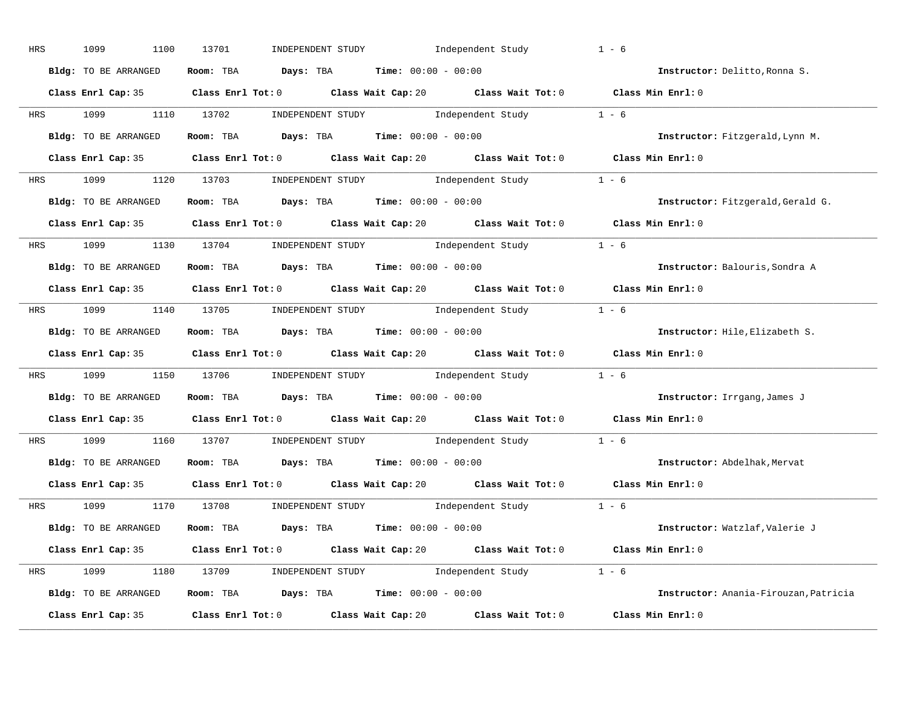| HRS | 1099<br>1100         | 13701<br>INDEPENDENT STUDY Independent Study                                                        | $1 - 6$                               |
|-----|----------------------|-----------------------------------------------------------------------------------------------------|---------------------------------------|
|     | Bldg: TO BE ARRANGED | Room: TBA $Days:$ TBA $Time: 00:00 - 00:00$                                                         | Instructor: Delitto, Ronna S.         |
|     |                      | Class Enrl Cap: 35 Class Enrl Tot: 0 Class Wait Cap: 20 Class Wait Tot: 0 Class Min Enrl: 0         |                                       |
|     |                      | HRS 1099 1110 13702 INDEPENDENT STUDY Independent Study 1 - 6                                       |                                       |
|     | Bldg: TO BE ARRANGED | Room: TBA $\rule{1em}{0.15mm}$ Days: TBA Time: $00:00 - 00:00$                                      | Instructor: Fitzgerald, Lynn M.       |
|     |                      | Class Enrl Cap: 35 Class Enrl Tot: 0 Class Wait Cap: 20 Class Wait Tot: 0 Class Min Enrl: 0         |                                       |
|     |                      | HRS 1099 1120 13703 INDEPENDENT STUDY Independent Study 1 - 6                                       |                                       |
|     | Bldg: TO BE ARRANGED | Room: TBA $Days:$ TBA $Time: 00:00 - 00:00$                                                         | Instructor: Fitzgerald, Gerald G.     |
|     |                      | Class Enrl Cap: 35 Class Enrl Tot: 0 Class Wait Cap: 20 Class Wait Tot: 0 Class Min Enrl: 0         |                                       |
|     |                      | HRS 1099 1130 13704 INDEPENDENT STUDY Independent Study 1 - 6                                       |                                       |
|     | Bldg: TO BE ARRANGED | Room: TBA $Days:$ TBA Time: $00:00 - 00:00$                                                         | Instructor: Balouris, Sondra A        |
|     |                      | Class Enrl Cap: 35 Class Enrl Tot: 0 Class Wait Cap: 20 Class Wait Tot: 0 Class Min Enrl: 0         |                                       |
|     |                      | HRS 1099 1140 13705 INDEPENDENT STUDY Independent Study 1 - 6                                       |                                       |
|     | Bldg: TO BE ARRANGED | Room: TBA $\rule{1em}{0.15mm}$ Days: TBA $\rule{1.5mm}{0.15mm}$ Time: $00:00 - 00:00$               | Instructor: Hile, Elizabeth S.        |
|     |                      | Class Enrl Cap: 35 Class Enrl Tot: 0 Class Wait Cap: 20 Class Wait Tot: 0 Class Min Enrl: 0         |                                       |
|     |                      | HRS 1099 1150 13706 INDEPENDENT STUDY Independent Study 1 - 6                                       |                                       |
|     | Bldg: TO BE ARRANGED | Room: TBA $Days:$ TBA Time: $00:00 - 00:00$                                                         | Instructor: Irrgang, James J          |
|     |                      | Class Enrl Cap: 35 Class Enrl Tot: 0 Class Wait Cap: 20 Class Wait Tot: 0 Class Min Enrl: 0         |                                       |
|     |                      | HRS 1099 1160 13707 INDEPENDENT STUDY Independent Study 1 - 6                                       |                                       |
|     | Bldg: TO BE ARRANGED | Room: TBA $\rule{1em}{0.15mm}$ Days: TBA $\rule{1.15mm}]{0.15mm}$ Time: $00:00 - 00:00$             | Instructor: Abdelhak, Mervat          |
|     | Class Enrl Cap: 35   | Class Enrl Tot: 0 $\qquad$ Class Wait Cap: 20 $\qquad$ Class Wait Tot: 0 $\qquad$ Class Min Enrl: 0 |                                       |
|     |                      | HRS 1099 1170 13708 INDEPENDENT STUDY Independent Study 1 - 6                                       |                                       |
|     | Bldg: TO BE ARRANGED | Room: TBA $Days:$ TBA $Time:$ $00:00 - 00:00$                                                       | Instructor: Watzlaf,Valerie J         |
|     |                      | Class Enrl Cap: 35 Class Enrl Tot: 0 Class Wait Cap: 20 Class Wait Tot: 0 Class Min Enrl: 0         |                                       |
|     |                      |                                                                                                     |                                       |
|     |                      | HRS 1099 1180 13709 INDEPENDENT STUDY Independent Study 1 - 6                                       |                                       |
|     | Bldg: TO BE ARRANGED | Room: TBA $Days:$ TBA $Time: 00:00 - 00:00$                                                         | Instructor: Anania-Firouzan, Patricia |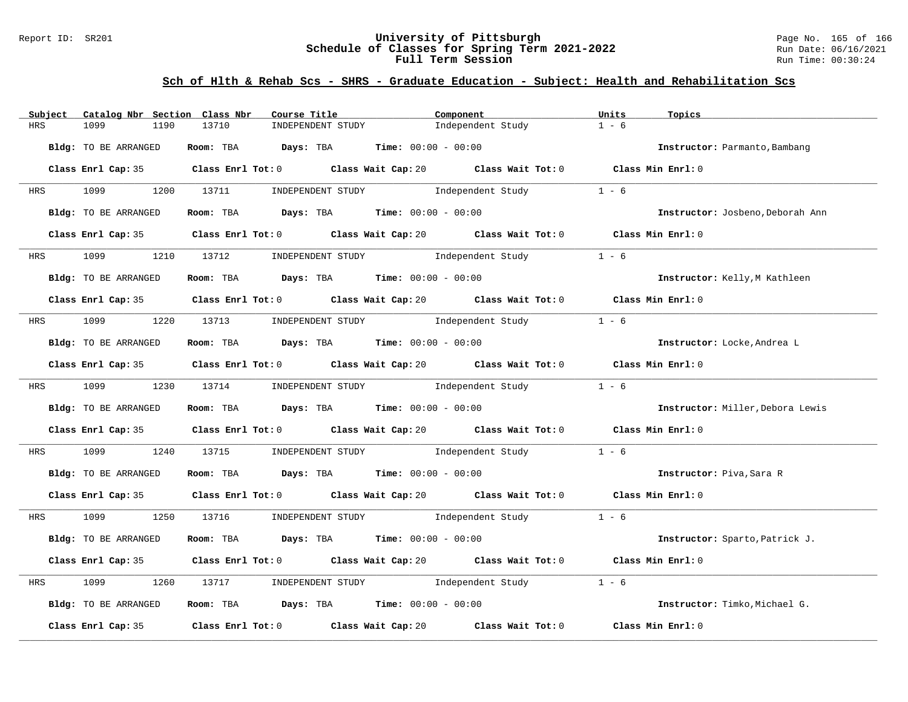#### Report ID: SR201 **University of Pittsburgh** Page No. 165 of 166 **Schedule of Classes for Spring Term 2021-2022** Run Date: 06/16/2021 **Full Term Session Run Time: 00:30:24**

# **Sch of Hlth & Rehab Scs - SHRS - Graduate Education - Subject: Health and Rehabilitation Scs**

| Catalog Nbr Section Class Nbr<br>Subject | Course Title                                                                                | Component                           | Units<br>Topics                  |
|------------------------------------------|---------------------------------------------------------------------------------------------|-------------------------------------|----------------------------------|
| <b>HRS</b><br>1099<br>1190               | 13710<br>INDEPENDENT STUDY                                                                  | Independent Study                   | $1 - 6$                          |
| Bldg: TO BE ARRANGED                     | Room: TBA $Days:$ TBA $Time: 00:00 - 00:00$                                                 |                                     | Instructor: Parmanto, Bambang    |
|                                          | Class Enrl Cap: 35 Class Enrl Tot: 0 Class Wait Cap: 20 Class Wait Tot: 0 Class Min Enrl: 0 |                                     |                                  |
| HRS 1099 1200 13711                      |                                                                                             | INDEPENDENT STUDY 1ndependent Study | $1 - 6$                          |
| Bldg: TO BE ARRANGED                     | Room: TBA $\rule{1em}{0.15mm}$ Days: TBA $\rule{1.15mm}]{0.15mm}$ Time: $0.0100 - 0.0100$   |                                     | Instructor: Josbeno, Deborah Ann |
|                                          | Class Enrl Cap: 35 Class Enrl Tot: 0 Class Wait Cap: 20 Class Wait Tot: 0 Class Min Enrl: 0 |                                     |                                  |
|                                          | HRS 1099 1210 13712 INDEPENDENT STUDY Independent Study                                     |                                     | $1 - 6$                          |
| Bldg: TO BE ARRANGED                     | Room: TBA $Days:$ TBA $Time: 00:00 - 00:00$                                                 |                                     | Instructor: Kelly, M Kathleen    |
|                                          | Class Enrl Cap: 35 Class Enrl Tot: 0 Class Wait Cap: 20 Class Wait Tot: 0 Class Min Enrl: 0 |                                     |                                  |
|                                          | HRS 1099 1220 13713 INDEPENDENT STUDY Independent Study                                     |                                     | $1 - 6$                          |
| Bldg: TO BE ARRANGED                     | Room: TBA $Days:$ TBA $Time: 00:00 - 00:00$                                                 |                                     | Instructor: Locke, Andrea L      |
|                                          | Class Enrl Cap: 35 Class Enrl Tot: 0 Class Wait Cap: 20 Class Wait Tot: 0 Class Min Enrl: 0 |                                     |                                  |
|                                          | HRS 1099 1230 13714 INDEPENDENT STUDY Independent Study 1 - 6                               |                                     |                                  |
| Bldg: TO BE ARRANGED                     | Room: TBA $Days:$ TBA $Time: 00:00 - 00:00$                                                 |                                     | Instructor: Miller, Debora Lewis |
|                                          | Class Enrl Cap: 35 Class Enrl Tot: 0 Class Wait Cap: 20 Class Wait Tot: 0 Class Min Enrl: 0 |                                     |                                  |
| 1099<br>HRS                              | 1240 13715 INDEPENDENT STUDY Independent Study                                              |                                     | $1 - 6$                          |
| Bldg: TO BE ARRANGED                     | Room: TBA $Days:$ TBA $Time: 00:00 - 00:00$                                                 |                                     | Instructor: Piva, Sara R         |
|                                          | Class Enrl Cap: 35 Class Enrl Tot: 0 Class Wait Cap: 20 Class Wait Tot: 0 Class Min Enrl: 0 |                                     |                                  |
|                                          | HRS 1099 1250 13716 INDEPENDENT STUDY Independent Study 1 - 6                               |                                     |                                  |
| Bldg: TO BE ARRANGED                     | Room: TBA $Days:$ TBA $Time: 00:00 - 00:00$                                                 |                                     | Instructor: Sparto, Patrick J.   |
|                                          | Class Enrl Cap: 35 Class Enrl Tot: 0 Class Wait Cap: 20 Class Wait Tot: 0 Class Min Enrl: 0 |                                     |                                  |
| 1099<br>1260<br>HRS                      | 13717                                                                                       | INDEPENDENT STUDY 1ndependent Study | $1 - 6$                          |
| Bldg: TO BE ARRANGED                     | Room: TBA Days: TBA Time: $00:00 - 00:00$                                                   |                                     | Instructor: Timko, Michael G.    |
| Class Enrl Cap: 35                       | Class Enrl Tot: $0$ Class Wait Cap: $20$                                                    | Class Wait Tot: 0                   | Class Min Enrl: 0                |